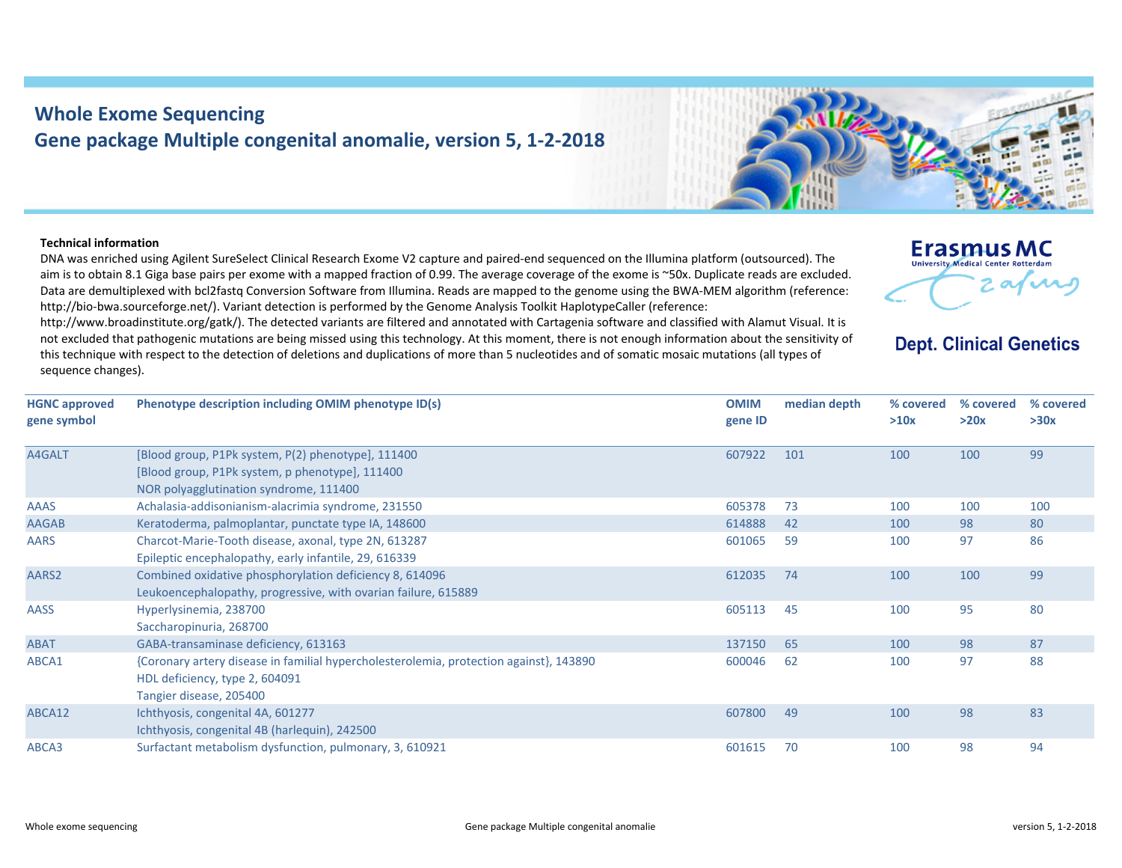## **Whole Exome Sequencing Gene package Multiple congenital anomalie, version 5, 1‐2‐2018**

## **Technical information**

DNA was enriched using Agilent SureSelect Clinical Research Exome V2 capture and paired‐end sequenced on the Illumina platform (outsourced). The aim is to obtain 8.1 Giga base pairs per exome with <sup>a</sup> mapped fraction of 0.99. The average coverage of the exome is ~50x. Duplicate reads are excluded. Data are demultiplexed with bcl2fastq Conversion Software from Illumina. Reads are mapped to the genome using the BWA‐MEM algorithm (reference: http://bio-bwa.sourceforge.net/). Variant detection is performed by the Genome Analysis Toolkit HaplotypeCaller (reference:

http://www.broadinstitute.org/gatk/). The detected variants are filtered and annotated with Cartagenia software and classified with Alamut Visual. It is not excluded that pathogenic mutations are being missed using this technology. At this moment, there is not enough information about the sensitivity of this technique with respect to the detection of deletions and duplications of more than 5 nucleotides and of somatic mosaic mutations (all types of sequence changes).

| <b>HGNC</b> approved<br>gene symbol | Phenotype description including OMIM phenotype ID(s)    | <b>OMIM</b><br>gene ID | median depth | % covered<br>>10x | % covered<br>>20x | % с<br>>30 |
|-------------------------------------|---------------------------------------------------------|------------------------|--------------|-------------------|-------------------|------------|
| A4GALT                              | [Blood group, P1Pk system, P(2) phenotype], 111400      | 607922                 | 101          | 100               | 100               | 99         |
|                                     | [Blood group, P1Pk system, p phenotype], 111400         |                        |              |                   |                   |            |
|                                     | NOR polyagglutination syndrome, 111400                  |                        |              |                   |                   |            |
| <b>AAAS</b>                         | Achalasia-addisonianism-alacrimia syndrome, 231550      | 605378                 | - 73         | 100               | 100               | 100        |
| <b>AAGAB</b>                        | Keratoderma, palmoplantar, punctate type IA, 148600     | 614888                 | 42           | 100               | 98                | 80         |
| <b>AARS</b>                         | Charcot-Marie-Tooth disease, axonal, type 2N, 613287    | 601065                 | -59          | 100               | 97                | 86         |
|                                     | Epileptic encephalopathy, early infantile, 29, 616339   |                        |              |                   |                   |            |
| AARS2                               | Combined oxidative phosphorylation deficiency 8, 614096 | 612035                 | 74           | 100               | 100               | 99         |





## **Dept. Clinical Genetics**

**Erasmus MC** University Medical Center Rotterdar

> **% covered >30x**

arne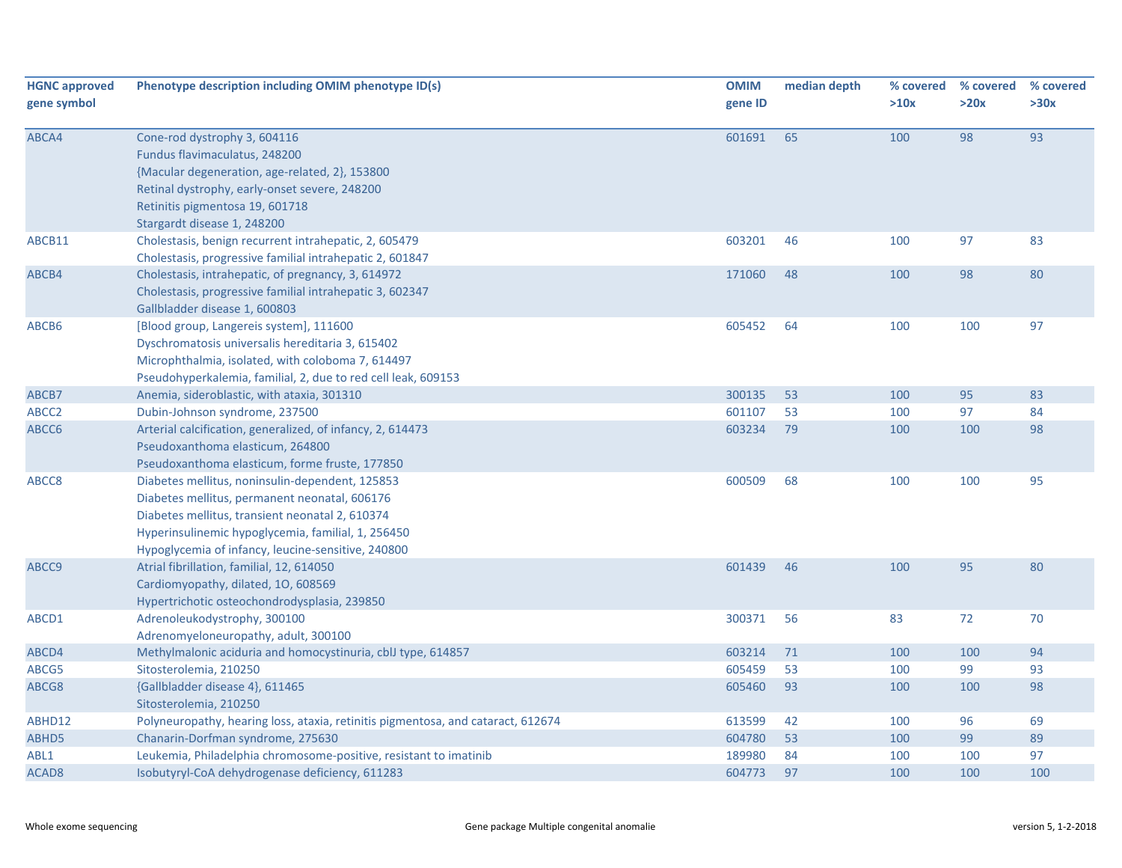| <b>HGNC approved</b><br>gene symbol | Phenotype description including OMIM phenotype ID(s)                                                                                                                                                                                                            | <b>OMIM</b><br>gene ID | median depth | % covered<br>>10x | % covered<br>>20x | % covered<br>>30x |
|-------------------------------------|-----------------------------------------------------------------------------------------------------------------------------------------------------------------------------------------------------------------------------------------------------------------|------------------------|--------------|-------------------|-------------------|-------------------|
| ABCA4                               | Cone-rod dystrophy 3, 604116<br>Fundus flavimaculatus, 248200<br>{Macular degeneration, age-related, 2}, 153800<br>Retinal dystrophy, early-onset severe, 248200<br>Retinitis pigmentosa 19, 601718<br>Stargardt disease 1, 248200                              | 601691                 | 65           | 100               | 98                | 93                |
| ABCB11                              | Cholestasis, benign recurrent intrahepatic, 2, 605479<br>Cholestasis, progressive familial intrahepatic 2, 601847                                                                                                                                               | 603201                 | 46           | 100               | 97                | 83                |
| ABCB4                               | Cholestasis, intrahepatic, of pregnancy, 3, 614972<br>Cholestasis, progressive familial intrahepatic 3, 602347<br>Gallbladder disease 1, 600803                                                                                                                 | 171060                 | 48           | 100               | 98                | 80                |
| ABCB6                               | [Blood group, Langereis system], 111600<br>Dyschromatosis universalis hereditaria 3, 615402<br>Microphthalmia, isolated, with coloboma 7, 614497<br>Pseudohyperkalemia, familial, 2, due to red cell leak, 609153                                               | 605452                 | 64           | 100               | 100               | 97                |
| ABCB7                               | Anemia, sideroblastic, with ataxia, 301310                                                                                                                                                                                                                      | 300135                 | 53           | 100               | 95                | 83                |
| ABCC2                               | Dubin-Johnson syndrome, 237500                                                                                                                                                                                                                                  | 601107                 | 53           | 100               | 97                | 84                |
| ABCC6                               | Arterial calcification, generalized, of infancy, 2, 614473<br>Pseudoxanthoma elasticum, 264800<br>Pseudoxanthoma elasticum, forme fruste, 177850                                                                                                                | 603234                 | 79           | 100               | 100               | 98                |
| ABCC8                               | Diabetes mellitus, noninsulin-dependent, 125853<br>Diabetes mellitus, permanent neonatal, 606176<br>Diabetes mellitus, transient neonatal 2, 610374<br>Hyperinsulinemic hypoglycemia, familial, 1, 256450<br>Hypoglycemia of infancy, leucine-sensitive, 240800 | 600509                 | 68           | 100               | 100               | 95                |
| ABCC9                               | Atrial fibrillation, familial, 12, 614050<br>Cardiomyopathy, dilated, 10, 608569<br>Hypertrichotic osteochondrodysplasia, 239850                                                                                                                                | 601439                 | 46           | 100               | 95                | 80                |
| ABCD1                               | Adrenoleukodystrophy, 300100<br>Adrenomyeloneuropathy, adult, 300100                                                                                                                                                                                            | 300371                 | 56           | 83                | 72                | 70                |
| ABCD4                               | Methylmalonic aciduria and homocystinuria, cblJ type, 614857                                                                                                                                                                                                    | 603214                 | 71           | 100               | 100               | 94                |
| ABCG5                               | Sitosterolemia, 210250                                                                                                                                                                                                                                          | 605459                 | 53           | 100               | 99                | 93                |
| ABCG8                               | {Gallbladder disease 4}, 611465<br>Sitosterolemia, 210250                                                                                                                                                                                                       | 605460                 | 93           | 100               | 100               | 98                |
| ABHD12                              | Polyneuropathy, hearing loss, ataxia, retinitis pigmentosa, and cataract, 612674                                                                                                                                                                                | 613599                 | 42           | 100               | 96                | 69                |
| ABHD5                               | Chanarin-Dorfman syndrome, 275630                                                                                                                                                                                                                               | 604780                 | 53           | 100               | 99                | 89                |
| ABL1                                | Leukemia, Philadelphia chromosome-positive, resistant to imatinib                                                                                                                                                                                               | 189980                 | 84           | 100               | 100               | 97                |
| ACAD <sub>8</sub>                   | Isobutyryl-CoA dehydrogenase deficiency, 611283                                                                                                                                                                                                                 | 604773                 | 97           | 100               | 100               | 100               |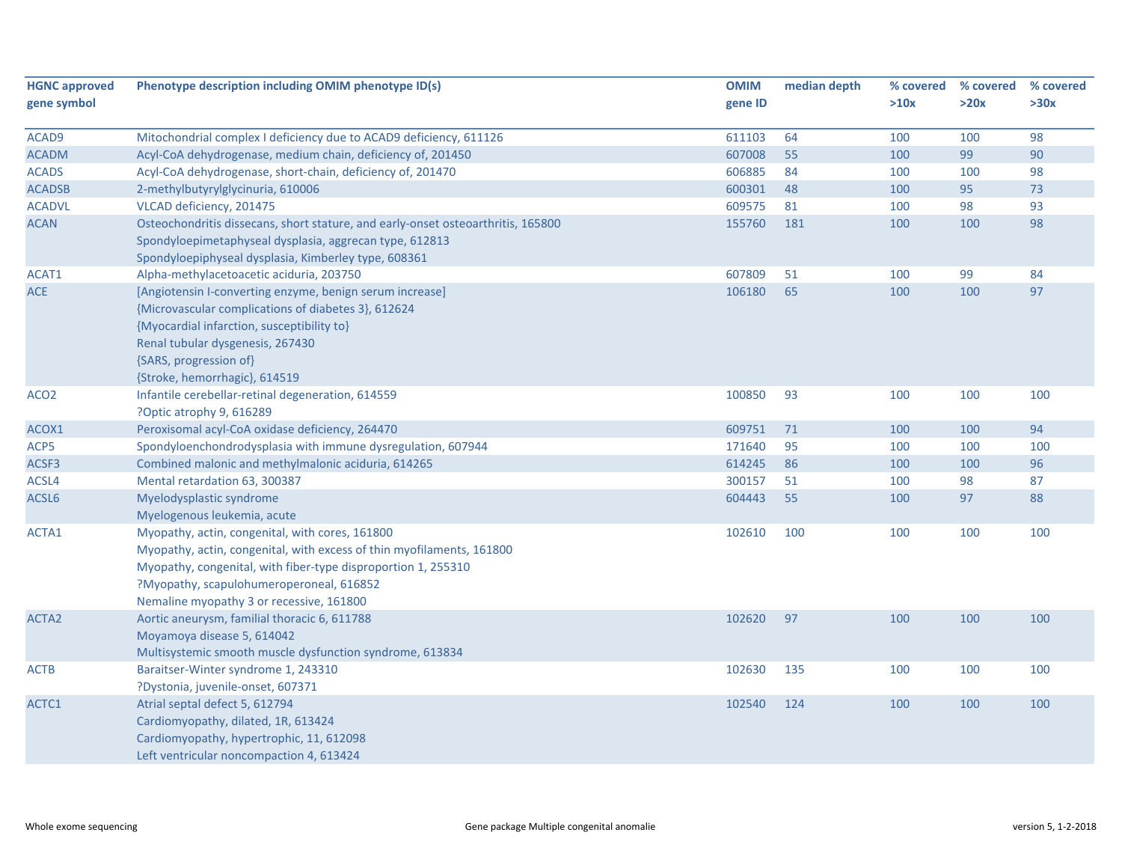| <b>HGNC approved</b> | Phenotype description including OMIM phenotype ID(s)                             | <b>OMIM</b> | median depth | % covered | % covered | % covered |
|----------------------|----------------------------------------------------------------------------------|-------------|--------------|-----------|-----------|-----------|
| gene symbol          |                                                                                  | gene ID     |              | >10x      | >20x      | >30x      |
|                      |                                                                                  |             |              |           |           |           |
| ACAD9                | Mitochondrial complex I deficiency due to ACAD9 deficiency, 611126               | 611103      | 64<br>55     | 100       | 100       | 98        |
| <b>ACADM</b>         | Acyl-CoA dehydrogenase, medium chain, deficiency of, 201450                      | 607008      |              | 100       | 99        | 90        |
| <b>ACADS</b>         | Acyl-CoA dehydrogenase, short-chain, deficiency of, 201470                       | 606885      | 84           | 100       | 100       | 98        |
| <b>ACADSB</b>        | 2-methylbutyrylglycinuria, 610006                                                | 600301      | 48           | 100       | 95        | 73        |
| <b>ACADVL</b>        | VLCAD deficiency, 201475                                                         | 609575      | 81           | 100       | 98        | 93        |
| <b>ACAN</b>          | Osteochondritis dissecans, short stature, and early-onset osteoarthritis, 165800 | 155760      | 181          | 100       | 100       | 98        |
|                      | Spondyloepimetaphyseal dysplasia, aggrecan type, 612813                          |             |              |           |           |           |
|                      | Spondyloepiphyseal dysplasia, Kimberley type, 608361                             |             |              |           |           |           |
| ACAT1                | Alpha-methylacetoacetic aciduria, 203750                                         | 607809      | 51           | 100       | 99        | 84        |
| <b>ACE</b>           | [Angiotensin I-converting enzyme, benign serum increase]                         | 106180      | 65           | 100       | 100       | 97        |
|                      | {Microvascular complications of diabetes 3}, 612624                              |             |              |           |           |           |
|                      | {Myocardial infarction, susceptibility to}                                       |             |              |           |           |           |
|                      | Renal tubular dysgenesis, 267430                                                 |             |              |           |           |           |
|                      | {SARS, progression of}                                                           |             |              |           |           |           |
|                      | {Stroke, hemorrhagic}, 614519                                                    |             |              |           |           |           |
| ACO <sub>2</sub>     | Infantile cerebellar-retinal degeneration, 614559                                | 100850      | 93           | 100       | 100       | 100       |
|                      | ?Optic atrophy 9, 616289                                                         |             |              |           |           |           |
| ACOX1                | Peroxisomal acyl-CoA oxidase deficiency, 264470                                  | 609751      | 71           | 100       | 100       | 94        |
| ACP5                 | Spondyloenchondrodysplasia with immune dysregulation, 607944                     | 171640      | 95           | 100       | 100       | 100       |
| ACSF3                | Combined malonic and methylmalonic aciduria, 614265                              | 614245      | 86           | 100       | 100       | 96        |
| ACSL4                | Mental retardation 63, 300387                                                    | 300157      | 51           | 100       | 98        | 87        |
| ACSL6                | Myelodysplastic syndrome                                                         | 604443      | 55           | 100       | 97        | 88        |
|                      | Myelogenous leukemia, acute                                                      |             |              |           |           |           |
| ACTA1                | Myopathy, actin, congenital, with cores, 161800                                  | 102610      | 100          | 100       | 100       | 100       |
|                      | Myopathy, actin, congenital, with excess of thin myofilaments, 161800            |             |              |           |           |           |
|                      | Myopathy, congenital, with fiber-type disproportion 1, 255310                    |             |              |           |           |           |
|                      | ?Myopathy, scapulohumeroperoneal, 616852                                         |             |              |           |           |           |
|                      | Nemaline myopathy 3 or recessive, 161800                                         |             |              |           |           |           |
| ACTA <sub>2</sub>    | Aortic aneurysm, familial thoracic 6, 611788                                     | 102620      | 97           | 100       | 100       | 100       |
|                      | Moyamoya disease 5, 614042                                                       |             |              |           |           |           |
|                      | Multisystemic smooth muscle dysfunction syndrome, 613834                         |             |              |           |           |           |
| <b>ACTB</b>          | Baraitser-Winter syndrome 1, 243310                                              | 102630      | 135          | 100       | 100       | 100       |
|                      | ?Dystonia, juvenile-onset, 607371                                                |             |              |           |           |           |
| ACTC1                | Atrial septal defect 5, 612794                                                   | 102540      | 124          | 100       | 100       | 100       |
|                      | Cardiomyopathy, dilated, 1R, 613424                                              |             |              |           |           |           |
|                      | Cardiomyopathy, hypertrophic, 11, 612098                                         |             |              |           |           |           |
|                      | Left ventricular noncompaction 4, 613424                                         |             |              |           |           |           |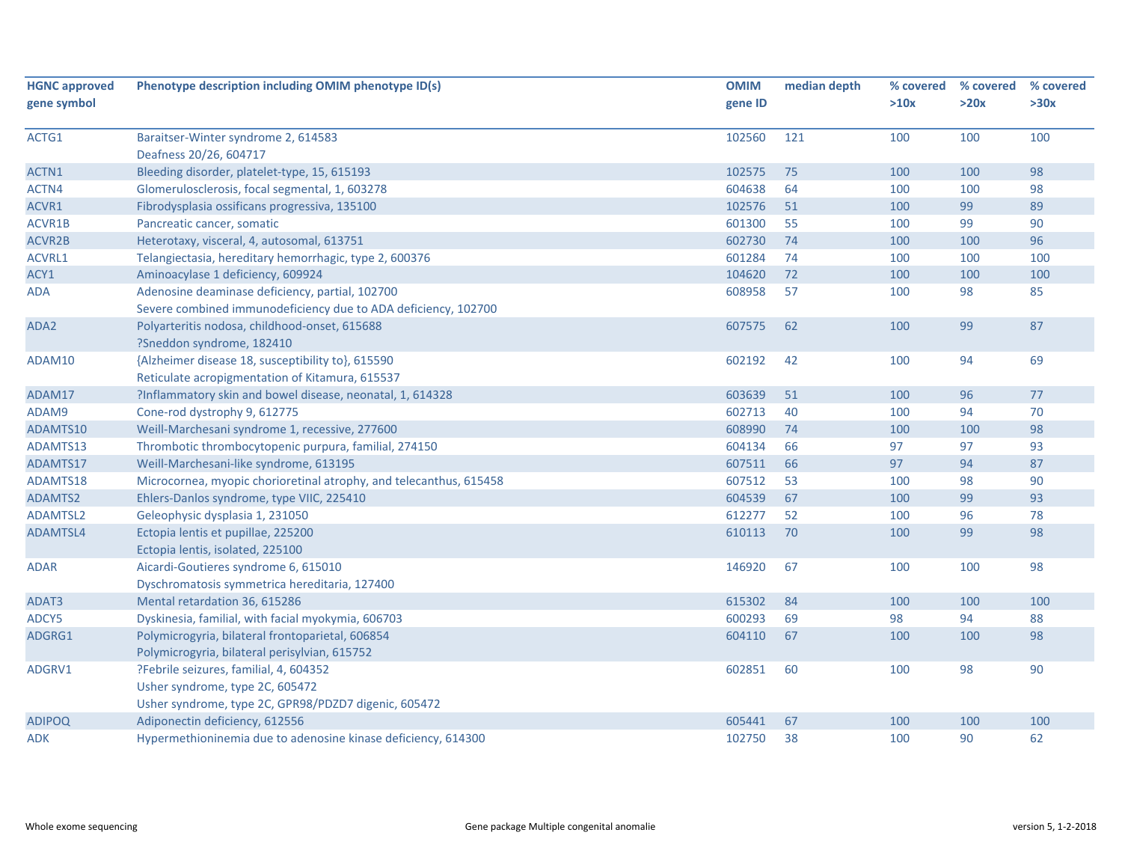| <b>HGNC approved</b> | Phenotype description including OMIM phenotype ID(s)               | <b>OMIM</b> | median depth | % covered | % covered | % covered |
|----------------------|--------------------------------------------------------------------|-------------|--------------|-----------|-----------|-----------|
| gene symbol          |                                                                    | gene ID     |              | >10x      | >20x      | >30x      |
| ACTG1                | Baraitser-Winter syndrome 2, 614583                                | 102560      | 121          | 100       | 100       | 100       |
|                      | Deafness 20/26, 604717                                             |             |              |           |           |           |
| ACTN1                | Bleeding disorder, platelet-type, 15, 615193                       | 102575      | 75           | 100       | 100       | 98        |
| ACTN4                | Glomerulosclerosis, focal segmental, 1, 603278                     | 604638      | 64           | 100       | 100       | 98        |
| ACVR1                | Fibrodysplasia ossificans progressiva, 135100                      | 102576      | 51           | 100       | 99        | 89        |
| ACVR1B               | Pancreatic cancer, somatic                                         | 601300      | 55           | 100       | 99        | 90        |
| ACVR2B               | Heterotaxy, visceral, 4, autosomal, 613751                         | 602730      | 74           | 100       | 100       | 96        |
| ACVRL1               | Telangiectasia, hereditary hemorrhagic, type 2, 600376             | 601284      | 74           | 100       | 100       | 100       |
| ACY1                 | Aminoacylase 1 deficiency, 609924                                  | 104620      | 72           | 100       | 100       | 100       |
| <b>ADA</b>           | Adenosine deaminase deficiency, partial, 102700                    | 608958      | 57           | 100       | 98        | 85        |
|                      | Severe combined immunodeficiency due to ADA deficiency, 102700     |             |              |           |           |           |
| ADA2                 | Polyarteritis nodosa, childhood-onset, 615688                      | 607575      | 62           | 100       | 99        | 87        |
|                      | ?Sneddon syndrome, 182410                                          |             |              |           |           |           |
| ADAM10               | {Alzheimer disease 18, susceptibility to}, 615590                  | 602192      | 42           | 100       | 94        | 69        |
|                      | Reticulate acropigmentation of Kitamura, 615537                    |             |              |           |           |           |
| ADAM17               | ?Inflammatory skin and bowel disease, neonatal, 1, 614328          | 603639      | 51           | 100       | 96        | 77        |
| ADAM9                | Cone-rod dystrophy 9, 612775                                       | 602713      | 40           | 100       | 94        | 70        |
| ADAMTS10             | Weill-Marchesani syndrome 1, recessive, 277600                     | 608990      | 74           | 100       | 100       | 98        |
| ADAMTS13             | Thrombotic thrombocytopenic purpura, familial, 274150              | 604134      | 66           | 97        | 97        | 93        |
| ADAMTS17             | Weill-Marchesani-like syndrome, 613195                             | 607511      | 66           | 97        | 94        | 87        |
| ADAMTS18             | Microcornea, myopic chorioretinal atrophy, and telecanthus, 615458 | 607512      | 53           | 100       | 98        | 90        |
| ADAMTS2              | Ehlers-Danlos syndrome, type VIIC, 225410                          | 604539      | 67           | 100       | 99        | 93        |
| ADAMTSL2             | Geleophysic dysplasia 1, 231050                                    | 612277      | 52           | 100       | 96        | 78        |
| ADAMTSL4             | Ectopia lentis et pupillae, 225200                                 | 610113      | 70           | 100       | 99        | 98        |
|                      | Ectopia lentis, isolated, 225100                                   |             |              |           |           |           |
| ADAR                 | Aicardi-Goutieres syndrome 6, 615010                               | 146920      | 67           | 100       | 100       | 98        |
|                      | Dyschromatosis symmetrica hereditaria, 127400                      |             |              |           |           |           |
| ADAT3                | Mental retardation 36, 615286                                      | 615302      | 84           | 100       | 100       | 100       |
| ADCY5                | Dyskinesia, familial, with facial myokymia, 606703                 | 600293      | 69           | 98        | 94        | 88        |
| ADGRG1               | Polymicrogyria, bilateral frontoparietal, 606854                   | 604110      | 67           | 100       | 100       | 98        |
|                      | Polymicrogyria, bilateral perisylvian, 615752                      |             |              |           |           |           |
| ADGRV1               | ?Febrile seizures, familial, 4, 604352                             | 602851      | 60           | 100       | 98        | 90        |
|                      | Usher syndrome, type 2C, 605472                                    |             |              |           |           |           |
|                      | Usher syndrome, type 2C, GPR98/PDZD7 digenic, 605472               |             |              |           |           |           |
| <b>ADIPOQ</b>        | Adiponectin deficiency, 612556                                     | 605441      | 67           | 100       | 100       | 100       |
| ADK                  | Hypermethioninemia due to adenosine kinase deficiency, 614300      | 102750      | 38           | 100       | 90        | 62        |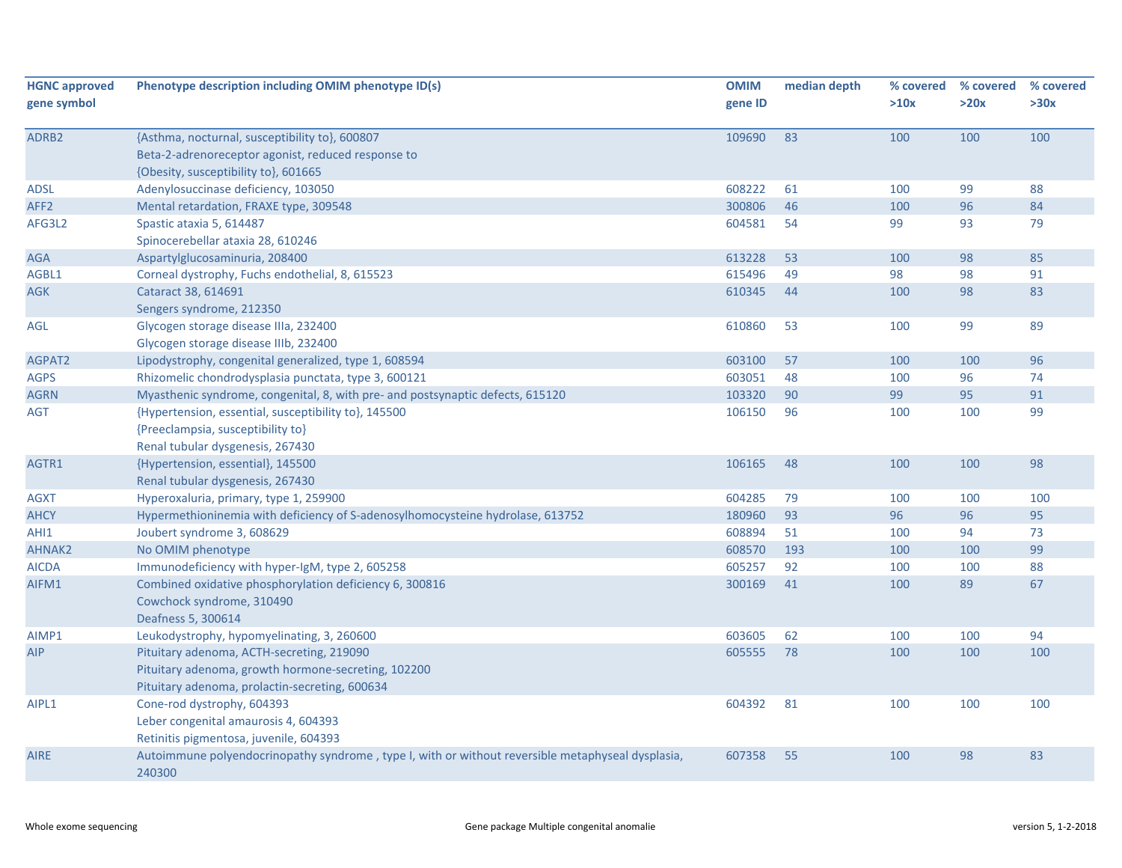| <b>HGNC approved</b><br>gene symbol | Phenotype description including OMIM phenotype ID(s)                                                                                               | <b>OMIM</b><br>gene ID | median depth | % covered<br>>10x | % covered<br>>20x | % covered<br>>30x |
|-------------------------------------|----------------------------------------------------------------------------------------------------------------------------------------------------|------------------------|--------------|-------------------|-------------------|-------------------|
| ADRB2                               | {Asthma, nocturnal, susceptibility to}, 600807<br>Beta-2-adrenoreceptor agonist, reduced response to<br>{Obesity, susceptibility to}, 601665       | 109690                 | 83           | 100               | 100               | 100               |
| ADSL                                | Adenylosuccinase deficiency, 103050                                                                                                                | 608222                 | 61           | 100               | 99                | 88                |
| AFF <sub>2</sub>                    | Mental retardation, FRAXE type, 309548                                                                                                             | 300806                 | 46           | 100               | 96                | 84                |
| AFG3L2                              | Spastic ataxia 5, 614487<br>Spinocerebellar ataxia 28, 610246                                                                                      | 604581                 | 54           | 99                | 93                | 79                |
| <b>AGA</b>                          | Aspartylglucosaminuria, 208400                                                                                                                     | 613228                 | 53           | 100               | 98                | 85                |
| AGBL1                               | Corneal dystrophy, Fuchs endothelial, 8, 615523                                                                                                    | 615496                 | 49           | 98                | 98                | 91                |
| AGK                                 | Cataract 38, 614691<br>Sengers syndrome, 212350                                                                                                    | 610345                 | 44           | 100               | 98                | 83                |
| AGL                                 | Glycogen storage disease IIIa, 232400<br>Glycogen storage disease IIIb, 232400                                                                     | 610860                 | 53           | 100               | 99                | 89                |
| AGPAT2                              | Lipodystrophy, congenital generalized, type 1, 608594                                                                                              | 603100                 | 57           | 100               | 100               | 96                |
| <b>AGPS</b>                         | Rhizomelic chondrodysplasia punctata, type 3, 600121                                                                                               | 603051                 | 48           | 100               | 96                | 74                |
| <b>AGRN</b>                         | Myasthenic syndrome, congenital, 8, with pre- and postsynaptic defects, 615120                                                                     | 103320                 | 90           | 99                | 95                | 91                |
| AGT                                 | {Hypertension, essential, susceptibility to}, 145500<br>{Preeclampsia, susceptibility to}<br>Renal tubular dysgenesis, 267430                      | 106150                 | 96           | 100               | 100               | 99                |
| AGTR1                               | {Hypertension, essential}, 145500<br>Renal tubular dysgenesis, 267430                                                                              | 106165                 | 48           | 100               | 100               | 98                |
| AGXT                                | Hyperoxaluria, primary, type 1, 259900                                                                                                             | 604285                 | 79           | 100               | 100               | 100               |
| <b>AHCY</b>                         | Hypermethioninemia with deficiency of S-adenosylhomocysteine hydrolase, 613752                                                                     | 180960                 | 93           | 96                | 96                | 95                |
| AHI1                                | Joubert syndrome 3, 608629                                                                                                                         | 608894                 | 51           | 100               | 94                | 73                |
| <b>AHNAK2</b>                       | No OMIM phenotype                                                                                                                                  | 608570                 | 193          | 100               | 100               | 99                |
| <b>AICDA</b>                        | Immunodeficiency with hyper-IgM, type 2, 605258                                                                                                    | 605257                 | 92           | 100               | 100               | 88                |
| AIFM1                               | Combined oxidative phosphorylation deficiency 6, 300816<br>Cowchock syndrome, 310490<br>Deafness 5, 300614                                         | 300169                 | 41           | 100               | 89                | 67                |
| AIMP1                               | Leukodystrophy, hypomyelinating, 3, 260600                                                                                                         | 603605                 | 62           | 100               | 100               | 94                |
| AIP                                 | Pituitary adenoma, ACTH-secreting, 219090<br>Pituitary adenoma, growth hormone-secreting, 102200<br>Pituitary adenoma, prolactin-secreting, 600634 | 605555                 | 78           | 100               | 100               | 100               |
| AIPL1                               | Cone-rod dystrophy, 604393<br>Leber congenital amaurosis 4, 604393<br>Retinitis pigmentosa, juvenile, 604393                                       | 604392                 | 81           | 100               | 100               | 100               |
| <b>AIRE</b>                         | Autoimmune polyendocrinopathy syndrome, type I, with or without reversible metaphyseal dysplasia,<br>240300                                        | 607358                 | 55           | 100               | 98                | 83                |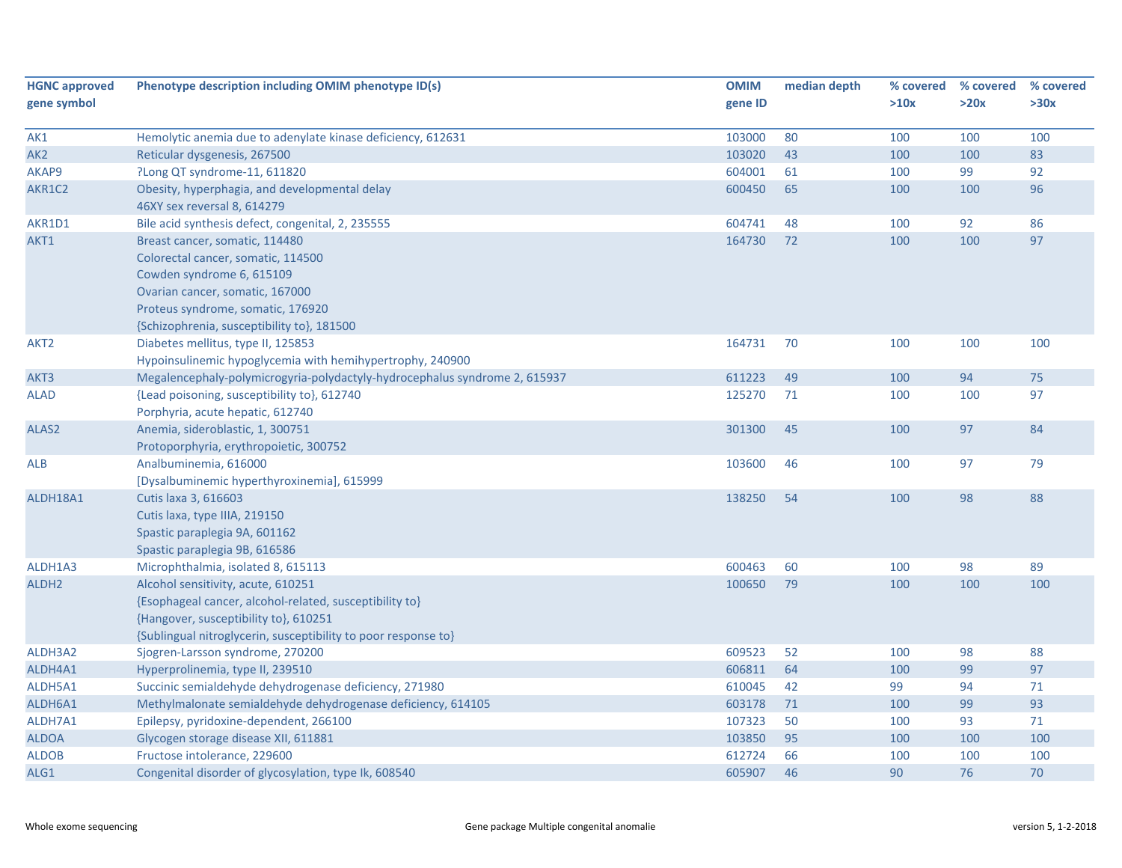| <b>HGNC approved</b> | Phenotype description including OMIM phenotype ID(s)                       | <b>OMIM</b> | median depth | % covered | % covered | % covered |
|----------------------|----------------------------------------------------------------------------|-------------|--------------|-----------|-----------|-----------|
| gene symbol          |                                                                            | gene ID     |              | >10x      | >20x      | >30x      |
| AK1                  | Hemolytic anemia due to adenylate kinase deficiency, 612631                | 103000      | 80           | 100       | 100       | 100       |
| AK <sub>2</sub>      | Reticular dysgenesis, 267500                                               | 103020      | 43           | 100       | 100       | 83        |
| AKAP9                | ?Long QT syndrome-11, 611820                                               | 604001      | 61           | 100       | 99        | 92        |
| AKR1C2               | Obesity, hyperphagia, and developmental delay                              | 600450      | 65           | 100       | 100       | 96        |
|                      | 46XY sex reversal 8, 614279                                                |             |              |           |           |           |
| AKR1D1               | Bile acid synthesis defect, congenital, 2, 235555                          | 604741      | 48           | 100       | 92        | 86        |
| AKT1                 | Breast cancer, somatic, 114480                                             | 164730      | 72           | 100       | 100       | 97        |
|                      | Colorectal cancer, somatic, 114500                                         |             |              |           |           |           |
|                      | Cowden syndrome 6, 615109                                                  |             |              |           |           |           |
|                      | Ovarian cancer, somatic, 167000                                            |             |              |           |           |           |
|                      | Proteus syndrome, somatic, 176920                                          |             |              |           |           |           |
|                      | {Schizophrenia, susceptibility to}, 181500                                 |             |              |           |           |           |
| AKT2                 | Diabetes mellitus, type II, 125853                                         | 164731      | 70           | 100       | 100       | 100       |
|                      | Hypoinsulinemic hypoglycemia with hemihypertrophy, 240900                  |             |              |           |           |           |
| AKT3                 | Megalencephaly-polymicrogyria-polydactyly-hydrocephalus syndrome 2, 615937 | 611223      | 49           | 100       | 94        | 75        |
| <b>ALAD</b>          | {Lead poisoning, susceptibility to}, 612740                                | 125270      | 71           | 100       | 100       | 97        |
|                      | Porphyria, acute hepatic, 612740                                           |             |              |           |           |           |
| ALAS <sub>2</sub>    | Anemia, sideroblastic, 1, 300751                                           | 301300      | 45           | 100       | 97        | 84        |
|                      | Protoporphyria, erythropoietic, 300752                                     |             |              |           |           |           |
| ALB                  | Analbuminemia, 616000                                                      | 103600      | 46           | 100       | 97        | 79        |
|                      | [Dysalbuminemic hyperthyroxinemia], 615999                                 |             |              |           |           |           |
| ALDH18A1             | Cutis laxa 3, 616603                                                       | 138250      | 54           | 100       | 98        | 88        |
|                      | Cutis laxa, type IIIA, 219150                                              |             |              |           |           |           |
|                      | Spastic paraplegia 9A, 601162                                              |             |              |           |           |           |
|                      | Spastic paraplegia 9B, 616586                                              |             |              |           |           |           |
| ALDH1A3              | Microphthalmia, isolated 8, 615113                                         | 600463      | 60           | 100       | 98        | 89        |
| ALDH <sub>2</sub>    | Alcohol sensitivity, acute, 610251                                         | 100650      | 79           | 100       | 100       | 100       |
|                      | {Esophageal cancer, alcohol-related, susceptibility to}                    |             |              |           |           |           |
|                      | {Hangover, susceptibility to}, 610251                                      |             |              |           |           |           |
|                      | {Sublingual nitroglycerin, susceptibility to poor response to}             |             |              |           |           |           |
| ALDH3A2              | Sjogren-Larsson syndrome, 270200                                           | 609523      | 52           | 100       | 98        | 88        |
| ALDH4A1              | Hyperprolinemia, type II, 239510                                           | 606811      | 64           | 100       | 99        | 97        |
| ALDH5A1              | Succinic semialdehyde dehydrogenase deficiency, 271980                     | 610045      | 42           | 99        | 94        | $71\,$    |
| ALDH6A1              | Methylmalonate semialdehyde dehydrogenase deficiency, 614105               | 603178      | 71           | 100       | 99        | 93        |
| ALDH7A1              | Epilepsy, pyridoxine-dependent, 266100                                     | 107323      | 50           | 100       | 93        | 71        |
| <b>ALDOA</b>         | Glycogen storage disease XII, 611881                                       | 103850      | 95           | 100       | 100       | 100       |
| <b>ALDOB</b>         | Fructose intolerance, 229600                                               | 612724      | 66           | 100       | 100       | 100       |
| ALG1                 | Congenital disorder of glycosylation, type Ik, 608540                      | 605907      | 46           | 90        | 76        | 70        |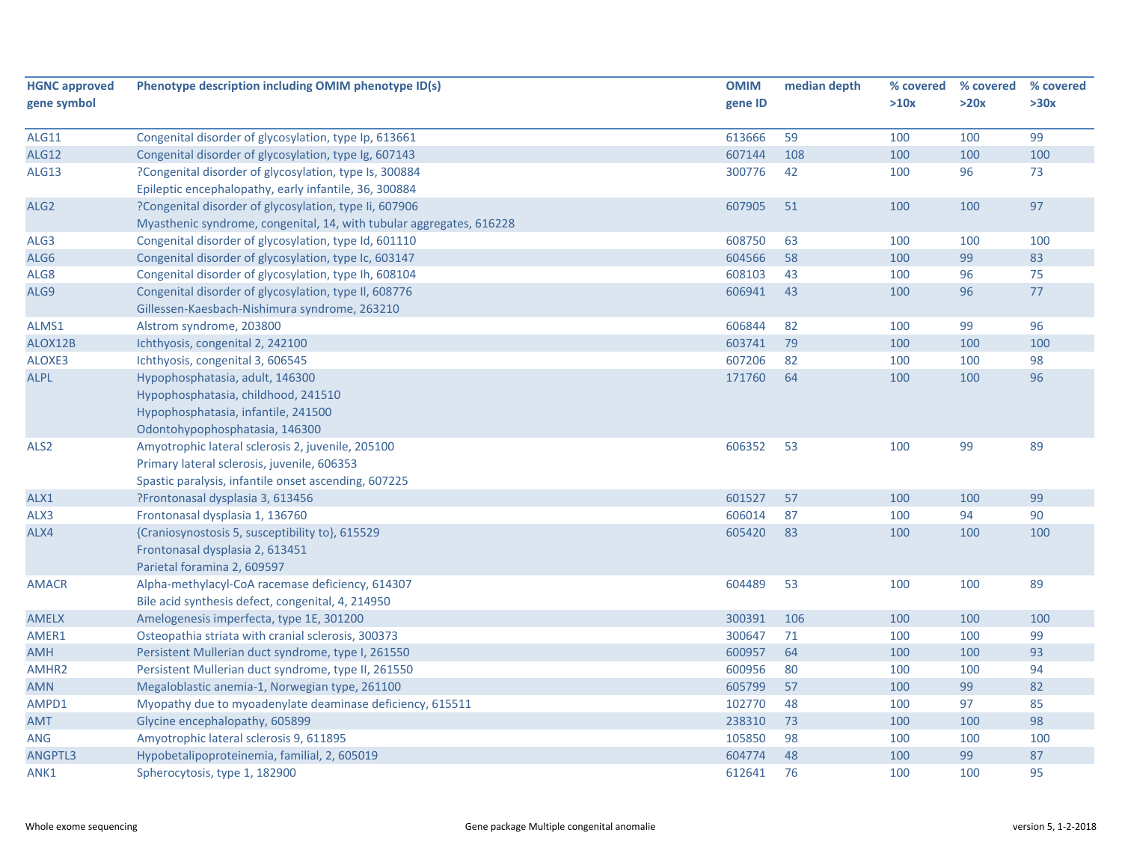| <b>HGNC approved</b> | Phenotype description including OMIM phenotype ID(s)                 | <b>OMIM</b> | median depth | % covered | % covered | % covered |
|----------------------|----------------------------------------------------------------------|-------------|--------------|-----------|-----------|-----------|
| gene symbol          |                                                                      | gene ID     |              | >10x      | >20x      | >30x      |
|                      |                                                                      |             |              |           |           |           |
| <b>ALG11</b>         | Congenital disorder of glycosylation, type Ip, 613661                | 613666      | 59           | 100       | 100       | 99        |
| <b>ALG12</b>         | Congenital disorder of glycosylation, type Ig, 607143                | 607144      | 108          | 100       | 100       | 100       |
| <b>ALG13</b>         | ?Congenital disorder of glycosylation, type Is, 300884               | 300776      | 42           | 100       | 96        | 73        |
|                      | Epileptic encephalopathy, early infantile, 36, 300884                |             |              |           |           |           |
| ALG <sub>2</sub>     | ?Congenital disorder of glycosylation, type Ii, 607906               | 607905      | 51           | 100       | 100       | 97        |
|                      | Myasthenic syndrome, congenital, 14, with tubular aggregates, 616228 |             |              |           |           |           |
| ALG3                 | Congenital disorder of glycosylation, type Id, 601110                | 608750      | 63           | 100       | 100       | 100       |
| ALG6                 | Congenital disorder of glycosylation, type Ic, 603147                | 604566      | 58           | 100       | 99        | 83        |
| ALG8                 | Congenital disorder of glycosylation, type Ih, 608104                | 608103      | 43           | 100       | 96        | 75        |
| ALG9                 | Congenital disorder of glycosylation, type II, 608776                | 606941      | 43           | 100       | 96        | $77$      |
|                      | Gillessen-Kaesbach-Nishimura syndrome, 263210                        |             |              |           |           |           |
| ALMS1                | Alstrom syndrome, 203800                                             | 606844      | 82           | 100       | 99        | 96        |
| ALOX12B              | Ichthyosis, congenital 2, 242100                                     | 603741      | 79           | 100       | 100       | 100       |
| ALOXE3               | Ichthyosis, congenital 3, 606545                                     | 607206      | 82           | 100       | 100       | 98        |
| <b>ALPL</b>          | Hypophosphatasia, adult, 146300                                      | 171760      | 64           | 100       | 100       | 96        |
|                      | Hypophosphatasia, childhood, 241510                                  |             |              |           |           |           |
|                      | Hypophosphatasia, infantile, 241500                                  |             |              |           |           |           |
|                      | Odontohypophosphatasia, 146300                                       |             |              |           |           |           |
| ALS <sub>2</sub>     | Amyotrophic lateral sclerosis 2, juvenile, 205100                    | 606352      | 53           | 100       | 99        | 89        |
|                      | Primary lateral sclerosis, juvenile, 606353                          |             |              |           |           |           |
|                      | Spastic paralysis, infantile onset ascending, 607225                 |             |              |           |           |           |
| ALX1                 | ?Frontonasal dysplasia 3, 613456                                     | 601527      | 57           | 100       | 100       | 99        |
| ALX3                 | Frontonasal dysplasia 1, 136760                                      | 606014      | 87           | 100       | 94        | 90        |
| ALX4                 | {Craniosynostosis 5, susceptibility to}, 615529                      | 605420      | 83           | 100       | 100       | 100       |
|                      | Frontonasal dysplasia 2, 613451                                      |             |              |           |           |           |
|                      | Parietal foramina 2, 609597                                          |             |              |           |           |           |
| <b>AMACR</b>         | Alpha-methylacyl-CoA racemase deficiency, 614307                     | 604489      | 53           | 100       | 100       | 89        |
|                      | Bile acid synthesis defect, congenital, 4, 214950                    |             |              |           |           |           |
| <b>AMELX</b>         | Amelogenesis imperfecta, type 1E, 301200                             | 300391      | 106          | 100       | 100       | 100       |
| AMER1                | Osteopathia striata with cranial sclerosis, 300373                   | 300647      | 71           | 100       | 100       | 99        |
| <b>AMH</b>           | Persistent Mullerian duct syndrome, type I, 261550                   | 600957      | 64           | 100       | 100       | 93        |
| AMHR <sub>2</sub>    | Persistent Mullerian duct syndrome, type II, 261550                  | 600956      | 80           | 100       | 100       | 94        |
| <b>AMN</b>           | Megaloblastic anemia-1, Norwegian type, 261100                       | 605799      | 57           | 100       | 99        | 82        |
| AMPD1                | Myopathy due to myoadenylate deaminase deficiency, 615511            | 102770      | 48           | 100       | 97        | 85        |
| <b>AMT</b>           | Glycine encephalopathy, 605899                                       | 238310      | 73           | 100       | 100       | 98        |
| <b>ANG</b>           | Amyotrophic lateral sclerosis 9, 611895                              | 105850      | 98           | 100       | 100       | 100       |
| ANGPTL3              | Hypobetalipoproteinemia, familial, 2, 605019                         | 604774      | 48           | 100       | 99        | 87        |
| ANK1                 | Spherocytosis, type 1, 182900                                        | 612641      | 76           | 100       | 100       | 95        |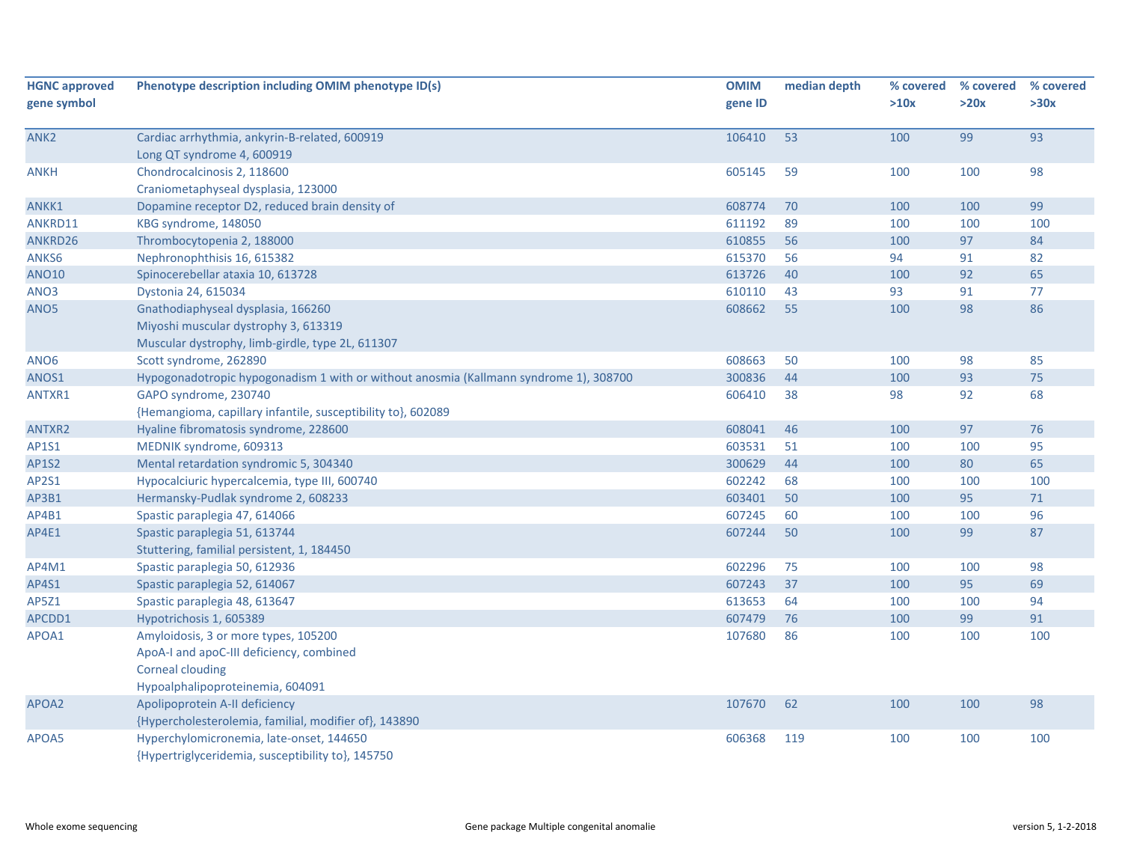| <b>HGNC approved</b><br>gene symbol | Phenotype description including OMIM phenotype ID(s)                                  | <b>OMIM</b><br>gene ID | median depth | % covered<br>>10x | % covered<br>>20x | % covered<br>>30x |
|-------------------------------------|---------------------------------------------------------------------------------------|------------------------|--------------|-------------------|-------------------|-------------------|
|                                     |                                                                                       |                        |              |                   |                   |                   |
| ANK2                                | Cardiac arrhythmia, ankyrin-B-related, 600919                                         | 106410                 | 53           | 100               | 99                | 93                |
|                                     | Long QT syndrome 4, 600919                                                            |                        |              |                   |                   |                   |
| <b>ANKH</b>                         | Chondrocalcinosis 2, 118600                                                           | 605145                 | 59           | 100               | 100               | 98                |
|                                     | Craniometaphyseal dysplasia, 123000                                                   |                        |              |                   |                   |                   |
| ANKK1                               | Dopamine receptor D2, reduced brain density of                                        | 608774                 | 70           | 100               | 100               | 99                |
| ANKRD11                             | KBG syndrome, 148050                                                                  | 611192                 | 89           | 100               | 100               | 100               |
| ANKRD26                             | Thrombocytopenia 2, 188000                                                            | 610855                 | 56           | 100               | 97                | 84                |
| ANKS6                               | Nephronophthisis 16, 615382                                                           | 615370                 | 56           | 94                | 91                | 82                |
| <b>ANO10</b>                        | Spinocerebellar ataxia 10, 613728                                                     | 613726                 | 40           | 100               | 92                | 65                |
| ANO3                                | Dystonia 24, 615034                                                                   | 610110                 | 43           | 93                | 91                | 77                |
| ANO <sub>5</sub>                    | Gnathodiaphyseal dysplasia, 166260                                                    | 608662                 | 55           | 100               | 98                | 86                |
|                                     | Miyoshi muscular dystrophy 3, 613319                                                  |                        |              |                   |                   |                   |
|                                     | Muscular dystrophy, limb-girdle, type 2L, 611307                                      |                        |              |                   |                   |                   |
| ANO <sub>6</sub>                    | Scott syndrome, 262890                                                                | 608663                 | 50           | 100               | 98                | 85                |
| ANOS1                               | Hypogonadotropic hypogonadism 1 with or without anosmia (Kallmann syndrome 1), 308700 | 300836                 | 44           | 100               | 93                | 75                |
| ANTXR1                              | GAPO syndrome, 230740                                                                 | 606410                 | 38           | 98                | 92                | 68                |
|                                     | {Hemangioma, capillary infantile, susceptibility to}, 602089                          |                        |              |                   |                   |                   |
| ANTXR2                              | Hyaline fibromatosis syndrome, 228600                                                 | 608041                 | 46           | 100               | 97                | 76                |
| AP1S1                               | MEDNIK syndrome, 609313                                                               | 603531                 | 51           | 100               | 100               | 95                |
| <b>AP1S2</b>                        | Mental retardation syndromic 5, 304340                                                | 300629                 | 44           | 100               | 80                | 65                |
| AP2S1                               | Hypocalciuric hypercalcemia, type III, 600740                                         | 602242                 | 68           | 100               | 100               | 100               |
| AP3B1                               | Hermansky-Pudlak syndrome 2, 608233                                                   | 603401                 | 50           | 100               | 95                | 71                |
| AP4B1                               | Spastic paraplegia 47, 614066                                                         | 607245                 | 60           | 100               | 100               | 96                |
| AP4E1                               | Spastic paraplegia 51, 613744                                                         | 607244                 | 50           | 100               | 99                | 87                |
|                                     | Stuttering, familial persistent, 1, 184450                                            |                        |              |                   |                   |                   |
| AP4M1                               | Spastic paraplegia 50, 612936                                                         | 602296                 | 75           | 100               | 100               | 98                |
| AP4S1                               | Spastic paraplegia 52, 614067                                                         | 607243                 | 37           | 100               | 95                | 69                |
| AP5Z1                               | Spastic paraplegia 48, 613647                                                         | 613653                 | 64           | 100               | 100               | 94                |
| APCDD1                              | Hypotrichosis 1, 605389                                                               | 607479                 | 76           | 100               | 99                | 91                |
| APOA1                               | Amyloidosis, 3 or more types, 105200                                                  | 107680                 | 86           | 100               | 100               | 100               |
|                                     | ApoA-I and apoC-III deficiency, combined                                              |                        |              |                   |                   |                   |
|                                     | <b>Corneal clouding</b>                                                               |                        |              |                   |                   |                   |
|                                     | Hypoalphalipoproteinemia, 604091                                                      |                        |              |                   |                   |                   |
| APOA2                               | Apolipoprotein A-II deficiency                                                        | 107670                 | 62           | 100               | 100               | 98                |
|                                     | {Hypercholesterolemia, familial, modifier of}, 143890                                 |                        |              |                   |                   |                   |
| APOA5                               | Hyperchylomicronemia, late-onset, 144650                                              | 606368                 | 119          | 100               | 100               | 100               |
|                                     | {Hypertriglyceridemia, susceptibility to}, 145750                                     |                        |              |                   |                   |                   |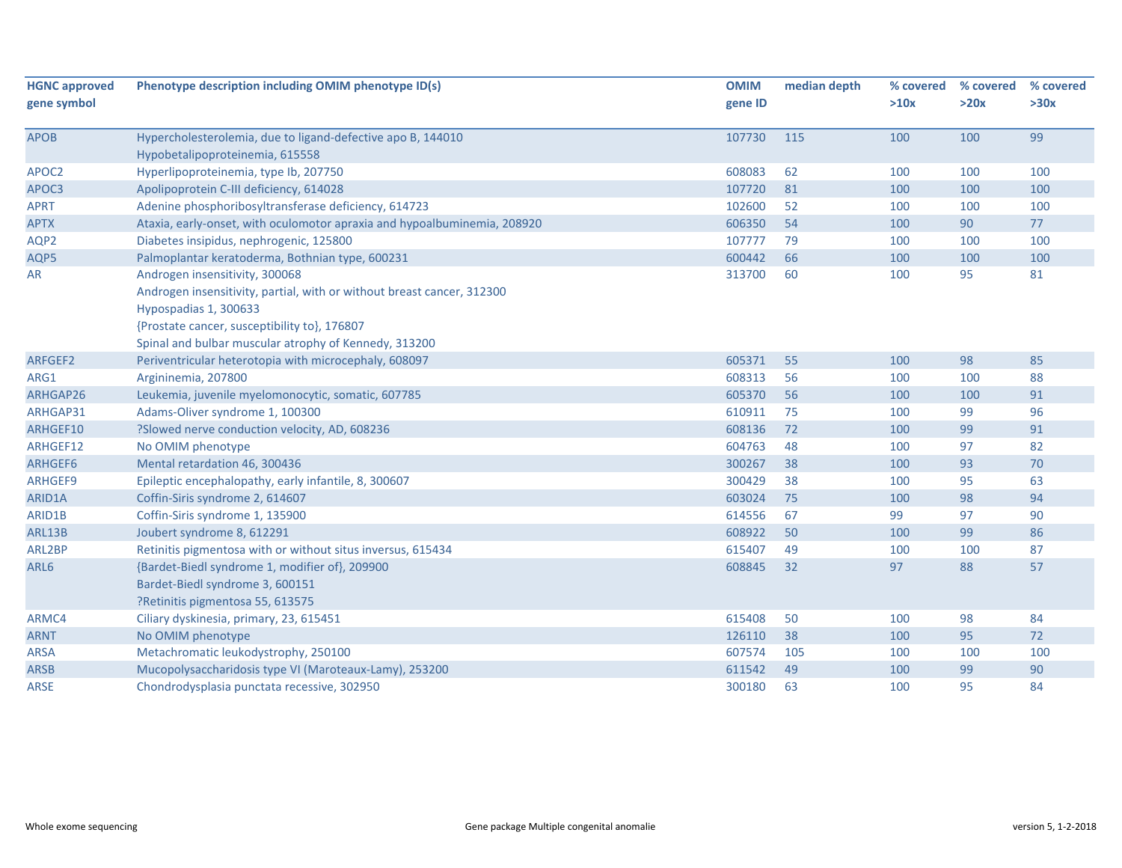| <b>HGNC approved</b> | Phenotype description including OMIM phenotype ID(s)                     | <b>OMIM</b> | median depth | % covered | % covered | % covered |
|----------------------|--------------------------------------------------------------------------|-------------|--------------|-----------|-----------|-----------|
| gene symbol          |                                                                          | gene ID     |              | >10x      | >20x      | >30x      |
| APOB                 | Hypercholesterolemia, due to ligand-defective apo B, 144010              | 107730      | 115          | 100       | 100       | 99        |
|                      | Hypobetalipoproteinemia, 615558                                          |             |              |           |           |           |
| APOC2                | Hyperlipoproteinemia, type Ib, 207750                                    | 608083      | 62           | 100       | 100       | 100       |
| APOC3                | Apolipoprotein C-III deficiency, 614028                                  | 107720      | 81           | 100       | 100       | 100       |
| <b>APRT</b>          | Adenine phosphoribosyltransferase deficiency, 614723                     | 102600      | 52           | 100       | 100       | 100       |
| <b>APTX</b>          | Ataxia, early-onset, with oculomotor apraxia and hypoalbuminemia, 208920 | 606350      | 54           | 100       | 90        | 77        |
| AQP2                 | Diabetes insipidus, nephrogenic, 125800                                  | 107777      | 79           | 100       | 100       | 100       |
| AQP5                 | Palmoplantar keratoderma, Bothnian type, 600231                          | 600442      | 66           | 100       | 100       | 100       |
| <b>AR</b>            | Androgen insensitivity, 300068                                           | 313700      | 60           | 100       | 95        | 81        |
|                      | Androgen insensitivity, partial, with or without breast cancer, 312300   |             |              |           |           |           |
|                      | Hypospadias 1, 300633                                                    |             |              |           |           |           |
|                      | {Prostate cancer, susceptibility to}, 176807                             |             |              |           |           |           |
|                      | Spinal and bulbar muscular atrophy of Kennedy, 313200                    |             |              |           |           |           |
| ARFGEF2              | Periventricular heterotopia with microcephaly, 608097                    | 605371      | 55           | 100       | 98        | 85        |
| ARG1                 | Argininemia, 207800                                                      | 608313      | 56           | 100       | 100       | 88        |
| ARHGAP26             | Leukemia, juvenile myelomonocytic, somatic, 607785                       | 605370      | 56           | 100       | 100       | 91        |
| ARHGAP31             | Adams-Oliver syndrome 1, 100300                                          | 610911      | 75           | 100       | 99        | 96        |
| ARHGEF10             | ?Slowed nerve conduction velocity, AD, 608236                            | 608136      | 72           | 100       | 99        | 91        |
| ARHGEF12             | No OMIM phenotype                                                        | 604763      | 48           | 100       | 97        | 82        |
| ARHGEF6              | Mental retardation 46, 300436                                            | 300267      | 38           | 100       | 93        | 70        |
| ARHGEF9              | Epileptic encephalopathy, early infantile, 8, 300607                     | 300429      | 38           | 100       | 95        | 63        |
| ARID1A               | Coffin-Siris syndrome 2, 614607                                          | 603024      | 75           | 100       | 98        | 94        |
| ARID1B               | Coffin-Siris syndrome 1, 135900                                          | 614556      | 67           | 99        | 97        | 90        |
| ARL13B               | Joubert syndrome 8, 612291                                               | 608922      | 50           | 100       | 99        | 86        |
| ARL2BP               | Retinitis pigmentosa with or without situs inversus, 615434              | 615407      | 49           | 100       | 100       | 87        |
| ARL6                 | {Bardet-Biedl syndrome 1, modifier of}, 209900                           | 608845      | 32           | 97        | 88        | 57        |
|                      | Bardet-Biedl syndrome 3, 600151                                          |             |              |           |           |           |
|                      | ?Retinitis pigmentosa 55, 613575                                         |             |              |           |           |           |
| ARMC4                | Ciliary dyskinesia, primary, 23, 615451                                  | 615408      | 50           | 100       | 98        | 84        |
| <b>ARNT</b>          | No OMIM phenotype                                                        | 126110      | 38           | 100       | 95        | 72        |
| <b>ARSA</b>          | Metachromatic leukodystrophy, 250100                                     | 607574      | 105          | 100       | 100       | 100       |
| <b>ARSB</b>          | Mucopolysaccharidosis type VI (Maroteaux-Lamy), 253200                   | 611542      | 49           | 100       | 99        | 90        |
| <b>ARSE</b>          | Chondrodysplasia punctata recessive, 302950                              | 300180      | 63           | 100       | 95        | 84        |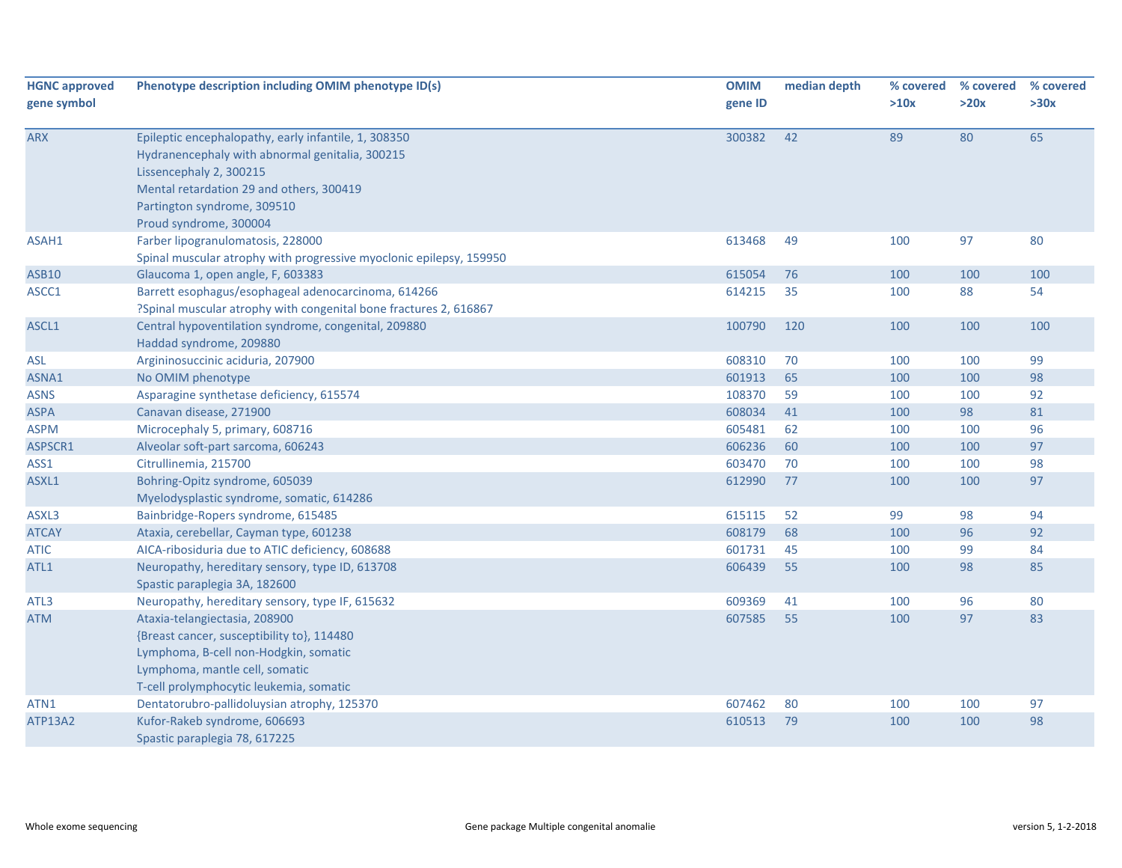| <b>HGNC approved</b><br>gene symbol | Phenotype description including OMIM phenotype ID(s)                                                                                                                                                                                    | <b>OMIM</b><br>gene ID | median depth | % covered<br>>10x | % covered<br>>20x | % covered<br>>30x |
|-------------------------------------|-----------------------------------------------------------------------------------------------------------------------------------------------------------------------------------------------------------------------------------------|------------------------|--------------|-------------------|-------------------|-------------------|
| <b>ARX</b>                          | Epileptic encephalopathy, early infantile, 1, 308350<br>Hydranencephaly with abnormal genitalia, 300215<br>Lissencephaly 2, 300215<br>Mental retardation 29 and others, 300419<br>Partington syndrome, 309510<br>Proud syndrome, 300004 | 300382                 | 42           | 89                | 80                | 65                |
| ASAH1                               | Farber lipogranulomatosis, 228000<br>Spinal muscular atrophy with progressive myoclonic epilepsy, 159950                                                                                                                                | 613468                 | 49           | 100               | 97                | 80                |
| <b>ASB10</b>                        | Glaucoma 1, open angle, F, 603383                                                                                                                                                                                                       | 615054                 | 76           | 100               | 100               | 100               |
| ASCC1                               | Barrett esophagus/esophageal adenocarcinoma, 614266<br>?Spinal muscular atrophy with congenital bone fractures 2, 616867                                                                                                                | 614215                 | 35           | 100               | 88                | 54                |
| ASCL1                               | Central hypoventilation syndrome, congenital, 209880<br>Haddad syndrome, 209880                                                                                                                                                         | 100790                 | 120          | 100               | 100               | 100               |
| <b>ASL</b>                          | Argininosuccinic aciduria, 207900                                                                                                                                                                                                       | 608310                 | 70           | 100               | 100               | 99                |
| ASNA1                               | No OMIM phenotype                                                                                                                                                                                                                       | 601913                 | 65           | 100               | 100               | 98                |
| <b>ASNS</b>                         | Asparagine synthetase deficiency, 615574                                                                                                                                                                                                | 108370                 | 59           | 100               | 100               | 92                |
| <b>ASPA</b>                         | Canavan disease, 271900                                                                                                                                                                                                                 | 608034                 | 41           | 100               | 98                | 81                |
| <b>ASPM</b>                         | Microcephaly 5, primary, 608716                                                                                                                                                                                                         | 605481                 | 62           | 100               | 100               | 96                |
| ASPSCR1                             | Alveolar soft-part sarcoma, 606243                                                                                                                                                                                                      | 606236                 | 60           | 100               | 100               | 97                |
| ASS1                                | Citrullinemia, 215700                                                                                                                                                                                                                   | 603470                 | 70           | 100               | 100               | 98                |
| ASXL1                               | Bohring-Opitz syndrome, 605039<br>Myelodysplastic syndrome, somatic, 614286                                                                                                                                                             | 612990                 | 77           | 100               | 100               | 97                |
| ASXL3                               | Bainbridge-Ropers syndrome, 615485                                                                                                                                                                                                      | 615115                 | 52           | 99                | 98                | 94                |
| <b>ATCAY</b>                        | Ataxia, cerebellar, Cayman type, 601238                                                                                                                                                                                                 | 608179                 | 68           | 100               | 96                | 92                |
| <b>ATIC</b>                         | AICA-ribosiduria due to ATIC deficiency, 608688                                                                                                                                                                                         | 601731                 | 45           | 100               | 99                | 84                |
| ATL1                                | Neuropathy, hereditary sensory, type ID, 613708<br>Spastic paraplegia 3A, 182600                                                                                                                                                        | 606439                 | 55           | 100               | 98                | 85                |
| ATL3                                | Neuropathy, hereditary sensory, type IF, 615632                                                                                                                                                                                         | 609369                 | 41           | 100               | 96                | 80                |
| <b>ATM</b>                          | Ataxia-telangiectasia, 208900<br>{Breast cancer, susceptibility to}, 114480<br>Lymphoma, B-cell non-Hodgkin, somatic<br>Lymphoma, mantle cell, somatic<br>T-cell prolymphocytic leukemia, somatic                                       | 607585                 | 55           | 100               | 97                | 83                |
| ATN1                                | Dentatorubro-pallidoluysian atrophy, 125370                                                                                                                                                                                             | 607462                 | 80           | 100               | 100               | 97                |
| ATP13A2                             | Kufor-Rakeb syndrome, 606693<br>Spastic paraplegia 78, 617225                                                                                                                                                                           | 610513                 | 79           | 100               | 100               | 98                |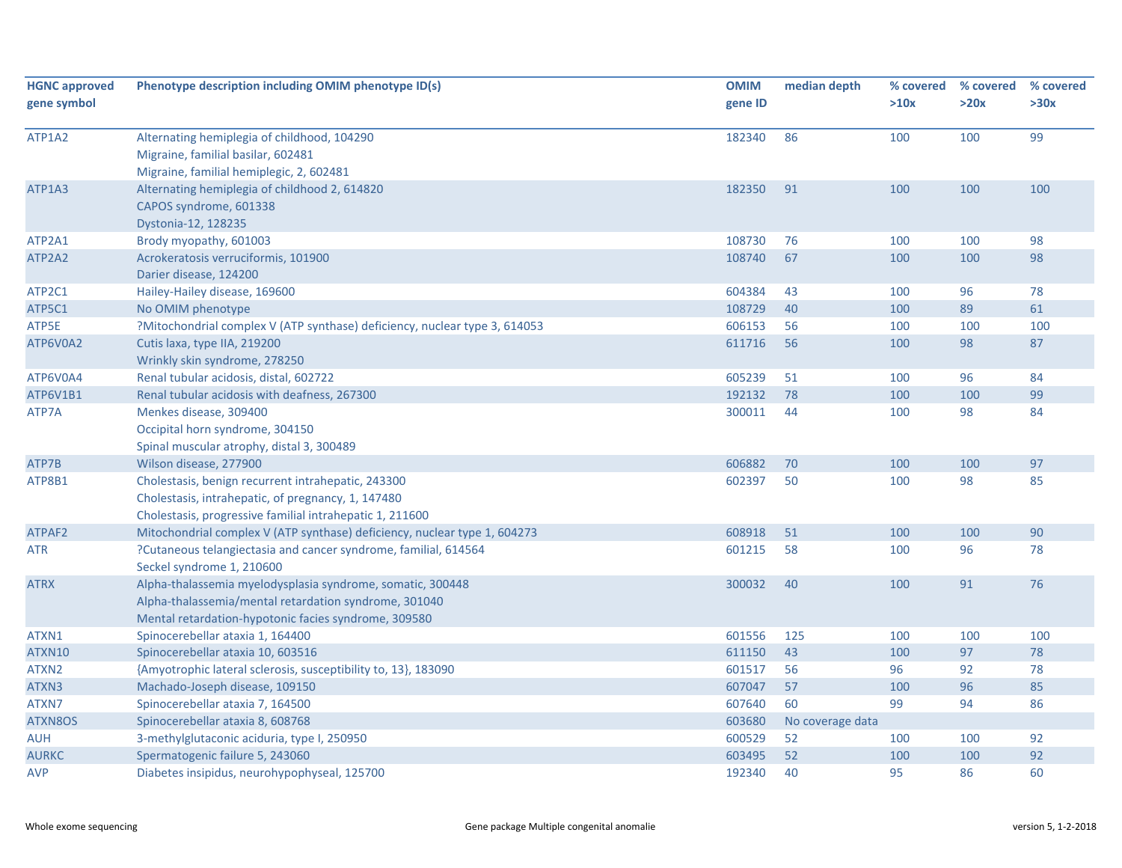| <b>HGNC approved</b><br>gene symbol | Phenotype description including OMIM phenotype ID(s)                                                                                                                        | <b>OMIM</b><br>gene ID | median depth     | % covered<br>>10x | % covered<br>>20x | % covered<br>>30x |
|-------------------------------------|-----------------------------------------------------------------------------------------------------------------------------------------------------------------------------|------------------------|------------------|-------------------|-------------------|-------------------|
| ATP1A2                              | Alternating hemiplegia of childhood, 104290<br>Migraine, familial basilar, 602481<br>Migraine, familial hemiplegic, 2, 602481                                               | 182340                 | 86               | 100               | 100               | 99                |
| ATP1A3                              | Alternating hemiplegia of childhood 2, 614820<br>CAPOS syndrome, 601338<br>Dystonia-12, 128235                                                                              | 182350                 | 91               | 100               | 100               | 100               |
| ATP2A1                              | Brody myopathy, 601003                                                                                                                                                      | 108730                 | 76               | 100               | 100               | 98                |
| ATP2A2                              | Acrokeratosis verruciformis, 101900<br>Darier disease, 124200                                                                                                               | 108740                 | 67               | 100               | 100               | 98                |
| ATP2C1                              | Hailey-Hailey disease, 169600                                                                                                                                               | 604384                 | 43               | 100               | 96                | 78                |
| ATP5C1                              | No OMIM phenotype                                                                                                                                                           | 108729                 | 40               | 100               | 89                | 61                |
| ATP5E                               | ?Mitochondrial complex V (ATP synthase) deficiency, nuclear type 3, 614053                                                                                                  | 606153                 | 56               | 100               | 100               | 100               |
| ATP6V0A2                            | Cutis laxa, type IIA, 219200<br>Wrinkly skin syndrome, 278250                                                                                                               | 611716                 | 56               | 100               | 98                | 87                |
| ATP6V0A4                            | Renal tubular acidosis, distal, 602722                                                                                                                                      | 605239                 | 51               | 100               | 96                | 84                |
| ATP6V1B1                            | Renal tubular acidosis with deafness, 267300                                                                                                                                | 192132                 | 78               | 100               | 100               | 99                |
| ATP7A                               | Menkes disease, 309400<br>Occipital horn syndrome, 304150<br>Spinal muscular atrophy, distal 3, 300489                                                                      | 300011                 | 44               | 100               | 98                | 84                |
| ATP7B                               | Wilson disease, 277900                                                                                                                                                      | 606882                 | 70               | 100               | 100               | 97                |
| ATP8B1                              | Cholestasis, benign recurrent intrahepatic, 243300<br>Cholestasis, intrahepatic, of pregnancy, 1, 147480<br>Cholestasis, progressive familial intrahepatic 1, 211600        | 602397                 | 50               | 100               | 98                | 85                |
| ATPAF2                              | Mitochondrial complex V (ATP synthase) deficiency, nuclear type 1, 604273                                                                                                   | 608918                 | 51               | 100               | 100               | 90                |
| <b>ATR</b>                          | ?Cutaneous telangiectasia and cancer syndrome, familial, 614564<br>Seckel syndrome 1, 210600                                                                                | 601215                 | 58               | 100               | 96                | 78                |
| <b>ATRX</b>                         | Alpha-thalassemia myelodysplasia syndrome, somatic, 300448<br>Alpha-thalassemia/mental retardation syndrome, 301040<br>Mental retardation-hypotonic facies syndrome, 309580 | 300032                 | 40               | 100               | 91                | 76                |
| ATXN1                               | Spinocerebellar ataxia 1, 164400                                                                                                                                            | 601556                 | 125              | 100               | 100               | 100               |
| ATXN10                              | Spinocerebellar ataxia 10, 603516                                                                                                                                           | 611150                 | 43               | 100               | 97                | 78                |
| ATXN2                               | {Amyotrophic lateral sclerosis, susceptibility to, 13}, 183090                                                                                                              | 601517                 | 56               | 96                | 92                | 78                |
| ATXN3                               | Machado-Joseph disease, 109150                                                                                                                                              | 607047                 | 57               | 100               | 96                | 85                |
| ATXN7                               | Spinocerebellar ataxia 7, 164500                                                                                                                                            | 607640                 | 60               | 99                | 94                | 86                |
| ATXN8OS                             | Spinocerebellar ataxia 8, 608768                                                                                                                                            | 603680                 | No coverage data |                   |                   |                   |
| <b>AUH</b>                          | 3-methylglutaconic aciduria, type I, 250950                                                                                                                                 | 600529                 | 52               | 100               | 100               | 92                |
| <b>AURKC</b>                        | Spermatogenic failure 5, 243060                                                                                                                                             | 603495                 | 52               | 100               | 100               | 92                |
| <b>AVP</b>                          | Diabetes insipidus, neurohypophyseal, 125700                                                                                                                                | 192340                 | 40               | 95                | 86                | 60                |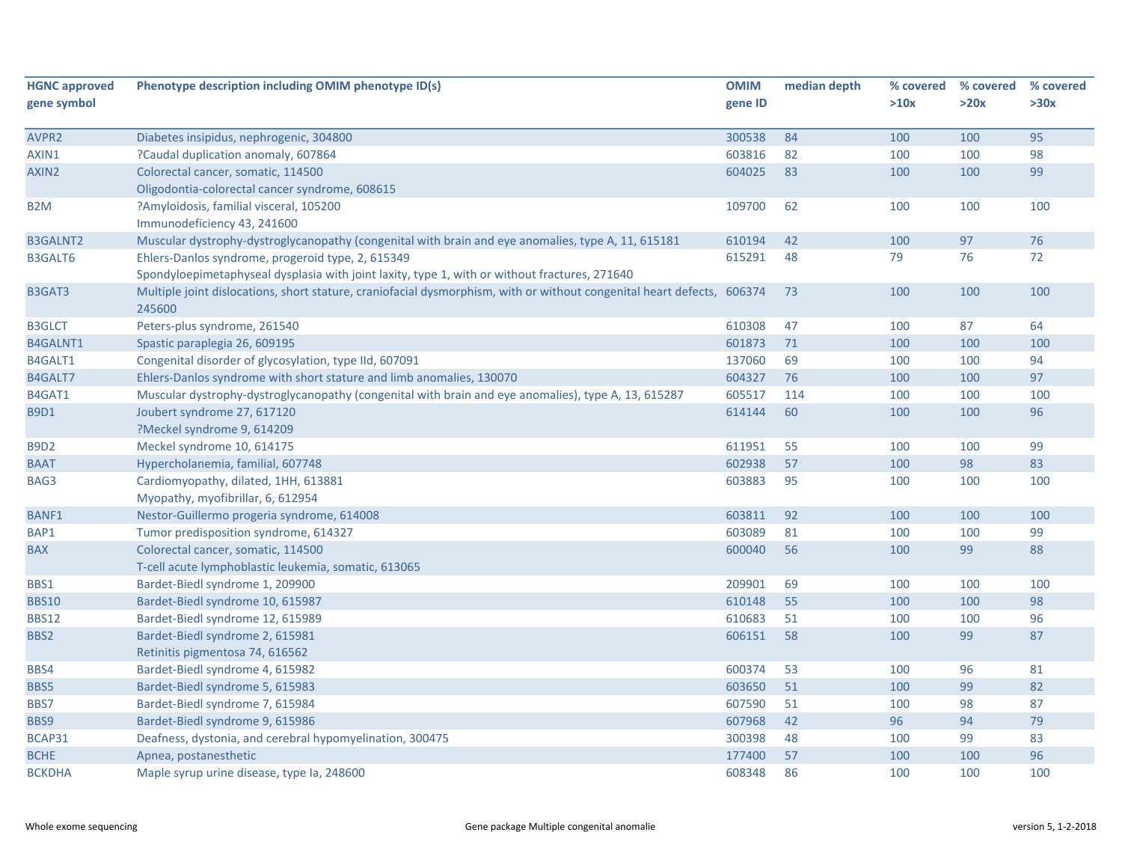| <b>HGNC approved</b> | Phenotype description including OMIM phenotype ID(s)                                                                   | <b>OMIM</b> | median depth | % covered | % covered | % covered |
|----------------------|------------------------------------------------------------------------------------------------------------------------|-------------|--------------|-----------|-----------|-----------|
| gene symbol          |                                                                                                                        | gene ID     |              | >10x      | >20x      | >30x      |
|                      |                                                                                                                        |             |              |           |           |           |
| AVPR2                | Diabetes insipidus, nephrogenic, 304800                                                                                | 300538      | 84           | 100       | 100       | 95        |
| AXIN1                | ?Caudal duplication anomaly, 607864                                                                                    | 603816      | 82           | 100       | 100       | 98        |
| AXIN2                | Colorectal cancer, somatic, 114500                                                                                     | 604025      | 83           | 100       | 100       | 99        |
|                      | Oligodontia-colorectal cancer syndrome, 608615                                                                         |             |              |           |           |           |
| B <sub>2</sub> M     | ?Amyloidosis, familial visceral, 105200                                                                                | 109700      | 62           | 100       | 100       | 100       |
|                      | Immunodeficiency 43, 241600                                                                                            |             |              |           |           |           |
| <b>B3GALNT2</b>      | Muscular dystrophy-dystroglycanopathy (congenital with brain and eye anomalies, type A, 11, 615181                     | 610194      | 42           | 100       | 97        | 76        |
| B3GALT6              | Ehlers-Danlos syndrome, progeroid type, 2, 615349                                                                      | 615291      | 48           | 79        | 76        | 72        |
|                      | Spondyloepimetaphyseal dysplasia with joint laxity, type 1, with or without fractures, 271640                          |             |              |           |           |           |
| B3GAT3               | Multiple joint dislocations, short stature, craniofacial dysmorphism, with or without congenital heart defects, 606374 |             | 73           | 100       | 100       | 100       |
|                      | 245600                                                                                                                 |             |              |           |           |           |
| <b>B3GLCT</b>        | Peters-plus syndrome, 261540                                                                                           | 610308      | 47           | 100       | 87        | 64        |
| <b>B4GALNT1</b>      | Spastic paraplegia 26, 609195                                                                                          | 601873      | 71           | 100       | 100       | 100       |
| B4GALT1              | Congenital disorder of glycosylation, type IId, 607091                                                                 | 137060      | 69           | 100       | 100       | 94        |
| B4GALT7              | Ehlers-Danlos syndrome with short stature and limb anomalies, 130070                                                   | 604327      | 76           | 100       | 100       | 97        |
| B4GAT1               | Muscular dystrophy-dystroglycanopathy (congenital with brain and eye anomalies), type A, 13, 615287                    | 605517      | 114          | 100       | 100       | 100       |
| <b>B9D1</b>          | Joubert syndrome 27, 617120                                                                                            | 614144      | 60           | 100       | 100       | 96        |
|                      | ?Meckel syndrome 9, 614209                                                                                             |             |              |           |           |           |
| <b>B9D2</b>          | Meckel syndrome 10, 614175                                                                                             | 611951      | 55           | 100       | 100       | 99        |
| <b>BAAT</b>          | Hypercholanemia, familial, 607748                                                                                      | 602938      | 57           | 100       | 98        | 83        |
| BAG3                 | Cardiomyopathy, dilated, 1HH, 613881                                                                                   | 603883      | 95           | 100       | 100       | 100       |
|                      | Myopathy, myofibrillar, 6, 612954                                                                                      |             |              |           |           |           |
| <b>BANF1</b>         | Nestor-Guillermo progeria syndrome, 614008                                                                             | 603811      | 92           | 100       | 100       | 100       |
| BAP1                 | Tumor predisposition syndrome, 614327                                                                                  | 603089      | 81           | 100       | 100       | 99        |
| <b>BAX</b>           | Colorectal cancer, somatic, 114500                                                                                     | 600040      | 56           | 100       | 99        | 88        |
|                      | T-cell acute lymphoblastic leukemia, somatic, 613065                                                                   |             |              |           |           |           |
| BBS1                 | Bardet-Biedl syndrome 1, 209900                                                                                        | 209901      | 69           | 100       | 100       | 100       |
| <b>BBS10</b>         | Bardet-Biedl syndrome 10, 615987                                                                                       | 610148      | 55           | 100       | 100       | 98        |
| <b>BBS12</b>         | Bardet-Biedl syndrome 12, 615989                                                                                       | 610683      | 51           | 100       | 100       | 96        |
| BBS2                 | Bardet-Biedl syndrome 2, 615981                                                                                        | 606151      | 58           | 100       | 99        | 87        |
|                      | Retinitis pigmentosa 74, 616562                                                                                        |             |              |           |           |           |
| BBS4                 | Bardet-Biedl syndrome 4, 615982                                                                                        | 600374      | 53           | 100       | 96        | 81        |
| BBS5                 | Bardet-Biedl syndrome 5, 615983                                                                                        | 603650      | 51           | 100       | 99        | 82        |
| BBS7                 | Bardet-Biedl syndrome 7, 615984                                                                                        | 607590      | 51           | 100       | 98        | 87        |
| BBS9                 | Bardet-Biedl syndrome 9, 615986                                                                                        | 607968      | 42           | 96        | 94        | 79        |
| BCAP31               | Deafness, dystonia, and cerebral hypomyelination, 300475                                                               | 300398      | 48           | 100       | 99        | 83        |
| <b>BCHE</b>          | Apnea, postanesthetic                                                                                                  | 177400      | 57           | 100       | 100       | 96        |
| <b>BCKDHA</b>        | Maple syrup urine disease, type Ia, 248600                                                                             | 608348      | 86           | 100       | 100       | 100       |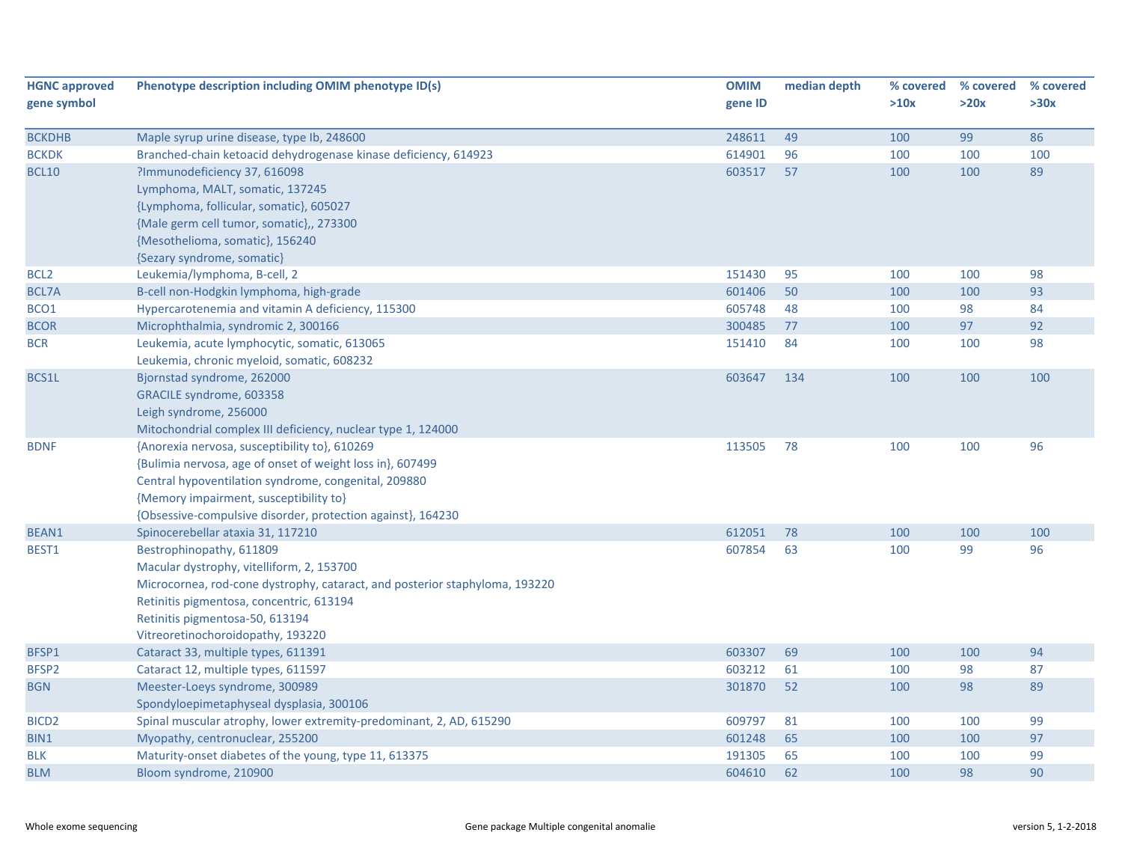| <b>HGNC approved</b> | Phenotype description including OMIM phenotype ID(s)                        | <b>OMIM</b> | median depth | % covered | % covered | % covered |
|----------------------|-----------------------------------------------------------------------------|-------------|--------------|-----------|-----------|-----------|
| gene symbol          |                                                                             | gene ID     |              | >10x      | >20x      | >30x      |
| <b>BCKDHB</b>        | Maple syrup urine disease, type Ib, 248600                                  | 248611      | 49           | 100       | 99        | 86        |
| <b>BCKDK</b>         | Branched-chain ketoacid dehydrogenase kinase deficiency, 614923             | 614901      | 96           | 100       | 100       | 100       |
| <b>BCL10</b>         | ?Immunodeficiency 37, 616098                                                | 603517      | 57           | 100       | 100       | 89        |
|                      | Lymphoma, MALT, somatic, 137245                                             |             |              |           |           |           |
|                      | {Lymphoma, follicular, somatic}, 605027                                     |             |              |           |           |           |
|                      | {Male germ cell tumor, somatic},, 273300                                    |             |              |           |           |           |
|                      | {Mesothelioma, somatic}, 156240                                             |             |              |           |           |           |
|                      | {Sezary syndrome, somatic}                                                  |             |              |           |           |           |
| BCL <sub>2</sub>     | Leukemia/lymphoma, B-cell, 2                                                | 151430      | 95           | 100       | 100       | 98        |
| BCL7A                | B-cell non-Hodgkin lymphoma, high-grade                                     | 601406      | 50           | 100       | 100       | 93        |
| BCO1                 | Hypercarotenemia and vitamin A deficiency, 115300                           | 605748      | 48           | 100       | 98        | 84        |
| <b>BCOR</b>          | Microphthalmia, syndromic 2, 300166                                         | 300485      | 77           | 100       | 97        | 92        |
| <b>BCR</b>           | Leukemia, acute lymphocytic, somatic, 613065                                | 151410      | 84           | 100       | 100       | 98        |
|                      | Leukemia, chronic myeloid, somatic, 608232                                  |             |              |           |           |           |
| BCS1L                | Bjornstad syndrome, 262000                                                  | 603647      | 134          | 100       | 100       | 100       |
|                      | GRACILE syndrome, 603358                                                    |             |              |           |           |           |
|                      | Leigh syndrome, 256000                                                      |             |              |           |           |           |
|                      | Mitochondrial complex III deficiency, nuclear type 1, 124000                |             |              |           |           |           |
| <b>BDNF</b>          | {Anorexia nervosa, susceptibility to}, 610269                               | 113505      | 78           | 100       | 100       | 96        |
|                      | {Bulimia nervosa, age of onset of weight loss in}, 607499                   |             |              |           |           |           |
|                      | Central hypoventilation syndrome, congenital, 209880                        |             |              |           |           |           |
|                      | {Memory impairment, susceptibility to}                                      |             |              |           |           |           |
|                      | {Obsessive-compulsive disorder, protection against}, 164230                 |             |              |           |           |           |
| BEAN1                | Spinocerebellar ataxia 31, 117210                                           | 612051      | 78           | 100       | 100       | 100       |
| BEST1                | Bestrophinopathy, 611809                                                    | 607854      | 63           | 100       | 99        | 96        |
|                      | Macular dystrophy, vitelliform, 2, 153700                                   |             |              |           |           |           |
|                      | Microcornea, rod-cone dystrophy, cataract, and posterior staphyloma, 193220 |             |              |           |           |           |
|                      | Retinitis pigmentosa, concentric, 613194                                    |             |              |           |           |           |
|                      | Retinitis pigmentosa-50, 613194                                             |             |              |           |           |           |
|                      | Vitreoretinochoroidopathy, 193220                                           |             |              |           |           |           |
| BFSP1                | Cataract 33, multiple types, 611391                                         | 603307      | 69           | 100       | 100       | 94        |
| BFSP2                | Cataract 12, multiple types, 611597                                         | 603212      | 61           | 100       | 98        | 87        |
| <b>BGN</b>           | Meester-Loeys syndrome, 300989                                              | 301870      | 52           | 100       | 98        | 89        |
|                      | Spondyloepimetaphyseal dysplasia, 300106                                    |             |              |           |           |           |
| BICD <sub>2</sub>    | Spinal muscular atrophy, lower extremity-predominant, 2, AD, 615290         | 609797      | 81           | 100       | 100       | 99        |
| BIN1                 | Myopathy, centronuclear, 255200                                             | 601248      | 65           | 100       | 100       | 97        |
| BLK                  | Maturity-onset diabetes of the young, type 11, 613375                       | 191305      | 65           | 100       | 100       | 99        |
| <b>BLM</b>           | Bloom syndrome, 210900                                                      | 604610      | 62           | 100       | 98        | 90        |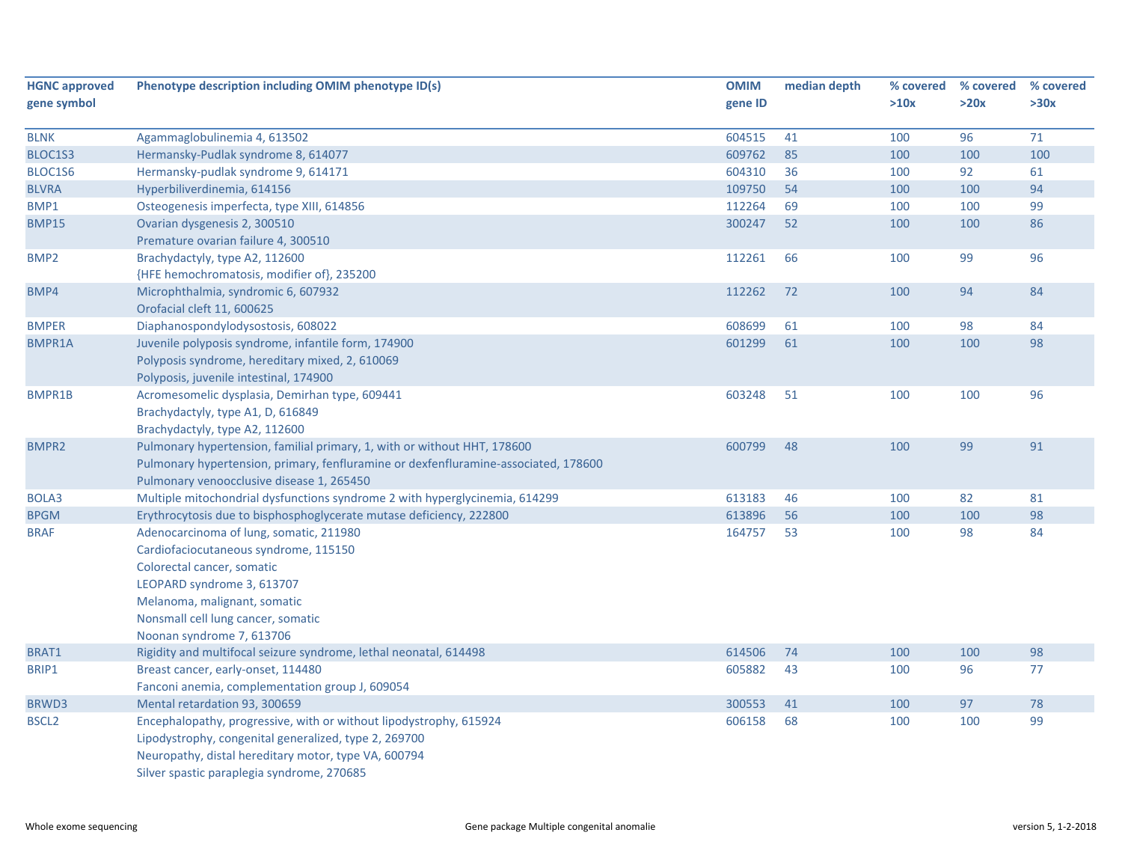| <b>HGNC approved</b> | Phenotype description including OMIM phenotype ID(s)                                | <b>OMIM</b> | median depth | % covered | % covered | % covered |
|----------------------|-------------------------------------------------------------------------------------|-------------|--------------|-----------|-----------|-----------|
| gene symbol          |                                                                                     | gene ID     |              | >10x      | >20x      | >30x      |
|                      |                                                                                     |             |              |           |           |           |
| <b>BLNK</b>          | Agammaglobulinemia 4, 613502                                                        | 604515      | 41           | 100       | 96        | 71        |
| BLOC1S3              | Hermansky-Pudlak syndrome 8, 614077                                                 | 609762      | 85           | 100       | 100       | 100       |
| BLOC1S6              | Hermansky-pudlak syndrome 9, 614171                                                 | 604310      | 36           | 100       | 92        | 61        |
| <b>BLVRA</b>         | Hyperbiliverdinemia, 614156                                                         | 109750      | 54           | 100       | 100       | 94        |
| BMP1                 | Osteogenesis imperfecta, type XIII, 614856                                          | 112264      | 69           | 100       | 100       | 99        |
| <b>BMP15</b>         | Ovarian dysgenesis 2, 300510                                                        | 300247      | 52           | 100       | 100       | 86        |
|                      | Premature ovarian failure 4, 300510                                                 |             |              |           |           |           |
| BMP <sub>2</sub>     | Brachydactyly, type A2, 112600                                                      | 112261      | 66           | 100       | 99        | 96        |
|                      | {HFE hemochromatosis, modifier of}, 235200                                          |             |              |           |           |           |
| BMP4                 | Microphthalmia, syndromic 6, 607932                                                 | 112262      | 72           | 100       | 94        | 84        |
|                      | Orofacial cleft 11, 600625                                                          |             |              |           |           |           |
| <b>BMPER</b>         | Diaphanospondylodysostosis, 608022                                                  | 608699      | 61           | 100       | 98        | 84        |
| <b>BMPR1A</b>        | Juvenile polyposis syndrome, infantile form, 174900                                 | 601299      | 61           | 100       | 100       | 98        |
|                      | Polyposis syndrome, hereditary mixed, 2, 610069                                     |             |              |           |           |           |
|                      | Polyposis, juvenile intestinal, 174900                                              |             |              |           |           |           |
| BMPR1B               | Acromesomelic dysplasia, Demirhan type, 609441                                      | 603248      | 51           | 100       | 100       | 96        |
|                      | Brachydactyly, type A1, D, 616849                                                   |             |              |           |           |           |
|                      | Brachydactyly, type A2, 112600                                                      |             |              |           |           |           |
| <b>BMPR2</b>         | Pulmonary hypertension, familial primary, 1, with or without HHT, 178600            | 600799      | 48           | 100       | 99        | 91        |
|                      | Pulmonary hypertension, primary, fenfluramine or dexfenfluramine-associated, 178600 |             |              |           |           |           |
|                      | Pulmonary venoocclusive disease 1, 265450                                           |             |              |           |           |           |
| BOLA3                | Multiple mitochondrial dysfunctions syndrome 2 with hyperglycinemia, 614299         | 613183      | 46           | 100       | 82        | 81        |
| <b>BPGM</b>          | Erythrocytosis due to bisphosphoglycerate mutase deficiency, 222800                 | 613896      | 56           | 100       | 100       | 98        |
| <b>BRAF</b>          | Adenocarcinoma of lung, somatic, 211980                                             | 164757      | 53           | 100       | 98        | 84        |
|                      | Cardiofaciocutaneous syndrome, 115150                                               |             |              |           |           |           |
|                      | Colorectal cancer, somatic                                                          |             |              |           |           |           |
|                      | LEOPARD syndrome 3, 613707                                                          |             |              |           |           |           |
|                      | Melanoma, malignant, somatic                                                        |             |              |           |           |           |
|                      | Nonsmall cell lung cancer, somatic                                                  |             |              |           |           |           |
|                      | Noonan syndrome 7, 613706                                                           |             |              |           |           |           |
| BRAT1                | Rigidity and multifocal seizure syndrome, lethal neonatal, 614498                   | 614506      | 74           | 100       | 100       | 98        |
| BRIP1                | Breast cancer, early-onset, 114480                                                  | 605882      | 43           | 100       | 96        | 77        |
|                      | Fanconi anemia, complementation group J, 609054                                     |             |              |           |           |           |
| BRWD3                | Mental retardation 93, 300659                                                       | 300553      | 41           | 100       | 97        | 78        |
| <b>BSCL2</b>         | Encephalopathy, progressive, with or without lipodystrophy, 615924                  | 606158      | 68           | 100       | 100       | 99        |
|                      | Lipodystrophy, congenital generalized, type 2, 269700                               |             |              |           |           |           |
|                      | Neuropathy, distal hereditary motor, type VA, 600794                                |             |              |           |           |           |
|                      | Silver spastic paraplegia syndrome, 270685                                          |             |              |           |           |           |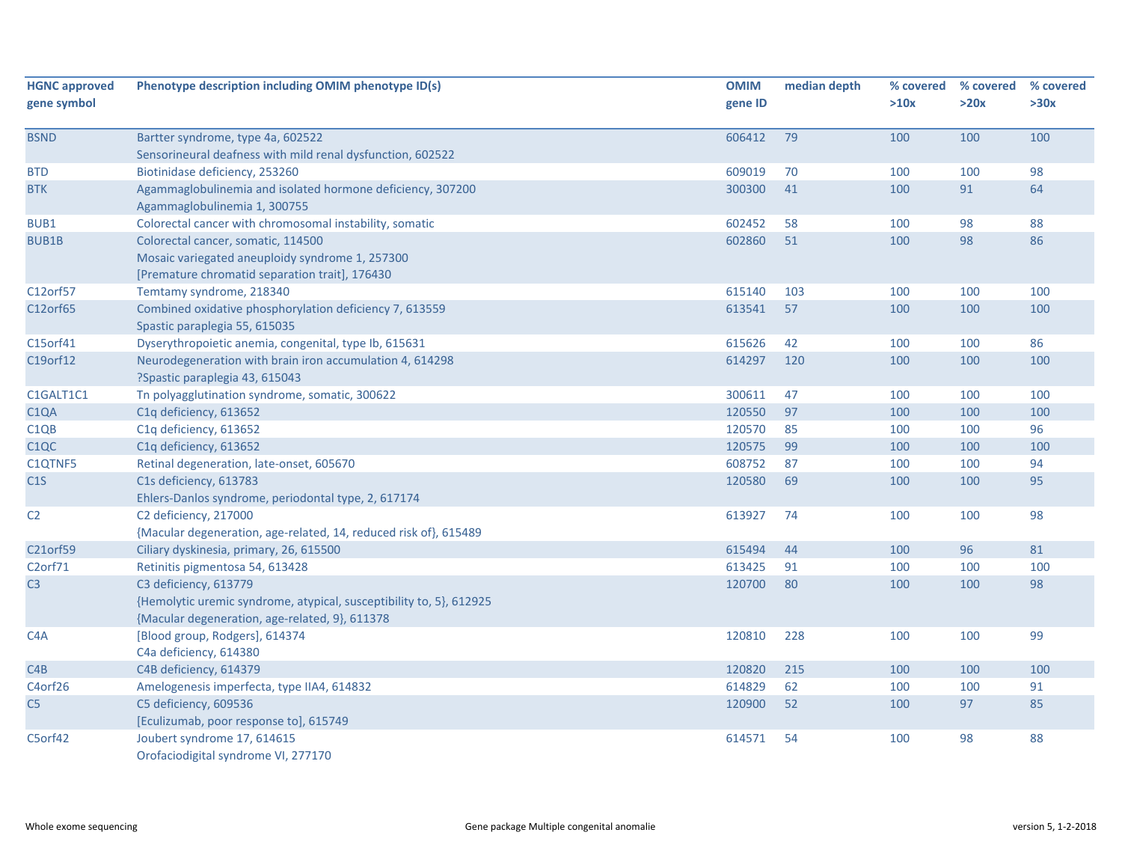| <b>HGNC approved</b><br>gene symbol | Phenotype description including OMIM phenotype ID(s)                                                                                           | <b>OMIM</b><br>gene ID | median depth | % covered<br>>10x | % covered<br>>20x | % covered<br>>30x |
|-------------------------------------|------------------------------------------------------------------------------------------------------------------------------------------------|------------------------|--------------|-------------------|-------------------|-------------------|
| <b>BSND</b>                         | Bartter syndrome, type 4a, 602522                                                                                                              | 606412                 | 79           | 100               | 100               | 100               |
|                                     | Sensorineural deafness with mild renal dysfunction, 602522                                                                                     |                        |              |                   |                   |                   |
| <b>BTD</b>                          | Biotinidase deficiency, 253260                                                                                                                 | 609019                 | 70           | 100               | 100               | 98                |
| <b>BTK</b>                          | Agammaglobulinemia and isolated hormone deficiency, 307200<br>Agammaglobulinemia 1, 300755                                                     | 300300                 | 41           | 100               | 91                | 64                |
| BUB1                                | Colorectal cancer with chromosomal instability, somatic                                                                                        | 602452                 | 58           | 100               | 98                | 88                |
| <b>BUB1B</b>                        | Colorectal cancer, somatic, 114500<br>Mosaic variegated aneuploidy syndrome 1, 257300<br>[Premature chromatid separation trait], 176430        | 602860                 | 51           | 100               | 98                | 86                |
| C12orf57                            | Temtamy syndrome, 218340                                                                                                                       | 615140                 | 103          | 100               | 100               | 100               |
| C12orf65                            | Combined oxidative phosphorylation deficiency 7, 613559<br>Spastic paraplegia 55, 615035                                                       | 613541                 | 57           | 100               | 100               | 100               |
| C15orf41                            | Dyserythropoietic anemia, congenital, type Ib, 615631                                                                                          | 615626                 | 42           | 100               | 100               | 86                |
| C19orf12                            | Neurodegeneration with brain iron accumulation 4, 614298<br>?Spastic paraplegia 43, 615043                                                     | 614297                 | 120          | 100               | 100               | 100               |
| C1GALT1C1                           | Tn polyagglutination syndrome, somatic, 300622                                                                                                 | 300611                 | 47           | 100               | 100               | 100               |
| C <sub>1</sub> QA                   | C1q deficiency, 613652                                                                                                                         | 120550                 | 97           | 100               | 100               | 100               |
| C <sub>1QB</sub>                    | C1q deficiency, 613652                                                                                                                         | 120570                 | 85           | 100               | 100               | 96                |
| C <sub>1</sub> QC                   | C1q deficiency, 613652                                                                                                                         | 120575                 | 99           | 100               | 100               | 100               |
| C1QTNF5                             | Retinal degeneration, late-onset, 605670                                                                                                       | 608752                 | 87           | 100               | 100               | 94                |
| C1S                                 | C1s deficiency, 613783<br>Ehlers-Danlos syndrome, periodontal type, 2, 617174                                                                  | 120580                 | 69           | 100               | 100               | 95                |
| C <sub>2</sub>                      | C2 deficiency, 217000<br>{Macular degeneration, age-related, 14, reduced risk of}, 615489                                                      | 613927                 | 74           | 100               | 100               | 98                |
| C21orf59                            | Ciliary dyskinesia, primary, 26, 615500                                                                                                        | 615494                 | 44           | 100               | 96                | 81                |
| C <sub>2</sub> orf71                | Retinitis pigmentosa 54, 613428                                                                                                                | 613425                 | 91           | 100               | 100               | 100               |
| C <sub>3</sub>                      | C3 deficiency, 613779<br>{Hemolytic uremic syndrome, atypical, susceptibility to, 5}, 612925<br>{Macular degeneration, age-related, 9}, 611378 | 120700                 | 80           | 100               | 100               | 98                |
| C4A                                 | [Blood group, Rodgers], 614374<br>C4a deficiency, 614380                                                                                       | 120810                 | 228          | 100               | 100               | 99                |
| C <sub>4</sub> B                    | C4B deficiency, 614379                                                                                                                         | 120820                 | 215          | 100               | 100               | 100               |
| C4orf26                             | Amelogenesis imperfecta, type IIA4, 614832                                                                                                     | 614829                 | 62           | 100               | 100               | 91                |
| C <sub>5</sub>                      | C5 deficiency, 609536<br>[Eculizumab, poor response to], 615749                                                                                | 120900                 | 52           | 100               | 97                | 85                |
| C5orf42                             | Joubert syndrome 17, 614615<br>Orofaciodigital syndrome VI, 277170                                                                             | 614571                 | 54           | 100               | 98                | 88                |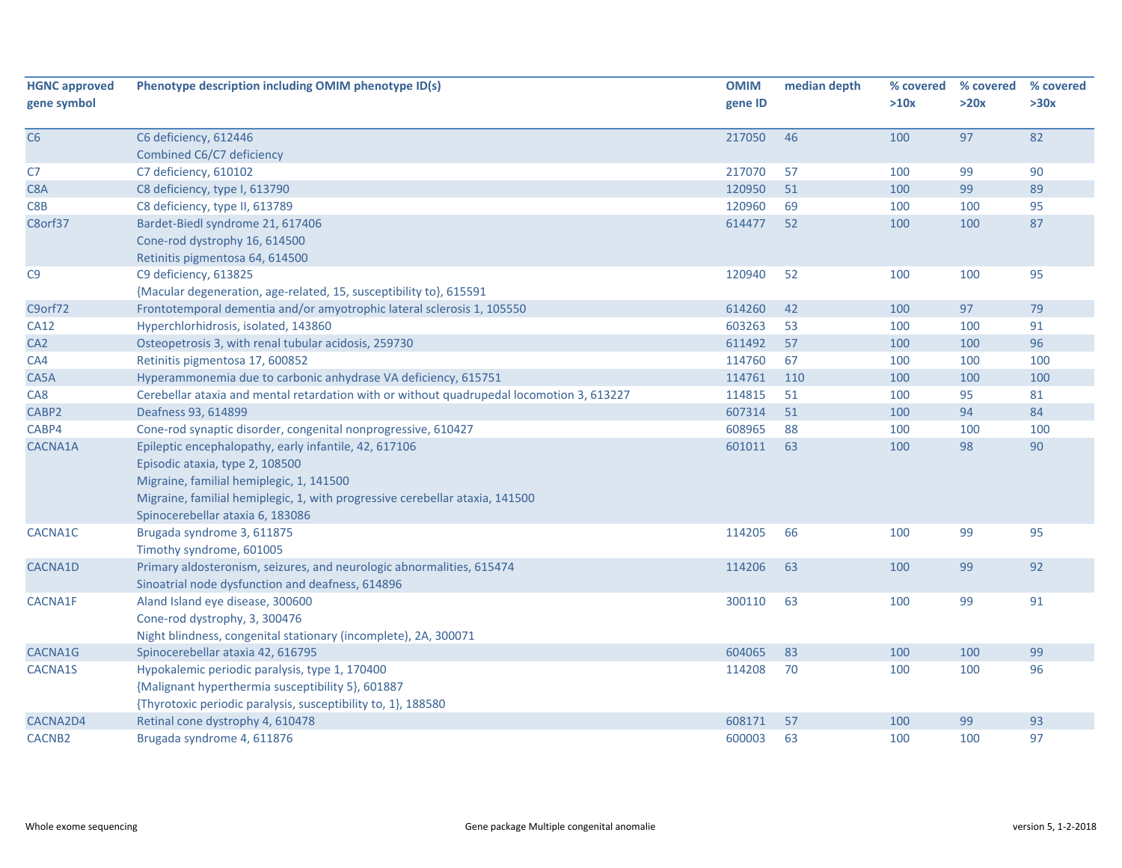| <b>HGNC approved</b> | Phenotype description including OMIM phenotype ID(s)                                      | <b>OMIM</b> | median depth | % covered | % covered | % covered |
|----------------------|-------------------------------------------------------------------------------------------|-------------|--------------|-----------|-----------|-----------|
| gene symbol          |                                                                                           | gene ID     |              | >10x      | >20x      | >30x      |
|                      |                                                                                           |             | 46           |           | 97        | 82        |
| C6                   | C6 deficiency, 612446<br>Combined C6/C7 deficiency                                        | 217050      |              | 100       |           |           |
| C7                   | C7 deficiency, 610102                                                                     | 217070      | 57           | 100       | 99        | 90        |
| C8A                  | C8 deficiency, type I, 613790                                                             | 120950      | 51           | 100       | 99        | 89        |
| C8B                  | C8 deficiency, type II, 613789                                                            | 120960      | 69           | 100       | 100       | 95        |
| C8orf37              | Bardet-Biedl syndrome 21, 617406                                                          | 614477      | 52           | 100       | 100       | 87        |
|                      | Cone-rod dystrophy 16, 614500                                                             |             |              |           |           |           |
|                      | Retinitis pigmentosa 64, 614500                                                           |             |              |           |           |           |
| C <sub>9</sub>       | C9 deficiency, 613825                                                                     | 120940      | 52           | 100       | 100       | 95        |
|                      | {Macular degeneration, age-related, 15, susceptibility to}, 615591                        |             |              |           |           |           |
| C9orf72              | Frontotemporal dementia and/or amyotrophic lateral sclerosis 1, 105550                    | 614260      | 42           | 100       | 97        | 79        |
| <b>CA12</b>          | Hyperchlorhidrosis, isolated, 143860                                                      | 603263      | 53           | 100       | 100       | 91        |
| CA <sub>2</sub>      | Osteopetrosis 3, with renal tubular acidosis, 259730                                      | 611492      | 57           | 100       | 100       | 96        |
| CA4                  | Retinitis pigmentosa 17, 600852                                                           | 114760      | 67           | 100       | 100       | 100       |
| CA5A                 | Hyperammonemia due to carbonic anhydrase VA deficiency, 615751                            | 114761      | 110          | 100       | 100       | 100       |
| CA8                  | Cerebellar ataxia and mental retardation with or without quadrupedal locomotion 3, 613227 | 114815      | 51           | 100       | 95        | 81        |
| CABP2                | Deafness 93, 614899                                                                       | 607314      | 51           | 100       | 94        | 84        |
| CABP4                | Cone-rod synaptic disorder, congenital nonprogressive, 610427                             | 608965      | 88           | 100       | 100       | 100       |
| CACNA1A              | Epileptic encephalopathy, early infantile, 42, 617106                                     | 601011      | 63           | 100       | 98        | 90        |
|                      | Episodic ataxia, type 2, 108500                                                           |             |              |           |           |           |
|                      | Migraine, familial hemiplegic, 1, 141500                                                  |             |              |           |           |           |
|                      | Migraine, familial hemiplegic, 1, with progressive cerebellar ataxia, 141500              |             |              |           |           |           |
|                      | Spinocerebellar ataxia 6, 183086                                                          |             |              |           |           |           |
| CACNA1C              | Brugada syndrome 3, 611875                                                                | 114205      | 66           | 100       | 99        | 95        |
|                      | Timothy syndrome, 601005                                                                  |             |              |           |           |           |
| CACNA1D              | Primary aldosteronism, seizures, and neurologic abnormalities, 615474                     | 114206      | 63           | 100       | 99        | 92        |
|                      | Sinoatrial node dysfunction and deafness, 614896                                          |             |              |           |           |           |
| CACNA1F              | Aland Island eye disease, 300600                                                          | 300110      | 63           | 100       | 99        | 91        |
|                      | Cone-rod dystrophy, 3, 300476                                                             |             |              |           |           |           |
|                      | Night blindness, congenital stationary (incomplete), 2A, 300071                           |             |              |           |           |           |
| CACNA1G              | Spinocerebellar ataxia 42, 616795                                                         | 604065      | 83           | 100       | 100       | 99        |
| CACNA1S              | Hypokalemic periodic paralysis, type 1, 170400                                            | 114208      | 70           | 100       | 100       | 96        |
|                      | {Malignant hyperthermia susceptibility 5}, 601887                                         |             |              |           |           |           |
|                      | {Thyrotoxic periodic paralysis, susceptibility to, 1}, 188580                             |             |              |           |           |           |
| CACNA2D4             | Retinal cone dystrophy 4, 610478                                                          | 608171      | 57           | 100       | 99        | 93        |
| CACNB <sub>2</sub>   | Brugada syndrome 4, 611876                                                                | 600003      | 63           | 100       | 100       | 97        |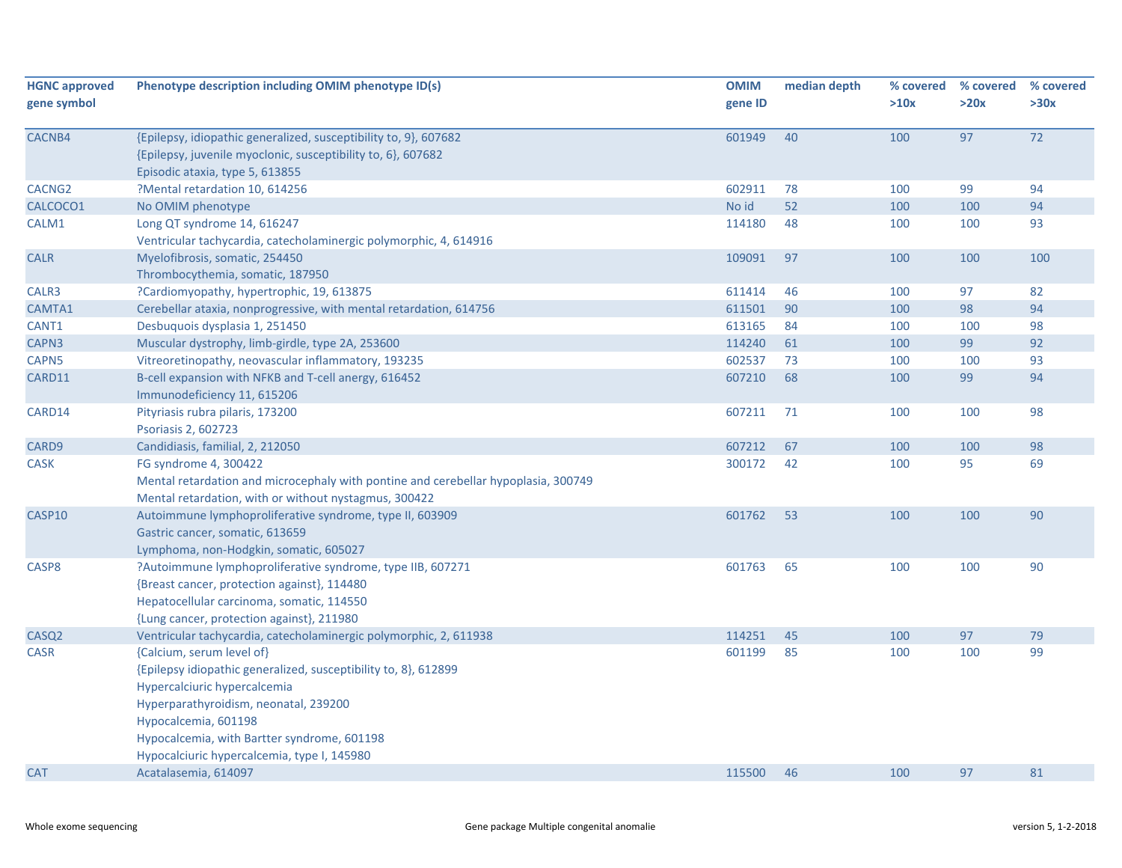| <b>HGNC approved</b> | Phenotype description including OMIM phenotype ID(s)                                                                                                                                                                                                                                        | <b>OMIM</b> | median depth | % covered | % covered | % covered |
|----------------------|---------------------------------------------------------------------------------------------------------------------------------------------------------------------------------------------------------------------------------------------------------------------------------------------|-------------|--------------|-----------|-----------|-----------|
| gene symbol          |                                                                                                                                                                                                                                                                                             | gene ID     |              | >10x      | >20x      | >30x      |
| CACNB4               | {Epilepsy, idiopathic generalized, susceptibility to, 9}, 607682<br>{Epilepsy, juvenile myoclonic, susceptibility to, 6}, 607682<br>Episodic ataxia, type 5, 613855                                                                                                                         | 601949      | 40           | 100       | 97        | 72        |
| CACNG <sub>2</sub>   | ?Mental retardation 10, 614256                                                                                                                                                                                                                                                              | 602911      | 78           | 100       | 99        | 94        |
| CALCOCO1             | No OMIM phenotype                                                                                                                                                                                                                                                                           | No id       | 52           | 100       | 100       | 94        |
| CALM1                | Long QT syndrome 14, 616247<br>Ventricular tachycardia, catecholaminergic polymorphic, 4, 614916                                                                                                                                                                                            | 114180      | 48           | 100       | 100       | 93        |
| <b>CALR</b>          | Myelofibrosis, somatic, 254450<br>Thrombocythemia, somatic, 187950                                                                                                                                                                                                                          | 109091      | 97           | 100       | 100       | 100       |
| CALR3                | ?Cardiomyopathy, hypertrophic, 19, 613875                                                                                                                                                                                                                                                   | 611414      | 46           | 100       | 97        | 82        |
| CAMTA1               | Cerebellar ataxia, nonprogressive, with mental retardation, 614756                                                                                                                                                                                                                          | 611501      | 90           | 100       | 98        | 94        |
| CANT1                | Desbuguois dysplasia 1, 251450                                                                                                                                                                                                                                                              | 613165      | 84           | 100       | 100       | 98        |
| CAPN3                | Muscular dystrophy, limb-girdle, type 2A, 253600                                                                                                                                                                                                                                            | 114240      | 61           | 100       | 99        | 92        |
| CAPN5                | Vitreoretinopathy, neovascular inflammatory, 193235                                                                                                                                                                                                                                         | 602537      | 73           | 100       | 100       | 93        |
| CARD11               | B-cell expansion with NFKB and T-cell anergy, 616452<br>Immunodeficiency 11, 615206                                                                                                                                                                                                         | 607210      | 68           | 100       | 99        | 94        |
| CARD14               | Pityriasis rubra pilaris, 173200<br>Psoriasis 2, 602723                                                                                                                                                                                                                                     | 607211      | 71           | 100       | 100       | 98        |
| CARD9                | Candidiasis, familial, 2, 212050                                                                                                                                                                                                                                                            | 607212      | 67           | 100       | 100       | 98        |
| <b>CASK</b>          | FG syndrome 4, 300422<br>Mental retardation and microcephaly with pontine and cerebellar hypoplasia, 300749<br>Mental retardation, with or without nystagmus, 300422                                                                                                                        | 300172      | 42           | 100       | 95        | 69        |
| CASP10               | Autoimmune lymphoproliferative syndrome, type II, 603909<br>Gastric cancer, somatic, 613659<br>Lymphoma, non-Hodgkin, somatic, 605027                                                                                                                                                       | 601762      | 53           | 100       | 100       | 90        |
| CASP8                | ?Autoimmune lymphoproliferative syndrome, type IIB, 607271<br>{Breast cancer, protection against}, 114480<br>Hepatocellular carcinoma, somatic, 114550<br>{Lung cancer, protection against}, 211980                                                                                         | 601763      | 65           | 100       | 100       | 90        |
| CASQ <sub>2</sub>    | Ventricular tachycardia, catecholaminergic polymorphic, 2, 611938                                                                                                                                                                                                                           | 114251      | 45           | 100       | 97        | 79        |
| <b>CASR</b>          | {Calcium, serum level of}<br>{Epilepsy idiopathic generalized, susceptibility to, 8}, 612899<br>Hypercalciuric hypercalcemia<br>Hyperparathyroidism, neonatal, 239200<br>Hypocalcemia, 601198<br>Hypocalcemia, with Bartter syndrome, 601198<br>Hypocalciuric hypercalcemia, type I, 145980 | 601199      | 85           | 100       | 100       | 99        |
| <b>CAT</b>           | Acatalasemia, 614097                                                                                                                                                                                                                                                                        | 115500      | 46           | 100       | 97        | 81        |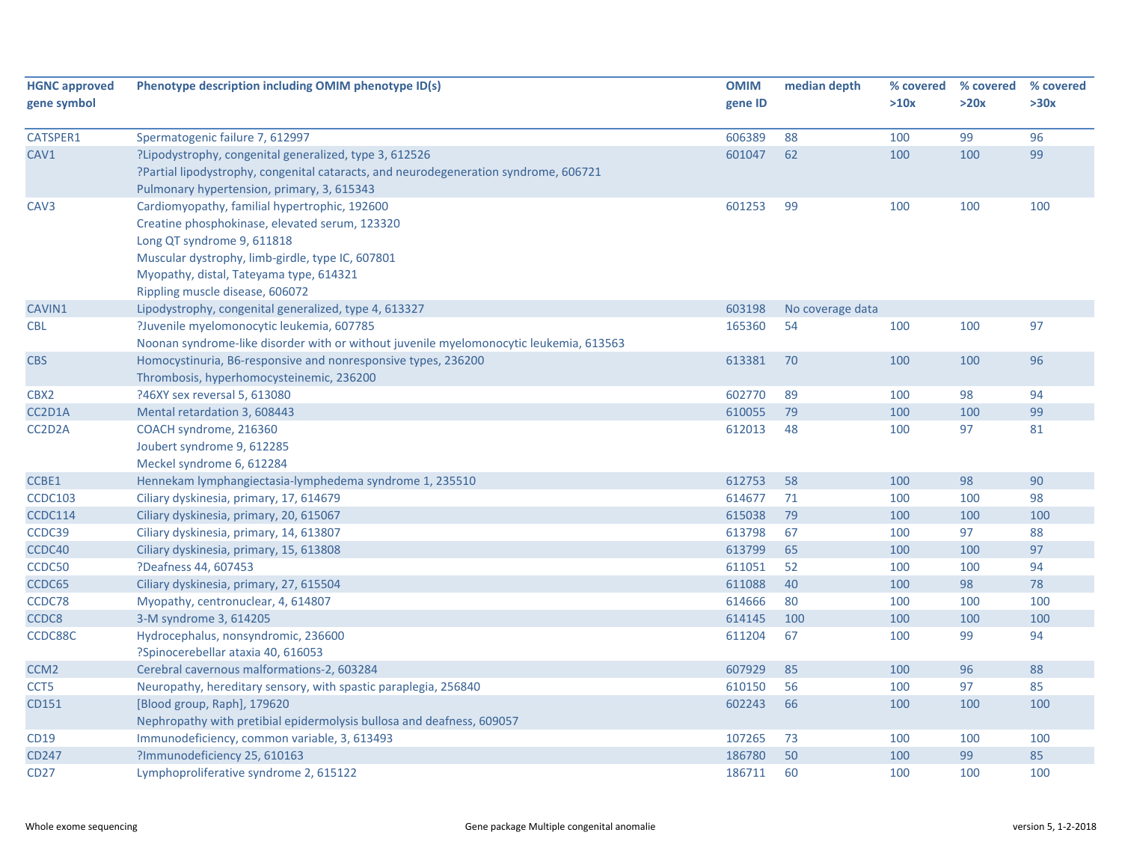| <b>HGNC approved</b> | Phenotype description including OMIM phenotype ID(s)                                   | <b>OMIM</b> | median depth     | % covered | % covered<br>>20x | % covered<br>>30x |
|----------------------|----------------------------------------------------------------------------------------|-------------|------------------|-----------|-------------------|-------------------|
| gene symbol          |                                                                                        | gene ID     |                  | >10x      |                   |                   |
| CATSPER1             | Spermatogenic failure 7, 612997                                                        | 606389      | 88               | 100       | 99                | 96                |
| CAV1                 | ?Lipodystrophy, congenital generalized, type 3, 612526                                 | 601047      | 62               | 100       | 100               | 99                |
|                      | ?Partial lipodystrophy, congenital cataracts, and neurodegeneration syndrome, 606721   |             |                  |           |                   |                   |
|                      | Pulmonary hypertension, primary, 3, 615343                                             |             |                  |           |                   |                   |
| CAV3                 | Cardiomyopathy, familial hypertrophic, 192600                                          | 601253      | 99               | 100       | 100               | 100               |
|                      | Creatine phosphokinase, elevated serum, 123320                                         |             |                  |           |                   |                   |
|                      | Long QT syndrome 9, 611818                                                             |             |                  |           |                   |                   |
|                      | Muscular dystrophy, limb-girdle, type IC, 607801                                       |             |                  |           |                   |                   |
|                      | Myopathy, distal, Tateyama type, 614321                                                |             |                  |           |                   |                   |
|                      | Rippling muscle disease, 606072                                                        |             |                  |           |                   |                   |
| CAVIN1               | Lipodystrophy, congenital generalized, type 4, 613327                                  | 603198      | No coverage data |           |                   |                   |
| <b>CBL</b>           | ?Juvenile myelomonocytic leukemia, 607785                                              | 165360      | 54               | 100       | 100               | 97                |
|                      | Noonan syndrome-like disorder with or without juvenile myelomonocytic leukemia, 613563 |             |                  |           |                   |                   |
| <b>CBS</b>           | Homocystinuria, B6-responsive and nonresponsive types, 236200                          | 613381      | 70               | 100       | 100               | 96                |
|                      | Thrombosis, hyperhomocysteinemic, 236200                                               |             |                  |           |                   |                   |
| CBX2                 | ?46XY sex reversal 5, 613080                                                           | 602770      | 89               | 100       | 98                | 94                |
| CC2D1A               | Mental retardation 3, 608443                                                           | 610055      | 79               | 100       | 100               | 99                |
| CC2D2A               | COACH syndrome, 216360                                                                 | 612013      | 48               | 100       | 97                | 81                |
|                      | Joubert syndrome 9, 612285                                                             |             |                  |           |                   |                   |
|                      | Meckel syndrome 6, 612284                                                              |             |                  |           |                   |                   |
| CCBE1                | Hennekam lymphangiectasia-lymphedema syndrome 1, 235510                                | 612753      | 58               | 100       | 98                | 90                |
| <b>CCDC103</b>       | Ciliary dyskinesia, primary, 17, 614679                                                | 614677      | 71               | 100       | 100               | 98                |
| <b>CCDC114</b>       | Ciliary dyskinesia, primary, 20, 615067                                                | 615038      | 79               | 100       | 100               | 100               |
| CCDC39               | Ciliary dyskinesia, primary, 14, 613807                                                | 613798      | 67               | 100       | 97                | 88                |
| CCDC40               | Ciliary dyskinesia, primary, 15, 613808                                                | 613799      | 65               | 100       | 100               | 97                |
| CCDC50               | ?Deafness 44, 607453                                                                   | 611051      | 52               | 100       | 100               | 94                |
| CCDC65               | Ciliary dyskinesia, primary, 27, 615504                                                | 611088      | 40               | 100       | 98                | 78                |
| CCDC78               | Myopathy, centronuclear, 4, 614807                                                     | 614666      | 80               | 100       | 100               | 100               |
| CCDC8                | 3-M syndrome 3, 614205                                                                 | 614145      | 100              | 100       | 100               | 100               |
| CCDC88C              | Hydrocephalus, nonsyndromic, 236600                                                    | 611204      | 67               | 100       | 99                | 94                |
|                      | ?Spinocerebellar ataxia 40, 616053                                                     |             |                  |           |                   |                   |
| CCM <sub>2</sub>     | Cerebral cavernous malformations-2, 603284                                             | 607929      | 85               | 100       | 96                | 88                |
| CCT5                 | Neuropathy, hereditary sensory, with spastic paraplegia, 256840                        | 610150      | 56               | 100       | 97                | 85                |
| CD151                | [Blood group, Raph], 179620                                                            | 602243      | 66               | 100       | 100               | 100               |
|                      | Nephropathy with pretibial epidermolysis bullosa and deafness, 609057                  |             |                  |           |                   |                   |
| CD19                 | Immunodeficiency, common variable, 3, 613493                                           | 107265      | 73               | 100       | 100               | 100               |
| CD247                | ?Immunodeficiency 25, 610163                                                           | 186780      | 50               | 100       | 99                | 85                |
| <b>CD27</b>          | Lymphoproliferative syndrome 2, 615122                                                 | 186711      | 60               | 100       | 100               | 100               |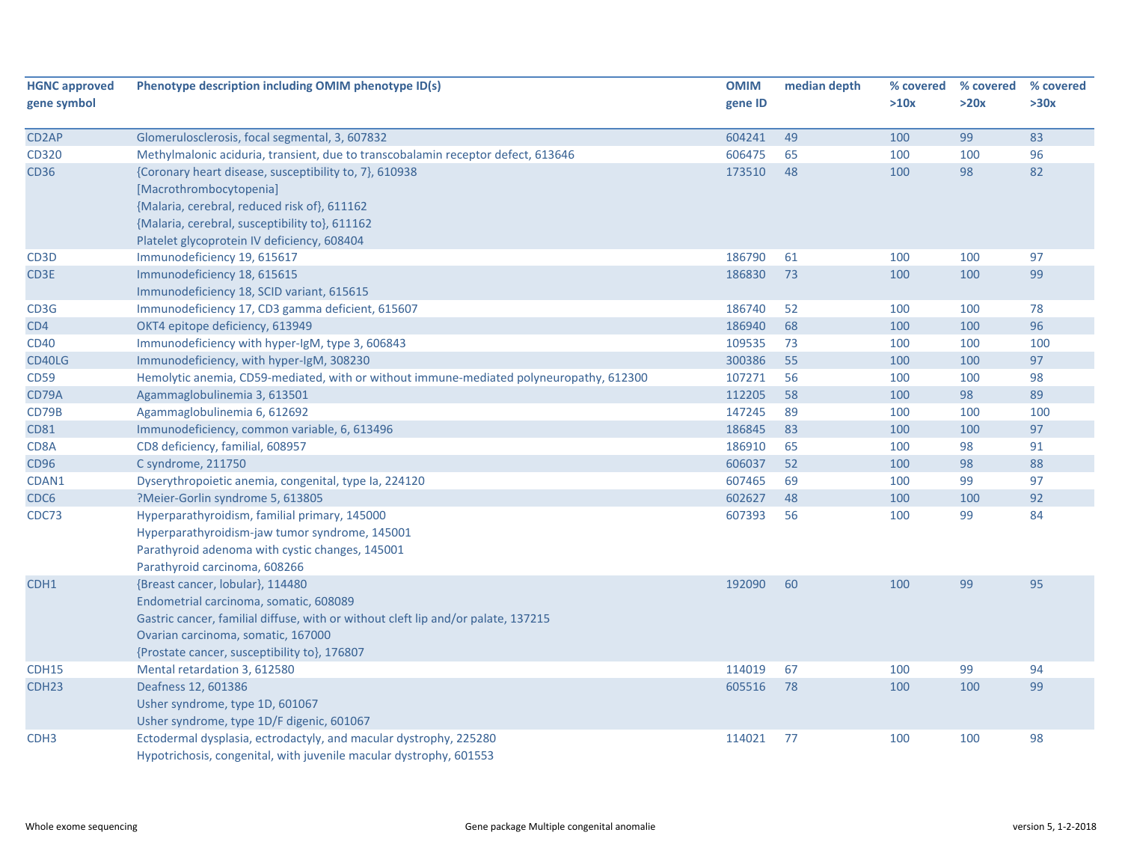| <b>HGNC approved</b><br>gene symbol | Phenotype description including OMIM phenotype ID(s)                                    | <b>OMIM</b><br>gene ID | median depth | % covered<br>>10x | % covered<br>>20x | % covered<br>>30x |
|-------------------------------------|-----------------------------------------------------------------------------------------|------------------------|--------------|-------------------|-------------------|-------------------|
|                                     |                                                                                         |                        |              |                   |                   |                   |
| CD <sub>2</sub> AP                  | Glomerulosclerosis, focal segmental, 3, 607832                                          | 604241                 | 49           | 100               | 99                | 83                |
| CD320                               | Methylmalonic aciduria, transient, due to transcobalamin receptor defect, 613646        | 606475                 | 65           | 100               | 100               | 96                |
| <b>CD36</b>                         | {Coronary heart disease, susceptibility to, 7}, 610938                                  | 173510                 | 48           | 100               | 98                | 82                |
|                                     | [Macrothrombocytopenia]                                                                 |                        |              |                   |                   |                   |
|                                     | {Malaria, cerebral, reduced risk of}, 611162                                            |                        |              |                   |                   |                   |
|                                     | {Malaria, cerebral, susceptibility to}, 611162                                          |                        |              |                   |                   |                   |
|                                     | Platelet glycoprotein IV deficiency, 608404                                             |                        |              |                   |                   |                   |
| CD <sub>3</sub> D                   | Immunodeficiency 19, 615617                                                             | 186790                 | 61           | 100               | 100               | 97                |
| CD3E                                | Immunodeficiency 18, 615615                                                             | 186830                 | 73           | 100               | 100               | 99                |
|                                     | Immunodeficiency 18, SCID variant, 615615                                               |                        |              |                   |                   |                   |
| CD3G                                | Immunodeficiency 17, CD3 gamma deficient, 615607                                        | 186740                 | 52           | 100               | 100               | 78                |
| CD4                                 | OKT4 epitope deficiency, 613949                                                         | 186940                 | 68           | 100               | 100               | 96                |
| <b>CD40</b>                         | Immunodeficiency with hyper-IgM, type 3, 606843                                         | 109535                 | 73           | 100               | 100               | 100               |
| CD40LG                              | Immunodeficiency, with hyper-IgM, 308230                                                | 300386                 | 55           | 100               | 100               | 97                |
| <b>CD59</b>                         | Hemolytic anemia, CD59-mediated, with or without immune-mediated polyneuropathy, 612300 | 107271                 | 56           | 100               | 100               | 98                |
| CD79A                               | Agammaglobulinemia 3, 613501                                                            | 112205                 | 58           | 100               | 98                | 89                |
| CD79B                               | Agammaglobulinemia 6, 612692                                                            | 147245                 | 89           | 100               | 100               | 100               |
| <b>CD81</b>                         | Immunodeficiency, common variable, 6, 613496                                            | 186845                 | 83           | 100               | 100               | 97                |
| CD8A                                | CD8 deficiency, familial, 608957                                                        | 186910                 | 65           | 100               | 98                | 91                |
| CD96                                | C syndrome, 211750                                                                      | 606037                 | 52           | 100               | 98                | 88                |
| CDAN1                               | Dyserythropoietic anemia, congenital, type Ia, 224120                                   | 607465                 | 69           | 100               | 99                | 97                |
| CDC <sub>6</sub>                    | ?Meier-Gorlin syndrome 5, 613805                                                        | 602627                 | 48           | 100               | 100               | 92                |
| CDC73                               | Hyperparathyroidism, familial primary, 145000                                           | 607393                 | 56           | 100               | 99                | 84                |
|                                     | Hyperparathyroidism-jaw tumor syndrome, 145001                                          |                        |              |                   |                   |                   |
|                                     | Parathyroid adenoma with cystic changes, 145001                                         |                        |              |                   |                   |                   |
|                                     | Parathyroid carcinoma, 608266                                                           |                        |              |                   |                   |                   |
| CDH1                                | {Breast cancer, lobular}, 114480                                                        | 192090                 | 60           | 100               | 99                | 95                |
|                                     | Endometrial carcinoma, somatic, 608089                                                  |                        |              |                   |                   |                   |
|                                     | Gastric cancer, familial diffuse, with or without cleft lip and/or palate, 137215       |                        |              |                   |                   |                   |
|                                     | Ovarian carcinoma, somatic, 167000                                                      |                        |              |                   |                   |                   |
|                                     | {Prostate cancer, susceptibility to}, 176807                                            |                        |              |                   |                   |                   |
| CDH15                               | Mental retardation 3, 612580                                                            | 114019                 | 67           | 100               | 99                | 94                |
| CDH <sub>23</sub>                   | Deafness 12, 601386                                                                     | 605516                 | 78           | 100               | 100               | 99                |
|                                     | Usher syndrome, type 1D, 601067                                                         |                        |              |                   |                   |                   |
|                                     | Usher syndrome, type 1D/F digenic, 601067                                               |                        |              |                   |                   |                   |
| CDH <sub>3</sub>                    | Ectodermal dysplasia, ectrodactyly, and macular dystrophy, 225280                       | 114021                 | 77           | 100               | 100               | 98                |
|                                     | Hypotrichosis, congenital, with juvenile macular dystrophy, 601553                      |                        |              |                   |                   |                   |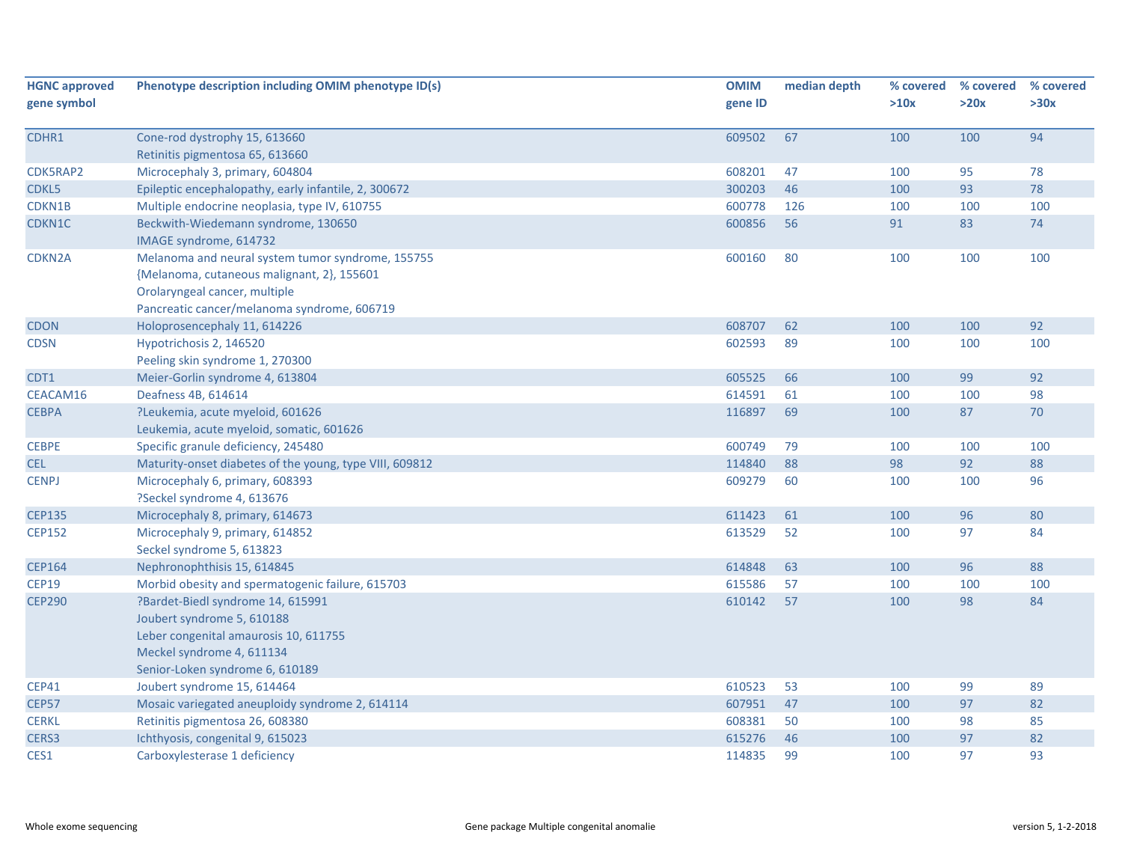| <b>HGNC approved</b> | Phenotype description including OMIM phenotype ID(s)    | <b>OMIM</b> | median depth | % covered | % covered | % covered |
|----------------------|---------------------------------------------------------|-------------|--------------|-----------|-----------|-----------|
| gene symbol          |                                                         | gene ID     |              | >10x      | >20x      | >30x      |
|                      |                                                         |             |              |           |           |           |
| CDHR1                | Cone-rod dystrophy 15, 613660                           | 609502      | 67           | 100       | 100       | 94        |
|                      | Retinitis pigmentosa 65, 613660                         |             |              |           |           |           |
| CDK5RAP2             | Microcephaly 3, primary, 604804                         | 608201      | 47           | 100       | 95        | 78        |
| CDKL5                | Epileptic encephalopathy, early infantile, 2, 300672    | 300203      | 46           | 100       | 93        | 78        |
| CDKN1B               | Multiple endocrine neoplasia, type IV, 610755           | 600778      | 126          | 100       | 100       | 100       |
| CDKN1C               | Beckwith-Wiedemann syndrome, 130650                     | 600856      | 56           | 91        | 83        | 74        |
|                      | IMAGE syndrome, 614732                                  |             |              |           |           |           |
| CDKN2A               | Melanoma and neural system tumor syndrome, 155755       | 600160      | 80           | 100       | 100       | 100       |
|                      | {Melanoma, cutaneous malignant, 2}, 155601              |             |              |           |           |           |
|                      | Orolaryngeal cancer, multiple                           |             |              |           |           |           |
|                      | Pancreatic cancer/melanoma syndrome, 606719             |             |              |           |           |           |
| <b>CDON</b>          | Holoprosencephaly 11, 614226                            | 608707      | 62           | 100       | 100       | 92        |
| <b>CDSN</b>          | Hypotrichosis 2, 146520                                 | 602593      | 89           | 100       | 100       | 100       |
|                      | Peeling skin syndrome 1, 270300                         |             |              |           |           |           |
| CDT1                 | Meier-Gorlin syndrome 4, 613804                         | 605525      | 66           | 100       | 99        | 92        |
| CEACAM16             | Deafness 4B, 614614                                     | 614591      | 61           | 100       | 100       | 98        |
| <b>CEBPA</b>         | ?Leukemia, acute myeloid, 601626                        | 116897      | 69           | 100       | 87        | 70        |
|                      | Leukemia, acute myeloid, somatic, 601626                |             |              |           |           |           |
| <b>CEBPE</b>         | Specific granule deficiency, 245480                     | 600749      | 79           | 100       | 100       | 100       |
| <b>CEL</b>           | Maturity-onset diabetes of the young, type VIII, 609812 | 114840      | 88           | 98        | 92        | 88        |
| <b>CENPJ</b>         | Microcephaly 6, primary, 608393                         | 609279      | 60           | 100       | 100       | 96        |
|                      | ?Seckel syndrome 4, 613676                              |             |              |           |           |           |
| <b>CEP135</b>        | Microcephaly 8, primary, 614673                         | 611423      | 61           | 100       | 96        | 80        |
| <b>CEP152</b>        | Microcephaly 9, primary, 614852                         | 613529      | 52           | 100       | 97        | 84        |
|                      | Seckel syndrome 5, 613823                               |             |              |           |           |           |
| <b>CEP164</b>        | Nephronophthisis 15, 614845                             | 614848      | 63           | 100       | 96        | 88        |
| <b>CEP19</b>         | Morbid obesity and spermatogenic failure, 615703        | 615586      | 57           | 100       | 100       | 100       |
| <b>CEP290</b>        | ?Bardet-Biedl syndrome 14, 615991                       | 610142      | 57           | 100       | 98        | 84        |
|                      | Joubert syndrome 5, 610188                              |             |              |           |           |           |
|                      | Leber congenital amaurosis 10, 611755                   |             |              |           |           |           |
|                      | Meckel syndrome 4, 611134                               |             |              |           |           |           |
|                      | Senior-Loken syndrome 6, 610189                         |             |              |           |           |           |
| <b>CEP41</b>         | Joubert syndrome 15, 614464                             | 610523      | 53           | 100       | 99        | 89        |
| <b>CEP57</b>         | Mosaic variegated aneuploidy syndrome 2, 614114         | 607951      | 47           | 100       | 97        | 82        |
| <b>CERKL</b>         | Retinitis pigmentosa 26, 608380                         | 608381      | 50           | 100       | 98        | 85        |
| CERS3                | Ichthyosis, congenital 9, 615023                        | 615276      | 46           | 100       | 97        | 82        |
| CES1                 | Carboxylesterase 1 deficiency                           | 114835      | 99           | 100       | 97        | 93        |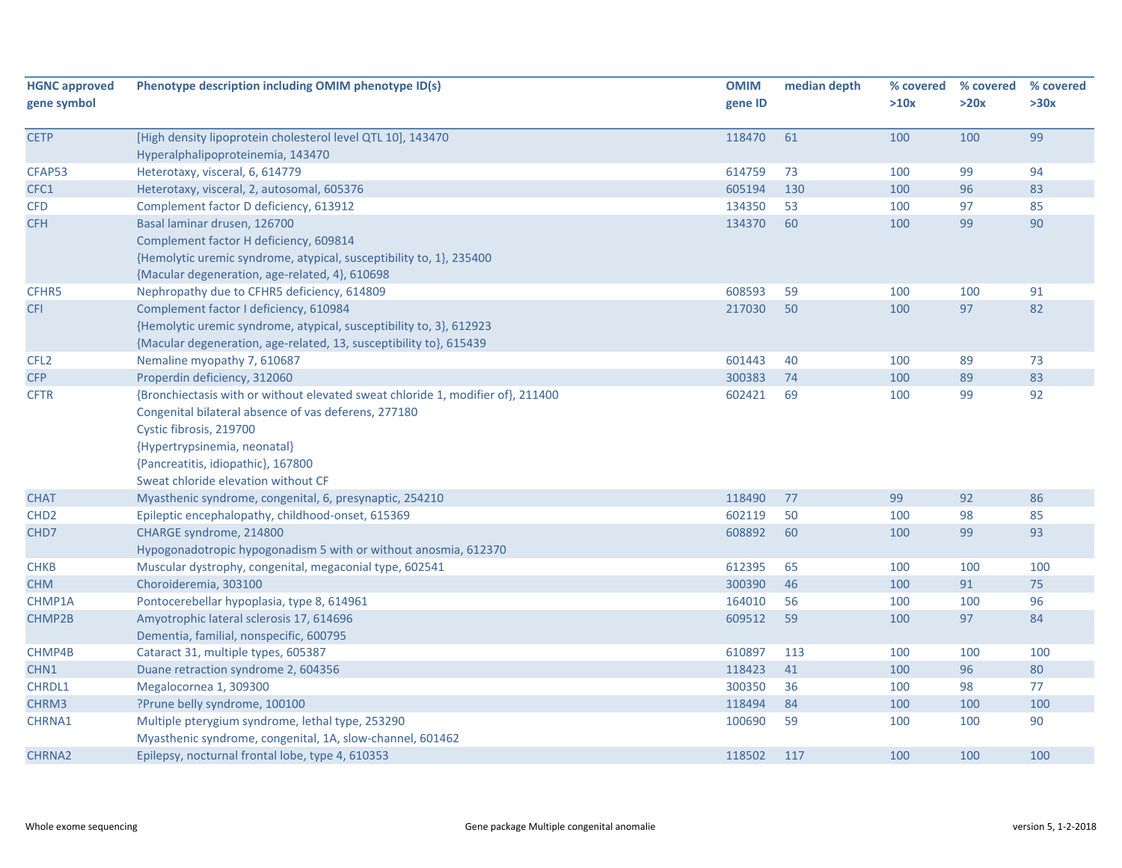| <b>HGNC approved</b><br>gene symbol | Phenotype description including OMIM phenotype ID(s)                            | <b>OMIM</b><br>gene ID | median depth | % covered<br>>10x | % covered<br>>20x | % covered<br>>30x |
|-------------------------------------|---------------------------------------------------------------------------------|------------------------|--------------|-------------------|-------------------|-------------------|
| <b>CETP</b>                         | [High density lipoprotein cholesterol level QTL 10], 143470                     | 118470                 | 61           | 100               | 100               | 99                |
|                                     | Hyperalphalipoproteinemia, 143470                                               |                        |              |                   |                   |                   |
| CFAP53                              | Heterotaxy, visceral, 6, 614779                                                 | 614759                 | 73           | 100               | 99                | 94                |
| CFC1                                | Heterotaxy, visceral, 2, autosomal, 605376                                      | 605194                 | 130          | 100               | 96                | 83                |
| <b>CFD</b>                          | Complement factor D deficiency, 613912                                          | 134350                 | 53           | 100               | 97                | 85                |
| <b>CFH</b>                          | Basal laminar drusen, 126700                                                    | 134370                 | 60           | 100               | 99                | 90                |
|                                     | Complement factor H deficiency, 609814                                          |                        |              |                   |                   |                   |
|                                     | {Hemolytic uremic syndrome, atypical, susceptibility to, 1}, 235400             |                        |              |                   |                   |                   |
|                                     | {Macular degeneration, age-related, 4}, 610698                                  |                        |              |                   |                   |                   |
| CFHR5                               | Nephropathy due to CFHR5 deficiency, 614809                                     | 608593                 | 59           | 100               | 100               | 91                |
| <b>CFI</b>                          | Complement factor I deficiency, 610984                                          | 217030                 | 50           | 100               | 97                | 82                |
|                                     | {Hemolytic uremic syndrome, atypical, susceptibility to, 3}, 612923             |                        |              |                   |                   |                   |
|                                     | {Macular degeneration, age-related, 13, susceptibility to}, 615439              |                        |              |                   |                   |                   |
| CFL <sub>2</sub>                    | Nemaline myopathy 7, 610687                                                     | 601443                 | 40           | 100               | 89                | 73                |
| <b>CFP</b>                          | Properdin deficiency, 312060                                                    | 300383                 | 74           | 100               | 89                | 83                |
| <b>CFTR</b>                         | {Bronchiectasis with or without elevated sweat chloride 1, modifier of}, 211400 | 602421                 | 69           | 100               | 99                | 92                |
|                                     | Congenital bilateral absence of vas deferens, 277180                            |                        |              |                   |                   |                   |
|                                     | Cystic fibrosis, 219700                                                         |                        |              |                   |                   |                   |
|                                     | {Hypertrypsinemia, neonatal}                                                    |                        |              |                   |                   |                   |
|                                     | {Pancreatitis, idiopathic}, 167800                                              |                        |              |                   |                   |                   |
|                                     | Sweat chloride elevation without CF                                             |                        |              |                   |                   |                   |
| <b>CHAT</b>                         | Myasthenic syndrome, congenital, 6, presynaptic, 254210                         | 118490                 | 77           | 99                | 92                | 86                |
| CHD <sub>2</sub>                    | Epileptic encephalopathy, childhood-onset, 615369                               | 602119                 | 50           | 100               | 98                | 85                |
| CHD7                                | CHARGE syndrome, 214800                                                         | 608892                 | 60           | 100               | 99                | 93                |
|                                     | Hypogonadotropic hypogonadism 5 with or without anosmia, 612370                 |                        |              |                   |                   |                   |
| <b>CHKB</b>                         | Muscular dystrophy, congenital, megaconial type, 602541                         | 612395                 | 65           | 100               | 100               | 100               |
| <b>CHM</b>                          | Choroideremia, 303100                                                           | 300390                 | 46           | 100               | 91                | 75                |
| CHMP1A                              | Pontocerebellar hypoplasia, type 8, 614961                                      | 164010                 | 56           | 100               | 100               | 96                |
| CHMP2B                              | Amyotrophic lateral sclerosis 17, 614696                                        | 609512                 | 59           | 100               | 97                | 84                |
|                                     | Dementia, familial, nonspecific, 600795                                         |                        |              |                   |                   |                   |
| CHMP4B                              | Cataract 31, multiple types, 605387                                             | 610897                 | 113          | 100               | 100               | 100               |
| CHN1                                | Duane retraction syndrome 2, 604356                                             | 118423                 | 41           | 100               | 96                | $80\,$            |
| CHRDL1                              | Megalocornea 1, 309300                                                          | 300350                 | 36           | 100               | 98                | 77                |
| CHRM3                               | ?Prune belly syndrome, 100100                                                   | 118494                 | 84           | 100               | 100               | 100               |
| CHRNA1                              | Multiple pterygium syndrome, lethal type, 253290                                | 100690                 | 59           | 100               | 100               | 90                |
|                                     | Myasthenic syndrome, congenital, 1A, slow-channel, 601462                       |                        |              |                   |                   |                   |
| CHRNA2                              | Epilepsy, nocturnal frontal lobe, type 4, 610353                                | 118502                 | 117          | 100               | 100               | 100               |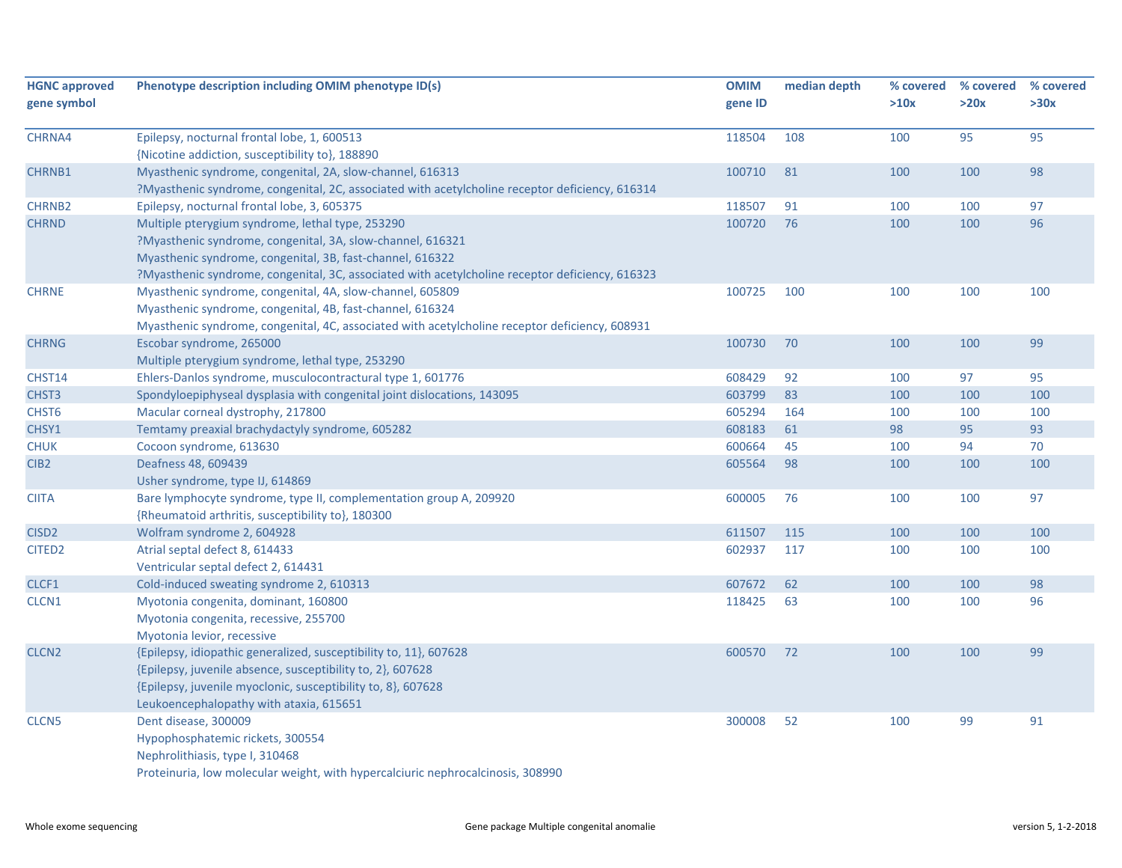| <b>HGNC approved</b><br>gene symbol | Phenotype description including OMIM phenotype ID(s)                                                                                                                                                                                                                           | <b>OMIM</b><br>gene ID | median depth | % covered<br>>10x | % covered<br>>20x | % covered<br>>30x |
|-------------------------------------|--------------------------------------------------------------------------------------------------------------------------------------------------------------------------------------------------------------------------------------------------------------------------------|------------------------|--------------|-------------------|-------------------|-------------------|
| CHRNA4                              | Epilepsy, nocturnal frontal lobe, 1, 600513<br>{Nicotine addiction, susceptibility to}, 188890                                                                                                                                                                                 | 118504                 | 108          | 100               | 95                | 95                |
| CHRNB1                              | Myasthenic syndrome, congenital, 2A, slow-channel, 616313<br>?Myasthenic syndrome, congenital, 2C, associated with acetylcholine receptor deficiency, 616314                                                                                                                   | 100710                 | 81           | 100               | 100               | 98                |
| <b>CHRNB2</b>                       | Epilepsy, nocturnal frontal lobe, 3, 605375                                                                                                                                                                                                                                    | 118507                 | 91           | 100               | 100               | 97                |
| <b>CHRND</b>                        | Multiple pterygium syndrome, lethal type, 253290<br>?Myasthenic syndrome, congenital, 3A, slow-channel, 616321<br>Myasthenic syndrome, congenital, 3B, fast-channel, 616322<br>?Myasthenic syndrome, congenital, 3C, associated with acetylcholine receptor deficiency, 616323 | 100720                 | 76           | 100               | 100               | 96                |
| <b>CHRNE</b>                        | Myasthenic syndrome, congenital, 4A, slow-channel, 605809<br>Myasthenic syndrome, congenital, 4B, fast-channel, 616324<br>Myasthenic syndrome, congenital, 4C, associated with acetylcholine receptor deficiency, 608931                                                       | 100725                 | 100          | 100               | 100               | 100               |
| <b>CHRNG</b>                        | Escobar syndrome, 265000<br>Multiple pterygium syndrome, lethal type, 253290                                                                                                                                                                                                   | 100730                 | 70           | 100               | 100               | 99                |
| CHST14                              | Ehlers-Danlos syndrome, musculocontractural type 1, 601776                                                                                                                                                                                                                     | 608429                 | 92           | 100               | 97                | 95                |
| CHST <sub>3</sub>                   | Spondyloepiphyseal dysplasia with congenital joint dislocations, 143095                                                                                                                                                                                                        | 603799                 | 83           | 100               | 100               | 100               |
| CHST6                               | Macular corneal dystrophy, 217800                                                                                                                                                                                                                                              | 605294                 | 164          | 100               | 100               | 100               |
| CHSY1                               | Temtamy preaxial brachydactyly syndrome, 605282                                                                                                                                                                                                                                | 608183                 | 61           | 98                | 95                | 93                |
| <b>CHUK</b>                         | Cocoon syndrome, 613630                                                                                                                                                                                                                                                        | 600664                 | 45           | 100               | 94                | 70                |
| CIB <sub>2</sub>                    | Deafness 48, 609439<br>Usher syndrome, type IJ, 614869                                                                                                                                                                                                                         | 605564                 | 98           | 100               | 100               | 100               |
| <b>CIITA</b>                        | Bare lymphocyte syndrome, type II, complementation group A, 209920<br>{Rheumatoid arthritis, susceptibility to}, 180300                                                                                                                                                        | 600005                 | 76           | 100               | 100               | 97                |
| CISD <sub>2</sub>                   | Wolfram syndrome 2, 604928                                                                                                                                                                                                                                                     | 611507                 | 115          | 100               | 100               | 100               |
| CITED <sub>2</sub>                  | Atrial septal defect 8, 614433<br>Ventricular septal defect 2, 614431                                                                                                                                                                                                          | 602937                 | 117          | 100               | 100               | 100               |
| CLCF1                               | Cold-induced sweating syndrome 2, 610313                                                                                                                                                                                                                                       | 607672                 | 62           | 100               | 100               | 98                |
| CLCN1                               | Myotonia congenita, dominant, 160800<br>Myotonia congenita, recessive, 255700<br>Myotonia levior, recessive                                                                                                                                                                    | 118425                 | 63           | 100               | 100               | 96                |
| CLCN <sub>2</sub>                   | {Epilepsy, idiopathic generalized, susceptibility to, 11}, 607628<br>{Epilepsy, juvenile absence, susceptibility to, 2}, 607628<br>{Epilepsy, juvenile myoclonic, susceptibility to, 8}, 607628<br>Leukoencephalopathy with ataxia, 615651                                     | 600570                 | 72           | 100               | 100               | 99                |
| CLCN <sub>5</sub>                   | Dent disease, 300009<br>Hypophosphatemic rickets, 300554<br>Nephrolithiasis, type I, 310468<br>Proteinuria, low molecular weight, with hypercalciuric nephrocalcinosis, 308990                                                                                                 | 300008                 | 52           | 100               | 99                | 91                |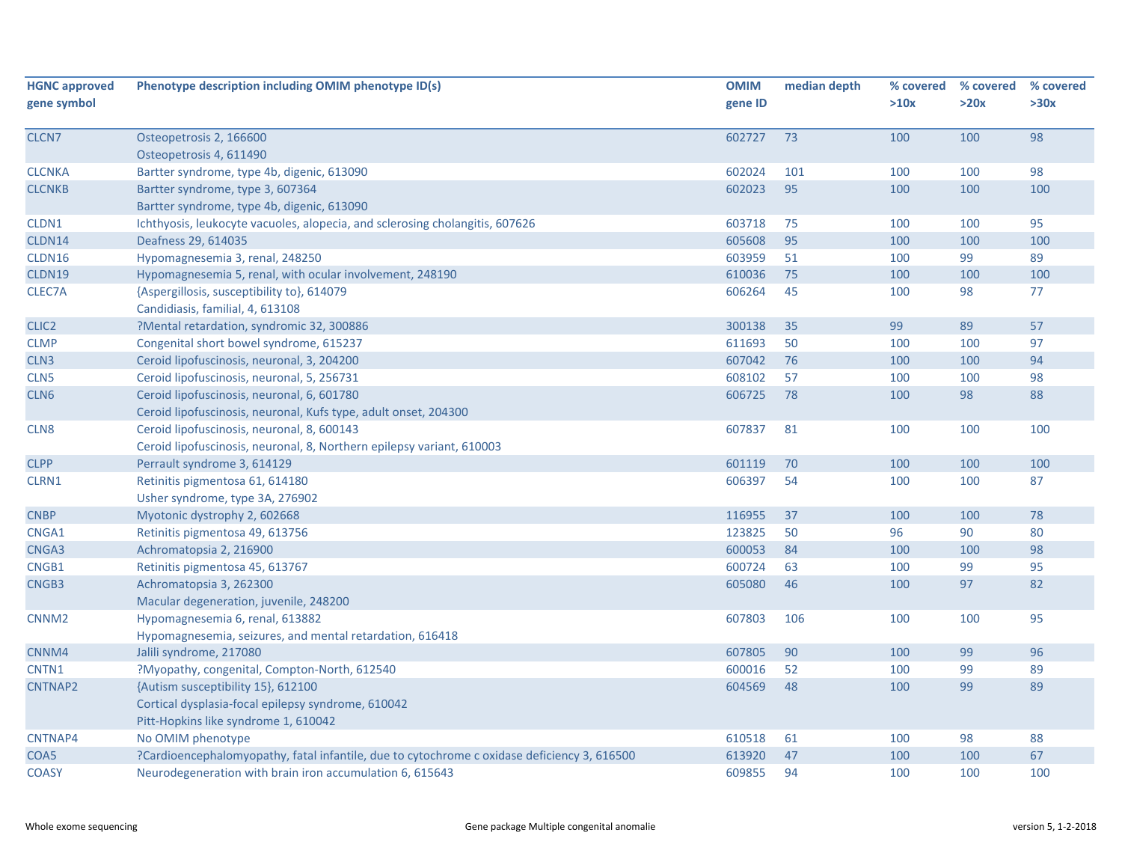| <b>HGNC approved</b><br>gene symbol | Phenotype description including OMIM phenotype ID(s)                                        | <b>OMIM</b><br>gene ID | median depth | % covered<br>>10x | % covered<br>>20x | % covered<br>>30x |
|-------------------------------------|---------------------------------------------------------------------------------------------|------------------------|--------------|-------------------|-------------------|-------------------|
|                                     |                                                                                             |                        |              |                   |                   |                   |
| CLCN7                               | Osteopetrosis 2, 166600                                                                     | 602727                 | 73           | 100               | 100               | 98                |
|                                     | Osteopetrosis 4, 611490                                                                     |                        |              |                   |                   |                   |
| <b>CLCNKA</b>                       | Bartter syndrome, type 4b, digenic, 613090                                                  | 602024                 | 101          | 100               | 100               | 98                |
| <b>CLCNKB</b>                       | Bartter syndrome, type 3, 607364                                                            | 602023                 | 95           | 100               | 100               | 100               |
|                                     | Bartter syndrome, type 4b, digenic, 613090                                                  |                        |              |                   |                   |                   |
| CLDN1                               | Ichthyosis, leukocyte vacuoles, alopecia, and sclerosing cholangitis, 607626                | 603718                 | 75           | 100               | 100               | 95                |
| CLDN14                              | Deafness 29, 614035                                                                         | 605608                 | 95           | 100               | 100               | 100               |
| CLDN16                              | Hypomagnesemia 3, renal, 248250                                                             | 603959                 | 51           | 100               | 99                | 89                |
| CLDN19                              | Hypomagnesemia 5, renal, with ocular involvement, 248190                                    | 610036                 | 75           | 100               | 100               | 100               |
| CLEC7A                              | {Aspergillosis, susceptibility to}, 614079                                                  | 606264                 | 45           | 100               | 98                | 77                |
|                                     | Candidiasis, familial, 4, 613108                                                            |                        |              |                   |                   |                   |
| CLIC <sub>2</sub>                   | ?Mental retardation, syndromic 32, 300886                                                   | 300138                 | 35           | 99                | 89                | 57                |
| <b>CLMP</b>                         | Congenital short bowel syndrome, 615237                                                     | 611693                 | 50           | 100               | 100               | 97                |
| CLN <sub>3</sub>                    | Ceroid lipofuscinosis, neuronal, 3, 204200                                                  | 607042                 | 76           | 100               | 100               | 94                |
| CLN <sub>5</sub>                    | Ceroid lipofuscinosis, neuronal, 5, 256731                                                  | 608102                 | 57           | 100               | 100               | 98                |
| CLN <sub>6</sub>                    | Ceroid lipofuscinosis, neuronal, 6, 601780                                                  | 606725                 | 78           | 100               | 98                | 88                |
|                                     | Ceroid lipofuscinosis, neuronal, Kufs type, adult onset, 204300                             |                        |              |                   |                   |                   |
| CLN <sub>8</sub>                    | Ceroid lipofuscinosis, neuronal, 8, 600143                                                  | 607837                 | 81           | 100               | 100               | 100               |
|                                     | Ceroid lipofuscinosis, neuronal, 8, Northern epilepsy variant, 610003                       |                        |              |                   |                   |                   |
| <b>CLPP</b>                         | Perrault syndrome 3, 614129                                                                 | 601119                 | 70           | 100               | 100               | 100               |
| CLRN1                               | Retinitis pigmentosa 61, 614180                                                             | 606397                 | 54           | 100               | 100               | 87                |
|                                     | Usher syndrome, type 3A, 276902                                                             |                        |              |                   |                   |                   |
| <b>CNBP</b>                         | Myotonic dystrophy 2, 602668                                                                | 116955                 | 37           | 100               | 100               | 78                |
| CNGA1                               | Retinitis pigmentosa 49, 613756                                                             | 123825                 | 50           | 96                | 90                | 80                |
| CNGA3                               | Achromatopsia 2, 216900                                                                     | 600053                 | 84           | 100               | 100               | 98                |
| CNGB1                               | Retinitis pigmentosa 45, 613767                                                             | 600724                 | 63           | 100               | 99                | 95                |
| CNGB3                               | Achromatopsia 3, 262300                                                                     | 605080                 | 46           | 100               | 97                | 82                |
|                                     | Macular degeneration, juvenile, 248200                                                      |                        |              |                   |                   |                   |
| CNNM <sub>2</sub>                   | Hypomagnesemia 6, renal, 613882                                                             | 607803                 | 106          | 100               | 100               | 95                |
|                                     | Hypomagnesemia, seizures, and mental retardation, 616418                                    |                        |              |                   |                   |                   |
| CNNM4                               | Jalili syndrome, 217080                                                                     | 607805                 | 90           | 100               | 99                | 96                |
| CNTN1                               | ?Myopathy, congenital, Compton-North, 612540                                                | 600016                 | 52           | 100               | 99                | 89                |
| <b>CNTNAP2</b>                      | {Autism susceptibility 15}, 612100                                                          | 604569                 | 48           | 100               | 99                | 89                |
|                                     | Cortical dysplasia-focal epilepsy syndrome, 610042                                          |                        |              |                   |                   |                   |
|                                     | Pitt-Hopkins like syndrome 1, 610042                                                        |                        |              |                   |                   |                   |
| CNTNAP4                             | No OMIM phenotype                                                                           | 610518                 | 61           | 100               | 98                | 88                |
| COA5                                | ?Cardioencephalomyopathy, fatal infantile, due to cytochrome c oxidase deficiency 3, 616500 | 613920                 | 47           | 100               | 100               | 67                |
| <b>COASY</b>                        | Neurodegeneration with brain iron accumulation 6, 615643                                    | 609855                 | 94           | 100               | 100               | 100               |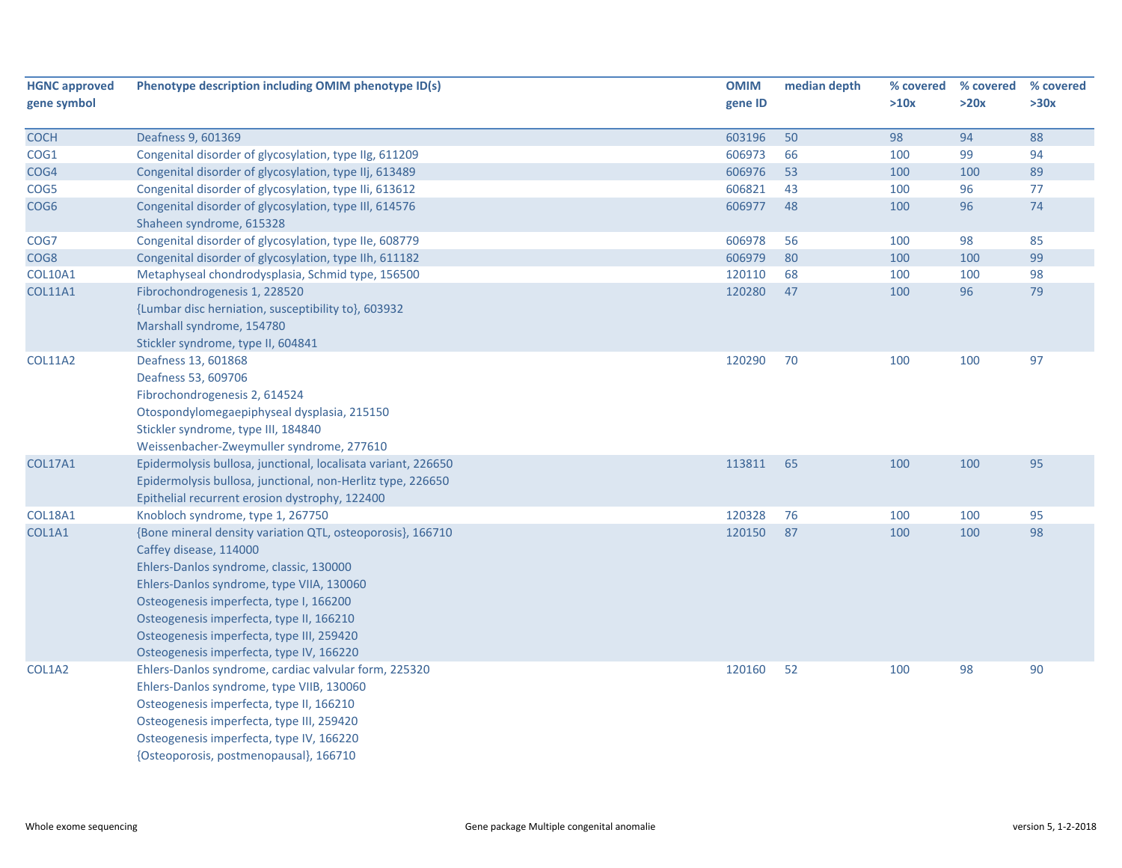| <b>HGNC approved</b> | Phenotype description including OMIM phenotype ID(s)                                                                                                                                                                                                                                                                                                         | <b>OMIM</b> | median depth | % covered | % covered | % covered |
|----------------------|--------------------------------------------------------------------------------------------------------------------------------------------------------------------------------------------------------------------------------------------------------------------------------------------------------------------------------------------------------------|-------------|--------------|-----------|-----------|-----------|
| gene symbol          |                                                                                                                                                                                                                                                                                                                                                              | gene ID     |              | >10x      | >20x      | >30x      |
| <b>COCH</b>          | Deafness 9, 601369                                                                                                                                                                                                                                                                                                                                           | 603196      | 50           | 98        | 94        | 88        |
| COG1                 | Congenital disorder of glycosylation, type IIg, 611209                                                                                                                                                                                                                                                                                                       | 606973      | 66           | 100       | 99        | 94        |
| COG4                 | Congenital disorder of glycosylation, type IIj, 613489                                                                                                                                                                                                                                                                                                       | 606976      | 53           | 100       | 100       | 89        |
| COG5                 | Congenital disorder of glycosylation, type IIi, 613612                                                                                                                                                                                                                                                                                                       | 606821      | 43           | 100       | 96        | 77        |
| COG <sub>6</sub>     | Congenital disorder of glycosylation, type III, 614576<br>Shaheen syndrome, 615328                                                                                                                                                                                                                                                                           | 606977      | 48           | 100       | 96        | 74        |
| COG7                 | Congenital disorder of glycosylation, type IIe, 608779                                                                                                                                                                                                                                                                                                       | 606978      | 56           | 100       | 98        | 85        |
| COG8                 | Congenital disorder of glycosylation, type IIh, 611182                                                                                                                                                                                                                                                                                                       | 606979      | 80           | 100       | 100       | 99        |
| <b>COL10A1</b>       | Metaphyseal chondrodysplasia, Schmid type, 156500                                                                                                                                                                                                                                                                                                            | 120110      | 68           | 100       | 100       | 98        |
| <b>COL11A1</b>       | Fibrochondrogenesis 1, 228520                                                                                                                                                                                                                                                                                                                                | 120280      | 47           | 100       | 96        | 79        |
|                      | {Lumbar disc herniation, susceptibility to}, 603932<br>Marshall syndrome, 154780<br>Stickler syndrome, type II, 604841                                                                                                                                                                                                                                       |             |              |           |           |           |
| <b>COL11A2</b>       | Deafness 13, 601868<br>Deafness 53, 609706<br>Fibrochondrogenesis 2, 614524<br>Otospondylomegaepiphyseal dysplasia, 215150<br>Stickler syndrome, type III, 184840<br>Weissenbacher-Zweymuller syndrome, 277610                                                                                                                                               | 120290      | 70           | 100       | 100       | 97        |
| <b>COL17A1</b>       | Epidermolysis bullosa, junctional, localisata variant, 226650<br>Epidermolysis bullosa, junctional, non-Herlitz type, 226650<br>Epithelial recurrent erosion dystrophy, 122400                                                                                                                                                                               | 113811      | 65           | 100       | 100       | 95        |
| <b>COL18A1</b>       | Knobloch syndrome, type 1, 267750                                                                                                                                                                                                                                                                                                                            | 120328      | 76           | 100       | 100       | 95        |
| COL1A1               | {Bone mineral density variation QTL, osteoporosis}, 166710<br>Caffey disease, 114000<br>Ehlers-Danlos syndrome, classic, 130000<br>Ehlers-Danlos syndrome, type VIIA, 130060<br>Osteogenesis imperfecta, type I, 166200<br>Osteogenesis imperfecta, type II, 166210<br>Osteogenesis imperfecta, type III, 259420<br>Osteogenesis imperfecta, type IV, 166220 | 120150      | 87           | 100       | 100       | 98        |
| COL1A2               | Ehlers-Danlos syndrome, cardiac valvular form, 225320<br>Ehlers-Danlos syndrome, type VIIB, 130060<br>Osteogenesis imperfecta, type II, 166210<br>Osteogenesis imperfecta, type III, 259420<br>Osteogenesis imperfecta, type IV, 166220<br>{Osteoporosis, postmenopausal}, 166710                                                                            | 120160      | 52           | 100       | 98        | 90        |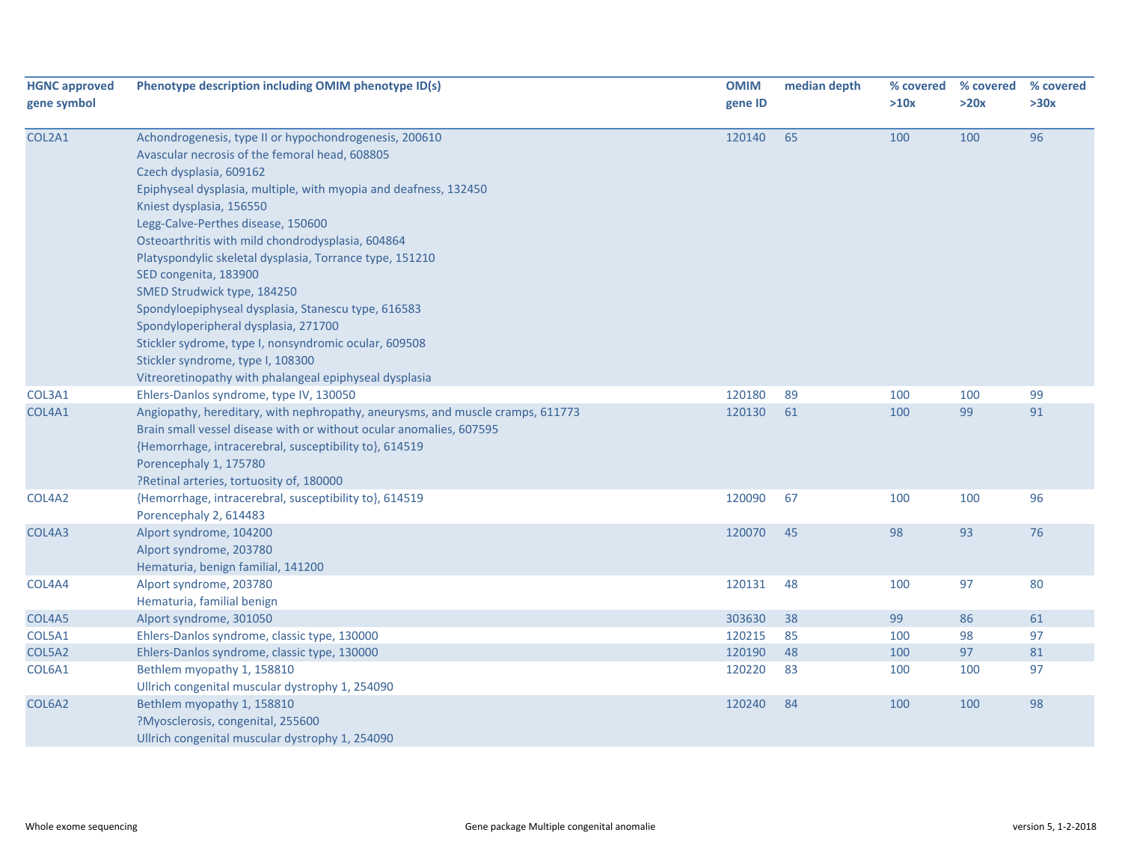| <b>HGNC approved</b><br>gene symbol | Phenotype description including OMIM phenotype ID(s)                                                                                                                                                                                                                                  | <b>OMIM</b><br>gene ID | median depth | % covered<br>>10x | % covered<br>>20x | % covered<br>>30x |
|-------------------------------------|---------------------------------------------------------------------------------------------------------------------------------------------------------------------------------------------------------------------------------------------------------------------------------------|------------------------|--------------|-------------------|-------------------|-------------------|
|                                     |                                                                                                                                                                                                                                                                                       |                        |              |                   |                   |                   |
| COL2A1                              | Achondrogenesis, type II or hypochondrogenesis, 200610<br>Avascular necrosis of the femoral head, 608805<br>Czech dysplasia, 609162<br>Epiphyseal dysplasia, multiple, with myopia and deafness, 132450<br>Kniest dysplasia, 156550                                                   | 120140                 | 65           | 100               | 100               | 96                |
|                                     | Legg-Calve-Perthes disease, 150600<br>Osteoarthritis with mild chondrodysplasia, 604864<br>Platyspondylic skeletal dysplasia, Torrance type, 151210<br>SED congenita, 183900<br>SMED Strudwick type, 184250<br>Spondyloepiphyseal dysplasia, Stanescu type, 616583                    |                        |              |                   |                   |                   |
|                                     | Spondyloperipheral dysplasia, 271700<br>Stickler sydrome, type I, nonsyndromic ocular, 609508<br>Stickler syndrome, type I, 108300<br>Vitreoretinopathy with phalangeal epiphyseal dysplasia                                                                                          |                        |              |                   |                   |                   |
| COL3A1                              | Ehlers-Danlos syndrome, type IV, 130050                                                                                                                                                                                                                                               | 120180                 | 89           | 100               | 100               | 99                |
| COL4A1                              | Angiopathy, hereditary, with nephropathy, aneurysms, and muscle cramps, 611773<br>Brain small vessel disease with or without ocular anomalies, 607595<br>{Hemorrhage, intracerebral, susceptibility to}, 614519<br>Porencephaly 1, 175780<br>?Retinal arteries, tortuosity of, 180000 | 120130                 | 61           | 100               | 99                | 91                |
| COL4A2                              | {Hemorrhage, intracerebral, susceptibility to}, 614519<br>Porencephaly 2, 614483                                                                                                                                                                                                      | 120090                 | 67           | 100               | 100               | 96                |
| COL4A3                              | Alport syndrome, 104200<br>Alport syndrome, 203780<br>Hematuria, benign familial, 141200                                                                                                                                                                                              | 120070                 | 45           | 98                | 93                | 76                |
| COL4A4                              | Alport syndrome, 203780<br>Hematuria, familial benign                                                                                                                                                                                                                                 | 120131                 | 48           | 100               | 97                | 80                |
| COL4A5                              | Alport syndrome, 301050                                                                                                                                                                                                                                                               | 303630                 | 38           | 99                | 86                | 61                |
| COL5A1                              | Ehlers-Danlos syndrome, classic type, 130000                                                                                                                                                                                                                                          | 120215                 | 85           | 100               | 98                | 97                |
| COL5A2                              | Ehlers-Danlos syndrome, classic type, 130000                                                                                                                                                                                                                                          | 120190                 | 48           | 100               | 97                | 81                |
| COL6A1                              | Bethlem myopathy 1, 158810<br>Ullrich congenital muscular dystrophy 1, 254090                                                                                                                                                                                                         | 120220                 | 83           | 100               | 100               | 97                |
| COL6A2                              | Bethlem myopathy 1, 158810<br>?Myosclerosis, congenital, 255600<br>Ullrich congenital muscular dystrophy 1, 254090                                                                                                                                                                    | 120240                 | 84           | 100               | 100               | 98                |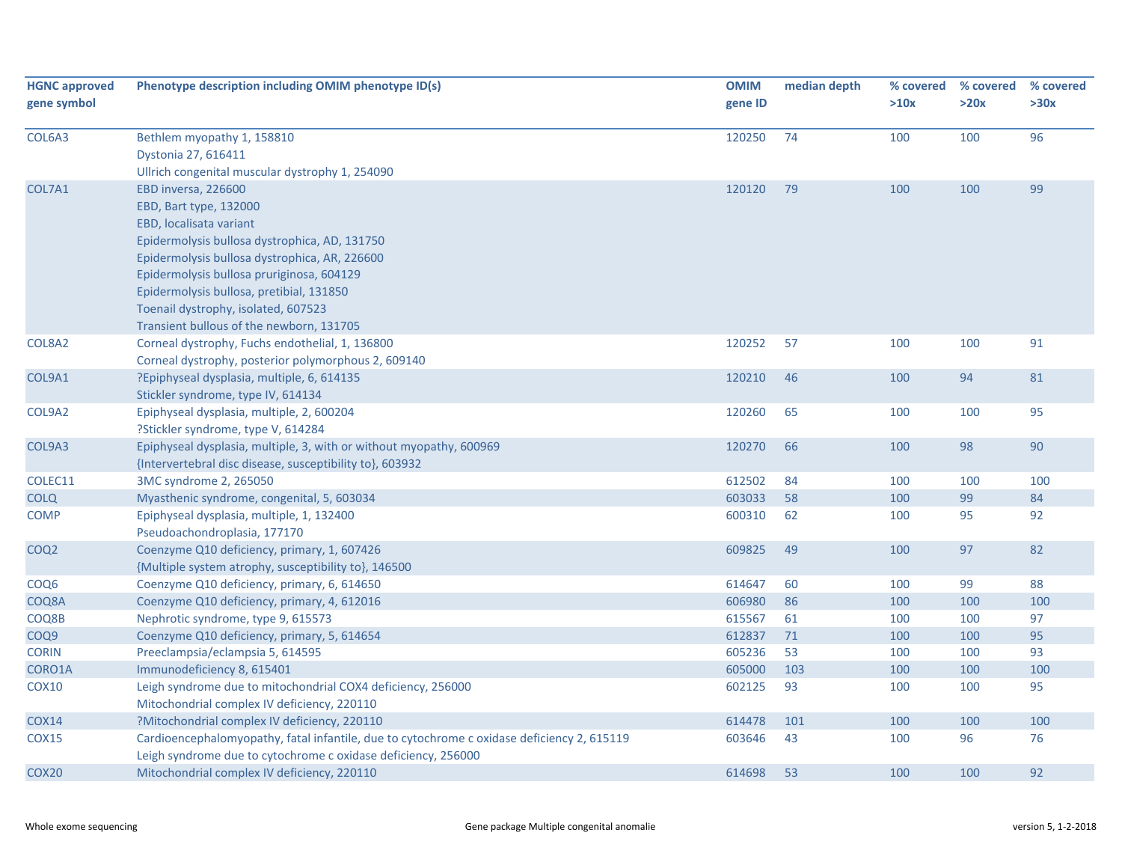| <b>HGNC approved</b><br>gene symbol | Phenotype description including OMIM phenotype ID(s)                                                                                                                                                                                                                                                                                                   | <b>OMIM</b><br>gene ID | median depth | % covered<br>>10x | % covered<br>>20x | % covered<br>>30x |
|-------------------------------------|--------------------------------------------------------------------------------------------------------------------------------------------------------------------------------------------------------------------------------------------------------------------------------------------------------------------------------------------------------|------------------------|--------------|-------------------|-------------------|-------------------|
| COL6A3                              | Bethlem myopathy 1, 158810<br>Dystonia 27, 616411<br>Ullrich congenital muscular dystrophy 1, 254090                                                                                                                                                                                                                                                   | 120250                 | 74           | 100               | 100               | 96                |
| COL7A1                              | EBD inversa, 226600<br>EBD, Bart type, 132000<br>EBD, localisata variant<br>Epidermolysis bullosa dystrophica, AD, 131750<br>Epidermolysis bullosa dystrophica, AR, 226600<br>Epidermolysis bullosa pruriginosa, 604129<br>Epidermolysis bullosa, pretibial, 131850<br>Toenail dystrophy, isolated, 607523<br>Transient bullous of the newborn, 131705 | 120120                 | 79           | 100               | 100               | 99                |
| COL8A2                              | Corneal dystrophy, Fuchs endothelial, 1, 136800<br>Corneal dystrophy, posterior polymorphous 2, 609140                                                                                                                                                                                                                                                 | 120252                 | 57           | 100               | 100               | 91                |
| COL9A1                              | ?Epiphyseal dysplasia, multiple, 6, 614135<br>Stickler syndrome, type IV, 614134                                                                                                                                                                                                                                                                       | 120210                 | 46           | 100               | 94                | 81                |
| COL9A2                              | Epiphyseal dysplasia, multiple, 2, 600204<br>?Stickler syndrome, type V, 614284                                                                                                                                                                                                                                                                        | 120260                 | 65           | 100               | 100               | 95                |
| COL9A3                              | Epiphyseal dysplasia, multiple, 3, with or without myopathy, 600969<br>{Intervertebral disc disease, susceptibility to}, 603932                                                                                                                                                                                                                        | 120270                 | 66           | 100               | 98                | 90                |
| COLEC11                             | 3MC syndrome 2, 265050                                                                                                                                                                                                                                                                                                                                 | 612502                 | 84           | 100               | 100               | 100               |
| COLQ                                | Myasthenic syndrome, congenital, 5, 603034                                                                                                                                                                                                                                                                                                             | 603033                 | 58           | 100               | 99                | 84                |
| <b>COMP</b>                         | Epiphyseal dysplasia, multiple, 1, 132400<br>Pseudoachondroplasia, 177170                                                                                                                                                                                                                                                                              | 600310                 | 62           | 100               | 95                | 92                |
| COQ <sub>2</sub>                    | Coenzyme Q10 deficiency, primary, 1, 607426<br>{Multiple system atrophy, susceptibility to}, 146500                                                                                                                                                                                                                                                    | 609825                 | 49           | 100               | 97                | 82                |
| COQ6                                | Coenzyme Q10 deficiency, primary, 6, 614650                                                                                                                                                                                                                                                                                                            | 614647                 | 60           | 100               | 99                | 88                |
| COQ8A                               | Coenzyme Q10 deficiency, primary, 4, 612016                                                                                                                                                                                                                                                                                                            | 606980                 | 86           | 100               | 100               | 100               |
| COQ8B                               | Nephrotic syndrome, type 9, 615573                                                                                                                                                                                                                                                                                                                     | 615567                 | 61           | 100               | 100               | 97                |
| COQ9                                | Coenzyme Q10 deficiency, primary, 5, 614654                                                                                                                                                                                                                                                                                                            | 612837                 | 71           | 100               | 100               | 95                |
| <b>CORIN</b>                        | Preeclampsia/eclampsia 5, 614595                                                                                                                                                                                                                                                                                                                       | 605236                 | 53           | 100               | 100               | 93                |
| CORO1A                              | Immunodeficiency 8, 615401                                                                                                                                                                                                                                                                                                                             | 605000                 | 103          | 100               | 100               | 100               |
| <b>COX10</b>                        | Leigh syndrome due to mitochondrial COX4 deficiency, 256000<br>Mitochondrial complex IV deficiency, 220110                                                                                                                                                                                                                                             | 602125                 | 93           | 100               | 100               | 95                |
| <b>COX14</b>                        | ?Mitochondrial complex IV deficiency, 220110                                                                                                                                                                                                                                                                                                           | 614478                 | 101          | 100               | 100               | 100               |
| <b>COX15</b>                        | Cardioencephalomyopathy, fatal infantile, due to cytochrome c oxidase deficiency 2, 615119<br>Leigh syndrome due to cytochrome c oxidase deficiency, 256000                                                                                                                                                                                            | 603646                 | 43           | 100               | 96                | 76                |
| COX <sub>20</sub>                   | Mitochondrial complex IV deficiency, 220110                                                                                                                                                                                                                                                                                                            | 614698                 | 53           | 100               | 100               | 92                |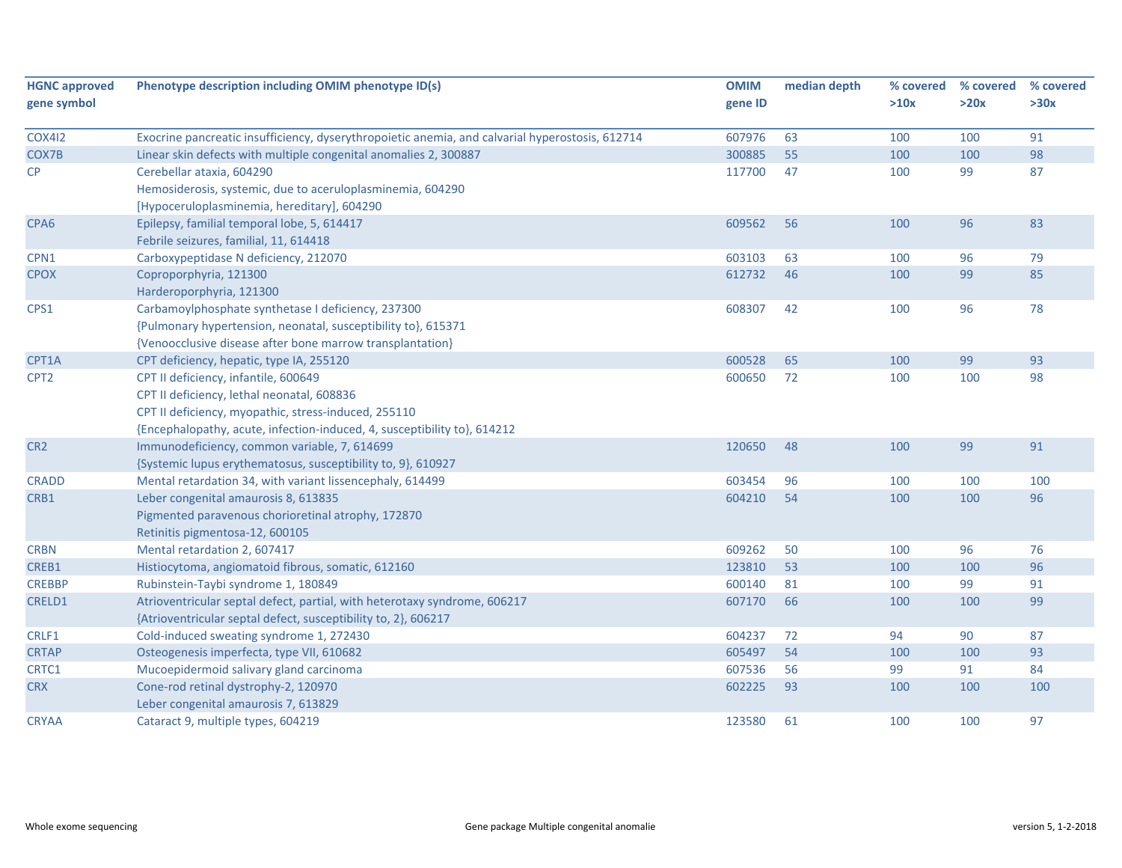| <b>HGNC approved</b> | Phenotype description including OMIM phenotype ID(s)                                            | <b>OMIM</b> | median depth | % covered | % covered | % covered |
|----------------------|-------------------------------------------------------------------------------------------------|-------------|--------------|-----------|-----------|-----------|
| gene symbol          |                                                                                                 | gene ID     |              | >10x      | >20x      | >30x      |
|                      |                                                                                                 |             |              |           |           |           |
| <b>COX412</b>        | Exocrine pancreatic insufficiency, dyserythropoietic anemia, and calvarial hyperostosis, 612714 | 607976      | 63           | 100       | 100       | 91        |
| COX7B                | Linear skin defects with multiple congenital anomalies 2, 300887                                | 300885      | 55           | 100       | 100       | 98        |
| CP                   | Cerebellar ataxia, 604290                                                                       | 117700      | 47           | 100       | 99        | 87        |
|                      | Hemosiderosis, systemic, due to aceruloplasminemia, 604290                                      |             |              |           |           |           |
|                      | [Hypoceruloplasminemia, hereditary], 604290                                                     |             |              |           |           |           |
| CPA <sub>6</sub>     | Epilepsy, familial temporal lobe, 5, 614417                                                     | 609562      | 56           | 100       | 96        | 83        |
|                      | Febrile seizures, familial, 11, 614418                                                          |             |              |           |           |           |
| CPN1                 | Carboxypeptidase N deficiency, 212070                                                           | 603103      | 63           | 100       | 96        | 79        |
| <b>CPOX</b>          | Coproporphyria, 121300                                                                          | 612732      | 46           | 100       | 99        | 85        |
|                      | Harderoporphyria, 121300                                                                        |             |              |           |           |           |
| CPS1                 | Carbamoylphosphate synthetase I deficiency, 237300                                              | 608307      | 42           | 100       | 96        | 78        |
|                      | {Pulmonary hypertension, neonatal, susceptibility to}, 615371                                   |             |              |           |           |           |
|                      | {Venoocclusive disease after bone marrow transplantation}                                       |             |              |           |           |           |
| CPT1A                | CPT deficiency, hepatic, type IA, 255120                                                        | 600528      | 65           | 100       | 99        | 93        |
| CPT <sub>2</sub>     | CPT II deficiency, infantile, 600649                                                            | 600650      | 72           | 100       | 100       | 98        |
|                      | CPT II deficiency, lethal neonatal, 608836                                                      |             |              |           |           |           |
|                      | CPT II deficiency, myopathic, stress-induced, 255110                                            |             |              |           |           |           |
|                      | {Encephalopathy, acute, infection-induced, 4, susceptibility to}, 614212                        |             |              |           |           |           |
| CR <sub>2</sub>      | Immunodeficiency, common variable, 7, 614699                                                    | 120650      | 48           | 100       | 99        | 91        |
|                      | {Systemic lupus erythematosus, susceptibility to, 9}, 610927                                    |             |              |           |           |           |
| <b>CRADD</b>         | Mental retardation 34, with variant lissencephaly, 614499                                       | 603454      | 96           | 100       | 100       | 100       |
| CRB1                 | Leber congenital amaurosis 8, 613835                                                            | 604210      | 54           | 100       | 100       | 96        |
|                      | Pigmented paravenous chorioretinal atrophy, 172870                                              |             |              |           |           |           |
|                      | Retinitis pigmentosa-12, 600105                                                                 |             |              |           |           |           |
| <b>CRBN</b>          | Mental retardation 2, 607417                                                                    | 609262      | 50           | 100       | 96        | 76        |
| CREB1                | Histiocytoma, angiomatoid fibrous, somatic, 612160                                              | 123810      | 53           | 100       | 100       | 96        |
| <b>CREBBP</b>        | Rubinstein-Taybi syndrome 1, 180849                                                             | 600140      | 81           | 100       | 99        | 91        |
| <b>CRELD1</b>        | Atrioventricular septal defect, partial, with heterotaxy syndrome, 606217                       | 607170      | 66           | 100       | 100       | 99        |
|                      | {Atrioventricular septal defect, susceptibility to, 2}, 606217                                  |             |              |           |           |           |
| CRLF1                | Cold-induced sweating syndrome 1, 272430                                                        | 604237      | 72           | 94        | 90        | 87        |
| <b>CRTAP</b>         | Osteogenesis imperfecta, type VII, 610682                                                       | 605497      | 54           | 100       | 100       | 93        |
| CRTC1                | Mucoepidermoid salivary gland carcinoma                                                         | 607536      | 56           | 99        | 91        | 84        |
| <b>CRX</b>           | Cone-rod retinal dystrophy-2, 120970                                                            | 602225      | 93           | 100       | 100       | 100       |
|                      | Leber congenital amaurosis 7, 613829                                                            |             |              |           |           |           |
| <b>CRYAA</b>         | Cataract 9, multiple types, 604219                                                              | 123580      | 61           | 100       | 100       | 97        |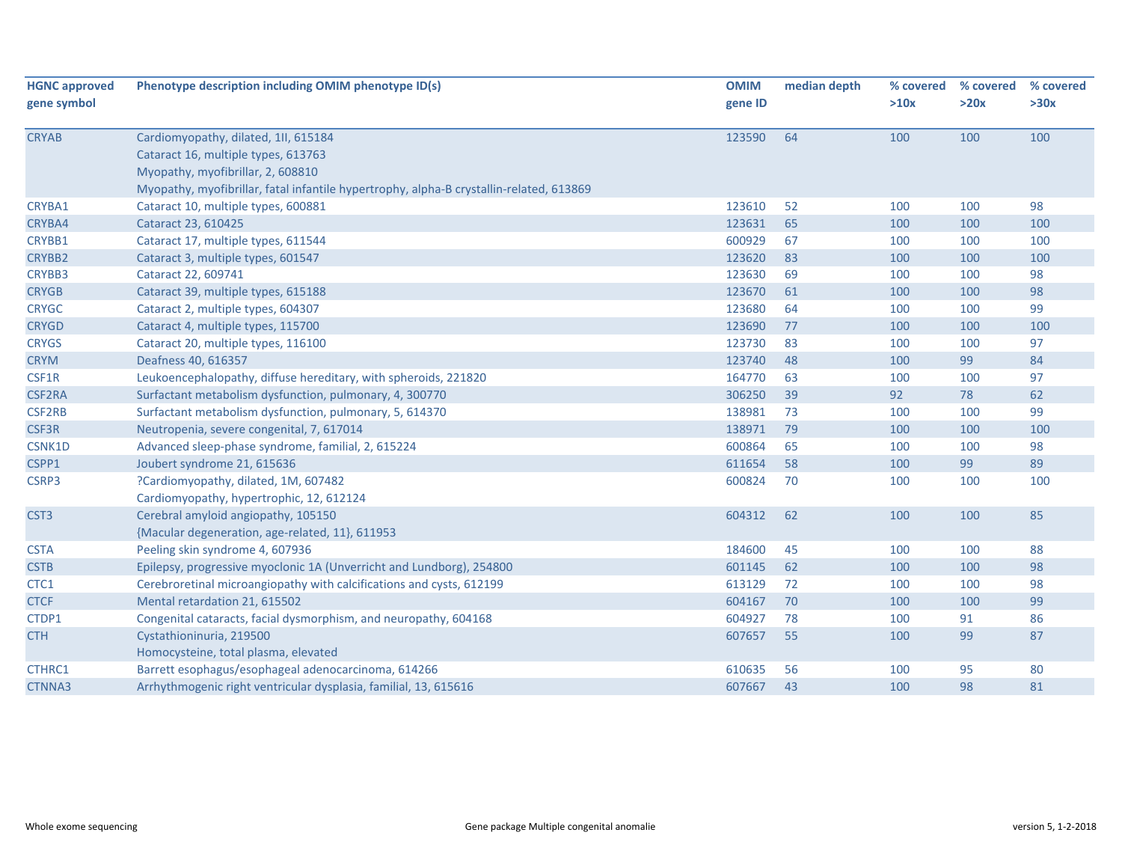| <b>HGNC approved</b> | Phenotype description including OMIM phenotype ID(s)                                    | <b>OMIM</b> | median depth | % covered | % covered | % covered |
|----------------------|-----------------------------------------------------------------------------------------|-------------|--------------|-----------|-----------|-----------|
| gene symbol          |                                                                                         | gene ID     |              | >10x      | >20x      | >30x      |
| <b>CRYAB</b>         | Cardiomyopathy, dilated, 1II, 615184                                                    | 123590      | 64           | 100       | 100       | 100       |
|                      | Cataract 16, multiple types, 613763                                                     |             |              |           |           |           |
|                      | Myopathy, myofibrillar, 2, 608810                                                       |             |              |           |           |           |
|                      | Myopathy, myofibrillar, fatal infantile hypertrophy, alpha-B crystallin-related, 613869 |             |              |           |           |           |
| CRYBA1               | Cataract 10, multiple types, 600881                                                     | 123610      | 52           | 100       | 100       | 98        |
| CRYBA4               | Cataract 23, 610425                                                                     | 123631      | 65           | 100       | 100       | 100       |
| CRYBB1               | Cataract 17, multiple types, 611544                                                     | 600929      | 67           | 100       | 100       | 100       |
| <b>CRYBB2</b>        | Cataract 3, multiple types, 601547                                                      | 123620      | 83           | 100       | 100       | 100       |
| CRYBB3               | Cataract 22, 609741                                                                     | 123630      | 69           | 100       | 100       | 98        |
| <b>CRYGB</b>         | Cataract 39, multiple types, 615188                                                     | 123670      | 61           | 100       | 100       | 98        |
| <b>CRYGC</b>         | Cataract 2, multiple types, 604307                                                      | 123680      | 64           | 100       | 100       | 99        |
| <b>CRYGD</b>         | Cataract 4, multiple types, 115700                                                      | 123690      | 77           | 100       | 100       | 100       |
| <b>CRYGS</b>         | Cataract 20, multiple types, 116100                                                     | 123730      | 83           | 100       | 100       | 97        |
| <b>CRYM</b>          | Deafness 40, 616357                                                                     | 123740      | 48           | 100       | 99        | 84        |
| CSF1R                | Leukoencephalopathy, diffuse hereditary, with spheroids, 221820                         | 164770      | 63           | 100       | 100       | 97        |
| <b>CSF2RA</b>        | Surfactant metabolism dysfunction, pulmonary, 4, 300770                                 | 306250      | 39           | 92        | 78        | 62        |
| CSF2RB               | Surfactant metabolism dysfunction, pulmonary, 5, 614370                                 | 138981      | 73           | 100       | 100       | 99        |
| CSF3R                | Neutropenia, severe congenital, 7, 617014                                               | 138971      | 79           | 100       | 100       | 100       |
| CSNK1D               | Advanced sleep-phase syndrome, familial, 2, 615224                                      | 600864      | 65           | 100       | 100       | 98        |
| CSPP1                | Joubert syndrome 21, 615636                                                             | 611654      | 58           | 100       | 99        | 89        |
| CSRP3                | ?Cardiomyopathy, dilated, 1M, 607482                                                    | 600824      | 70           | 100       | 100       | 100       |
|                      | Cardiomyopathy, hypertrophic, 12, 612124                                                |             |              |           |           |           |
| CST <sub>3</sub>     | Cerebral amyloid angiopathy, 105150                                                     | 604312      | 62           | 100       | 100       | 85        |
|                      | {Macular degeneration, age-related, 11}, 611953                                         |             |              |           |           |           |
| <b>CSTA</b>          | Peeling skin syndrome 4, 607936                                                         | 184600      | 45           | 100       | 100       | 88        |
| <b>CSTB</b>          | Epilepsy, progressive myoclonic 1A (Unverricht and Lundborg), 254800                    | 601145      | 62           | 100       | 100       | 98        |
| CTC1                 | Cerebroretinal microangiopathy with calcifications and cysts, 612199                    | 613129      | 72           | 100       | 100       | 98        |
| <b>CTCF</b>          | Mental retardation 21, 615502                                                           | 604167      | 70           | 100       | 100       | 99        |
| CTDP1                | Congenital cataracts, facial dysmorphism, and neuropathy, 604168                        | 604927      | 78           | 100       | 91        | 86        |
| <b>CTH</b>           | Cystathioninuria, 219500                                                                | 607657      | 55           | 100       | 99        | 87        |
|                      | Homocysteine, total plasma, elevated                                                    |             |              |           |           |           |
| CTHRC1               | Barrett esophagus/esophageal adenocarcinoma, 614266                                     | 610635      | 56           | 100       | 95        | 80        |
| CTNNA3               | Arrhythmogenic right ventricular dysplasia, familial, 13, 615616                        | 607667      | 43           | 100       | 98        | 81        |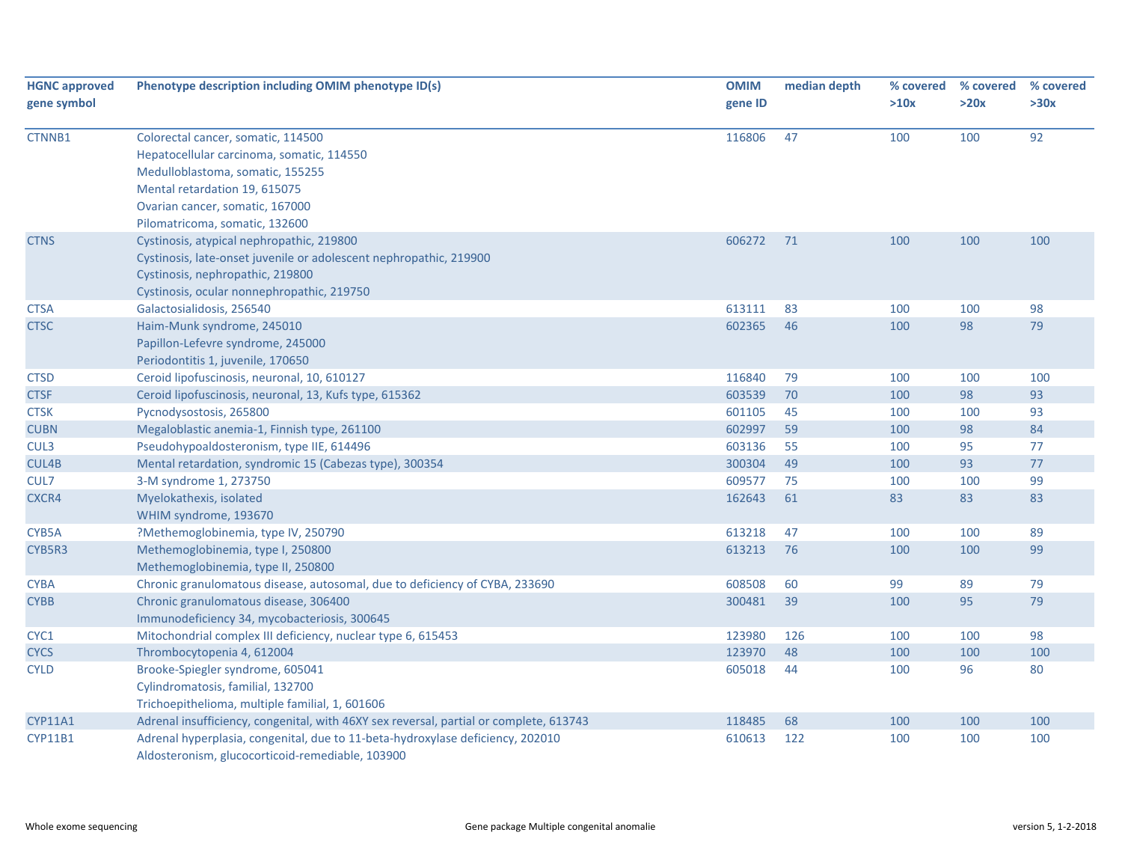| <b>HGNC approved</b><br>gene symbol | Phenotype description including OMIM phenotype ID(s)                                                                                                                                                                      | <b>OMIM</b><br>gene ID | median depth | % covered<br>>10x | % covered<br>>20x | % covered<br>>30x |
|-------------------------------------|---------------------------------------------------------------------------------------------------------------------------------------------------------------------------------------------------------------------------|------------------------|--------------|-------------------|-------------------|-------------------|
| CTNNB1                              | Colorectal cancer, somatic, 114500<br>Hepatocellular carcinoma, somatic, 114550<br>Medulloblastoma, somatic, 155255<br>Mental retardation 19, 615075<br>Ovarian cancer, somatic, 167000<br>Pilomatricoma, somatic, 132600 | 116806                 | 47           | 100               | 100               | 92                |
| <b>CTNS</b>                         | Cystinosis, atypical nephropathic, 219800<br>Cystinosis, late-onset juvenile or adolescent nephropathic, 219900<br>Cystinosis, nephropathic, 219800<br>Cystinosis, ocular nonnephropathic, 219750                         | 606272                 | 71           | 100               | 100               | 100               |
| <b>CTSA</b>                         | Galactosialidosis, 256540                                                                                                                                                                                                 | 613111                 | 83           | 100               | 100               | 98                |
| <b>CTSC</b>                         | Haim-Munk syndrome, 245010<br>Papillon-Lefevre syndrome, 245000<br>Periodontitis 1, juvenile, 170650                                                                                                                      | 602365                 | 46           | 100               | 98                | 79                |
| <b>CTSD</b>                         | Ceroid lipofuscinosis, neuronal, 10, 610127                                                                                                                                                                               | 116840                 | 79           | 100               | 100               | 100               |
| <b>CTSF</b>                         | Ceroid lipofuscinosis, neuronal, 13, Kufs type, 615362                                                                                                                                                                    | 603539                 | 70           | 100               | 98                | 93                |
| <b>CTSK</b>                         | Pycnodysostosis, 265800                                                                                                                                                                                                   | 601105                 | 45           | 100               | 100               | 93                |
| <b>CUBN</b>                         | Megaloblastic anemia-1, Finnish type, 261100                                                                                                                                                                              | 602997                 | 59           | 100               | 98                | 84                |
| CUL3                                | Pseudohypoaldosteronism, type IIE, 614496                                                                                                                                                                                 | 603136                 | 55           | 100               | 95                | 77                |
| CUL4B                               | Mental retardation, syndromic 15 (Cabezas type), 300354                                                                                                                                                                   | 300304                 | 49           | 100               | 93                | 77                |
| CUL7                                | 3-M syndrome 1, 273750                                                                                                                                                                                                    | 609577                 | 75           | 100               | 100               | 99                |
| CXCR4                               | Myelokathexis, isolated<br>WHIM syndrome, 193670                                                                                                                                                                          | 162643                 | 61           | 83                | 83                | 83                |
| CYB5A                               | ?Methemoglobinemia, type IV, 250790                                                                                                                                                                                       | 613218                 | 47           | 100               | 100               | 89                |
| CYB5R3                              | Methemoglobinemia, type I, 250800<br>Methemoglobinemia, type II, 250800                                                                                                                                                   | 613213                 | 76           | 100               | 100               | 99                |
| <b>CYBA</b>                         | Chronic granulomatous disease, autosomal, due to deficiency of CYBA, 233690                                                                                                                                               | 608508                 | 60           | 99                | 89                | 79                |
| <b>CYBB</b>                         | Chronic granulomatous disease, 306400<br>Immunodeficiency 34, mycobacteriosis, 300645                                                                                                                                     | 300481                 | 39           | 100               | 95                | 79                |
| CYC1                                | Mitochondrial complex III deficiency, nuclear type 6, 615453                                                                                                                                                              | 123980                 | 126          | 100               | 100               | 98                |
| <b>CYCS</b>                         | Thrombocytopenia 4, 612004                                                                                                                                                                                                | 123970                 | 48           | 100               | 100               | 100               |
| <b>CYLD</b>                         | Brooke-Spiegler syndrome, 605041<br>Cylindromatosis, familial, 132700<br>Trichoepithelioma, multiple familial, 1, 601606                                                                                                  | 605018                 | 44           | 100               | 96                | 80                |
| CYP11A1                             | Adrenal insufficiency, congenital, with 46XY sex reversal, partial or complete, 613743                                                                                                                                    | 118485                 | 68           | 100               | 100               | 100               |
| <b>CYP11B1</b>                      | Adrenal hyperplasia, congenital, due to 11-beta-hydroxylase deficiency, 202010<br>Aldosteronism, glucocorticoid-remediable, 103900                                                                                        | 610613                 | 122          | 100               | 100               | 100               |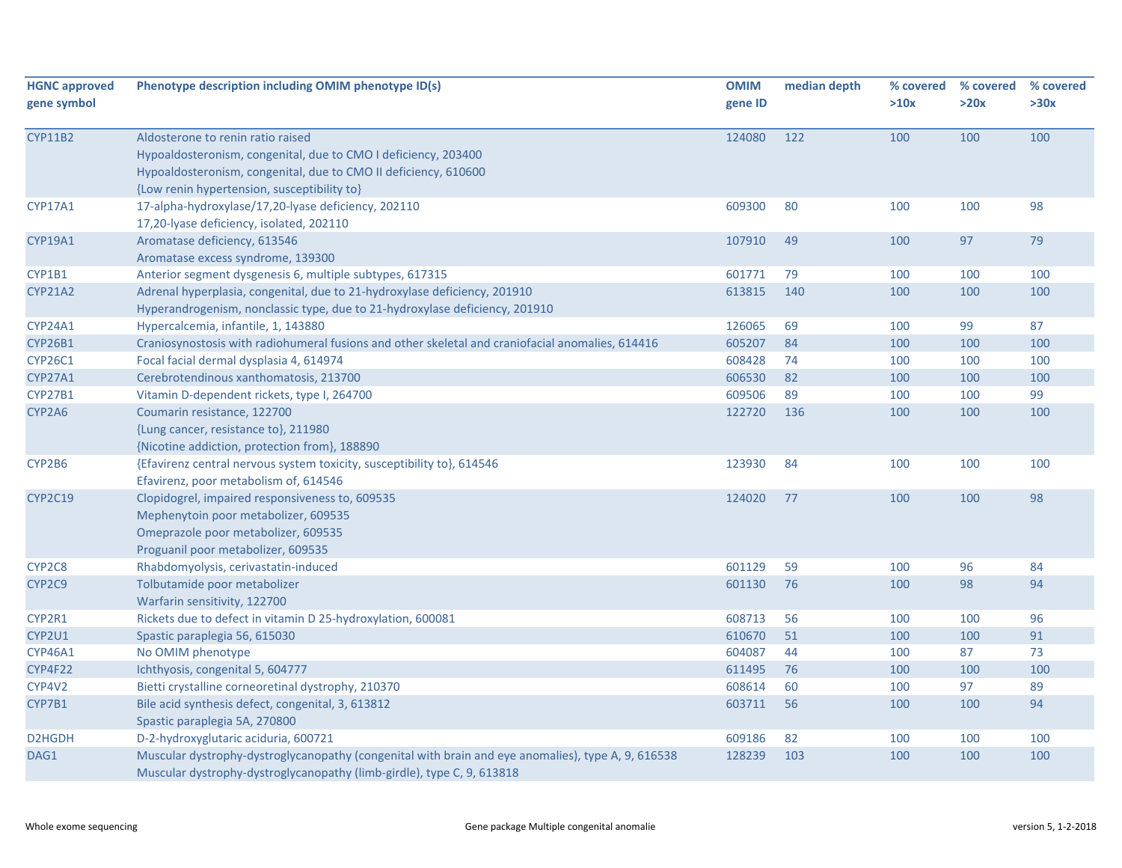| <b>HGNC approved</b><br>gene symbol | Phenotype description including OMIM phenotype ID(s)                                                                                                                                                                  | <b>OMIM</b><br>gene ID | median depth | % covered<br>>10x | % covered<br>>20x | % covered<br>>30x |
|-------------------------------------|-----------------------------------------------------------------------------------------------------------------------------------------------------------------------------------------------------------------------|------------------------|--------------|-------------------|-------------------|-------------------|
| <b>CYP11B2</b>                      | Aldosterone to renin ratio raised<br>Hypoaldosteronism, congenital, due to CMO I deficiency, 203400<br>Hypoaldosteronism, congenital, due to CMO II deficiency, 610600<br>{Low renin hypertension, susceptibility to} | 124080                 | 122          | 100               | 100               | 100               |
| CYP17A1                             | 17-alpha-hydroxylase/17,20-lyase deficiency, 202110<br>17,20-lyase deficiency, isolated, 202110                                                                                                                       | 609300                 | 80           | 100               | 100               | 98                |
| CYP19A1                             | Aromatase deficiency, 613546<br>Aromatase excess syndrome, 139300                                                                                                                                                     | 107910                 | 49           | 100               | 97                | 79                |
| CYP1B1                              | Anterior segment dysgenesis 6, multiple subtypes, 617315                                                                                                                                                              | 601771                 | 79           | 100               | 100               | 100               |
| <b>CYP21A2</b>                      | Adrenal hyperplasia, congenital, due to 21-hydroxylase deficiency, 201910<br>Hyperandrogenism, nonclassic type, due to 21-hydroxylase deficiency, 201910                                                              | 613815                 | 140          | 100               | 100               | 100               |
| CYP24A1                             | Hypercalcemia, infantile, 1, 143880                                                                                                                                                                                   | 126065                 | 69           | 100               | 99                | 87                |
| <b>CYP26B1</b>                      | Craniosynostosis with radiohumeral fusions and other skeletal and craniofacial anomalies, 614416                                                                                                                      | 605207                 | 84           | 100               | 100               | 100               |
| <b>CYP26C1</b>                      | Focal facial dermal dysplasia 4, 614974                                                                                                                                                                               | 608428                 | 74           | 100               | 100               | 100               |
| CYP27A1                             | Cerebrotendinous xanthomatosis, 213700                                                                                                                                                                                | 606530                 | 82           | 100               | 100               | 100               |
| <b>CYP27B1</b>                      | Vitamin D-dependent rickets, type I, 264700                                                                                                                                                                           | 609506                 | 89           | 100               | 100               | 99                |
| CYP2A6                              | Coumarin resistance, 122700<br>{Lung cancer, resistance to}, 211980<br>{Nicotine addiction, protection from}, 188890                                                                                                  | 122720                 | 136          | 100               | 100               | 100               |
| CYP2B6                              | {Efavirenz central nervous system toxicity, susceptibility to}, 614546<br>Efavirenz, poor metabolism of, 614546                                                                                                       | 123930                 | 84           | 100               | 100               | 100               |
| <b>CYP2C19</b>                      | Clopidogrel, impaired responsiveness to, 609535<br>Mephenytoin poor metabolizer, 609535<br>Omeprazole poor metabolizer, 609535<br>Proguanil poor metabolizer, 609535                                                  | 124020                 | 77           | 100               | 100               | 98                |
| CYP2C8                              | Rhabdomyolysis, cerivastatin-induced                                                                                                                                                                                  | 601129                 | 59           | 100               | 96                | 84                |
| CYP2C9                              | Tolbutamide poor metabolizer<br>Warfarin sensitivity, 122700                                                                                                                                                          | 601130                 | 76           | 100               | 98                | 94                |
| CYP2R1                              | Rickets due to defect in vitamin D 25-hydroxylation, 600081                                                                                                                                                           | 608713                 | 56           | 100               | 100               | 96                |
| CYP2U1                              | Spastic paraplegia 56, 615030                                                                                                                                                                                         | 610670                 | 51           | 100               | 100               | 91                |
| <b>CYP46A1</b>                      | No OMIM phenotype                                                                                                                                                                                                     | 604087                 | 44           | 100               | 87                | 73                |
| CYP4F22                             | Ichthyosis, congenital 5, 604777                                                                                                                                                                                      | 611495                 | 76           | 100               | 100               | 100               |
| CYP4V2                              | Bietti crystalline corneoretinal dystrophy, 210370                                                                                                                                                                    | 608614                 | 60           | 100               | 97                | 89                |
| CYP7B1                              | Bile acid synthesis defect, congenital, 3, 613812<br>Spastic paraplegia 5A, 270800                                                                                                                                    | 603711                 | 56           | 100               | 100               | 94                |
| D2HGDH                              | D-2-hydroxyglutaric aciduria, 600721                                                                                                                                                                                  | 609186                 | 82           | 100               | 100               | 100               |
| DAG1                                | Muscular dystrophy-dystroglycanopathy (congenital with brain and eye anomalies), type A, 9, 616538<br>Muscular dystrophy-dystroglycanopathy (limb-girdle), type C, 9, 613818                                          | 128239                 | 103          | 100               | 100               | 100               |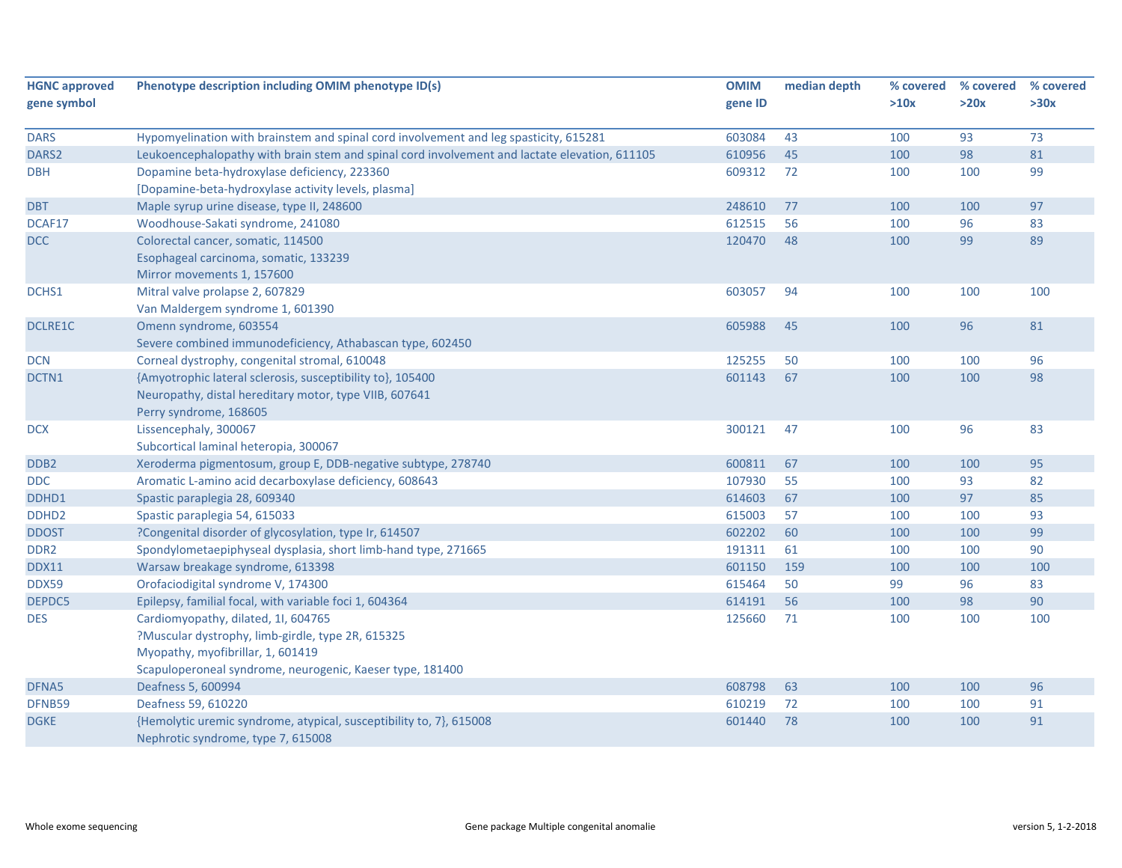| <b>HGNC approved</b> | Phenotype description including OMIM phenotype ID(s)                                          | <b>OMIM</b> | median depth | % covered | % covered | % covered |
|----------------------|-----------------------------------------------------------------------------------------------|-------------|--------------|-----------|-----------|-----------|
| gene symbol          |                                                                                               | gene ID     |              | >10x      | >20x      | >30x      |
|                      |                                                                                               |             |              |           |           |           |
| <b>DARS</b>          | Hypomyelination with brainstem and spinal cord involvement and leg spasticity, 615281         | 603084      | 43           | 100       | 93        | 73        |
| DARS2                | Leukoencephalopathy with brain stem and spinal cord involvement and lactate elevation, 611105 | 610956      | 45           | 100       | 98        | 81        |
| <b>DBH</b>           | Dopamine beta-hydroxylase deficiency, 223360                                                  | 609312      | 72           | 100       | 100       | 99        |
|                      | [Dopamine-beta-hydroxylase activity levels, plasma]                                           |             |              |           |           |           |
| <b>DBT</b>           | Maple syrup urine disease, type II, 248600                                                    | 248610      | 77           | 100       | 100       | 97        |
| DCAF17               | Woodhouse-Sakati syndrome, 241080                                                             | 612515      | 56           | 100       | 96        | 83        |
| <b>DCC</b>           | Colorectal cancer, somatic, 114500                                                            | 120470      | 48           | 100       | 99        | 89        |
|                      | Esophageal carcinoma, somatic, 133239                                                         |             |              |           |           |           |
|                      | Mirror movements 1, 157600                                                                    |             |              |           |           |           |
| DCHS1                | Mitral valve prolapse 2, 607829                                                               | 603057      | 94           | 100       | 100       | 100       |
|                      | Van Maldergem syndrome 1, 601390                                                              |             |              |           |           |           |
| <b>DCLRE1C</b>       | Omenn syndrome, 603554                                                                        | 605988      | 45           | 100       | 96        | 81        |
|                      | Severe combined immunodeficiency, Athabascan type, 602450                                     |             |              |           |           |           |
| DCN                  | Corneal dystrophy, congenital stromal, 610048                                                 | 125255      | 50           | 100       | 100       | 96        |
| DCTN1                | {Amyotrophic lateral sclerosis, susceptibility to}, 105400                                    | 601143      | 67           | 100       | 100       | 98        |
|                      | Neuropathy, distal hereditary motor, type VIIB, 607641                                        |             |              |           |           |           |
|                      | Perry syndrome, 168605                                                                        |             |              |           |           |           |
| <b>DCX</b>           | Lissencephaly, 300067                                                                         | 300121      | 47           | 100       | 96        | 83        |
|                      | Subcortical laminal heteropia, 300067                                                         |             |              |           |           |           |
| DDB <sub>2</sub>     | Xeroderma pigmentosum, group E, DDB-negative subtype, 278740                                  | 600811      | 67           | 100       | 100       | 95        |
| <b>DDC</b>           | Aromatic L-amino acid decarboxylase deficiency, 608643                                        | 107930      | 55           | 100       | 93        | 82        |
| DDHD1                | Spastic paraplegia 28, 609340                                                                 | 614603      | 67           | 100       | 97        | 85        |
| DDHD <sub>2</sub>    | Spastic paraplegia 54, 615033                                                                 | 615003      | 57           | 100       | 100       | 93        |
| <b>DDOST</b>         | ?Congenital disorder of glycosylation, type Ir, 614507                                        | 602202      | 60           | 100       | 100       | 99        |
| DDR <sub>2</sub>     | Spondylometaepiphyseal dysplasia, short limb-hand type, 271665                                | 191311      | 61           | 100       | 100       | 90        |
| DDX11                | Warsaw breakage syndrome, 613398                                                              | 601150      | 159          | 100       | 100       | 100       |
| <b>DDX59</b>         | Orofaciodigital syndrome V, 174300                                                            | 615464      | 50           | 99        | 96        | 83        |
| DEPDC5               | Epilepsy, familial focal, with variable foci 1, 604364                                        | 614191      | 56           | 100       | 98        | 90        |
| <b>DES</b>           | Cardiomyopathy, dilated, 1I, 604765                                                           | 125660      | 71           | 100       | 100       | 100       |
|                      | ?Muscular dystrophy, limb-girdle, type 2R, 615325                                             |             |              |           |           |           |
|                      | Myopathy, myofibrillar, 1, 601419                                                             |             |              |           |           |           |
|                      | Scapuloperoneal syndrome, neurogenic, Kaeser type, 181400                                     |             |              |           |           |           |
| DFNA5                | Deafness 5, 600994                                                                            | 608798      | 63           | 100       | 100       | 96        |
| DFNB59               | Deafness 59, 610220                                                                           | 610219      | 72           | 100       | 100       | 91        |
| <b>DGKE</b>          | {Hemolytic uremic syndrome, atypical, susceptibility to, 7}, 615008                           | 601440      | 78           | 100       | 100       | 91        |
|                      | Nephrotic syndrome, type 7, 615008                                                            |             |              |           |           |           |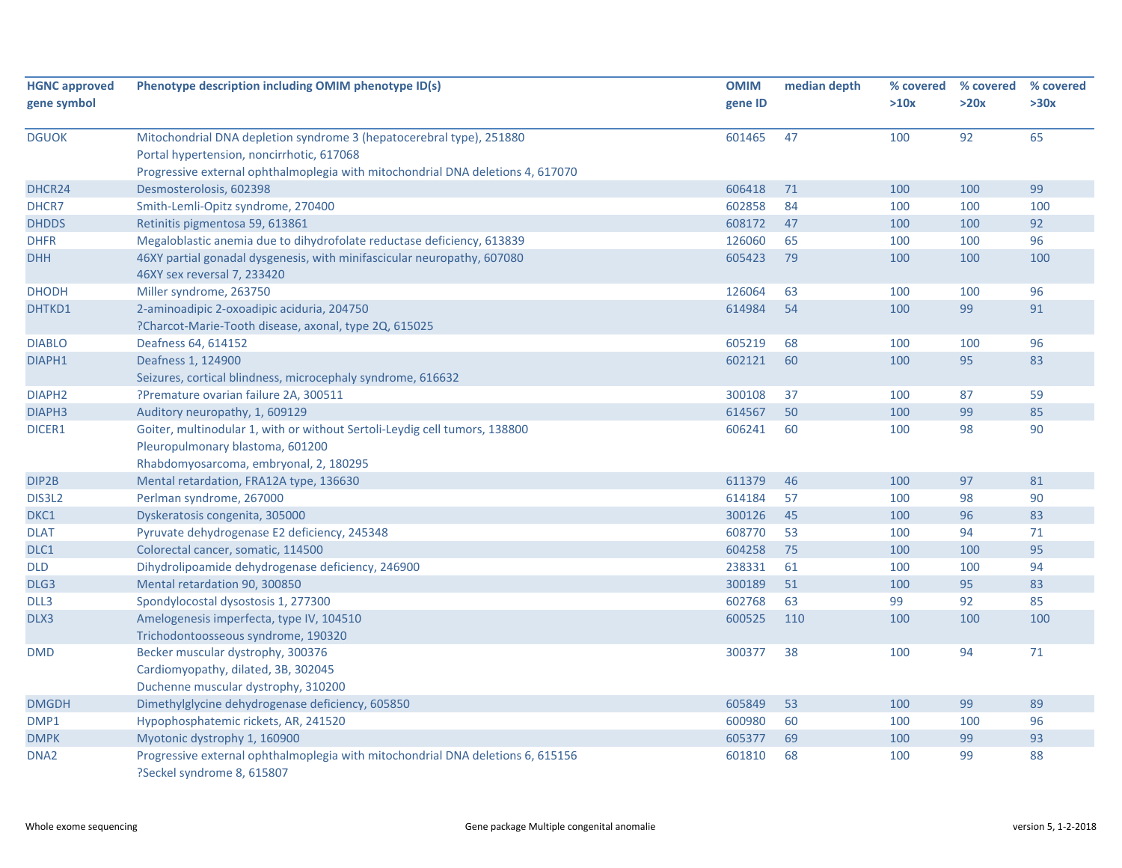| <b>HGNC approved</b><br>gene symbol | Phenotype description including OMIM phenotype ID(s)                                                                                                                                                 | <b>OMIM</b><br>gene ID | median depth | % covered<br>>10x | % covered<br>>20x | % covered<br>>30x |
|-------------------------------------|------------------------------------------------------------------------------------------------------------------------------------------------------------------------------------------------------|------------------------|--------------|-------------------|-------------------|-------------------|
| <b>DGUOK</b>                        | Mitochondrial DNA depletion syndrome 3 (hepatocerebral type), 251880<br>Portal hypertension, noncirrhotic, 617068<br>Progressive external ophthalmoplegia with mitochondrial DNA deletions 4, 617070 | 601465                 | 47           | 100               | 92                | 65                |
| DHCR24                              | Desmosterolosis, 602398                                                                                                                                                                              | 606418                 | 71           | 100               | 100               | 99                |
| DHCR7                               | Smith-Lemli-Opitz syndrome, 270400                                                                                                                                                                   | 602858                 | 84           | 100               | 100               | 100               |
| <b>DHDDS</b>                        | Retinitis pigmentosa 59, 613861                                                                                                                                                                      | 608172                 | 47           | 100               | 100               | 92                |
| <b>DHFR</b>                         | Megaloblastic anemia due to dihydrofolate reductase deficiency, 613839                                                                                                                               | 126060                 | 65           | 100               | 100               | 96                |
| <b>DHH</b>                          | 46XY partial gonadal dysgenesis, with minifascicular neuropathy, 607080<br>46XY sex reversal 7, 233420                                                                                               | 605423                 | 79           | 100               | 100               | 100               |
| <b>DHODH</b>                        | Miller syndrome, 263750                                                                                                                                                                              | 126064                 | 63           | 100               | 100               | 96                |
| DHTKD1                              | 2-aminoadipic 2-oxoadipic aciduria, 204750<br>?Charcot-Marie-Tooth disease, axonal, type 2Q, 615025                                                                                                  | 614984                 | 54           | 100               | 99                | 91                |
| <b>DIABLO</b>                       | Deafness 64, 614152                                                                                                                                                                                  | 605219                 | 68           | 100               | 100               | 96                |
| DIAPH1                              | Deafness 1, 124900<br>Seizures, cortical blindness, microcephaly syndrome, 616632                                                                                                                    | 602121                 | 60           | 100               | 95                | 83                |
| DIAPH <sub>2</sub>                  | ?Premature ovarian failure 2A, 300511                                                                                                                                                                | 300108                 | 37           | 100               | 87                | 59                |
| DIAPH <sub>3</sub>                  | Auditory neuropathy, 1, 609129                                                                                                                                                                       | 614567                 | 50           | 100               | 99                | 85                |
| DICER1                              | Goiter, multinodular 1, with or without Sertoli-Leydig cell tumors, 138800<br>Pleuropulmonary blastoma, 601200<br>Rhabdomyosarcoma, embryonal, 2, 180295                                             | 606241                 | 60           | 100               | 98                | 90                |
| DIP2B                               | Mental retardation, FRA12A type, 136630                                                                                                                                                              | 611379                 | 46           | 100               | 97                | 81                |
| DIS3L2                              | Perlman syndrome, 267000                                                                                                                                                                             | 614184                 | 57           | 100               | 98                | 90                |
| DKC1                                | Dyskeratosis congenita, 305000                                                                                                                                                                       | 300126                 | 45           | 100               | 96                | 83                |
| <b>DLAT</b>                         | Pyruvate dehydrogenase E2 deficiency, 245348                                                                                                                                                         | 608770                 | 53           | 100               | 94                | $71\,$            |
| DLC1                                | Colorectal cancer, somatic, 114500                                                                                                                                                                   | 604258                 | 75           | 100               | 100               | 95                |
| <b>DLD</b>                          | Dihydrolipoamide dehydrogenase deficiency, 246900                                                                                                                                                    | 238331                 | 61           | 100               | 100               | 94                |
| DLG <sub>3</sub>                    | Mental retardation 90, 300850                                                                                                                                                                        | 300189                 | 51           | 100               | 95                | 83                |
| DLL3                                | Spondylocostal dysostosis 1, 277300                                                                                                                                                                  | 602768                 | 63           | 99                | 92                | 85                |
| DLX3                                | Amelogenesis imperfecta, type IV, 104510<br>Trichodontoosseous syndrome, 190320                                                                                                                      | 600525                 | 110          | 100               | 100               | 100               |
| <b>DMD</b>                          | Becker muscular dystrophy, 300376<br>Cardiomyopathy, dilated, 3B, 302045<br>Duchenne muscular dystrophy, 310200                                                                                      | 300377                 | 38           | 100               | 94                | $71\,$            |
| <b>DMGDH</b>                        | Dimethylglycine dehydrogenase deficiency, 605850                                                                                                                                                     | 605849                 | 53           | 100               | 99                | 89                |
| DMP1                                | Hypophosphatemic rickets, AR, 241520                                                                                                                                                                 | 600980                 | 60           | 100               | 100               | 96                |
| <b>DMPK</b>                         | Myotonic dystrophy 1, 160900                                                                                                                                                                         | 605377                 | 69           | 100               | 99                | 93                |
| DNA <sub>2</sub>                    | Progressive external ophthalmoplegia with mitochondrial DNA deletions 6, 615156<br>?Seckel syndrome 8, 615807                                                                                        | 601810                 | 68           | 100               | 99                | 88                |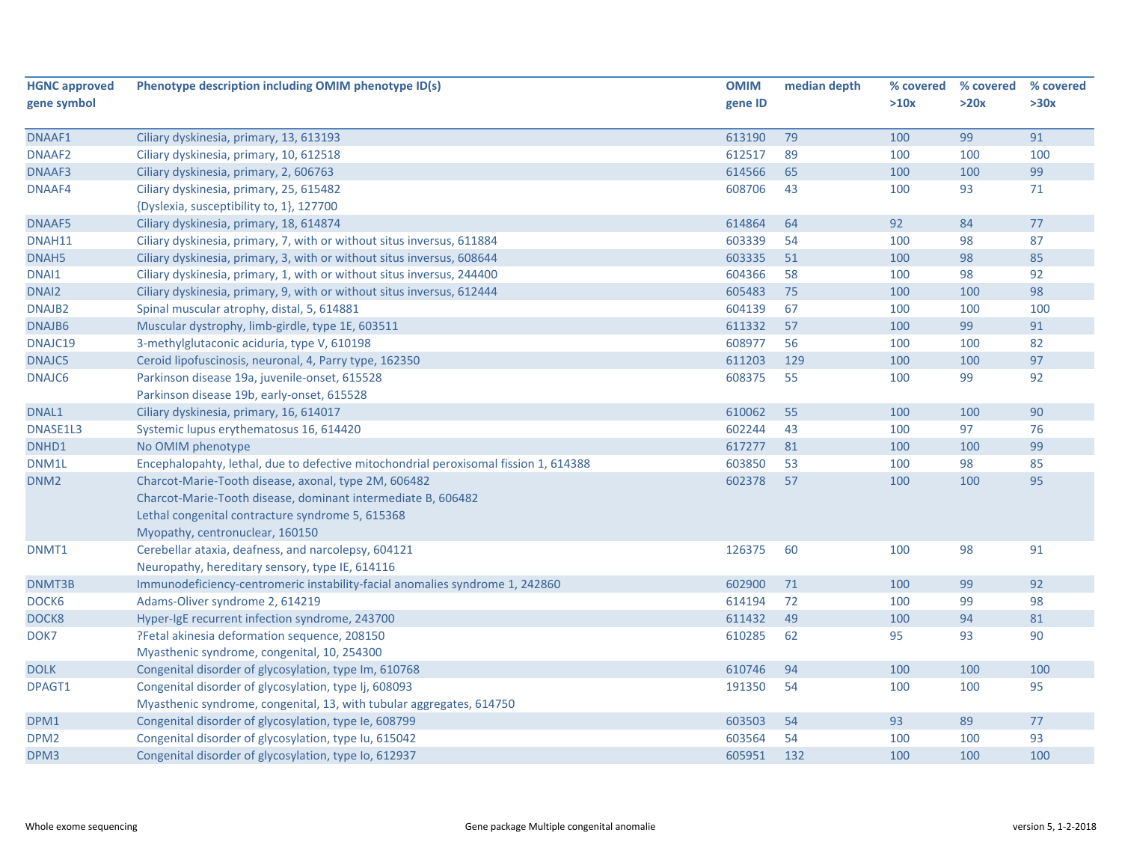| <b>HGNC approved</b> | Phenotype description including OMIM phenotype ID(s)                                 | <b>OMIM</b> | median depth | % covered | % covered | % covered |
|----------------------|--------------------------------------------------------------------------------------|-------------|--------------|-----------|-----------|-----------|
| gene symbol          |                                                                                      | gene ID     |              | >10x      | >20x      | >30x      |
|                      |                                                                                      |             |              |           |           |           |
| DNAAF1               | Ciliary dyskinesia, primary, 13, 613193                                              | 613190      | 79           | 100       | 99        | 91        |
| DNAAF2               | Ciliary dyskinesia, primary, 10, 612518                                              | 612517      | 89           | 100       | 100       | 100       |
| DNAAF3               | Ciliary dyskinesia, primary, 2, 606763                                               | 614566      | 65           | 100       | 100       | 99        |
| DNAAF4               | Ciliary dyskinesia, primary, 25, 615482                                              | 608706      | 43           | 100       | 93        | 71        |
|                      | {Dyslexia, susceptibility to, 1}, 127700                                             |             |              |           |           |           |
| DNAAF5               | Ciliary dyskinesia, primary, 18, 614874                                              | 614864      | 64           | 92        | 84        | 77        |
| DNAH11               | Ciliary dyskinesia, primary, 7, with or without situs inversus, 611884               | 603339      | 54           | 100       | 98        | 87        |
| DNAH5                | Ciliary dyskinesia, primary, 3, with or without situs inversus, 608644               | 603335      | 51           | 100       | 98        | 85        |
| DNAI1                | Ciliary dyskinesia, primary, 1, with or without situs inversus, 244400               | 604366      | 58           | 100       | 98        | 92        |
| DNAI2                | Ciliary dyskinesia, primary, 9, with or without situs inversus, 612444               | 605483      | 75           | 100       | 100       | 98        |
| DNAJB2               | Spinal muscular atrophy, distal, 5, 614881                                           | 604139      | 67           | 100       | 100       | 100       |
| DNAJB6               | Muscular dystrophy, limb-girdle, type 1E, 603511                                     | 611332      | 57           | 100       | 99        | 91        |
| DNAJC19              | 3-methylglutaconic aciduria, type V, 610198                                          | 608977      | 56           | 100       | 100       | 82        |
| DNAJC5               | Ceroid lipofuscinosis, neuronal, 4, Parry type, 162350                               | 611203      | 129          | 100       | 100       | 97        |
| DNAJC6               | Parkinson disease 19a, juvenile-onset, 615528                                        | 608375      | 55           | 100       | 99        | 92        |
|                      | Parkinson disease 19b, early-onset, 615528                                           |             |              |           |           |           |
| DNAL1                | Ciliary dyskinesia, primary, 16, 614017                                              | 610062      | 55           | 100       | 100       | 90        |
| DNASE1L3             | Systemic lupus erythematosus 16, 614420                                              | 602244      | 43           | 100       | 97        | 76        |
| DNHD1                | No OMIM phenotype                                                                    | 617277      | 81           | 100       | 100       | 99        |
| DNM1L                | Encephalopahty, lethal, due to defective mitochondrial peroxisomal fission 1, 614388 | 603850      | 53           | 100       | 98        | 85        |
| DNM <sub>2</sub>     | Charcot-Marie-Tooth disease, axonal, type 2M, 606482                                 | 602378      | 57           | 100       | 100       | 95        |
|                      | Charcot-Marie-Tooth disease, dominant intermediate B, 606482                         |             |              |           |           |           |
|                      | Lethal congenital contracture syndrome 5, 615368                                     |             |              |           |           |           |
|                      | Myopathy, centronuclear, 160150                                                      |             |              |           |           |           |
| DNMT1                | Cerebellar ataxia, deafness, and narcolepsy, 604121                                  | 126375      | 60           | 100       | 98        | 91        |
|                      | Neuropathy, hereditary sensory, type IE, 614116                                      |             |              |           |           |           |
| DNMT3B               | Immunodeficiency-centromeric instability-facial anomalies syndrome 1, 242860         | 602900      | 71           | 100       | 99        | 92        |
| DOCK6                | Adams-Oliver syndrome 2, 614219                                                      | 614194      | 72           | 100       | 99        | 98        |
| DOCK8                | Hyper-IgE recurrent infection syndrome, 243700                                       | 611432      | 49           | 100       | 94        | 81        |
| DOK7                 | ?Fetal akinesia deformation sequence, 208150                                         | 610285      | 62           | 95        | 93        | 90        |
|                      | Myasthenic syndrome, congenital, 10, 254300                                          |             |              |           |           |           |
| <b>DOLK</b>          | Congenital disorder of glycosylation, type Im, 610768                                | 610746      | 94           | 100       | 100       | 100       |
| DPAGT1               | Congenital disorder of glycosylation, type Ij, 608093                                | 191350      | 54           | 100       | 100       | 95        |
|                      | Myasthenic syndrome, congenital, 13, with tubular aggregates, 614750                 |             |              |           |           |           |
| DPM1                 | Congenital disorder of glycosylation, type Ie, 608799                                | 603503      | 54           | 93        | 89        | 77        |
| DPM <sub>2</sub>     | Congenital disorder of glycosylation, type Iu, 615042                                | 603564      | 54           | 100       | 100       | 93        |
| DPM3                 | Congenital disorder of glycosylation, type Io, 612937                                | 605951      | 132          | 100       | 100       | 100       |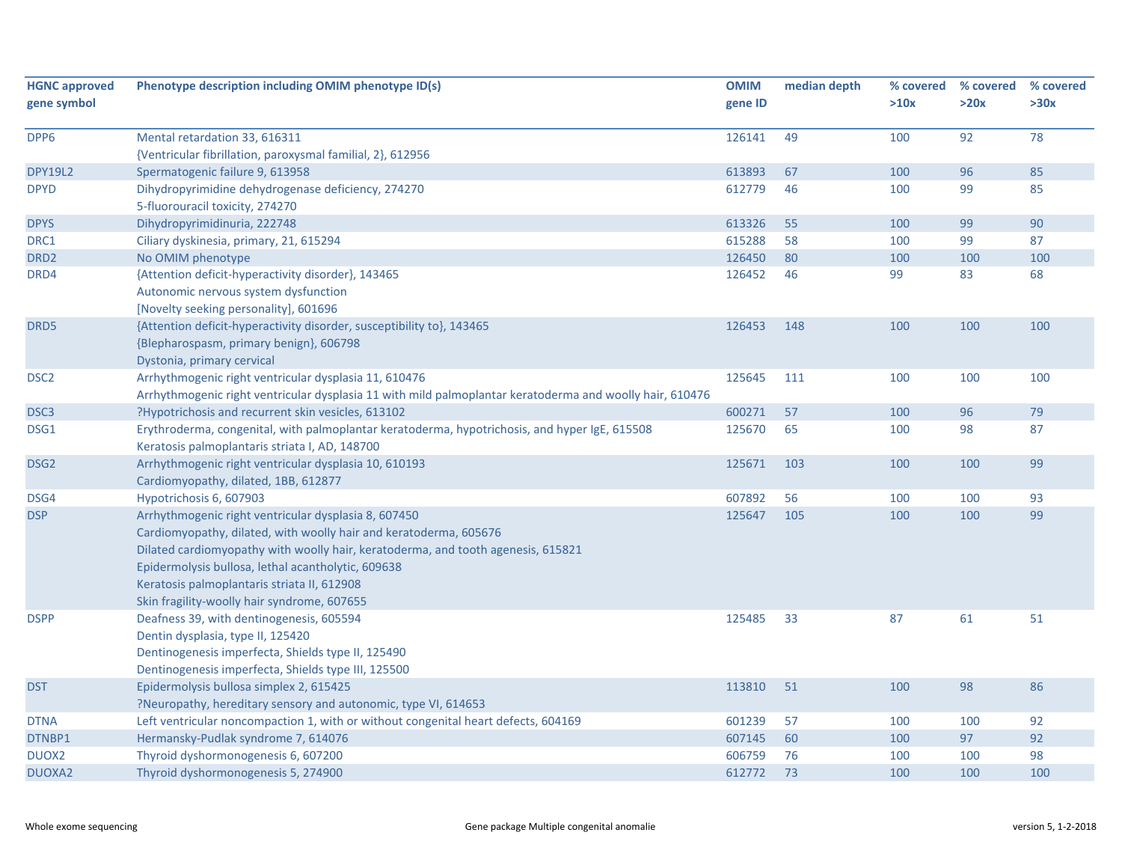| <b>HGNC approved</b><br>gene symbol | Phenotype description including OMIM phenotype ID(s)                                                                                            | <b>OMIM</b><br>gene ID | median depth | % covered<br>>10x | % covered<br>>20x | % covered<br>>30x |
|-------------------------------------|-------------------------------------------------------------------------------------------------------------------------------------------------|------------------------|--------------|-------------------|-------------------|-------------------|
|                                     |                                                                                                                                                 |                        |              |                   |                   |                   |
| DPP6                                | Mental retardation 33, 616311                                                                                                                   | 126141                 | 49           | 100               | 92                | 78                |
|                                     | {Ventricular fibrillation, paroxysmal familial, 2}, 612956                                                                                      |                        |              |                   |                   |                   |
| <b>DPY19L2</b>                      | Spermatogenic failure 9, 613958                                                                                                                 | 613893                 | 67           | 100               | 96                | 85                |
| <b>DPYD</b>                         | Dihydropyrimidine dehydrogenase deficiency, 274270                                                                                              | 612779                 | 46           | 100               | 99                | 85                |
|                                     | 5-fluorouracil toxicity, 274270                                                                                                                 |                        |              |                   |                   |                   |
| <b>DPYS</b>                         | Dihydropyrimidinuria, 222748                                                                                                                    | 613326                 | 55           | 100               | 99                | 90                |
| DRC1                                | Ciliary dyskinesia, primary, 21, 615294                                                                                                         | 615288                 | 58           | 100               | 99                | 87                |
| DRD <sub>2</sub>                    | No OMIM phenotype                                                                                                                               | 126450                 | 80           | 100               | 100               | 100               |
| DRD4                                | {Attention deficit-hyperactivity disorder}, 143465                                                                                              | 126452                 | 46           | 99                | 83                | 68                |
|                                     | Autonomic nervous system dysfunction                                                                                                            |                        |              |                   |                   |                   |
|                                     | [Novelty seeking personality], 601696                                                                                                           |                        |              |                   |                   |                   |
| DRD5                                | {Attention deficit-hyperactivity disorder, susceptibility to}, 143465                                                                           | 126453                 | 148          | 100               | 100               | 100               |
|                                     | {Blepharospasm, primary benign}, 606798                                                                                                         |                        |              |                   |                   |                   |
|                                     | Dystonia, primary cervical                                                                                                                      |                        |              |                   |                   |                   |
| DSC <sub>2</sub>                    | Arrhythmogenic right ventricular dysplasia 11, 610476                                                                                           | 125645                 | 111          | 100               | 100               | 100               |
|                                     | Arrhythmogenic right ventricular dysplasia 11 with mild palmoplantar keratoderma and woolly hair, 610476                                        |                        |              |                   |                   |                   |
| DSC <sub>3</sub>                    | ?Hypotrichosis and recurrent skin vesicles, 613102                                                                                              | 600271                 | 57           | 100               | 96                | 79                |
| DSG1                                | Erythroderma, congenital, with palmoplantar keratoderma, hypotrichosis, and hyper IgE, 615508<br>Keratosis palmoplantaris striata I, AD, 148700 | 125670                 | 65           | 100               | 98                | 87                |
| DSG <sub>2</sub>                    | Arrhythmogenic right ventricular dysplasia 10, 610193                                                                                           | 125671                 | 103          | 100               | 100               | 99                |
|                                     | Cardiomyopathy, dilated, 1BB, 612877                                                                                                            |                        |              |                   |                   |                   |
| DSG4                                | Hypotrichosis 6, 607903                                                                                                                         | 607892                 | 56           | 100               | 100               | 93                |
| <b>DSP</b>                          | Arrhythmogenic right ventricular dysplasia 8, 607450                                                                                            | 125647                 | 105          | 100               | 100               | 99                |
|                                     | Cardiomyopathy, dilated, with woolly hair and keratoderma, 605676                                                                               |                        |              |                   |                   |                   |
|                                     | Dilated cardiomyopathy with woolly hair, keratoderma, and tooth agenesis, 615821                                                                |                        |              |                   |                   |                   |
|                                     | Epidermolysis bullosa, lethal acantholytic, 609638                                                                                              |                        |              |                   |                   |                   |
|                                     | Keratosis palmoplantaris striata II, 612908                                                                                                     |                        |              |                   |                   |                   |
|                                     | Skin fragility-woolly hair syndrome, 607655                                                                                                     |                        |              |                   |                   |                   |
| <b>DSPP</b>                         | Deafness 39, with dentinogenesis, 605594                                                                                                        | 125485                 | 33           | 87                | 61                | 51                |
|                                     | Dentin dysplasia, type II, 125420                                                                                                               |                        |              |                   |                   |                   |
|                                     | Dentinogenesis imperfecta, Shields type II, 125490                                                                                              |                        |              |                   |                   |                   |
|                                     | Dentinogenesis imperfecta, Shields type III, 125500                                                                                             |                        |              |                   |                   |                   |
| <b>DST</b>                          | Epidermolysis bullosa simplex 2, 615425                                                                                                         | 113810                 | 51           | 100               | 98                | 86                |
|                                     | ?Neuropathy, hereditary sensory and autonomic, type VI, 614653                                                                                  |                        |              |                   |                   |                   |
| <b>DTNA</b>                         | Left ventricular noncompaction 1, with or without congenital heart defects, 604169                                                              | 601239                 | 57           | 100               | 100               | 92                |
| DTNBP1                              | Hermansky-Pudlak syndrome 7, 614076                                                                                                             | 607145                 | 60           | 100               | 97                | 92                |
| DUOX2                               | Thyroid dyshormonogenesis 6, 607200                                                                                                             | 606759                 | 76           | 100               | 100               | 98                |
| <b>DUOXA2</b>                       | Thyroid dyshormonogenesis 5, 274900                                                                                                             | 612772                 | 73           | 100               | 100               | 100               |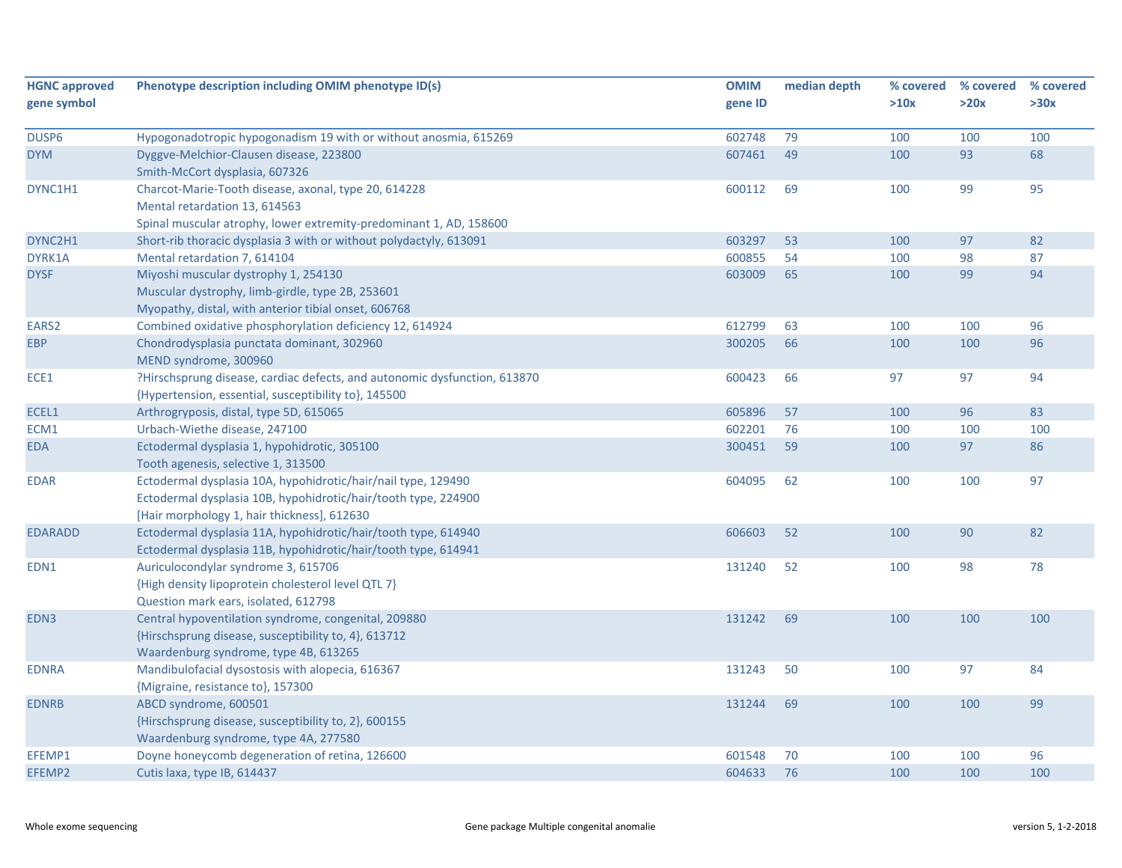| <b>HGNC approved</b> | Phenotype description including OMIM phenotype ID(s)                      | <b>OMIM</b> | median depth | % covered | % covered | % covered |
|----------------------|---------------------------------------------------------------------------|-------------|--------------|-----------|-----------|-----------|
| gene symbol          |                                                                           | gene ID     |              | >10x      | >20x      | >30x      |
|                      |                                                                           |             |              |           |           |           |
| DUSP6                | Hypogonadotropic hypogonadism 19 with or without anosmia, 615269          | 602748      | 79           | 100       | 100       | 100       |
| <b>DYM</b>           | Dyggve-Melchior-Clausen disease, 223800                                   | 607461      | 49           | 100       | 93        | 68        |
|                      | Smith-McCort dysplasia, 607326                                            |             |              |           |           |           |
| DYNC1H1              | Charcot-Marie-Tooth disease, axonal, type 20, 614228                      | 600112      | 69           | 100       | 99        | 95        |
|                      | Mental retardation 13, 614563                                             |             |              |           |           |           |
|                      | Spinal muscular atrophy, lower extremity-predominant 1, AD, 158600        |             |              |           |           |           |
| DYNC2H1              | Short-rib thoracic dysplasia 3 with or without polydactyly, 613091        | 603297      | 53           | 100       | 97        | 82        |
| DYRK1A               | Mental retardation 7, 614104                                              | 600855      | 54           | 100       | 98        | 87        |
| <b>DYSF</b>          | Miyoshi muscular dystrophy 1, 254130                                      | 603009      | 65           | 100       | 99        | 94        |
|                      | Muscular dystrophy, limb-girdle, type 2B, 253601                          |             |              |           |           |           |
|                      | Myopathy, distal, with anterior tibial onset, 606768                      |             |              |           |           |           |
| EARS <sub>2</sub>    | Combined oxidative phosphorylation deficiency 12, 614924                  | 612799      | 63           | 100       | 100       | 96        |
| <b>EBP</b>           | Chondrodysplasia punctata dominant, 302960                                | 300205      | 66           | 100       | 100       | 96        |
|                      | MEND syndrome, 300960                                                     |             |              |           |           |           |
| ECE1                 | ?Hirschsprung disease, cardiac defects, and autonomic dysfunction, 613870 | 600423      | 66           | 97        | 97        | 94        |
|                      | {Hypertension, essential, susceptibility to}, 145500                      |             |              |           |           |           |
| ECEL1                | Arthrogryposis, distal, type 5D, 615065                                   | 605896      | 57           | 100       | 96        | 83        |
| ECM1                 | Urbach-Wiethe disease, 247100                                             | 602201      | 76           | 100       | 100       | 100       |
| <b>EDA</b>           | Ectodermal dysplasia 1, hypohidrotic, 305100                              | 300451      | 59           | 100       | 97        | 86        |
|                      | Tooth agenesis, selective 1, 313500                                       |             |              |           |           |           |
| <b>EDAR</b>          | Ectodermal dysplasia 10A, hypohidrotic/hair/nail type, 129490             | 604095      | 62           | 100       | 100       | 97        |
|                      | Ectodermal dysplasia 10B, hypohidrotic/hair/tooth type, 224900            |             |              |           |           |           |
|                      | [Hair morphology 1, hair thickness], 612630                               |             |              |           |           |           |
| <b>EDARADD</b>       | Ectodermal dysplasia 11A, hypohidrotic/hair/tooth type, 614940            | 606603      | 52           | 100       | 90        | 82        |
|                      | Ectodermal dysplasia 11B, hypohidrotic/hair/tooth type, 614941            |             |              |           |           |           |
| EDN1                 | Auriculocondylar syndrome 3, 615706                                       | 131240      | 52           | 100       | 98        | 78        |
|                      | {High density lipoprotein cholesterol level QTL 7}                        |             |              |           |           |           |
|                      | Question mark ears, isolated, 612798                                      |             |              |           |           |           |
| EDN3                 | Central hypoventilation syndrome, congenital, 209880                      | 131242      | 69           | 100       | 100       | 100       |
|                      | {Hirschsprung disease, susceptibility to, 4}, 613712                      |             |              |           |           |           |
|                      | Waardenburg syndrome, type 4B, 613265                                     |             |              |           |           |           |
| <b>EDNRA</b>         | Mandibulofacial dysostosis with alopecia, 616367                          | 131243      | 50           | 100       | 97        | 84        |
|                      | {Migraine, resistance to}, 157300                                         |             |              |           |           |           |
| <b>EDNRB</b>         | ABCD syndrome, 600501                                                     | 131244      | 69           | 100       | 100       | 99        |
|                      | {Hirschsprung disease, susceptibility to, 2}, 600155                      |             |              |           |           |           |
|                      | Waardenburg syndrome, type 4A, 277580                                     |             |              |           |           |           |
| EFEMP1               | Doyne honeycomb degeneration of retina, 126600                            | 601548      | 70           | 100       | 100       | 96        |
| EFEMP2               | Cutis laxa, type IB, 614437                                               | 604633      | 76           | 100       | 100       | 100       |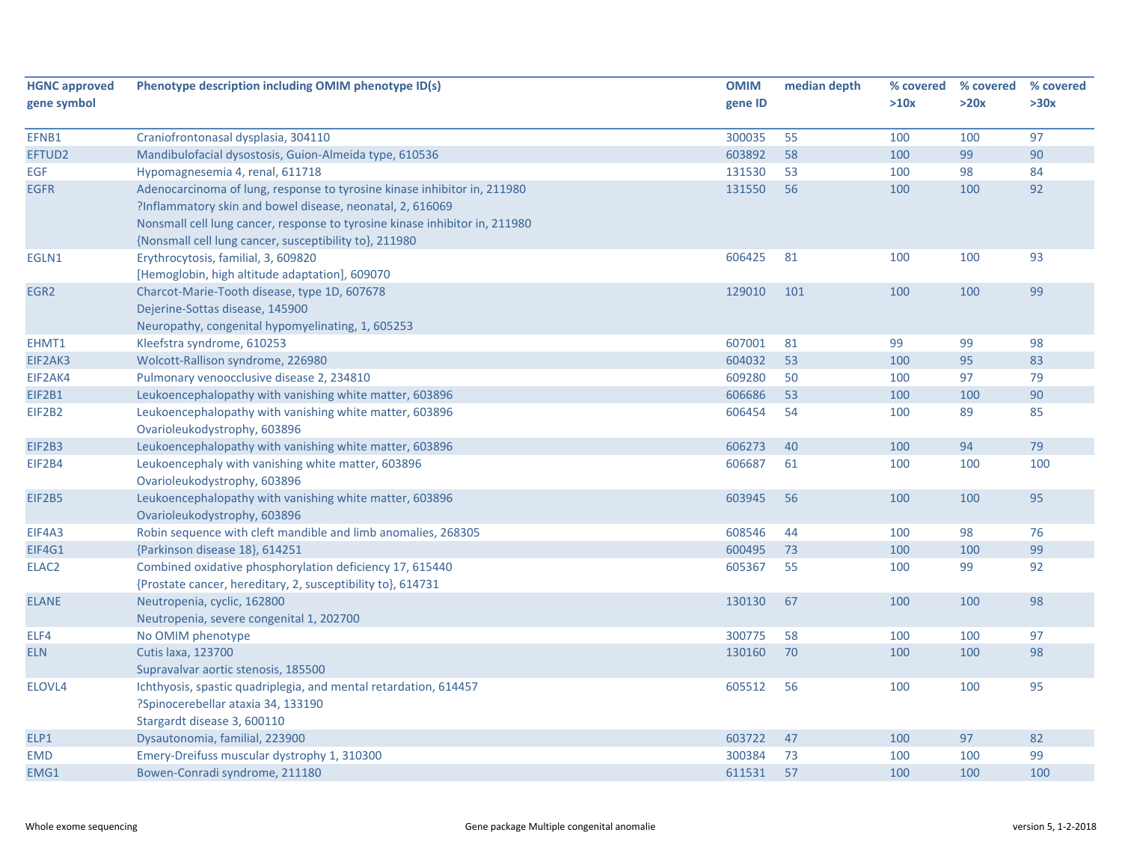| <b>HGNC approved</b> | Phenotype description including OMIM phenotype ID(s)                        | <b>OMIM</b> | median depth | % covered | % covered | % covered |
|----------------------|-----------------------------------------------------------------------------|-------------|--------------|-----------|-----------|-----------|
| gene symbol          |                                                                             | gene ID     |              | >10x      | >20x      | >30x      |
|                      |                                                                             |             |              |           |           |           |
| EFNB1                | Craniofrontonasal dysplasia, 304110                                         | 300035      | 55           | 100       | 100       | 97        |
| EFTUD2               | Mandibulofacial dysostosis, Guion-Almeida type, 610536                      | 603892      | 58           | 100       | 99        | 90        |
| <b>EGF</b>           | Hypomagnesemia 4, renal, 611718                                             | 131530      | 53           | 100       | 98        | 84        |
| <b>EGFR</b>          | Adenocarcinoma of lung, response to tyrosine kinase inhibitor in, 211980    | 131550      | 56           | 100       | 100       | 92        |
|                      | ?Inflammatory skin and bowel disease, neonatal, 2, 616069                   |             |              |           |           |           |
|                      | Nonsmall cell lung cancer, response to tyrosine kinase inhibitor in, 211980 |             |              |           |           |           |
|                      | {Nonsmall cell lung cancer, susceptibility to}, 211980                      |             |              |           |           |           |
| EGLN1                | Erythrocytosis, familial, 3, 609820                                         | 606425      | 81           | 100       | 100       | 93        |
|                      | [Hemoglobin, high altitude adaptation], 609070                              |             |              |           |           |           |
| EGR <sub>2</sub>     | Charcot-Marie-Tooth disease, type 1D, 607678                                | 129010      | 101          | 100       | 100       | 99        |
|                      | Dejerine-Sottas disease, 145900                                             |             |              |           |           |           |
|                      | Neuropathy, congenital hypomyelinating, 1, 605253                           |             |              |           |           |           |
| EHMT1                | Kleefstra syndrome, 610253                                                  | 607001      | 81           | 99        | 99        | 98        |
| EIF2AK3              | Wolcott-Rallison syndrome, 226980                                           | 604032      | 53           | 100       | 95        | 83        |
| EIF2AK4              | Pulmonary venoocclusive disease 2, 234810                                   | 609280      | 50           | 100       | 97        | 79        |
| EIF2B1               | Leukoencephalopathy with vanishing white matter, 603896                     | 606686      | 53           | 100       | 100       | 90        |
| EIF2B2               | Leukoencephalopathy with vanishing white matter, 603896                     | 606454      | 54           | 100       | 89        | 85        |
|                      | Ovarioleukodystrophy, 603896                                                |             |              |           |           |           |
| EIF2B3               | Leukoencephalopathy with vanishing white matter, 603896                     | 606273      | 40           | 100       | 94        | 79        |
| <b>EIF2B4</b>        | Leukoencephaly with vanishing white matter, 603896                          | 606687      | 61           | 100       | 100       | 100       |
|                      | Ovarioleukodystrophy, 603896                                                |             |              |           |           |           |
| <b>EIF2B5</b>        | Leukoencephalopathy with vanishing white matter, 603896                     | 603945      | 56           | 100       | 100       | 95        |
|                      | Ovarioleukodystrophy, 603896                                                |             |              |           |           |           |
| EIF4A3               | Robin sequence with cleft mandible and limb anomalies, 268305               | 608546      | 44           | 100       | 98        | 76        |
| EIF4G1               | {Parkinson disease 18}, 614251                                              | 600495      | 73           | 100       | 100       | 99        |
| ELAC <sub>2</sub>    | Combined oxidative phosphorylation deficiency 17, 615440                    | 605367      | 55           | 100       | 99        | 92        |
|                      | {Prostate cancer, hereditary, 2, susceptibility to}, 614731                 |             |              |           |           |           |
| <b>ELANE</b>         | Neutropenia, cyclic, 162800                                                 | 130130      | 67           | 100       | 100       | 98        |
|                      | Neutropenia, severe congenital 1, 202700                                    |             |              |           |           |           |
| ELF4                 | No OMIM phenotype                                                           | 300775      | 58           | 100       | 100       | 97        |
| <b>ELN</b>           | <b>Cutis laxa, 123700</b>                                                   | 130160      | 70           | 100       | 100       | 98        |
|                      | Supravalvar aortic stenosis, 185500                                         |             |              |           |           |           |
| ELOVL4               | Ichthyosis, spastic quadriplegia, and mental retardation, 614457            | 605512      | 56           | 100       | 100       | 95        |
|                      | ?Spinocerebellar ataxia 34, 133190                                          |             |              |           |           |           |
|                      | Stargardt disease 3, 600110                                                 |             |              |           |           |           |
| ELP1                 | Dysautonomia, familial, 223900                                              | 603722      | 47           | 100       | 97        | 82        |
| <b>EMD</b>           | Emery-Dreifuss muscular dystrophy 1, 310300                                 | 300384      | 73           | 100       | 100       | 99        |
| EMG1                 | Bowen-Conradi syndrome, 211180                                              | 611531      | 57           | 100       | 100       | 100       |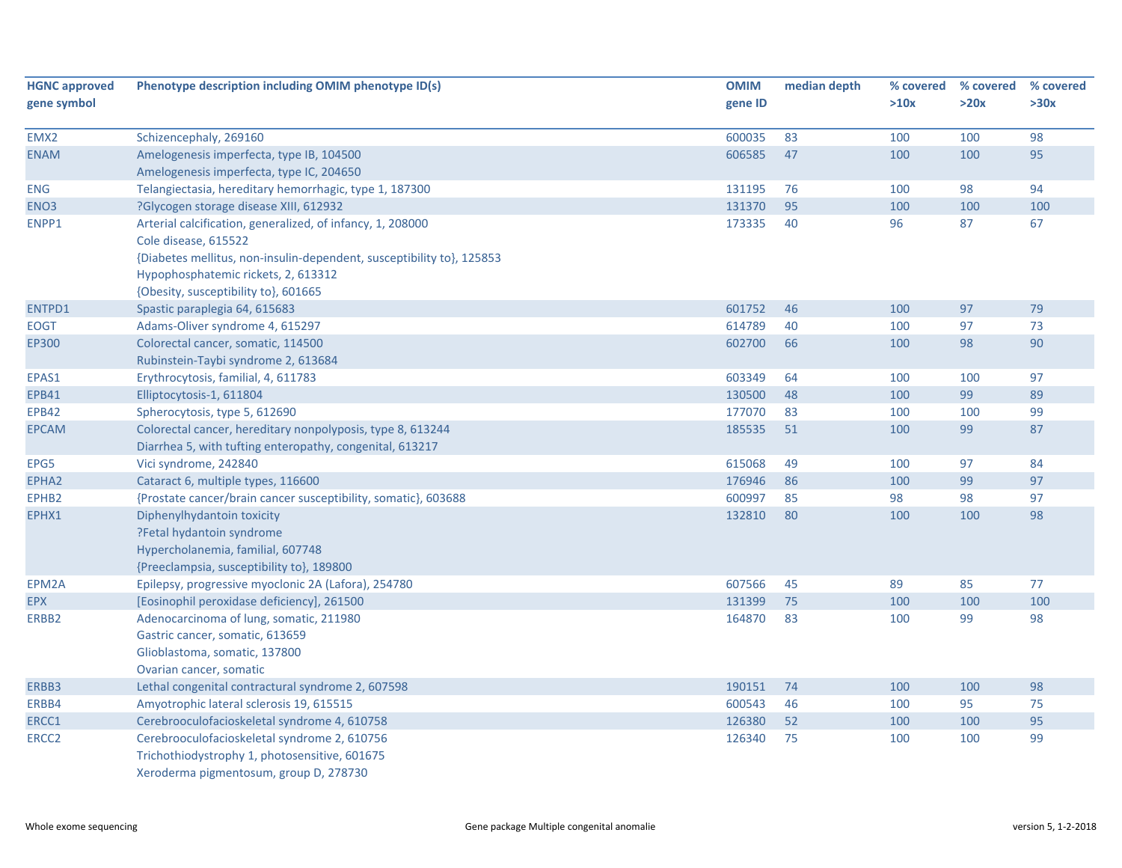| <b>HGNC approved</b> | Phenotype description including OMIM phenotype ID(s)                                                                                                                                                                                       | <b>OMIM</b> | median depth | % covered | % covered | % covered |
|----------------------|--------------------------------------------------------------------------------------------------------------------------------------------------------------------------------------------------------------------------------------------|-------------|--------------|-----------|-----------|-----------|
| gene symbol          |                                                                                                                                                                                                                                            | gene ID     |              | >10x      | >20x      | >30x      |
| EMX2                 | Schizencephaly, 269160                                                                                                                                                                                                                     | 600035      | 83           | 100       | 100       | 98        |
| <b>ENAM</b>          | Amelogenesis imperfecta, type IB, 104500<br>Amelogenesis imperfecta, type IC, 204650                                                                                                                                                       | 606585      | 47           | 100       | 100       | 95        |
| <b>ENG</b>           | Telangiectasia, hereditary hemorrhagic, type 1, 187300                                                                                                                                                                                     | 131195      | 76           | 100       | 98        | 94        |
| ENO <sub>3</sub>     | ?Glycogen storage disease XIII, 612932                                                                                                                                                                                                     | 131370      | 95           | 100       | 100       | 100       |
| ENPP1                | Arterial calcification, generalized, of infancy, 1, 208000<br>Cole disease, 615522<br>{Diabetes mellitus, non-insulin-dependent, susceptibility to}, 125853<br>Hypophosphatemic rickets, 2, 613312<br>{Obesity, susceptibility to}, 601665 | 173335      | 40           | 96        | 87        | 67        |
| ENTPD1               | Spastic paraplegia 64, 615683                                                                                                                                                                                                              | 601752      | 46           | 100       | 97        | 79        |
| EOGT                 | Adams-Oliver syndrome 4, 615297                                                                                                                                                                                                            | 614789      | 40           | 100       | 97        | 73        |
| EP300                | Colorectal cancer, somatic, 114500<br>Rubinstein-Taybi syndrome 2, 613684                                                                                                                                                                  | 602700      | 66           | 100       | 98        | 90        |
| EPAS1                | Erythrocytosis, familial, 4, 611783                                                                                                                                                                                                        | 603349      | 64           | 100       | 100       | 97        |
| <b>EPB41</b>         | Elliptocytosis-1, 611804                                                                                                                                                                                                                   | 130500      | 48           | 100       | 99        | 89        |
| <b>EPB42</b>         | Spherocytosis, type 5, 612690                                                                                                                                                                                                              | 177070      | 83           | 100       | 100       | 99        |
| <b>EPCAM</b>         | Colorectal cancer, hereditary nonpolyposis, type 8, 613244<br>Diarrhea 5, with tufting enteropathy, congenital, 613217                                                                                                                     | 185535      | 51           | 100       | 99        | 87        |
| EPG5                 | Vici syndrome, 242840                                                                                                                                                                                                                      | 615068      | 49           | 100       | 97        | 84        |
| EPHA2                | Cataract 6, multiple types, 116600                                                                                                                                                                                                         | 176946      | 86           | 100       | 99        | 97        |
| EPHB2                | {Prostate cancer/brain cancer susceptibility, somatic}, 603688                                                                                                                                                                             | 600997      | 85           | 98        | 98        | 97        |
| EPHX1                | Diphenylhydantoin toxicity<br>?Fetal hydantoin syndrome<br>Hypercholanemia, familial, 607748<br>{Preeclampsia, susceptibility to}, 189800                                                                                                  | 132810      | 80           | 100       | 100       | 98        |
| EPM2A                | Epilepsy, progressive myoclonic 2A (Lafora), 254780                                                                                                                                                                                        | 607566      | 45           | 89        | 85        | 77        |
| <b>EPX</b>           | [Eosinophil peroxidase deficiency], 261500                                                                                                                                                                                                 | 131399      | 75           | 100       | 100       | 100       |
| ERBB2                | Adenocarcinoma of lung, somatic, 211980<br>Gastric cancer, somatic, 613659<br>Glioblastoma, somatic, 137800<br>Ovarian cancer, somatic                                                                                                     | 164870      | 83           | 100       | 99        | 98        |
| ERBB3                | Lethal congenital contractural syndrome 2, 607598                                                                                                                                                                                          | 190151      | 74           | 100       | 100       | 98        |
| ERBB4                | Amyotrophic lateral sclerosis 19, 615515                                                                                                                                                                                                   | 600543      | 46           | 100       | 95        | 75        |
| ERCC1                | Cerebrooculofacioskeletal syndrome 4, 610758                                                                                                                                                                                               | 126380      | 52           | 100       | 100       | 95        |
| ERCC <sub>2</sub>    | Cerebrooculofacioskeletal syndrome 2, 610756<br>Trichothiodystrophy 1, photosensitive, 601675<br>Xeroderma pigmentosum, group D, 278730                                                                                                    | 126340      | 75           | 100       | 100       | 99        |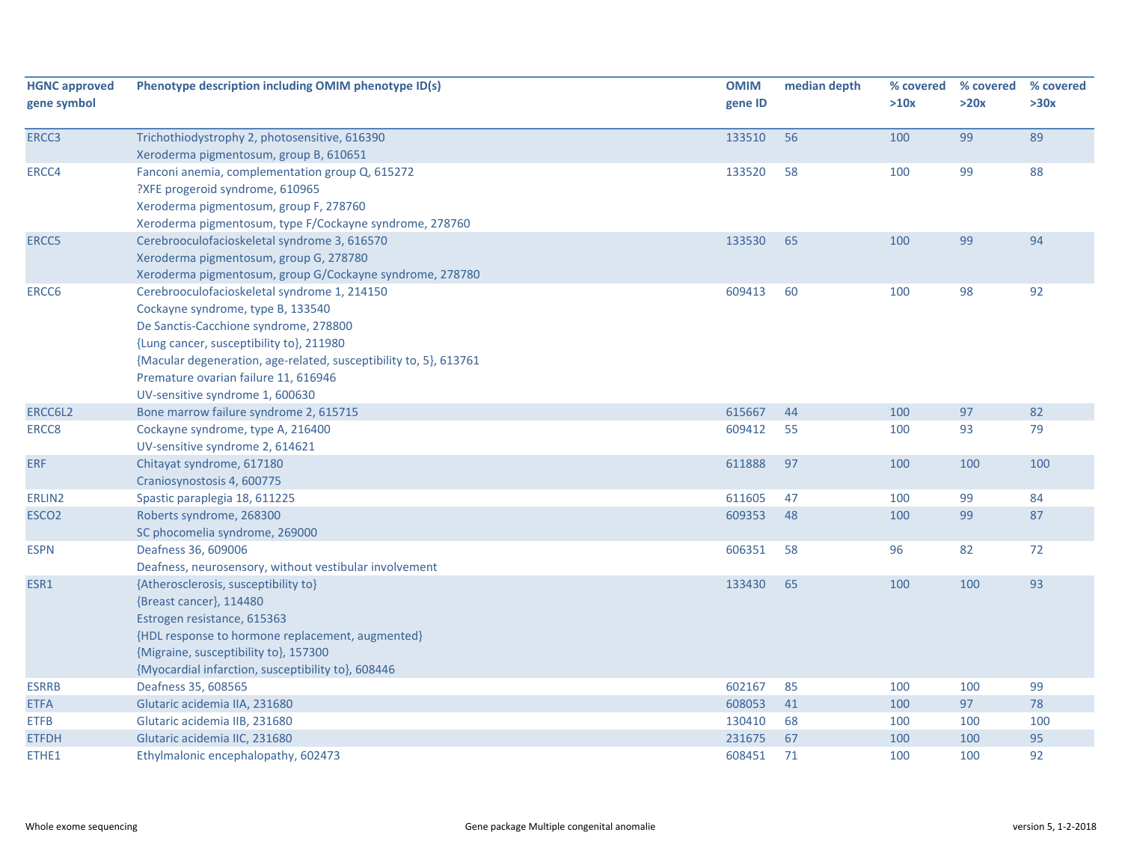| <b>HGNC approved</b> | Phenotype description including OMIM phenotype ID(s)                                    | <b>OMIM</b> | median depth | % covered | % covered | % covered |
|----------------------|-----------------------------------------------------------------------------------------|-------------|--------------|-----------|-----------|-----------|
| gene symbol          |                                                                                         | gene ID     |              | >10x      | >20x      | >30x      |
|                      |                                                                                         | 133510      | 56           | 100       | 99        | 89        |
| ERCC3                | Trichothiodystrophy 2, photosensitive, 616390<br>Xeroderma pigmentosum, group B, 610651 |             |              |           |           |           |
| ERCC4                | Fanconi anemia, complementation group Q, 615272                                         | 133520      | 58           | 100       | 99        | 88        |
|                      | ?XFE progeroid syndrome, 610965                                                         |             |              |           |           |           |
|                      | Xeroderma pigmentosum, group F, 278760                                                  |             |              |           |           |           |
|                      | Xeroderma pigmentosum, type F/Cockayne syndrome, 278760                                 |             |              |           |           |           |
| ERCC5                | Cerebrooculofacioskeletal syndrome 3, 616570                                            | 133530      | 65           | 100       | 99        | 94        |
|                      | Xeroderma pigmentosum, group G, 278780                                                  |             |              |           |           |           |
|                      | Xeroderma pigmentosum, group G/Cockayne syndrome, 278780                                |             |              |           |           |           |
| ERCC6                | Cerebrooculofacioskeletal syndrome 1, 214150                                            | 609413      | 60           | 100       | 98        | 92        |
|                      | Cockayne syndrome, type B, 133540                                                       |             |              |           |           |           |
|                      | De Sanctis-Cacchione syndrome, 278800                                                   |             |              |           |           |           |
|                      | {Lung cancer, susceptibility to}, 211980                                                |             |              |           |           |           |
|                      | {Macular degeneration, age-related, susceptibility to, 5}, 613761                       |             |              |           |           |           |
|                      | Premature ovarian failure 11, 616946                                                    |             |              |           |           |           |
|                      | UV-sensitive syndrome 1, 600630                                                         |             |              |           |           |           |
| ERCC6L2              | Bone marrow failure syndrome 2, 615715                                                  | 615667      | 44           | 100       | 97        | 82        |
| ERCC8                | Cockayne syndrome, type A, 216400                                                       | 609412      | 55           | 100       | 93        | 79        |
|                      | UV-sensitive syndrome 2, 614621                                                         |             |              |           |           |           |
| <b>ERF</b>           | Chitayat syndrome, 617180                                                               | 611888      | 97           | 100       | 100       | 100       |
|                      | Craniosynostosis 4, 600775                                                              |             |              |           |           |           |
| ERLIN2               | Spastic paraplegia 18, 611225                                                           | 611605      | 47           | 100       | 99        | 84        |
| ESCO <sub>2</sub>    | Roberts syndrome, 268300                                                                | 609353      | 48           | 100       | 99        | 87        |
|                      | SC phocomelia syndrome, 269000                                                          |             |              |           |           |           |
| <b>ESPN</b>          | Deafness 36, 609006                                                                     | 606351      | 58           | 96        | 82        | 72        |
|                      | Deafness, neurosensory, without vestibular involvement                                  |             |              |           |           |           |
| ESR1                 | {Atherosclerosis, susceptibility to}                                                    | 133430      | 65           | 100       | 100       | 93        |
|                      | {Breast cancer}, 114480                                                                 |             |              |           |           |           |
|                      | Estrogen resistance, 615363                                                             |             |              |           |           |           |
|                      | {HDL response to hormone replacement, augmented}                                        |             |              |           |           |           |
|                      | {Migraine, susceptibility to}, 157300                                                   |             |              |           |           |           |
|                      | {Myocardial infarction, susceptibility to}, 608446                                      |             |              |           |           |           |
| <b>ESRRB</b>         | Deafness 35, 608565                                                                     | 602167      | 85           | 100       | 100       | 99        |
| <b>ETFA</b>          | Glutaric acidemia IIA, 231680                                                           | 608053      | 41           | 100       | 97        | 78        |
| <b>ETFB</b>          | Glutaric acidemia IIB, 231680                                                           | 130410      | 68           | 100       | 100       | 100       |
| <b>ETFDH</b>         | Glutaric acidemia IIC, 231680                                                           | 231675      | 67           | 100       | 100       | 95        |
| ETHE1                | Ethylmalonic encephalopathy, 602473                                                     | 608451      | 71           | 100       | 100       | 92        |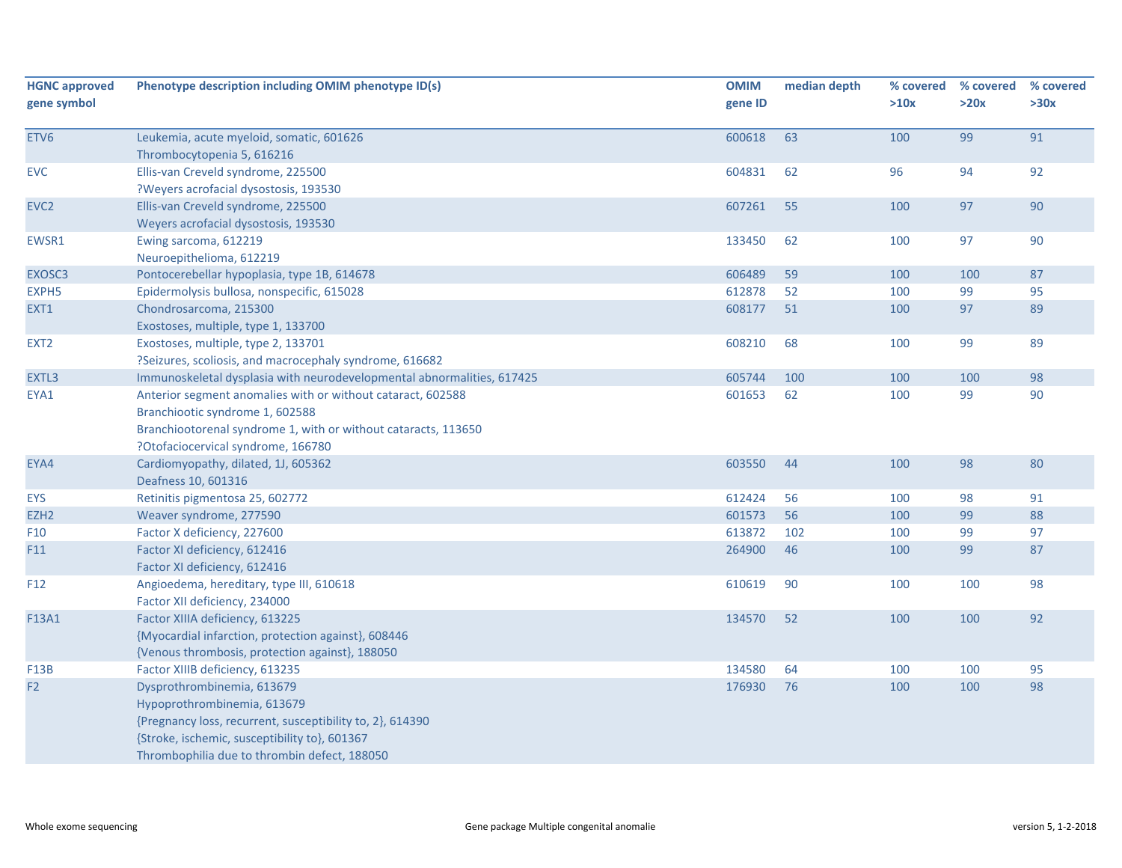| <b>HGNC approved</b><br>gene symbol | Phenotype description including OMIM phenotype ID(s)                                                                                                                                                                    | <b>OMIM</b><br>gene ID | median depth | % covered<br>>10x | % covered<br>>20x | % covered<br>>30x |
|-------------------------------------|-------------------------------------------------------------------------------------------------------------------------------------------------------------------------------------------------------------------------|------------------------|--------------|-------------------|-------------------|-------------------|
| ETV6                                | Leukemia, acute myeloid, somatic, 601626<br>Thrombocytopenia 5, 616216                                                                                                                                                  | 600618                 | 63           | 100               | 99                | 91                |
| <b>EVC</b>                          | Ellis-van Creveld syndrome, 225500<br>?Weyers acrofacial dysostosis, 193530                                                                                                                                             | 604831                 | 62           | 96                | 94                | 92                |
| EVC <sub>2</sub>                    | Ellis-van Creveld syndrome, 225500<br>Weyers acrofacial dysostosis, 193530                                                                                                                                              | 607261                 | 55           | 100               | 97                | 90                |
| EWSR1                               | Ewing sarcoma, 612219<br>Neuroepithelioma, 612219                                                                                                                                                                       | 133450                 | 62           | 100               | 97                | 90                |
| EXOSC3                              | Pontocerebellar hypoplasia, type 1B, 614678                                                                                                                                                                             | 606489                 | 59           | 100               | 100               | 87                |
| EXPH <sub>5</sub>                   | Epidermolysis bullosa, nonspecific, 615028                                                                                                                                                                              | 612878                 | 52           | 100               | 99                | 95                |
| EXT1                                | Chondrosarcoma, 215300<br>Exostoses, multiple, type 1, 133700                                                                                                                                                           | 608177                 | 51           | 100               | 97                | 89                |
| EXT <sub>2</sub>                    | Exostoses, multiple, type 2, 133701<br>?Seizures, scoliosis, and macrocephaly syndrome, 616682                                                                                                                          | 608210                 | 68           | 100               | 99                | 89                |
| EXTL3                               | Immunoskeletal dysplasia with neurodevelopmental abnormalities, 617425                                                                                                                                                  | 605744                 | 100          | 100               | 100               | 98                |
| EYA1                                | Anterior segment anomalies with or without cataract, 602588<br>Branchiootic syndrome 1, 602588<br>Branchiootorenal syndrome 1, with or without cataracts, 113650<br>?Otofaciocervical syndrome, 166780                  | 601653                 | 62           | 100               | 99                | 90                |
| EYA4                                | Cardiomyopathy, dilated, 1J, 605362<br>Deafness 10, 601316                                                                                                                                                              | 603550                 | 44           | 100               | 98                | 80                |
| <b>EYS</b>                          | Retinitis pigmentosa 25, 602772                                                                                                                                                                                         | 612424                 | 56           | 100               | 98                | 91                |
| EZH <sub>2</sub>                    | Weaver syndrome, 277590                                                                                                                                                                                                 | 601573                 | 56           | 100               | 99                | 88                |
| F10                                 | Factor X deficiency, 227600                                                                                                                                                                                             | 613872                 | 102          | 100               | 99                | 97                |
| F11                                 | Factor XI deficiency, 612416<br>Factor XI deficiency, 612416                                                                                                                                                            | 264900                 | 46           | 100               | 99                | 87                |
| F <sub>12</sub>                     | Angioedema, hereditary, type III, 610618<br>Factor XII deficiency, 234000                                                                                                                                               | 610619                 | 90           | 100               | 100               | 98                |
| F13A1                               | Factor XIIIA deficiency, 613225<br>{Myocardial infarction, protection against}, 608446<br>{Venous thrombosis, protection against}, 188050                                                                               | 134570                 | 52           | 100               | 100               | 92                |
| F13B                                | Factor XIIIB deficiency, 613235                                                                                                                                                                                         | 134580                 | 64           | 100               | 100               | 95                |
| F <sub>2</sub>                      | Dysprothrombinemia, 613679<br>Hypoprothrombinemia, 613679<br>{Pregnancy loss, recurrent, susceptibility to, 2}, 614390<br>{Stroke, ischemic, susceptibility to}, 601367<br>Thrombophilia due to thrombin defect, 188050 | 176930                 | 76           | 100               | 100               | 98                |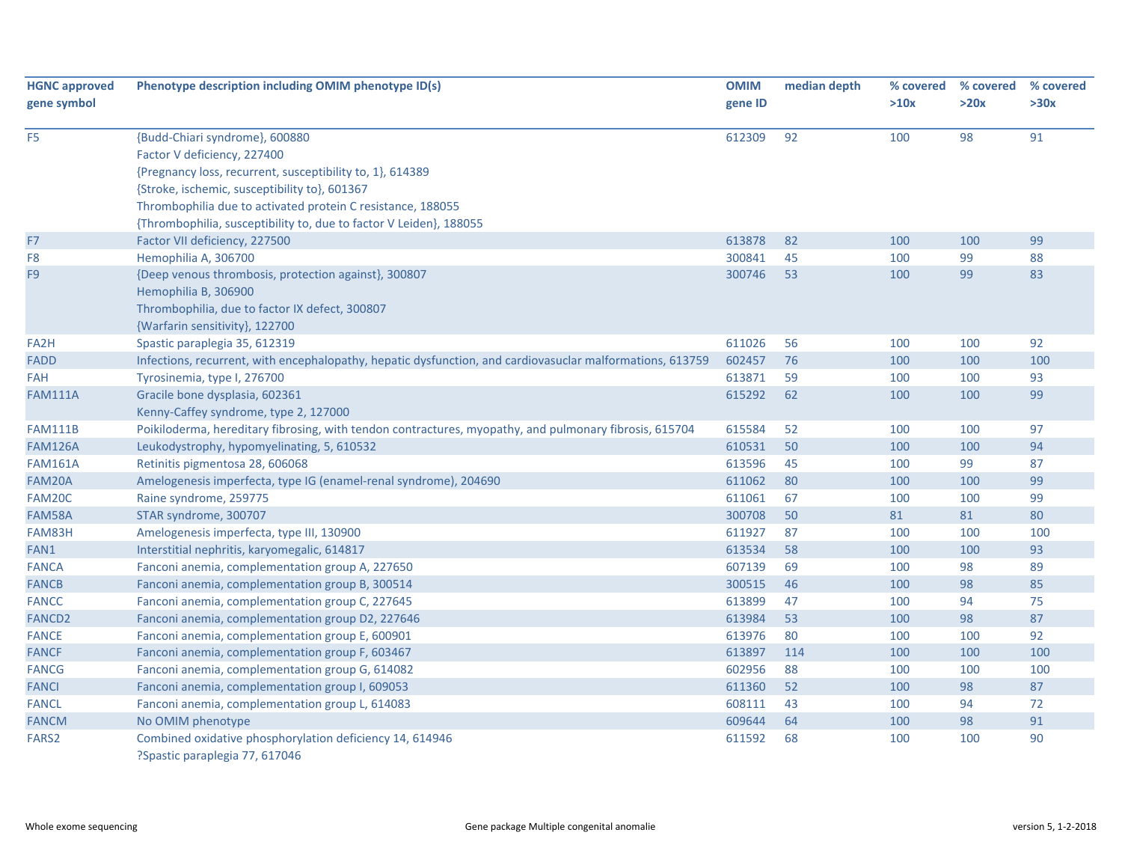| <b>HGNC approved</b> | Phenotype description including OMIM phenotype ID(s)                                                      | <b>OMIM</b> | median depth | % covered | % covered | % covered |
|----------------------|-----------------------------------------------------------------------------------------------------------|-------------|--------------|-----------|-----------|-----------|
| gene symbol          |                                                                                                           | gene ID     |              | >10x      | >20x      | >30x      |
| F <sub>5</sub>       | {Budd-Chiari syndrome}, 600880                                                                            | 612309      | 92           | 100       | 98        | 91        |
|                      | Factor V deficiency, 227400                                                                               |             |              |           |           |           |
|                      | {Pregnancy loss, recurrent, susceptibility to, 1}, 614389                                                 |             |              |           |           |           |
|                      | {Stroke, ischemic, susceptibility to}, 601367                                                             |             |              |           |           |           |
|                      | Thrombophilia due to activated protein C resistance, 188055                                               |             |              |           |           |           |
|                      | {Thrombophilia, susceptibility to, due to factor V Leiden}, 188055                                        |             |              |           |           |           |
| F7                   | Factor VII deficiency, 227500                                                                             | 613878      | 82           | 100       | 100       | 99        |
| F <sub>8</sub>       | Hemophilia A, 306700                                                                                      | 300841      | 45           | 100       | 99        | 88        |
| F <sub>9</sub>       | {Deep venous thrombosis, protection against}, 300807                                                      | 300746      | 53           | 100       | 99        | 83        |
|                      | Hemophilia B, 306900                                                                                      |             |              |           |           |           |
|                      | Thrombophilia, due to factor IX defect, 300807                                                            |             |              |           |           |           |
|                      | {Warfarin sensitivity}, 122700                                                                            |             |              |           |           |           |
| FA <sub>2</sub> H    | Spastic paraplegia 35, 612319                                                                             | 611026      | 56           | 100       | 100       | 92        |
| <b>FADD</b>          | Infections, recurrent, with encephalopathy, hepatic dysfunction, and cardiovasuclar malformations, 613759 | 602457      | 76           | 100       | 100       | 100       |
| <b>FAH</b>           | Tyrosinemia, type I, 276700                                                                               | 613871      | 59           | 100       | 100       | 93        |
| <b>FAM111A</b>       | Gracile bone dysplasia, 602361                                                                            | 615292      | 62           | 100       | 100       | 99        |
|                      | Kenny-Caffey syndrome, type 2, 127000                                                                     |             |              |           |           |           |
| <b>FAM111B</b>       | Poikiloderma, hereditary fibrosing, with tendon contractures, myopathy, and pulmonary fibrosis, 615704    | 615584      | 52           | 100       | 100       | 97        |
| <b>FAM126A</b>       | Leukodystrophy, hypomyelinating, 5, 610532                                                                | 610531      | 50           | 100       | 100       | 94        |
| <b>FAM161A</b>       | Retinitis pigmentosa 28, 606068                                                                           | 613596      | 45           | 100       | 99        | 87        |
| FAM20A               | Amelogenesis imperfecta, type IG (enamel-renal syndrome), 204690                                          | 611062      | 80           | 100       | 100       | 99        |
| FAM20C               | Raine syndrome, 259775                                                                                    | 611061      | 67           | 100       | 100       | 99        |
| FAM58A               | STAR syndrome, 300707                                                                                     | 300708      | 50           | 81        | 81        | 80        |
| FAM83H               | Amelogenesis imperfecta, type III, 130900                                                                 | 611927      | 87           | 100       | 100       | 100       |
| FAN1                 | Interstitial nephritis, karyomegalic, 614817                                                              | 613534      | 58           | 100       | 100       | 93        |
| <b>FANCA</b>         | Fanconi anemia, complementation group A, 227650                                                           | 607139      | 69           | 100       | 98        | 89        |
| <b>FANCB</b>         | Fanconi anemia, complementation group B, 300514                                                           | 300515      | 46           | 100       | 98        | 85        |
| <b>FANCC</b>         | Fanconi anemia, complementation group C, 227645                                                           | 613899      | 47           | 100       | 94        | 75        |
| <b>FANCD2</b>        | Fanconi anemia, complementation group D2, 227646                                                          | 613984      | 53           | 100       | 98        | 87        |
| <b>FANCE</b>         | Fanconi anemia, complementation group E, 600901                                                           | 613976      | 80           | 100       | 100       | 92        |
| <b>FANCF</b>         | Fanconi anemia, complementation group F, 603467                                                           | 613897      | 114          | 100       | 100       | 100       |
| <b>FANCG</b>         | Fanconi anemia, complementation group G, 614082                                                           | 602956      | 88           | 100       | 100       | 100       |
| <b>FANCI</b>         | Fanconi anemia, complementation group I, 609053                                                           | 611360      | 52           | 100       | 98        | 87        |
| <b>FANCL</b>         | Fanconi anemia, complementation group L, 614083                                                           | 608111      | 43           | 100       | 94        | 72        |
| <b>FANCM</b>         | No OMIM phenotype                                                                                         | 609644      | 64           | 100       | 98        | 91        |
| FARS <sub>2</sub>    | Combined oxidative phosphorylation deficiency 14, 614946<br>?Spastic paraplegia 77, 617046                | 611592      | 68           | 100       | 100       | 90        |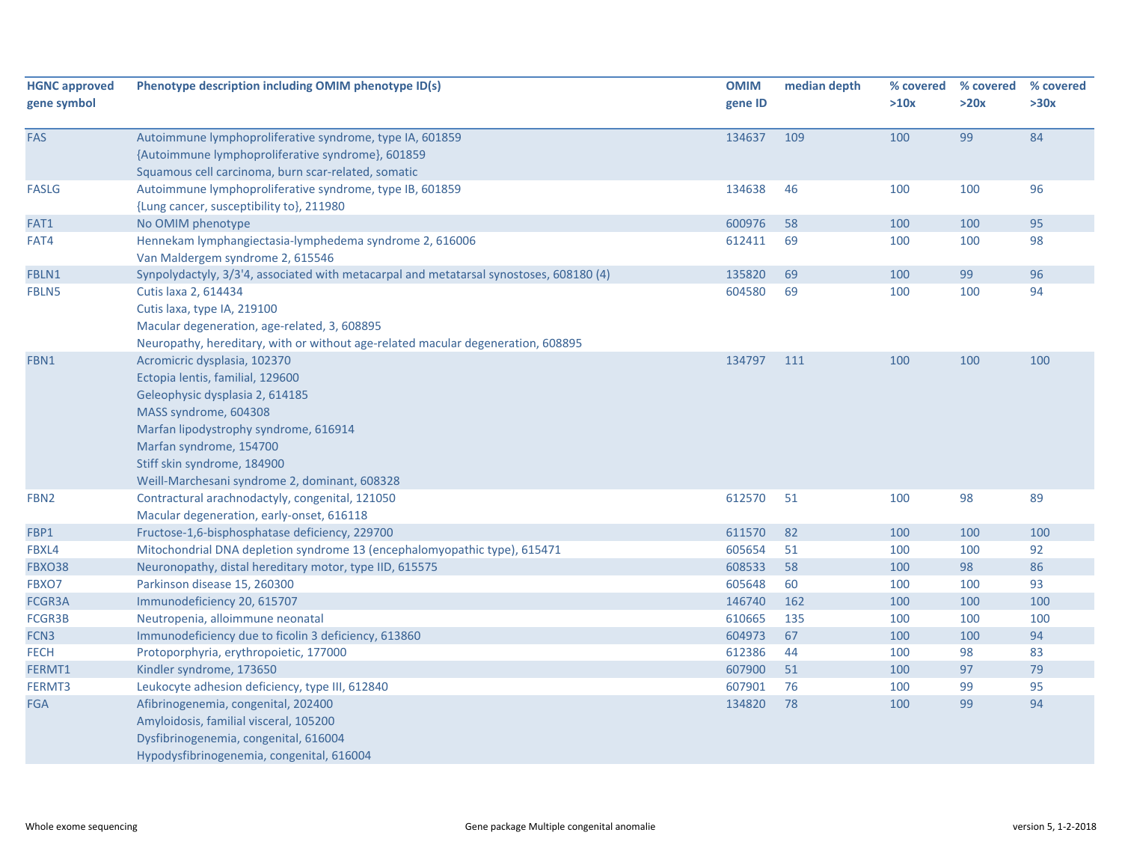| <b>HGNC approved</b> | Phenotype description including OMIM phenotype ID(s)                                                                                                                                                                                                                             | <b>OMIM</b> | median depth | % covered | % covered | % covered |
|----------------------|----------------------------------------------------------------------------------------------------------------------------------------------------------------------------------------------------------------------------------------------------------------------------------|-------------|--------------|-----------|-----------|-----------|
| gene symbol          |                                                                                                                                                                                                                                                                                  | gene ID     |              | >10x      | >20x      | >30x      |
| FAS                  | Autoimmune lymphoproliferative syndrome, type IA, 601859<br>{Autoimmune lymphoproliferative syndrome}, 601859<br>Squamous cell carcinoma, burn scar-related, somatic                                                                                                             | 134637      | 109          | 100       | 99        | 84        |
| <b>FASLG</b>         | Autoimmune lymphoproliferative syndrome, type IB, 601859<br>{Lung cancer, susceptibility to}, 211980                                                                                                                                                                             | 134638      | 46           | 100       | 100       | 96        |
| FAT1                 | No OMIM phenotype                                                                                                                                                                                                                                                                | 600976      | 58           | 100       | 100       | 95        |
| FAT4                 | Hennekam lymphangiectasia-lymphedema syndrome 2, 616006<br>Van Maldergem syndrome 2, 615546                                                                                                                                                                                      | 612411      | 69           | 100       | 100       | 98        |
| FBLN1                | Synpolydactyly, 3/3'4, associated with metacarpal and metatarsal synostoses, 608180 (4)                                                                                                                                                                                          | 135820      | 69           | 100       | 99        | 96        |
| FBLN5                | Cutis laxa 2, 614434<br>Cutis laxa, type IA, 219100<br>Macular degeneration, age-related, 3, 608895<br>Neuropathy, hereditary, with or without age-related macular degeneration, 608895                                                                                          | 604580      | 69           | 100       | 100       | 94        |
| FBN1                 | Acromicric dysplasia, 102370<br>Ectopia lentis, familial, 129600<br>Geleophysic dysplasia 2, 614185<br>MASS syndrome, 604308<br>Marfan lipodystrophy syndrome, 616914<br>Marfan syndrome, 154700<br>Stiff skin syndrome, 184900<br>Weill-Marchesani syndrome 2, dominant, 608328 | 134797      | 111          | 100       | 100       | 100       |
| FBN <sub>2</sub>     | Contractural arachnodactyly, congenital, 121050<br>Macular degeneration, early-onset, 616118                                                                                                                                                                                     | 612570      | 51           | 100       | 98        | 89        |
| FBP1                 | Fructose-1,6-bisphosphatase deficiency, 229700                                                                                                                                                                                                                                   | 611570      | 82           | 100       | 100       | 100       |
| FBXL4                | Mitochondrial DNA depletion syndrome 13 (encephalomyopathic type), 615471                                                                                                                                                                                                        | 605654      | 51           | 100       | 100       | 92        |
| FBXO38               | Neuronopathy, distal hereditary motor, type IID, 615575                                                                                                                                                                                                                          | 608533      | 58           | 100       | 98        | 86        |
| FBXO7                | Parkinson disease 15, 260300                                                                                                                                                                                                                                                     | 605648      | 60           | 100       | 100       | 93        |
| FCGR3A               | Immunodeficiency 20, 615707                                                                                                                                                                                                                                                      | 146740      | 162          | 100       | 100       | 100       |
| FCGR3B               | Neutropenia, alloimmune neonatal                                                                                                                                                                                                                                                 | 610665      | 135          | 100       | 100       | 100       |
| FCN <sub>3</sub>     | Immunodeficiency due to ficolin 3 deficiency, 613860                                                                                                                                                                                                                             | 604973      | 67           | 100       | 100       | 94        |
| <b>FECH</b>          | Protoporphyria, erythropoietic, 177000                                                                                                                                                                                                                                           | 612386      | 44           | 100       | 98        | 83        |
| FERMT1               | Kindler syndrome, 173650                                                                                                                                                                                                                                                         | 607900      | 51           | 100       | 97        | 79        |
| FERMT3               | Leukocyte adhesion deficiency, type III, 612840                                                                                                                                                                                                                                  | 607901      | 76           | 100       | 99        | 95        |
| <b>FGA</b>           | Afibrinogenemia, congenital, 202400<br>Amyloidosis, familial visceral, 105200<br>Dysfibrinogenemia, congenital, 616004<br>Hypodysfibrinogenemia, congenital, 616004                                                                                                              | 134820      | 78           | 100       | 99        | 94        |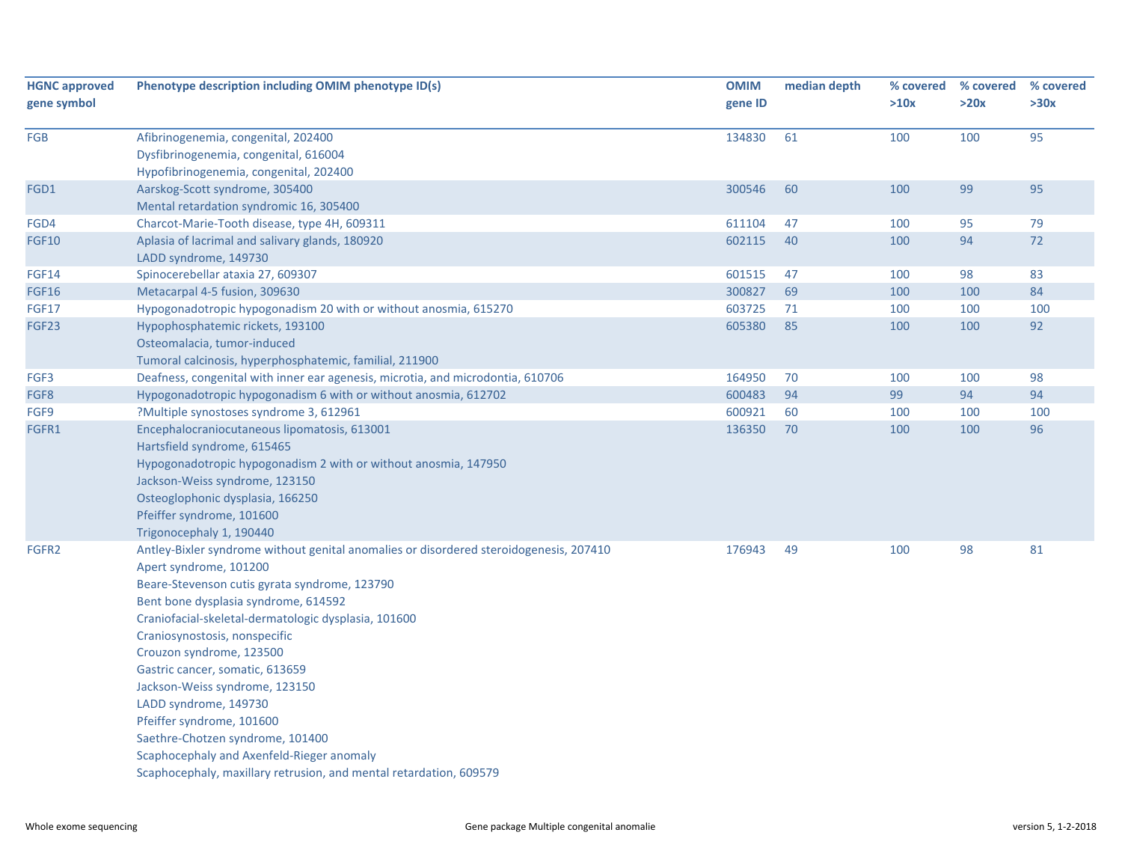| <b>HGNC approved</b> | Phenotype description including OMIM phenotype ID(s)                                                                                                                                                                                                                                                                                                                                                                                                                                                                                                                                                             | <b>OMIM</b> | median depth | % covered | % covered | % covered |
|----------------------|------------------------------------------------------------------------------------------------------------------------------------------------------------------------------------------------------------------------------------------------------------------------------------------------------------------------------------------------------------------------------------------------------------------------------------------------------------------------------------------------------------------------------------------------------------------------------------------------------------------|-------------|--------------|-----------|-----------|-----------|
| gene symbol          |                                                                                                                                                                                                                                                                                                                                                                                                                                                                                                                                                                                                                  | gene ID     |              | >10x      | >20x      | >30x      |
| FGB                  | Afibrinogenemia, congenital, 202400<br>Dysfibrinogenemia, congenital, 616004<br>Hypofibrinogenemia, congenital, 202400                                                                                                                                                                                                                                                                                                                                                                                                                                                                                           | 134830      | 61           | 100       | 100       | 95        |
| FGD1                 | Aarskog-Scott syndrome, 305400<br>Mental retardation syndromic 16, 305400                                                                                                                                                                                                                                                                                                                                                                                                                                                                                                                                        | 300546      | 60           | 100       | 99        | 95        |
| FGD4                 | Charcot-Marie-Tooth disease, type 4H, 609311                                                                                                                                                                                                                                                                                                                                                                                                                                                                                                                                                                     | 611104      | 47           | 100       | 95        | 79        |
| <b>FGF10</b>         | Aplasia of lacrimal and salivary glands, 180920<br>LADD syndrome, 149730                                                                                                                                                                                                                                                                                                                                                                                                                                                                                                                                         | 602115      | 40           | 100       | 94        | 72        |
| <b>FGF14</b>         | Spinocerebellar ataxia 27, 609307                                                                                                                                                                                                                                                                                                                                                                                                                                                                                                                                                                                | 601515      | 47           | 100       | 98        | 83        |
| <b>FGF16</b>         | Metacarpal 4-5 fusion, 309630                                                                                                                                                                                                                                                                                                                                                                                                                                                                                                                                                                                    | 300827      | 69           | 100       | 100       | 84        |
| <b>FGF17</b>         | Hypogonadotropic hypogonadism 20 with or without anosmia, 615270                                                                                                                                                                                                                                                                                                                                                                                                                                                                                                                                                 | 603725      | 71           | 100       | 100       | 100       |
| FGF23                | Hypophosphatemic rickets, 193100<br>Osteomalacia, tumor-induced<br>Tumoral calcinosis, hyperphosphatemic, familial, 211900                                                                                                                                                                                                                                                                                                                                                                                                                                                                                       | 605380      | 85           | 100       | 100       | 92        |
| FGF3                 | Deafness, congenital with inner ear agenesis, microtia, and microdontia, 610706                                                                                                                                                                                                                                                                                                                                                                                                                                                                                                                                  | 164950      | 70           | 100       | 100       | 98        |
| FGF8                 | Hypogonadotropic hypogonadism 6 with or without anosmia, 612702                                                                                                                                                                                                                                                                                                                                                                                                                                                                                                                                                  | 600483      | 94           | 99        | 94        | 94        |
| FGF9                 | ?Multiple synostoses syndrome 3, 612961                                                                                                                                                                                                                                                                                                                                                                                                                                                                                                                                                                          | 600921      | 60           | 100       | 100       | 100       |
| FGFR1                | Encephalocraniocutaneous lipomatosis, 613001<br>Hartsfield syndrome, 615465<br>Hypogonadotropic hypogonadism 2 with or without anosmia, 147950<br>Jackson-Weiss syndrome, 123150<br>Osteoglophonic dysplasia, 166250<br>Pfeiffer syndrome, 101600<br>Trigonocephaly 1, 190440                                                                                                                                                                                                                                                                                                                                    | 136350      | 70           | 100       | 100       | 96        |
| FGFR2                | Antley-Bixler syndrome without genital anomalies or disordered steroidogenesis, 207410<br>Apert syndrome, 101200<br>Beare-Stevenson cutis gyrata syndrome, 123790<br>Bent bone dysplasia syndrome, 614592<br>Craniofacial-skeletal-dermatologic dysplasia, 101600<br>Craniosynostosis, nonspecific<br>Crouzon syndrome, 123500<br>Gastric cancer, somatic, 613659<br>Jackson-Weiss syndrome, 123150<br>LADD syndrome, 149730<br>Pfeiffer syndrome, 101600<br>Saethre-Chotzen syndrome, 101400<br>Scaphocephaly and Axenfeld-Rieger anomaly<br>Scaphocephaly, maxillary retrusion, and mental retardation, 609579 | 176943      | 49           | 100       | 98        | 81        |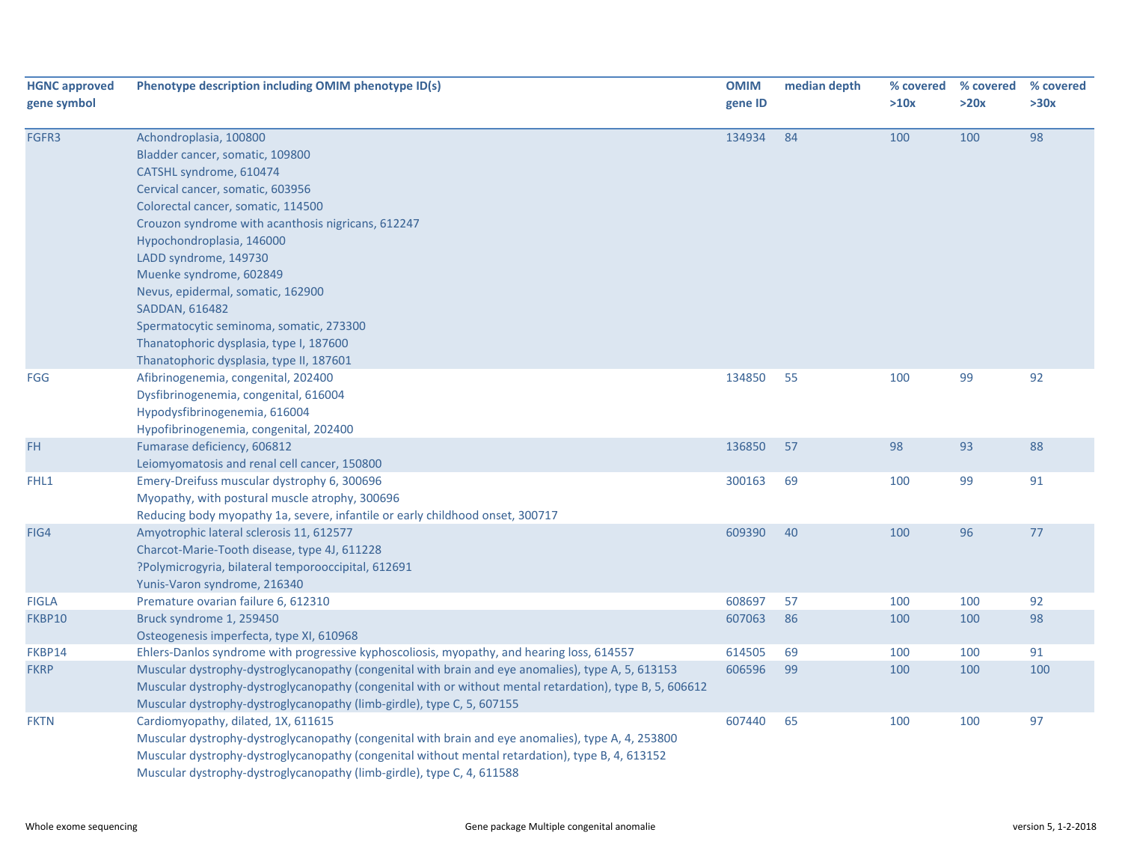| <b>HGNC approved</b><br>gene symbol | Phenotype description including OMIM phenotype ID(s)                                                                                                                                                                                                                                                                                                                                                                                                                                           | <b>OMIM</b><br>gene ID | median depth | % covered<br>>10x | % covered<br>>20x | % covered<br>>30x |
|-------------------------------------|------------------------------------------------------------------------------------------------------------------------------------------------------------------------------------------------------------------------------------------------------------------------------------------------------------------------------------------------------------------------------------------------------------------------------------------------------------------------------------------------|------------------------|--------------|-------------------|-------------------|-------------------|
| FGFR3                               | Achondroplasia, 100800<br>Bladder cancer, somatic, 109800<br>CATSHL syndrome, 610474<br>Cervical cancer, somatic, 603956<br>Colorectal cancer, somatic, 114500<br>Crouzon syndrome with acanthosis nigricans, 612247<br>Hypochondroplasia, 146000<br>LADD syndrome, 149730<br>Muenke syndrome, 602849<br>Nevus, epidermal, somatic, 162900<br>SADDAN, 616482<br>Spermatocytic seminoma, somatic, 273300<br>Thanatophoric dysplasia, type I, 187600<br>Thanatophoric dysplasia, type II, 187601 | 134934                 | 84           | 100               | 100               | 98                |
| <b>FGG</b>                          | Afibrinogenemia, congenital, 202400<br>Dysfibrinogenemia, congenital, 616004<br>Hypodysfibrinogenemia, 616004<br>Hypofibrinogenemia, congenital, 202400                                                                                                                                                                                                                                                                                                                                        | 134850                 | 55           | 100               | 99                | 92                |
| FH.                                 | Fumarase deficiency, 606812<br>Leiomyomatosis and renal cell cancer, 150800                                                                                                                                                                                                                                                                                                                                                                                                                    | 136850                 | 57           | 98                | 93                | 88                |
| FHL1                                | Emery-Dreifuss muscular dystrophy 6, 300696<br>Myopathy, with postural muscle atrophy, 300696<br>Reducing body myopathy 1a, severe, infantile or early childhood onset, 300717                                                                                                                                                                                                                                                                                                                 | 300163                 | 69           | 100               | 99                | 91                |
| FIG4                                | Amyotrophic lateral sclerosis 11, 612577<br>Charcot-Marie-Tooth disease, type 4J, 611228<br>?Polymicrogyria, bilateral temporooccipital, 612691<br>Yunis-Varon syndrome, 216340                                                                                                                                                                                                                                                                                                                | 609390                 | 40           | 100               | 96                | 77                |
| <b>FIGLA</b>                        | Premature ovarian failure 6, 612310                                                                                                                                                                                                                                                                                                                                                                                                                                                            | 608697                 | 57           | 100               | 100               | 92                |
| FKBP10                              | Bruck syndrome 1, 259450<br>Osteogenesis imperfecta, type XI, 610968                                                                                                                                                                                                                                                                                                                                                                                                                           | 607063                 | 86           | 100               | 100               | 98                |
| FKBP14                              | Ehlers-Danlos syndrome with progressive kyphoscoliosis, myopathy, and hearing loss, 614557                                                                                                                                                                                                                                                                                                                                                                                                     | 614505                 | 69           | 100               | 100               | 91                |
| <b>FKRP</b>                         | Muscular dystrophy-dystroglycanopathy (congenital with brain and eye anomalies), type A, 5, 613153<br>Muscular dystrophy-dystroglycanopathy (congenital with or without mental retardation), type B, 5, 606612<br>Muscular dystrophy-dystroglycanopathy (limb-girdle), type C, 5, 607155                                                                                                                                                                                                       | 606596                 | 99           | 100               | 100               | 100               |
| <b>FKTN</b>                         | Cardiomyopathy, dilated, 1X, 611615<br>Muscular dystrophy-dystroglycanopathy (congenital with brain and eye anomalies), type A, 4, 253800<br>Muscular dystrophy-dystroglycanopathy (congenital without mental retardation), type B, 4, 613152<br>Muscular dystrophy-dystroglycanopathy (limb-girdle), type C, 4, 611588                                                                                                                                                                        | 607440                 | 65           | 100               | 100               | 97                |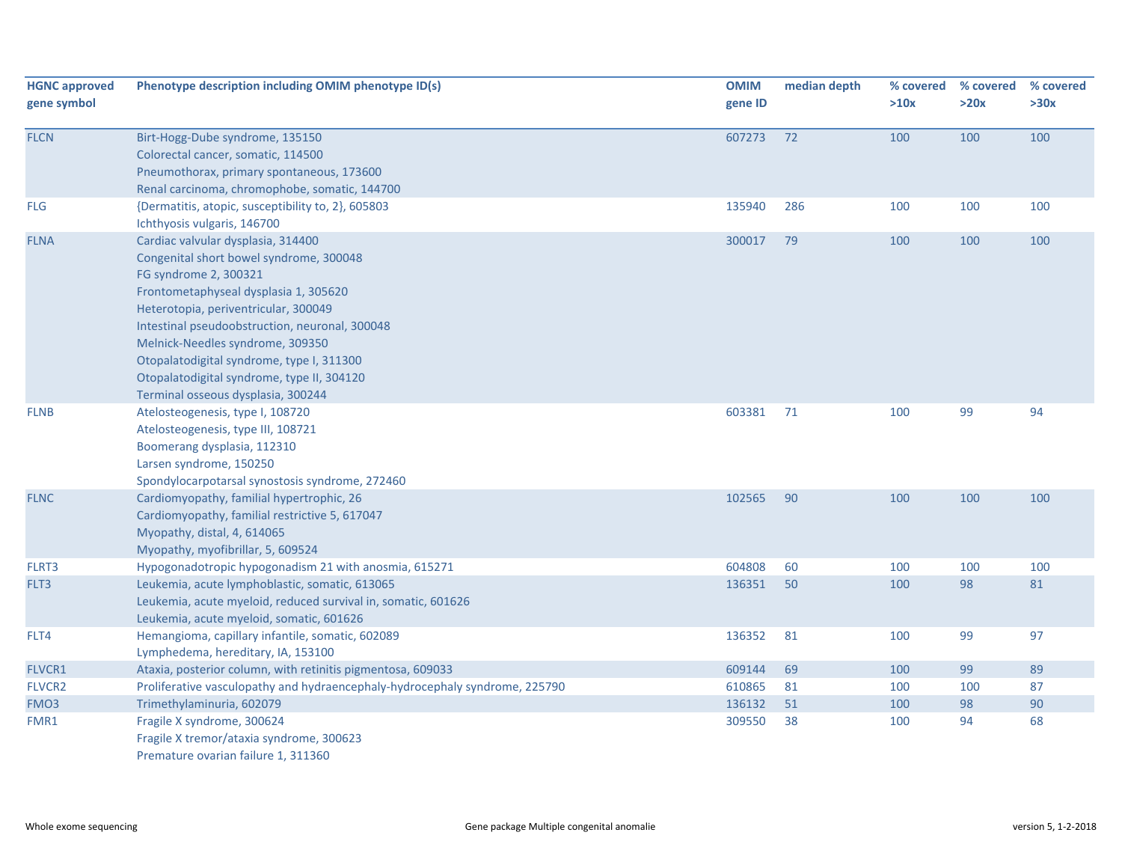| <b>HGNC approved</b> | Phenotype description including OMIM phenotype ID(s)                        | <b>OMIM</b> | median depth | % covered | % covered | % covered |
|----------------------|-----------------------------------------------------------------------------|-------------|--------------|-----------|-----------|-----------|
| gene symbol          |                                                                             | gene ID     |              | >10x      | >20x      | >30x      |
| <b>FLCN</b>          | Birt-Hogg-Dube syndrome, 135150                                             | 607273      | 72           | 100       | 100       | 100       |
|                      | Colorectal cancer, somatic, 114500                                          |             |              |           |           |           |
|                      | Pneumothorax, primary spontaneous, 173600                                   |             |              |           |           |           |
|                      | Renal carcinoma, chromophobe, somatic, 144700                               |             |              |           |           |           |
| <b>FLG</b>           | {Dermatitis, atopic, susceptibility to, 2}, 605803                          | 135940      | 286          | 100       | 100       | 100       |
|                      | Ichthyosis vulgaris, 146700                                                 |             |              |           |           |           |
| <b>FLNA</b>          | Cardiac valvular dysplasia, 314400                                          | 300017      | 79           | 100       | 100       | 100       |
|                      | Congenital short bowel syndrome, 300048                                     |             |              |           |           |           |
|                      | FG syndrome 2, 300321                                                       |             |              |           |           |           |
|                      | Frontometaphyseal dysplasia 1, 305620                                       |             |              |           |           |           |
|                      | Heterotopia, periventricular, 300049                                        |             |              |           |           |           |
|                      | Intestinal pseudoobstruction, neuronal, 300048                              |             |              |           |           |           |
|                      | Melnick-Needles syndrome, 309350                                            |             |              |           |           |           |
|                      | Otopalatodigital syndrome, type I, 311300                                   |             |              |           |           |           |
|                      | Otopalatodigital syndrome, type II, 304120                                  |             |              |           |           |           |
|                      | Terminal osseous dysplasia, 300244                                          |             |              |           |           |           |
| <b>FLNB</b>          | Atelosteogenesis, type I, 108720                                            | 603381      | 71           | 100       | 99        | 94        |
|                      | Atelosteogenesis, type III, 108721                                          |             |              |           |           |           |
|                      | Boomerang dysplasia, 112310                                                 |             |              |           |           |           |
|                      | Larsen syndrome, 150250                                                     |             |              |           |           |           |
|                      | Spondylocarpotarsal synostosis syndrome, 272460                             |             |              |           |           |           |
| <b>FLNC</b>          | Cardiomyopathy, familial hypertrophic, 26                                   | 102565      | 90           | 100       | 100       | 100       |
|                      | Cardiomyopathy, familial restrictive 5, 617047                              |             |              |           |           |           |
|                      | Myopathy, distal, 4, 614065                                                 |             |              |           |           |           |
|                      | Myopathy, myofibrillar, 5, 609524                                           |             |              |           |           |           |
| FLRT3                | Hypogonadotropic hypogonadism 21 with anosmia, 615271                       | 604808      | 60           | 100       | 100       | 100       |
| FLT3                 | Leukemia, acute lymphoblastic, somatic, 613065                              | 136351      | 50           | 100       | 98        | 81        |
|                      | Leukemia, acute myeloid, reduced survival in, somatic, 601626               |             |              |           |           |           |
|                      | Leukemia, acute myeloid, somatic, 601626                                    |             |              |           |           |           |
| FLT4                 | Hemangioma, capillary infantile, somatic, 602089                            | 136352      | 81           | 100       | 99        | 97        |
|                      | Lymphedema, hereditary, IA, 153100                                          |             |              |           |           |           |
| FLVCR1               | Ataxia, posterior column, with retinitis pigmentosa, 609033                 | 609144      | 69           | 100       | 99        | 89        |
| FLVCR2               | Proliferative vasculopathy and hydraencephaly-hydrocephaly syndrome, 225790 | 610865      | 81           | 100       | 100       | 87        |
| FMO <sub>3</sub>     | Trimethylaminuria, 602079                                                   | 136132      | 51           | 100       | 98        | 90        |
| FMR1                 | Fragile X syndrome, 300624                                                  | 309550      | 38           | 100       | 94        | 68        |
|                      | Fragile X tremor/ataxia syndrome, 300623                                    |             |              |           |           |           |
|                      | Premature ovarian failure 1, 311360                                         |             |              |           |           |           |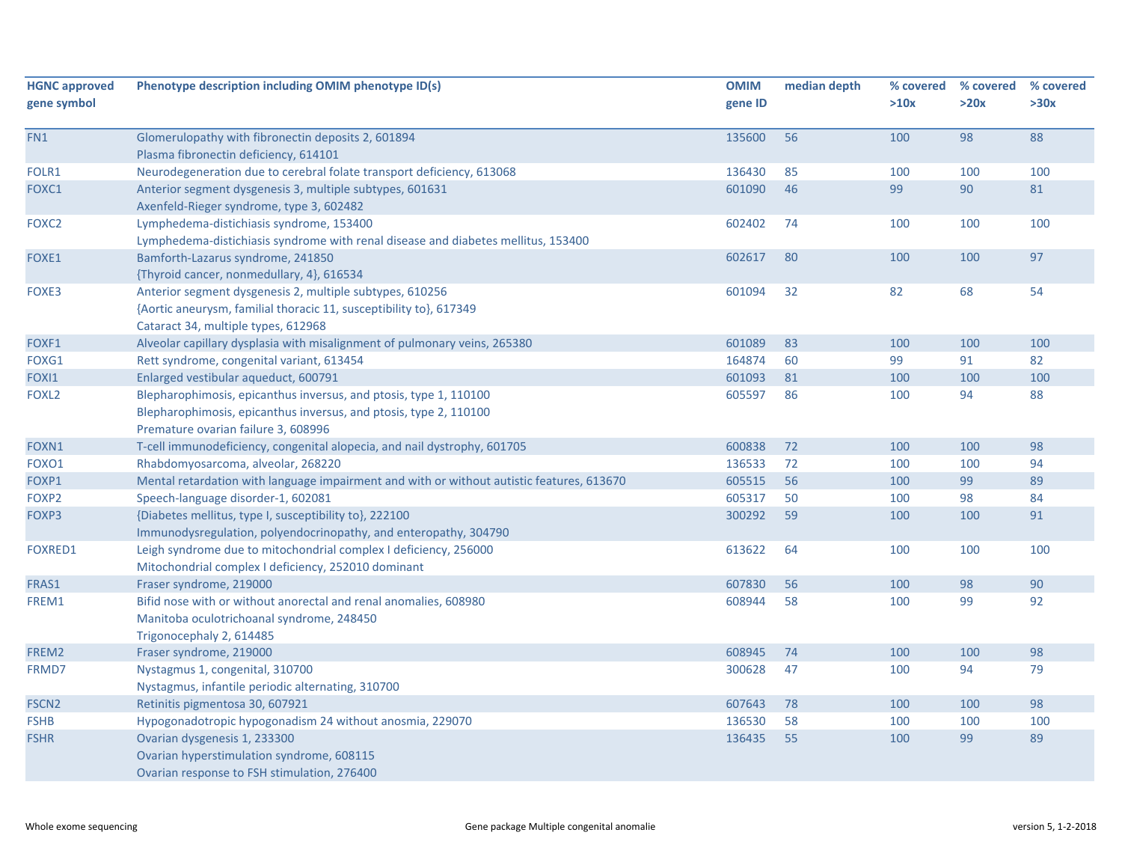| <b>HGNC approved</b><br>gene symbol | Phenotype description including OMIM phenotype ID(s)                                                                                                                          | <b>OMIM</b><br>gene ID | median depth | % covered<br>>10x | % covered<br>>20x | % covered<br>>30x |
|-------------------------------------|-------------------------------------------------------------------------------------------------------------------------------------------------------------------------------|------------------------|--------------|-------------------|-------------------|-------------------|
| FN1                                 | Glomerulopathy with fibronectin deposits 2, 601894<br>Plasma fibronectin deficiency, 614101                                                                                   | 135600                 | 56           | 100               | 98                | 88                |
| FOLR1                               | Neurodegeneration due to cerebral folate transport deficiency, 613068                                                                                                         | 136430                 | 85           | 100               | 100               | 100               |
| FOXC1                               | Anterior segment dysgenesis 3, multiple subtypes, 601631<br>Axenfeld-Rieger syndrome, type 3, 602482                                                                          | 601090                 | 46           | 99                | 90                | 81                |
| FOXC2                               | Lymphedema-distichiasis syndrome, 153400<br>Lymphedema-distichiasis syndrome with renal disease and diabetes mellitus, 153400                                                 | 602402                 | 74           | 100               | 100               | 100               |
| FOXE1                               | Bamforth-Lazarus syndrome, 241850<br>{Thyroid cancer, nonmedullary, 4}, 616534                                                                                                | 602617                 | 80           | 100               | 100               | 97                |
| FOXE3                               | Anterior segment dysgenesis 2, multiple subtypes, 610256<br>{Aortic aneurysm, familial thoracic 11, susceptibility to}, 617349<br>Cataract 34, multiple types, 612968         | 601094                 | 32           | 82                | 68                | 54                |
| FOXF1                               | Alveolar capillary dysplasia with misalignment of pulmonary veins, 265380                                                                                                     | 601089                 | 83           | 100               | 100               | 100               |
| FOXG1                               | Rett syndrome, congenital variant, 613454                                                                                                                                     | 164874                 | 60           | 99                | 91                | 82                |
| FOXI1                               | Enlarged vestibular aqueduct, 600791                                                                                                                                          | 601093                 | 81           | 100               | 100               | 100               |
| FOXL <sub>2</sub>                   | Blepharophimosis, epicanthus inversus, and ptosis, type 1, 110100<br>Blepharophimosis, epicanthus inversus, and ptosis, type 2, 110100<br>Premature ovarian failure 3, 608996 | 605597                 | 86           | 100               | 94                | 88                |
| FOXN1                               | T-cell immunodeficiency, congenital alopecia, and nail dystrophy, 601705                                                                                                      | 600838                 | 72           | 100               | 100               | 98                |
| FOXO1                               | Rhabdomyosarcoma, alveolar, 268220                                                                                                                                            | 136533                 | 72           | 100               | 100               | 94                |
| FOXP1                               | Mental retardation with language impairment and with or without autistic features, 613670                                                                                     | 605515                 | 56           | 100               | 99                | 89                |
| FOXP2                               | Speech-language disorder-1, 602081                                                                                                                                            | 605317                 | 50           | 100               | 98                | 84                |
| FOXP3                               | {Diabetes mellitus, type I, susceptibility to}, 222100<br>Immunodysregulation, polyendocrinopathy, and enteropathy, 304790                                                    | 300292                 | 59           | 100               | 100               | 91                |
| <b>FOXRED1</b>                      | Leigh syndrome due to mitochondrial complex I deficiency, 256000<br>Mitochondrial complex I deficiency, 252010 dominant                                                       | 613622                 | 64           | 100               | 100               | 100               |
| FRAS1                               | Fraser syndrome, 219000                                                                                                                                                       | 607830                 | 56           | 100               | 98                | 90                |
| FREM1                               | Bifid nose with or without anorectal and renal anomalies, 608980<br>Manitoba oculotrichoanal syndrome, 248450<br>Trigonocephaly 2, 614485                                     | 608944                 | 58           | 100               | 99                | 92                |
| FREM2                               | Fraser syndrome, 219000                                                                                                                                                       | 608945                 | 74           | 100               | 100               | 98                |
| FRMD7                               | Nystagmus 1, congenital, 310700<br>Nystagmus, infantile periodic alternating, 310700                                                                                          | 300628                 | 47           | 100               | 94                | 79                |
| FSCN <sub>2</sub>                   | Retinitis pigmentosa 30, 607921                                                                                                                                               | 607643                 | 78           | 100               | 100               | 98                |
| <b>FSHB</b>                         | Hypogonadotropic hypogonadism 24 without anosmia, 229070                                                                                                                      | 136530                 | 58           | 100               | 100               | 100               |
| <b>FSHR</b>                         | Ovarian dysgenesis 1, 233300<br>Ovarian hyperstimulation syndrome, 608115<br>Ovarian response to FSH stimulation, 276400                                                      | 136435                 | 55           | 100               | 99                | 89                |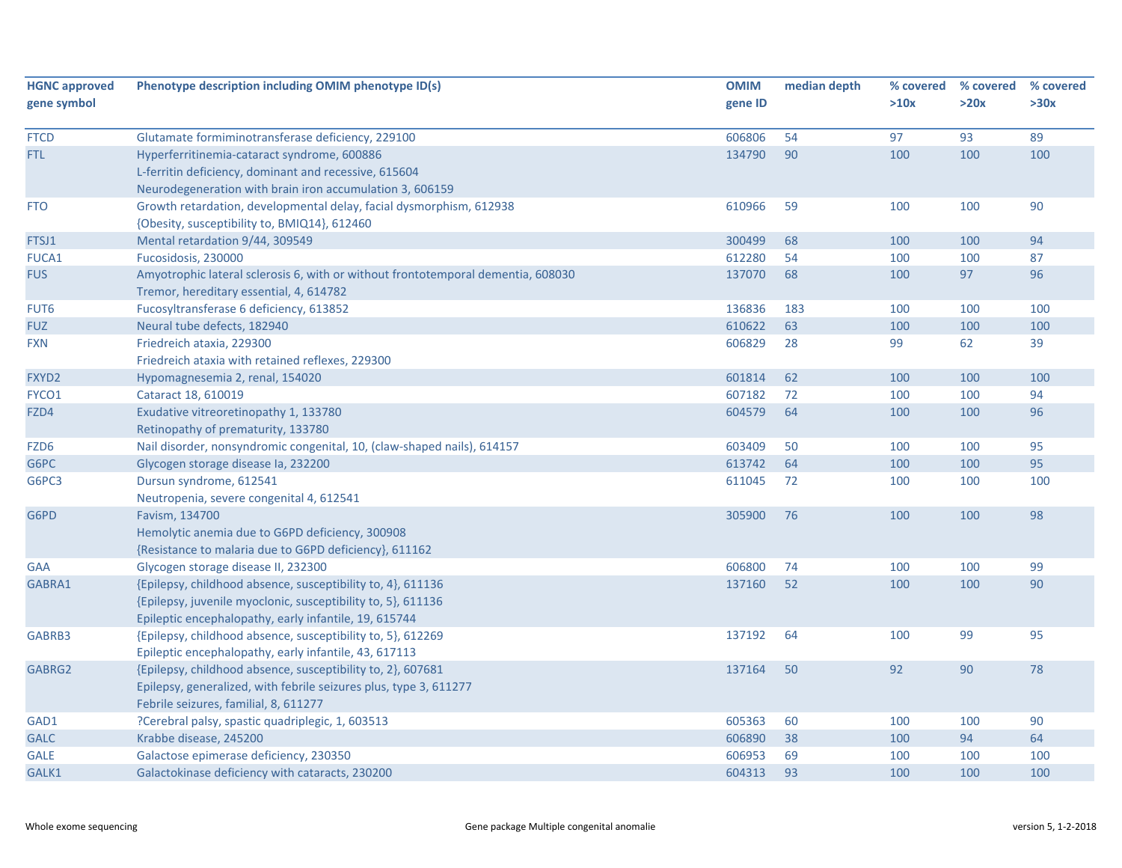| <b>HGNC approved</b> | Phenotype description including OMIM phenotype ID(s)                             | <b>OMIM</b> | median depth | % covered | % covered | % covered |
|----------------------|----------------------------------------------------------------------------------|-------------|--------------|-----------|-----------|-----------|
| gene symbol          |                                                                                  | gene ID     |              | >10x      | >20x      | >30x      |
| <b>FTCD</b>          | Glutamate formiminotransferase deficiency, 229100                                | 606806      | 54           | 97        | 93        | 89        |
| FTL.                 | Hyperferritinemia-cataract syndrome, 600886                                      | 134790      | 90           | 100       | 100       | 100       |
|                      | L-ferritin deficiency, dominant and recessive, 615604                            |             |              |           |           |           |
|                      | Neurodegeneration with brain iron accumulation 3, 606159                         |             |              |           |           |           |
| <b>FTO</b>           | Growth retardation, developmental delay, facial dysmorphism, 612938              | 610966      | 59           | 100       | 100       | 90        |
|                      | {Obesity, susceptibility to, BMIQ14}, 612460                                     |             |              |           |           |           |
| FTSJ1                | Mental retardation 9/44, 309549                                                  | 300499      | 68           | 100       | 100       | 94        |
| FUCA1                | Fucosidosis, 230000                                                              | 612280      | 54           | 100       | 100       | 87        |
| <b>FUS</b>           | Amyotrophic lateral sclerosis 6, with or without frontotemporal dementia, 608030 | 137070      | 68           | 100       | 97        | 96        |
|                      | Tremor, hereditary essential, 4, 614782                                          |             |              |           |           |           |
| FUT6                 | Fucosyltransferase 6 deficiency, 613852                                          | 136836      | 183          | 100       | 100       | 100       |
| <b>FUZ</b>           | Neural tube defects, 182940                                                      | 610622      | 63           | 100       | 100       | 100       |
| <b>FXN</b>           | Friedreich ataxia, 229300                                                        | 606829      | 28           | 99        | 62        | 39        |
|                      | Friedreich ataxia with retained reflexes, 229300                                 |             |              |           |           |           |
| FXYD <sub>2</sub>    | Hypomagnesemia 2, renal, 154020                                                  | 601814      | 62           | 100       | 100       | 100       |
| FYCO1                | Cataract 18, 610019                                                              | 607182      | 72           | 100       | 100       | 94        |
| FZD4                 | Exudative vitreoretinopathy 1, 133780                                            | 604579      | 64           | 100       | 100       | 96        |
|                      | Retinopathy of prematurity, 133780                                               |             |              |           |           |           |
| FZD6                 | Nail disorder, nonsyndromic congenital, 10, (claw-shaped nails), 614157          | 603409      | 50           | 100       | 100       | 95        |
| G6PC                 | Glycogen storage disease la, 232200                                              | 613742      | 64           | 100       | 100       | 95        |
| G6PC3                | Dursun syndrome, 612541                                                          | 611045      | 72           | 100       | 100       | 100       |
|                      | Neutropenia, severe congenital 4, 612541                                         |             |              |           |           |           |
| G6PD                 | Favism, 134700                                                                   | 305900      | 76           | 100       | 100       | 98        |
|                      | Hemolytic anemia due to G6PD deficiency, 300908                                  |             |              |           |           |           |
|                      | {Resistance to malaria due to G6PD deficiency}, 611162                           |             |              |           |           |           |
| <b>GAA</b>           | Glycogen storage disease II, 232300                                              | 606800      | 74           | 100       | 100       | 99        |
| GABRA1               | {Epilepsy, childhood absence, susceptibility to, 4}, 611136                      | 137160      | 52           | 100       | 100       | 90        |
|                      | {Epilepsy, juvenile myoclonic, susceptibility to, 5}, 611136                     |             |              |           |           |           |
|                      | Epileptic encephalopathy, early infantile, 19, 615744                            |             |              |           |           |           |
| GABRB3               | {Epilepsy, childhood absence, susceptibility to, 5}, 612269                      | 137192      | 64           | 100       | 99        | 95        |
|                      | Epileptic encephalopathy, early infantile, 43, 617113                            |             |              |           |           |           |
| GABRG2               | {Epilepsy, childhood absence, susceptibility to, 2}, 607681                      | 137164      | 50           | 92        | 90        | 78        |
|                      | Epilepsy, generalized, with febrile seizures plus, type 3, 611277                |             |              |           |           |           |
|                      | Febrile seizures, familial, 8, 611277                                            |             |              |           |           |           |
| GAD1                 | ?Cerebral palsy, spastic quadriplegic, 1, 603513                                 | 605363      | 60           | 100       | 100       | 90        |
| <b>GALC</b>          | Krabbe disease, 245200                                                           | 606890      | 38           | 100       | 94        | 64        |
| <b>GALE</b>          | Galactose epimerase deficiency, 230350                                           | 606953      | 69           | 100       | 100       | 100       |
| GALK1                | Galactokinase deficiency with cataracts, 230200                                  | 604313      | 93           | 100       | 100       | 100       |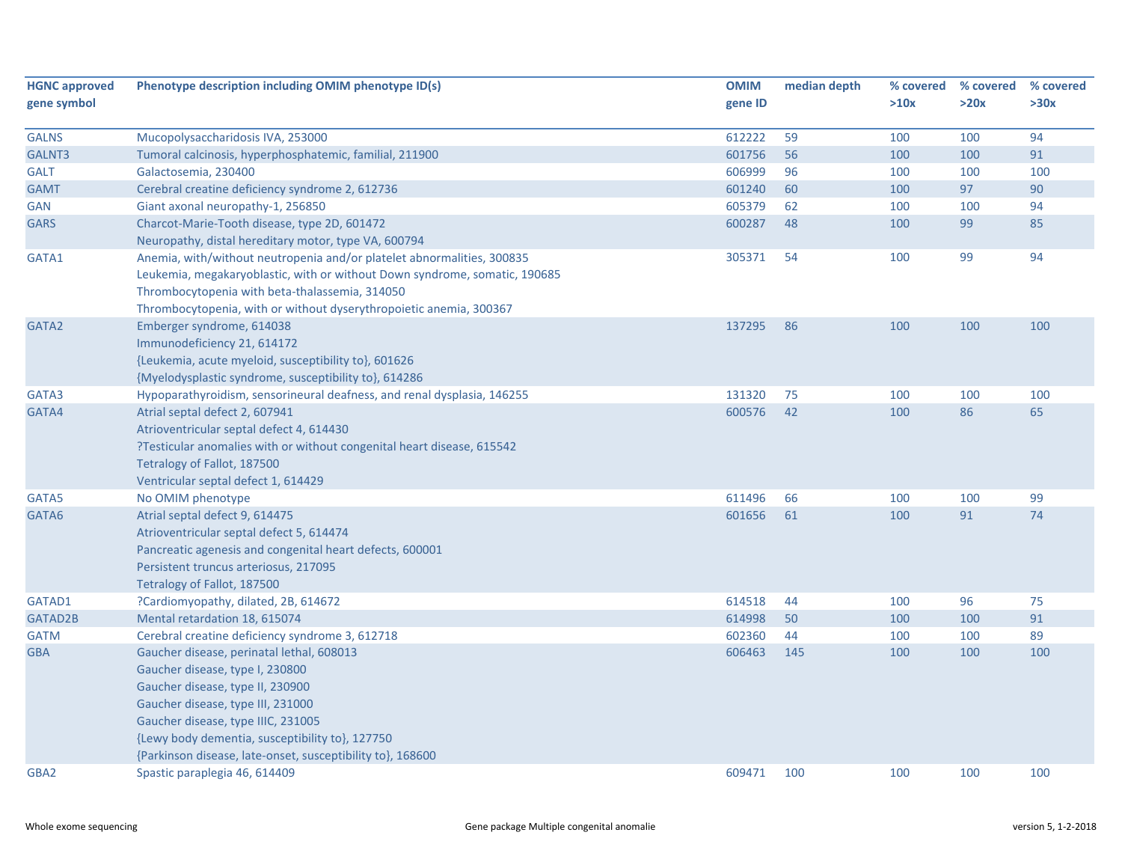| <b>HGNC approved</b> | Phenotype description including OMIM phenotype ID(s)                       | <b>OMIM</b> | median depth | % covered | % covered | % covered |
|----------------------|----------------------------------------------------------------------------|-------------|--------------|-----------|-----------|-----------|
| gene symbol          |                                                                            | gene ID     |              | >10x      | >20x      | >30x      |
|                      |                                                                            |             |              |           |           |           |
| <b>GALNS</b>         | Mucopolysaccharidosis IVA, 253000                                          | 612222      | 59           | 100       | 100       | 94        |
| GALNT3               | Tumoral calcinosis, hyperphosphatemic, familial, 211900                    | 601756      | 56           | 100       | 100       | 91        |
| <b>GALT</b>          | Galactosemia, 230400                                                       | 606999      | 96           | 100       | 100       | 100       |
| <b>GAMT</b>          | Cerebral creatine deficiency syndrome 2, 612736                            | 601240      | 60           | 100       | 97        | 90        |
| <b>GAN</b>           | Giant axonal neuropathy-1, 256850                                          | 605379      | 62           | 100       | 100       | 94        |
| <b>GARS</b>          | Charcot-Marie-Tooth disease, type 2D, 601472                               | 600287      | 48           | 100       | 99        | 85        |
|                      | Neuropathy, distal hereditary motor, type VA, 600794                       |             |              |           |           |           |
| GATA1                | Anemia, with/without neutropenia and/or platelet abnormalities, 300835     | 305371      | 54           | 100       | 99        | 94        |
|                      | Leukemia, megakaryoblastic, with or without Down syndrome, somatic, 190685 |             |              |           |           |           |
|                      | Thrombocytopenia with beta-thalassemia, 314050                             |             |              |           |           |           |
|                      | Thrombocytopenia, with or without dyserythropoietic anemia, 300367         |             |              |           |           |           |
| GATA2                | Emberger syndrome, 614038                                                  | 137295      | 86           | 100       | 100       | 100       |
|                      | Immunodeficiency 21, 614172                                                |             |              |           |           |           |
|                      | {Leukemia, acute myeloid, susceptibility to}, 601626                       |             |              |           |           |           |
|                      | {Myelodysplastic syndrome, susceptibility to}, 614286                      |             |              |           |           |           |
| GATA3                | Hypoparathyroidism, sensorineural deafness, and renal dysplasia, 146255    | 131320      | 75           | 100       | 100       | 100       |
| GATA4                | Atrial septal defect 2, 607941                                             | 600576      | 42           | 100       | 86        | 65        |
|                      | Atrioventricular septal defect 4, 614430                                   |             |              |           |           |           |
|                      | ?Testicular anomalies with or without congenital heart disease, 615542     |             |              |           |           |           |
|                      | Tetralogy of Fallot, 187500                                                |             |              |           |           |           |
|                      | Ventricular septal defect 1, 614429                                        |             |              |           |           |           |
| GATA5                | No OMIM phenotype                                                          | 611496      | 66           | 100       | 100       | 99        |
| GATA6                | Atrial septal defect 9, 614475                                             | 601656      | 61           | 100       | 91        | 74        |
|                      | Atrioventricular septal defect 5, 614474                                   |             |              |           |           |           |
|                      | Pancreatic agenesis and congenital heart defects, 600001                   |             |              |           |           |           |
|                      | Persistent truncus arteriosus, 217095                                      |             |              |           |           |           |
|                      | Tetralogy of Fallot, 187500                                                |             |              |           |           |           |
| GATAD1               | ?Cardiomyopathy, dilated, 2B, 614672                                       | 614518      | 44           | 100       | 96        | 75        |
| GATAD2B              | Mental retardation 18, 615074                                              | 614998      | 50           | 100       | 100       | 91        |
| <b>GATM</b>          | Cerebral creatine deficiency syndrome 3, 612718                            | 602360      | 44           | 100       | 100       | 89        |
| <b>GBA</b>           | Gaucher disease, perinatal lethal, 608013                                  | 606463      | 145          | 100       | 100       | 100       |
|                      | Gaucher disease, type I, 230800                                            |             |              |           |           |           |
|                      | Gaucher disease, type II, 230900                                           |             |              |           |           |           |
|                      | Gaucher disease, type III, 231000                                          |             |              |           |           |           |
|                      | Gaucher disease, type IIIC, 231005                                         |             |              |           |           |           |
|                      | {Lewy body dementia, susceptibility to}, 127750                            |             |              |           |           |           |
|                      | {Parkinson disease, late-onset, susceptibility to}, 168600                 |             |              |           |           |           |
| GBA2                 | Spastic paraplegia 46, 614409                                              | 609471      | 100          | 100       | 100       | 100       |
|                      |                                                                            |             |              |           |           |           |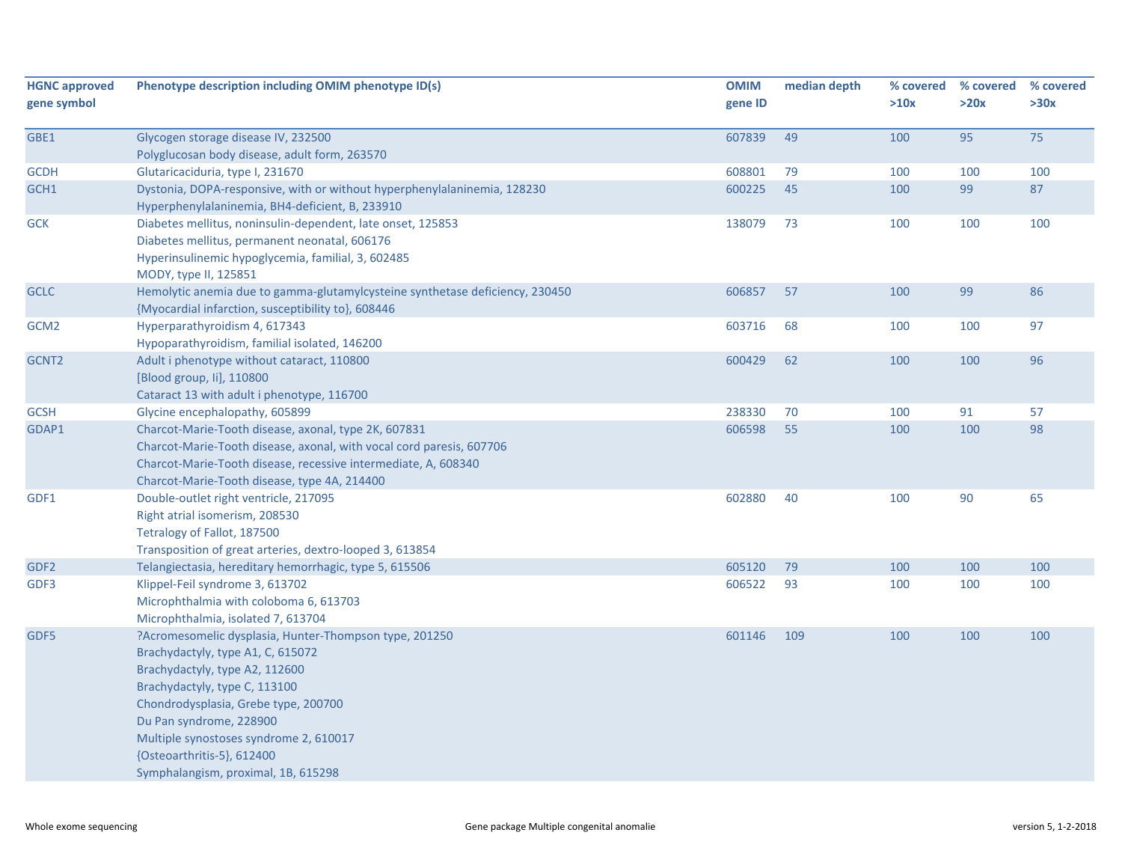| <b>HGNC approved</b><br>gene symbol | Phenotype description including OMIM phenotype ID(s)                                                                                                                                                                                                                                                                                             | <b>OMIM</b><br>gene ID | median depth | % covered<br>>10x | % covered<br>>20x | % covered<br>>30x |
|-------------------------------------|--------------------------------------------------------------------------------------------------------------------------------------------------------------------------------------------------------------------------------------------------------------------------------------------------------------------------------------------------|------------------------|--------------|-------------------|-------------------|-------------------|
| GBE1                                | Glycogen storage disease IV, 232500<br>Polyglucosan body disease, adult form, 263570                                                                                                                                                                                                                                                             | 607839                 | 49           | 100               | 95                | 75                |
| <b>GCDH</b>                         | Glutaricaciduria, type I, 231670                                                                                                                                                                                                                                                                                                                 | 608801                 | 79           | 100               | 100               | 100               |
| GCH1                                | Dystonia, DOPA-responsive, with or without hyperphenylalaninemia, 128230<br>Hyperphenylalaninemia, BH4-deficient, B, 233910                                                                                                                                                                                                                      | 600225                 | 45           | 100               | 99                | 87                |
| <b>GCK</b>                          | Diabetes mellitus, noninsulin-dependent, late onset, 125853<br>Diabetes mellitus, permanent neonatal, 606176<br>Hyperinsulinemic hypoglycemia, familial, 3, 602485<br>MODY, type II, 125851                                                                                                                                                      | 138079                 | 73           | 100               | 100               | 100               |
| <b>GCLC</b>                         | Hemolytic anemia due to gamma-glutamylcysteine synthetase deficiency, 230450<br>{Myocardial infarction, susceptibility to}, 608446                                                                                                                                                                                                               | 606857                 | 57           | 100               | 99                | 86                |
| GCM <sub>2</sub>                    | Hyperparathyroidism 4, 617343<br>Hypoparathyroidism, familial isolated, 146200                                                                                                                                                                                                                                                                   | 603716                 | 68           | 100               | 100               | 97                |
| GCNT2                               | Adult i phenotype without cataract, 110800<br>[Blood group, Ii], 110800<br>Cataract 13 with adult i phenotype, 116700                                                                                                                                                                                                                            | 600429                 | 62           | 100               | 100               | 96                |
| <b>GCSH</b>                         | Glycine encephalopathy, 605899                                                                                                                                                                                                                                                                                                                   | 238330                 | 70           | 100               | 91                | 57                |
| GDAP1                               | Charcot-Marie-Tooth disease, axonal, type 2K, 607831<br>Charcot-Marie-Tooth disease, axonal, with vocal cord paresis, 607706<br>Charcot-Marie-Tooth disease, recessive intermediate, A, 608340<br>Charcot-Marie-Tooth disease, type 4A, 214400                                                                                                   | 606598                 | 55           | 100               | 100               | 98                |
| GDF1                                | Double-outlet right ventricle, 217095<br>Right atrial isomerism, 208530<br>Tetralogy of Fallot, 187500<br>Transposition of great arteries, dextro-looped 3, 613854                                                                                                                                                                               | 602880                 | 40           | 100               | 90                | 65                |
| GDF <sub>2</sub>                    | Telangiectasia, hereditary hemorrhagic, type 5, 615506                                                                                                                                                                                                                                                                                           | 605120                 | 79           | 100               | 100               | 100               |
| GDF3                                | Klippel-Feil syndrome 3, 613702<br>Microphthalmia with coloboma 6, 613703<br>Microphthalmia, isolated 7, 613704                                                                                                                                                                                                                                  | 606522                 | 93           | 100               | 100               | 100               |
| GDF5                                | ?Acromesomelic dysplasia, Hunter-Thompson type, 201250<br>Brachydactyly, type A1, C, 615072<br>Brachydactyly, type A2, 112600<br>Brachydactyly, type C, 113100<br>Chondrodysplasia, Grebe type, 200700<br>Du Pan syndrome, 228900<br>Multiple synostoses syndrome 2, 610017<br>{Osteoarthritis-5}, 612400<br>Symphalangism, proximal, 1B, 615298 | 601146                 | 109          | 100               | 100               | 100               |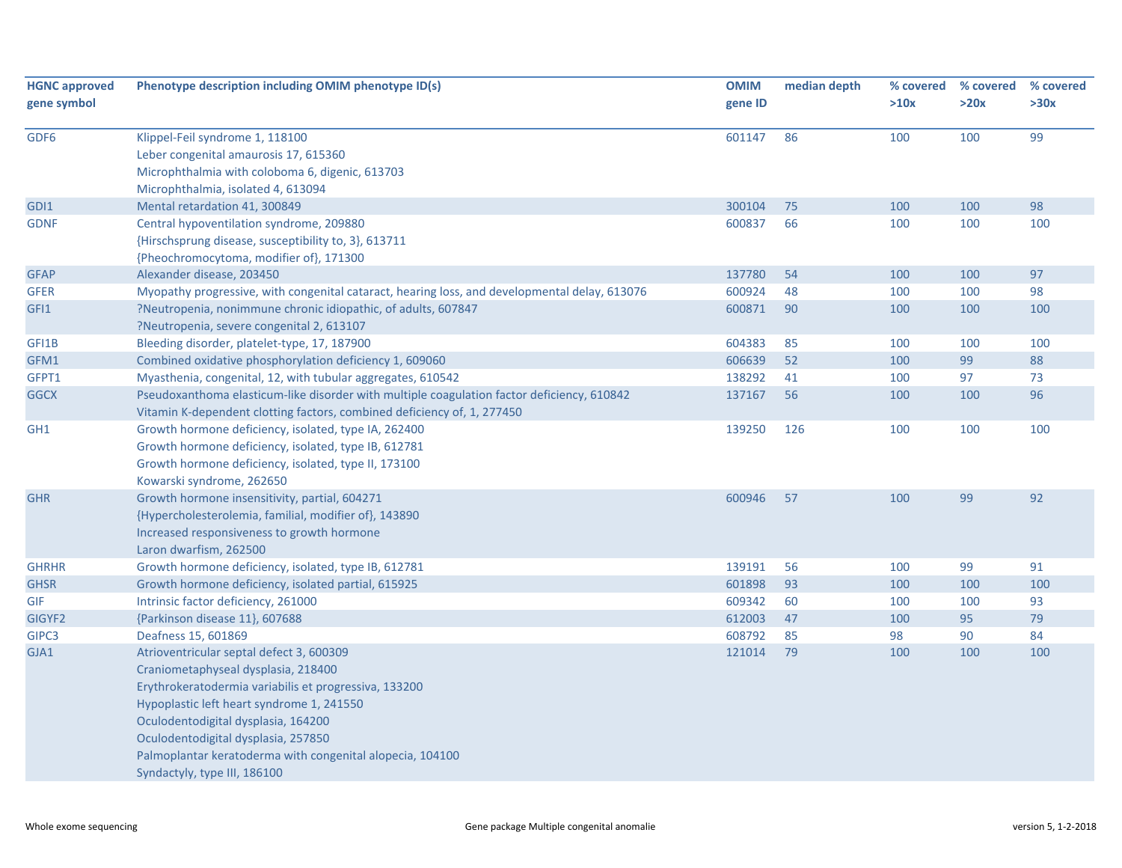| <b>HGNC approved</b> | Phenotype description including OMIM phenotype ID(s)                                          | <b>OMIM</b> | median depth | % covered | % covered | % covered |
|----------------------|-----------------------------------------------------------------------------------------------|-------------|--------------|-----------|-----------|-----------|
| gene symbol          |                                                                                               | gene ID     |              | >10x      | >20x      | >30x      |
|                      |                                                                                               |             |              |           |           |           |
| GDF6                 | Klippel-Feil syndrome 1, 118100                                                               | 601147      | 86           | 100       | 100       | 99        |
|                      | Leber congenital amaurosis 17, 615360                                                         |             |              |           |           |           |
|                      | Microphthalmia with coloboma 6, digenic, 613703                                               |             |              |           |           |           |
|                      | Microphthalmia, isolated 4, 613094                                                            |             |              |           |           |           |
| GDI1                 | Mental retardation 41, 300849                                                                 | 300104      | 75           | 100       | 100       | 98        |
| <b>GDNF</b>          | Central hypoventilation syndrome, 209880                                                      | 600837      | 66           | 100       | 100       | 100       |
|                      | {Hirschsprung disease, susceptibility to, 3}, 613711                                          |             |              |           |           |           |
|                      | {Pheochromocytoma, modifier of}, 171300                                                       |             |              |           |           |           |
| <b>GFAP</b>          | Alexander disease, 203450                                                                     | 137780      | 54           | 100       | 100       | 97        |
| <b>GFER</b>          | Myopathy progressive, with congenital cataract, hearing loss, and developmental delay, 613076 | 600924      | 48           | 100       | 100       | 98        |
| GFI1                 | ?Neutropenia, nonimmune chronic idiopathic, of adults, 607847                                 | 600871      | 90           | 100       | 100       | 100       |
|                      | ?Neutropenia, severe congenital 2, 613107                                                     |             |              |           |           |           |
| GFI1B                | Bleeding disorder, platelet-type, 17, 187900                                                  | 604383      | 85           | 100       | 100       | 100       |
| GFM1                 | Combined oxidative phosphorylation deficiency 1, 609060                                       | 606639      | 52           | 100       | 99        | 88        |
| GFPT1                | Myasthenia, congenital, 12, with tubular aggregates, 610542                                   | 138292      | 41           | 100       | 97        | 73        |
| <b>GGCX</b>          | Pseudoxanthoma elasticum-like disorder with multiple coagulation factor deficiency, 610842    | 137167      | 56           | 100       | 100       | 96        |
|                      | Vitamin K-dependent clotting factors, combined deficiency of, 1, 277450                       |             |              |           |           |           |
| GH <sub>1</sub>      | Growth hormone deficiency, isolated, type IA, 262400                                          | 139250      | 126          | 100       | 100       | 100       |
|                      | Growth hormone deficiency, isolated, type IB, 612781                                          |             |              |           |           |           |
|                      | Growth hormone deficiency, isolated, type II, 173100                                          |             |              |           |           |           |
|                      | Kowarski syndrome, 262650                                                                     |             |              |           |           |           |
| <b>GHR</b>           | Growth hormone insensitivity, partial, 604271                                                 | 600946      | 57           | 100       | 99        | 92        |
|                      | {Hypercholesterolemia, familial, modifier of}, 143890                                         |             |              |           |           |           |
|                      | Increased responsiveness to growth hormone                                                    |             |              |           |           |           |
|                      | Laron dwarfism, 262500                                                                        |             |              |           |           |           |
| <b>GHRHR</b>         | Growth hormone deficiency, isolated, type IB, 612781                                          | 139191      | 56           | 100       | 99        | 91        |
| <b>GHSR</b>          | Growth hormone deficiency, isolated partial, 615925                                           | 601898      | 93           | 100       | 100       | 100       |
| <b>GIF</b>           | Intrinsic factor deficiency, 261000                                                           | 609342      | 60           | 100       | 100       | 93        |
| GIGYF2               | {Parkinson disease 11}, 607688                                                                | 612003      | 47           | 100       | 95        | 79        |
| GIPC3                | Deafness 15, 601869                                                                           | 608792      | 85           | 98        | 90        | 84        |
| GJA1                 | Atrioventricular septal defect 3, 600309                                                      | 121014      | 79           | 100       | 100       | 100       |
|                      | Craniometaphyseal dysplasia, 218400                                                           |             |              |           |           |           |
|                      | Erythrokeratodermia variabilis et progressiva, 133200                                         |             |              |           |           |           |
|                      | Hypoplastic left heart syndrome 1, 241550                                                     |             |              |           |           |           |
|                      | Oculodentodigital dysplasia, 164200                                                           |             |              |           |           |           |
|                      | Oculodentodigital dysplasia, 257850                                                           |             |              |           |           |           |
|                      | Palmoplantar keratoderma with congenital alopecia, 104100                                     |             |              |           |           |           |
|                      | Syndactyly, type III, 186100                                                                  |             |              |           |           |           |
|                      |                                                                                               |             |              |           |           |           |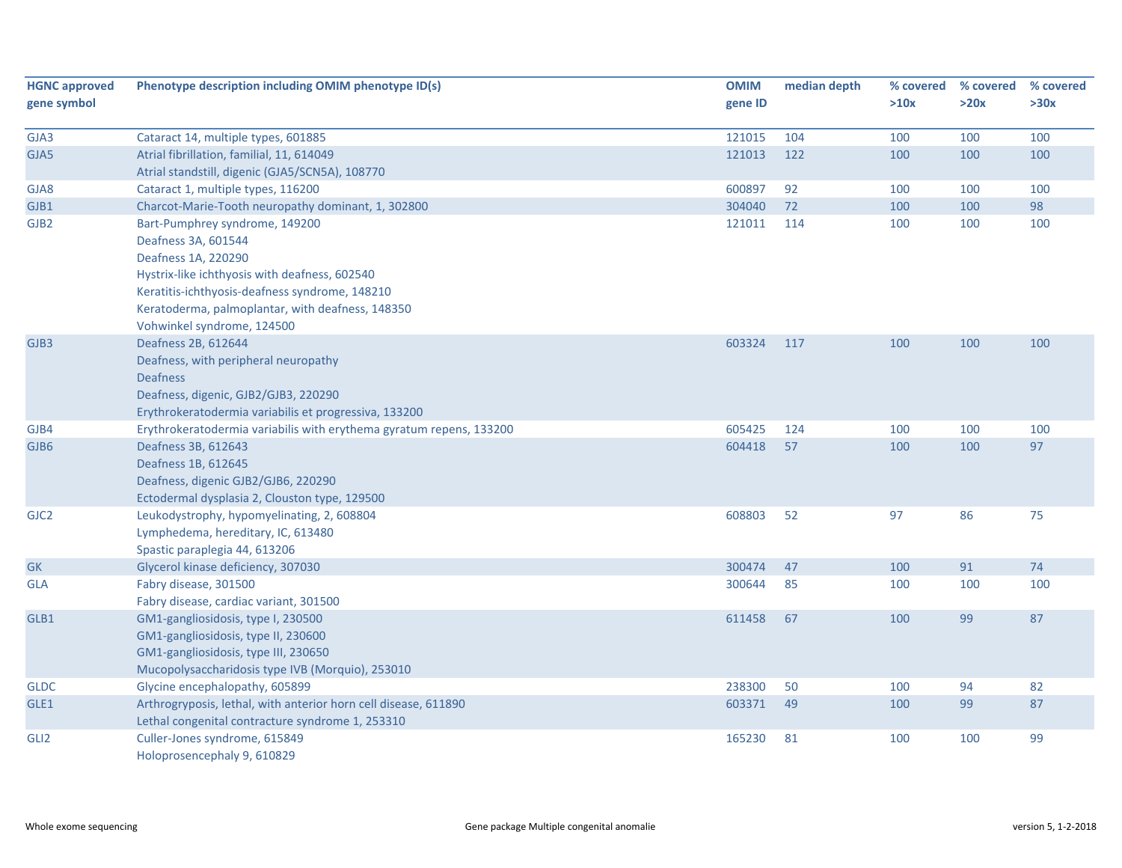| <b>HGNC approved</b>     | Phenotype description including OMIM phenotype ID(s)                                                                | <b>OMIM</b> | median depth | % covered  | % covered | % covered |
|--------------------------|---------------------------------------------------------------------------------------------------------------------|-------------|--------------|------------|-----------|-----------|
| gene symbol              |                                                                                                                     | gene ID     |              | >10x       | >20x      | >30x      |
| GJA3                     | Cataract 14, multiple types, 601885                                                                                 | 121015      | 104          | 100        | 100       | 100       |
| GJA5                     | Atrial fibrillation, familial, 11, 614049                                                                           | 121013      | 122          | 100        | 100       | 100       |
|                          | Atrial standstill, digenic (GJA5/SCN5A), 108770                                                                     |             |              |            |           |           |
| GJA8                     | Cataract 1, multiple types, 116200                                                                                  | 600897      | 92           | 100        | 100       | 100       |
|                          | Charcot-Marie-Tooth neuropathy dominant, 1, 302800                                                                  | 304040      | 72           | 100        | 100       | 98        |
| GJB1<br>GJB <sub>2</sub> | Bart-Pumphrey syndrome, 149200                                                                                      | 121011      | 114          | 100        | 100       | 100       |
|                          | Deafness 3A, 601544                                                                                                 |             |              |            |           |           |
|                          | Deafness 1A, 220290                                                                                                 |             |              |            |           |           |
|                          | Hystrix-like ichthyosis with deafness, 602540                                                                       |             |              |            |           |           |
|                          |                                                                                                                     |             |              |            |           |           |
|                          | Keratitis-ichthyosis-deafness syndrome, 148210                                                                      |             |              |            |           |           |
|                          | Keratoderma, palmoplantar, with deafness, 148350                                                                    |             |              |            |           |           |
| GJB3                     | Vohwinkel syndrome, 124500<br>Deafness 2B, 612644                                                                   | 603324      | 117          | 100        | 100       | 100       |
|                          |                                                                                                                     |             |              |            |           |           |
|                          | Deafness, with peripheral neuropathy<br><b>Deafness</b>                                                             |             |              |            |           |           |
|                          | Deafness, digenic, GJB2/GJB3, 220290                                                                                |             |              |            |           |           |
|                          |                                                                                                                     |             |              |            |           |           |
|                          | Erythrokeratodermia variabilis et progressiva, 133200                                                               | 605425      | 124          |            | 100       | 100       |
| GJB4<br>GJB6             | Erythrokeratodermia variabilis with erythema gyratum repens, 133200<br>Deafness 3B, 612643                          | 604418      | 57           | 100<br>100 | 100       | 97        |
|                          |                                                                                                                     |             |              |            |           |           |
|                          | Deafness 1B, 612645                                                                                                 |             |              |            |           |           |
|                          | Deafness, digenic GJB2/GJB6, 220290<br>Ectodermal dysplasia 2, Clouston type, 129500                                |             |              |            |           |           |
| GJC <sub>2</sub>         |                                                                                                                     | 608803      | 52           | 97         | 86        | 75        |
|                          | Leukodystrophy, hypomyelinating, 2, 608804<br>Lymphedema, hereditary, IC, 613480                                    |             |              |            |           |           |
|                          | Spastic paraplegia 44, 613206                                                                                       |             |              |            |           |           |
| ${\sf GK}$               | Glycerol kinase deficiency, 307030                                                                                  | 300474      | 47           | 100        | 91        | 74        |
| <b>GLA</b>               | Fabry disease, 301500                                                                                               | 300644      | 85           | 100        | 100       | 100       |
|                          | Fabry disease, cardiac variant, 301500                                                                              |             |              |            |           |           |
| GLB1                     | GM1-gangliosidosis, type I, 230500                                                                                  | 611458      | 67           | 100        | 99        | 87        |
|                          | GM1-gangliosidosis, type II, 230600                                                                                 |             |              |            |           |           |
|                          | GM1-gangliosidosis, type III, 230650                                                                                |             |              |            |           |           |
|                          | Mucopolysaccharidosis type IVB (Morquio), 253010                                                                    |             |              |            |           |           |
|                          | Glycine encephalopathy, 605899                                                                                      | 238300      | 50           |            | 94        | 82        |
| <b>GLDC</b>              |                                                                                                                     |             |              | 100        |           |           |
| GLE1                     | Arthrogryposis, lethal, with anterior horn cell disease, 611890<br>Lethal congenital contracture syndrome 1, 253310 | 603371      | 49           | 100        | 99        | 87        |
|                          |                                                                                                                     |             |              |            |           | 99        |
| GLI <sub>2</sub>         | Culler-Jones syndrome, 615849                                                                                       | 165230      | 81           | 100        | 100       |           |
|                          | Holoprosencephaly 9, 610829                                                                                         |             |              |            |           |           |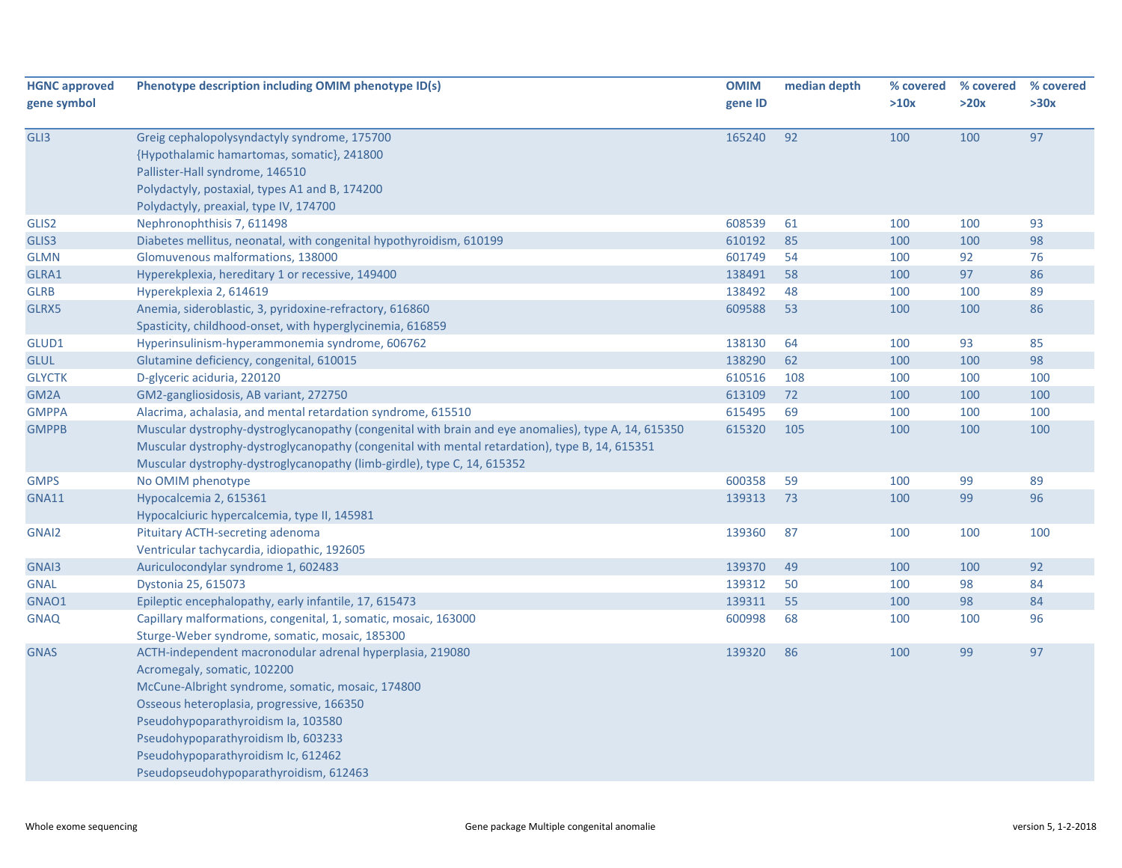| <b>HGNC approved</b> | Phenotype description including OMIM phenotype ID(s)                                                | <b>OMIM</b> | median depth | % covered | % covered | % covered |
|----------------------|-----------------------------------------------------------------------------------------------------|-------------|--------------|-----------|-----------|-----------|
| gene symbol          |                                                                                                     | gene ID     |              | >10x      | >20x      | >30x      |
|                      |                                                                                                     |             |              |           |           |           |
| GLI3                 | Greig cephalopolysyndactyly syndrome, 175700                                                        | 165240      | 92           | 100       | 100       | 97        |
|                      | {Hypothalamic hamartomas, somatic}, 241800                                                          |             |              |           |           |           |
|                      | Pallister-Hall syndrome, 146510                                                                     |             |              |           |           |           |
|                      | Polydactyly, postaxial, types A1 and B, 174200                                                      |             |              |           |           |           |
|                      | Polydactyly, preaxial, type IV, 174700                                                              |             |              |           |           |           |
| GLIS2                | Nephronophthisis 7, 611498                                                                          | 608539      | 61           | 100       | 100       | 93        |
| GLIS3                | Diabetes mellitus, neonatal, with congenital hypothyroidism, 610199                                 | 610192      | 85           | 100       | 100       | 98        |
| <b>GLMN</b>          | Glomuvenous malformations, 138000                                                                   | 601749      | 54           | 100       | 92        | 76        |
| GLRA1                | Hyperekplexia, hereditary 1 or recessive, 149400                                                    | 138491      | 58           | 100       | 97        | 86        |
| <b>GLRB</b>          | Hyperekplexia 2, 614619                                                                             | 138492      | 48           | 100       | 100       | 89        |
| GLRX5                | Anemia, sideroblastic, 3, pyridoxine-refractory, 616860                                             | 609588      | 53           | 100       | 100       | 86        |
|                      | Spasticity, childhood-onset, with hyperglycinemia, 616859                                           |             |              |           |           |           |
| GLUD1                | Hyperinsulinism-hyperammonemia syndrome, 606762                                                     | 138130      | 64           | 100       | 93        | 85        |
| <b>GLUL</b>          | Glutamine deficiency, congenital, 610015                                                            | 138290      | 62           | 100       | 100       | 98        |
| <b>GLYCTK</b>        | D-glyceric aciduria, 220120                                                                         | 610516      | 108          | 100       | 100       | 100       |
| GM <sub>2</sub> A    | GM2-gangliosidosis, AB variant, 272750                                                              | 613109      | 72           | 100       | 100       | 100       |
| <b>GMPPA</b>         | Alacrima, achalasia, and mental retardation syndrome, 615510                                        | 615495      | 69           | 100       | 100       | 100       |
| <b>GMPPB</b>         | Muscular dystrophy-dystroglycanopathy (congenital with brain and eye anomalies), type A, 14, 615350 | 615320      | 105          | 100       | 100       | 100       |
|                      | Muscular dystrophy-dystroglycanopathy (congenital with mental retardation), type B, 14, 615351      |             |              |           |           |           |
|                      | Muscular dystrophy-dystroglycanopathy (limb-girdle), type C, 14, 615352                             |             |              |           |           |           |
| <b>GMPS</b>          | No OMIM phenotype                                                                                   | 600358      | 59           | 100       | 99        | 89        |
| <b>GNA11</b>         | Hypocalcemia 2, 615361                                                                              | 139313      | 73           | 100       | 99        | 96        |
|                      | Hypocalciuric hypercalcemia, type II, 145981                                                        |             |              |           |           |           |
| GNAI2                | Pituitary ACTH-secreting adenoma                                                                    | 139360      | 87           | 100       | 100       | 100       |
|                      | Ventricular tachycardia, idiopathic, 192605                                                         |             |              |           |           |           |
| GNAI3                | Auriculocondylar syndrome 1, 602483                                                                 | 139370      | 49           | 100       | 100       | 92        |
| <b>GNAL</b>          | Dystonia 25, 615073                                                                                 | 139312      | 50           | 100       | 98        | 84        |
| GNAO1                | Epileptic encephalopathy, early infantile, 17, 615473                                               | 139311      | 55           | 100       | 98        | 84        |
| <b>GNAQ</b>          | Capillary malformations, congenital, 1, somatic, mosaic, 163000                                     | 600998      | 68           | 100       | 100       | 96        |
|                      | Sturge-Weber syndrome, somatic, mosaic, 185300                                                      |             |              |           |           |           |
| <b>GNAS</b>          | ACTH-independent macronodular adrenal hyperplasia, 219080                                           | 139320      | 86           | 100       | 99        | 97        |
|                      | Acromegaly, somatic, 102200                                                                         |             |              |           |           |           |
|                      | McCune-Albright syndrome, somatic, mosaic, 174800                                                   |             |              |           |           |           |
|                      | Osseous heteroplasia, progressive, 166350                                                           |             |              |           |           |           |
|                      | Pseudohypoparathyroidism Ia, 103580                                                                 |             |              |           |           |           |
|                      | Pseudohypoparathyroidism Ib, 603233                                                                 |             |              |           |           |           |
|                      | Pseudohypoparathyroidism Ic, 612462                                                                 |             |              |           |           |           |
|                      | Pseudopseudohypoparathyroidism, 612463                                                              |             |              |           |           |           |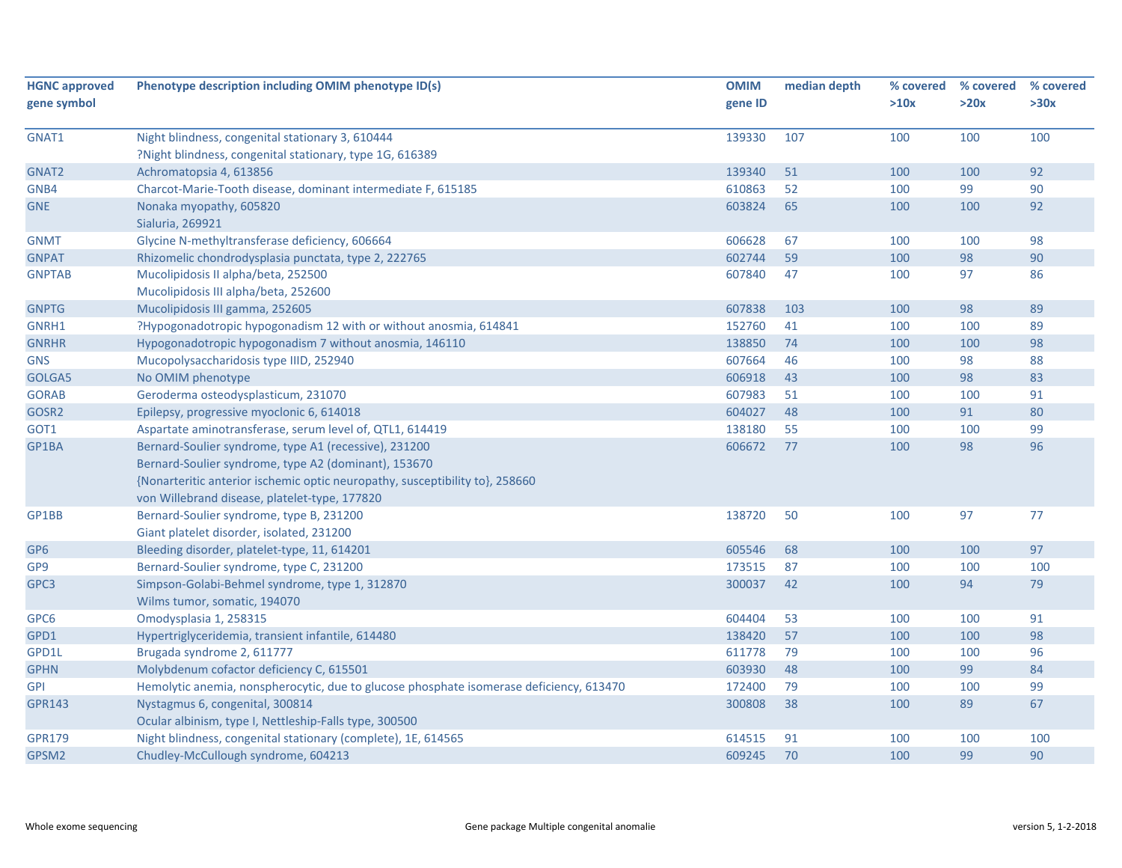| <b>HGNC approved</b> | Phenotype description including OMIM phenotype ID(s)                                    | <b>OMIM</b> | median depth | % covered | % covered | % covered |
|----------------------|-----------------------------------------------------------------------------------------|-------------|--------------|-----------|-----------|-----------|
| gene symbol          |                                                                                         | gene ID     |              | >10x      | >20x      | >30x      |
| GNAT1                | Night blindness, congenital stationary 3, 610444                                        | 139330      | 107          | 100       | 100       | 100       |
|                      | ?Night blindness, congenital stationary, type 1G, 616389                                |             |              |           |           |           |
| GNAT2                | Achromatopsia 4, 613856                                                                 | 139340      | 51           | 100       | 100       | 92        |
| GNB4                 | Charcot-Marie-Tooth disease, dominant intermediate F, 615185                            | 610863      | 52           | 100       | 99        | 90        |
| <b>GNE</b>           | Nonaka myopathy, 605820                                                                 | 603824      | 65           | 100       | 100       | 92        |
|                      | Sialuria, 269921                                                                        |             |              |           |           |           |
| <b>GNMT</b>          | Glycine N-methyltransferase deficiency, 606664                                          | 606628      | 67           | 100       | 100       | 98        |
| <b>GNPAT</b>         | Rhizomelic chondrodysplasia punctata, type 2, 222765                                    | 602744      | 59           | 100       | 98        | 90        |
| <b>GNPTAB</b>        | Mucolipidosis II alpha/beta, 252500                                                     | 607840      | 47           | 100       | 97        | 86        |
|                      | Mucolipidosis III alpha/beta, 252600                                                    |             |              |           |           |           |
| <b>GNPTG</b>         | Mucolipidosis III gamma, 252605                                                         | 607838      | 103          | 100       | 98        | 89        |
| GNRH1                | ?Hypogonadotropic hypogonadism 12 with or without anosmia, 614841                       | 152760      | 41           | 100       | 100       | 89        |
| <b>GNRHR</b>         | Hypogonadotropic hypogonadism 7 without anosmia, 146110                                 | 138850      | 74           | 100       | 100       | 98        |
| <b>GNS</b>           | Mucopolysaccharidosis type IIID, 252940                                                 | 607664      | 46           | 100       | 98        | 88        |
| GOLGA5               | No OMIM phenotype                                                                       | 606918      | 43           | 100       | 98        | 83        |
| <b>GORAB</b>         | Geroderma osteodysplasticum, 231070                                                     | 607983      | 51           | 100       | 100       | 91        |
| GOSR2                | Epilepsy, progressive myoclonic 6, 614018                                               | 604027      | 48           | 100       | 91        | 80        |
| GOT1                 | Aspartate aminotransferase, serum level of, QTL1, 614419                                | 138180      | 55           | 100       | 100       | 99        |
| GP1BA                | Bernard-Soulier syndrome, type A1 (recessive), 231200                                   | 606672      | 77           | 100       | 98        | 96        |
|                      | Bernard-Soulier syndrome, type A2 (dominant), 153670                                    |             |              |           |           |           |
|                      | {Nonarteritic anterior ischemic optic neuropathy, susceptibility to}, 258660            |             |              |           |           |           |
|                      | von Willebrand disease, platelet-type, 177820                                           |             |              |           |           |           |
| GP1BB                | Bernard-Soulier syndrome, type B, 231200                                                | 138720      | 50           | 100       | 97        | 77        |
|                      | Giant platelet disorder, isolated, 231200                                               |             |              |           |           |           |
| GP <sub>6</sub>      | Bleeding disorder, platelet-type, 11, 614201                                            | 605546      | 68           | 100       | 100       | 97        |
| GP <sub>9</sub>      | Bernard-Soulier syndrome, type C, 231200                                                | 173515      | 87           | 100       | 100       | 100       |
| GPC3                 | Simpson-Golabi-Behmel syndrome, type 1, 312870                                          | 300037      | 42           | 100       | 94        | 79        |
|                      | Wilms tumor, somatic, 194070                                                            |             |              |           |           |           |
| GPC6                 | Omodysplasia 1, 258315                                                                  | 604404      | 53           | 100       | 100       | 91        |
| GPD1                 | Hypertriglyceridemia, transient infantile, 614480                                       | 138420      | 57           | 100       | 100       | 98        |
| GPD1L                | Brugada syndrome 2, 611777                                                              | 611778      | 79           | 100       | 100       | 96        |
| <b>GPHN</b>          | Molybdenum cofactor deficiency C, 615501                                                | 603930      | 48           | 100       | 99        | 84        |
| <b>GPI</b>           | Hemolytic anemia, nonspherocytic, due to glucose phosphate isomerase deficiency, 613470 | 172400      | 79           | 100       | 100       | 99        |
| <b>GPR143</b>        | Nystagmus 6, congenital, 300814                                                         | 300808      | 38           | 100       | 89        | 67        |
|                      | Ocular albinism, type I, Nettleship-Falls type, 300500                                  |             |              |           |           |           |
| <b>GPR179</b>        | Night blindness, congenital stationary (complete), 1E, 614565                           | 614515      | 91           | 100       | 100       | 100       |
| GPSM <sub>2</sub>    | Chudley-McCullough syndrome, 604213                                                     | 609245      | 70           | 100       | 99        | 90        |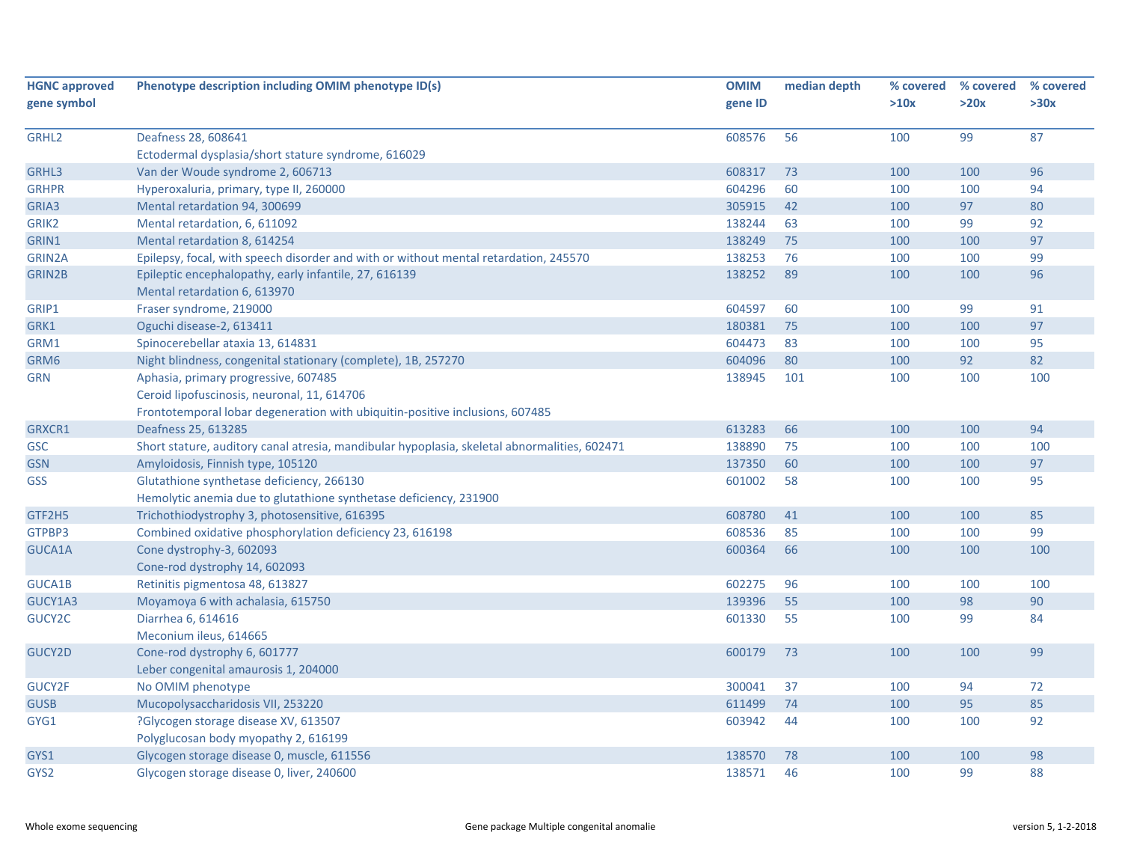| <b>HGNC approved</b><br>gene symbol | Phenotype description including OMIM phenotype ID(s)                                                           | <b>OMIM</b><br>gene ID | median depth | % covered<br>>10x | % covered<br>>20x | % covered<br>>30x |
|-------------------------------------|----------------------------------------------------------------------------------------------------------------|------------------------|--------------|-------------------|-------------------|-------------------|
|                                     |                                                                                                                |                        |              |                   |                   |                   |
| GRHL <sub>2</sub>                   | Deafness 28, 608641                                                                                            | 608576                 | 56           | 100               | 99                | 87                |
|                                     | Ectodermal dysplasia/short stature syndrome, 616029                                                            |                        |              |                   |                   |                   |
| GRHL3                               | Van der Woude syndrome 2, 606713                                                                               | 608317                 | 73           | 100               | 100               | 96                |
| <b>GRHPR</b>                        | Hyperoxaluria, primary, type II, 260000                                                                        | 604296                 | 60           | 100               | 100               | 94                |
| GRIA3                               | Mental retardation 94, 300699                                                                                  | 305915                 | 42           | 100               | 97                | 80                |
| GRIK2                               | Mental retardation, 6, 611092                                                                                  | 138244                 | 63           | 100               | 99                | 92                |
| GRIN1                               | Mental retardation 8, 614254                                                                                   | 138249                 | 75           | 100               | 100               | 97                |
| GRIN2A                              | Epilepsy, focal, with speech disorder and with or without mental retardation, 245570                           | 138253                 | 76           | 100               | 100               | 99                |
| <b>GRIN2B</b>                       | Epileptic encephalopathy, early infantile, 27, 616139<br>Mental retardation 6, 613970                          | 138252                 | 89           | 100               | 100               | 96                |
| GRIP1                               | Fraser syndrome, 219000                                                                                        | 604597                 | 60           | 100               | 99                | 91                |
| GRK1                                | Oguchi disease-2, 613411                                                                                       | 180381                 | 75           | 100               | 100               | 97                |
| GRM1                                | Spinocerebellar ataxia 13, 614831                                                                              | 604473                 | 83           | 100               | 100               | 95                |
| GRM6                                | Night blindness, congenital stationary (complete), 1B, 257270                                                  | 604096                 | 80           | 100               | 92                | 82                |
| <b>GRN</b>                          | Aphasia, primary progressive, 607485                                                                           | 138945                 | 101          | 100               | 100               | 100               |
|                                     | Ceroid lipofuscinosis, neuronal, 11, 614706                                                                    |                        |              |                   |                   |                   |
|                                     | Frontotemporal lobar degeneration with ubiquitin-positive inclusions, 607485                                   |                        |              |                   |                   |                   |
| GRXCR1                              | Deafness 25, 613285                                                                                            | 613283                 | 66           | 100               | 100               | 94                |
| <b>GSC</b>                          | Short stature, auditory canal atresia, mandibular hypoplasia, skeletal abnormalities, 602471                   | 138890                 | 75           | 100               | 100               | 100               |
| <b>GSN</b>                          | Amyloidosis, Finnish type, 105120                                                                              | 137350                 | 60           | 100               | 100               | 97                |
| <b>GSS</b>                          | Glutathione synthetase deficiency, 266130<br>Hemolytic anemia due to glutathione synthetase deficiency, 231900 | 601002                 | 58           | 100               | 100               | 95                |
| GTF2H5                              | Trichothiodystrophy 3, photosensitive, 616395                                                                  | 608780                 | 41           | 100               | 100               | 85                |
| GTPBP3                              | Combined oxidative phosphorylation deficiency 23, 616198                                                       | 608536                 | 85           | 100               | 100               | 99                |
| GUCA1A                              | Cone dystrophy-3, 602093                                                                                       | 600364                 | 66           | 100               | 100               | 100               |
|                                     | Cone-rod dystrophy 14, 602093                                                                                  |                        |              |                   |                   |                   |
| GUCA1B                              | Retinitis pigmentosa 48, 613827                                                                                | 602275                 | 96           | 100               | 100               | 100               |
| GUCY1A3                             | Moyamoya 6 with achalasia, 615750                                                                              | 139396                 | 55           | 100               | 98                | 90                |
| GUCY2C                              | Diarrhea 6, 614616                                                                                             | 601330                 | 55           | 100               | 99                | 84                |
|                                     | Meconium ileus, 614665                                                                                         |                        |              |                   |                   |                   |
| GUCY2D                              | Cone-rod dystrophy 6, 601777                                                                                   | 600179                 | 73           | 100               | 100               | 99                |
|                                     | Leber congenital amaurosis 1, 204000                                                                           |                        |              |                   |                   |                   |
| GUCY2F                              | No OMIM phenotype                                                                                              | 300041                 | 37           | 100               | 94                | 72                |
| <b>GUSB</b>                         | Mucopolysaccharidosis VII, 253220                                                                              | 611499                 | 74           | 100               | 95                | 85                |
| GYG1                                | ?Glycogen storage disease XV, 613507                                                                           | 603942                 | 44           | 100               | 100               | 92                |
|                                     | Polyglucosan body myopathy 2, 616199                                                                           |                        |              |                   |                   |                   |
| GYS1                                | Glycogen storage disease 0, muscle, 611556                                                                     | 138570                 | 78           | 100               | 100               | 98                |
| GYS2                                | Glycogen storage disease 0, liver, 240600                                                                      | 138571                 | 46           | 100               | 99                | 88                |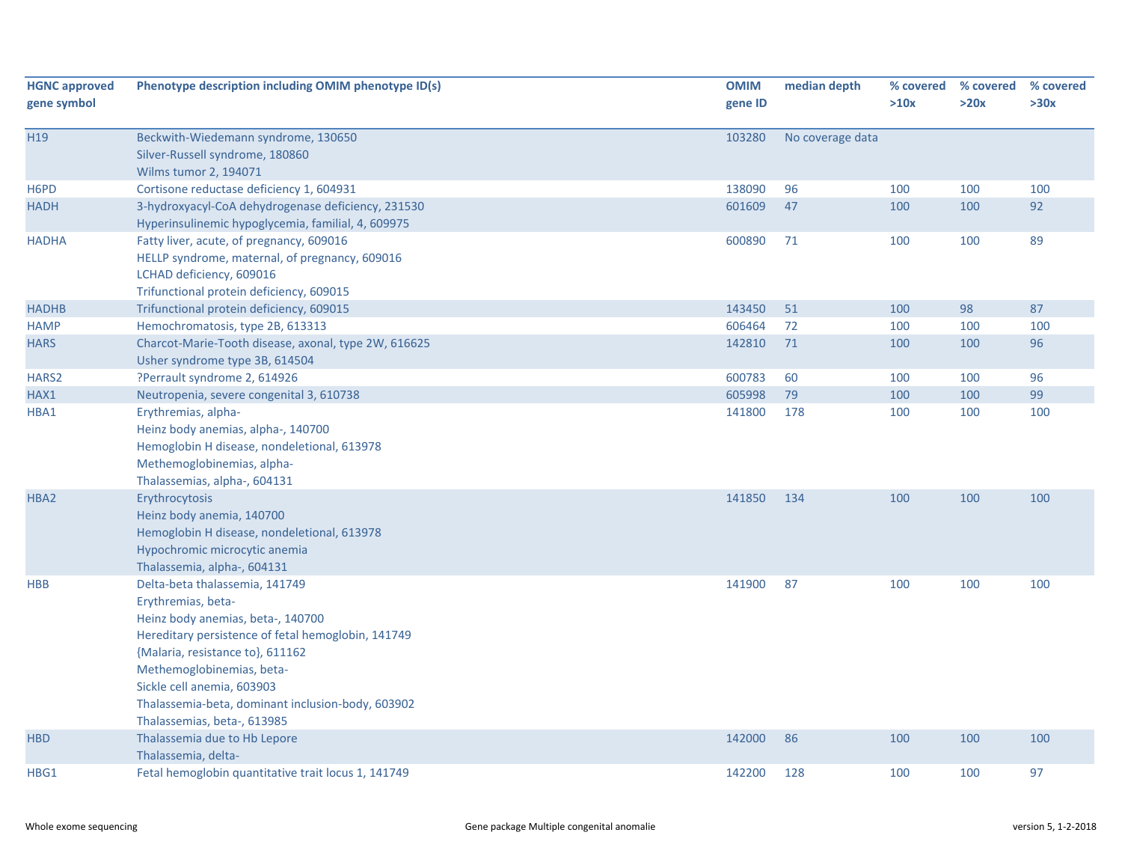| <b>HGNC approved</b><br>gene symbol | Phenotype description including OMIM phenotype ID(s)                                                                                                                                                                                                                                                                               | <b>OMIM</b><br>gene ID | median depth     | % covered<br>>10x | % covered<br>>20x | % covered<br>>30x |
|-------------------------------------|------------------------------------------------------------------------------------------------------------------------------------------------------------------------------------------------------------------------------------------------------------------------------------------------------------------------------------|------------------------|------------------|-------------------|-------------------|-------------------|
| H <sub>19</sub>                     | Beckwith-Wiedemann syndrome, 130650<br>Silver-Russell syndrome, 180860<br>Wilms tumor 2, 194071                                                                                                                                                                                                                                    | 103280                 | No coverage data |                   |                   |                   |
| H <sub>6</sub> P <sub>D</sub>       | Cortisone reductase deficiency 1, 604931                                                                                                                                                                                                                                                                                           | 138090                 | 96               | 100               | 100               | 100               |
| <b>HADH</b>                         | 3-hydroxyacyl-CoA dehydrogenase deficiency, 231530<br>Hyperinsulinemic hypoglycemia, familial, 4, 609975                                                                                                                                                                                                                           | 601609                 | 47               | 100               | 100               | 92                |
| <b>HADHA</b>                        | Fatty liver, acute, of pregnancy, 609016<br>HELLP syndrome, maternal, of pregnancy, 609016<br>LCHAD deficiency, 609016<br>Trifunctional protein deficiency, 609015                                                                                                                                                                 | 600890                 | 71               | 100               | 100               | 89                |
| <b>HADHB</b>                        | Trifunctional protein deficiency, 609015                                                                                                                                                                                                                                                                                           | 143450                 | 51               | 100               | 98                | 87                |
| <b>HAMP</b>                         | Hemochromatosis, type 2B, 613313                                                                                                                                                                                                                                                                                                   | 606464                 | 72               | 100               | 100               | 100               |
| <b>HARS</b>                         | Charcot-Marie-Tooth disease, axonal, type 2W, 616625<br>Usher syndrome type 3B, 614504                                                                                                                                                                                                                                             | 142810                 | 71               | 100               | 100               | 96                |
| HARS <sub>2</sub>                   | ?Perrault syndrome 2, 614926                                                                                                                                                                                                                                                                                                       | 600783                 | 60               | 100               | 100               | 96                |
| HAX1                                | Neutropenia, severe congenital 3, 610738                                                                                                                                                                                                                                                                                           | 605998                 | 79               | 100               | 100               | 99                |
| HBA1                                | Erythremias, alpha-<br>Heinz body anemias, alpha-, 140700<br>Hemoglobin H disease, nondeletional, 613978<br>Methemoglobinemias, alpha-<br>Thalassemias, alpha-, 604131                                                                                                                                                             | 141800                 | 178              | 100               | 100               | 100               |
| HBA2                                | Erythrocytosis<br>Heinz body anemia, 140700<br>Hemoglobin H disease, nondeletional, 613978<br>Hypochromic microcytic anemia<br>Thalassemia, alpha-, 604131                                                                                                                                                                         | 141850                 | 134              | 100               | 100               | 100               |
| <b>HBB</b>                          | Delta-beta thalassemia, 141749<br>Erythremias, beta-<br>Heinz body anemias, beta-, 140700<br>Hereditary persistence of fetal hemoglobin, 141749<br>{Malaria, resistance to}, 611162<br>Methemoglobinemias, beta-<br>Sickle cell anemia, 603903<br>Thalassemia-beta, dominant inclusion-body, 603902<br>Thalassemias, beta-, 613985 | 141900                 | 87               | 100               | 100               | 100               |
| <b>HBD</b>                          | Thalassemia due to Hb Lepore<br>Thalassemia, delta-                                                                                                                                                                                                                                                                                | 142000                 | 86               | 100               | 100               | 100               |
| HBG1                                | Fetal hemoglobin quantitative trait locus 1, 141749                                                                                                                                                                                                                                                                                | 142200                 | 128              | 100               | 100               | 97                |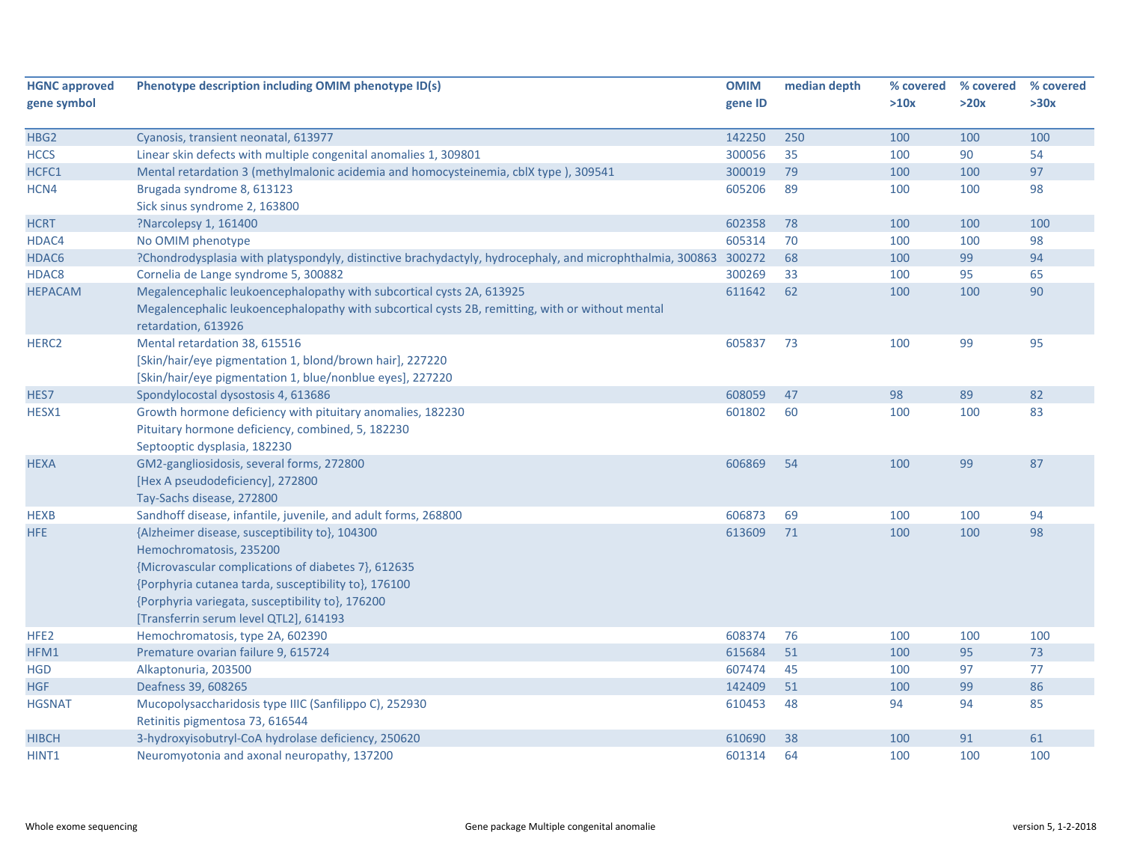| <b>HGNC approved</b> | Phenotype description including OMIM phenotype ID(s)                                                             | <b>OMIM</b> | median depth | % covered | % covered | % covered |
|----------------------|------------------------------------------------------------------------------------------------------------------|-------------|--------------|-----------|-----------|-----------|
| gene symbol          |                                                                                                                  | gene ID     |              | >10x      | >20x      | >30x      |
|                      |                                                                                                                  |             |              |           |           |           |
| HBG <sub>2</sub>     | Cyanosis, transient neonatal, 613977                                                                             | 142250      | 250          | 100       | 100       | 100       |
| <b>HCCS</b>          | Linear skin defects with multiple congenital anomalies 1, 309801                                                 | 300056      | 35           | 100       | 90        | 54        |
| HCFC1                | Mental retardation 3 (methylmalonic acidemia and homocysteinemia, cblX type), 309541                             | 300019      | 79           | 100       | 100       | 97        |
| HCN4                 | Brugada syndrome 8, 613123                                                                                       | 605206      | 89           | 100       | 100       | 98        |
|                      | Sick sinus syndrome 2, 163800                                                                                    |             |              |           |           |           |
| <b>HCRT</b>          | ?Narcolepsy 1, 161400                                                                                            | 602358      | 78           | 100       | 100       | 100       |
| HDAC4                | No OMIM phenotype                                                                                                | 605314      | 70           | 100       | 100       | 98        |
| HDAC6                | ?Chondrodysplasia with platyspondyly, distinctive brachydactyly, hydrocephaly, and microphthalmia, 300863 300272 |             | 68           | 100       | 99        | 94        |
| HDAC8                | Cornelia de Lange syndrome 5, 300882                                                                             | 300269      | 33           | 100       | 95        | 65        |
| <b>HEPACAM</b>       | Megalencephalic leukoencephalopathy with subcortical cysts 2A, 613925                                            | 611642      | 62           | 100       | 100       | 90        |
|                      | Megalencephalic leukoencephalopathy with subcortical cysts 2B, remitting, with or without mental                 |             |              |           |           |           |
|                      | retardation, 613926                                                                                              |             |              |           |           |           |
| HERC <sub>2</sub>    | Mental retardation 38, 615516                                                                                    | 605837      | 73           | 100       | 99        | 95        |
|                      | [Skin/hair/eye pigmentation 1, blond/brown hair], 227220                                                         |             |              |           |           |           |
|                      | [Skin/hair/eye pigmentation 1, blue/nonblue eyes], 227220                                                        |             |              |           |           |           |
| HES7                 | Spondylocostal dysostosis 4, 613686                                                                              | 608059      | 47           | 98        | 89        | 82        |
| HESX1                | Growth hormone deficiency with pituitary anomalies, 182230                                                       | 601802      | 60           | 100       | 100       | 83        |
|                      | Pituitary hormone deficiency, combined, 5, 182230                                                                |             |              |           |           |           |
|                      | Septooptic dysplasia, 182230                                                                                     |             |              |           |           |           |
| <b>HEXA</b>          | GM2-gangliosidosis, several forms, 272800                                                                        | 606869      | 54           | 100       | 99        | 87        |
|                      | [Hex A pseudodeficiency], 272800                                                                                 |             |              |           |           |           |
|                      | Tay-Sachs disease, 272800                                                                                        |             |              |           |           |           |
| <b>HEXB</b>          | Sandhoff disease, infantile, juvenile, and adult forms, 268800                                                   | 606873      | 69           | 100       | 100       | 94        |
| HFE                  | {Alzheimer disease, susceptibility to}, 104300                                                                   | 613609      | 71           | 100       | 100       | 98        |
|                      | Hemochromatosis, 235200                                                                                          |             |              |           |           |           |
|                      | {Microvascular complications of diabetes 7}, 612635                                                              |             |              |           |           |           |
|                      | {Porphyria cutanea tarda, susceptibility to}, 176100                                                             |             |              |           |           |           |
|                      | {Porphyria variegata, susceptibility to}, 176200                                                                 |             |              |           |           |           |
|                      | [Transferrin serum level QTL2], 614193                                                                           |             |              |           |           |           |
| HFE <sub>2</sub>     | Hemochromatosis, type 2A, 602390                                                                                 | 608374      | 76           | 100       | 100       | 100       |
| HFM1                 | Premature ovarian failure 9, 615724                                                                              | 615684      | 51           | 100       | 95        | 73        |
| <b>HGD</b>           | Alkaptonuria, 203500                                                                                             | 607474      | 45           | 100       | 97        | 77        |
| <b>HGF</b>           | Deafness 39, 608265                                                                                              | 142409      | 51           | 100       | 99        | 86        |
| <b>HGSNAT</b>        | Mucopolysaccharidosis type IIIC (Sanfilippo C), 252930                                                           | 610453      | 48           | 94        | 94        | 85        |
|                      | Retinitis pigmentosa 73, 616544                                                                                  |             |              |           |           |           |
| <b>HIBCH</b>         | 3-hydroxyisobutryl-CoA hydrolase deficiency, 250620                                                              | 610690      | 38           | 100       | 91        | 61        |
| HINT1                | Neuromyotonia and axonal neuropathy, 137200                                                                      | 601314      | 64           | 100       | 100       | 100       |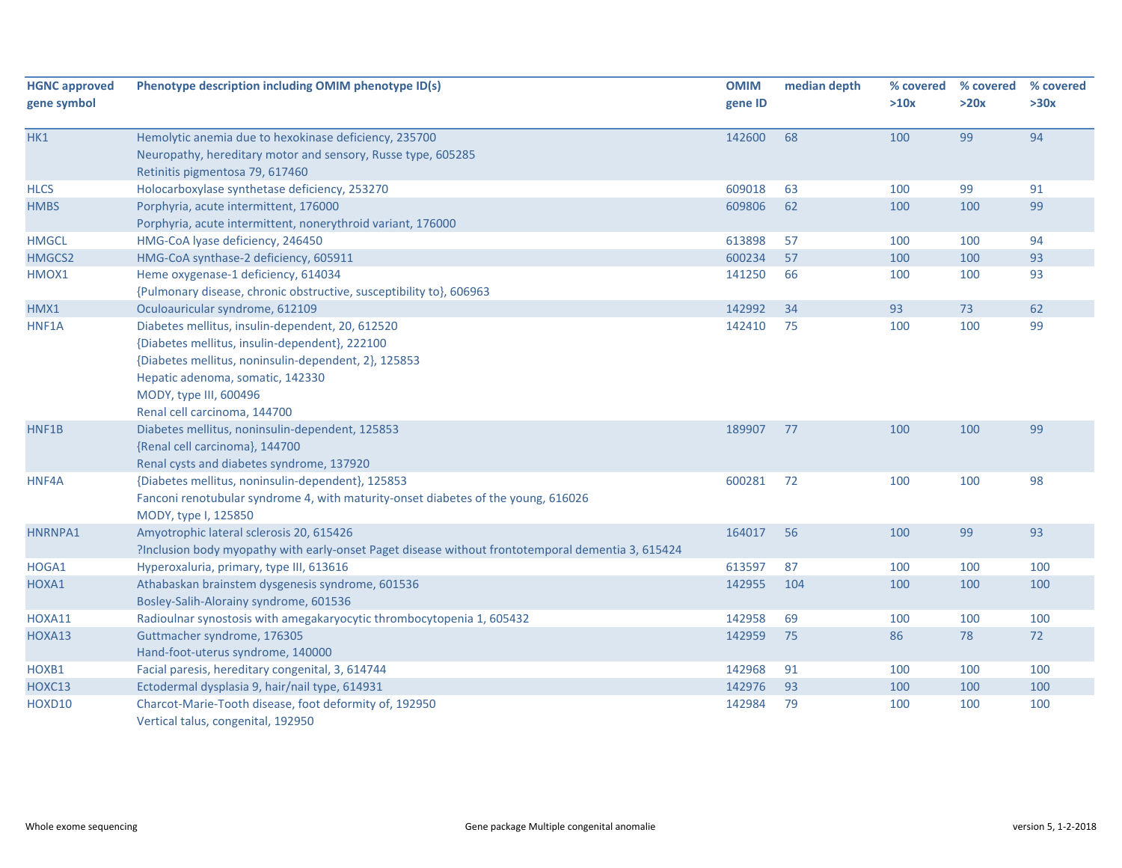| <b>HGNC approved</b><br>gene symbol | Phenotype description including OMIM phenotype ID(s)                                                                                                                                                                                                     | <b>OMIM</b><br>gene ID | median depth | % covered<br>>10x | % covered<br>>20x | % covered<br>>30x |
|-------------------------------------|----------------------------------------------------------------------------------------------------------------------------------------------------------------------------------------------------------------------------------------------------------|------------------------|--------------|-------------------|-------------------|-------------------|
| HK1                                 | Hemolytic anemia due to hexokinase deficiency, 235700<br>Neuropathy, hereditary motor and sensory, Russe type, 605285<br>Retinitis pigmentosa 79, 617460                                                                                                 | 142600                 | 68           | 100               | 99                | 94                |
| <b>HLCS</b><br><b>HMBS</b>          | Holocarboxylase synthetase deficiency, 253270<br>Porphyria, acute intermittent, 176000                                                                                                                                                                   | 609018<br>609806       | 63<br>62     | 100<br>100        | 99<br>100         | 91<br>99          |
| <b>HMGCL</b><br>HMGCS2              | Porphyria, acute intermittent, nonerythroid variant, 176000<br>HMG-CoA lyase deficiency, 246450<br>HMG-CoA synthase-2 deficiency, 605911                                                                                                                 | 613898<br>600234       | 57<br>57     | 100<br>100        | 100<br>100        | 94<br>93          |
| HMOX1                               | Heme oxygenase-1 deficiency, 614034<br>{Pulmonary disease, chronic obstructive, susceptibility to}, 606963                                                                                                                                               | 141250                 | 66           | 100               | 100               | 93                |
| HMX1                                | Oculoauricular syndrome, 612109                                                                                                                                                                                                                          | 142992                 | 34           | 93                | 73                | 62                |
| HNF1A                               | Diabetes mellitus, insulin-dependent, 20, 612520<br>{Diabetes mellitus, insulin-dependent}, 222100<br>{Diabetes mellitus, noninsulin-dependent, 2}, 125853<br>Hepatic adenoma, somatic, 142330<br>MODY, type III, 600496<br>Renal cell carcinoma, 144700 | 142410                 | 75           | 100               | 100               | 99                |
| HNF1B                               | Diabetes mellitus, noninsulin-dependent, 125853<br>{Renal cell carcinoma}, 144700<br>Renal cysts and diabetes syndrome, 137920                                                                                                                           | 189907                 | 77           | 100               | 100               | 99                |
| HNF4A                               | {Diabetes mellitus, noninsulin-dependent}, 125853<br>Fanconi renotubular syndrome 4, with maturity-onset diabetes of the young, 616026<br>MODY, type I, 125850                                                                                           | 600281                 | 72           | 100               | 100               | 98                |
| HNRNPA1                             | Amyotrophic lateral sclerosis 20, 615426<br>?Inclusion body myopathy with early-onset Paget disease without frontotemporal dementia 3, 615424                                                                                                            | 164017                 | 56           | 100               | 99                | 93                |
| HOGA1                               | Hyperoxaluria, primary, type III, 613616                                                                                                                                                                                                                 | 613597                 | 87           | 100               | 100               | 100               |
| HOXA1                               | Athabaskan brainstem dysgenesis syndrome, 601536<br>Bosley-Salih-Alorainy syndrome, 601536                                                                                                                                                               | 142955                 | 104          | 100               | 100               | 100               |
| HOXA11                              | Radioulnar synostosis with amegakaryocytic thrombocytopenia 1, 605432                                                                                                                                                                                    | 142958                 | 69           | 100               | 100               | 100               |
| HOXA13                              | Guttmacher syndrome, 176305<br>Hand-foot-uterus syndrome, 140000                                                                                                                                                                                         | 142959                 | 75           | 86                | 78                | 72                |
| HOXB1                               | Facial paresis, hereditary congenital, 3, 614744                                                                                                                                                                                                         | 142968                 | 91           | 100               | 100               | 100               |
| HOXC13                              | Ectodermal dysplasia 9, hair/nail type, 614931                                                                                                                                                                                                           | 142976                 | 93           | 100               | 100               | 100               |
| HOXD10                              | Charcot-Marie-Tooth disease, foot deformity of, 192950<br>Vertical talus, congenital, 192950                                                                                                                                                             | 142984                 | 79           | 100               | 100               | 100               |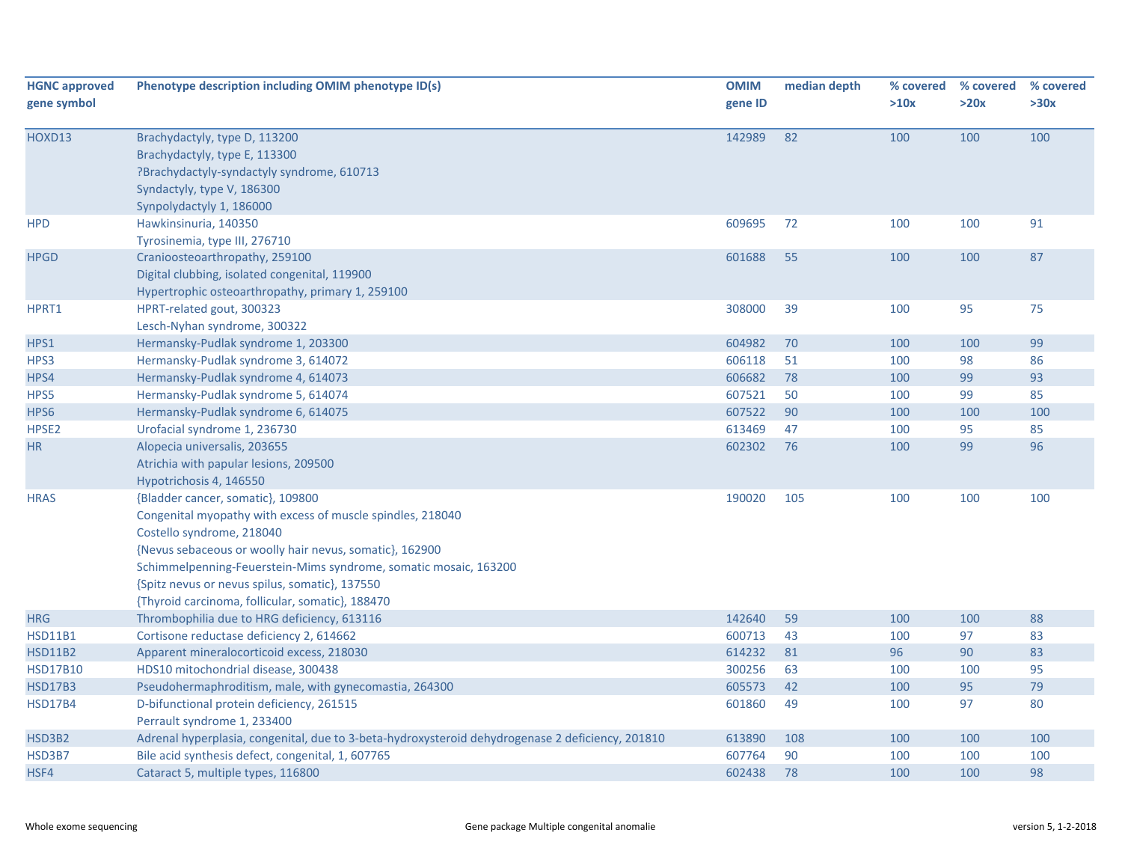| <b>HGNC approved</b><br>gene symbol | Phenotype description including OMIM phenotype ID(s)                                                                                                                                                                                                                                                                                                              | <b>OMIM</b><br>gene ID | median depth | % covered<br>>10x | % covered<br>>20x | % covered<br>>30x |
|-------------------------------------|-------------------------------------------------------------------------------------------------------------------------------------------------------------------------------------------------------------------------------------------------------------------------------------------------------------------------------------------------------------------|------------------------|--------------|-------------------|-------------------|-------------------|
| HOXD13                              | Brachydactyly, type D, 113200<br>Brachydactyly, type E, 113300<br>?Brachydactyly-syndactyly syndrome, 610713<br>Syndactyly, type V, 186300<br>Synpolydactyly 1, 186000                                                                                                                                                                                            | 142989                 | 82           | 100               | 100               | 100               |
| <b>HPD</b>                          | Hawkinsinuria, 140350<br>Tyrosinemia, type III, 276710                                                                                                                                                                                                                                                                                                            | 609695                 | 72           | 100               | 100               | 91                |
| <b>HPGD</b>                         | Cranioosteoarthropathy, 259100<br>Digital clubbing, isolated congenital, 119900<br>Hypertrophic osteoarthropathy, primary 1, 259100                                                                                                                                                                                                                               | 601688                 | 55           | 100               | 100               | 87                |
| HPRT1                               | HPRT-related gout, 300323<br>Lesch-Nyhan syndrome, 300322                                                                                                                                                                                                                                                                                                         | 308000                 | 39           | 100               | 95                | 75                |
| HPS1                                | Hermansky-Pudlak syndrome 1, 203300                                                                                                                                                                                                                                                                                                                               | 604982                 | 70           | 100               | 100               | 99                |
| HPS3                                | Hermansky-Pudlak syndrome 3, 614072                                                                                                                                                                                                                                                                                                                               | 606118                 | 51           | 100               | 98                | 86                |
| HPS4                                | Hermansky-Pudlak syndrome 4, 614073                                                                                                                                                                                                                                                                                                                               | 606682                 | 78           | 100               | 99                | 93                |
| HPS5                                | Hermansky-Pudlak syndrome 5, 614074                                                                                                                                                                                                                                                                                                                               | 607521                 | 50           | 100               | 99                | 85                |
| HPS6                                | Hermansky-Pudlak syndrome 6, 614075                                                                                                                                                                                                                                                                                                                               | 607522                 | 90           | 100               | 100               | 100               |
| HPSE <sub>2</sub>                   | Urofacial syndrome 1, 236730                                                                                                                                                                                                                                                                                                                                      | 613469                 | 47           | 100               | 95                | 85                |
| <b>HR</b>                           | Alopecia universalis, 203655<br>Atrichia with papular lesions, 209500<br>Hypotrichosis 4, 146550                                                                                                                                                                                                                                                                  | 602302                 | 76           | 100               | 99                | 96                |
| <b>HRAS</b>                         | {Bladder cancer, somatic}, 109800<br>Congenital myopathy with excess of muscle spindles, 218040<br>Costello syndrome, 218040<br>{Nevus sebaceous or woolly hair nevus, somatic}, 162900<br>Schimmelpenning-Feuerstein-Mims syndrome, somatic mosaic, 163200<br>{Spitz nevus or nevus spilus, somatic}, 137550<br>{Thyroid carcinoma, follicular, somatic}, 188470 | 190020                 | 105          | 100               | 100               | 100               |
| <b>HRG</b>                          | Thrombophilia due to HRG deficiency, 613116                                                                                                                                                                                                                                                                                                                       | 142640                 | 59           | 100               | 100               | 88                |
| <b>HSD11B1</b>                      | Cortisone reductase deficiency 2, 614662                                                                                                                                                                                                                                                                                                                          | 600713                 | 43           | 100               | 97                | 83                |
| <b>HSD11B2</b>                      | Apparent mineralocorticoid excess, 218030                                                                                                                                                                                                                                                                                                                         | 614232                 | 81           | 96                | 90                | 83                |
| <b>HSD17B10</b>                     | HDS10 mitochondrial disease, 300438                                                                                                                                                                                                                                                                                                                               | 300256                 | 63           | 100               | 100               | 95                |
| <b>HSD17B3</b>                      | Pseudohermaphroditism, male, with gynecomastia, 264300                                                                                                                                                                                                                                                                                                            | 605573                 | 42           | 100               | 95                | 79                |
| <b>HSD17B4</b>                      | D-bifunctional protein deficiency, 261515<br>Perrault syndrome 1, 233400                                                                                                                                                                                                                                                                                          | 601860                 | 49           | 100               | 97                | 80                |
| HSD3B2                              | Adrenal hyperplasia, congenital, due to 3-beta-hydroxysteroid dehydrogenase 2 deficiency, 201810                                                                                                                                                                                                                                                                  | 613890                 | 108          | 100               | 100               | 100               |
| HSD3B7                              | Bile acid synthesis defect, congenital, 1, 607765                                                                                                                                                                                                                                                                                                                 | 607764                 | 90           | 100               | 100               | 100               |
| HSF4                                | Cataract 5, multiple types, 116800                                                                                                                                                                                                                                                                                                                                | 602438                 | 78           | 100               | 100               | 98                |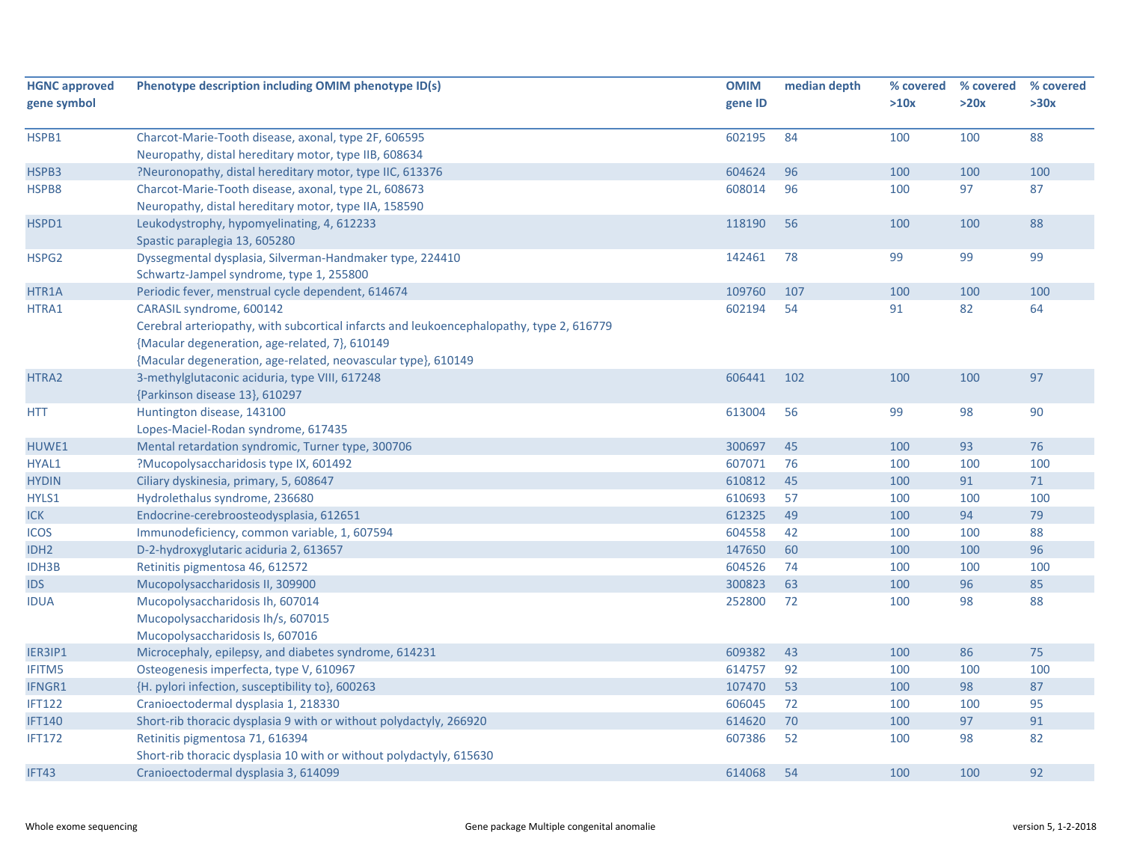| <b>HGNC approved</b><br>gene symbol | Phenotype description including OMIM phenotype ID(s)                                                                                                                                                                                    | <b>OMIM</b><br>gene ID | median depth | % covered<br>>10x | % covered<br>>20x | % covered<br>>30x |
|-------------------------------------|-----------------------------------------------------------------------------------------------------------------------------------------------------------------------------------------------------------------------------------------|------------------------|--------------|-------------------|-------------------|-------------------|
| HSPB1                               | Charcot-Marie-Tooth disease, axonal, type 2F, 606595<br>Neuropathy, distal hereditary motor, type IIB, 608634                                                                                                                           | 602195                 | 84           | 100               | 100               | 88                |
| HSPB3                               | ?Neuronopathy, distal hereditary motor, type IIC, 613376                                                                                                                                                                                | 604624                 | 96           | 100               | 100               | 100               |
| HSPB8                               | Charcot-Marie-Tooth disease, axonal, type 2L, 608673<br>Neuropathy, distal hereditary motor, type IIA, 158590                                                                                                                           | 608014                 | 96           | 100               | 97                | 87                |
| HSPD1                               | Leukodystrophy, hypomyelinating, 4, 612233<br>Spastic paraplegia 13, 605280                                                                                                                                                             | 118190                 | 56           | 100               | 100               | 88                |
| HSPG <sub>2</sub>                   | Dyssegmental dysplasia, Silverman-Handmaker type, 224410<br>Schwartz-Jampel syndrome, type 1, 255800                                                                                                                                    | 142461                 | 78           | 99                | 99                | 99                |
| HTR1A                               | Periodic fever, menstrual cycle dependent, 614674                                                                                                                                                                                       | 109760                 | 107          | 100               | 100               | 100               |
| HTRA1                               | CARASIL syndrome, 600142<br>Cerebral arteriopathy, with subcortical infarcts and leukoencephalopathy, type 2, 616779<br>{Macular degeneration, age-related, 7}, 610149<br>{Macular degeneration, age-related, neovascular type}, 610149 | 602194                 | 54           | 91                | 82                | 64                |
| HTRA2                               | 3-methylglutaconic aciduria, type VIII, 617248<br>{Parkinson disease 13}, 610297                                                                                                                                                        | 606441                 | 102          | 100               | 100               | 97                |
| <b>HTT</b>                          | Huntington disease, 143100<br>Lopes-Maciel-Rodan syndrome, 617435                                                                                                                                                                       | 613004                 | 56           | 99                | 98                | 90                |
| HUWE1                               | Mental retardation syndromic, Turner type, 300706                                                                                                                                                                                       | 300697                 | 45           | 100               | 93                | 76                |
| HYAL1                               | ?Mucopolysaccharidosis type IX, 601492                                                                                                                                                                                                  | 607071                 | 76           | 100               | 100               | 100               |
| <b>HYDIN</b>                        | Ciliary dyskinesia, primary, 5, 608647                                                                                                                                                                                                  | 610812                 | 45           | 100               | 91                | $71$              |
| HYLS1                               | Hydrolethalus syndrome, 236680                                                                                                                                                                                                          | 610693                 | 57           | 100               | 100               | 100               |
| <b>ICK</b>                          | Endocrine-cerebroosteodysplasia, 612651                                                                                                                                                                                                 | 612325                 | 49           | 100               | 94                | 79                |
| <b>ICOS</b>                         | Immunodeficiency, common variable, 1, 607594                                                                                                                                                                                            | 604558                 | 42           | 100               | 100               | 88                |
| IDH <sub>2</sub>                    | D-2-hydroxyglutaric aciduria 2, 613657                                                                                                                                                                                                  | 147650                 | 60           | 100               | 100               | 96                |
| <b>IDH3B</b>                        | Retinitis pigmentosa 46, 612572                                                                                                                                                                                                         | 604526                 | 74           | 100               | 100               | 100               |
| <b>IDS</b>                          | Mucopolysaccharidosis II, 309900                                                                                                                                                                                                        | 300823                 | 63           | 100               | 96                | 85                |
| <b>IDUA</b>                         | Mucopolysaccharidosis Ih, 607014<br>Mucopolysaccharidosis Ih/s, 607015<br>Mucopolysaccharidosis Is, 607016                                                                                                                              | 252800                 | 72           | 100               | 98                | 88                |
| IER3IP1                             | Microcephaly, epilepsy, and diabetes syndrome, 614231                                                                                                                                                                                   | 609382                 | 43           | 100               | 86                | 75                |
| <b>IFITM5</b>                       | Osteogenesis imperfecta, type V, 610967                                                                                                                                                                                                 | 614757                 | 92           | 100               | 100               | 100               |
| IFNGR1                              | {H. pylori infection, susceptibility to}, 600263                                                                                                                                                                                        | 107470                 | 53           | 100               | 98                | 87                |
| <b>IFT122</b>                       | Cranioectodermal dysplasia 1, 218330                                                                                                                                                                                                    | 606045                 | 72           | 100               | 100               | 95                |
| <b>IFT140</b>                       | Short-rib thoracic dysplasia 9 with or without polydactyly, 266920                                                                                                                                                                      | 614620                 | 70           | 100               | 97                | 91                |
| <b>IFT172</b>                       | Retinitis pigmentosa 71, 616394<br>Short-rib thoracic dysplasia 10 with or without polydactyly, 615630                                                                                                                                  | 607386                 | 52           | 100               | 98                | 82                |
| IFT43                               | Cranioectodermal dysplasia 3, 614099                                                                                                                                                                                                    | 614068                 | 54           | 100               | 100               | 92                |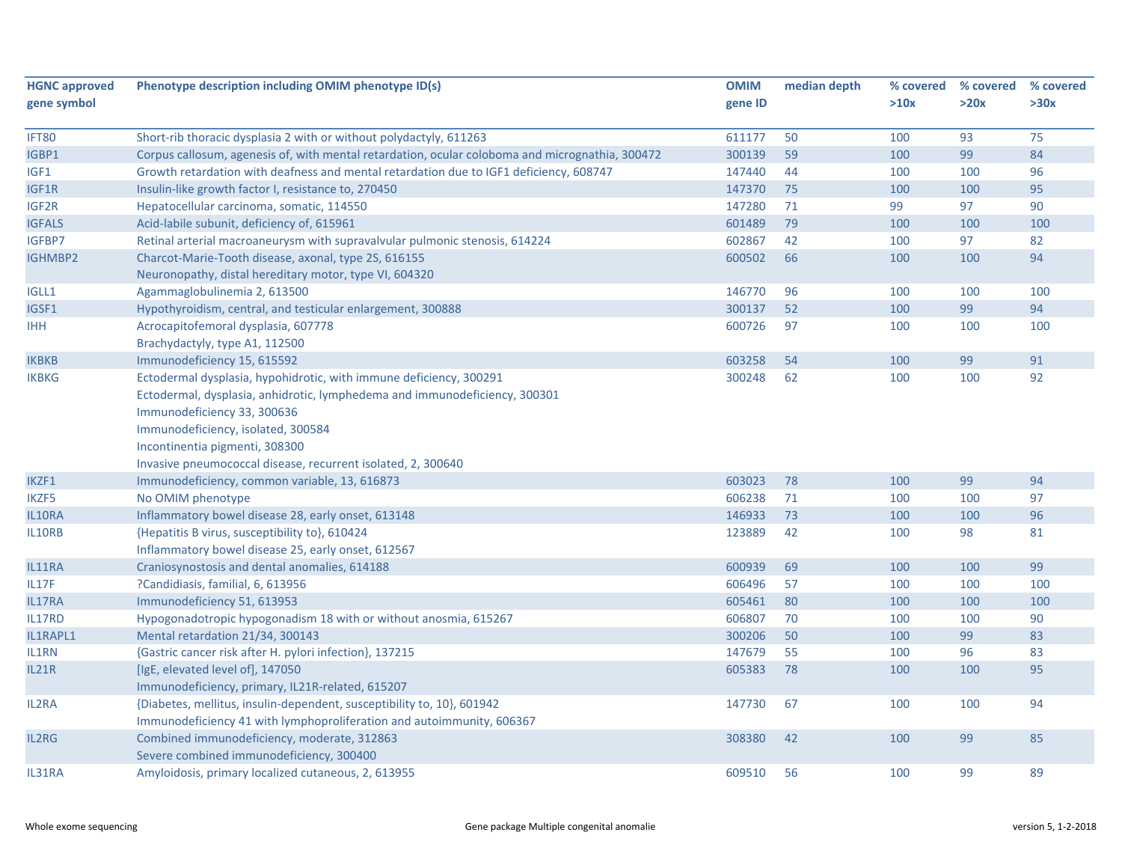| <b>HGNC approved</b> | Phenotype description including OMIM phenotype ID(s)                                            | <b>OMIM</b> | median depth | % covered | % covered | % covered |
|----------------------|-------------------------------------------------------------------------------------------------|-------------|--------------|-----------|-----------|-----------|
| gene symbol          |                                                                                                 | gene ID     |              | >10x      | >20x      | >30x      |
|                      |                                                                                                 |             |              |           |           |           |
| IFT80                | Short-rib thoracic dysplasia 2 with or without polydactyly, 611263                              | 611177      | 50           | 100       | 93        | 75        |
| IGBP1                | Corpus callosum, agenesis of, with mental retardation, ocular coloboma and micrognathia, 300472 | 300139      | 59           | 100       | 99        | 84        |
| IGF1                 | Growth retardation with deafness and mental retardation due to IGF1 deficiency, 608747          | 147440      | 44           | 100       | 100       | 96        |
| IGF1R                | Insulin-like growth factor I, resistance to, 270450                                             | 147370      | 75           | 100       | 100       | 95        |
| IGF2R                | Hepatocellular carcinoma, somatic, 114550                                                       | 147280      | 71           | 99        | 97        | 90        |
| <b>IGFALS</b>        | Acid-labile subunit, deficiency of, 615961                                                      | 601489      | 79           | 100       | 100       | 100       |
| IGFBP7               | Retinal arterial macroaneurysm with supravalvular pulmonic stenosis, 614224                     | 602867      | 42           | 100       | 97        | 82        |
| <b>IGHMBP2</b>       | Charcot-Marie-Tooth disease, axonal, type 2S, 616155                                            | 600502      | 66           | 100       | 100       | 94        |
|                      | Neuronopathy, distal hereditary motor, type VI, 604320                                          |             |              |           |           |           |
| <b>IGLL1</b>         | Agammaglobulinemia 2, 613500                                                                    | 146770      | 96           | 100       | 100       | 100       |
| IGSF1                | Hypothyroidism, central, and testicular enlargement, 300888                                     | 300137      | 52           | 100       | 99        | 94        |
| <b>IHH</b>           | Acrocapitofemoral dysplasia, 607778                                                             | 600726      | 97           | 100       | 100       | 100       |
|                      | Brachydactyly, type A1, 112500                                                                  |             |              |           |           |           |
| <b>IKBKB</b>         | Immunodeficiency 15, 615592                                                                     | 603258      | 54           | 100       | 99        | 91        |
| <b>IKBKG</b>         | Ectodermal dysplasia, hypohidrotic, with immune deficiency, 300291                              | 300248      | 62           | 100       | 100       | 92        |
|                      | Ectodermal, dysplasia, anhidrotic, lymphedema and immunodeficiency, 300301                      |             |              |           |           |           |
|                      | Immunodeficiency 33, 300636                                                                     |             |              |           |           |           |
|                      | Immunodeficiency, isolated, 300584                                                              |             |              |           |           |           |
|                      | Incontinentia pigmenti, 308300                                                                  |             |              |           |           |           |
|                      | Invasive pneumococcal disease, recurrent isolated, 2, 300640                                    |             |              |           |           |           |
| IKZF1                | Immunodeficiency, common variable, 13, 616873                                                   | 603023      | 78           | 100       | 99        | 94        |
| <b>IKZF5</b>         | No OMIM phenotype                                                                               | 606238      | 71           | 100       | 100       | 97        |
| IL10RA               | Inflammatory bowel disease 28, early onset, 613148                                              | 146933      | 73           | 100       | 100       | 96        |
| IL10RB               | {Hepatitis B virus, susceptibility to}, 610424                                                  | 123889      | 42           | 100       | 98        | 81        |
|                      | Inflammatory bowel disease 25, early onset, 612567                                              |             |              |           |           |           |
| IL11RA               | Craniosynostosis and dental anomalies, 614188                                                   | 600939      | 69           | 100       | 100       | 99        |
| IL17F                | ?Candidiasis, familial, 6, 613956                                                               | 606496      | 57           | 100       | 100       | 100       |
| IL17RA               | Immunodeficiency 51, 613953                                                                     | 605461      | 80           | 100       | 100       | 100       |
| IL17RD               | Hypogonadotropic hypogonadism 18 with or without anosmia, 615267                                | 606807      | 70           | 100       | 100       | 90        |
| IL1RAPL1             | Mental retardation 21/34, 300143                                                                | 300206      | 50           | 100       | 99        | 83        |
| IL1RN                | {Gastric cancer risk after H. pylori infection}, 137215                                         | 147679      | 55           | 100       | 96        | 83        |
| <b>IL21R</b>         | [IgE, elevated level of], 147050                                                                | 605383      | 78           | 100       | 100       | 95        |
|                      | Immunodeficiency, primary, IL21R-related, 615207                                                |             |              |           |           |           |
| <b>IL2RA</b>         | {Diabetes, mellitus, insulin-dependent, susceptibility to, 10}, 601942                          | 147730      | 67           | 100       | 100       | 94        |
|                      | Immunodeficiency 41 with lymphoproliferation and autoimmunity, 606367                           |             |              |           |           |           |
| IL2RG                | Combined immunodeficiency, moderate, 312863                                                     | 308380      | 42           | 100       | 99        | 85        |
|                      | Severe combined immunodeficiency, 300400                                                        |             |              |           |           |           |
| IL31RA               | Amyloidosis, primary localized cutaneous, 2, 613955                                             | 609510      | 56           | 100       | 99        | 89        |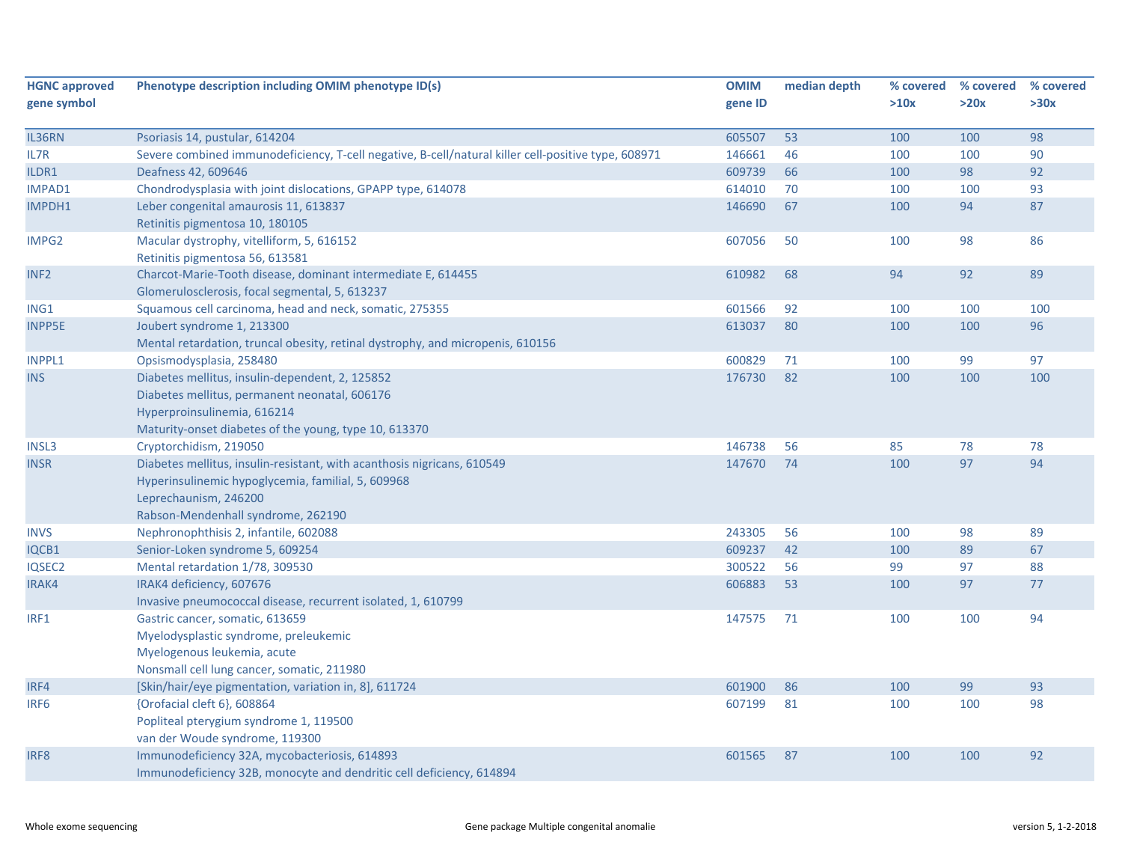| <b>HGNC approved</b> | Phenotype description including OMIM phenotype ID(s)                                                | <b>OMIM</b> | median depth | % covered | % covered | % covered |
|----------------------|-----------------------------------------------------------------------------------------------------|-------------|--------------|-----------|-----------|-----------|
| gene symbol          |                                                                                                     | gene ID     |              | >10x      | >20x      | >30x      |
|                      |                                                                                                     |             |              |           |           |           |
| IL36RN               | Psoriasis 14, pustular, 614204                                                                      | 605507      | 53           | 100       | 100       | 98        |
| IL7R                 | Severe combined immunodeficiency, T-cell negative, B-cell/natural killer cell-positive type, 608971 | 146661      | 46           | 100       | 100       | 90        |
| ILDR1                | Deafness 42, 609646                                                                                 | 609739      | 66           | 100       | 98        | 92        |
| <b>IMPAD1</b>        | Chondrodysplasia with joint dislocations, GPAPP type, 614078                                        | 614010      | 70           | 100       | 100       | 93        |
| IMPDH1               | Leber congenital amaurosis 11, 613837                                                               | 146690      | 67           | 100       | 94        | 87        |
|                      | Retinitis pigmentosa 10, 180105                                                                     |             |              |           |           |           |
| IMPG2                | Macular dystrophy, vitelliform, 5, 616152                                                           | 607056      | 50           | 100       | 98        | 86        |
|                      | Retinitis pigmentosa 56, 613581                                                                     |             |              |           |           |           |
| INF <sub>2</sub>     | Charcot-Marie-Tooth disease, dominant intermediate E, 614455                                        | 610982      | 68           | 94        | 92        | 89        |
|                      | Glomerulosclerosis, focal segmental, 5, 613237                                                      |             |              |           |           |           |
| ING1                 | Squamous cell carcinoma, head and neck, somatic, 275355                                             | 601566      | 92           | 100       | 100       | 100       |
| <b>INPP5E</b>        | Joubert syndrome 1, 213300                                                                          | 613037      | 80           | 100       | 100       | 96        |
|                      | Mental retardation, truncal obesity, retinal dystrophy, and micropenis, 610156                      |             |              |           |           |           |
| INPPL1               | Opsismodysplasia, 258480                                                                            | 600829      | 71           | 100       | 99        | 97        |
| <b>INS</b>           | Diabetes mellitus, insulin-dependent, 2, 125852                                                     | 176730      | 82           | 100       | 100       | 100       |
|                      | Diabetes mellitus, permanent neonatal, 606176                                                       |             |              |           |           |           |
|                      | Hyperproinsulinemia, 616214                                                                         |             |              |           |           |           |
|                      | Maturity-onset diabetes of the young, type 10, 613370                                               |             |              |           |           |           |
| <b>INSL3</b>         | Cryptorchidism, 219050                                                                              | 146738      | 56           | 85        | 78        | 78        |
| <b>INSR</b>          | Diabetes mellitus, insulin-resistant, with acanthosis nigricans, 610549                             | 147670      | 74           | 100       | 97        | 94        |
|                      | Hyperinsulinemic hypoglycemia, familial, 5, 609968                                                  |             |              |           |           |           |
|                      | Leprechaunism, 246200                                                                               |             |              |           |           |           |
|                      | Rabson-Mendenhall syndrome, 262190                                                                  |             |              |           |           |           |
| <b>INVS</b>          | Nephronophthisis 2, infantile, 602088                                                               | 243305      | 56           | 100       | 98        | 89        |
| IQCB1                | Senior-Loken syndrome 5, 609254                                                                     | 609237      | 42           | 100       | 89        | 67        |
| IQSEC2               | Mental retardation 1/78, 309530                                                                     | 300522      | 56           | 99        | 97        | 88        |
| IRAK4                | IRAK4 deficiency, 607676                                                                            | 606883      | 53           | 100       | 97        | 77        |
|                      | Invasive pneumococcal disease, recurrent isolated, 1, 610799                                        |             |              |           |           |           |
| IRF1                 | Gastric cancer, somatic, 613659                                                                     | 147575      | 71           | 100       | 100       | 94        |
|                      | Myelodysplastic syndrome, preleukemic                                                               |             |              |           |           |           |
|                      | Myelogenous leukemia, acute                                                                         |             |              |           |           |           |
|                      | Nonsmall cell lung cancer, somatic, 211980                                                          |             |              |           |           |           |
| IRF4                 | [Skin/hair/eye pigmentation, variation in, 8], 611724                                               | 601900      | 86           | 100       | 99        | 93        |
| IRF <sub>6</sub>     | {Orofacial cleft 6}, 608864                                                                         | 607199      | 81           | 100       | 100       | 98        |
|                      | Popliteal pterygium syndrome 1, 119500                                                              |             |              |           |           |           |
|                      | van der Woude syndrome, 119300                                                                      |             |              |           |           |           |
| IRF8                 | Immunodeficiency 32A, mycobacteriosis, 614893                                                       | 601565      | 87           | 100       | 100       | 92        |
|                      | Immunodeficiency 32B, monocyte and dendritic cell deficiency, 614894                                |             |              |           |           |           |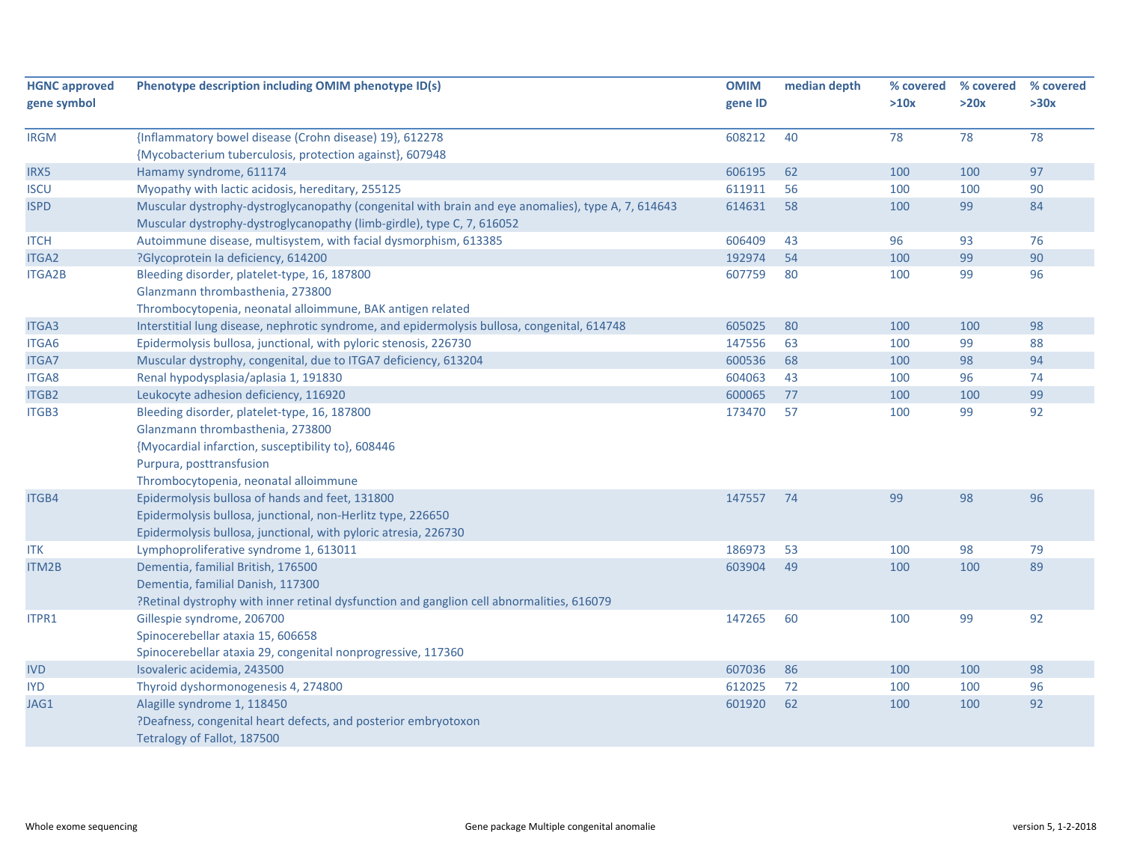| <b>HGNC approved</b> | Phenotype description including OMIM phenotype ID(s)                                               | <b>OMIM</b> | median depth | % covered | % covered | % covered |
|----------------------|----------------------------------------------------------------------------------------------------|-------------|--------------|-----------|-----------|-----------|
| gene symbol          |                                                                                                    | gene ID     |              | >10x      | >20x      | >30x      |
|                      |                                                                                                    |             |              |           |           |           |
| <b>IRGM</b>          | {Inflammatory bowel disease (Crohn disease) 19}, 612278                                            | 608212      | 40           | 78        | 78        | 78        |
|                      | {Mycobacterium tuberculosis, protection against}, 607948                                           |             |              |           |           |           |
| IRX5                 | Hamamy syndrome, 611174                                                                            | 606195      | 62           | 100       | 100       | 97        |
| <b>ISCU</b>          | Myopathy with lactic acidosis, hereditary, 255125                                                  | 611911      | 56           | 100       | 100       | 90        |
| <b>ISPD</b>          | Muscular dystrophy-dystroglycanopathy (congenital with brain and eye anomalies), type A, 7, 614643 | 614631      | 58           | 100       | 99        | 84        |
|                      | Muscular dystrophy-dystroglycanopathy (limb-girdle), type C, 7, 616052                             |             |              |           |           |           |
| <b>ITCH</b>          | Autoimmune disease, multisystem, with facial dysmorphism, 613385                                   | 606409      | 43           | 96        | 93        | 76        |
| <b>ITGA2</b>         | ?Glycoprotein la deficiency, 614200                                                                | 192974      | 54           | 100       | 99        | 90        |
| <b>ITGA2B</b>        | Bleeding disorder, platelet-type, 16, 187800                                                       | 607759      | 80           | 100       | 99        | 96        |
|                      | Glanzmann thrombasthenia, 273800                                                                   |             |              |           |           |           |
|                      | Thrombocytopenia, neonatal alloimmune, BAK antigen related                                         |             |              |           |           |           |
| ITGA3                | Interstitial lung disease, nephrotic syndrome, and epidermolysis bullosa, congenital, 614748       | 605025      | 80           | 100       | 100       | 98        |
| ITGA6                | Epidermolysis bullosa, junctional, with pyloric stenosis, 226730                                   | 147556      | 63           | 100       | 99        | 88        |
| <b>ITGA7</b>         | Muscular dystrophy, congenital, due to ITGA7 deficiency, 613204                                    | 600536      | 68           | 100       | 98        | 94        |
| <b>ITGA8</b>         | Renal hypodysplasia/aplasia 1, 191830                                                              | 604063      | 43           | 100       | 96        | 74        |
| ITGB2                | Leukocyte adhesion deficiency, 116920                                                              | 600065      | 77           | 100       | 100       | 99        |
| <b>ITGB3</b>         | Bleeding disorder, platelet-type, 16, 187800                                                       | 173470      | 57           | 100       | 99        | 92        |
|                      | Glanzmann thrombasthenia, 273800                                                                   |             |              |           |           |           |
|                      | {Myocardial infarction, susceptibility to}, 608446                                                 |             |              |           |           |           |
|                      | Purpura, posttransfusion                                                                           |             |              |           |           |           |
|                      | Thrombocytopenia, neonatal alloimmune                                                              |             |              |           |           |           |
| ITGB4                | Epidermolysis bullosa of hands and feet, 131800                                                    | 147557      | 74           | 99        | 98        | 96        |
|                      | Epidermolysis bullosa, junctional, non-Herlitz type, 226650                                        |             |              |           |           |           |
|                      | Epidermolysis bullosa, junctional, with pyloric atresia, 226730                                    |             |              |           |           |           |
| <b>ITK</b>           | Lymphoproliferative syndrome 1, 613011                                                             | 186973      | 53           | 100       | 98        | 79        |
| ITM2B                | Dementia, familial British, 176500                                                                 | 603904      | 49           | 100       | 100       | 89        |
|                      | Dementia, familial Danish, 117300                                                                  |             |              |           |           |           |
|                      | ?Retinal dystrophy with inner retinal dysfunction and ganglion cell abnormalities, 616079          |             |              |           |           |           |
| ITPR1                | Gillespie syndrome, 206700                                                                         | 147265      | 60           | 100       | 99        | 92        |
|                      | Spinocerebellar ataxia 15, 606658                                                                  |             |              |           |           |           |
|                      | Spinocerebellar ataxia 29, congenital nonprogressive, 117360                                       |             |              |           |           |           |
| <b>IVD</b>           | Isovaleric acidemia, 243500                                                                        | 607036      | 86           | 100       | 100       | 98        |
| <b>IYD</b>           | Thyroid dyshormonogenesis 4, 274800                                                                | 612025      | 72           | 100       | 100       | 96        |
| JAG1                 | Alagille syndrome 1, 118450                                                                        | 601920      | 62           | 100       | 100       | 92        |
|                      | ?Deafness, congenital heart defects, and posterior embryotoxon                                     |             |              |           |           |           |
|                      | Tetralogy of Fallot, 187500                                                                        |             |              |           |           |           |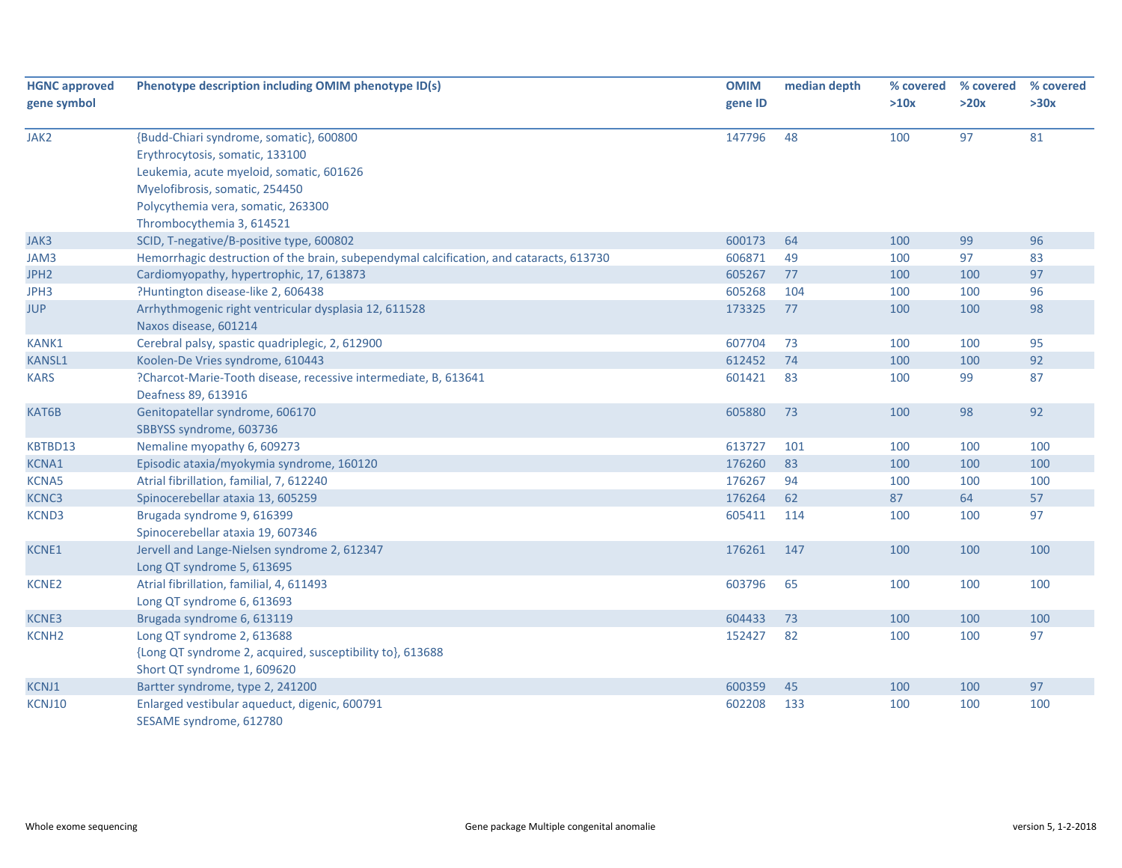| <b>HGNC approved</b><br>gene symbol | Phenotype description including OMIM phenotype ID(s)                                    | <b>OMIM</b><br>gene ID | median depth | % covered<br>>10x | % covered<br>>20x | % covered<br>>30x |
|-------------------------------------|-----------------------------------------------------------------------------------------|------------------------|--------------|-------------------|-------------------|-------------------|
|                                     |                                                                                         |                        |              |                   |                   |                   |
| JAK2                                | {Budd-Chiari syndrome, somatic}, 600800                                                 | 147796                 | 48           | 100               | 97                | 81                |
|                                     | Erythrocytosis, somatic, 133100                                                         |                        |              |                   |                   |                   |
|                                     | Leukemia, acute myeloid, somatic, 601626                                                |                        |              |                   |                   |                   |
|                                     | Myelofibrosis, somatic, 254450                                                          |                        |              |                   |                   |                   |
|                                     | Polycythemia vera, somatic, 263300                                                      |                        |              |                   |                   |                   |
|                                     | Thrombocythemia 3, 614521                                                               |                        |              |                   |                   |                   |
| JAK3                                | SCID, T-negative/B-positive type, 600802                                                | 600173                 | 64           | 100               | 99                | 96                |
| JAM3                                | Hemorrhagic destruction of the brain, subependymal calcification, and cataracts, 613730 | 606871                 | 49           | 100               | 97                | 83                |
| JPH <sub>2</sub>                    | Cardiomyopathy, hypertrophic, 17, 613873                                                | 605267                 | 77           | 100               | 100               | 97                |
| JPH3                                | ?Huntington disease-like 2, 606438                                                      | 605268                 | 104          | 100               | 100               | 96                |
| <b>JUP</b>                          | Arrhythmogenic right ventricular dysplasia 12, 611528                                   | 173325                 | 77           | 100               | 100               | 98                |
|                                     | Naxos disease, 601214                                                                   |                        |              |                   |                   |                   |
| KANK1                               | Cerebral palsy, spastic quadriplegic, 2, 612900                                         | 607704                 | 73           | 100               | 100               | 95                |
| <b>KANSL1</b>                       | Koolen-De Vries syndrome, 610443                                                        | 612452                 | 74           | 100               | 100               | 92                |
| <b>KARS</b>                         | ?Charcot-Marie-Tooth disease, recessive intermediate, B, 613641                         | 601421                 | 83           | 100               | 99                | 87                |
|                                     | Deafness 89, 613916                                                                     |                        |              |                   |                   |                   |
| KAT6B                               | Genitopatellar syndrome, 606170                                                         | 605880                 | 73           | 100               | 98                | 92                |
|                                     | SBBYSS syndrome, 603736                                                                 |                        |              |                   |                   |                   |
| KBTBD13                             | Nemaline myopathy 6, 609273                                                             | 613727                 | 101          | 100               | 100               | 100               |
| <b>KCNA1</b>                        | Episodic ataxia/myokymia syndrome, 160120                                               | 176260                 | 83           | 100               | 100               | 100               |
| <b>KCNA5</b>                        | Atrial fibrillation, familial, 7, 612240                                                | 176267                 | 94           | 100               | 100               | 100               |
| KCNC3                               | Spinocerebellar ataxia 13, 605259                                                       | 176264                 | 62           | 87                | 64                | 57                |
| KCND3                               | Brugada syndrome 9, 616399                                                              | 605411                 | 114          | 100               | 100               | 97                |
|                                     | Spinocerebellar ataxia 19, 607346                                                       |                        |              |                   |                   |                   |
| <b>KCNE1</b>                        | Jervell and Lange-Nielsen syndrome 2, 612347                                            | 176261                 | 147          | 100               | 100               | 100               |
|                                     | Long QT syndrome 5, 613695                                                              |                        |              |                   |                   |                   |
| KCNE2                               | Atrial fibrillation, familial, 4, 611493                                                | 603796                 | 65           | 100               | 100               | 100               |
|                                     | Long QT syndrome 6, 613693                                                              |                        |              |                   |                   |                   |
| KCNE3                               | Brugada syndrome 6, 613119                                                              | 604433                 | 73           | 100               | 100               | 100               |
| <b>KCNH2</b>                        | Long QT syndrome 2, 613688                                                              | 152427                 | 82           | 100               | 100               | 97                |
|                                     | {Long QT syndrome 2, acquired, susceptibility to}, 613688                               |                        |              |                   |                   |                   |
|                                     | Short QT syndrome 1, 609620                                                             |                        |              |                   |                   |                   |
| KCNJ1                               | Bartter syndrome, type 2, 241200                                                        | 600359                 | 45           | 100               | 100               | 97                |
| KCNJ10                              | Enlarged vestibular aqueduct, digenic, 600791                                           | 602208                 | 133          | 100               | 100               | 100               |
|                                     | SESAME syndrome, 612780                                                                 |                        |              |                   |                   |                   |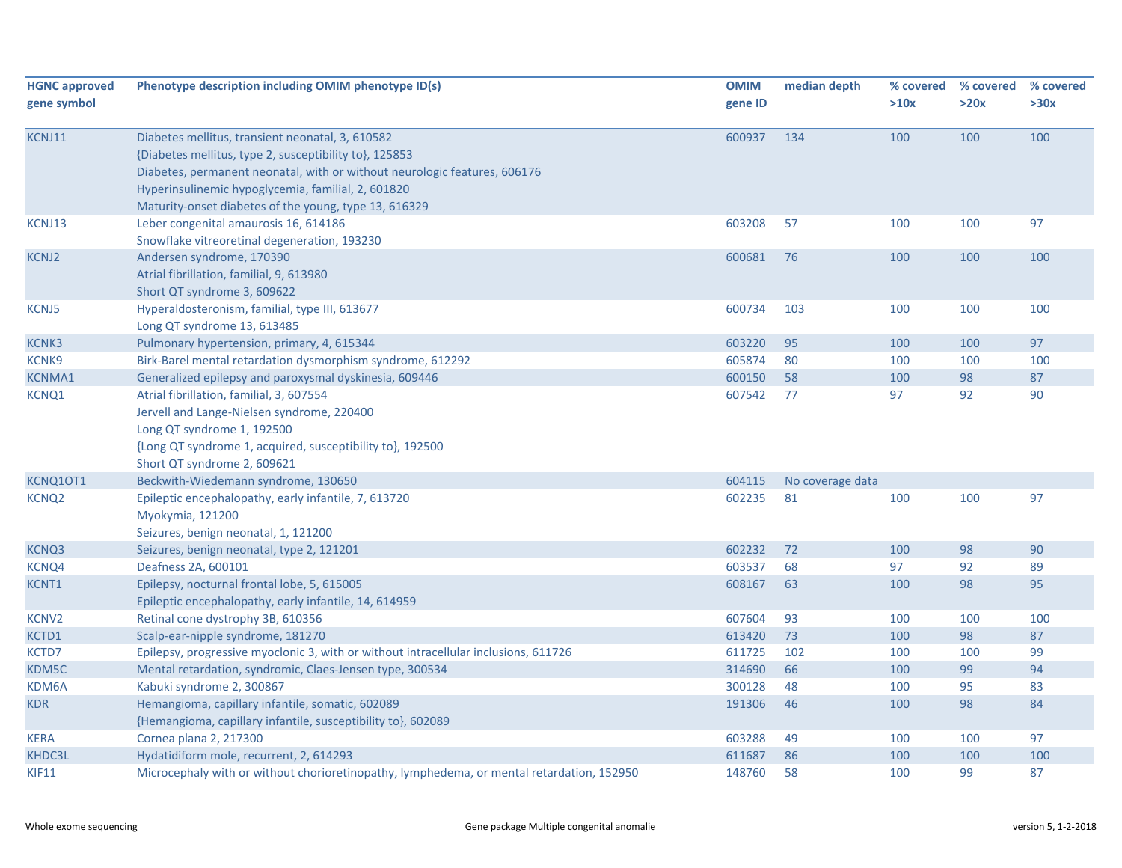| <b>HGNC approved</b><br>gene symbol | Phenotype description including OMIM phenotype ID(s)                                                                                                                                                                                                                                                   | <b>OMIM</b><br>gene ID | median depth     | % covered<br>>10x | % covered<br>>20x | % covered<br>>30x |
|-------------------------------------|--------------------------------------------------------------------------------------------------------------------------------------------------------------------------------------------------------------------------------------------------------------------------------------------------------|------------------------|------------------|-------------------|-------------------|-------------------|
| KCNJ11                              | Diabetes mellitus, transient neonatal, 3, 610582<br>{Diabetes mellitus, type 2, susceptibility to}, 125853<br>Diabetes, permanent neonatal, with or without neurologic features, 606176<br>Hyperinsulinemic hypoglycemia, familial, 2, 601820<br>Maturity-onset diabetes of the young, type 13, 616329 | 600937                 | 134              | 100               | 100               | 100               |
| KCNJ13                              | Leber congenital amaurosis 16, 614186<br>Snowflake vitreoretinal degeneration, 193230                                                                                                                                                                                                                  | 603208                 | 57               | 100               | 100               | 97                |
| <b>KCNJ2</b>                        | Andersen syndrome, 170390<br>Atrial fibrillation, familial, 9, 613980<br>Short QT syndrome 3, 609622                                                                                                                                                                                                   | 600681                 | 76               | 100               | 100               | 100               |
| <b>KCNJ5</b>                        | Hyperaldosteronism, familial, type III, 613677<br>Long QT syndrome 13, 613485                                                                                                                                                                                                                          | 600734                 | 103              | 100               | 100               | 100               |
| <b>KCNK3</b>                        | Pulmonary hypertension, primary, 4, 615344                                                                                                                                                                                                                                                             | 603220                 | 95               | 100               | 100               | 97                |
| KCNK9                               | Birk-Barel mental retardation dysmorphism syndrome, 612292                                                                                                                                                                                                                                             | 605874                 | 80               | 100               | 100               | 100               |
| <b>KCNMA1</b>                       | Generalized epilepsy and paroxysmal dyskinesia, 609446                                                                                                                                                                                                                                                 | 600150                 | 58               | 100               | 98                | 87                |
| KCNQ1                               | Atrial fibrillation, familial, 3, 607554<br>Jervell and Lange-Nielsen syndrome, 220400<br>Long QT syndrome 1, 192500<br>{Long QT syndrome 1, acquired, susceptibility to}, 192500<br>Short QT syndrome 2, 609621                                                                                       | 607542                 | 77               | 97                | 92                | 90                |
| KCNQ10T1                            | Beckwith-Wiedemann syndrome, 130650                                                                                                                                                                                                                                                                    | 604115                 | No coverage data |                   |                   |                   |
| <b>KCNQ2</b>                        | Epileptic encephalopathy, early infantile, 7, 613720<br>Myokymia, 121200<br>Seizures, benign neonatal, 1, 121200                                                                                                                                                                                       | 602235                 | 81               | 100               | 100               | 97                |
| KCNQ3                               | Seizures, benign neonatal, type 2, 121201                                                                                                                                                                                                                                                              | 602232                 | 72               | 100               | 98                | 90                |
| KCNQ4                               | Deafness 2A, 600101                                                                                                                                                                                                                                                                                    | 603537                 | 68               | 97                | 92                | 89                |
| KCNT1                               | Epilepsy, nocturnal frontal lobe, 5, 615005<br>Epileptic encephalopathy, early infantile, 14, 614959                                                                                                                                                                                                   | 608167                 | 63               | 100               | 98                | 95                |
| <b>KCNV2</b>                        | Retinal cone dystrophy 3B, 610356                                                                                                                                                                                                                                                                      | 607604                 | 93               | 100               | 100               | 100               |
| KCTD1                               | Scalp-ear-nipple syndrome, 181270                                                                                                                                                                                                                                                                      | 613420                 | 73               | 100               | 98                | 87                |
| KCTD7                               | Epilepsy, progressive myoclonic 3, with or without intracellular inclusions, 611726                                                                                                                                                                                                                    | 611725                 | 102              | 100               | 100               | 99                |
| KDM5C                               | Mental retardation, syndromic, Claes-Jensen type, 300534                                                                                                                                                                                                                                               | 314690                 | 66               | 100               | 99                | 94                |
| KDM6A                               | Kabuki syndrome 2, 300867                                                                                                                                                                                                                                                                              | 300128                 | 48               | 100               | 95                | 83                |
| <b>KDR</b>                          | Hemangioma, capillary infantile, somatic, 602089<br>{Hemangioma, capillary infantile, susceptibility to}, 602089                                                                                                                                                                                       | 191306                 | 46               | 100               | 98                | 84                |
| <b>KERA</b>                         | Cornea plana 2, 217300                                                                                                                                                                                                                                                                                 | 603288                 | 49               | 100               | 100               | 97                |
| KHDC3L                              | Hydatidiform mole, recurrent, 2, 614293                                                                                                                                                                                                                                                                | 611687                 | 86               | 100               | 100               | 100               |
| <b>KIF11</b>                        | Microcephaly with or without chorioretinopathy, lymphedema, or mental retardation, 152950                                                                                                                                                                                                              | 148760                 | 58               | 100               | 99                | 87                |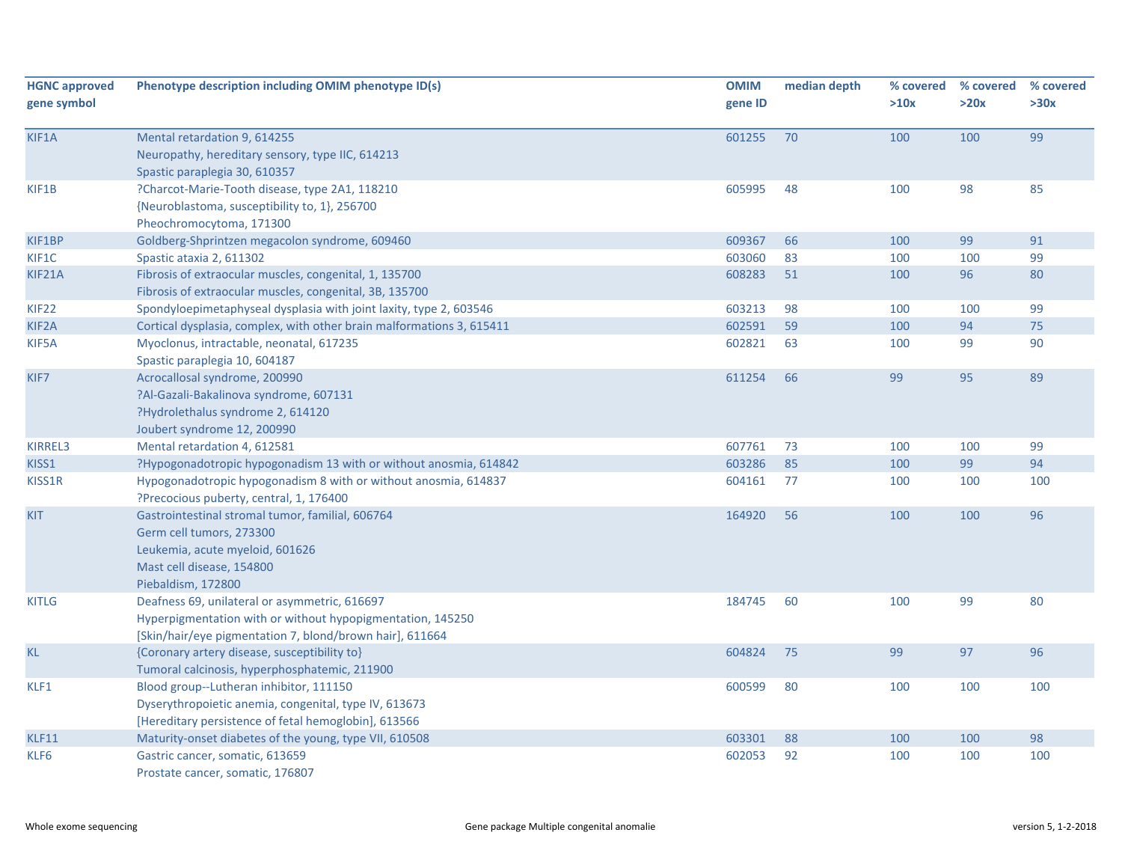| <b>HGNC approved</b><br>gene symbol | Phenotype description including OMIM phenotype ID(s)                                                                                                                    | <b>OMIM</b><br>gene ID | median depth | % covered<br>>10x | % covered<br>>20x | % covered<br>>30x |
|-------------------------------------|-------------------------------------------------------------------------------------------------------------------------------------------------------------------------|------------------------|--------------|-------------------|-------------------|-------------------|
| KIF1A                               | Mental retardation 9, 614255<br>Neuropathy, hereditary sensory, type IIC, 614213<br>Spastic paraplegia 30, 610357                                                       | 601255                 | 70           | 100               | 100               | 99                |
| KIF1B                               | ?Charcot-Marie-Tooth disease, type 2A1, 118210<br>{Neuroblastoma, susceptibility to, 1}, 256700<br>Pheochromocytoma, 171300                                             | 605995                 | 48           | 100               | 98                | 85                |
| KIF1BP                              | Goldberg-Shprintzen megacolon syndrome, 609460                                                                                                                          | 609367                 | 66           | 100               | 99                | 91                |
| KIF1C                               | Spastic ataxia 2, 611302                                                                                                                                                | 603060                 | 83           | 100               | 100               | 99                |
| KIF21A                              | Fibrosis of extraocular muscles, congenital, 1, 135700<br>Fibrosis of extraocular muscles, congenital, 3B, 135700                                                       | 608283                 | 51           | 100               | 96                | 80                |
| <b>KIF22</b>                        | Spondyloepimetaphyseal dysplasia with joint laxity, type 2, 603546                                                                                                      | 603213                 | 98           | 100               | 100               | 99                |
| KIF2A                               | Cortical dysplasia, complex, with other brain malformations 3, 615411                                                                                                   | 602591                 | 59           | 100               | 94                | 75                |
| KIF5A                               | Myoclonus, intractable, neonatal, 617235<br>Spastic paraplegia 10, 604187                                                                                               | 602821                 | 63           | 100               | 99                | 90                |
| KIF7                                | Acrocallosal syndrome, 200990<br>?Al-Gazali-Bakalinova syndrome, 607131<br>?Hydrolethalus syndrome 2, 614120<br>Joubert syndrome 12, 200990                             | 611254                 | 66           | 99                | 95                | 89                |
| KIRREL3                             | Mental retardation 4, 612581                                                                                                                                            | 607761                 | 73           | 100               | 100               | 99                |
| KISS1                               | ?Hypogonadotropic hypogonadism 13 with or without anosmia, 614842                                                                                                       | 603286                 | 85           | 100               | 99                | 94                |
| KISS1R                              | Hypogonadotropic hypogonadism 8 with or without anosmia, 614837<br>?Precocious puberty, central, 1, 176400                                                              | 604161                 | 77           | 100               | 100               | 100               |
| <b>KIT</b>                          | Gastrointestinal stromal tumor, familial, 606764<br>Germ cell tumors, 273300<br>Leukemia, acute myeloid, 601626<br>Mast cell disease, 154800<br>Piebaldism, 172800      | 164920                 | 56           | 100               | 100               | 96                |
| <b>KITLG</b>                        | Deafness 69, unilateral or asymmetric, 616697<br>Hyperpigmentation with or without hypopigmentation, 145250<br>[Skin/hair/eye pigmentation 7, blond/brown hair], 611664 | 184745                 | 60           | 100               | 99                | 80                |
| <b>KL</b>                           | {Coronary artery disease, susceptibility to}<br>Tumoral calcinosis, hyperphosphatemic, 211900                                                                           | 604824                 | 75           | 99                | 97                | 96                |
| KLF1                                | Blood group--Lutheran inhibitor, 111150<br>Dyserythropoietic anemia, congenital, type IV, 613673<br>[Hereditary persistence of fetal hemoglobin], 613566                | 600599                 | 80           | 100               | 100               | 100               |
| KLF11                               | Maturity-onset diabetes of the young, type VII, 610508                                                                                                                  | 603301                 | 88           | 100               | 100               | 98                |
| KLF6                                | Gastric cancer, somatic, 613659<br>Prostate cancer, somatic, 176807                                                                                                     | 602053                 | 92           | 100               | 100               | 100               |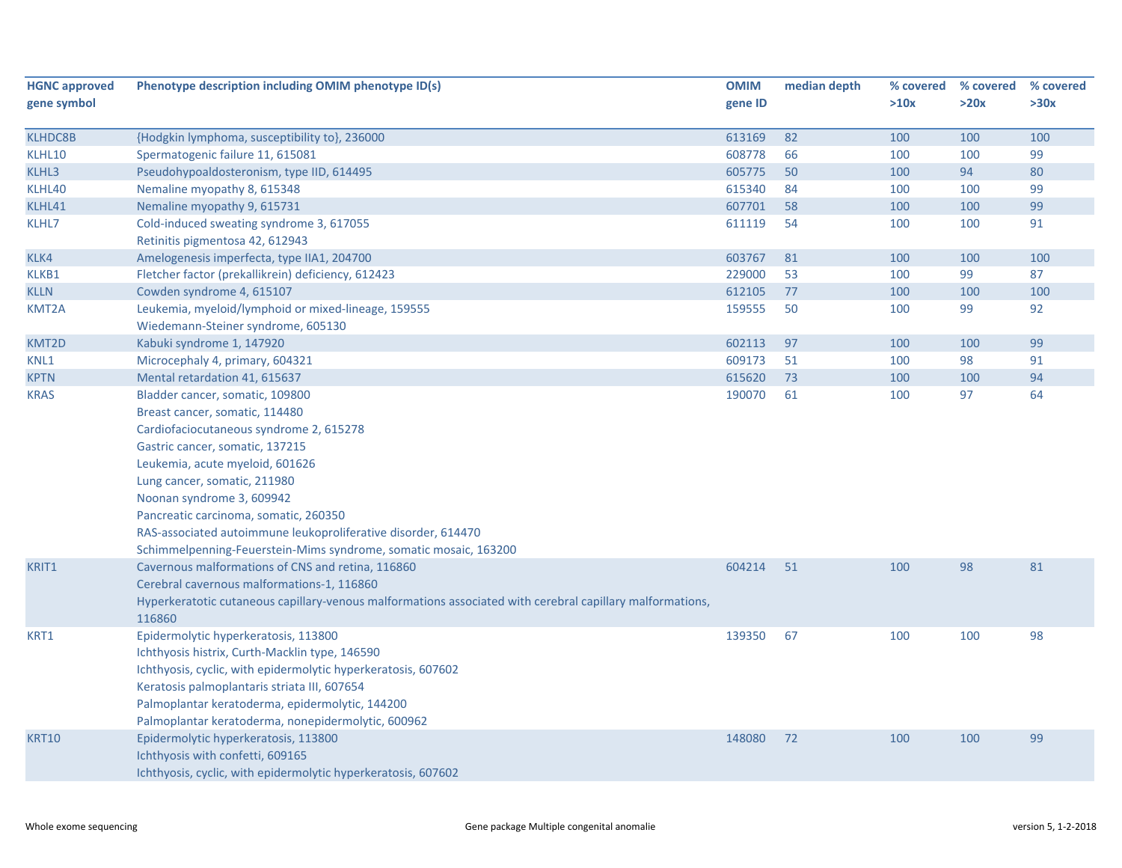| <b>HGNC approved</b> | Phenotype description including OMIM phenotype ID(s)                                                      | <b>OMIM</b> | median depth | % covered | % covered | % covered |
|----------------------|-----------------------------------------------------------------------------------------------------------|-------------|--------------|-----------|-----------|-----------|
| gene symbol          |                                                                                                           | gene ID     |              | >10x      | >20x      | >30x      |
|                      |                                                                                                           |             |              |           |           |           |
| <b>KLHDC8B</b>       | {Hodgkin lymphoma, susceptibility to}, 236000                                                             | 613169      | 82           | 100       | 100       | 100       |
| KLHL10               | Spermatogenic failure 11, 615081                                                                          | 608778      | 66           | 100       | 100       | 99        |
| KLHL3                | Pseudohypoaldosteronism, type IID, 614495                                                                 | 605775      | 50           | 100       | 94        | 80        |
| KLHL40               | Nemaline myopathy 8, 615348                                                                               | 615340      | 84           | 100       | 100       | 99        |
| KLHL41               | Nemaline myopathy 9, 615731                                                                               | 607701      | 58           | 100       | 100       | 99        |
| KLHL7                | Cold-induced sweating syndrome 3, 617055                                                                  | 611119      | 54           | 100       | 100       | 91        |
|                      | Retinitis pigmentosa 42, 612943                                                                           |             |              |           |           |           |
| KLK4                 | Amelogenesis imperfecta, type IIA1, 204700                                                                | 603767      | 81           | 100       | 100       | 100       |
| KLKB1                | Fletcher factor (prekallikrein) deficiency, 612423                                                        | 229000      | 53           | 100       | 99        | 87        |
| <b>KLLN</b>          | Cowden syndrome 4, 615107                                                                                 | 612105      | 77           | 100       | 100       | 100       |
| KMT2A                | Leukemia, myeloid/lymphoid or mixed-lineage, 159555                                                       | 159555      | 50           | 100       | 99        | 92        |
|                      | Wiedemann-Steiner syndrome, 605130                                                                        |             |              |           |           |           |
| KMT2D                | Kabuki syndrome 1, 147920                                                                                 | 602113      | 97           | 100       | 100       | 99        |
| KNL1                 | Microcephaly 4, primary, 604321                                                                           | 609173      | 51           | 100       | 98        | 91        |
| <b>KPTN</b>          | Mental retardation 41, 615637                                                                             | 615620      | 73           | 100       | 100       | 94        |
| <b>KRAS</b>          | Bladder cancer, somatic, 109800                                                                           | 190070      | 61           | 100       | 97        | 64        |
|                      | Breast cancer, somatic, 114480                                                                            |             |              |           |           |           |
|                      | Cardiofaciocutaneous syndrome 2, 615278                                                                   |             |              |           |           |           |
|                      | Gastric cancer, somatic, 137215                                                                           |             |              |           |           |           |
|                      | Leukemia, acute myeloid, 601626                                                                           |             |              |           |           |           |
|                      | Lung cancer, somatic, 211980                                                                              |             |              |           |           |           |
|                      | Noonan syndrome 3, 609942                                                                                 |             |              |           |           |           |
|                      | Pancreatic carcinoma, somatic, 260350                                                                     |             |              |           |           |           |
|                      | RAS-associated autoimmune leukoproliferative disorder, 614470                                             |             |              |           |           |           |
|                      | Schimmelpenning-Feuerstein-Mims syndrome, somatic mosaic, 163200                                          |             |              |           |           |           |
| KRIT1                | Cavernous malformations of CNS and retina, 116860                                                         | 604214      | 51           | 100       | 98        | 81        |
|                      | Cerebral cavernous malformations-1, 116860                                                                |             |              |           |           |           |
|                      | Hyperkeratotic cutaneous capillary-venous malformations associated with cerebral capillary malformations, |             |              |           |           |           |
|                      | 116860                                                                                                    |             |              |           |           |           |
| KRT1                 | Epidermolytic hyperkeratosis, 113800                                                                      | 139350      | 67           | 100       | 100       | 98        |
|                      | Ichthyosis histrix, Curth-Macklin type, 146590                                                            |             |              |           |           |           |
|                      | Ichthyosis, cyclic, with epidermolytic hyperkeratosis, 607602                                             |             |              |           |           |           |
|                      | Keratosis palmoplantaris striata III, 607654                                                              |             |              |           |           |           |
|                      | Palmoplantar keratoderma, epidermolytic, 144200                                                           |             |              |           |           |           |
|                      | Palmoplantar keratoderma, nonepidermolytic, 600962                                                        |             |              |           |           |           |
| <b>KRT10</b>         | Epidermolytic hyperkeratosis, 113800                                                                      | 148080      | 72           | 100       | 100       | 99        |
|                      | Ichthyosis with confetti, 609165                                                                          |             |              |           |           |           |
|                      | Ichthyosis, cyclic, with epidermolytic hyperkeratosis, 607602                                             |             |              |           |           |           |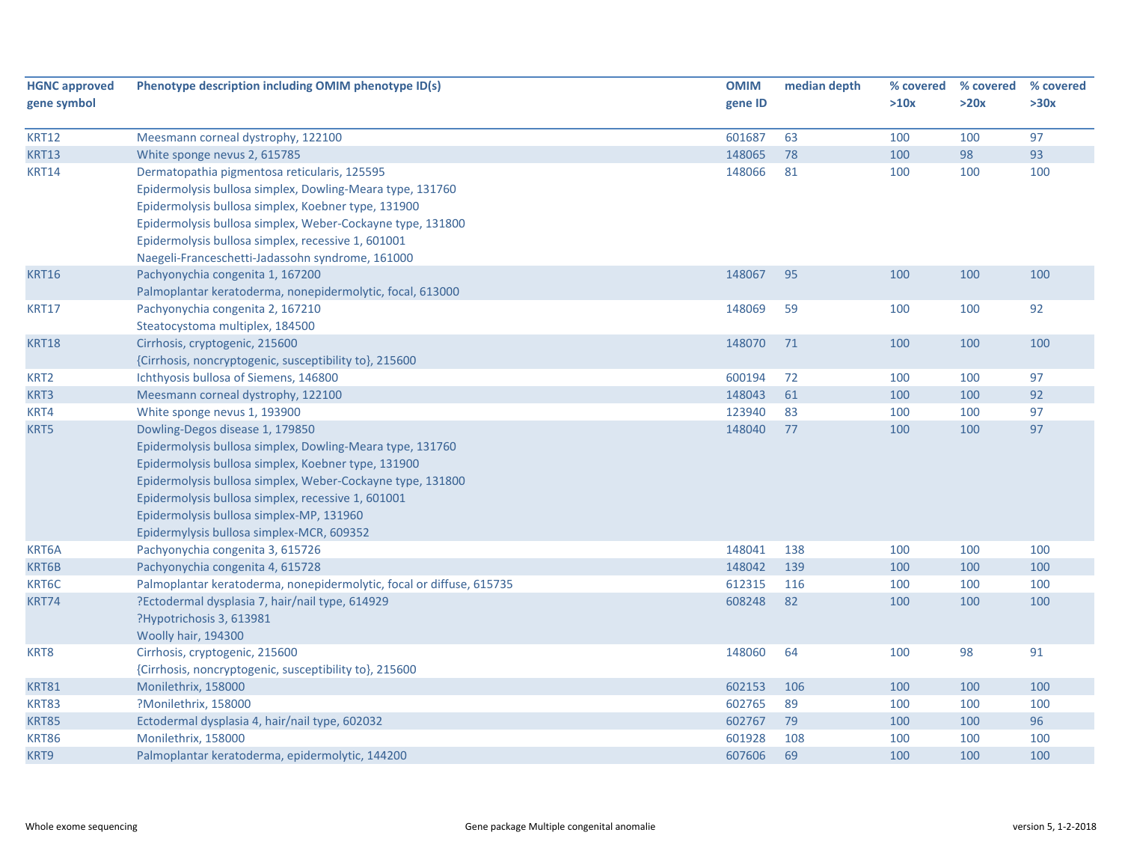| <b>HGNC approved</b><br>gene symbol | Phenotype description including OMIM phenotype ID(s)                 | <b>OMIM</b><br>gene ID | median depth | % covered<br>>10x | % covered<br>>20x | % covered<br>>30x |
|-------------------------------------|----------------------------------------------------------------------|------------------------|--------------|-------------------|-------------------|-------------------|
| <b>KRT12</b>                        | Meesmann corneal dystrophy, 122100                                   | 601687                 | 63           | 100               | 100               | 97                |
| <b>KRT13</b>                        | White sponge nevus 2, 615785                                         | 148065                 | 78           | 100               | 98                | 93                |
| <b>KRT14</b>                        | Dermatopathia pigmentosa reticularis, 125595                         | 148066                 | 81           | 100               | 100               | 100               |
|                                     | Epidermolysis bullosa simplex, Dowling-Meara type, 131760            |                        |              |                   |                   |                   |
|                                     | Epidermolysis bullosa simplex, Koebner type, 131900                  |                        |              |                   |                   |                   |
|                                     | Epidermolysis bullosa simplex, Weber-Cockayne type, 131800           |                        |              |                   |                   |                   |
|                                     | Epidermolysis bullosa simplex, recessive 1, 601001                   |                        |              |                   |                   |                   |
|                                     | Naegeli-Franceschetti-Jadassohn syndrome, 161000                     |                        |              |                   |                   |                   |
| <b>KRT16</b>                        | Pachyonychia congenita 1, 167200                                     | 148067                 | 95           | 100               | 100               | 100               |
|                                     | Palmoplantar keratoderma, nonepidermolytic, focal, 613000            |                        |              |                   |                   |                   |
| <b>KRT17</b>                        | Pachyonychia congenita 2, 167210                                     | 148069                 | 59           | 100               | 100               | 92                |
|                                     | Steatocystoma multiplex, 184500                                      |                        |              |                   |                   |                   |
| <b>KRT18</b>                        | Cirrhosis, cryptogenic, 215600                                       | 148070                 | 71           | 100               | 100               | 100               |
|                                     | {Cirrhosis, noncryptogenic, susceptibility to}, 215600               |                        |              |                   |                   |                   |
| KRT <sub>2</sub>                    | Ichthyosis bullosa of Siemens, 146800                                | 600194                 | 72           | 100               | 100               | 97                |
| KRT3                                | Meesmann corneal dystrophy, 122100                                   | 148043                 | 61           | 100               | 100               | 92                |
| KRT4                                | White sponge nevus 1, 193900                                         | 123940                 | 83           | 100               | 100               | 97                |
| KRT5                                | Dowling-Degos disease 1, 179850                                      | 148040                 | 77           | 100               | 100               | 97                |
|                                     | Epidermolysis bullosa simplex, Dowling-Meara type, 131760            |                        |              |                   |                   |                   |
|                                     | Epidermolysis bullosa simplex, Koebner type, 131900                  |                        |              |                   |                   |                   |
|                                     | Epidermolysis bullosa simplex, Weber-Cockayne type, 131800           |                        |              |                   |                   |                   |
|                                     | Epidermolysis bullosa simplex, recessive 1, 601001                   |                        |              |                   |                   |                   |
|                                     | Epidermolysis bullosa simplex-MP, 131960                             |                        |              |                   |                   |                   |
|                                     | Epidermylysis bullosa simplex-MCR, 609352                            |                        |              |                   |                   |                   |
| KRT6A                               | Pachyonychia congenita 3, 615726                                     | 148041                 | 138          | 100               | 100               | 100               |
| KRT6B                               | Pachyonychia congenita 4, 615728                                     | 148042                 | 139          | 100               | 100               | 100               |
| KRT6C                               | Palmoplantar keratoderma, nonepidermolytic, focal or diffuse, 615735 | 612315                 | 116          | 100               | 100               | 100               |
| KRT74                               | ?Ectodermal dysplasia 7, hair/nail type, 614929                      | 608248                 | 82           | 100               | 100               | 100               |
|                                     | ?Hypotrichosis 3, 613981                                             |                        |              |                   |                   |                   |
|                                     | Woolly hair, 194300                                                  |                        |              |                   |                   |                   |
| KRT8                                | Cirrhosis, cryptogenic, 215600                                       | 148060                 | 64           | 100               | 98                | 91                |
|                                     | {Cirrhosis, noncryptogenic, susceptibility to}, 215600               |                        |              |                   |                   |                   |
| <b>KRT81</b>                        | Monilethrix, 158000                                                  | 602153                 | 106          | 100               | 100               | 100               |
| <b>KRT83</b>                        | ?Monilethrix, 158000                                                 | 602765                 | 89           | 100               | 100               | 100               |
| <b>KRT85</b>                        | Ectodermal dysplasia 4, hair/nail type, 602032                       | 602767                 | 79           | 100               | 100               | 96                |
| <b>KRT86</b>                        | Monilethrix, 158000                                                  | 601928                 | 108          | 100               | 100               | 100               |
| KRT9                                | Palmoplantar keratoderma, epidermolytic, 144200                      | 607606                 | 69           | 100               | 100               | 100               |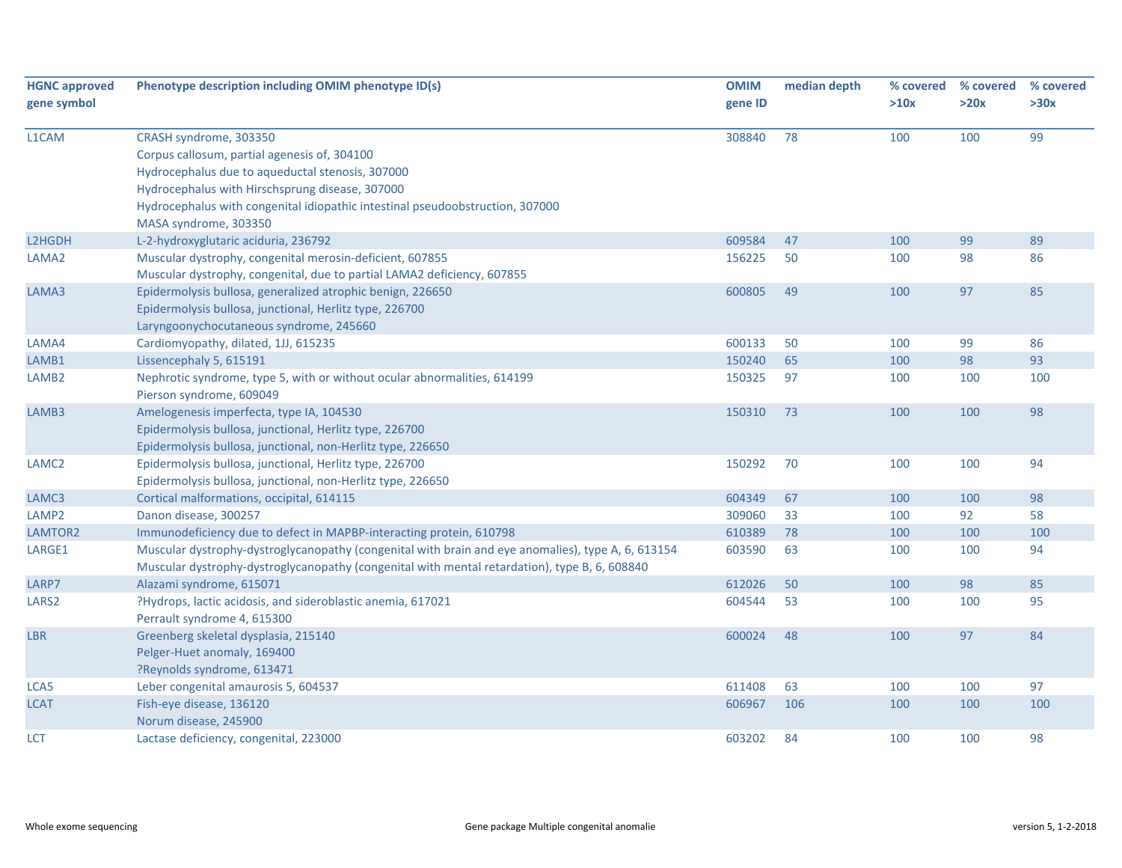| <b>HGNC approved</b><br>gene symbol | Phenotype description including OMIM phenotype ID(s)                                                                                                                                                                                                           | <b>OMIM</b><br>gene ID | median depth | % covered<br>>10x | % covered<br>>20x | % covered<br>>30x |
|-------------------------------------|----------------------------------------------------------------------------------------------------------------------------------------------------------------------------------------------------------------------------------------------------------------|------------------------|--------------|-------------------|-------------------|-------------------|
| L1CAM                               | CRASH syndrome, 303350<br>Corpus callosum, partial agenesis of, 304100<br>Hydrocephalus due to aqueductal stenosis, 307000<br>Hydrocephalus with Hirschsprung disease, 307000<br>Hydrocephalus with congenital idiopathic intestinal pseudoobstruction, 307000 | 308840                 | 78           | 100               | 100               | 99                |
|                                     | MASA syndrome, 303350                                                                                                                                                                                                                                          |                        |              |                   |                   |                   |
| L2HGDH                              | L-2-hydroxyglutaric aciduria, 236792                                                                                                                                                                                                                           | 609584                 | 47           | 100               | 99                | 89                |
| LAMA2                               | Muscular dystrophy, congenital merosin-deficient, 607855<br>Muscular dystrophy, congenital, due to partial LAMA2 deficiency, 607855                                                                                                                            | 156225                 | 50           | 100               | 98                | 86                |
| LAMA3                               | Epidermolysis bullosa, generalized atrophic benign, 226650<br>Epidermolysis bullosa, junctional, Herlitz type, 226700<br>Laryngoonychocutaneous syndrome, 245660                                                                                               | 600805                 | 49           | 100               | 97                | 85                |
| LAMA4                               | Cardiomyopathy, dilated, 1JJ, 615235                                                                                                                                                                                                                           | 600133                 | 50           | 100               | 99                | 86                |
| LAMB1                               | Lissencephaly 5, 615191                                                                                                                                                                                                                                        | 150240                 | 65           | 100               | 98                | 93                |
| LAMB <sub>2</sub>                   | Nephrotic syndrome, type 5, with or without ocular abnormalities, 614199<br>Pierson syndrome, 609049                                                                                                                                                           | 150325                 | 97           | 100               | 100               | 100               |
| LAMB3                               | Amelogenesis imperfecta, type IA, 104530<br>Epidermolysis bullosa, junctional, Herlitz type, 226700<br>Epidermolysis bullosa, junctional, non-Herlitz type, 226650                                                                                             | 150310                 | 73           | 100               | 100               | 98                |
| LAMC <sub>2</sub>                   | Epidermolysis bullosa, junctional, Herlitz type, 226700<br>Epidermolysis bullosa, junctional, non-Herlitz type, 226650                                                                                                                                         | 150292                 | 70           | 100               | 100               | 94                |
| LAMC3                               | Cortical malformations, occipital, 614115                                                                                                                                                                                                                      | 604349                 | 67           | 100               | 100               | 98                |
| LAMP <sub>2</sub>                   | Danon disease, 300257                                                                                                                                                                                                                                          | 309060                 | 33           | 100               | 92                | 58                |
| LAMTOR2                             | Immunodeficiency due to defect in MAPBP-interacting protein, 610798                                                                                                                                                                                            | 610389                 | 78           | 100               | 100               | 100               |
| LARGE1                              | Muscular dystrophy-dystroglycanopathy (congenital with brain and eye anomalies), type A, 6, 613154<br>Muscular dystrophy-dystroglycanopathy (congenital with mental retardation), type B, 6, 608840                                                            | 603590                 | 63           | 100               | 100               | 94                |
| LARP7                               | Alazami syndrome, 615071                                                                                                                                                                                                                                       | 612026                 | 50           | 100               | 98                | 85                |
| LARS <sub>2</sub>                   | ?Hydrops, lactic acidosis, and sideroblastic anemia, 617021<br>Perrault syndrome 4, 615300                                                                                                                                                                     | 604544                 | 53           | 100               | 100               | 95                |
| <b>LBR</b>                          | Greenberg skeletal dysplasia, 215140<br>Pelger-Huet anomaly, 169400<br>?Reynolds syndrome, 613471                                                                                                                                                              | 600024                 | 48           | 100               | 97                | 84                |
| LCA5                                | Leber congenital amaurosis 5, 604537                                                                                                                                                                                                                           | 611408                 | 63           | 100               | 100               | 97                |
| LCAT                                | Fish-eye disease, 136120<br>Norum disease, 245900                                                                                                                                                                                                              | 606967                 | 106          | 100               | 100               | 100               |
| LCT                                 | Lactase deficiency, congenital, 223000                                                                                                                                                                                                                         | 603202                 | 84           | 100               | 100               | 98                |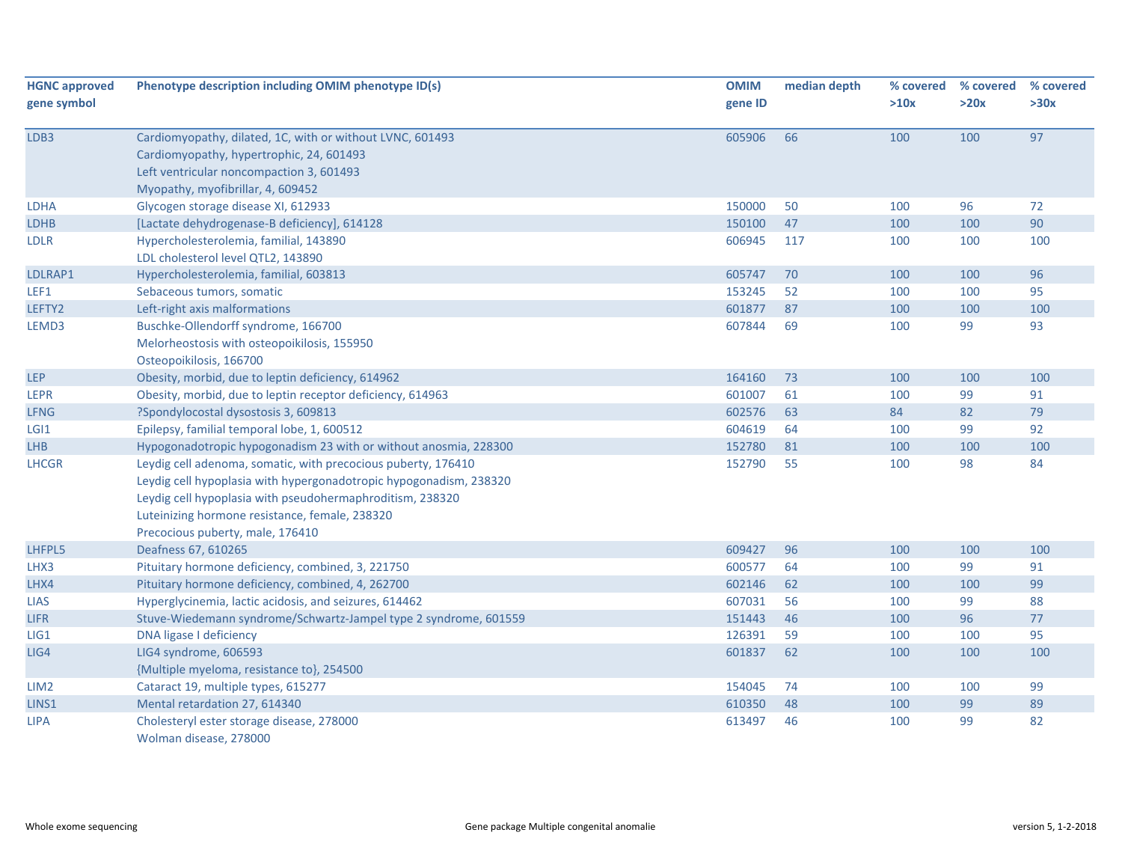| <b>HGNC approved</b> | Phenotype description including OMIM phenotype ID(s)               | <b>OMIM</b> | median depth | % covered | % covered | % covered |
|----------------------|--------------------------------------------------------------------|-------------|--------------|-----------|-----------|-----------|
| gene symbol          |                                                                    | gene ID     |              | >10x      | >20x      | >30x      |
| LDB3                 | Cardiomyopathy, dilated, 1C, with or without LVNC, 601493          | 605906      | 66           | 100       | 100       | 97        |
|                      | Cardiomyopathy, hypertrophic, 24, 601493                           |             |              |           |           |           |
|                      | Left ventricular noncompaction 3, 601493                           |             |              |           |           |           |
|                      | Myopathy, myofibrillar, 4, 609452                                  |             |              |           |           |           |
| <b>LDHA</b>          | Glycogen storage disease XI, 612933                                | 150000      | 50           | 100       | 96        | 72        |
| <b>LDHB</b>          | [Lactate dehydrogenase-B deficiency], 614128                       | 150100      | 47           | 100       | 100       | 90        |
| <b>LDLR</b>          | Hypercholesterolemia, familial, 143890                             | 606945      | 117          | 100       | 100       | 100       |
|                      | LDL cholesterol level QTL2, 143890                                 |             |              |           |           |           |
| LDLRAP1              | Hypercholesterolemia, familial, 603813                             | 605747      | 70           | 100       | 100       | 96        |
| LEF1                 | Sebaceous tumors, somatic                                          | 153245      | 52           | 100       | 100       | 95        |
| LEFTY2               | Left-right axis malformations                                      | 601877      | 87           | 100       | 100       | 100       |
| LEMD3                | Buschke-Ollendorff syndrome, 166700                                | 607844      | 69           | 100       | 99        | 93        |
|                      | Melorheostosis with osteopoikilosis, 155950                        |             |              |           |           |           |
|                      | Osteopoikilosis, 166700                                            |             |              |           |           |           |
| <b>LEP</b>           | Obesity, morbid, due to leptin deficiency, 614962                  | 164160      | 73           | 100       | 100       | 100       |
| <b>LEPR</b>          | Obesity, morbid, due to leptin receptor deficiency, 614963         | 601007      | 61           | 100       | 99        | 91        |
| <b>LFNG</b>          | ?Spondylocostal dysostosis 3, 609813                               | 602576      | 63           | 84        | 82        | 79        |
| LGI <sub>1</sub>     | Epilepsy, familial temporal lobe, 1, 600512                        | 604619      | 64           | 100       | 99        | 92        |
| <b>LHB</b>           | Hypogonadotropic hypogonadism 23 with or without anosmia, 228300   | 152780      | 81           | 100       | 100       | 100       |
| <b>LHCGR</b>         | Leydig cell adenoma, somatic, with precocious puberty, 176410      | 152790      | 55           | 100       | 98        | 84        |
|                      | Leydig cell hypoplasia with hypergonadotropic hypogonadism, 238320 |             |              |           |           |           |
|                      | Leydig cell hypoplasia with pseudohermaphroditism, 238320          |             |              |           |           |           |
|                      | Luteinizing hormone resistance, female, 238320                     |             |              |           |           |           |
|                      | Precocious puberty, male, 176410                                   |             |              |           |           |           |
| LHFPL5               | Deafness 67, 610265                                                | 609427      | 96           | 100       | 100       | 100       |
| LHX3                 | Pituitary hormone deficiency, combined, 3, 221750                  | 600577      | 64           | 100       | 99        | 91        |
| LHX4                 | Pituitary hormone deficiency, combined, 4, 262700                  | 602146      | 62           | 100       | 100       | 99        |
| <b>LIAS</b>          | Hyperglycinemia, lactic acidosis, and seizures, 614462             | 607031      | 56           | 100       | 99        | 88        |
| <b>LIFR</b>          | Stuve-Wiedemann syndrome/Schwartz-Jampel type 2 syndrome, 601559   | 151443      | 46           | 100       | 96        | 77        |
| LIG1                 | DNA ligase I deficiency                                            | 126391      | 59           | 100       | 100       | 95        |
| LIG4                 | LIG4 syndrome, 606593                                              | 601837      | 62           | 100       | 100       | 100       |
|                      | {Multiple myeloma, resistance to}, 254500                          |             |              |           |           |           |
| LIM <sub>2</sub>     | Cataract 19, multiple types, 615277                                | 154045      | 74           | 100       | 100       | 99        |
| LINS1                | Mental retardation 27, 614340                                      | 610350      | 48           | 100       | 99        | 89        |
| <b>LIPA</b>          | Cholesteryl ester storage disease, 278000                          | 613497      | 46           | 100       | 99        | 82        |
|                      | Wolman disease, 278000                                             |             |              |           |           |           |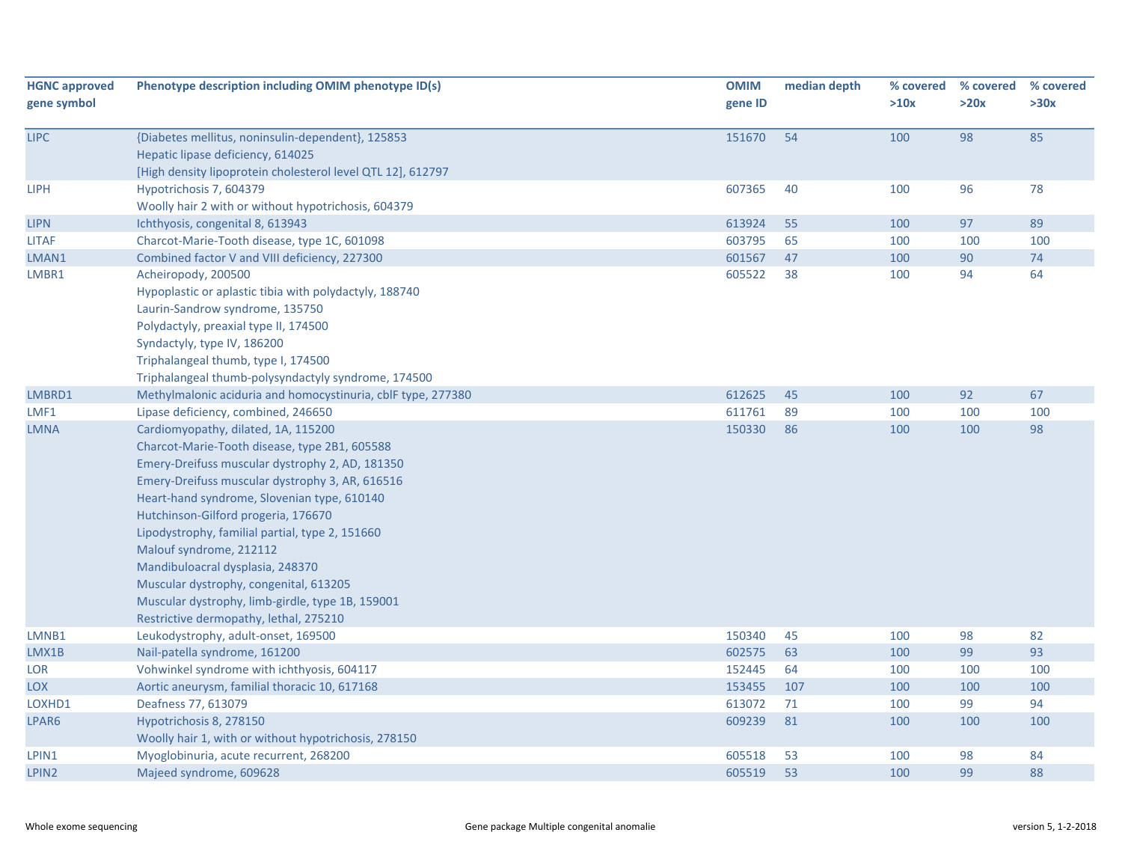| <b>HGNC approved</b><br>gene symbol | Phenotype description including OMIM phenotype ID(s)                                                                                                                                                                                                                                                                                                                                                                                                                                                                                       | <b>OMIM</b><br>gene ID | median depth | % covered<br>>10x | % covered<br>>20x | % covered<br>>30x |
|-------------------------------------|--------------------------------------------------------------------------------------------------------------------------------------------------------------------------------------------------------------------------------------------------------------------------------------------------------------------------------------------------------------------------------------------------------------------------------------------------------------------------------------------------------------------------------------------|------------------------|--------------|-------------------|-------------------|-------------------|
| <b>LIPC</b>                         | {Diabetes mellitus, noninsulin-dependent}, 125853<br>Hepatic lipase deficiency, 614025<br>[High density lipoprotein cholesterol level QTL 12], 612797                                                                                                                                                                                                                                                                                                                                                                                      | 151670                 | 54           | 100               | 98                | 85                |
| <b>LIPH</b>                         | Hypotrichosis 7, 604379<br>Woolly hair 2 with or without hypotrichosis, 604379                                                                                                                                                                                                                                                                                                                                                                                                                                                             | 607365                 | 40           | 100               | 96                | 78                |
| <b>LIPN</b>                         | Ichthyosis, congenital 8, 613943                                                                                                                                                                                                                                                                                                                                                                                                                                                                                                           | 613924                 | 55           | 100               | 97                | 89                |
| <b>LITAF</b>                        | Charcot-Marie-Tooth disease, type 1C, 601098                                                                                                                                                                                                                                                                                                                                                                                                                                                                                               | 603795                 | 65           | 100               | 100               | 100               |
| LMAN1                               | Combined factor V and VIII deficiency, 227300                                                                                                                                                                                                                                                                                                                                                                                                                                                                                              | 601567                 | 47           | 100               | 90                | 74                |
| LMBR1                               | Acheiropody, 200500<br>Hypoplastic or aplastic tibia with polydactyly, 188740<br>Laurin-Sandrow syndrome, 135750<br>Polydactyly, preaxial type II, 174500<br>Syndactyly, type IV, 186200<br>Triphalangeal thumb, type I, 174500<br>Triphalangeal thumb-polysyndactyly syndrome, 174500                                                                                                                                                                                                                                                     | 605522                 | 38           | 100               | 94                | 64                |
| LMBRD1                              | Methylmalonic aciduria and homocystinuria, cblF type, 277380                                                                                                                                                                                                                                                                                                                                                                                                                                                                               | 612625                 | 45           | 100               | 92                | 67                |
| LMF1                                | Lipase deficiency, combined, 246650                                                                                                                                                                                                                                                                                                                                                                                                                                                                                                        | 611761                 | 89           | 100               | 100               | 100               |
| <b>LMNA</b>                         | Cardiomyopathy, dilated, 1A, 115200<br>Charcot-Marie-Tooth disease, type 2B1, 605588<br>Emery-Dreifuss muscular dystrophy 2, AD, 181350<br>Emery-Dreifuss muscular dystrophy 3, AR, 616516<br>Heart-hand syndrome, Slovenian type, 610140<br>Hutchinson-Gilford progeria, 176670<br>Lipodystrophy, familial partial, type 2, 151660<br>Malouf syndrome, 212112<br>Mandibuloacral dysplasia, 248370<br>Muscular dystrophy, congenital, 613205<br>Muscular dystrophy, limb-girdle, type 1B, 159001<br>Restrictive dermopathy, lethal, 275210 | 150330                 | 86           | 100               | 100               | 98                |
| LMNB1                               | Leukodystrophy, adult-onset, 169500                                                                                                                                                                                                                                                                                                                                                                                                                                                                                                        | 150340                 | 45           | 100               | 98                | 82                |
| LMX1B                               | Nail-patella syndrome, 161200                                                                                                                                                                                                                                                                                                                                                                                                                                                                                                              | 602575                 | 63           | 100               | 99                | 93                |
| LOR                                 | Vohwinkel syndrome with ichthyosis, 604117                                                                                                                                                                                                                                                                                                                                                                                                                                                                                                 | 152445                 | 64           | 100               | 100               | 100               |
| <b>LOX</b>                          | Aortic aneurysm, familial thoracic 10, 617168                                                                                                                                                                                                                                                                                                                                                                                                                                                                                              | 153455                 | 107          | 100               | 100               | 100               |
| LOXHD1                              | Deafness 77, 613079                                                                                                                                                                                                                                                                                                                                                                                                                                                                                                                        | 613072                 | 71           | 100               | 99                | 94                |
| LPAR6                               | Hypotrichosis 8, 278150<br>Woolly hair 1, with or without hypotrichosis, 278150                                                                                                                                                                                                                                                                                                                                                                                                                                                            | 609239                 | 81           | 100               | 100               | 100               |
| LPIN1                               | Myoglobinuria, acute recurrent, 268200                                                                                                                                                                                                                                                                                                                                                                                                                                                                                                     | 605518                 | 53           | 100               | 98                | 84                |
| LPIN <sub>2</sub>                   | Majeed syndrome, 609628                                                                                                                                                                                                                                                                                                                                                                                                                                                                                                                    | 605519                 | 53           | 100               | 99                | 88                |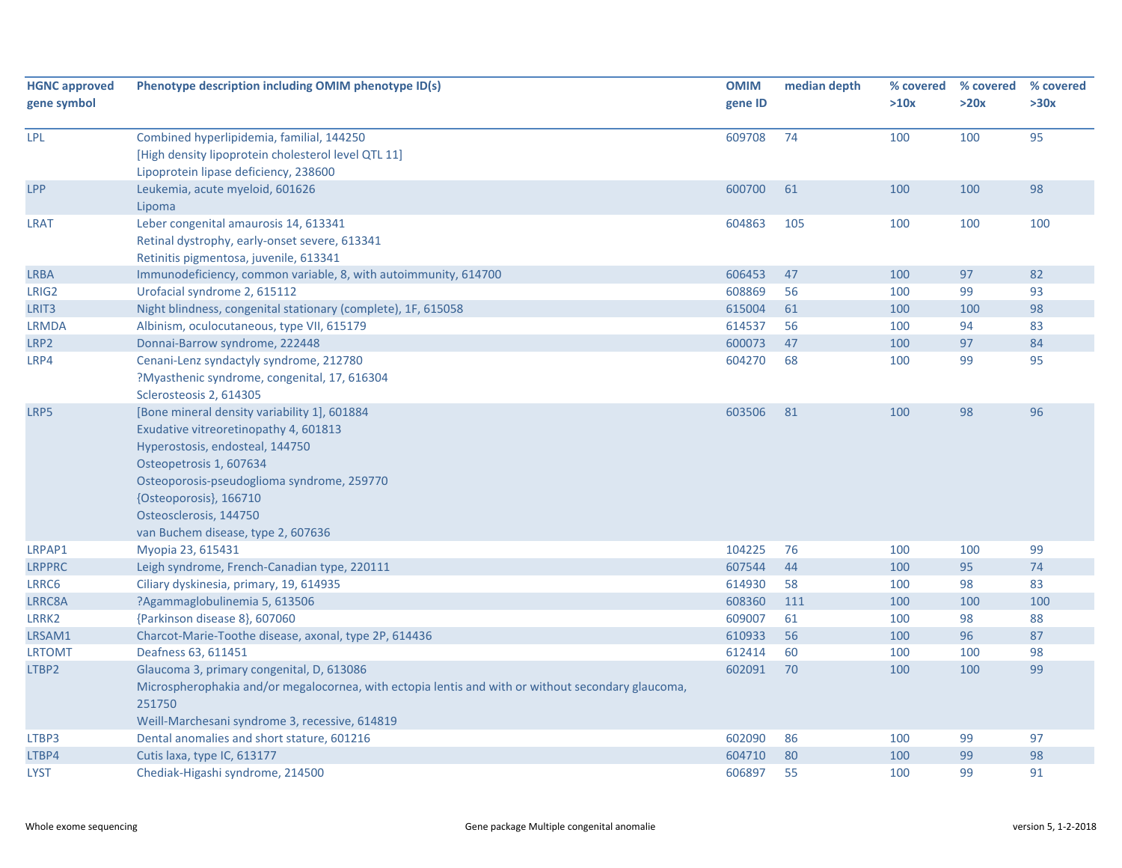| <b>HGNC approved</b><br>gene symbol | Phenotype description including OMIM phenotype ID(s)                                                                                                                                                                                                                                        | <b>OMIM</b><br>gene ID | median depth | % covered<br>>10x | % covered<br>>20x | % covered<br>>30x |
|-------------------------------------|---------------------------------------------------------------------------------------------------------------------------------------------------------------------------------------------------------------------------------------------------------------------------------------------|------------------------|--------------|-------------------|-------------------|-------------------|
| LPL                                 | Combined hyperlipidemia, familial, 144250<br>[High density lipoprotein cholesterol level QTL 11]<br>Lipoprotein lipase deficiency, 238600                                                                                                                                                   | 609708                 | 74           | 100               | 100               | 95                |
| LPP                                 | Leukemia, acute myeloid, 601626<br>Lipoma                                                                                                                                                                                                                                                   | 600700                 | 61           | 100               | 100               | 98                |
| <b>LRAT</b>                         | Leber congenital amaurosis 14, 613341<br>Retinal dystrophy, early-onset severe, 613341<br>Retinitis pigmentosa, juvenile, 613341                                                                                                                                                            | 604863                 | 105          | 100               | 100               | 100               |
| <b>LRBA</b>                         | Immunodeficiency, common variable, 8, with autoimmunity, 614700                                                                                                                                                                                                                             | 606453                 | 47           | 100               | 97                | 82                |
| LRIG2                               | Urofacial syndrome 2, 615112                                                                                                                                                                                                                                                                | 608869                 | 56           | 100               | 99                | 93                |
| LRIT <sub>3</sub>                   | Night blindness, congenital stationary (complete), 1F, 615058                                                                                                                                                                                                                               | 615004                 | 61           | 100               | 100               | 98                |
| <b>LRMDA</b>                        | Albinism, oculocutaneous, type VII, 615179                                                                                                                                                                                                                                                  | 614537                 | 56           | 100               | 94                | 83                |
| LRP2                                | Donnai-Barrow syndrome, 222448                                                                                                                                                                                                                                                              | 600073                 | 47           | 100               | 97                | 84                |
| LRP4                                | Cenani-Lenz syndactyly syndrome, 212780<br>?Myasthenic syndrome, congenital, 17, 616304<br>Sclerosteosis 2, 614305                                                                                                                                                                          | 604270                 | 68           | 100               | 99                | 95                |
| LRP5                                | [Bone mineral density variability 1], 601884<br>Exudative vitreoretinopathy 4, 601813<br>Hyperostosis, endosteal, 144750<br>Osteopetrosis 1, 607634<br>Osteoporosis-pseudoglioma syndrome, 259770<br>{Osteoporosis}, 166710<br>Osteosclerosis, 144750<br>van Buchem disease, type 2, 607636 | 603506                 | 81           | 100               | 98                | 96                |
| LRPAP1                              | Myopia 23, 615431                                                                                                                                                                                                                                                                           | 104225                 | 76           | 100               | 100               | 99                |
| <b>LRPPRC</b>                       | Leigh syndrome, French-Canadian type, 220111                                                                                                                                                                                                                                                | 607544                 | 44           | 100               | 95                | 74                |
| LRRC6                               | Ciliary dyskinesia, primary, 19, 614935                                                                                                                                                                                                                                                     | 614930                 | 58           | 100               | 98                | 83                |
| LRRC8A                              | ?Agammaglobulinemia 5, 613506                                                                                                                                                                                                                                                               | 608360                 | 111          | 100               | 100               | 100               |
| LRRK2                               | {Parkinson disease 8}, 607060                                                                                                                                                                                                                                                               | 609007                 | 61           | 100               | 98                | 88                |
| LRSAM1                              | Charcot-Marie-Toothe disease, axonal, type 2P, 614436                                                                                                                                                                                                                                       | 610933                 | 56           | 100               | 96                | 87                |
| <b>LRTOMT</b>                       | Deafness 63, 611451                                                                                                                                                                                                                                                                         | 612414                 | 60           | 100               | 100               | 98                |
| LTBP2                               | Glaucoma 3, primary congenital, D, 613086<br>Microspherophakia and/or megalocornea, with ectopia lentis and with or without secondary glaucoma,<br>251750<br>Weill-Marchesani syndrome 3, recessive, 614819                                                                                 | 602091                 | 70           | 100               | 100               | 99                |
| LTBP3                               | Dental anomalies and short stature, 601216                                                                                                                                                                                                                                                  | 602090                 | 86           | 100               | 99                | 97                |
| LTBP4                               | Cutis laxa, type IC, 613177                                                                                                                                                                                                                                                                 | 604710                 | 80           | 100               | 99                | 98                |
| <b>LYST</b>                         | Chediak-Higashi syndrome, 214500                                                                                                                                                                                                                                                            | 606897                 | 55           | 100               | 99                | 91                |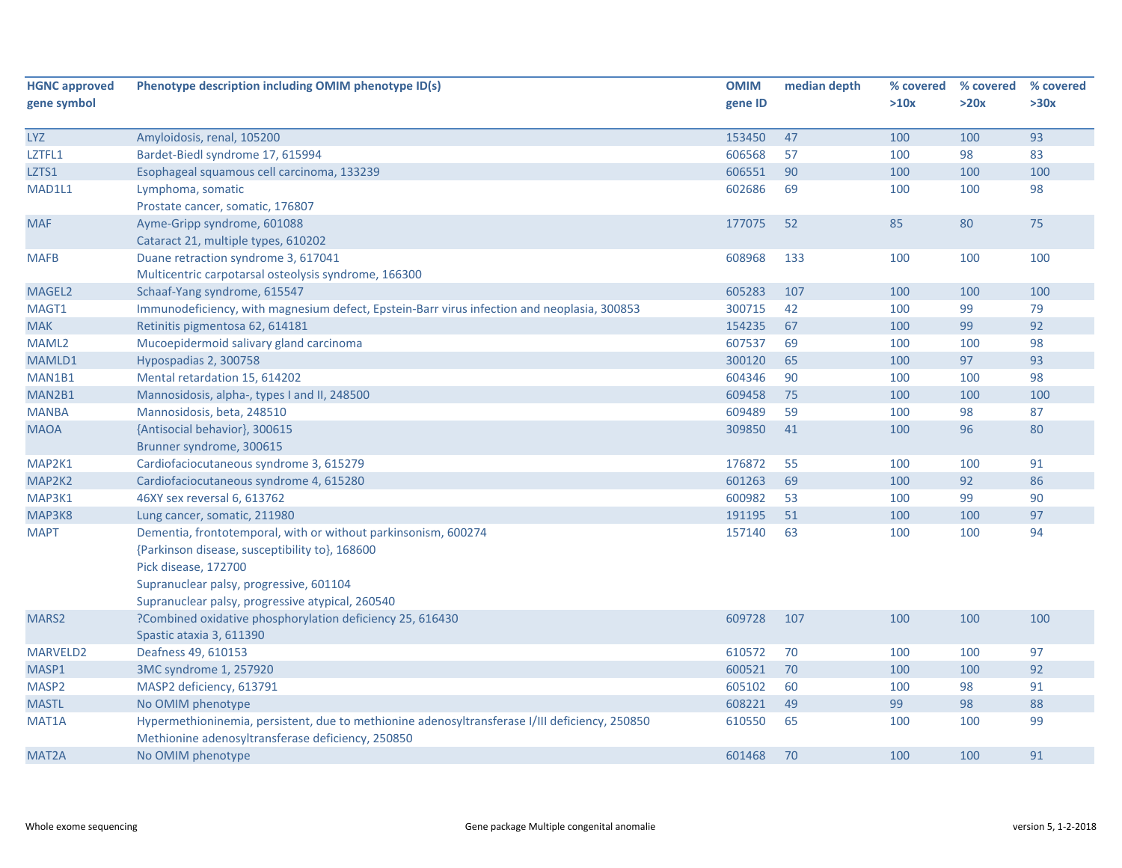| <b>HGNC approved</b> | Phenotype description including OMIM phenotype ID(s)                                           | <b>OMIM</b> | median depth | % covered | % covered | % covered |
|----------------------|------------------------------------------------------------------------------------------------|-------------|--------------|-----------|-----------|-----------|
| gene symbol          |                                                                                                | gene ID     |              | >10x      | >20x      | >30x      |
|                      |                                                                                                |             |              |           |           |           |
| <b>LYZ</b>           | Amyloidosis, renal, 105200                                                                     | 153450      | 47           | 100       | 100       | 93        |
| LZTFL1               | Bardet-Biedl syndrome 17, 615994                                                               | 606568      | 57           | 100       | 98        | 83        |
| LZTS1                | Esophageal squamous cell carcinoma, 133239                                                     | 606551      | 90           | 100       | 100       | 100       |
| MAD1L1               | Lymphoma, somatic                                                                              | 602686      | 69           | 100       | 100       | 98        |
|                      | Prostate cancer, somatic, 176807                                                               |             |              |           |           |           |
| <b>MAF</b>           | Ayme-Gripp syndrome, 601088                                                                    | 177075      | 52           | 85        | 80        | 75        |
|                      | Cataract 21, multiple types, 610202                                                            |             |              |           |           |           |
| <b>MAFB</b>          | Duane retraction syndrome 3, 617041                                                            | 608968      | 133          | 100       | 100       | 100       |
|                      | Multicentric carpotarsal osteolysis syndrome, 166300                                           |             |              |           |           |           |
| MAGEL2               | Schaaf-Yang syndrome, 615547                                                                   | 605283      | 107          | 100       | 100       | 100       |
| MAGT1                | Immunodeficiency, with magnesium defect, Epstein-Barr virus infection and neoplasia, 300853    | 300715      | 42           | 100       | 99        | 79        |
| <b>MAK</b>           | Retinitis pigmentosa 62, 614181                                                                | 154235      | 67           | 100       | 99        | 92        |
| MAML2                | Mucoepidermoid salivary gland carcinoma                                                        | 607537      | 69           | 100       | 100       | 98        |
| MAMLD1               | Hypospadias 2, 300758                                                                          | 300120      | 65           | 100       | 97        | 93        |
| MAN1B1               | Mental retardation 15, 614202                                                                  | 604346      | 90           | 100       | 100       | 98        |
| MAN2B1               | Mannosidosis, alpha-, types I and II, 248500                                                   | 609458      | 75           | 100       | 100       | 100       |
| <b>MANBA</b>         | Mannosidosis, beta, 248510                                                                     | 609489      | 59           | 100       | 98        | 87        |
| <b>MAOA</b>          | {Antisocial behavior}, 300615                                                                  | 309850      | 41           | 100       | 96        | 80        |
|                      | Brunner syndrome, 300615                                                                       |             |              |           |           |           |
| MAP2K1               | Cardiofaciocutaneous syndrome 3, 615279                                                        | 176872      | 55           | 100       | 100       | 91        |
| MAP2K2               | Cardiofaciocutaneous syndrome 4, 615280                                                        | 601263      | 69           | 100       | 92        | 86        |
| MAP3K1               | 46XY sex reversal 6, 613762                                                                    | 600982      | 53           | 100       | 99        | 90        |
| MAP3K8               | Lung cancer, somatic, 211980                                                                   | 191195      | 51           | 100       | 100       | 97        |
| <b>MAPT</b>          | Dementia, frontotemporal, with or without parkinsonism, 600274                                 | 157140      | 63           | 100       | 100       | 94        |
|                      | {Parkinson disease, susceptibility to}, 168600                                                 |             |              |           |           |           |
|                      | Pick disease, 172700                                                                           |             |              |           |           |           |
|                      | Supranuclear palsy, progressive, 601104                                                        |             |              |           |           |           |
|                      | Supranuclear palsy, progressive atypical, 260540                                               |             |              |           |           |           |
| MARS <sub>2</sub>    | ?Combined oxidative phosphorylation deficiency 25, 616430                                      | 609728      | 107          | 100       | 100       | 100       |
|                      | Spastic ataxia 3, 611390                                                                       |             |              |           |           |           |
| MARVELD2             | Deafness 49, 610153                                                                            | 610572      | 70           | 100       | 100       | 97        |
| MASP1                | 3MC syndrome 1, 257920                                                                         | 600521      | 70           | 100       | 100       | 92        |
| MASP2                | MASP2 deficiency, 613791                                                                       | 605102      | 60           | 100       | 98        | 91        |
| <b>MASTL</b>         | No OMIM phenotype                                                                              | 608221      | 49           | 99        | 98        | 88        |
| MAT1A                | Hypermethioninemia, persistent, due to methionine adenosyltransferase I/III deficiency, 250850 | 610550      | 65           | 100       | 100       | 99        |
|                      | Methionine adenosyltransferase deficiency, 250850                                              |             |              |           |           |           |
| MAT <sub>2</sub> A   | No OMIM phenotype                                                                              | 601468      | 70           | 100       | 100       | 91        |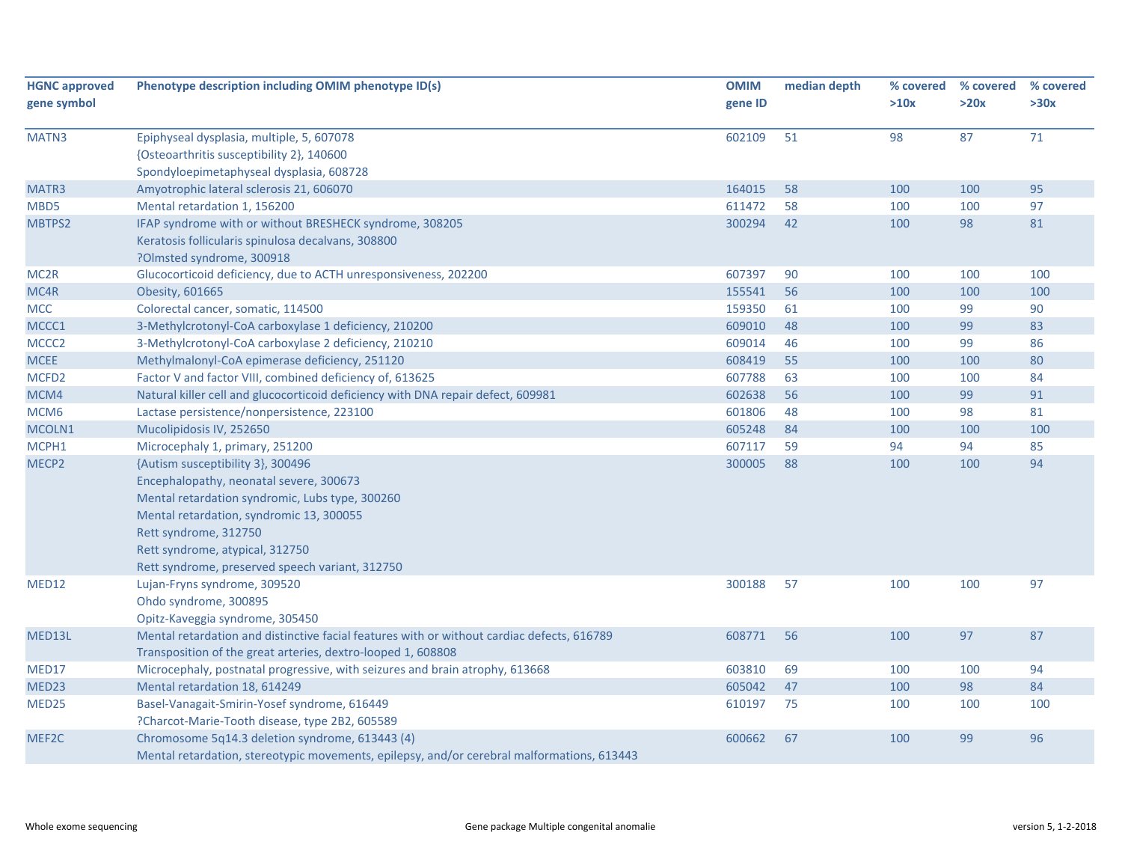| <b>HGNC approved</b> | Phenotype description including OMIM phenotype ID(s)                                       | <b>OMIM</b> | median depth | % covered | % covered | % covered |
|----------------------|--------------------------------------------------------------------------------------------|-------------|--------------|-----------|-----------|-----------|
| gene symbol          |                                                                                            | gene ID     |              | >10x      | >20x      | >30x      |
| MATN3                | Epiphyseal dysplasia, multiple, 5, 607078                                                  | 602109      | 51           | 98        | 87        | 71        |
|                      | {Osteoarthritis susceptibility 2}, 140600                                                  |             |              |           |           |           |
|                      | Spondyloepimetaphyseal dysplasia, 608728                                                   |             |              |           |           |           |
| MATR3                | Amyotrophic lateral sclerosis 21, 606070                                                   | 164015      | 58           | 100       | 100       | 95        |
| MBD5                 | Mental retardation 1, 156200                                                               | 611472      | 58           | 100       | 100       | 97        |
| MBTPS2               | IFAP syndrome with or without BRESHECK syndrome, 308205                                    | 300294      | 42           | 100       | 98        | 81        |
|                      | Keratosis follicularis spinulosa decalvans, 308800                                         |             |              |           |           |           |
|                      | ?Olmsted syndrome, 300918                                                                  |             |              |           |           |           |
| MC <sub>2R</sub>     | Glucocorticoid deficiency, due to ACTH unresponsiveness, 202200                            | 607397      | 90           | 100       | 100       | 100       |
| MC4R                 | Obesity, 601665                                                                            | 155541      | 56           | 100       | 100       | 100       |
| <b>MCC</b>           | Colorectal cancer, somatic, 114500                                                         | 159350      | 61           | 100       | 99        | 90        |
| MCCC1                | 3-Methylcrotonyl-CoA carboxylase 1 deficiency, 210200                                      | 609010      | 48           | 100       | 99        | 83        |
| MCCC <sub>2</sub>    | 3-Methylcrotonyl-CoA carboxylase 2 deficiency, 210210                                      | 609014      | 46           | 100       | 99        | 86        |
| <b>MCEE</b>          | Methylmalonyl-CoA epimerase deficiency, 251120                                             | 608419      | 55           | 100       | 100       | 80        |
| MCFD <sub>2</sub>    | Factor V and factor VIII, combined deficiency of, 613625                                   | 607788      | 63           | 100       | 100       | 84        |
| MCM4                 | Natural killer cell and glucocorticoid deficiency with DNA repair defect, 609981           | 602638      | 56           | 100       | 99        | 91        |
| MCM <sub>6</sub>     | Lactase persistence/nonpersistence, 223100                                                 | 601806      | 48           | 100       | 98        | 81        |
| MCOLN1               | Mucolipidosis IV, 252650                                                                   | 605248      | 84           | 100       | 100       | 100       |
| MCPH1                | Microcephaly 1, primary, 251200                                                            | 607117      | 59           | 94        | 94        | 85        |
| MECP2                | {Autism susceptibility 3}, 300496                                                          | 300005      | 88           | 100       | 100       | 94        |
|                      | Encephalopathy, neonatal severe, 300673                                                    |             |              |           |           |           |
|                      | Mental retardation syndromic, Lubs type, 300260                                            |             |              |           |           |           |
|                      | Mental retardation, syndromic 13, 300055                                                   |             |              |           |           |           |
|                      | Rett syndrome, 312750                                                                      |             |              |           |           |           |
|                      | Rett syndrome, atypical, 312750                                                            |             |              |           |           |           |
|                      | Rett syndrome, preserved speech variant, 312750                                            |             |              |           |           |           |
| MED12                | Lujan-Fryns syndrome, 309520                                                               | 300188      | 57           | 100       | 100       | 97        |
|                      | Ohdo syndrome, 300895                                                                      |             |              |           |           |           |
|                      | Opitz-Kaveggia syndrome, 305450                                                            |             |              |           |           |           |
| MED13L               | Mental retardation and distinctive facial features with or without cardiac defects, 616789 | 608771      | 56           | 100       | 97        | 87        |
|                      | Transposition of the great arteries, dextro-looped 1, 608808                               |             |              |           |           |           |
| MED17                | Microcephaly, postnatal progressive, with seizures and brain atrophy, 613668               | 603810      | 69           | 100       | 100       | 94        |
| MED <sub>23</sub>    | Mental retardation 18, 614249                                                              | 605042      | 47           | 100       | 98        | 84        |
| MED25                | Basel-Vanagait-Smirin-Yosef syndrome, 616449                                               | 610197      | 75           | 100       | 100       | 100       |
|                      | ?Charcot-Marie-Tooth disease, type 2B2, 605589                                             |             |              |           |           |           |
| MEF2C                | Chromosome 5q14.3 deletion syndrome, 613443 (4)                                            | 600662      | 67           | 100       | 99        | 96        |
|                      | Mental retardation, stereotypic movements, epilepsy, and/or cerebral malformations, 613443 |             |              |           |           |           |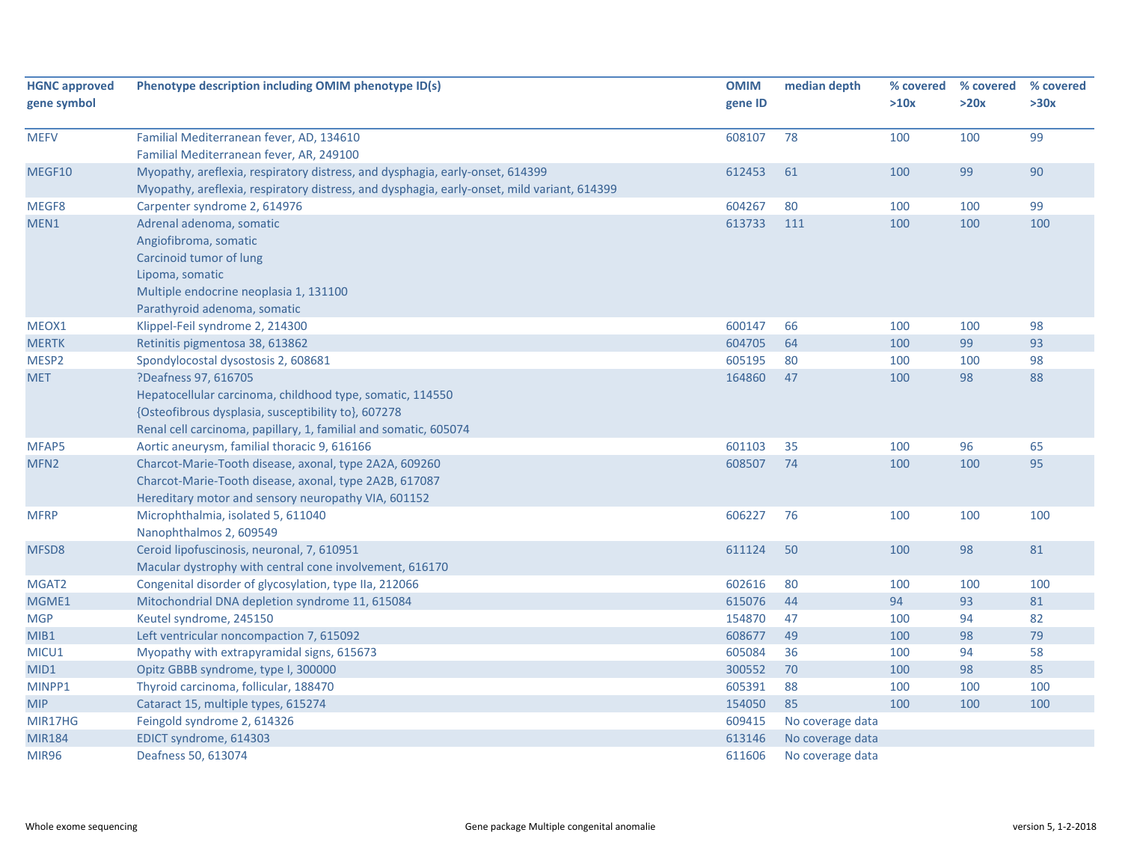| <b>HGNC approved</b><br>gene symbol | Phenotype description including OMIM phenotype ID(s)                                                                                                                                                         | <b>OMIM</b><br>gene ID | median depth     | % covered<br>>10x | % covered<br>>20x | % covered<br>>30x |
|-------------------------------------|--------------------------------------------------------------------------------------------------------------------------------------------------------------------------------------------------------------|------------------------|------------------|-------------------|-------------------|-------------------|
| <b>MEFV</b>                         | Familial Mediterranean fever, AD, 134610<br>Familial Mediterranean fever, AR, 249100                                                                                                                         | 608107                 | 78               | 100               | 100               | 99                |
| MEGF10                              | Myopathy, areflexia, respiratory distress, and dysphagia, early-onset, 614399<br>Myopathy, areflexia, respiratory distress, and dysphagia, early-onset, mild variant, 614399                                 | 612453                 | 61               | 100               | 99                | 90                |
| MEGF8                               | Carpenter syndrome 2, 614976                                                                                                                                                                                 | 604267                 | 80               | 100               | 100               | 99                |
| MEN1                                | Adrenal adenoma, somatic<br>Angiofibroma, somatic<br>Carcinoid tumor of lung<br>Lipoma, somatic<br>Multiple endocrine neoplasia 1, 131100<br>Parathyroid adenoma, somatic                                    | 613733                 | 111              | 100               | 100               | 100               |
| MEOX1                               | Klippel-Feil syndrome 2, 214300                                                                                                                                                                              | 600147                 | 66               | 100               | 100               | 98                |
| <b>MERTK</b>                        | Retinitis pigmentosa 38, 613862                                                                                                                                                                              | 604705                 | 64               | 100               | 99                | 93                |
| MESP2                               | Spondylocostal dysostosis 2, 608681                                                                                                                                                                          | 605195                 | 80               | 100               | 100               | 98                |
| <b>MET</b>                          | ?Deafness 97, 616705<br>Hepatocellular carcinoma, childhood type, somatic, 114550<br>{Osteofibrous dysplasia, susceptibility to}, 607278<br>Renal cell carcinoma, papillary, 1, familial and somatic, 605074 | 164860                 | 47               | 100               | 98                | 88                |
| MFAP5                               | Aortic aneurysm, familial thoracic 9, 616166                                                                                                                                                                 | 601103                 | 35               | 100               | 96                | 65                |
| MFN <sub>2</sub>                    | Charcot-Marie-Tooth disease, axonal, type 2A2A, 609260<br>Charcot-Marie-Tooth disease, axonal, type 2A2B, 617087<br>Hereditary motor and sensory neuropathy VIA, 601152                                      | 608507                 | 74               | 100               | 100               | 95                |
| <b>MFRP</b>                         | Microphthalmia, isolated 5, 611040<br>Nanophthalmos 2, 609549                                                                                                                                                | 606227                 | 76               | 100               | 100               | 100               |
| MFSD8                               | Ceroid lipofuscinosis, neuronal, 7, 610951<br>Macular dystrophy with central cone involvement, 616170                                                                                                        | 611124                 | 50               | 100               | 98                | 81                |
| MGAT2                               | Congenital disorder of glycosylation, type IIa, 212066                                                                                                                                                       | 602616                 | 80               | 100               | 100               | 100               |
| MGME1                               | Mitochondrial DNA depletion syndrome 11, 615084                                                                                                                                                              | 615076                 | 44               | 94                | 93                | 81                |
| <b>MGP</b>                          | Keutel syndrome, 245150                                                                                                                                                                                      | 154870                 | 47               | 100               | 94                | 82                |
| MIB1                                | Left ventricular noncompaction 7, 615092                                                                                                                                                                     | 608677                 | 49               | 100               | 98                | 79                |
| MICU1                               | Myopathy with extrapyramidal signs, 615673                                                                                                                                                                   | 605084                 | 36               | 100               | 94                | 58                |
| MID1                                | Opitz GBBB syndrome, type I, 300000                                                                                                                                                                          | 300552                 | 70               | 100               | 98                | 85                |
| MINPP1                              | Thyroid carcinoma, follicular, 188470                                                                                                                                                                        | 605391                 | 88               | 100               | 100               | 100               |
| <b>MIP</b>                          | Cataract 15, multiple types, 615274                                                                                                                                                                          | 154050                 | 85               | 100               | 100               | 100               |
| MIR17HG                             | Feingold syndrome 2, 614326                                                                                                                                                                                  | 609415                 | No coverage data |                   |                   |                   |
| <b>MIR184</b>                       | EDICT syndrome, 614303                                                                                                                                                                                       | 613146                 | No coverage data |                   |                   |                   |
| <b>MIR96</b>                        | Deafness 50, 613074                                                                                                                                                                                          | 611606                 | No coverage data |                   |                   |                   |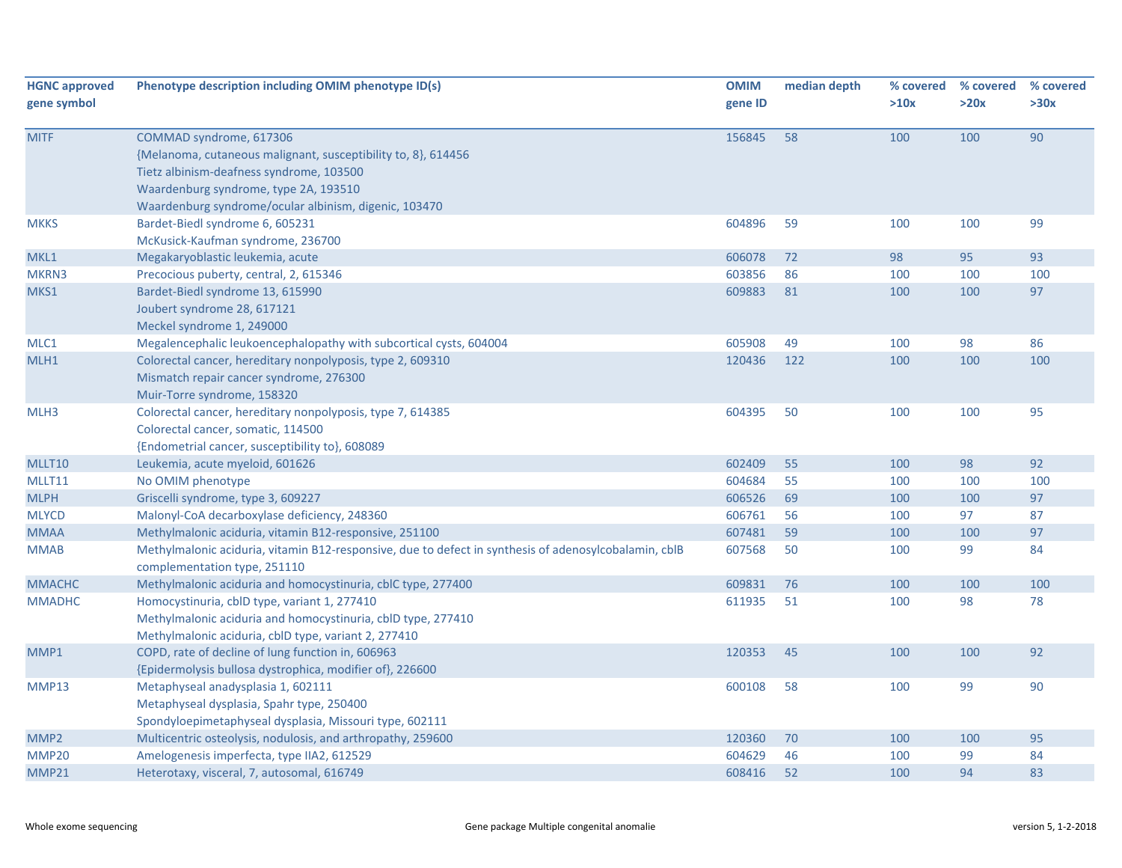| <b>HGNC approved</b><br>gene symbol | Phenotype description including OMIM phenotype ID(s)                                                                                                                                                                                   | <b>OMIM</b><br>gene ID | median depth | % covered<br>>10x | % covered<br>>20x | % covered<br>>30x |
|-------------------------------------|----------------------------------------------------------------------------------------------------------------------------------------------------------------------------------------------------------------------------------------|------------------------|--------------|-------------------|-------------------|-------------------|
| <b>MITF</b>                         | COMMAD syndrome, 617306<br>{Melanoma, cutaneous malignant, susceptibility to, 8}, 614456<br>Tietz albinism-deafness syndrome, 103500<br>Waardenburg syndrome, type 2A, 193510<br>Waardenburg syndrome/ocular albinism, digenic, 103470 | 156845                 | 58           | 100               | 100               | 90                |
| <b>MKKS</b>                         | Bardet-Biedl syndrome 6, 605231<br>McKusick-Kaufman syndrome, 236700                                                                                                                                                                   | 604896                 | 59           | 100               | 100               | 99                |
| MKL1                                | Megakaryoblastic leukemia, acute                                                                                                                                                                                                       | 606078                 | 72           | 98                | 95                | 93                |
| MKRN3                               | Precocious puberty, central, 2, 615346                                                                                                                                                                                                 | 603856                 | 86           | 100               | 100               | 100               |
| MKS1                                | Bardet-Biedl syndrome 13, 615990<br>Joubert syndrome 28, 617121<br>Meckel syndrome 1, 249000                                                                                                                                           | 609883                 | 81           | 100               | 100               | 97                |
| MLC1                                | Megalencephalic leukoencephalopathy with subcortical cysts, 604004                                                                                                                                                                     | 605908                 | 49           | 100               | 98                | 86                |
| MLH1                                | Colorectal cancer, hereditary nonpolyposis, type 2, 609310<br>Mismatch repair cancer syndrome, 276300<br>Muir-Torre syndrome, 158320                                                                                                   | 120436                 | 122          | 100               | 100               | 100               |
| MLH3                                | Colorectal cancer, hereditary nonpolyposis, type 7, 614385<br>Colorectal cancer, somatic, 114500<br>{Endometrial cancer, susceptibility to}, 608089                                                                                    | 604395                 | 50           | 100               | 100               | 95                |
| MLLT10                              | Leukemia, acute myeloid, 601626                                                                                                                                                                                                        | 602409                 | 55           | 100               | 98                | 92                |
| MLLT11                              | No OMIM phenotype                                                                                                                                                                                                                      | 604684                 | 55           | 100               | 100               | 100               |
| <b>MLPH</b>                         | Griscelli syndrome, type 3, 609227                                                                                                                                                                                                     | 606526                 | 69           | 100               | 100               | 97                |
| <b>MLYCD</b>                        | Malonyl-CoA decarboxylase deficiency, 248360                                                                                                                                                                                           | 606761                 | 56           | 100               | 97                | 87                |
| <b>MMAA</b>                         | Methylmalonic aciduria, vitamin B12-responsive, 251100                                                                                                                                                                                 | 607481                 | 59           | 100               | 100               | 97                |
| <b>MMAB</b>                         | Methylmalonic aciduria, vitamin B12-responsive, due to defect in synthesis of adenosylcobalamin, cblB<br>complementation type, 251110                                                                                                  | 607568                 | 50           | 100               | 99                | 84                |
| <b>MMACHC</b>                       | Methylmalonic aciduria and homocystinuria, cblC type, 277400                                                                                                                                                                           | 609831                 | 76           | 100               | 100               | 100               |
| <b>MMADHC</b>                       | Homocystinuria, cblD type, variant 1, 277410<br>Methylmalonic aciduria and homocystinuria, cblD type, 277410<br>Methylmalonic aciduria, cblD type, variant 2, 277410                                                                   | 611935                 | 51           | 100               | 98                | 78                |
| MMP1                                | COPD, rate of decline of lung function in, 606963<br>{Epidermolysis bullosa dystrophica, modifier of}, 226600                                                                                                                          | 120353                 | 45           | 100               | 100               | 92                |
| MMP13                               | Metaphyseal anadysplasia 1, 602111<br>Metaphyseal dysplasia, Spahr type, 250400<br>Spondyloepimetaphyseal dysplasia, Missouri type, 602111                                                                                             | 600108                 | 58           | 100               | 99                | 90                |
| MMP <sub>2</sub>                    | Multicentric osteolysis, nodulosis, and arthropathy, 259600                                                                                                                                                                            | 120360                 | 70           | 100               | 100               | 95                |
| MMP20                               | Amelogenesis imperfecta, type IIA2, 612529                                                                                                                                                                                             | 604629                 | 46           | 100               | 99                | 84                |
| MMP21                               | Heterotaxy, visceral, 7, autosomal, 616749                                                                                                                                                                                             | 608416                 | 52           | 100               | 94                | 83                |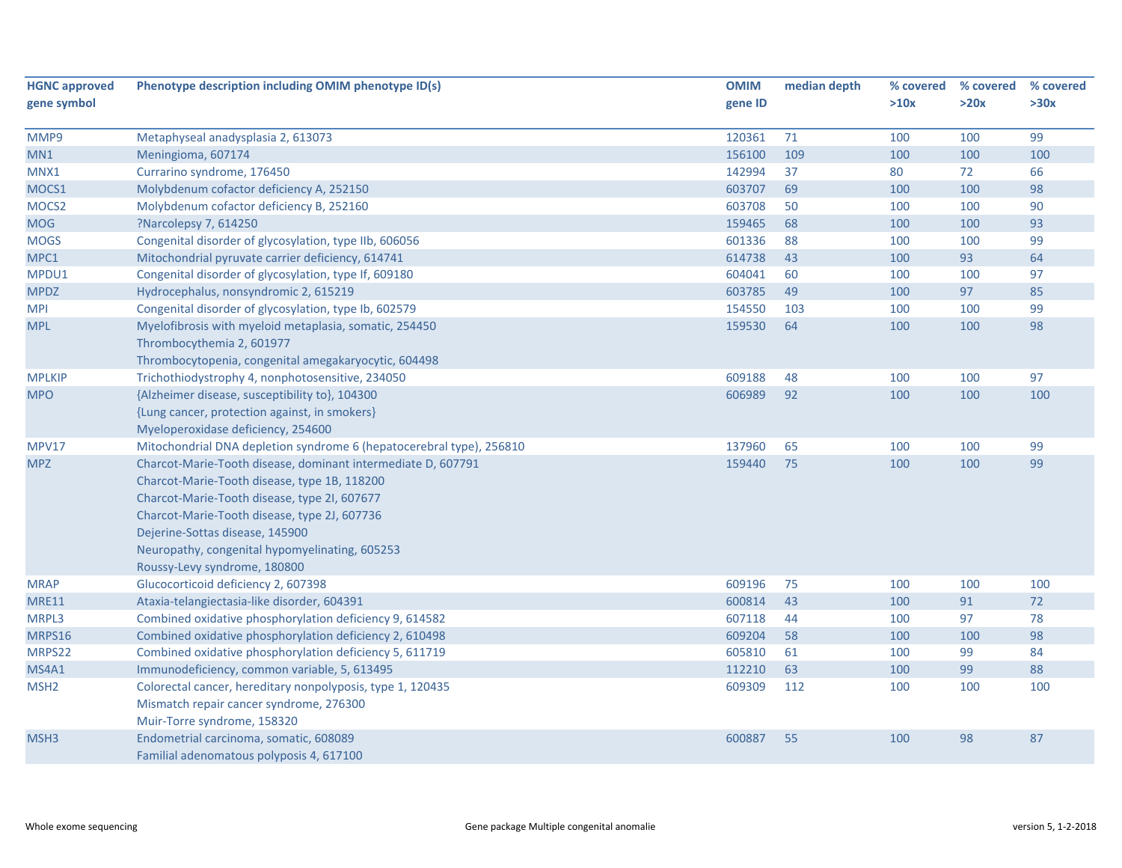| >30x<br>99<br>100<br>66<br>98<br>90<br>93<br>99<br>64<br>97<br>85 |
|-------------------------------------------------------------------|
|                                                                   |
|                                                                   |
|                                                                   |
|                                                                   |
|                                                                   |
|                                                                   |
|                                                                   |
|                                                                   |
|                                                                   |
|                                                                   |
|                                                                   |
|                                                                   |
| 99                                                                |
| 98                                                                |
|                                                                   |
|                                                                   |
| 97                                                                |
| 100                                                               |
|                                                                   |
|                                                                   |
| 99                                                                |
| 99                                                                |
|                                                                   |
|                                                                   |
|                                                                   |
|                                                                   |
|                                                                   |
|                                                                   |
| 100                                                               |
| 72                                                                |
| 78                                                                |
| 98                                                                |
| 84                                                                |
| 88                                                                |
| 100                                                               |
|                                                                   |
|                                                                   |
| 87                                                                |
|                                                                   |
|                                                                   |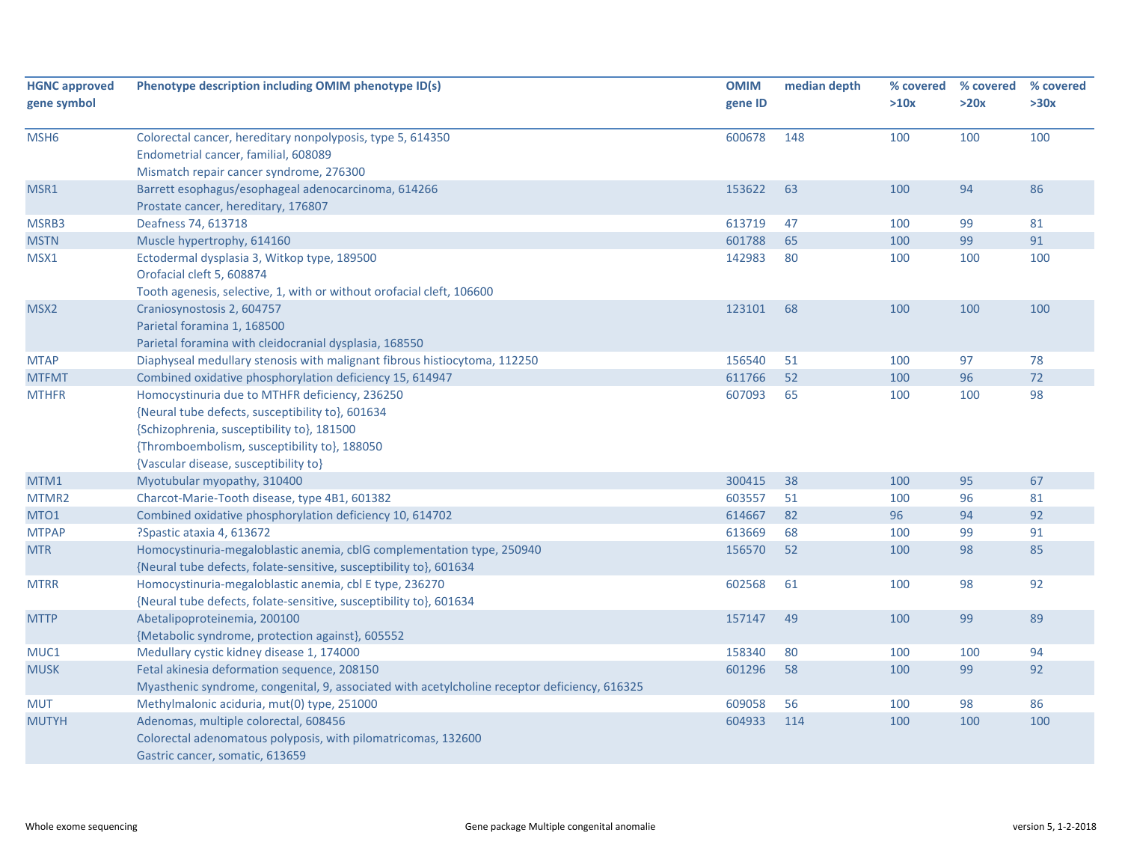| <b>HGNC approved</b> | Phenotype description including OMIM phenotype ID(s)                                                                                                                                                                                      | <b>OMIM</b> | median depth | % covered | % covered | % covered |
|----------------------|-------------------------------------------------------------------------------------------------------------------------------------------------------------------------------------------------------------------------------------------|-------------|--------------|-----------|-----------|-----------|
| gene symbol          |                                                                                                                                                                                                                                           | gene ID     |              | >10x      | >20x      | >30x      |
| MSH <sub>6</sub>     | Colorectal cancer, hereditary nonpolyposis, type 5, 614350<br>Endometrial cancer, familial, 608089<br>Mismatch repair cancer syndrome, 276300                                                                                             | 600678      | 148          | 100       | 100       | 100       |
| MSR1                 | Barrett esophagus/esophageal adenocarcinoma, 614266<br>Prostate cancer, hereditary, 176807                                                                                                                                                | 153622      | 63           | 100       | 94        | 86        |
| MSRB3                | Deafness 74, 613718                                                                                                                                                                                                                       | 613719      | 47           | 100       | 99        | 81        |
| <b>MSTN</b>          | Muscle hypertrophy, 614160                                                                                                                                                                                                                | 601788      | 65           | 100       | 99        | 91        |
| MSX1                 | Ectodermal dysplasia 3, Witkop type, 189500<br>Orofacial cleft 5, 608874<br>Tooth agenesis, selective, 1, with or without orofacial cleft, 106600                                                                                         | 142983      | 80           | 100       | 100       | 100       |
| MSX <sub>2</sub>     | Craniosynostosis 2, 604757<br>Parietal foramina 1, 168500<br>Parietal foramina with cleidocranial dysplasia, 168550                                                                                                                       | 123101      | 68           | 100       | 100       | 100       |
| <b>MTAP</b>          | Diaphyseal medullary stenosis with malignant fibrous histiocytoma, 112250                                                                                                                                                                 | 156540      | 51           | 100       | 97        | 78        |
| <b>MTFMT</b>         | Combined oxidative phosphorylation deficiency 15, 614947                                                                                                                                                                                  | 611766      | 52           | 100       | 96        | $72$      |
| <b>MTHFR</b>         | Homocystinuria due to MTHFR deficiency, 236250<br>{Neural tube defects, susceptibility to}, 601634<br>{Schizophrenia, susceptibility to}, 181500<br>{Thromboembolism, susceptibility to}, 188050<br>{Vascular disease, susceptibility to} | 607093      | 65           | 100       | 100       | 98        |
| MTM1                 | Myotubular myopathy, 310400                                                                                                                                                                                                               | 300415      | 38           | 100       | 95        | 67        |
| MTMR2                | Charcot-Marie-Tooth disease, type 4B1, 601382                                                                                                                                                                                             | 603557      | 51           | 100       | 96        | 81        |
| MTO1                 | Combined oxidative phosphorylation deficiency 10, 614702                                                                                                                                                                                  | 614667      | 82           | 96        | 94        | 92        |
| <b>MTPAP</b>         | ?Spastic ataxia 4, 613672                                                                                                                                                                                                                 | 613669      | 68           | 100       | 99        | 91        |
| <b>MTR</b>           | Homocystinuria-megaloblastic anemia, cblG complementation type, 250940<br>{Neural tube defects, folate-sensitive, susceptibility to}, 601634                                                                                              | 156570      | 52           | 100       | 98        | 85        |
| <b>MTRR</b>          | Homocystinuria-megaloblastic anemia, cbl E type, 236270<br>{Neural tube defects, folate-sensitive, susceptibility to}, 601634                                                                                                             | 602568      | 61           | 100       | 98        | 92        |
| <b>MTTP</b>          | Abetalipoproteinemia, 200100<br>{Metabolic syndrome, protection against}, 605552                                                                                                                                                          | 157147      | 49           | 100       | 99        | 89        |
| MUC1                 | Medullary cystic kidney disease 1, 174000                                                                                                                                                                                                 | 158340      | 80           | 100       | 100       | 94        |
| <b>MUSK</b>          | Fetal akinesia deformation sequence, 208150<br>Myasthenic syndrome, congenital, 9, associated with acetylcholine receptor deficiency, 616325                                                                                              | 601296      | 58           | 100       | 99        | 92        |
| <b>MUT</b>           | Methylmalonic aciduria, mut(0) type, 251000                                                                                                                                                                                               | 609058      | 56           | 100       | 98        | 86        |
| <b>MUTYH</b>         | Adenomas, multiple colorectal, 608456<br>Colorectal adenomatous polyposis, with pilomatricomas, 132600<br>Gastric cancer, somatic, 613659                                                                                                 | 604933      | 114          | 100       | 100       | 100       |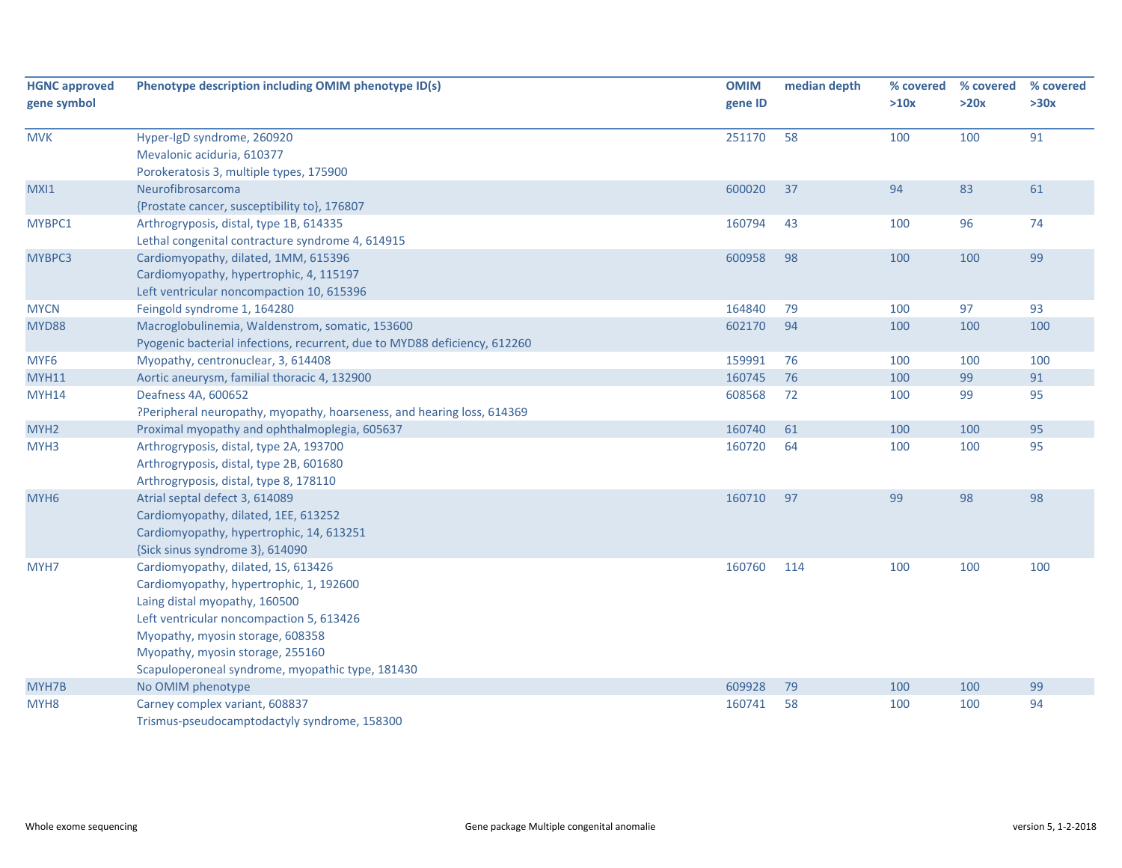| <b>HGNC approved</b> | Phenotype description including OMIM phenotype ID(s)                      | <b>OMIM</b> | median depth | % covered | % covered | % covered |
|----------------------|---------------------------------------------------------------------------|-------------|--------------|-----------|-----------|-----------|
| gene symbol          |                                                                           | gene ID     |              | >10x      | >20x      | >30x      |
| <b>MVK</b>           | Hyper-IgD syndrome, 260920                                                | 251170      | 58           | 100       | 100       | 91        |
|                      | Mevalonic aciduria, 610377                                                |             |              |           |           |           |
|                      |                                                                           |             |              |           |           |           |
|                      | Porokeratosis 3, multiple types, 175900                                   |             |              |           |           |           |
| MXI1                 | Neurofibrosarcoma                                                         | 600020      | 37           | 94        | 83        | 61        |
|                      | {Prostate cancer, susceptibility to}, 176807                              |             |              |           |           |           |
| MYBPC1               | Arthrogryposis, distal, type 1B, 614335                                   | 160794      | 43           | 100       | 96        | 74        |
|                      | Lethal congenital contracture syndrome 4, 614915                          |             |              |           |           |           |
| MYBPC3               | Cardiomyopathy, dilated, 1MM, 615396                                      | 600958      | 98           | 100       | 100       | 99        |
|                      | Cardiomyopathy, hypertrophic, 4, 115197                                   |             |              |           |           |           |
|                      | Left ventricular noncompaction 10, 615396                                 |             |              |           |           |           |
| <b>MYCN</b>          | Feingold syndrome 1, 164280                                               | 164840      | 79           | 100       | 97        | 93        |
| MYD88                | Macroglobulinemia, Waldenstrom, somatic, 153600                           | 602170      | 94           | 100       | 100       | 100       |
|                      | Pyogenic bacterial infections, recurrent, due to MYD88 deficiency, 612260 |             |              |           |           |           |
| MYF6                 | Myopathy, centronuclear, 3, 614408                                        | 159991      | 76           | 100       | 100       | 100       |
| <b>MYH11</b>         | Aortic aneurysm, familial thoracic 4, 132900                              | 160745      | 76           | 100       | 99        | 91        |
| <b>MYH14</b>         | Deafness 4A, 600652                                                       | 608568      | 72           | 100       | 99        | 95        |
|                      | ?Peripheral neuropathy, myopathy, hoarseness, and hearing loss, 614369    |             |              |           |           |           |
| MYH <sub>2</sub>     | Proximal myopathy and ophthalmoplegia, 605637                             | 160740      | 61           | 100       | 100       | 95        |
| MYH3                 | Arthrogryposis, distal, type 2A, 193700                                   | 160720      | 64           | 100       | 100       | 95        |
|                      | Arthrogryposis, distal, type 2B, 601680                                   |             |              |           |           |           |
|                      | Arthrogryposis, distal, type 8, 178110                                    |             |              |           |           |           |
| MYH <sub>6</sub>     | Atrial septal defect 3, 614089                                            | 160710      | 97           | 99        | 98        | 98        |
|                      | Cardiomyopathy, dilated, 1EE, 613252                                      |             |              |           |           |           |
|                      | Cardiomyopathy, hypertrophic, 14, 613251                                  |             |              |           |           |           |
|                      | {Sick sinus syndrome 3}, 614090                                           |             |              |           |           |           |
| MYH7                 | Cardiomyopathy, dilated, 1S, 613426                                       | 160760      | 114          | 100       | 100       | 100       |
|                      | Cardiomyopathy, hypertrophic, 1, 192600                                   |             |              |           |           |           |
|                      | Laing distal myopathy, 160500                                             |             |              |           |           |           |
|                      | Left ventricular noncompaction 5, 613426                                  |             |              |           |           |           |
|                      | Myopathy, myosin storage, 608358                                          |             |              |           |           |           |
|                      | Myopathy, myosin storage, 255160                                          |             |              |           |           |           |
|                      | Scapuloperoneal syndrome, myopathic type, 181430                          |             |              |           |           |           |
| MYH7B                | No OMIM phenotype                                                         | 609928      | 79           | 100       | 100       | 99        |
| MYH <sub>8</sub>     | Carney complex variant, 608837                                            | 160741      | 58           | 100       | 100       | 94        |
|                      | Trismus-pseudocamptodactyly syndrome, 158300                              |             |              |           |           |           |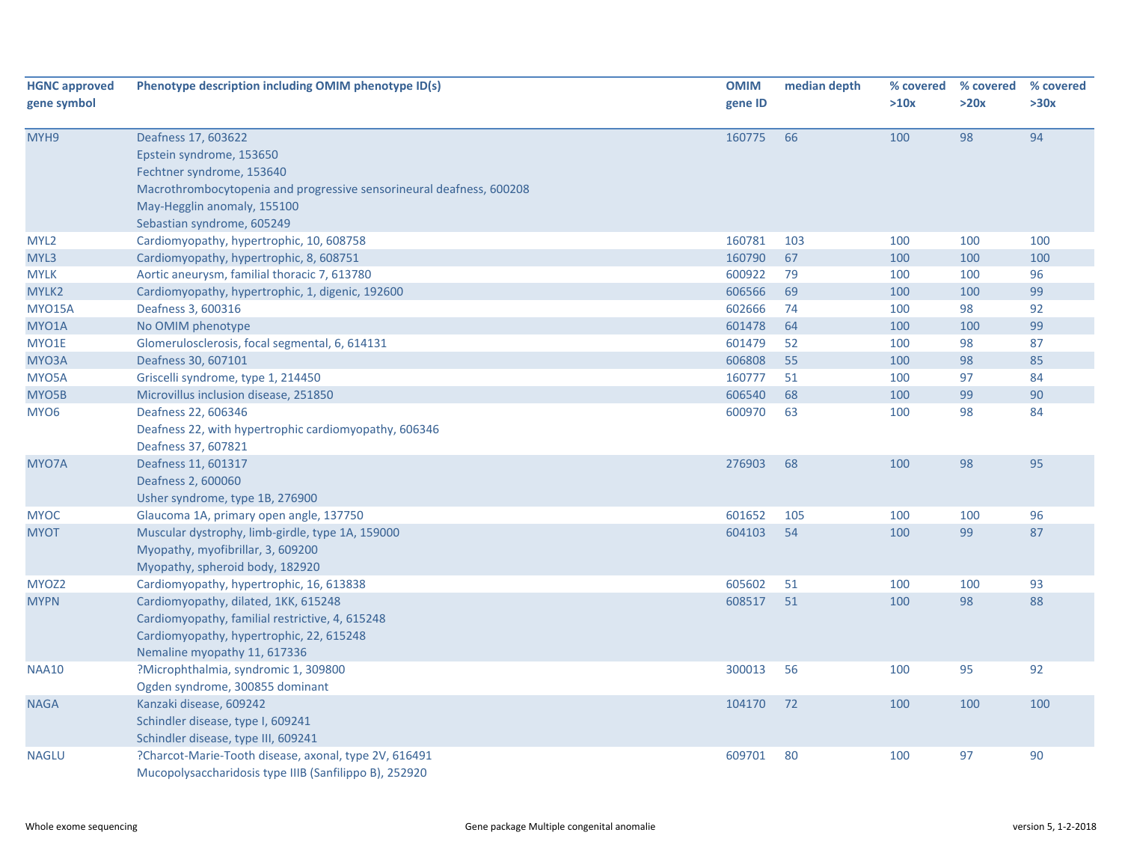| <b>HGNC approved</b><br>gene symbol | Phenotype description including OMIM phenotype ID(s)                                                                                                                                                              | <b>OMIM</b><br>gene ID | median depth | % covered<br>>10x | % covered<br>>20x | % covered<br>>30x |
|-------------------------------------|-------------------------------------------------------------------------------------------------------------------------------------------------------------------------------------------------------------------|------------------------|--------------|-------------------|-------------------|-------------------|
| MYH9                                | Deafness 17, 603622<br>Epstein syndrome, 153650<br>Fechtner syndrome, 153640<br>Macrothrombocytopenia and progressive sensorineural deafness, 600208<br>May-Hegglin anomaly, 155100<br>Sebastian syndrome, 605249 | 160775                 | 66           | 100               | 98                | 94                |
| MYL <sub>2</sub>                    | Cardiomyopathy, hypertrophic, 10, 608758                                                                                                                                                                          | 160781                 | 103          | 100               | 100               | 100               |
| MYL3                                | Cardiomyopathy, hypertrophic, 8, 608751                                                                                                                                                                           | 160790                 | 67           | 100               | 100               | 100               |
| <b>MYLK</b>                         | Aortic aneurysm, familial thoracic 7, 613780                                                                                                                                                                      | 600922                 | 79           | 100               | 100               | 96                |
| MYLK2                               | Cardiomyopathy, hypertrophic, 1, digenic, 192600                                                                                                                                                                  | 606566                 | 69           | 100               | 100               | 99                |
| <b>MYO15A</b>                       | Deafness 3, 600316                                                                                                                                                                                                | 602666                 | 74           | 100               | 98                | 92                |
| MYO1A                               | No OMIM phenotype                                                                                                                                                                                                 | 601478                 | 64           | 100               | 100               | 99                |
| MYO1E                               | Glomerulosclerosis, focal segmental, 6, 614131                                                                                                                                                                    | 601479                 | 52           | 100               | 98                | 87                |
| MYO3A                               | Deafness 30, 607101                                                                                                                                                                                               | 606808                 | 55           | 100               | 98                | 85                |
| MYO5A                               | Griscelli syndrome, type 1, 214450                                                                                                                                                                                | 160777                 | 51           | 100               | 97                | 84                |
| MYO5B                               | Microvillus inclusion disease, 251850                                                                                                                                                                             | 606540                 | 68           | 100               | 99                | 90                |
| MYO6                                | Deafness 22, 606346<br>Deafness 22, with hypertrophic cardiomyopathy, 606346<br>Deafness 37, 607821                                                                                                               | 600970                 | 63           | 100               | 98                | 84                |
| MYO7A                               | Deafness 11, 601317<br>Deafness 2, 600060<br>Usher syndrome, type 1B, 276900                                                                                                                                      | 276903                 | 68           | 100               | 98                | 95                |
| <b>MYOC</b>                         | Glaucoma 1A, primary open angle, 137750                                                                                                                                                                           | 601652                 | 105          | 100               | 100               | 96                |
| <b>MYOT</b>                         | Muscular dystrophy, limb-girdle, type 1A, 159000<br>Myopathy, myofibrillar, 3, 609200<br>Myopathy, spheroid body, 182920                                                                                          | 604103                 | 54           | 100               | 99                | 87                |
| MYOZ2                               | Cardiomyopathy, hypertrophic, 16, 613838                                                                                                                                                                          | 605602                 | 51           | 100               | 100               | 93                |
| <b>MYPN</b>                         | Cardiomyopathy, dilated, 1KK, 615248<br>Cardiomyopathy, familial restrictive, 4, 615248<br>Cardiomyopathy, hypertrophic, 22, 615248<br>Nemaline myopathy 11, 617336                                               | 608517                 | 51           | 100               | 98                | 88                |
| <b>NAA10</b>                        | ?Microphthalmia, syndromic 1, 309800<br>Ogden syndrome, 300855 dominant                                                                                                                                           | 300013                 | 56           | 100               | 95                | 92                |
| <b>NAGA</b>                         | Kanzaki disease, 609242<br>Schindler disease, type I, 609241<br>Schindler disease, type III, 609241                                                                                                               | 104170                 | 72           | 100               | 100               | 100               |
| <b>NAGLU</b>                        | ?Charcot-Marie-Tooth disease, axonal, type 2V, 616491<br>Mucopolysaccharidosis type IIIB (Sanfilippo B), 252920                                                                                                   | 609701                 | 80           | 100               | 97                | 90                |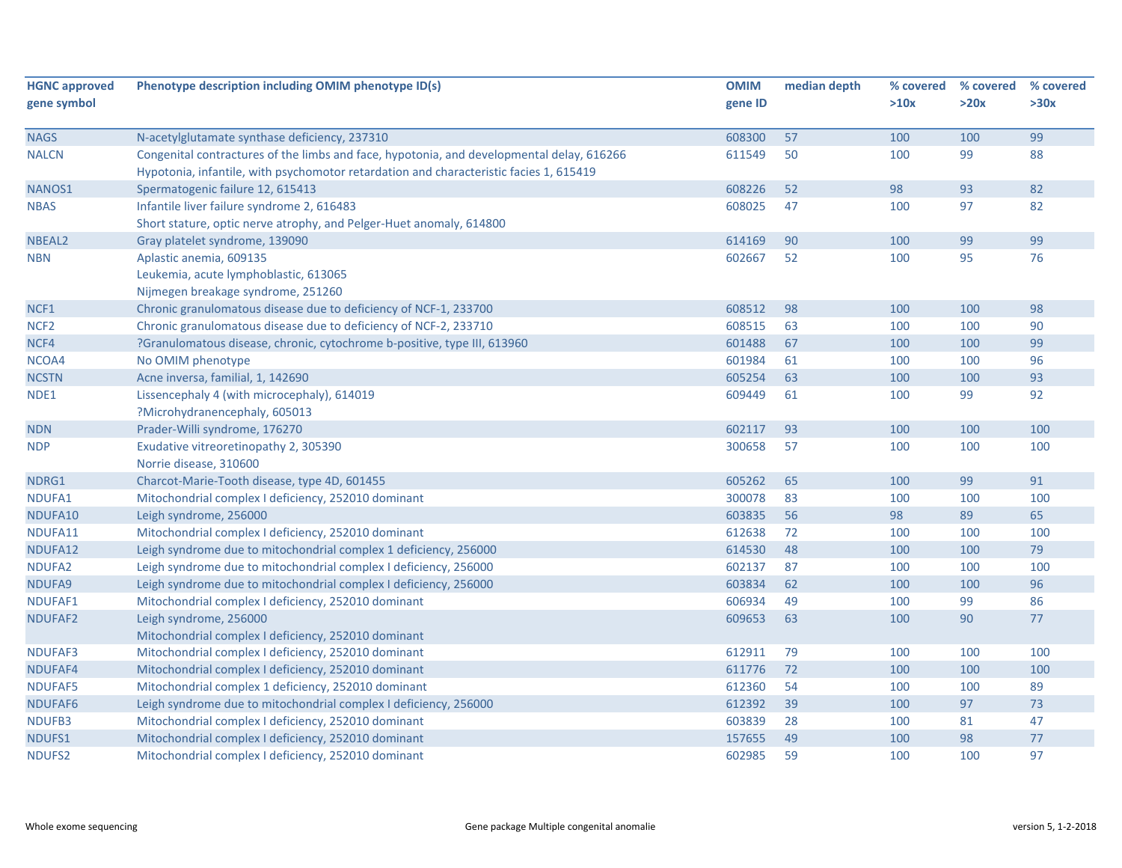| <b>HGNC approved</b> | Phenotype description including OMIM phenotype ID(s)                                      | <b>OMIM</b> | median depth | % covered | % covered | % covered |
|----------------------|-------------------------------------------------------------------------------------------|-------------|--------------|-----------|-----------|-----------|
| gene symbol          |                                                                                           | gene ID     |              | >10x      | >20x      | >30x      |
|                      |                                                                                           |             |              |           |           |           |
| <b>NAGS</b>          | N-acetylglutamate synthase deficiency, 237310                                             | 608300      | 57           | 100       | 100       | 99        |
| <b>NALCN</b>         | Congenital contractures of the limbs and face, hypotonia, and developmental delay, 616266 | 611549      | 50           | 100       | 99        | 88        |
|                      | Hypotonia, infantile, with psychomotor retardation and characteristic facies 1, 615419    |             |              |           |           |           |
| NANOS1               | Spermatogenic failure 12, 615413                                                          | 608226      | 52           | 98        | 93        | 82        |
| <b>NBAS</b>          | Infantile liver failure syndrome 2, 616483                                                | 608025      | 47           | 100       | 97        | 82        |
|                      | Short stature, optic nerve atrophy, and Pelger-Huet anomaly, 614800                       |             |              |           |           |           |
| NBEAL <sub>2</sub>   | Gray platelet syndrome, 139090                                                            | 614169      | 90           | 100       | 99        | 99        |
| <b>NBN</b>           | Aplastic anemia, 609135                                                                   | 602667      | 52           | 100       | 95        | 76        |
|                      | Leukemia, acute lymphoblastic, 613065                                                     |             |              |           |           |           |
|                      | Nijmegen breakage syndrome, 251260                                                        |             |              |           |           |           |
| NCF1                 | Chronic granulomatous disease due to deficiency of NCF-1, 233700                          | 608512      | 98           | 100       | 100       | 98        |
| NCF <sub>2</sub>     | Chronic granulomatous disease due to deficiency of NCF-2, 233710                          | 608515      | 63           | 100       | 100       | 90        |
| NCF4                 | ?Granulomatous disease, chronic, cytochrome b-positive, type III, 613960                  | 601488      | 67           | 100       | 100       | 99        |
| NCOA4                | No OMIM phenotype                                                                         | 601984      | 61           | 100       | 100       | 96        |
| <b>NCSTN</b>         | Acne inversa, familial, 1, 142690                                                         | 605254      | 63           | 100       | 100       | 93        |
| NDE1                 | Lissencephaly 4 (with microcephaly), 614019                                               | 609449      | 61           | 100       | 99        | 92        |
|                      | ?Microhydranencephaly, 605013                                                             |             |              |           |           |           |
| <b>NDN</b>           | Prader-Willi syndrome, 176270                                                             | 602117      | 93           | 100       | 100       | 100       |
| <b>NDP</b>           | Exudative vitreoretinopathy 2, 305390                                                     | 300658      | 57           | 100       | 100       | 100       |
|                      | Norrie disease, 310600                                                                    |             |              |           |           |           |
| NDRG1                | Charcot-Marie-Tooth disease, type 4D, 601455                                              | 605262      | 65           | 100       | 99        | 91        |
| NDUFA1               | Mitochondrial complex I deficiency, 252010 dominant                                       | 300078      | 83           | 100       | 100       | 100       |
| NDUFA10              | Leigh syndrome, 256000                                                                    | 603835      | 56           | 98        | 89        | 65        |
| NDUFA11              | Mitochondrial complex I deficiency, 252010 dominant                                       | 612638      | 72           | 100       | 100       | 100       |
| NDUFA12              | Leigh syndrome due to mitochondrial complex 1 deficiency, 256000                          | 614530      | 48           | 100       | 100       | 79        |
| NDUFA2               | Leigh syndrome due to mitochondrial complex I deficiency, 256000                          | 602137      | 87           | 100       | 100       | 100       |
| NDUFA9               | Leigh syndrome due to mitochondrial complex I deficiency, 256000                          | 603834      | 62           | 100       | 100       | 96        |
| NDUFAF1              | Mitochondrial complex I deficiency, 252010 dominant                                       | 606934      | 49           | 100       | 99        | 86        |
| NDUFAF2              | Leigh syndrome, 256000                                                                    | 609653      | 63           | 100       | 90        | $77$      |
|                      | Mitochondrial complex I deficiency, 252010 dominant                                       |             |              |           |           |           |
| <b>NDUFAF3</b>       | Mitochondrial complex I deficiency, 252010 dominant                                       | 612911      | 79           | 100       | 100       | 100       |
| NDUFAF4              | Mitochondrial complex I deficiency, 252010 dominant                                       | 611776      | 72           | 100       | 100       | 100       |
| <b>NDUFAF5</b>       | Mitochondrial complex 1 deficiency, 252010 dominant                                       | 612360      | 54           | 100       | 100       | 89        |
| NDUFAF6              | Leigh syndrome due to mitochondrial complex I deficiency, 256000                          | 612392      | 39           | 100       | 97        | 73        |
| NDUFB3               | Mitochondrial complex I deficiency, 252010 dominant                                       | 603839      | 28           | 100       | 81        | 47        |
| NDUFS1               | Mitochondrial complex I deficiency, 252010 dominant                                       | 157655      | 49           | 100       | 98        | $77\,$    |
| NDUFS2               | Mitochondrial complex I deficiency, 252010 dominant                                       | 602985      | 59           | 100       | 100       | 97        |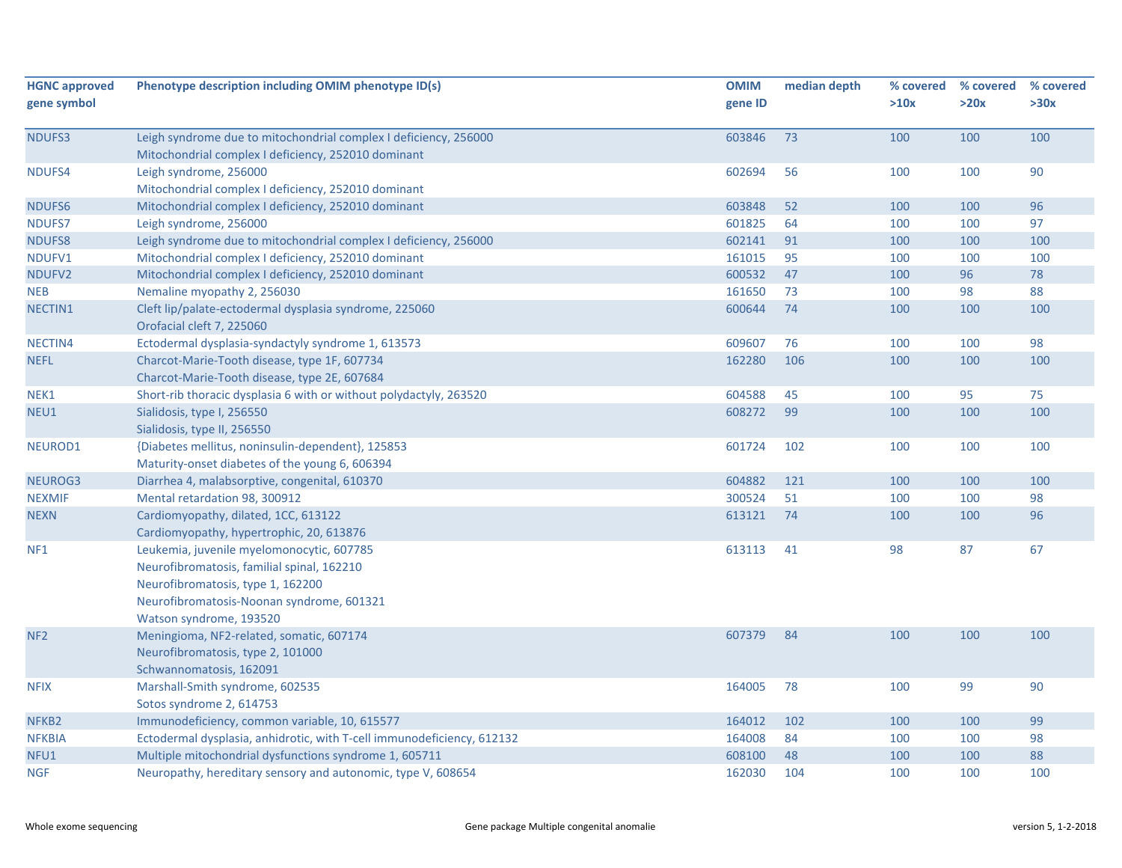| <b>HGNC approved</b><br>gene symbol | Phenotype description including OMIM phenotype ID(s)                                                                                                                                                 | <b>OMIM</b><br>gene ID | median depth | % covered<br>>10x | % covered<br>>20x | % covered<br>>30x |
|-------------------------------------|------------------------------------------------------------------------------------------------------------------------------------------------------------------------------------------------------|------------------------|--------------|-------------------|-------------------|-------------------|
| NDUFS3                              | Leigh syndrome due to mitochondrial complex I deficiency, 256000<br>Mitochondrial complex I deficiency, 252010 dominant                                                                              | 603846                 | 73           | 100               | 100               | 100               |
| NDUFS4                              | Leigh syndrome, 256000<br>Mitochondrial complex I deficiency, 252010 dominant                                                                                                                        | 602694                 | 56           | 100               | 100               | 90                |
| NDUFS6                              | Mitochondrial complex I deficiency, 252010 dominant                                                                                                                                                  | 603848                 | 52           | 100               | 100               | 96                |
| NDUFS7                              | Leigh syndrome, 256000                                                                                                                                                                               | 601825                 | 64           | 100               | 100               | 97                |
| <b>NDUFS8</b>                       | Leigh syndrome due to mitochondrial complex I deficiency, 256000                                                                                                                                     | 602141                 | 91           | 100               | 100               | 100               |
| NDUFV1                              | Mitochondrial complex I deficiency, 252010 dominant                                                                                                                                                  | 161015                 | 95           | 100               | 100               | 100               |
| NDUFV2                              | Mitochondrial complex I deficiency, 252010 dominant                                                                                                                                                  | 600532                 | 47           | 100               | 96                | 78                |
| <b>NEB</b>                          | Nemaline myopathy 2, 256030                                                                                                                                                                          | 161650                 | 73           | 100               | 98                | 88                |
| NECTIN1                             | Cleft lip/palate-ectodermal dysplasia syndrome, 225060<br>Orofacial cleft 7, 225060                                                                                                                  | 600644                 | 74           | 100               | 100               | 100               |
| NECTIN4                             | Ectodermal dysplasia-syndactyly syndrome 1, 613573                                                                                                                                                   | 609607                 | 76           | 100               | 100               | 98                |
| <b>NEFL</b>                         | Charcot-Marie-Tooth disease, type 1F, 607734<br>Charcot-Marie-Tooth disease, type 2E, 607684                                                                                                         | 162280                 | 106          | 100               | 100               | 100               |
| NEK1                                | Short-rib thoracic dysplasia 6 with or without polydactyly, 263520                                                                                                                                   | 604588                 | 45           | 100               | 95                | 75                |
| NEU1                                | Sialidosis, type I, 256550<br>Sialidosis, type II, 256550                                                                                                                                            | 608272                 | 99           | 100               | 100               | 100               |
| NEUROD1                             | {Diabetes mellitus, noninsulin-dependent}, 125853<br>Maturity-onset diabetes of the young 6, 606394                                                                                                  | 601724                 | 102          | 100               | 100               | 100               |
| NEUROG3                             | Diarrhea 4, malabsorptive, congenital, 610370                                                                                                                                                        | 604882                 | 121          | 100               | 100               | 100               |
| <b>NEXMIF</b>                       | Mental retardation 98, 300912                                                                                                                                                                        | 300524                 | 51           | 100               | 100               | 98                |
| <b>NEXN</b>                         | Cardiomyopathy, dilated, 1CC, 613122<br>Cardiomyopathy, hypertrophic, 20, 613876                                                                                                                     | 613121                 | 74           | 100               | 100               | 96                |
| NF <sub>1</sub>                     | Leukemia, juvenile myelomonocytic, 607785<br>Neurofibromatosis, familial spinal, 162210<br>Neurofibromatosis, type 1, 162200<br>Neurofibromatosis-Noonan syndrome, 601321<br>Watson syndrome, 193520 | 613113                 | 41           | 98                | 87                | 67                |
| NF <sub>2</sub>                     | Meningioma, NF2-related, somatic, 607174<br>Neurofibromatosis, type 2, 101000<br>Schwannomatosis, 162091                                                                                             | 607379                 | 84           | 100               | 100               | 100               |
| <b>NFIX</b>                         | Marshall-Smith syndrome, 602535<br>Sotos syndrome 2, 614753                                                                                                                                          | 164005                 | 78           | 100               | 99                | 90                |
| NFKB <sub>2</sub>                   | Immunodeficiency, common variable, 10, 615577                                                                                                                                                        | 164012                 | 102          | 100               | 100               | 99                |
| <b>NFKBIA</b>                       | Ectodermal dysplasia, anhidrotic, with T-cell immunodeficiency, 612132                                                                                                                               | 164008                 | 84           | 100               | 100               | 98                |
| NFU1                                | Multiple mitochondrial dysfunctions syndrome 1, 605711                                                                                                                                               | 608100                 | 48           | 100               | 100               | 88                |
| <b>NGF</b>                          | Neuropathy, hereditary sensory and autonomic, type V, 608654                                                                                                                                         | 162030                 | 104          | 100               | 100               | 100               |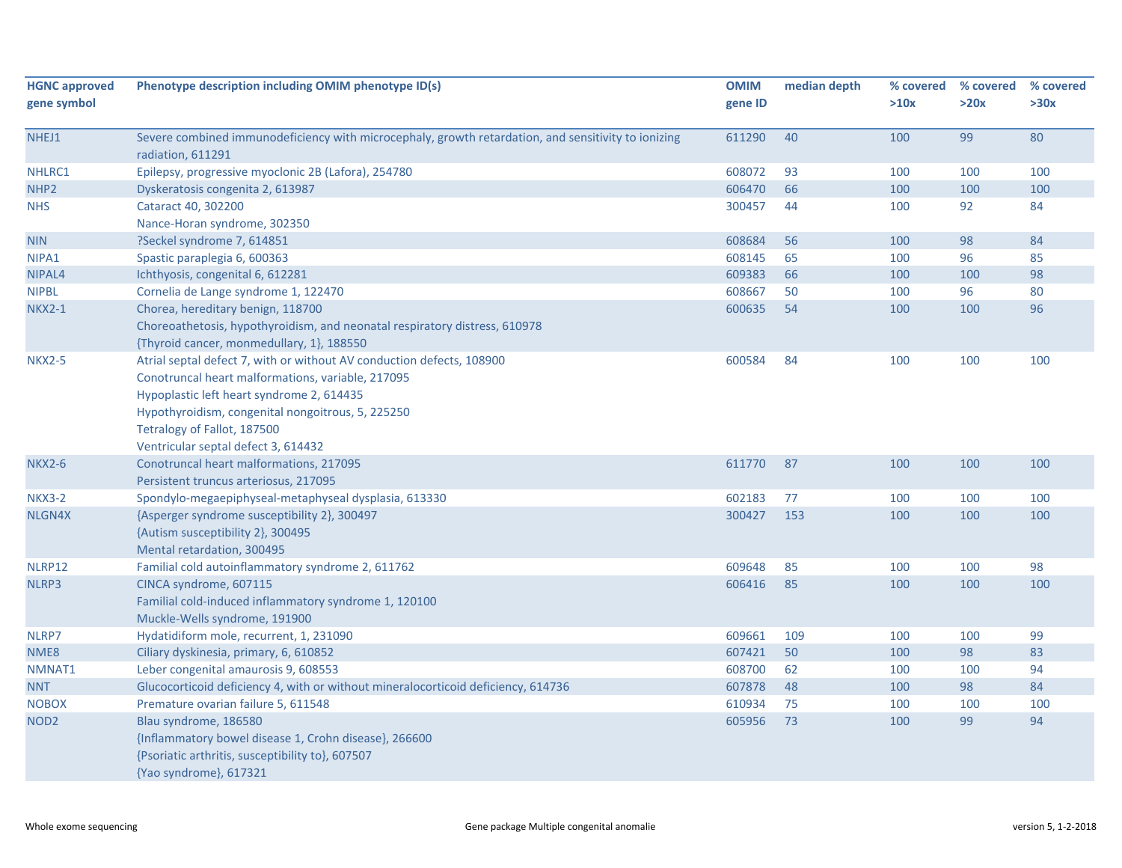| <b>HGNC approved</b> | Phenotype description including OMIM phenotype ID(s)                                                                     | <b>OMIM</b> | median depth | % covered | % covered | % covered |
|----------------------|--------------------------------------------------------------------------------------------------------------------------|-------------|--------------|-----------|-----------|-----------|
| gene symbol          |                                                                                                                          | gene ID     |              | >10x      | >20x      | >30x      |
| NHEJ1                | Severe combined immunodeficiency with microcephaly, growth retardation, and sensitivity to ionizing<br>radiation, 611291 | 611290      | 40           | 100       | 99        | 80        |
| NHLRC1               | Epilepsy, progressive myoclonic 2B (Lafora), 254780                                                                      | 608072      | 93           | 100       | 100       | 100       |
| NHP <sub>2</sub>     | Dyskeratosis congenita 2, 613987                                                                                         | 606470      | 66           | 100       | 100       | 100       |
| <b>NHS</b>           | Cataract 40, 302200                                                                                                      | 300457      | 44           | 100       | 92        | 84        |
|                      | Nance-Horan syndrome, 302350                                                                                             |             |              |           |           |           |
| <b>NIN</b>           | ?Seckel syndrome 7, 614851                                                                                               | 608684      | 56           | 100       | 98        | 84        |
| NIPA1                | Spastic paraplegia 6, 600363                                                                                             | 608145      | 65           | 100       | 96        | 85        |
| NIPAL4               | Ichthyosis, congenital 6, 612281                                                                                         | 609383      | 66           | 100       | 100       | 98        |
| <b>NIPBL</b>         | Cornelia de Lange syndrome 1, 122470                                                                                     | 608667      | 50           | 100       | 96        | 80        |
| <b>NKX2-1</b>        | Chorea, hereditary benign, 118700                                                                                        | 600635      | 54           | 100       | 100       | 96        |
|                      | Choreoathetosis, hypothyroidism, and neonatal respiratory distress, 610978                                               |             |              |           |           |           |
|                      | {Thyroid cancer, monmedullary, 1}, 188550                                                                                |             |              |           |           |           |
| <b>NKX2-5</b>        | Atrial septal defect 7, with or without AV conduction defects, 108900                                                    | 600584      | 84           | 100       | 100       | 100       |
|                      | Conotruncal heart malformations, variable, 217095                                                                        |             |              |           |           |           |
|                      | Hypoplastic left heart syndrome 2, 614435                                                                                |             |              |           |           |           |
|                      | Hypothyroidism, congenital nongoitrous, 5, 225250                                                                        |             |              |           |           |           |
|                      | Tetralogy of Fallot, 187500                                                                                              |             |              |           |           |           |
|                      | Ventricular septal defect 3, 614432                                                                                      |             |              |           |           |           |
| <b>NKX2-6</b>        | Conotruncal heart malformations, 217095                                                                                  | 611770      | 87           | 100       | 100       | 100       |
|                      | Persistent truncus arteriosus, 217095                                                                                    |             |              |           |           |           |
| <b>NKX3-2</b>        | Spondylo-megaepiphyseal-metaphyseal dysplasia, 613330                                                                    | 602183      | 77           | 100       | 100       | 100       |
| NLGN4X               | {Asperger syndrome susceptibility 2}, 300497                                                                             | 300427      | 153          | 100       | 100       | 100       |
|                      | {Autism susceptibility 2}, 300495                                                                                        |             |              |           |           |           |
|                      | Mental retardation, 300495                                                                                               |             |              |           |           |           |
| NLRP12               | Familial cold autoinflammatory syndrome 2, 611762                                                                        | 609648      | 85           | 100       | 100       | 98        |
| NLRP3                | CINCA syndrome, 607115                                                                                                   | 606416      | 85           | 100       | 100       | 100       |
|                      | Familial cold-induced inflammatory syndrome 1, 120100                                                                    |             |              |           |           |           |
|                      | Muckle-Wells syndrome, 191900                                                                                            |             |              |           |           |           |
| NLRP7                | Hydatidiform mole, recurrent, 1, 231090                                                                                  | 609661      | 109          | 100       | 100       | 99        |
| NME8                 | Ciliary dyskinesia, primary, 6, 610852                                                                                   | 607421      | 50           | 100       | 98        | 83        |
| NMNAT1               | Leber congenital amaurosis 9, 608553                                                                                     | 608700      | 62           | 100       | 100       | 94        |
| <b>NNT</b>           | Glucocorticoid deficiency 4, with or without mineralocorticoid deficiency, 614736                                        | 607878      | 48           | 100       | 98        | 84        |
| <b>NOBOX</b>         | Premature ovarian failure 5, 611548                                                                                      | 610934      | 75           | 100       | 100       | 100       |
| NOD <sub>2</sub>     | Blau syndrome, 186580                                                                                                    | 605956      | 73           | 100       | 99        | 94        |
|                      | {Inflammatory bowel disease 1, Crohn disease}, 266600                                                                    |             |              |           |           |           |
|                      | {Psoriatic arthritis, susceptibility to}, 607507                                                                         |             |              |           |           |           |
|                      | {Yao syndrome}, 617321                                                                                                   |             |              |           |           |           |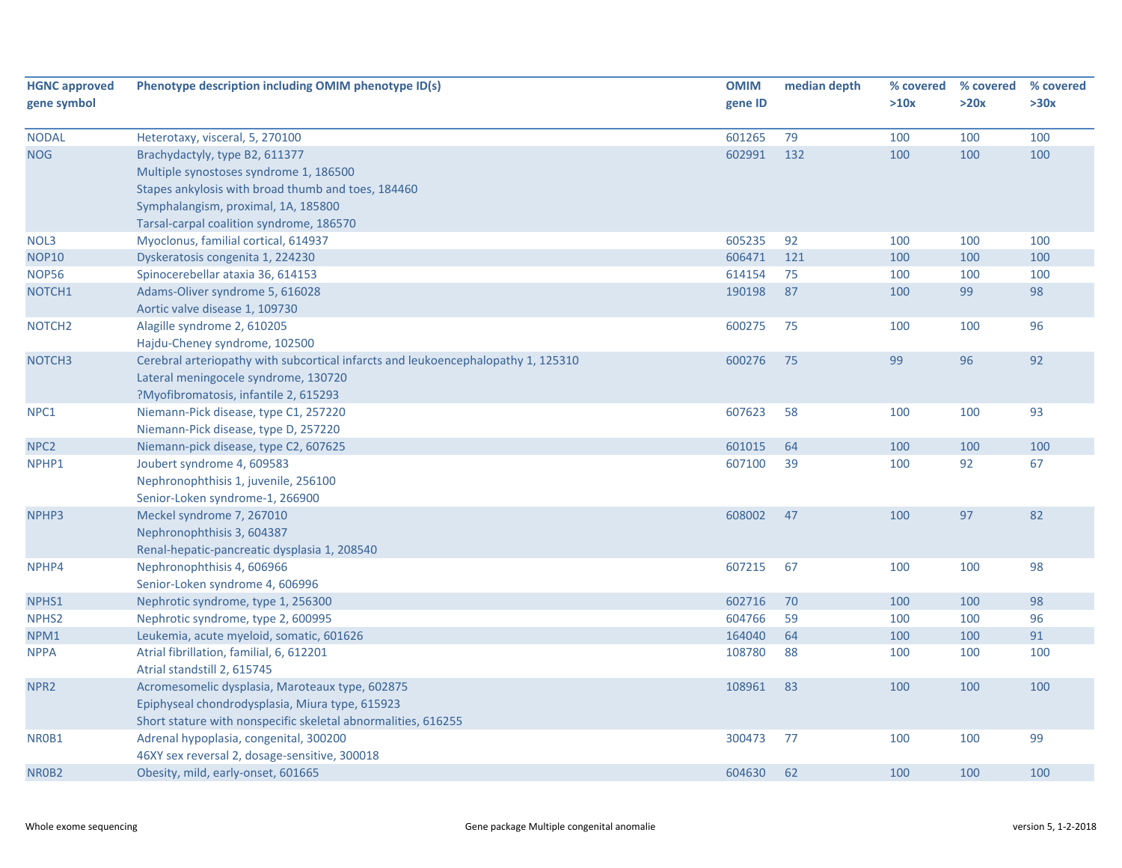| <b>HGNC approved</b> | Phenotype description including OMIM phenotype ID(s)                              | <b>OMIM</b> | median depth | % covered | % covered | % covered |
|----------------------|-----------------------------------------------------------------------------------|-------------|--------------|-----------|-----------|-----------|
| gene symbol          |                                                                                   | gene ID     |              | >10x      | >20x      | >30x      |
| <b>NODAL</b>         | Heterotaxy, visceral, 5, 270100                                                   | 601265      | 79           | 100       | 100       | 100       |
| <b>NOG</b>           | Brachydactyly, type B2, 611377                                                    | 602991      | 132          | 100       | 100       | 100       |
|                      | Multiple synostoses syndrome 1, 186500                                            |             |              |           |           |           |
|                      | Stapes ankylosis with broad thumb and toes, 184460                                |             |              |           |           |           |
|                      | Symphalangism, proximal, 1A, 185800                                               |             |              |           |           |           |
|                      | Tarsal-carpal coalition syndrome, 186570                                          |             |              |           |           |           |
| NOL3                 | Myoclonus, familial cortical, 614937                                              | 605235      | 92           | 100       | 100       | 100       |
| <b>NOP10</b>         | Dyskeratosis congenita 1, 224230                                                  | 606471      | 121          | 100       | 100       | 100       |
| <b>NOP56</b>         | Spinocerebellar ataxia 36, 614153                                                 | 614154      | 75           | 100       | 100       | 100       |
| NOTCH1               | Adams-Oliver syndrome 5, 616028                                                   | 190198      | 87           | 100       | 99        | 98        |
|                      | Aortic valve disease 1, 109730                                                    |             |              |           |           |           |
| NOTCH <sub>2</sub>   | Alagille syndrome 2, 610205                                                       | 600275      | 75           | 100       | 100       | 96        |
|                      | Hajdu-Cheney syndrome, 102500                                                     |             |              |           |           |           |
| NOTCH <sub>3</sub>   | Cerebral arteriopathy with subcortical infarcts and leukoencephalopathy 1, 125310 | 600276      | 75           | 99        | 96        | 92        |
|                      | Lateral meningocele syndrome, 130720                                              |             |              |           |           |           |
|                      | ?Myofibromatosis, infantile 2, 615293                                             |             |              |           |           |           |
| NPC1                 | Niemann-Pick disease, type C1, 257220                                             | 607623      | 58           | 100       | 100       | 93        |
|                      | Niemann-Pick disease, type D, 257220                                              |             |              |           |           |           |
| NPC <sub>2</sub>     | Niemann-pick disease, type C2, 607625                                             | 601015      | 64           | 100       | 100       | 100       |
| NPHP1                | Joubert syndrome 4, 609583                                                        | 607100      | 39           | 100       | 92        | 67        |
|                      | Nephronophthisis 1, juvenile, 256100                                              |             |              |           |           |           |
|                      | Senior-Loken syndrome-1, 266900                                                   |             |              |           |           |           |
| NPHP3                | Meckel syndrome 7, 267010                                                         | 608002      | 47           | 100       | 97        | 82        |
|                      | Nephronophthisis 3, 604387                                                        |             |              |           |           |           |
|                      | Renal-hepatic-pancreatic dysplasia 1, 208540                                      |             |              |           |           |           |
| NPHP4                | Nephronophthisis 4, 606966                                                        | 607215      | 67           | 100       | 100       | 98        |
|                      | Senior-Loken syndrome 4, 606996                                                   |             |              |           |           |           |
| NPHS1                | Nephrotic syndrome, type 1, 256300                                                | 602716      | 70           | 100       | 100       | 98        |
| NPHS <sub>2</sub>    | Nephrotic syndrome, type 2, 600995                                                | 604766      | 59           | 100       | 100       | 96        |
| NPM1                 | Leukemia, acute myeloid, somatic, 601626                                          | 164040      | 64           | 100       | 100       | 91        |
| <b>NPPA</b>          | Atrial fibrillation, familial, 6, 612201                                          | 108780      | 88           | 100       | 100       | 100       |
|                      | Atrial standstill 2, 615745                                                       |             |              |           |           |           |
| NPR <sub>2</sub>     | Acromesomelic dysplasia, Maroteaux type, 602875                                   | 108961      | 83           | 100       | 100       | 100       |
|                      | Epiphyseal chondrodysplasia, Miura type, 615923                                   |             |              |           |           |           |
|                      | Short stature with nonspecific skeletal abnormalities, 616255                     |             |              |           |           |           |
| NR0B1                | Adrenal hypoplasia, congenital, 300200                                            | 300473      | 77           | 100       | 100       | 99        |
|                      | 46XY sex reversal 2, dosage-sensitive, 300018                                     |             |              |           |           |           |
| NR0B2                | Obesity, mild, early-onset, 601665                                                | 604630      | 62           | 100       | 100       | 100       |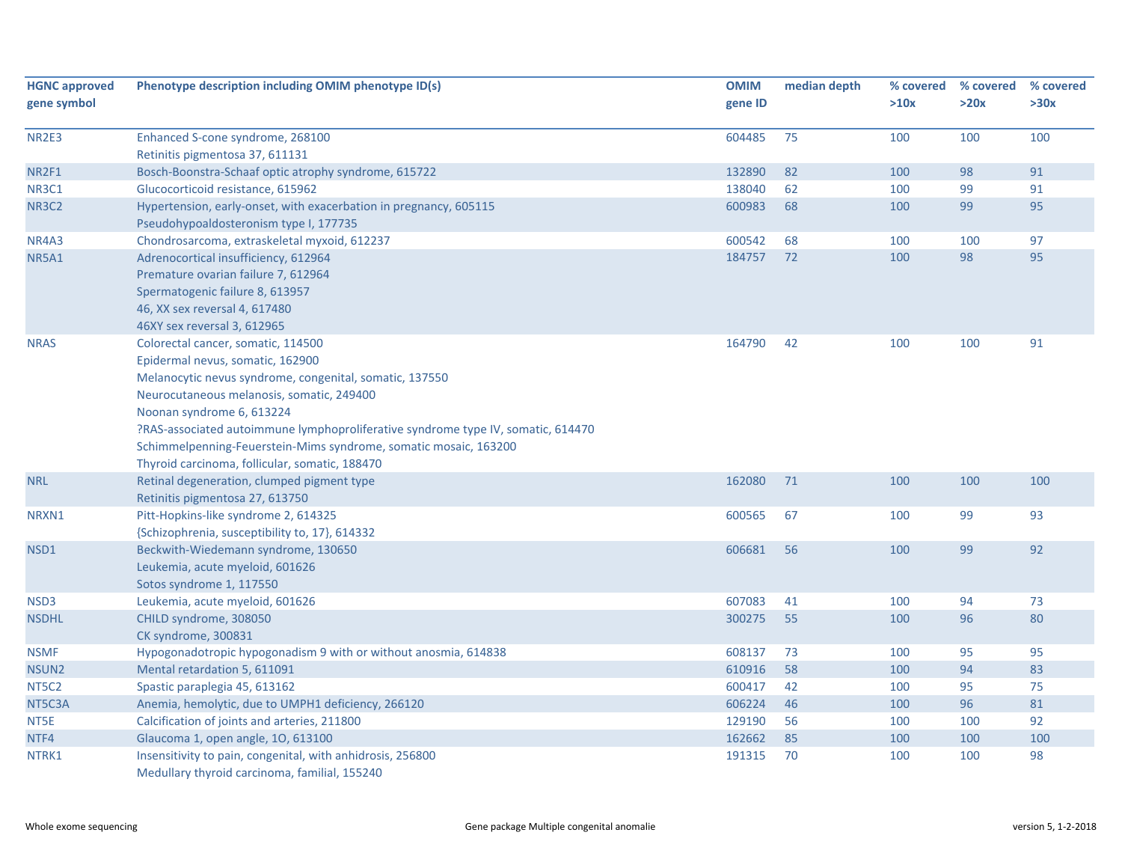| <b>HGNC approved</b> | Phenotype description including OMIM phenotype ID(s)                                                        | <b>OMIM</b> | median depth | % covered | % covered | % covered |
|----------------------|-------------------------------------------------------------------------------------------------------------|-------------|--------------|-----------|-----------|-----------|
| gene symbol          |                                                                                                             | gene ID     |              | >10x      | >20x      | >30x      |
| NR2E3                | Enhanced S-cone syndrome, 268100                                                                            | 604485      | 75           | 100       | 100       | 100       |
|                      | Retinitis pigmentosa 37, 611131                                                                             |             |              |           |           |           |
| NR2F1                | Bosch-Boonstra-Schaaf optic atrophy syndrome, 615722                                                        | 132890      | 82           | 100       | 98        | 91        |
| NR3C1                | Glucocorticoid resistance, 615962                                                                           | 138040      | 62           | 100       | 99        | 91        |
| <b>NR3C2</b>         | Hypertension, early-onset, with exacerbation in pregnancy, 605115                                           | 600983      | 68           | 100       | 99        | 95        |
|                      | Pseudohypoaldosteronism type I, 177735                                                                      |             |              |           |           |           |
| NR4A3                | Chondrosarcoma, extraskeletal myxoid, 612237                                                                | 600542      | 68           | 100       | 100       | 97        |
| <b>NR5A1</b>         | Adrenocortical insufficiency, 612964                                                                        | 184757      | 72           | 100       | 98        | 95        |
|                      | Premature ovarian failure 7, 612964                                                                         |             |              |           |           |           |
|                      | Spermatogenic failure 8, 613957                                                                             |             |              |           |           |           |
|                      | 46, XX sex reversal 4, 617480                                                                               |             |              |           |           |           |
|                      | 46XY sex reversal 3, 612965                                                                                 |             |              |           |           |           |
| <b>NRAS</b>          | Colorectal cancer, somatic, 114500                                                                          | 164790      | 42           | 100       | 100       | 91        |
|                      | Epidermal nevus, somatic, 162900                                                                            |             |              |           |           |           |
|                      | Melanocytic nevus syndrome, congenital, somatic, 137550                                                     |             |              |           |           |           |
|                      | Neurocutaneous melanosis, somatic, 249400                                                                   |             |              |           |           |           |
|                      | Noonan syndrome 6, 613224                                                                                   |             |              |           |           |           |
|                      | ?RAS-associated autoimmune lymphoproliferative syndrome type IV, somatic, 614470                            |             |              |           |           |           |
|                      | Schimmelpenning-Feuerstein-Mims syndrome, somatic mosaic, 163200                                            |             |              |           |           |           |
|                      | Thyroid carcinoma, follicular, somatic, 188470                                                              |             |              |           |           |           |
| <b>NRL</b>           | Retinal degeneration, clumped pigment type                                                                  | 162080      | 71           | 100       | 100       | 100       |
|                      | Retinitis pigmentosa 27, 613750                                                                             |             |              |           |           |           |
| NRXN1                | Pitt-Hopkins-like syndrome 2, 614325                                                                        | 600565      | 67           | 100       | 99        | 93        |
|                      | {Schizophrenia, susceptibility to, 17}, 614332                                                              |             |              |           |           |           |
| NSD1                 | Beckwith-Wiedemann syndrome, 130650                                                                         | 606681      | 56           | 100       | 99        | 92        |
|                      | Leukemia, acute myeloid, 601626                                                                             |             |              |           |           |           |
|                      | Sotos syndrome 1, 117550                                                                                    |             |              |           |           |           |
| NSD3                 | Leukemia, acute myeloid, 601626                                                                             | 607083      | 41           | 100       | 94        | 73        |
| <b>NSDHL</b>         | CHILD syndrome, 308050                                                                                      | 300275      | 55           | 100       | 96        | 80        |
|                      | CK syndrome, 300831                                                                                         |             |              |           |           |           |
| <b>NSMF</b>          | Hypogonadotropic hypogonadism 9 with or without anosmia, 614838                                             | 608137      | 73           | 100       | 95        | 95        |
| NSUN <sub>2</sub>    | Mental retardation 5, 611091                                                                                | 610916      | 58           | 100       | 94        | 83        |
| NT5C2                | Spastic paraplegia 45, 613162                                                                               | 600417      | 42           | 100       | 95        | 75        |
| NT5C3A               | Anemia, hemolytic, due to UMPH1 deficiency, 266120                                                          | 606224      | 46           | 100       | 96        | 81        |
| NT5E                 | Calcification of joints and arteries, 211800                                                                | 129190      | 56           | 100       | 100       | 92        |
| NTF4                 | Glaucoma 1, open angle, 10, 613100                                                                          | 162662      | 85           | 100       | 100       | 100       |
| NTRK1                | Insensitivity to pain, congenital, with anhidrosis, 256800<br>Medullary thyroid carcinoma, familial, 155240 | 191315      | 70           | 100       | 100       | 98        |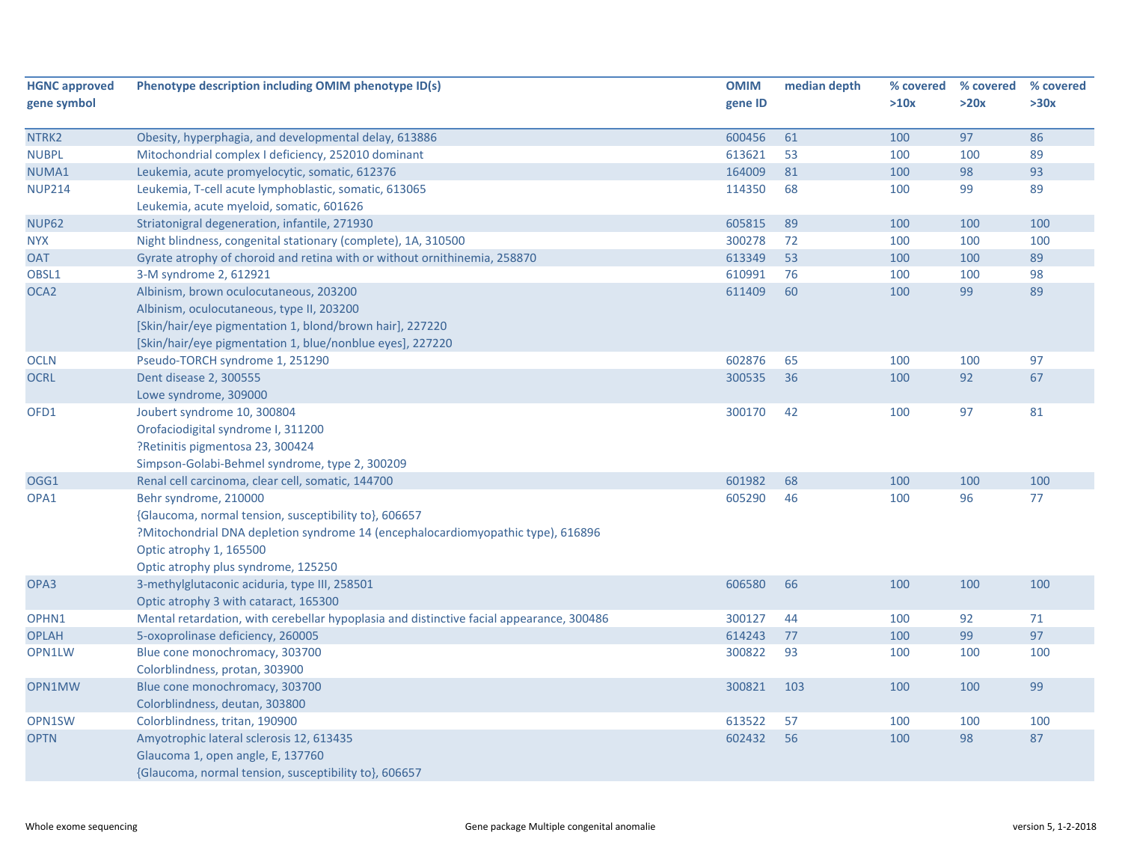| <b>HGNC approved</b> | Phenotype description including OMIM phenotype ID(s)                                     | <b>OMIM</b> | median depth | % covered | % covered | % covered |
|----------------------|------------------------------------------------------------------------------------------|-------------|--------------|-----------|-----------|-----------|
| gene symbol          |                                                                                          | gene ID     |              | >10x      | >20x      | >30x      |
|                      |                                                                                          |             |              |           |           |           |
| NTRK2                | Obesity, hyperphagia, and developmental delay, 613886                                    | 600456      | 61           | 100       | 97        | 86        |
| <b>NUBPL</b>         | Mitochondrial complex I deficiency, 252010 dominant                                      | 613621      | 53           | 100       | 100       | 89        |
| NUMA1                | Leukemia, acute promyelocytic, somatic, 612376                                           | 164009      | 81           | 100       | 98        | 93        |
| <b>NUP214</b>        | Leukemia, T-cell acute lymphoblastic, somatic, 613065                                    | 114350      | 68           | 100       | 99        | 89        |
|                      | Leukemia, acute myeloid, somatic, 601626                                                 |             |              |           |           |           |
| <b>NUP62</b>         | Striatonigral degeneration, infantile, 271930                                            | 605815      | 89           | 100       | 100       | 100       |
| <b>NYX</b>           | Night blindness, congenital stationary (complete), 1A, 310500                            | 300278      | 72           | 100       | 100       | 100       |
| <b>OAT</b>           | Gyrate atrophy of choroid and retina with or without ornithinemia, 258870                | 613349      | 53           | 100       | 100       | 89        |
| OBSL1                | 3-M syndrome 2, 612921                                                                   | 610991      | 76           | 100       | 100       | 98        |
| OCA <sub>2</sub>     | Albinism, brown oculocutaneous, 203200                                                   | 611409      | 60           | 100       | 99        | 89        |
|                      | Albinism, oculocutaneous, type II, 203200                                                |             |              |           |           |           |
|                      | [Skin/hair/eye pigmentation 1, blond/brown hair], 227220                                 |             |              |           |           |           |
|                      | [Skin/hair/eye pigmentation 1, blue/nonblue eyes], 227220                                |             |              |           |           |           |
| <b>OCLN</b>          | Pseudo-TORCH syndrome 1, 251290                                                          | 602876      | 65           | 100       | 100       | 97        |
| <b>OCRL</b>          | Dent disease 2, 300555                                                                   | 300535      | 36           | 100       | 92        | 67        |
|                      | Lowe syndrome, 309000                                                                    |             |              |           |           |           |
| OFD1                 | Joubert syndrome 10, 300804                                                              | 300170      | 42           | 100       | 97        | 81        |
|                      | Orofaciodigital syndrome I, 311200                                                       |             |              |           |           |           |
|                      | ?Retinitis pigmentosa 23, 300424                                                         |             |              |           |           |           |
|                      | Simpson-Golabi-Behmel syndrome, type 2, 300209                                           |             |              |           |           |           |
| OGG1                 | Renal cell carcinoma, clear cell, somatic, 144700                                        | 601982      | 68           | 100       | 100       | 100       |
| OPA1                 | Behr syndrome, 210000                                                                    | 605290      | 46           | 100       | 96        | 77        |
|                      | {Glaucoma, normal tension, susceptibility to}, 606657                                    |             |              |           |           |           |
|                      | ?Mitochondrial DNA depletion syndrome 14 (encephalocardiomyopathic type), 616896         |             |              |           |           |           |
|                      | Optic atrophy 1, 165500                                                                  |             |              |           |           |           |
|                      | Optic atrophy plus syndrome, 125250                                                      |             |              |           |           |           |
| OPA3                 | 3-methylglutaconic aciduria, type III, 258501                                            | 606580      | 66           | 100       | 100       | 100       |
|                      | Optic atrophy 3 with cataract, 165300                                                    |             |              |           |           |           |
| OPHN1                | Mental retardation, with cerebellar hypoplasia and distinctive facial appearance, 300486 | 300127      | 44           | 100       | 92        | 71        |
| <b>OPLAH</b>         | 5-oxoprolinase deficiency, 260005                                                        | 614243      | 77           | 100       | 99        | 97        |
| OPN1LW               | Blue cone monochromacy, 303700                                                           | 300822      | 93           | 100       | 100       | 100       |
|                      | Colorblindness, protan, 303900                                                           |             |              |           |           |           |
| OPN1MW               | Blue cone monochromacy, 303700                                                           | 300821      | 103          | 100       | 100       | 99        |
|                      | Colorblindness, deutan, 303800                                                           |             |              |           |           |           |
| OPN1SW               | Colorblindness, tritan, 190900                                                           | 613522      | 57           | 100       | 100       | 100       |
| <b>OPTN</b>          | Amyotrophic lateral sclerosis 12, 613435                                                 | 602432      | 56           | 100       | 98        | 87        |
|                      | Glaucoma 1, open angle, E, 137760                                                        |             |              |           |           |           |
|                      | {Glaucoma, normal tension, susceptibility to}, 606657                                    |             |              |           |           |           |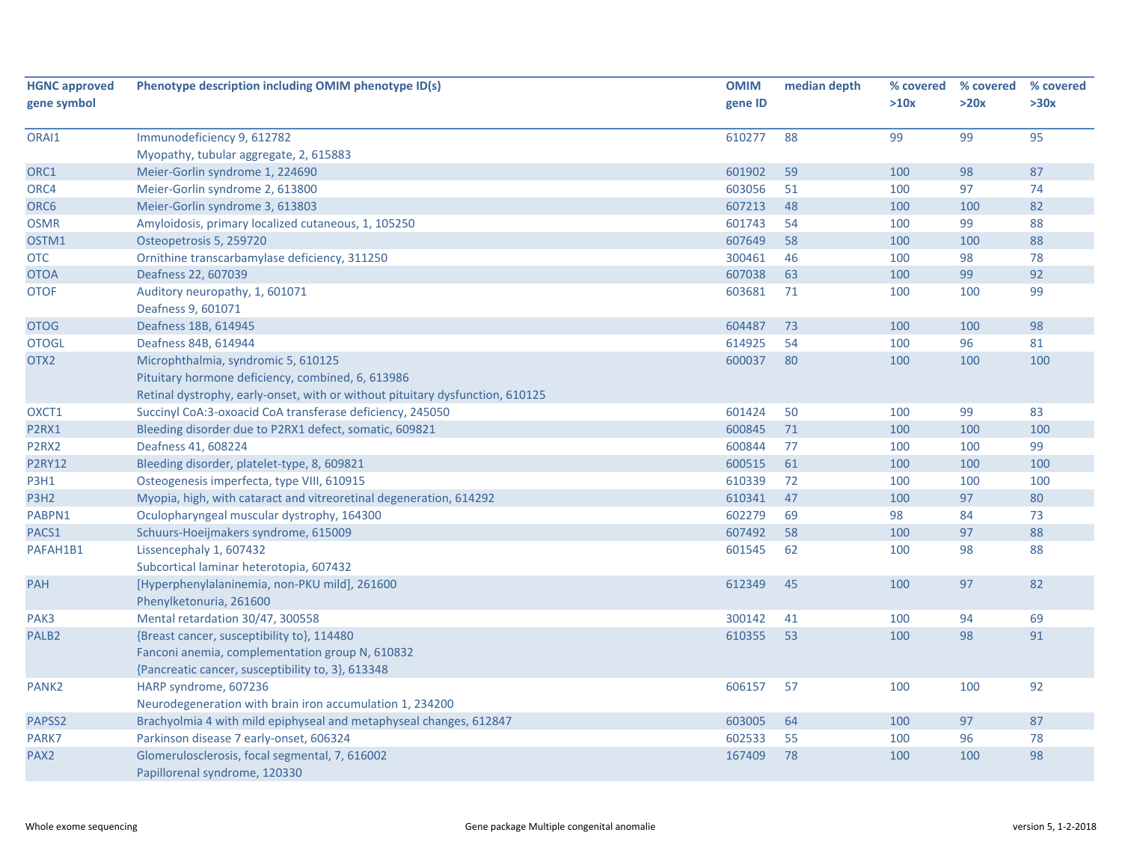| <b>HGNC approved</b> | Phenotype description including OMIM phenotype ID(s)                          | <b>OMIM</b> | median depth | % covered | % covered | % covered |
|----------------------|-------------------------------------------------------------------------------|-------------|--------------|-----------|-----------|-----------|
| gene symbol          |                                                                               | gene ID     |              | >10x      | >20x      | >30x      |
|                      |                                                                               |             |              |           |           |           |
| ORAI1                | Immunodeficiency 9, 612782                                                    | 610277      | 88           | 99        | 99        | 95        |
|                      | Myopathy, tubular aggregate, 2, 615883                                        |             |              |           |           |           |
| ORC1                 | Meier-Gorlin syndrome 1, 224690                                               | 601902      | 59           | 100       | 98        | 87        |
| ORC4                 | Meier-Gorlin syndrome 2, 613800                                               | 603056      | 51           | 100       | 97        | 74        |
| ORC6                 | Meier-Gorlin syndrome 3, 613803                                               | 607213      | 48           | 100       | 100       | 82        |
| <b>OSMR</b>          | Amyloidosis, primary localized cutaneous, 1, 105250                           | 601743      | 54           | 100       | 99        | 88        |
| OSTM1                | Osteopetrosis 5, 259720                                                       | 607649      | 58           | 100       | 100       | 88        |
| <b>OTC</b>           | Ornithine transcarbamylase deficiency, 311250                                 | 300461      | 46           | 100       | 98        | 78        |
| <b>OTOA</b>          | Deafness 22, 607039                                                           | 607038      | 63           | 100       | 99        | 92        |
| <b>OTOF</b>          | Auditory neuropathy, 1, 601071                                                | 603681      | 71           | 100       | 100       | 99        |
|                      | Deafness 9, 601071                                                            |             |              |           |           |           |
| <b>OTOG</b>          | Deafness 18B, 614945                                                          | 604487      | 73           | 100       | 100       | 98        |
| <b>OTOGL</b>         | Deafness 84B, 614944                                                          | 614925      | 54           | 100       | 96        | 81        |
| OTX2                 | Microphthalmia, syndromic 5, 610125                                           | 600037      | 80           | 100       | 100       | 100       |
|                      | Pituitary hormone deficiency, combined, 6, 613986                             |             |              |           |           |           |
|                      | Retinal dystrophy, early-onset, with or without pituitary dysfunction, 610125 |             |              |           |           |           |
| OXCT1                | Succinyl CoA:3-oxoacid CoA transferase deficiency, 245050                     | 601424      | 50           | 100       | 99        | 83        |
| P2RX1                | Bleeding disorder due to P2RX1 defect, somatic, 609821                        | 600845      | 71           | 100       | 100       | 100       |
| P2RX2                | Deafness 41, 608224                                                           | 600844      | 77           | 100       | 100       | 99        |
| <b>P2RY12</b>        | Bleeding disorder, platelet-type, 8, 609821                                   | 600515      | 61           | 100       | 100       | 100       |
| <b>P3H1</b>          | Osteogenesis imperfecta, type VIII, 610915                                    | 610339      | 72           | 100       | 100       | 100       |
| P3H <sub>2</sub>     | Myopia, high, with cataract and vitreoretinal degeneration, 614292            | 610341      | 47           | 100       | 97        | 80        |
| PABPN1               | Oculopharyngeal muscular dystrophy, 164300                                    | 602279      | 69           | 98        | 84        | 73        |
| PACS1                | Schuurs-Hoeijmakers syndrome, 615009                                          | 607492      | 58           | 100       | 97        | 88        |
| PAFAH1B1             | Lissencephaly 1, 607432                                                       | 601545      | 62           | 100       | 98        | 88        |
|                      | Subcortical laminar heterotopia, 607432                                       |             |              |           |           |           |
| <b>PAH</b>           | [Hyperphenylalaninemia, non-PKU mild], 261600                                 | 612349      | 45           | 100       | 97        | 82        |
|                      | Phenylketonuria, 261600                                                       |             |              |           |           |           |
| PAK3                 | Mental retardation 30/47, 300558                                              | 300142      | 41           | 100       | 94        | 69        |
| PALB <sub>2</sub>    | {Breast cancer, susceptibility to}, 114480                                    | 610355      | 53           | 100       | 98        | 91        |
|                      | Fanconi anemia, complementation group N, 610832                               |             |              |           |           |           |
|                      | {Pancreatic cancer, susceptibility to, 3}, 613348                             |             |              |           |           |           |
| PANK <sub>2</sub>    | HARP syndrome, 607236                                                         | 606157      | 57           | 100       | 100       | 92        |
|                      | Neurodegeneration with brain iron accumulation 1, 234200                      |             |              |           |           |           |
| PAPSS2               | Brachyolmia 4 with mild epiphyseal and metaphyseal changes, 612847            | 603005      | 64           | 100       | 97        | 87        |
| PARK7                | Parkinson disease 7 early-onset, 606324                                       | 602533      | 55           | 100       | 96        | 78        |
| PAX <sub>2</sub>     | Glomerulosclerosis, focal segmental, 7, 616002                                | 167409      | 78           | 100       | 100       | 98        |
|                      | Papillorenal syndrome, 120330                                                 |             |              |           |           |           |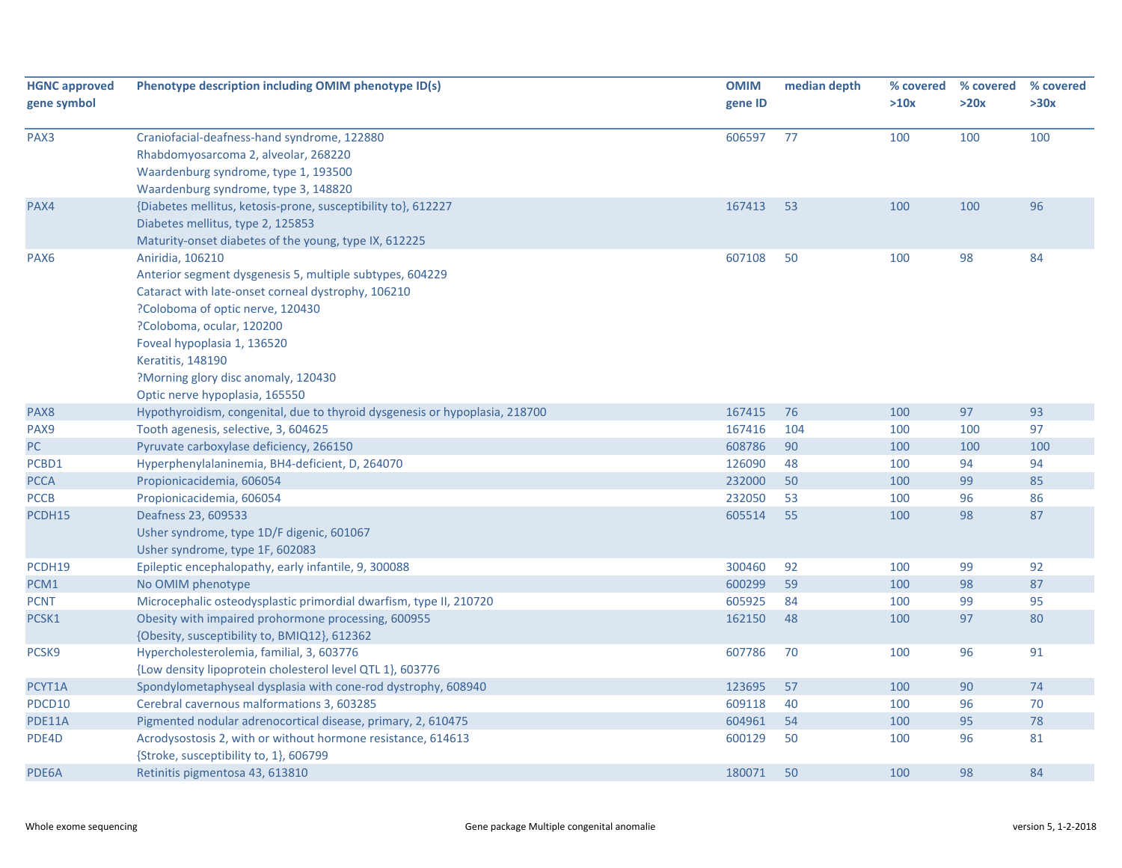| <b>HGNC approved</b><br>gene symbol | Phenotype description including OMIM phenotype ID(s)                                                                                                                                                                                                                                                                             | <b>OMIM</b><br>gene ID | median depth | % covered<br>>10x | % covered<br>>20x | % covered<br>>30x |
|-------------------------------------|----------------------------------------------------------------------------------------------------------------------------------------------------------------------------------------------------------------------------------------------------------------------------------------------------------------------------------|------------------------|--------------|-------------------|-------------------|-------------------|
| PAX3                                | Craniofacial-deafness-hand syndrome, 122880<br>Rhabdomyosarcoma 2, alveolar, 268220<br>Waardenburg syndrome, type 1, 193500<br>Waardenburg syndrome, type 3, 148820                                                                                                                                                              | 606597                 | 77           | 100               | 100               | 100               |
| PAX4                                | {Diabetes mellitus, ketosis-prone, susceptibility to}, 612227<br>Diabetes mellitus, type 2, 125853<br>Maturity-onset diabetes of the young, type IX, 612225                                                                                                                                                                      | 167413                 | 53           | 100               | 100               | 96                |
| PAX <sub>6</sub>                    | Aniridia, 106210<br>Anterior segment dysgenesis 5, multiple subtypes, 604229<br>Cataract with late-onset corneal dystrophy, 106210<br>?Coloboma of optic nerve, 120430<br>?Coloboma, ocular, 120200<br>Foveal hypoplasia 1, 136520<br>Keratitis, 148190<br>?Morning glory disc anomaly, 120430<br>Optic nerve hypoplasia, 165550 | 607108                 | 50           | 100               | 98                | 84                |
| PAX8                                | Hypothyroidism, congenital, due to thyroid dysgenesis or hypoplasia, 218700                                                                                                                                                                                                                                                      | 167415                 | 76           | 100               | 97                | 93                |
| PAX9                                | Tooth agenesis, selective, 3, 604625                                                                                                                                                                                                                                                                                             | 167416                 | 104          | 100               | 100               | 97                |
| PC                                  | Pyruvate carboxylase deficiency, 266150                                                                                                                                                                                                                                                                                          | 608786                 | 90           | 100               | 100               | 100               |
| PCBD1                               | Hyperphenylalaninemia, BH4-deficient, D, 264070                                                                                                                                                                                                                                                                                  | 126090                 | 48           | 100               | 94                | 94                |
| <b>PCCA</b>                         | Propionicacidemia, 606054                                                                                                                                                                                                                                                                                                        | 232000                 | 50           | 100               | 99                | 85                |
| <b>PCCB</b>                         | Propionicacidemia, 606054                                                                                                                                                                                                                                                                                                        | 232050                 | 53           | 100               | 96                | 86                |
| PCDH15                              | Deafness 23, 609533<br>Usher syndrome, type 1D/F digenic, 601067<br>Usher syndrome, type 1F, 602083                                                                                                                                                                                                                              | 605514                 | 55           | 100               | 98                | 87                |
| PCDH19                              | Epileptic encephalopathy, early infantile, 9, 300088                                                                                                                                                                                                                                                                             | 300460                 | 92           | 100               | 99                | 92                |
| PCM1                                | No OMIM phenotype                                                                                                                                                                                                                                                                                                                | 600299                 | 59           | 100               | 98                | 87                |
| <b>PCNT</b>                         | Microcephalic osteodysplastic primordial dwarfism, type II, 210720                                                                                                                                                                                                                                                               | 605925                 | 84           | 100               | 99                | 95                |
| PCSK1                               | Obesity with impaired prohormone processing, 600955<br>{Obesity, susceptibility to, BMIQ12}, 612362                                                                                                                                                                                                                              | 162150                 | 48           | 100               | 97                | 80                |
| PCSK9                               | Hypercholesterolemia, familial, 3, 603776<br>{Low density lipoprotein cholesterol level QTL 1}, 603776                                                                                                                                                                                                                           | 607786                 | 70           | 100               | 96                | 91                |
| PCYT1A                              | Spondylometaphyseal dysplasia with cone-rod dystrophy, 608940                                                                                                                                                                                                                                                                    | 123695                 | 57           | 100               | 90                | 74                |
| PDCD10                              | Cerebral cavernous malformations 3, 603285                                                                                                                                                                                                                                                                                       | 609118                 | 40           | 100               | 96                | 70                |
| <b>PDE11A</b>                       | Pigmented nodular adrenocortical disease, primary, 2, 610475                                                                                                                                                                                                                                                                     | 604961                 | 54           | 100               | 95                | 78                |
| PDE4D                               | Acrodysostosis 2, with or without hormone resistance, 614613<br>{Stroke, susceptibility to, 1}, 606799                                                                                                                                                                                                                           | 600129                 | 50           | 100               | 96                | 81                |
| PDE6A                               | Retinitis pigmentosa 43, 613810                                                                                                                                                                                                                                                                                                  | 180071                 | 50           | 100               | 98                | 84                |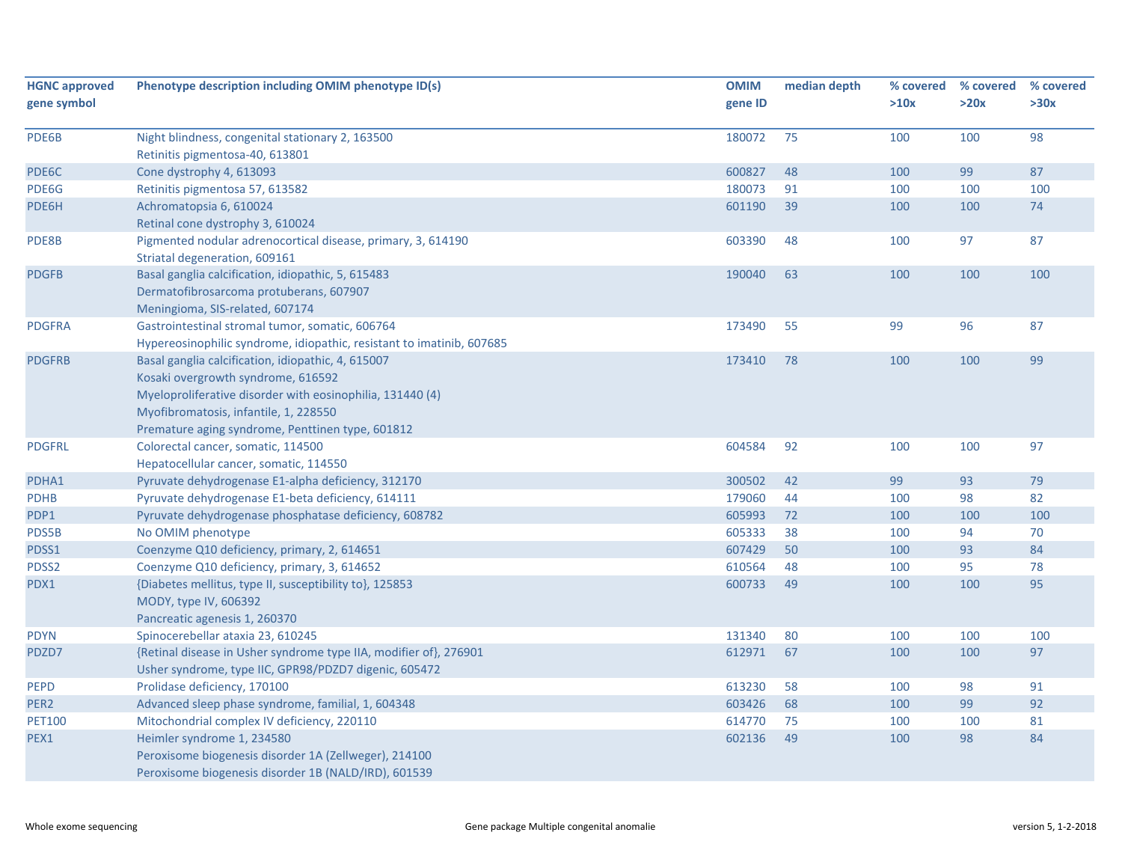| <b>HGNC approved</b> | Phenotype description including OMIM phenotype ID(s)                                          | <b>OMIM</b> | median depth | % covered | % covered | % covered |
|----------------------|-----------------------------------------------------------------------------------------------|-------------|--------------|-----------|-----------|-----------|
| gene symbol          |                                                                                               | gene ID     |              | >10x      | >20x      | >30x      |
| PDE6B                | Night blindness, congenital stationary 2, 163500                                              | 180072      | 75           | 100       | 100       | 98        |
|                      | Retinitis pigmentosa-40, 613801                                                               |             |              |           |           |           |
| PDE6C                | Cone dystrophy 4, 613093                                                                      | 600827      | 48           | 100       | 99        | 87        |
| PDE6G                | Retinitis pigmentosa 57, 613582                                                               | 180073      | 91           | 100       | 100       | 100       |
| PDE6H                | Achromatopsia 6, 610024                                                                       | 601190      | 39           | 100       | 100       | 74        |
|                      | Retinal cone dystrophy 3, 610024                                                              |             |              |           |           |           |
| PDE8B                | Pigmented nodular adrenocortical disease, primary, 3, 614190<br>Striatal degeneration, 609161 | 603390      | 48           | 100       | 97        | 87        |
| <b>PDGFB</b>         | Basal ganglia calcification, idiopathic, 5, 615483                                            | 190040      | 63           | 100       | 100       | 100       |
|                      | Dermatofibrosarcoma protuberans, 607907                                                       |             |              |           |           |           |
|                      | Meningioma, SIS-related, 607174                                                               |             |              |           |           |           |
| <b>PDGFRA</b>        | Gastrointestinal stromal tumor, somatic, 606764                                               | 173490      | 55           | 99        | 96        | 87        |
|                      | Hypereosinophilic syndrome, idiopathic, resistant to imatinib, 607685                         |             |              |           |           |           |
| <b>PDGFRB</b>        | Basal ganglia calcification, idiopathic, 4, 615007                                            | 173410      | 78           | 100       | 100       | 99        |
|                      | Kosaki overgrowth syndrome, 616592                                                            |             |              |           |           |           |
|                      | Myeloproliferative disorder with eosinophilia, 131440 (4)                                     |             |              |           |           |           |
|                      | Myofibromatosis, infantile, 1, 228550                                                         |             |              |           |           |           |
|                      | Premature aging syndrome, Penttinen type, 601812                                              |             |              |           |           |           |
| <b>PDGFRL</b>        | Colorectal cancer, somatic, 114500                                                            | 604584      | 92           | 100       | 100       | 97        |
|                      | Hepatocellular cancer, somatic, 114550                                                        |             |              |           |           |           |
| PDHA1                | Pyruvate dehydrogenase E1-alpha deficiency, 312170                                            | 300502      | 42           | 99        | 93        | 79        |
| <b>PDHB</b>          | Pyruvate dehydrogenase E1-beta deficiency, 614111                                             | 179060      | 44           | 100       | 98        | 82        |
| PDP1                 | Pyruvate dehydrogenase phosphatase deficiency, 608782                                         | 605993      | 72           | 100       | 100       | 100       |
| PDS5B                | No OMIM phenotype                                                                             | 605333      | 38           | 100       | 94        | 70        |
| PDSS1                | Coenzyme Q10 deficiency, primary, 2, 614651                                                   | 607429      | 50           | 100       | 93        | 84        |
| PDSS2                | Coenzyme Q10 deficiency, primary, 3, 614652                                                   | 610564      | 48           | 100       | 95        | 78        |
| PDX1                 | {Diabetes mellitus, type II, susceptibility to}, 125853                                       | 600733      | 49           | 100       | 100       | 95        |
|                      | MODY, type IV, 606392                                                                         |             |              |           |           |           |
|                      | Pancreatic agenesis 1, 260370                                                                 |             |              |           |           |           |
| <b>PDYN</b>          | Spinocerebellar ataxia 23, 610245                                                             | 131340      | 80           | 100       | 100       | 100       |
| PDZD7                | {Retinal disease in Usher syndrome type IIA, modifier of}, 276901                             | 612971      | 67           | 100       | 100       | 97        |
|                      | Usher syndrome, type IIC, GPR98/PDZD7 digenic, 605472                                         |             |              |           |           |           |
| <b>PEPD</b>          | Prolidase deficiency, 170100                                                                  | 613230      | 58           | 100       | 98        | 91        |
| PER2                 | Advanced sleep phase syndrome, familial, 1, 604348                                            | 603426      | 68           | 100       | 99        | 92        |
| <b>PET100</b>        | Mitochondrial complex IV deficiency, 220110                                                   | 614770      | 75           | 100       | 100       | 81        |
| PEX1                 | Heimler syndrome 1, 234580                                                                    | 602136      | 49           | 100       | 98        | 84        |
|                      | Peroxisome biogenesis disorder 1A (Zellweger), 214100                                         |             |              |           |           |           |
|                      | Peroxisome biogenesis disorder 1B (NALD/IRD), 601539                                          |             |              |           |           |           |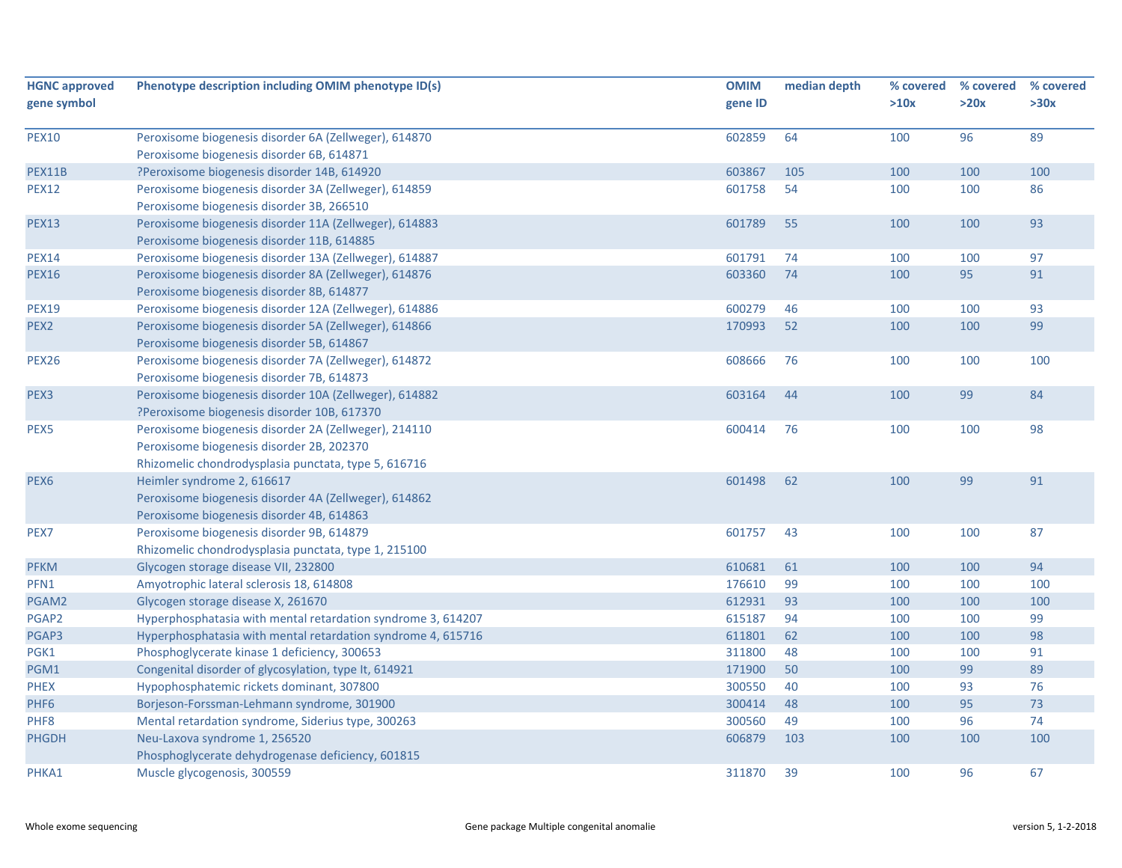| <b>HGNC approved</b> | Phenotype description including OMIM phenotype ID(s)                                                                                                       | <b>OMIM</b> | median depth | % covered | % covered | % covered |
|----------------------|------------------------------------------------------------------------------------------------------------------------------------------------------------|-------------|--------------|-----------|-----------|-----------|
| gene symbol          |                                                                                                                                                            | gene ID     |              | >10x      | >20x      | >30x      |
| <b>PEX10</b>         | Peroxisome biogenesis disorder 6A (Zellweger), 614870                                                                                                      | 602859      | 64           | 100       | 96        | 89        |
|                      | Peroxisome biogenesis disorder 6B, 614871                                                                                                                  |             |              |           |           |           |
| PEX11B               | ?Peroxisome biogenesis disorder 14B, 614920                                                                                                                | 603867      | 105          | 100       | 100       | 100       |
| <b>PEX12</b>         | Peroxisome biogenesis disorder 3A (Zellweger), 614859<br>Peroxisome biogenesis disorder 3B, 266510                                                         | 601758      | 54           | 100       | 100       | 86        |
| <b>PEX13</b>         | Peroxisome biogenesis disorder 11A (Zellweger), 614883<br>Peroxisome biogenesis disorder 11B, 614885                                                       | 601789      | 55           | 100       | 100       | 93        |
| <b>PEX14</b>         | Peroxisome biogenesis disorder 13A (Zellweger), 614887                                                                                                     | 601791      | 74           | 100       | 100       | 97        |
| <b>PEX16</b>         | Peroxisome biogenesis disorder 8A (Zellweger), 614876<br>Peroxisome biogenesis disorder 8B, 614877                                                         | 603360      | 74           | 100       | 95        | 91        |
| <b>PEX19</b>         | Peroxisome biogenesis disorder 12A (Zellweger), 614886                                                                                                     | 600279      | 46           | 100       | 100       | 93        |
| PEX <sub>2</sub>     | Peroxisome biogenesis disorder 5A (Zellweger), 614866<br>Peroxisome biogenesis disorder 5B, 614867                                                         | 170993      | 52           | 100       | 100       | 99        |
| <b>PEX26</b>         | Peroxisome biogenesis disorder 7A (Zellweger), 614872<br>Peroxisome biogenesis disorder 7B, 614873                                                         | 608666      | 76           | 100       | 100       | 100       |
| PEX <sub>3</sub>     | Peroxisome biogenesis disorder 10A (Zellweger), 614882<br>?Peroxisome biogenesis disorder 10B, 617370                                                      | 603164      | 44           | 100       | 99        | 84        |
| PEX5                 | Peroxisome biogenesis disorder 2A (Zellweger), 214110<br>Peroxisome biogenesis disorder 2B, 202370<br>Rhizomelic chondrodysplasia punctata, type 5, 616716 | 600414      | 76           | 100       | 100       | 98        |
| PEX <sub>6</sub>     | Heimler syndrome 2, 616617<br>Peroxisome biogenesis disorder 4A (Zellweger), 614862<br>Peroxisome biogenesis disorder 4B, 614863                           | 601498      | 62           | 100       | 99        | 91        |
| PEX7                 | Peroxisome biogenesis disorder 9B, 614879<br>Rhizomelic chondrodysplasia punctata, type 1, 215100                                                          | 601757      | 43           | 100       | 100       | 87        |
| <b>PFKM</b>          | Glycogen storage disease VII, 232800                                                                                                                       | 610681      | 61           | 100       | 100       | 94        |
| PFN1                 | Amyotrophic lateral sclerosis 18, 614808                                                                                                                   | 176610      | 99           | 100       | 100       | 100       |
| PGAM2                | Glycogen storage disease X, 261670                                                                                                                         | 612931      | 93           | 100       | 100       | 100       |
| PGAP2                | Hyperphosphatasia with mental retardation syndrome 3, 614207                                                                                               | 615187      | 94           | 100       | 100       | 99        |
| PGAP3                | Hyperphosphatasia with mental retardation syndrome 4, 615716                                                                                               | 611801      | 62           | 100       | 100       | 98        |
| PGK1                 | Phosphoglycerate kinase 1 deficiency, 300653                                                                                                               | 311800      | 48           | 100       | 100       | 91        |
| PGM1                 | Congenital disorder of glycosylation, type It, 614921                                                                                                      | 171900      | 50           | 100       | 99        | 89        |
| <b>PHEX</b>          | Hypophosphatemic rickets dominant, 307800                                                                                                                  | 300550      | 40           | 100       | 93        | 76        |
| PHF <sub>6</sub>     | Borjeson-Forssman-Lehmann syndrome, 301900                                                                                                                 | 300414      | 48           | 100       | 95        | 73        |
| PHF8                 | Mental retardation syndrome, Siderius type, 300263                                                                                                         | 300560      | 49           | 100       | 96        | 74        |
| <b>PHGDH</b>         | Neu-Laxova syndrome 1, 256520<br>Phosphoglycerate dehydrogenase deficiency, 601815                                                                         | 606879      | 103          | 100       | 100       | 100       |
| PHKA1                | Muscle glycogenosis, 300559                                                                                                                                | 311870      | 39           | 100       | 96        | 67        |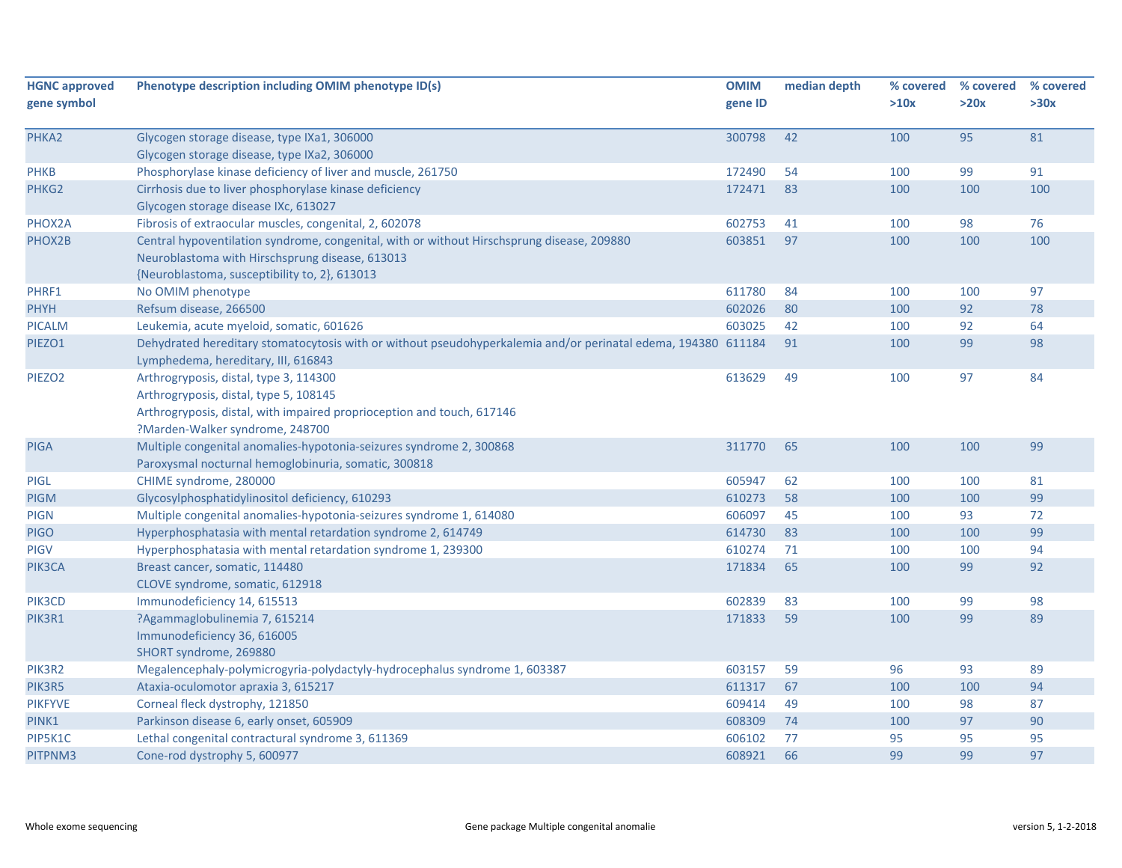| <b>HGNC approved</b> | Phenotype description including OMIM phenotype ID(s)                                                          | <b>OMIM</b> | median depth | % covered | % covered | % covered |
|----------------------|---------------------------------------------------------------------------------------------------------------|-------------|--------------|-----------|-----------|-----------|
| gene symbol          |                                                                                                               | gene ID     |              | >10x      | >20x      | >30x      |
| PHKA2                | Glycogen storage disease, type IXa1, 306000                                                                   | 300798      | 42           | 100       | 95        | 81        |
|                      | Glycogen storage disease, type IXa2, 306000                                                                   |             |              |           |           |           |
| <b>PHKB</b>          | Phosphorylase kinase deficiency of liver and muscle, 261750                                                   | 172490      | 54           | 100       | 99        | 91        |
| PHKG2                | Cirrhosis due to liver phosphorylase kinase deficiency                                                        | 172471      | 83           | 100       | 100       | 100       |
|                      | Glycogen storage disease IXc, 613027                                                                          |             |              |           |           |           |
| PHOX2A               | Fibrosis of extraocular muscles, congenital, 2, 602078                                                        | 602753      | 41           | 100       | 98        | 76        |
| PHOX2B               | Central hypoventilation syndrome, congenital, with or without Hirschsprung disease, 209880                    | 603851      | 97           | 100       | 100       | 100       |
|                      | Neuroblastoma with Hirschsprung disease, 613013                                                               |             |              |           |           |           |
|                      | {Neuroblastoma, susceptibility to, 2}, 613013                                                                 |             |              |           |           |           |
| PHRF1                | No OMIM phenotype                                                                                             | 611780      | 84           | 100       | 100       | 97        |
| PHYH                 | Refsum disease, 266500                                                                                        | 602026      | 80           | 100       | 92        | 78        |
| <b>PICALM</b>        | Leukemia, acute myeloid, somatic, 601626                                                                      | 603025      | 42           | 100       | 92        | 64        |
| PIEZO1               | Dehydrated hereditary stomatocytosis with or without pseudohyperkalemia and/or perinatal edema, 194380 611184 |             | 91           | 100       | 99        | 98        |
|                      | Lymphedema, hereditary, III, 616843                                                                           |             |              |           |           |           |
| PIEZO <sub>2</sub>   | Arthrogryposis, distal, type 3, 114300                                                                        | 613629      | 49           | 100       | 97        | 84        |
|                      | Arthrogryposis, distal, type 5, 108145                                                                        |             |              |           |           |           |
|                      | Arthrogryposis, distal, with impaired proprioception and touch, 617146                                        |             |              |           |           |           |
|                      | ?Marden-Walker syndrome, 248700                                                                               |             |              |           |           |           |
| <b>PIGA</b>          | Multiple congenital anomalies-hypotonia-seizures syndrome 2, 300868                                           | 311770      | 65           | 100       | 100       | 99        |
|                      | Paroxysmal nocturnal hemoglobinuria, somatic, 300818                                                          |             |              |           |           |           |
| <b>PIGL</b>          | CHIME syndrome, 280000                                                                                        | 605947      | 62           | 100       | 100       | 81        |
| <b>PIGM</b>          | Glycosylphosphatidylinositol deficiency, 610293                                                               | 610273      | 58           | 100       | 100       | 99        |
| <b>PIGN</b>          | Multiple congenital anomalies-hypotonia-seizures syndrome 1, 614080                                           | 606097      | 45           | 100       | 93        | 72        |
| <b>PIGO</b>          | Hyperphosphatasia with mental retardation syndrome 2, 614749                                                  | 614730      | 83           | 100       | 100       | 99        |
| <b>PIGV</b>          | Hyperphosphatasia with mental retardation syndrome 1, 239300                                                  | 610274      | 71           | 100       | 100       | 94        |
| PIK3CA               | Breast cancer, somatic, 114480                                                                                | 171834      | 65           | 100       | 99        | 92        |
|                      | CLOVE syndrome, somatic, 612918                                                                               |             |              |           |           |           |
| PIK3CD               | Immunodeficiency 14, 615513                                                                                   | 602839      | 83           | 100       | 99        | 98        |
| PIK3R1               | ?Agammaglobulinemia 7, 615214                                                                                 | 171833      | 59           | 100       | 99        | 89        |
|                      | Immunodeficiency 36, 616005                                                                                   |             |              |           |           |           |
|                      | SHORT syndrome, 269880                                                                                        |             |              |           |           |           |
| PIK3R2               | Megalencephaly-polymicrogyria-polydactyly-hydrocephalus syndrome 1, 603387                                    | 603157      | 59           | 96        | 93        | 89        |
| PIK3R5               | Ataxia-oculomotor apraxia 3, 615217                                                                           | 611317      | 67           | 100       | 100       | 94        |
| <b>PIKFYVE</b>       | Corneal fleck dystrophy, 121850                                                                               | 609414      | 49           | 100       | 98        | 87        |
| PINK1                | Parkinson disease 6, early onset, 605909                                                                      | 608309      | 74           | 100       | 97        | 90        |
| PIP5K1C              | Lethal congenital contractural syndrome 3, 611369                                                             | 606102      | 77           | 95        | 95        | 95        |
| PITPNM3              | Cone-rod dystrophy 5, 600977                                                                                  | 608921      | 66           | 99        | 99        | 97        |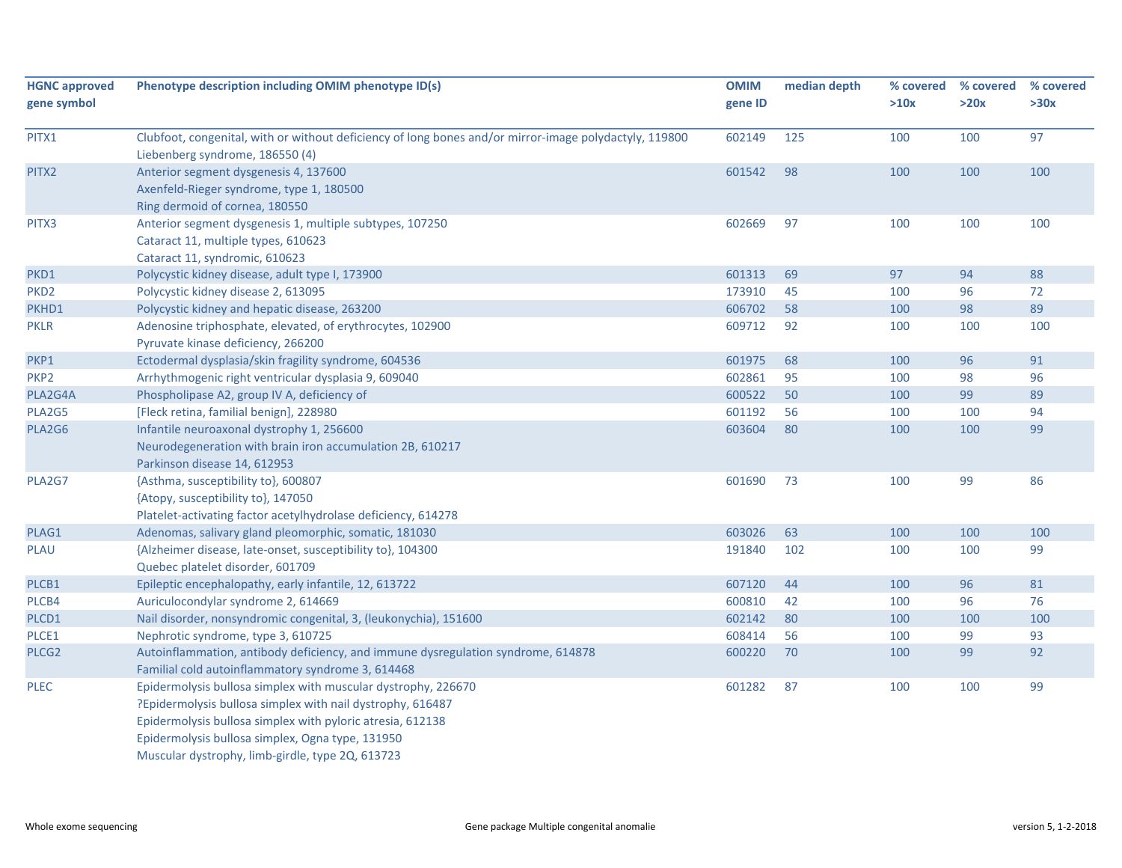| <b>HGNC approved</b> | Phenotype description including OMIM phenotype ID(s)                                                                                                                                                                                                                                              | <b>OMIM</b> | median depth | % covered | % covered | % covered |
|----------------------|---------------------------------------------------------------------------------------------------------------------------------------------------------------------------------------------------------------------------------------------------------------------------------------------------|-------------|--------------|-----------|-----------|-----------|
| gene symbol          |                                                                                                                                                                                                                                                                                                   | gene ID     |              | >10x      | >20x      | >30x      |
| PITX1                | Clubfoot, congenital, with or without deficiency of long bones and/or mirror-image polydactyly, 119800<br>Liebenberg syndrome, 186550 (4)                                                                                                                                                         | 602149      | 125          | 100       | 100       | 97        |
| PITX2                | Anterior segment dysgenesis 4, 137600                                                                                                                                                                                                                                                             | 601542      | 98           | 100       | 100       | 100       |
|                      | Axenfeld-Rieger syndrome, type 1, 180500<br>Ring dermoid of cornea, 180550                                                                                                                                                                                                                        |             |              |           |           |           |
| PITX3                | Anterior segment dysgenesis 1, multiple subtypes, 107250<br>Cataract 11, multiple types, 610623<br>Cataract 11, syndromic, 610623                                                                                                                                                                 | 602669      | 97           | 100       | 100       | 100       |
| PKD1                 | Polycystic kidney disease, adult type I, 173900                                                                                                                                                                                                                                                   | 601313      | 69           | 97        | 94        | 88        |
| PKD <sub>2</sub>     | Polycystic kidney disease 2, 613095                                                                                                                                                                                                                                                               | 173910      | 45           | 100       | 96        | 72        |
| PKHD1                | Polycystic kidney and hepatic disease, 263200                                                                                                                                                                                                                                                     | 606702      | 58           | 100       | 98        | 89        |
| <b>PKLR</b>          | Adenosine triphosphate, elevated, of erythrocytes, 102900<br>Pyruvate kinase deficiency, 266200                                                                                                                                                                                                   | 609712      | 92           | 100       | 100       | 100       |
| PKP1                 | Ectodermal dysplasia/skin fragility syndrome, 604536                                                                                                                                                                                                                                              | 601975      | 68           | 100       | 96        | 91        |
| PKP2                 | Arrhythmogenic right ventricular dysplasia 9, 609040                                                                                                                                                                                                                                              | 602861      | 95           | 100       | 98        | 96        |
| PLA2G4A              | Phospholipase A2, group IV A, deficiency of                                                                                                                                                                                                                                                       | 600522      | 50           | 100       | 99        | 89        |
| PLA2G5               | [Fleck retina, familial benign], 228980                                                                                                                                                                                                                                                           | 601192      | 56           | 100       | 100       | 94        |
| PLA2G6               | Infantile neuroaxonal dystrophy 1, 256600<br>Neurodegeneration with brain iron accumulation 2B, 610217<br>Parkinson disease 14, 612953                                                                                                                                                            | 603604      | 80           | 100       | 100       | 99        |
| PLA2G7               | {Asthma, susceptibility to}, 600807<br>{Atopy, susceptibility to}, 147050<br>Platelet-activating factor acetylhydrolase deficiency, 614278                                                                                                                                                        | 601690      | 73           | 100       | 99        | 86        |
| PLAG1                | Adenomas, salivary gland pleomorphic, somatic, 181030                                                                                                                                                                                                                                             | 603026      | 63           | 100       | 100       | 100       |
| <b>PLAU</b>          | {Alzheimer disease, late-onset, susceptibility to}, 104300<br>Quebec platelet disorder, 601709                                                                                                                                                                                                    | 191840      | 102          | 100       | 100       | 99        |
| PLCB1                | Epileptic encephalopathy, early infantile, 12, 613722                                                                                                                                                                                                                                             | 607120      | 44           | 100       | 96        | 81        |
| PLCB4                | Auriculocondylar syndrome 2, 614669                                                                                                                                                                                                                                                               | 600810      | 42           | 100       | 96        | 76        |
| PLCD1                | Nail disorder, nonsyndromic congenital, 3, (leukonychia), 151600                                                                                                                                                                                                                                  | 602142      | 80           | 100       | 100       | 100       |
| PLCE1                | Nephrotic syndrome, type 3, 610725                                                                                                                                                                                                                                                                | 608414      | 56           | 100       | 99        | 93        |
| PLCG <sub>2</sub>    | Autoinflammation, antibody deficiency, and immune dysregulation syndrome, 614878<br>Familial cold autoinflammatory syndrome 3, 614468                                                                                                                                                             | 600220      | 70           | 100       | 99        | 92        |
| <b>PLEC</b>          | Epidermolysis bullosa simplex with muscular dystrophy, 226670<br>?Epidermolysis bullosa simplex with nail dystrophy, 616487<br>Epidermolysis bullosa simplex with pyloric atresia, 612138<br>Epidermolysis bullosa simplex, Ogna type, 131950<br>Muscular dystrophy, limb-girdle, type 2Q, 613723 | 601282      | 87           | 100       | 100       | 99        |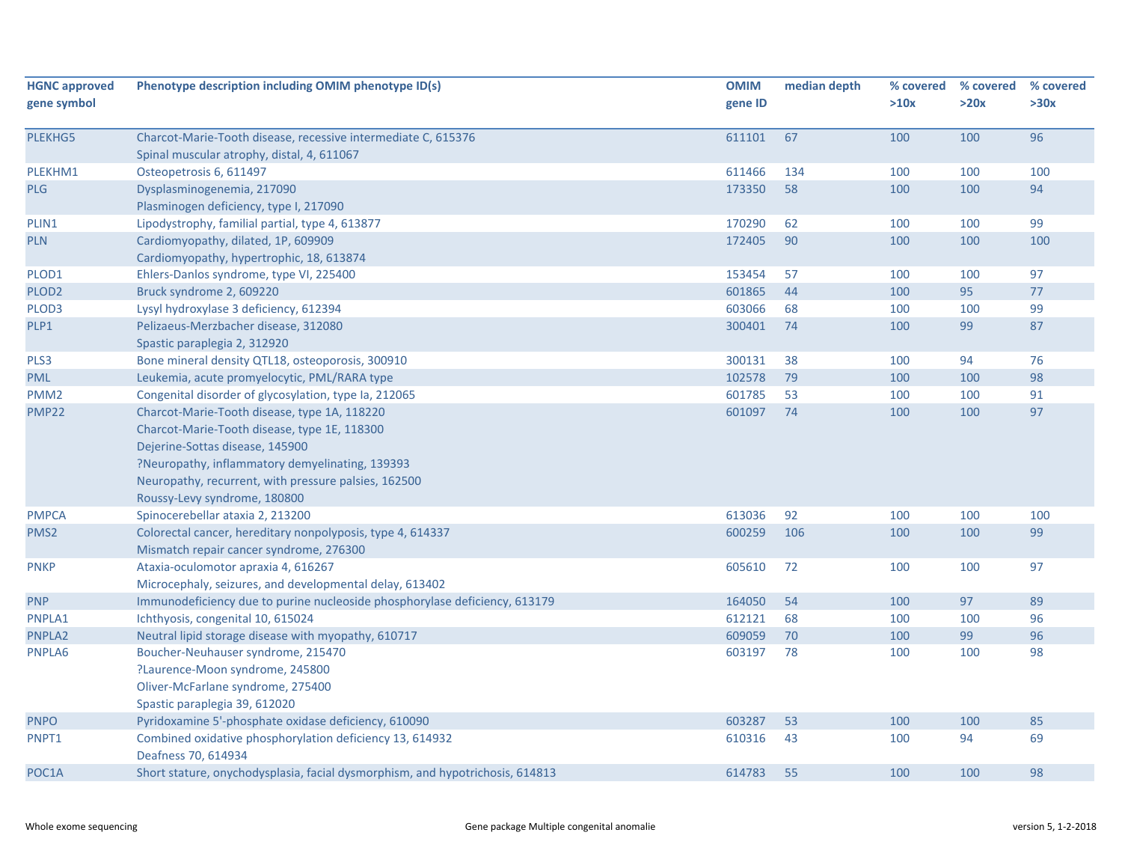| <b>HGNC approved</b><br>gene symbol | Phenotype description including OMIM phenotype ID(s)                                                        | <b>OMIM</b><br>gene ID | median depth | % covered<br>>10x | % covered<br>>20x | % covered<br>>30x |
|-------------------------------------|-------------------------------------------------------------------------------------------------------------|------------------------|--------------|-------------------|-------------------|-------------------|
| PLEKHG5                             | Charcot-Marie-Tooth disease, recessive intermediate C, 615376<br>Spinal muscular atrophy, distal, 4, 611067 | 611101                 | 67           | 100               | 100               | 96                |
| PLEKHM1                             | Osteopetrosis 6, 611497                                                                                     | 611466                 | 134          | 100               | 100               | 100               |
| <b>PLG</b>                          | Dysplasminogenemia, 217090                                                                                  | 173350                 | 58           | 100               | 100               | 94                |
|                                     | Plasminogen deficiency, type I, 217090                                                                      |                        |              |                   |                   |                   |
| PLIN1                               | Lipodystrophy, familial partial, type 4, 613877                                                             | 170290                 | 62           | 100               | 100               | 99                |
| <b>PLN</b>                          | Cardiomyopathy, dilated, 1P, 609909                                                                         | 172405                 | 90           | 100               | 100               | 100               |
|                                     | Cardiomyopathy, hypertrophic, 18, 613874                                                                    |                        |              |                   |                   |                   |
| PLOD1                               | Ehlers-Danlos syndrome, type VI, 225400                                                                     | 153454                 | 57           | 100               | 100               | 97                |
| PLOD <sub>2</sub>                   | Bruck syndrome 2, 609220                                                                                    | 601865                 | 44           | 100               | 95                | 77                |
| PLOD3                               | Lysyl hydroxylase 3 deficiency, 612394                                                                      | 603066                 | 68           | 100               | 100               | 99                |
| PLP1                                | Pelizaeus-Merzbacher disease, 312080                                                                        | 300401                 | 74           | 100               | 99                | 87                |
|                                     | Spastic paraplegia 2, 312920                                                                                |                        |              |                   |                   |                   |
| PLS3                                | Bone mineral density QTL18, osteoporosis, 300910                                                            | 300131                 | 38           | 100               | 94                | 76                |
| <b>PML</b>                          | Leukemia, acute promyelocytic, PML/RARA type                                                                | 102578                 | 79           | 100               | 100               | 98                |
| PMM <sub>2</sub>                    | Congenital disorder of glycosylation, type Ia, 212065                                                       | 601785                 | 53           | 100               | 100               | 91                |
| PMP <sub>22</sub>                   | Charcot-Marie-Tooth disease, type 1A, 118220                                                                | 601097                 | 74           | 100               | 100               | 97                |
|                                     | Charcot-Marie-Tooth disease, type 1E, 118300                                                                |                        |              |                   |                   |                   |
|                                     | Dejerine-Sottas disease, 145900                                                                             |                        |              |                   |                   |                   |
|                                     | ?Neuropathy, inflammatory demyelinating, 139393                                                             |                        |              |                   |                   |                   |
|                                     | Neuropathy, recurrent, with pressure palsies, 162500                                                        |                        |              |                   |                   |                   |
|                                     | Roussy-Levy syndrome, 180800                                                                                |                        |              |                   |                   |                   |
| <b>PMPCA</b>                        | Spinocerebellar ataxia 2, 213200                                                                            | 613036                 | 92           | 100               | 100               | 100               |
| PMS <sub>2</sub>                    | Colorectal cancer, hereditary nonpolyposis, type 4, 614337                                                  | 600259                 | 106          | 100               | 100               | 99                |
|                                     | Mismatch repair cancer syndrome, 276300                                                                     |                        |              |                   |                   |                   |
| <b>PNKP</b>                         | Ataxia-oculomotor apraxia 4, 616267                                                                         | 605610                 | 72           | 100               | 100               | 97                |
|                                     | Microcephaly, seizures, and developmental delay, 613402                                                     |                        |              |                   |                   |                   |
| <b>PNP</b>                          | Immunodeficiency due to purine nucleoside phosphorylase deficiency, 613179                                  | 164050                 | 54           | 100               | 97                | 89                |
| PNPLA1                              | Ichthyosis, congenital 10, 615024                                                                           | 612121                 | 68           | 100               | 100               | 96                |
| PNPLA2                              | Neutral lipid storage disease with myopathy, 610717                                                         | 609059                 | 70           | 100               | 99                | 96                |
| PNPLA6                              | Boucher-Neuhauser syndrome, 215470                                                                          | 603197                 | 78           | 100               | 100               | 98                |
|                                     | ?Laurence-Moon syndrome, 245800                                                                             |                        |              |                   |                   |                   |
|                                     | Oliver-McFarlane syndrome, 275400                                                                           |                        |              |                   |                   |                   |
|                                     | Spastic paraplegia 39, 612020                                                                               |                        |              |                   |                   |                   |
| <b>PNPO</b>                         | Pyridoxamine 5'-phosphate oxidase deficiency, 610090                                                        | 603287                 | 53           | 100               | 100               | 85                |
| PNPT1                               | Combined oxidative phosphorylation deficiency 13, 614932                                                    | 610316                 | 43           | 100               | 94                | 69                |
|                                     | Deafness 70, 614934                                                                                         |                        |              |                   |                   |                   |
| POC1A                               | Short stature, onychodysplasia, facial dysmorphism, and hypotrichosis, 614813                               | 614783                 | 55           | 100               | 100               | 98                |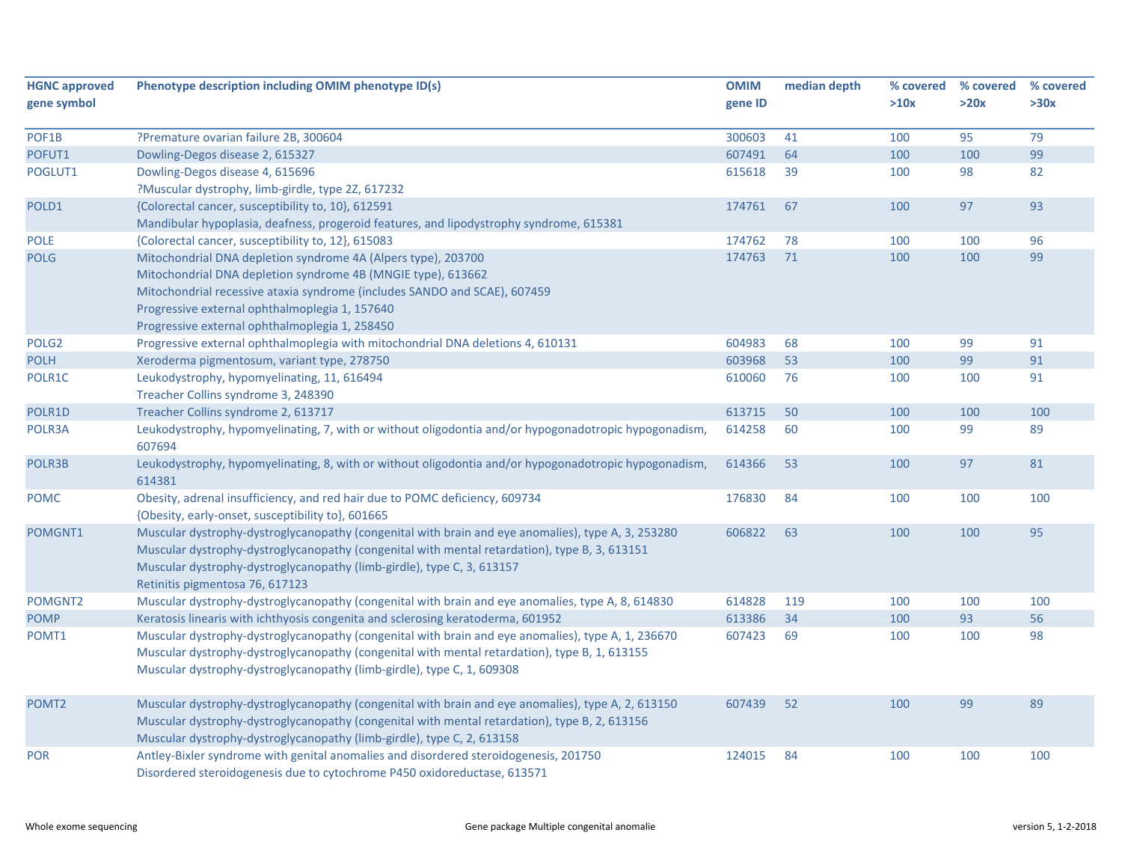| <b>HGNC approved</b><br>gene symbol | Phenotype description including OMIM phenotype ID(s)                                                                                                                                                                                                                                                             | <b>OMIM</b><br>gene ID | median depth | % covered<br>>10x | % covered<br>>20x | % covered<br>>30x |
|-------------------------------------|------------------------------------------------------------------------------------------------------------------------------------------------------------------------------------------------------------------------------------------------------------------------------------------------------------------|------------------------|--------------|-------------------|-------------------|-------------------|
| POF1B                               | ?Premature ovarian failure 2B, 300604                                                                                                                                                                                                                                                                            | 300603                 | 41           | 100               | 95                | 79                |
| POFUT1                              | Dowling-Degos disease 2, 615327                                                                                                                                                                                                                                                                                  | 607491                 | 64           | 100               | 100               | 99                |
| POGLUT1                             | Dowling-Degos disease 4, 615696                                                                                                                                                                                                                                                                                  | 615618                 | 39           | 100               | 98                | 82                |
|                                     | ?Muscular dystrophy, limb-girdle, type 2Z, 617232                                                                                                                                                                                                                                                                |                        |              |                   |                   |                   |
| POLD1                               | {Colorectal cancer, susceptibility to, 10}, 612591                                                                                                                                                                                                                                                               | 174761                 | 67           | 100               | 97                | 93                |
|                                     | Mandibular hypoplasia, deafness, progeroid features, and lipodystrophy syndrome, 615381                                                                                                                                                                                                                          |                        |              |                   |                   |                   |
| <b>POLE</b>                         | {Colorectal cancer, susceptibility to, 12}, 615083                                                                                                                                                                                                                                                               | 174762                 | 78           | 100               | 100               | 96                |
| <b>POLG</b>                         | Mitochondrial DNA depletion syndrome 4A (Alpers type), 203700                                                                                                                                                                                                                                                    | 174763                 | 71           | 100               | 100               | 99                |
|                                     | Mitochondrial DNA depletion syndrome 4B (MNGIE type), 613662                                                                                                                                                                                                                                                     |                        |              |                   |                   |                   |
|                                     | Mitochondrial recessive ataxia syndrome (includes SANDO and SCAE), 607459                                                                                                                                                                                                                                        |                        |              |                   |                   |                   |
|                                     | Progressive external ophthalmoplegia 1, 157640                                                                                                                                                                                                                                                                   |                        |              |                   |                   |                   |
|                                     | Progressive external ophthalmoplegia 1, 258450                                                                                                                                                                                                                                                                   |                        |              |                   |                   |                   |
| POLG <sub>2</sub>                   | Progressive external ophthalmoplegia with mitochondrial DNA deletions 4, 610131                                                                                                                                                                                                                                  | 604983                 | 68           | 100               | 99                | 91                |
| <b>POLH</b>                         | Xeroderma pigmentosum, variant type, 278750                                                                                                                                                                                                                                                                      | 603968                 | 53           | 100               | 99                | 91                |
| POLR1C                              | Leukodystrophy, hypomyelinating, 11, 616494                                                                                                                                                                                                                                                                      | 610060                 | 76           | 100               | 100               | 91                |
|                                     | Treacher Collins syndrome 3, 248390                                                                                                                                                                                                                                                                              |                        |              |                   |                   |                   |
| POLR1D                              | Treacher Collins syndrome 2, 613717                                                                                                                                                                                                                                                                              | 613715                 | 50           | 100               | 100               | 100               |
| POLR3A                              | Leukodystrophy, hypomyelinating, 7, with or without oligodontia and/or hypogonadotropic hypogonadism,<br>607694                                                                                                                                                                                                  | 614258                 | 60           | 100               | 99                | 89                |
| POLR3B                              | Leukodystrophy, hypomyelinating, 8, with or without oligodontia and/or hypogonadotropic hypogonadism,<br>614381                                                                                                                                                                                                  | 614366                 | 53           | 100               | 97                | 81                |
| <b>POMC</b>                         | Obesity, adrenal insufficiency, and red hair due to POMC deficiency, 609734<br>{Obesity, early-onset, susceptibility to}, 601665                                                                                                                                                                                 | 176830                 | 84           | 100               | 100               | 100               |
| POMGNT1                             | Muscular dystrophy-dystroglycanopathy (congenital with brain and eye anomalies), type A, 3, 253280<br>Muscular dystrophy-dystroglycanopathy (congenital with mental retardation), type B, 3, 613151<br>Muscular dystrophy-dystroglycanopathy (limb-girdle), type C, 3, 613157<br>Retinitis pigmentosa 76, 617123 | 606822                 | 63           | 100               | 100               | 95                |
| POMGNT2                             | Muscular dystrophy-dystroglycanopathy (congenital with brain and eye anomalies, type A, 8, 614830                                                                                                                                                                                                                | 614828                 | 119          | 100               | 100               | 100               |
| <b>POMP</b>                         | Keratosis linearis with ichthyosis congenita and sclerosing keratoderma, 601952                                                                                                                                                                                                                                  | 613386                 | 34           | 100               | 93                | 56                |
| POMT1                               | Muscular dystrophy-dystroglycanopathy (congenital with brain and eye anomalies), type A, 1, 236670<br>Muscular dystrophy-dystroglycanopathy (congenital with mental retardation), type B, 1, 613155<br>Muscular dystrophy-dystroglycanopathy (limb-girdle), type C, 1, 609308                                    | 607423                 | 69           | 100               | 100               | 98                |
| POMT <sub>2</sub>                   | Muscular dystrophy-dystroglycanopathy (congenital with brain and eye anomalies), type A, 2, 613150<br>Muscular dystrophy-dystroglycanopathy (congenital with mental retardation), type B, 2, 613156<br>Muscular dystrophy-dystroglycanopathy (limb-girdle), type C, 2, 613158                                    | 607439                 | 52           | 100               | 99                | 89                |
| <b>POR</b>                          | Antley-Bixler syndrome with genital anomalies and disordered steroidogenesis, 201750<br>Disordered steroidogenesis due to cytochrome P450 oxidoreductase, 613571                                                                                                                                                 | 124015                 | 84           | 100               | 100               | 100               |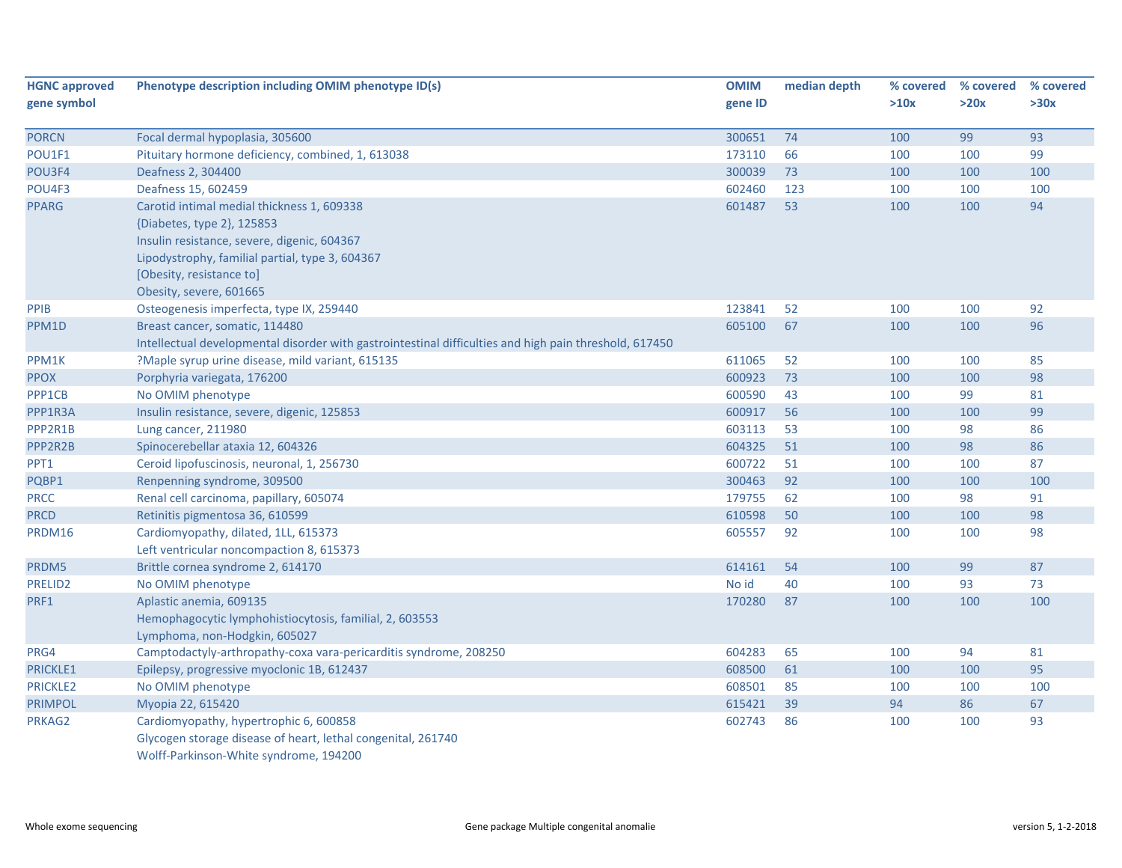| <b>HGNC approved</b> | Phenotype description including OMIM phenotype ID(s)                                                   | <b>OMIM</b> | median depth | % covered | % covered | % covered |
|----------------------|--------------------------------------------------------------------------------------------------------|-------------|--------------|-----------|-----------|-----------|
| gene symbol          |                                                                                                        | gene ID     |              | >10x      | >20x      | >30x      |
| <b>PORCN</b>         | Focal dermal hypoplasia, 305600                                                                        | 300651      | 74           | 100       | 99        | 93        |
| POU1F1               | Pituitary hormone deficiency, combined, 1, 613038                                                      | 173110      | 66           | 100       | 100       | 99        |
| POU3F4               | Deafness 2, 304400                                                                                     | 300039      | 73           | 100       | 100       | 100       |
| POU4F3               | Deafness 15, 602459                                                                                    | 602460      | 123          | 100       | 100       | 100       |
| <b>PPARG</b>         | Carotid intimal medial thickness 1, 609338                                                             | 601487      | 53           | 100       | 100       | 94        |
|                      | {Diabetes, type 2}, 125853                                                                             |             |              |           |           |           |
|                      | Insulin resistance, severe, digenic, 604367                                                            |             |              |           |           |           |
|                      | Lipodystrophy, familial partial, type 3, 604367                                                        |             |              |           |           |           |
|                      | [Obesity, resistance to]                                                                               |             |              |           |           |           |
|                      | Obesity, severe, 601665                                                                                |             |              |           |           |           |
| PPIB                 | Osteogenesis imperfecta, type IX, 259440                                                               | 123841      | 52           | 100       | 100       | 92        |
| PPM1D                | Breast cancer, somatic, 114480                                                                         | 605100      | 67           | 100       | 100       | 96        |
|                      | Intellectual developmental disorder with gastrointestinal difficulties and high pain threshold, 617450 |             |              |           |           |           |
| PPM1K                | ?Maple syrup urine disease, mild variant, 615135                                                       | 611065      | 52           | 100       | 100       | 85        |
| <b>PPOX</b>          | Porphyria variegata, 176200                                                                            | 600923      | 73           | 100       | 100       | 98        |
| PPP1CB               | No OMIM phenotype                                                                                      | 600590      | 43           | 100       | 99        | 81        |
| PPP1R3A              | Insulin resistance, severe, digenic, 125853                                                            | 600917      | 56           | 100       | 100       | 99        |
| PPP2R1B              | Lung cancer, 211980                                                                                    | 603113      | 53           | 100       | 98        | 86        |
| PPP2R2B              | Spinocerebellar ataxia 12, 604326                                                                      | 604325      | 51           | 100       | 98        | 86        |
| PPT1                 | Ceroid lipofuscinosis, neuronal, 1, 256730                                                             | 600722      | 51           | 100       | 100       | 87        |
| PQBP1                | Renpenning syndrome, 309500                                                                            | 300463      | 92           | 100       | 100       | 100       |
| <b>PRCC</b>          | Renal cell carcinoma, papillary, 605074                                                                | 179755      | 62           | 100       | 98        | 91        |
| <b>PRCD</b>          | Retinitis pigmentosa 36, 610599                                                                        | 610598      | 50           | 100       | 100       | 98        |
| PRDM16               | Cardiomyopathy, dilated, 1LL, 615373                                                                   | 605557      | 92           | 100       | 100       | 98        |
|                      | Left ventricular noncompaction 8, 615373                                                               |             |              |           |           |           |
| PRDM5                | Brittle cornea syndrome 2, 614170                                                                      | 614161      | 54           | 100       | 99        | 87        |
| PRELID2              | No OMIM phenotype                                                                                      | No id       | 40           | 100       | 93        | 73        |
| PRF1                 | Aplastic anemia, 609135                                                                                | 170280      | 87           | 100       | 100       | 100       |
|                      | Hemophagocytic lymphohistiocytosis, familial, 2, 603553                                                |             |              |           |           |           |
|                      | Lymphoma, non-Hodgkin, 605027                                                                          |             |              |           |           |           |
| PRG4                 | Camptodactyly-arthropathy-coxa vara-pericarditis syndrome, 208250                                      | 604283      | 65           | 100       | 94        | 81        |
| PRICKLE1             | Epilepsy, progressive myoclonic 1B, 612437                                                             | 608500      | 61           | 100       | 100       | 95        |
| <b>PRICKLE2</b>      | No OMIM phenotype                                                                                      | 608501      | 85           | 100       | 100       | 100       |
| <b>PRIMPOL</b>       | Myopia 22, 615420                                                                                      | 615421      | 39           | 94        | 86        | 67        |
| PRKAG2               | Cardiomyopathy, hypertrophic 6, 600858                                                                 | 602743      | 86           | 100       | 100       | 93        |
|                      | Glycogen storage disease of heart, lethal congenital, 261740                                           |             |              |           |           |           |
|                      | Wolff-Parkinson-White syndrome, 194200                                                                 |             |              |           |           |           |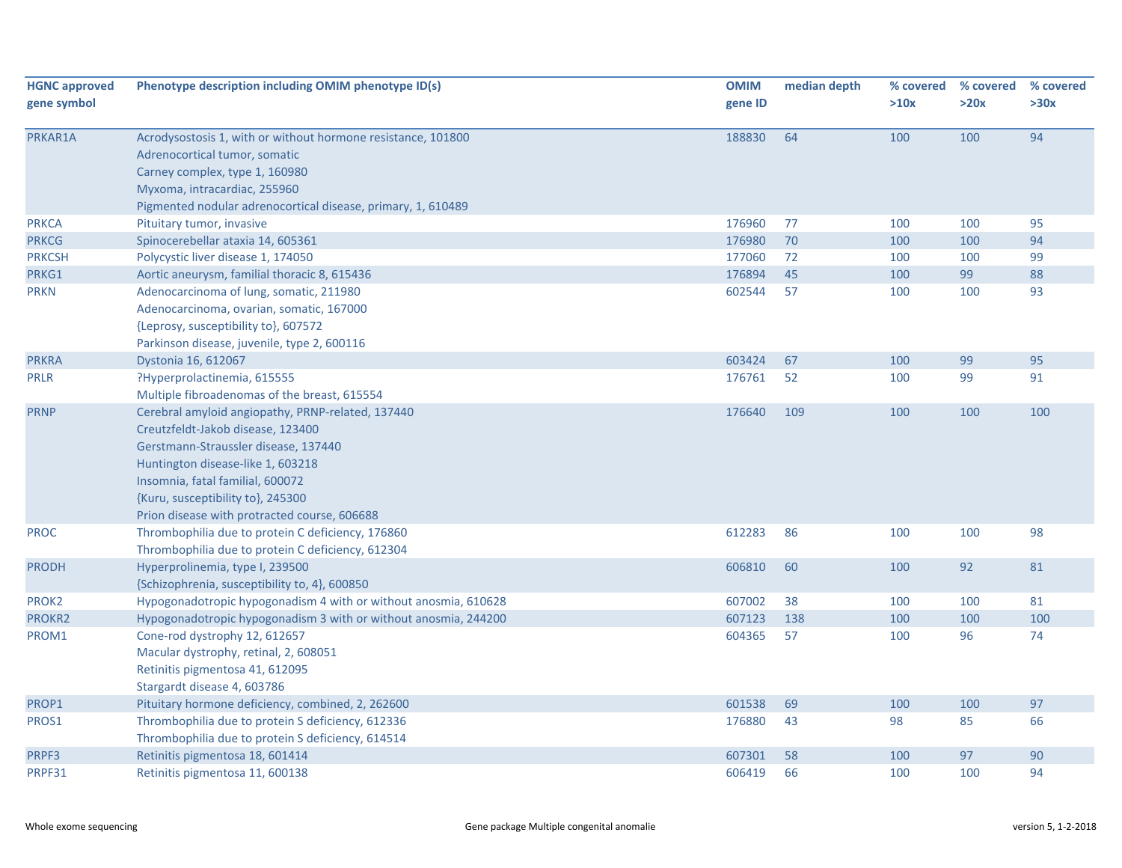| <b>HGNC approved</b> | Phenotype description including OMIM phenotype ID(s)            | <b>OMIM</b> | median depth | % covered | % covered | % covered |
|----------------------|-----------------------------------------------------------------|-------------|--------------|-----------|-----------|-----------|
| gene symbol          |                                                                 | gene ID     |              | >10x      | >20x      | >30x      |
| PRKAR1A              | Acrodysostosis 1, with or without hormone resistance, 101800    | 188830      | 64           | 100       | 100       | 94        |
|                      | Adrenocortical tumor, somatic                                   |             |              |           |           |           |
|                      | Carney complex, type 1, 160980                                  |             |              |           |           |           |
|                      | Myxoma, intracardiac, 255960                                    |             |              |           |           |           |
|                      | Pigmented nodular adrenocortical disease, primary, 1, 610489    |             |              |           |           |           |
| <b>PRKCA</b>         | Pituitary tumor, invasive                                       | 176960      | 77           | 100       | 100       | 95        |
| <b>PRKCG</b>         | Spinocerebellar ataxia 14, 605361                               | 176980      | 70           | 100       | 100       | 94        |
| <b>PRKCSH</b>        | Polycystic liver disease 1, 174050                              | 177060      | 72           | 100       | 100       | 99        |
| PRKG1                | Aortic aneurysm, familial thoracic 8, 615436                    | 176894      | 45           | 100       | 99        | 88        |
| <b>PRKN</b>          | Adenocarcinoma of lung, somatic, 211980                         | 602544      | 57           | 100       | 100       | 93        |
|                      | Adenocarcinoma, ovarian, somatic, 167000                        |             |              |           |           |           |
|                      | {Leprosy, susceptibility to}, 607572                            |             |              |           |           |           |
|                      | Parkinson disease, juvenile, type 2, 600116                     |             |              |           |           |           |
| <b>PRKRA</b>         | Dystonia 16, 612067                                             | 603424      | 67           | 100       | 99        | 95        |
| <b>PRLR</b>          | ?Hyperprolactinemia, 615555                                     | 176761      | 52           | 100       | 99        | 91        |
|                      | Multiple fibroadenomas of the breast, 615554                    |             |              |           |           |           |
| <b>PRNP</b>          | Cerebral amyloid angiopathy, PRNP-related, 137440               | 176640      | 109          | 100       | 100       | 100       |
|                      | Creutzfeldt-Jakob disease, 123400                               |             |              |           |           |           |
|                      | Gerstmann-Straussler disease, 137440                            |             |              |           |           |           |
|                      | Huntington disease-like 1, 603218                               |             |              |           |           |           |
|                      | Insomnia, fatal familial, 600072                                |             |              |           |           |           |
|                      | {Kuru, susceptibility to}, 245300                               |             |              |           |           |           |
|                      | Prion disease with protracted course, 606688                    |             |              |           |           |           |
| <b>PROC</b>          | Thrombophilia due to protein C deficiency, 176860               | 612283      | 86           | 100       | 100       | 98        |
|                      | Thrombophilia due to protein C deficiency, 612304               |             |              |           |           |           |
| <b>PRODH</b>         | Hyperprolinemia, type I, 239500                                 | 606810      | 60           | 100       | 92        | 81        |
|                      | {Schizophrenia, susceptibility to, 4}, 600850                   |             |              |           |           |           |
| PROK2                | Hypogonadotropic hypogonadism 4 with or without anosmia, 610628 | 607002      | 38           | 100       | 100       | 81        |
| PROKR2               | Hypogonadotropic hypogonadism 3 with or without anosmia, 244200 | 607123      | 138          | 100       | 100       | 100       |
| PROM1                | Cone-rod dystrophy 12, 612657                                   | 604365      | 57           | 100       | 96        | 74        |
|                      | Macular dystrophy, retinal, 2, 608051                           |             |              |           |           |           |
|                      | Retinitis pigmentosa 41, 612095                                 |             |              |           |           |           |
|                      | Stargardt disease 4, 603786                                     |             |              |           |           |           |
| PROP1                | Pituitary hormone deficiency, combined, 2, 262600               | 601538      | 69           | 100       | 100       | 97        |
| PROS1                | Thrombophilia due to protein S deficiency, 612336               | 176880      | 43           | 98        | 85        | 66        |
|                      | Thrombophilia due to protein S deficiency, 614514               |             |              |           |           |           |
| PRPF3                | Retinitis pigmentosa 18, 601414                                 | 607301      | 58           | 100       | 97        | 90        |
| PRPF31               | Retinitis pigmentosa 11, 600138                                 | 606419      | 66           | 100       | 100       | 94        |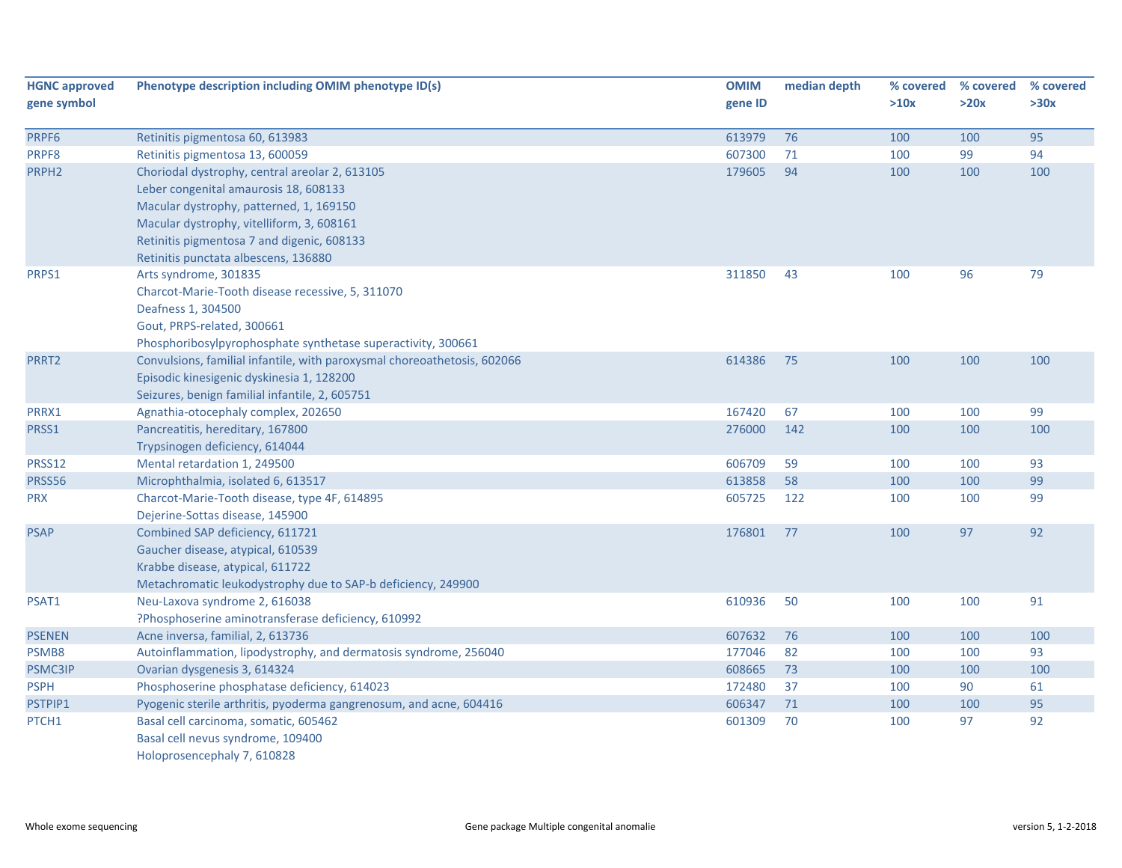| <b>HGNC approved</b> | Phenotype description including OMIM phenotype ID(s)                     | <b>OMIM</b> | median depth | % covered | % covered | % covered |
|----------------------|--------------------------------------------------------------------------|-------------|--------------|-----------|-----------|-----------|
| gene symbol          |                                                                          | gene ID     |              | >10x      | >20x      | >30x      |
|                      |                                                                          |             |              |           |           |           |
| PRPF6                | Retinitis pigmentosa 60, 613983                                          | 613979      | 76           | 100       | 100       | 95        |
| PRPF8                | Retinitis pigmentosa 13, 600059                                          | 607300      | 71           | 100       | 99        | 94        |
| PRPH <sub>2</sub>    | Choriodal dystrophy, central areolar 2, 613105                           | 179605      | 94           | 100       | 100       | 100       |
|                      | Leber congenital amaurosis 18, 608133                                    |             |              |           |           |           |
|                      | Macular dystrophy, patterned, 1, 169150                                  |             |              |           |           |           |
|                      | Macular dystrophy, vitelliform, 3, 608161                                |             |              |           |           |           |
|                      | Retinitis pigmentosa 7 and digenic, 608133                               |             |              |           |           |           |
|                      | Retinitis punctata albescens, 136880                                     |             |              |           |           |           |
| PRPS1                | Arts syndrome, 301835                                                    | 311850      | 43           | 100       | 96        | 79        |
|                      | Charcot-Marie-Tooth disease recessive, 5, 311070                         |             |              |           |           |           |
|                      | Deafness 1, 304500                                                       |             |              |           |           |           |
|                      | Gout, PRPS-related, 300661                                               |             |              |           |           |           |
|                      | Phosphoribosylpyrophosphate synthetase superactivity, 300661             |             |              |           |           |           |
| PRRT2                | Convulsions, familial infantile, with paroxysmal choreoathetosis, 602066 | 614386      | 75           | 100       | 100       | 100       |
|                      | Episodic kinesigenic dyskinesia 1, 128200                                |             |              |           |           |           |
|                      | Seizures, benign familial infantile, 2, 605751                           |             |              |           |           |           |
| PRRX1                | Agnathia-otocephaly complex, 202650                                      | 167420      | 67           | 100       | 100       | 99        |
| PRSS1                | Pancreatitis, hereditary, 167800                                         | 276000      | 142          | 100       | 100       | 100       |
|                      | Trypsinogen deficiency, 614044                                           |             |              |           |           |           |
| PRSS12               | Mental retardation 1, 249500                                             | 606709      | 59           | 100       | 100       | 93        |
| PRSS56               | Microphthalmia, isolated 6, 613517                                       | 613858      | 58           | 100       | 100       | 99        |
| <b>PRX</b>           | Charcot-Marie-Tooth disease, type 4F, 614895                             | 605725      | 122          | 100       | 100       | 99        |
|                      | Dejerine-Sottas disease, 145900                                          |             |              |           |           |           |
| <b>PSAP</b>          | Combined SAP deficiency, 611721                                          | 176801      | 77           | 100       | 97        | 92        |
|                      | Gaucher disease, atypical, 610539                                        |             |              |           |           |           |
|                      | Krabbe disease, atypical, 611722                                         |             |              |           |           |           |
|                      | Metachromatic leukodystrophy due to SAP-b deficiency, 249900             |             |              |           |           |           |
| PSAT1                | Neu-Laxova syndrome 2, 616038                                            | 610936      | 50           | 100       | 100       | 91        |
|                      | ?Phosphoserine aminotransferase deficiency, 610992                       |             |              |           |           |           |
| <b>PSENEN</b>        | Acne inversa, familial, 2, 613736                                        | 607632      | 76           | 100       | 100       | 100       |
| PSMB8                | Autoinflammation, lipodystrophy, and dermatosis syndrome, 256040         | 177046      | 82           | 100       | 100       | 93        |
| <b>PSMC3IP</b>       | Ovarian dysgenesis 3, 614324                                             | 608665      | 73           | 100       | 100       | 100       |
| <b>PSPH</b>          | Phosphoserine phosphatase deficiency, 614023                             | 172480      | 37           | 100       | 90        | 61        |
| PSTPIP1              | Pyogenic sterile arthritis, pyoderma gangrenosum, and acne, 604416       | 606347      | 71           | 100       | 100       | 95        |
| PTCH1                | Basal cell carcinoma, somatic, 605462                                    | 601309      | 70           | 100       | 97        | 92        |
|                      | Basal cell nevus syndrome, 109400                                        |             |              |           |           |           |
|                      | Holoprosencephaly 7, 610828                                              |             |              |           |           |           |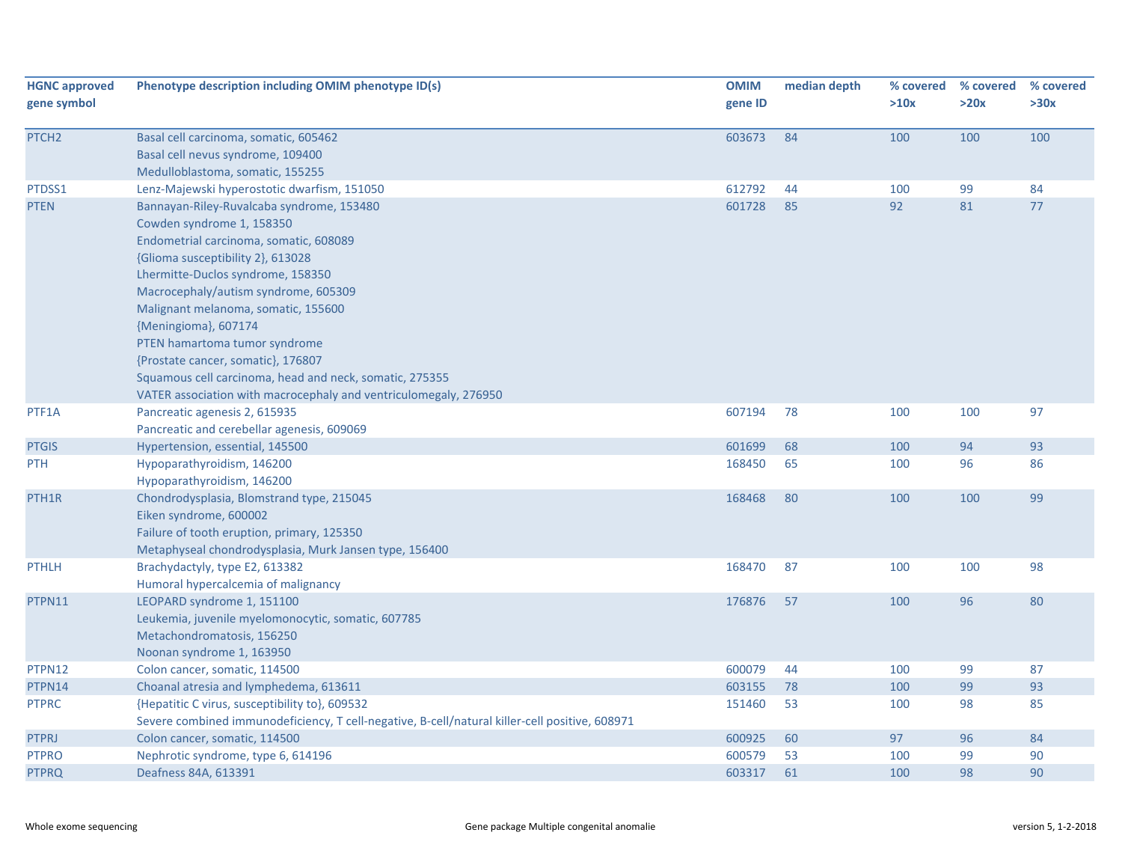| <b>HGNC approved</b><br>gene symbol | Phenotype description including OMIM phenotype ID(s)                                           | <b>OMIM</b><br>gene ID | median depth | % covered<br>>10x | % covered<br>>20x | % covered<br>>30x |
|-------------------------------------|------------------------------------------------------------------------------------------------|------------------------|--------------|-------------------|-------------------|-------------------|
|                                     |                                                                                                |                        |              |                   |                   |                   |
| PTCH <sub>2</sub>                   | Basal cell carcinoma, somatic, 605462                                                          | 603673                 | 84           | 100               | 100               | 100               |
|                                     | Basal cell nevus syndrome, 109400                                                              |                        |              |                   |                   |                   |
|                                     | Medulloblastoma, somatic, 155255                                                               |                        |              |                   |                   |                   |
| PTDSS1                              | Lenz-Majewski hyperostotic dwarfism, 151050                                                    | 612792                 | 44           | 100               | 99                | 84                |
| <b>PTEN</b>                         | Bannayan-Riley-Ruvalcaba syndrome, 153480                                                      | 601728                 | 85           | 92                | 81                | 77                |
|                                     | Cowden syndrome 1, 158350                                                                      |                        |              |                   |                   |                   |
|                                     | Endometrial carcinoma, somatic, 608089                                                         |                        |              |                   |                   |                   |
|                                     | {Glioma susceptibility 2}, 613028                                                              |                        |              |                   |                   |                   |
|                                     | Lhermitte-Duclos syndrome, 158350                                                              |                        |              |                   |                   |                   |
|                                     | Macrocephaly/autism syndrome, 605309                                                           |                        |              |                   |                   |                   |
|                                     | Malignant melanoma, somatic, 155600                                                            |                        |              |                   |                   |                   |
|                                     | {Meningioma}, 607174                                                                           |                        |              |                   |                   |                   |
|                                     | PTEN hamartoma tumor syndrome                                                                  |                        |              |                   |                   |                   |
|                                     | {Prostate cancer, somatic}, 176807                                                             |                        |              |                   |                   |                   |
|                                     | Squamous cell carcinoma, head and neck, somatic, 275355                                        |                        |              |                   |                   |                   |
|                                     | VATER association with macrocephaly and ventriculomegaly, 276950                               |                        |              |                   |                   |                   |
| PTF1A                               | Pancreatic agenesis 2, 615935                                                                  | 607194                 | 78           | 100               | 100               | 97                |
|                                     | Pancreatic and cerebellar agenesis, 609069                                                     |                        |              |                   |                   |                   |
| <b>PTGIS</b>                        | Hypertension, essential, 145500                                                                | 601699                 | 68           | 100               | 94                | 93                |
| PTH                                 | Hypoparathyroidism, 146200                                                                     | 168450                 | 65           | 100               | 96                | 86                |
|                                     | Hypoparathyroidism, 146200                                                                     |                        |              |                   |                   |                   |
| PTH <sub>1</sub> R                  | Chondrodysplasia, Blomstrand type, 215045                                                      | 168468                 | 80           | 100               | 100               | 99                |
|                                     | Eiken syndrome, 600002                                                                         |                        |              |                   |                   |                   |
|                                     | Failure of tooth eruption, primary, 125350                                                     |                        |              |                   |                   |                   |
|                                     | Metaphyseal chondrodysplasia, Murk Jansen type, 156400                                         |                        |              |                   |                   |                   |
| <b>PTHLH</b>                        | Brachydactyly, type E2, 613382                                                                 | 168470                 | 87           | 100               | 100               | 98                |
|                                     | Humoral hypercalcemia of malignancy                                                            |                        |              |                   |                   |                   |
| PTPN11                              | LEOPARD syndrome 1, 151100                                                                     | 176876                 | 57           | 100               | 96                | 80                |
|                                     | Leukemia, juvenile myelomonocytic, somatic, 607785                                             |                        |              |                   |                   |                   |
|                                     | Metachondromatosis, 156250                                                                     |                        |              |                   |                   |                   |
|                                     | Noonan syndrome 1, 163950                                                                      |                        |              |                   |                   |                   |
| PTPN12                              | Colon cancer, somatic, 114500                                                                  | 600079                 | 44           | 100               | 99                | 87                |
| PTPN14                              | Choanal atresia and lymphedema, 613611                                                         | 603155                 | 78           | 100               | 99                | 93                |
| <b>PTPRC</b>                        | {Hepatitic C virus, susceptibility to}, 609532                                                 | 151460                 | 53           | 100               | 98                | 85                |
|                                     | Severe combined immunodeficiency, T cell-negative, B-cell/natural killer-cell positive, 608971 |                        |              |                   |                   |                   |
| <b>PTPRJ</b>                        | Colon cancer, somatic, 114500                                                                  | 600925                 | 60           | 97                | 96                | 84                |
| <b>PTPRO</b>                        | Nephrotic syndrome, type 6, 614196                                                             | 600579                 | 53           | 100               | 99                | 90                |
| <b>PTPRQ</b>                        | Deafness 84A, 613391                                                                           | 603317                 | 61           | 100               | 98                | 90                |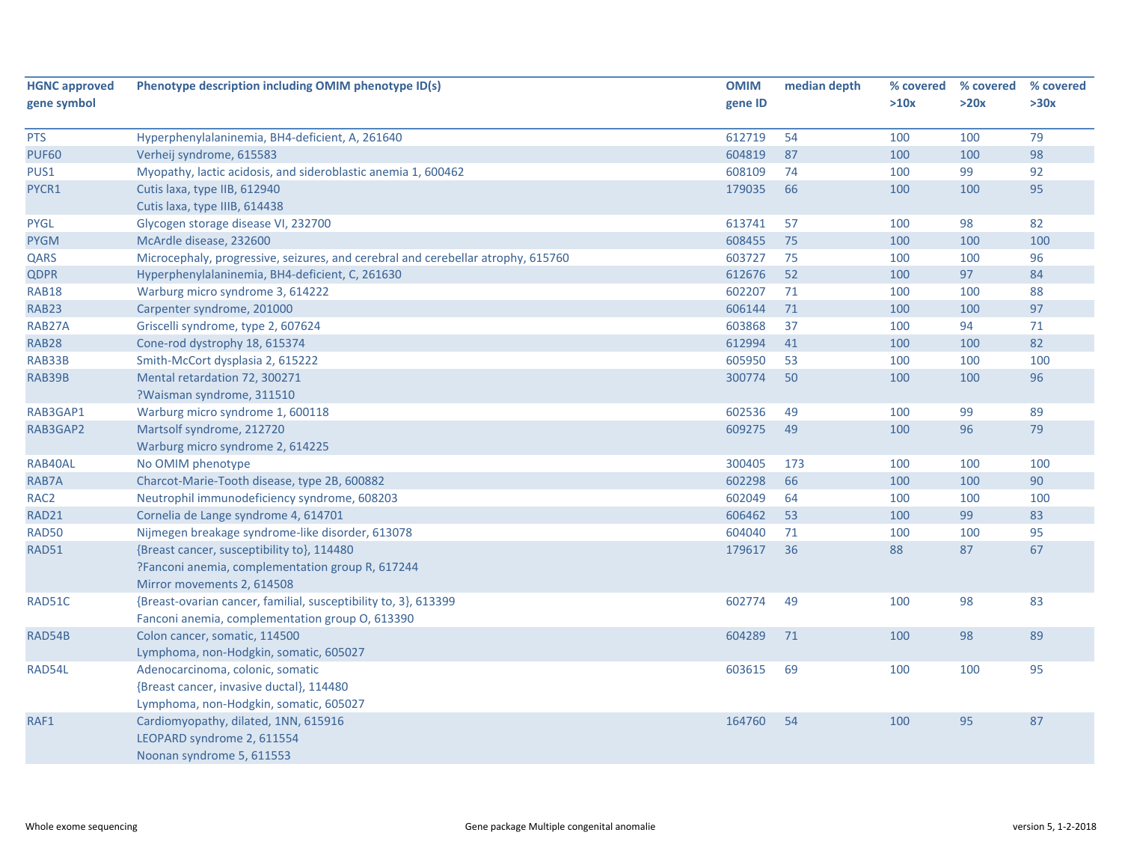| <b>HGNC approved</b> | Phenotype description including OMIM phenotype ID(s)                             | <b>OMIM</b> | median depth | % covered | % covered | % covered |
|----------------------|----------------------------------------------------------------------------------|-------------|--------------|-----------|-----------|-----------|
| gene symbol          |                                                                                  | gene ID     |              | >10x      | >20x      | >30x      |
|                      |                                                                                  |             |              |           |           |           |
| <b>PTS</b>           | Hyperphenylalaninemia, BH4-deficient, A, 261640                                  | 612719      | 54           | 100       | 100       | 79        |
| <b>PUF60</b>         | Verheij syndrome, 615583                                                         | 604819      | 87           | 100       | 100       | 98        |
| PUS1                 | Myopathy, lactic acidosis, and sideroblastic anemia 1, 600462                    | 608109      | 74           | 100       | 99        | 92        |
| PYCR1                | Cutis laxa, type IIB, 612940                                                     | 179035      | 66           | 100       | 100       | 95        |
|                      | Cutis laxa, type IIIB, 614438                                                    |             |              |           |           |           |
| <b>PYGL</b>          | Glycogen storage disease VI, 232700                                              | 613741      | 57           | 100       | 98        | 82        |
| <b>PYGM</b>          | McArdle disease, 232600                                                          | 608455      | 75           | 100       | 100       | 100       |
| QARS                 | Microcephaly, progressive, seizures, and cerebral and cerebellar atrophy, 615760 | 603727      | 75           | 100       | 100       | 96        |
| <b>QDPR</b>          | Hyperphenylalaninemia, BH4-deficient, C, 261630                                  | 612676      | 52           | 100       | 97        | 84        |
| <b>RAB18</b>         | Warburg micro syndrome 3, 614222                                                 | 602207      | 71           | 100       | 100       | 88        |
| RAB23                | Carpenter syndrome, 201000                                                       | 606144      | 71           | 100       | 100       | 97        |
| RAB27A               | Griscelli syndrome, type 2, 607624                                               | 603868      | 37           | 100       | 94        | 71        |
| <b>RAB28</b>         | Cone-rod dystrophy 18, 615374                                                    | 612994      | 41           | 100       | 100       | 82        |
| RAB33B               | Smith-McCort dysplasia 2, 615222                                                 | 605950      | 53           | 100       | 100       | 100       |
| RAB39B               | Mental retardation 72, 300271                                                    | 300774      | 50           | 100       | 100       | 96        |
|                      | ?Waisman syndrome, 311510                                                        |             |              |           |           |           |
| RAB3GAP1             | Warburg micro syndrome 1, 600118                                                 | 602536      | 49           | 100       | 99        | 89        |
| RAB3GAP2             | Martsolf syndrome, 212720                                                        | 609275      | 49           | 100       | 96        | 79        |
|                      | Warburg micro syndrome 2, 614225                                                 |             |              |           |           |           |
| RAB40AL              | No OMIM phenotype                                                                | 300405      | 173          | 100       | 100       | 100       |
| RAB7A                | Charcot-Marie-Tooth disease, type 2B, 600882                                     | 602298      | 66           | 100       | 100       | 90        |
| RAC <sub>2</sub>     | Neutrophil immunodeficiency syndrome, 608203                                     | 602049      | 64           | 100       | 100       | 100       |
| RAD21                | Cornelia de Lange syndrome 4, 614701                                             | 606462      | 53           | 100       | 99        | 83        |
| <b>RAD50</b>         | Nijmegen breakage syndrome-like disorder, 613078                                 | 604040      | 71           | 100       | 100       | 95        |
| <b>RAD51</b>         | {Breast cancer, susceptibility to}, 114480                                       | 179617      | 36           | 88        | 87        | 67        |
|                      | ?Fanconi anemia, complementation group R, 617244                                 |             |              |           |           |           |
|                      | Mirror movements 2, 614508                                                       |             |              |           |           |           |
| RAD51C               | {Breast-ovarian cancer, familial, susceptibility to, 3}, 613399                  | 602774      | 49           | 100       | 98        | 83        |
|                      | Fanconi anemia, complementation group O, 613390                                  |             |              |           |           |           |
| RAD54B               | Colon cancer, somatic, 114500                                                    | 604289      | 71           | 100       | 98        | 89        |
|                      | Lymphoma, non-Hodgkin, somatic, 605027                                           |             |              |           |           |           |
| RAD54L               | Adenocarcinoma, colonic, somatic                                                 | 603615      | 69           | 100       | 100       | 95        |
|                      | {Breast cancer, invasive ductal}, 114480                                         |             |              |           |           |           |
|                      | Lymphoma, non-Hodgkin, somatic, 605027                                           |             |              |           |           |           |
| RAF1                 | Cardiomyopathy, dilated, 1NN, 615916                                             | 164760      | 54           | 100       | 95        | 87        |
|                      | LEOPARD syndrome 2, 611554                                                       |             |              |           |           |           |
|                      | Noonan syndrome 5, 611553                                                        |             |              |           |           |           |
|                      |                                                                                  |             |              |           |           |           |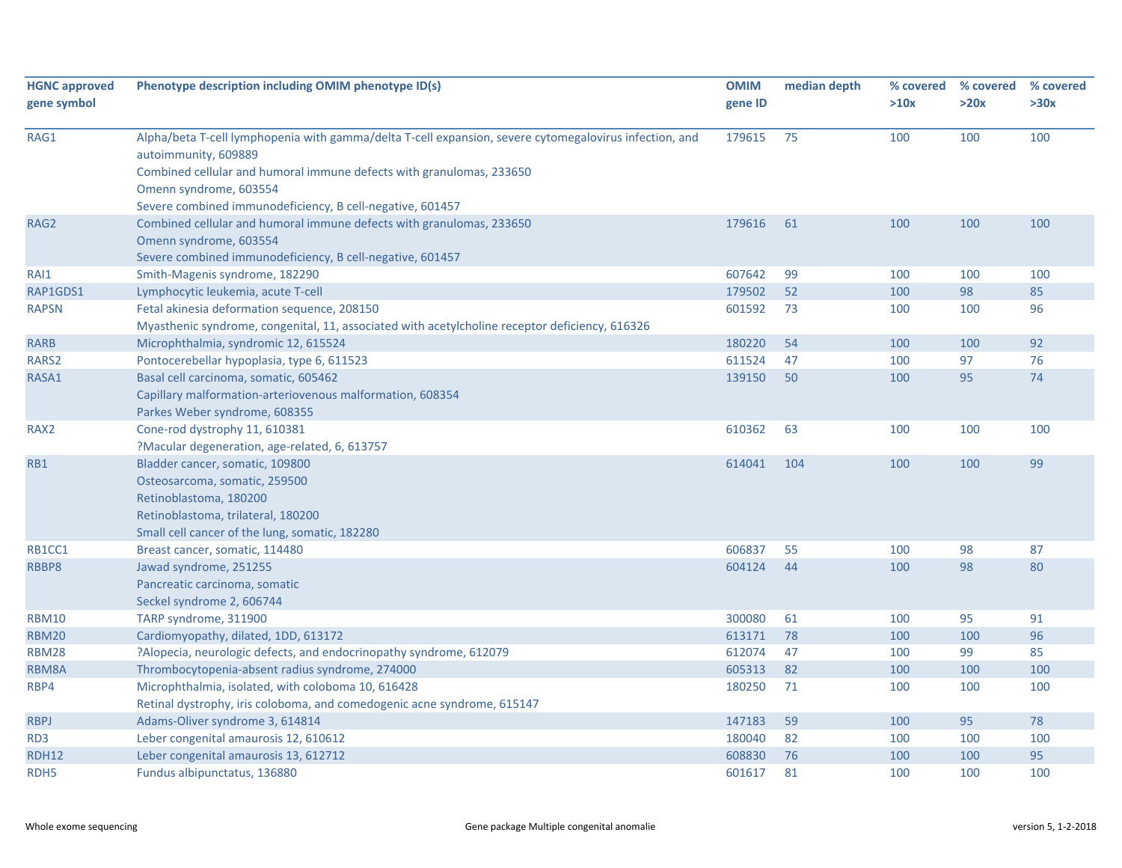| <b>HGNC approved</b> | Phenotype description including OMIM phenotype ID(s)                                                                           | <b>OMIM</b> | median depth | % covered | % covered | % covered |
|----------------------|--------------------------------------------------------------------------------------------------------------------------------|-------------|--------------|-----------|-----------|-----------|
| gene symbol          |                                                                                                                                | gene ID     |              | >10x      | >20x      | >30x      |
|                      |                                                                                                                                |             |              |           |           |           |
| RAG1                 | Alpha/beta T-cell lymphopenia with gamma/delta T-cell expansion, severe cytomegalovirus infection, and<br>autoimmunity, 609889 | 179615      | 75           | 100       | 100       | 100       |
|                      | Combined cellular and humoral immune defects with granulomas, 233650                                                           |             |              |           |           |           |
|                      | Omenn syndrome, 603554                                                                                                         |             |              |           |           |           |
|                      | Severe combined immunodeficiency, B cell-negative, 601457                                                                      |             |              |           |           |           |
| RAG2                 | Combined cellular and humoral immune defects with granulomas, 233650                                                           | 179616      | 61           | 100       | 100       | 100       |
|                      | Omenn syndrome, 603554                                                                                                         |             |              |           |           |           |
|                      | Severe combined immunodeficiency, B cell-negative, 601457                                                                      |             |              |           |           |           |
| RAI1                 | Smith-Magenis syndrome, 182290                                                                                                 | 607642      | 99           | 100       | 100       | 100       |
| RAP1GDS1             | Lymphocytic leukemia, acute T-cell                                                                                             | 179502      | 52           | 100       | 98        | 85        |
| <b>RAPSN</b>         | Fetal akinesia deformation sequence, 208150                                                                                    | 601592      | 73           | 100       | 100       | 96        |
|                      | Myasthenic syndrome, congenital, 11, associated with acetylcholine receptor deficiency, 616326                                 |             |              |           |           |           |
| <b>RARB</b>          | Microphthalmia, syndromic 12, 615524                                                                                           | 180220      | 54           | 100       | 100       | 92        |
| RARS2                | Pontocerebellar hypoplasia, type 6, 611523                                                                                     | 611524      | 47           | 100       | 97        | 76        |
| RASA1                | Basal cell carcinoma, somatic, 605462                                                                                          | 139150      | 50           | 100       | 95        | 74        |
|                      | Capillary malformation-arteriovenous malformation, 608354                                                                      |             |              |           |           |           |
|                      | Parkes Weber syndrome, 608355                                                                                                  |             |              |           |           |           |
| RAX <sub>2</sub>     | Cone-rod dystrophy 11, 610381                                                                                                  | 610362      | 63           | 100       | 100       | 100       |
|                      | ?Macular degeneration, age-related, 6, 613757                                                                                  |             |              |           |           |           |
| RB1                  | Bladder cancer, somatic, 109800                                                                                                | 614041      | 104          | 100       | 100       | 99        |
|                      | Osteosarcoma, somatic, 259500                                                                                                  |             |              |           |           |           |
|                      | Retinoblastoma, 180200                                                                                                         |             |              |           |           |           |
|                      | Retinoblastoma, trilateral, 180200                                                                                             |             |              |           |           |           |
|                      | Small cell cancer of the lung, somatic, 182280                                                                                 |             |              |           |           |           |
| RB1CC1               | Breast cancer, somatic, 114480                                                                                                 | 606837      | 55           | 100       | 98        | 87        |
| RBBP8                | Jawad syndrome, 251255                                                                                                         | 604124      | 44           | 100       | 98        | 80        |
|                      | Pancreatic carcinoma, somatic                                                                                                  |             |              |           |           |           |
|                      | Seckel syndrome 2, 606744                                                                                                      |             |              |           |           |           |
| <b>RBM10</b>         | TARP syndrome, 311900                                                                                                          | 300080      | 61           | 100       | 95        | 91        |
| <b>RBM20</b>         | Cardiomyopathy, dilated, 1DD, 613172                                                                                           | 613171      | 78           | 100       | 100       | 96        |
| <b>RBM28</b>         | ?Alopecia, neurologic defects, and endocrinopathy syndrome, 612079                                                             | 612074      | 47           | 100       | 99        | 85        |
| RBM8A                | Thrombocytopenia-absent radius syndrome, 274000                                                                                | 605313      | 82           | 100       | 100       | 100       |
| RBP4                 | Microphthalmia, isolated, with coloboma 10, 616428                                                                             | 180250      | 71           | 100       | 100       | 100       |
|                      | Retinal dystrophy, iris coloboma, and comedogenic acne syndrome, 615147                                                        |             |              |           |           |           |
| <b>RBPJ</b>          | Adams-Oliver syndrome 3, 614814                                                                                                | 147183      | 59           | 100       | 95        | 78        |
| RD <sub>3</sub>      | Leber congenital amaurosis 12, 610612                                                                                          | 180040      | 82           | 100       | 100       | 100       |
| <b>RDH12</b>         | Leber congenital amaurosis 13, 612712                                                                                          | 608830      | 76           | 100       | 100       | 95        |
| RDH <sub>5</sub>     | Fundus albipunctatus, 136880                                                                                                   | 601617      | 81           | 100       | 100       | 100       |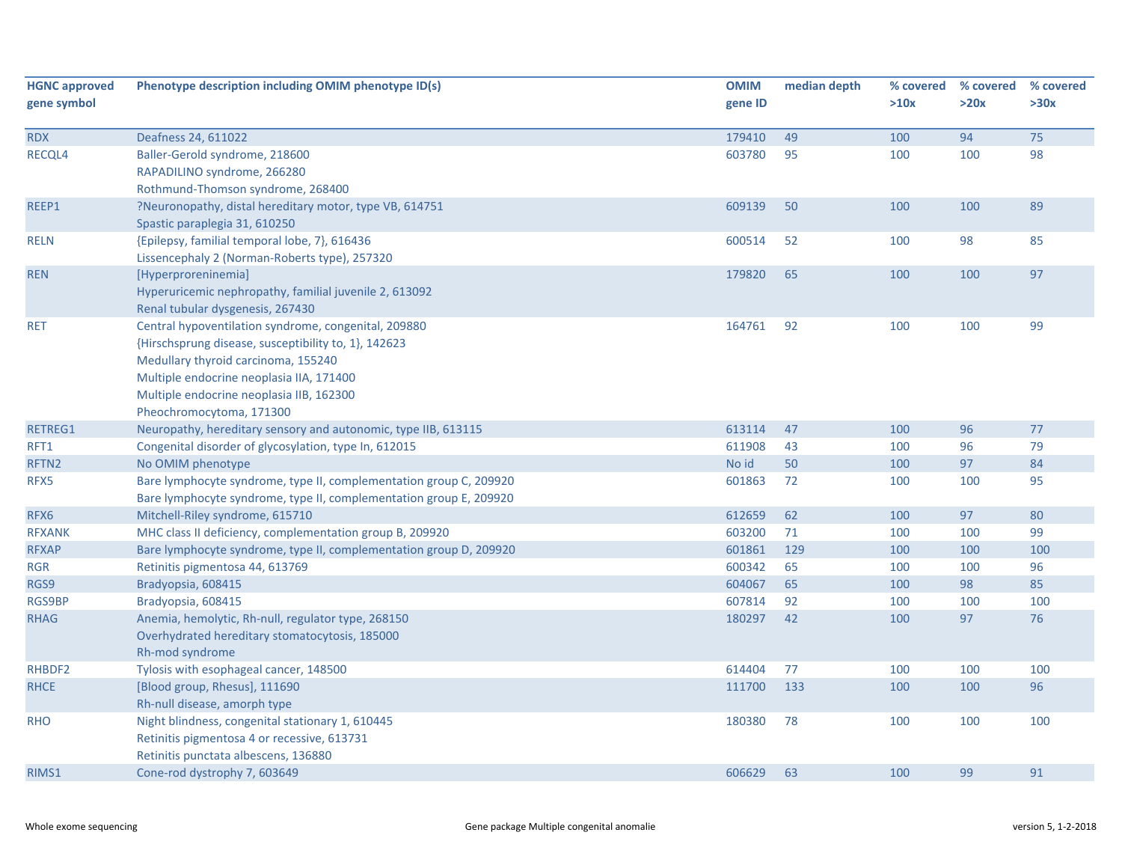| <b>HGNC approved</b><br>gene symbol | Phenotype description including OMIM phenotype ID(s)                                                                                                                                                                                                                    | <b>OMIM</b><br>gene ID | median depth | % covered<br>>10x | % covered<br>>20x | % covered<br>>30x |
|-------------------------------------|-------------------------------------------------------------------------------------------------------------------------------------------------------------------------------------------------------------------------------------------------------------------------|------------------------|--------------|-------------------|-------------------|-------------------|
| <b>RDX</b>                          | Deafness 24, 611022                                                                                                                                                                                                                                                     | 179410                 | 49           | 100               | 94                | 75                |
| RECQL4                              | Baller-Gerold syndrome, 218600<br>RAPADILINO syndrome, 266280<br>Rothmund-Thomson syndrome, 268400                                                                                                                                                                      | 603780                 | 95           | 100               | 100               | 98                |
| REEP1                               | ?Neuronopathy, distal hereditary motor, type VB, 614751<br>Spastic paraplegia 31, 610250                                                                                                                                                                                | 609139                 | 50           | 100               | 100               | 89                |
| <b>RELN</b>                         | {Epilepsy, familial temporal lobe, 7}, 616436<br>Lissencephaly 2 (Norman-Roberts type), 257320                                                                                                                                                                          | 600514                 | 52           | 100               | 98                | 85                |
| <b>REN</b>                          | [Hyperproreninemia]<br>Hyperuricemic nephropathy, familial juvenile 2, 613092<br>Renal tubular dysgenesis, 267430                                                                                                                                                       | 179820                 | 65           | 100               | 100               | 97                |
| <b>RET</b>                          | Central hypoventilation syndrome, congenital, 209880<br>{Hirschsprung disease, susceptibility to, 1}, 142623<br>Medullary thyroid carcinoma, 155240<br>Multiple endocrine neoplasia IIA, 171400<br>Multiple endocrine neoplasia IIB, 162300<br>Pheochromocytoma, 171300 | 164761                 | 92           | 100               | 100               | 99                |
| RETREG1                             | Neuropathy, hereditary sensory and autonomic, type IIB, 613115                                                                                                                                                                                                          | 613114                 | 47           | 100               | 96                | 77                |
| RFT1                                | Congenital disorder of glycosylation, type In, 612015                                                                                                                                                                                                                   | 611908                 | 43           | 100               | 96                | 79                |
| RFTN2                               | No OMIM phenotype                                                                                                                                                                                                                                                       | No id                  | 50           | 100               | 97                | 84                |
| RFX5                                | Bare lymphocyte syndrome, type II, complementation group C, 209920<br>Bare lymphocyte syndrome, type II, complementation group E, 209920                                                                                                                                | 601863                 | 72           | 100               | 100               | 95                |
| RFX6                                | Mitchell-Riley syndrome, 615710                                                                                                                                                                                                                                         | 612659                 | 62           | 100               | 97                | 80                |
| <b>RFXANK</b>                       | MHC class II deficiency, complementation group B, 209920                                                                                                                                                                                                                | 603200                 | 71           | 100               | 100               | 99                |
| <b>RFXAP</b>                        | Bare lymphocyte syndrome, type II, complementation group D, 209920                                                                                                                                                                                                      | 601861                 | 129          | 100               | 100               | 100               |
| RGR                                 | Retinitis pigmentosa 44, 613769                                                                                                                                                                                                                                         | 600342                 | 65           | 100               | 100               | 96                |
| RGS9                                | Bradyopsia, 608415                                                                                                                                                                                                                                                      | 604067                 | 65           | 100               | 98                | 85                |
| <b>RGS9BP</b>                       | Bradyopsia, 608415                                                                                                                                                                                                                                                      | 607814                 | 92           | 100               | 100               | 100               |
| <b>RHAG</b>                         | Anemia, hemolytic, Rh-null, regulator type, 268150<br>Overhydrated hereditary stomatocytosis, 185000<br>Rh-mod syndrome                                                                                                                                                 | 180297                 | 42           | 100               | 97                | 76                |
| RHBDF2                              | Tylosis with esophageal cancer, 148500                                                                                                                                                                                                                                  | 614404                 | 77           | 100               | 100               | 100               |
| <b>RHCE</b>                         | [Blood group, Rhesus], 111690<br>Rh-null disease, amorph type                                                                                                                                                                                                           | 111700                 | 133          | 100               | 100               | 96                |
| <b>RHO</b>                          | Night blindness, congenital stationary 1, 610445<br>Retinitis pigmentosa 4 or recessive, 613731<br>Retinitis punctata albescens, 136880                                                                                                                                 | 180380                 | 78           | 100               | 100               | 100               |
| RIMS1                               | Cone-rod dystrophy 7, 603649                                                                                                                                                                                                                                            | 606629                 | 63           | 100               | 99                | 91                |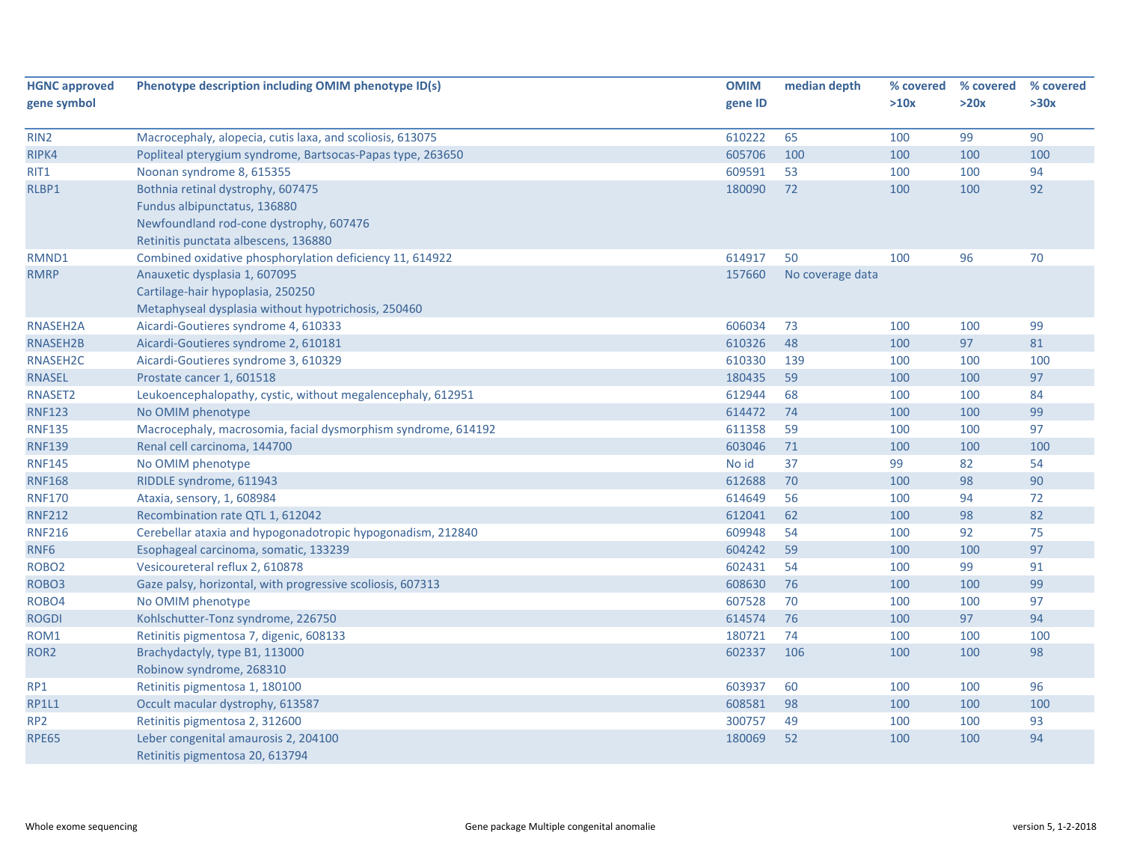| <b>HGNC approved</b> | Phenotype description including OMIM phenotype ID(s)          | <b>OMIM</b> | median depth     | % covered | % covered | % covered |
|----------------------|---------------------------------------------------------------|-------------|------------------|-----------|-----------|-----------|
| gene symbol          |                                                               | gene ID     |                  | >10x      | >20x      | >30x      |
|                      |                                                               |             |                  |           |           |           |
| RIN <sub>2</sub>     | Macrocephaly, alopecia, cutis laxa, and scoliosis, 613075     | 610222      | 65               | 100       | 99        | 90        |
| RIPK4                | Popliteal pterygium syndrome, Bartsocas-Papas type, 263650    | 605706      | 100              | 100       | 100       | 100       |
| RIT1                 | Noonan syndrome 8, 615355                                     | 609591      | 53               | 100       | 100       | 94        |
| RLBP1                | Bothnia retinal dystrophy, 607475                             | 180090      | 72               | 100       | 100       | 92        |
|                      | Fundus albipunctatus, 136880                                  |             |                  |           |           |           |
|                      | Newfoundland rod-cone dystrophy, 607476                       |             |                  |           |           |           |
|                      | Retinitis punctata albescens, 136880                          |             |                  |           |           |           |
| RMND1                | Combined oxidative phosphorylation deficiency 11, 614922      | 614917      | 50               | 100       | 96        | 70        |
| <b>RMRP</b>          | Anauxetic dysplasia 1, 607095                                 | 157660      | No coverage data |           |           |           |
|                      | Cartilage-hair hypoplasia, 250250                             |             |                  |           |           |           |
|                      | Metaphyseal dysplasia without hypotrichosis, 250460           |             |                  |           |           |           |
| RNASEH2A             | Aicardi-Goutieres syndrome 4, 610333                          | 606034      | 73               | 100       | 100       | 99        |
| RNASEH2B             | Aicardi-Goutieres syndrome 2, 610181                          | 610326      | 48               | 100       | 97        | 81        |
| RNASEH2C             | Aicardi-Goutieres syndrome 3, 610329                          | 610330      | 139              | 100       | 100       | 100       |
| <b>RNASEL</b>        | Prostate cancer 1, 601518                                     | 180435      | 59               | 100       | 100       | 97        |
| RNASET2              | Leukoencephalopathy, cystic, without megalencephaly, 612951   | 612944      | 68               | 100       | 100       | 84        |
| <b>RNF123</b>        | No OMIM phenotype                                             | 614472      | 74               | 100       | 100       | 99        |
| <b>RNF135</b>        | Macrocephaly, macrosomia, facial dysmorphism syndrome, 614192 | 611358      | 59               | 100       | 100       | 97        |
| <b>RNF139</b>        | Renal cell carcinoma, 144700                                  | 603046      | 71               | 100       | 100       | 100       |
| <b>RNF145</b>        | No OMIM phenotype                                             | No id       | 37               | 99        | 82        | 54        |
| <b>RNF168</b>        | RIDDLE syndrome, 611943                                       | 612688      | 70               | 100       | 98        | 90        |
| <b>RNF170</b>        | Ataxia, sensory, 1, 608984                                    | 614649      | 56               | 100       | 94        | 72        |
| <b>RNF212</b>        | Recombination rate QTL 1, 612042                              | 612041      | 62               | 100       | 98        | 82        |
| <b>RNF216</b>        | Cerebellar ataxia and hypogonadotropic hypogonadism, 212840   | 609948      | 54               | 100       | 92        | 75        |
| RNF6                 | Esophageal carcinoma, somatic, 133239                         | 604242      | 59               | 100       | 100       | 97        |
| ROBO <sub>2</sub>    | Vesicoureteral reflux 2, 610878                               | 602431      | 54               | 100       | 99        | 91        |
| ROBO <sub>3</sub>    | Gaze palsy, horizontal, with progressive scoliosis, 607313    | 608630      | 76               | 100       | 100       | 99        |
| ROBO4                | No OMIM phenotype                                             | 607528      | 70               | 100       | 100       | 97        |
| <b>ROGDI</b>         | Kohlschutter-Tonz syndrome, 226750                            | 614574      | 76               | 100       | 97        | 94        |
| ROM1                 | Retinitis pigmentosa 7, digenic, 608133                       | 180721      | 74               | 100       | 100       | 100       |
| ROR <sub>2</sub>     | Brachydactyly, type B1, 113000                                | 602337      | 106              | 100       | 100       | 98        |
|                      | Robinow syndrome, 268310                                      |             |                  |           |           |           |
| RP1                  | Retinitis pigmentosa 1, 180100                                | 603937      | 60               | 100       | 100       | 96        |
| <b>RP1L1</b>         | Occult macular dystrophy, 613587                              | 608581      | 98               | 100       | 100       | 100       |
| RP <sub>2</sub>      | Retinitis pigmentosa 2, 312600                                | 300757      | 49               | 100       | 100       | 93        |
| <b>RPE65</b>         | Leber congenital amaurosis 2, 204100                          | 180069      | 52               | 100       | 100       | 94        |
|                      | Retinitis pigmentosa 20, 613794                               |             |                  |           |           |           |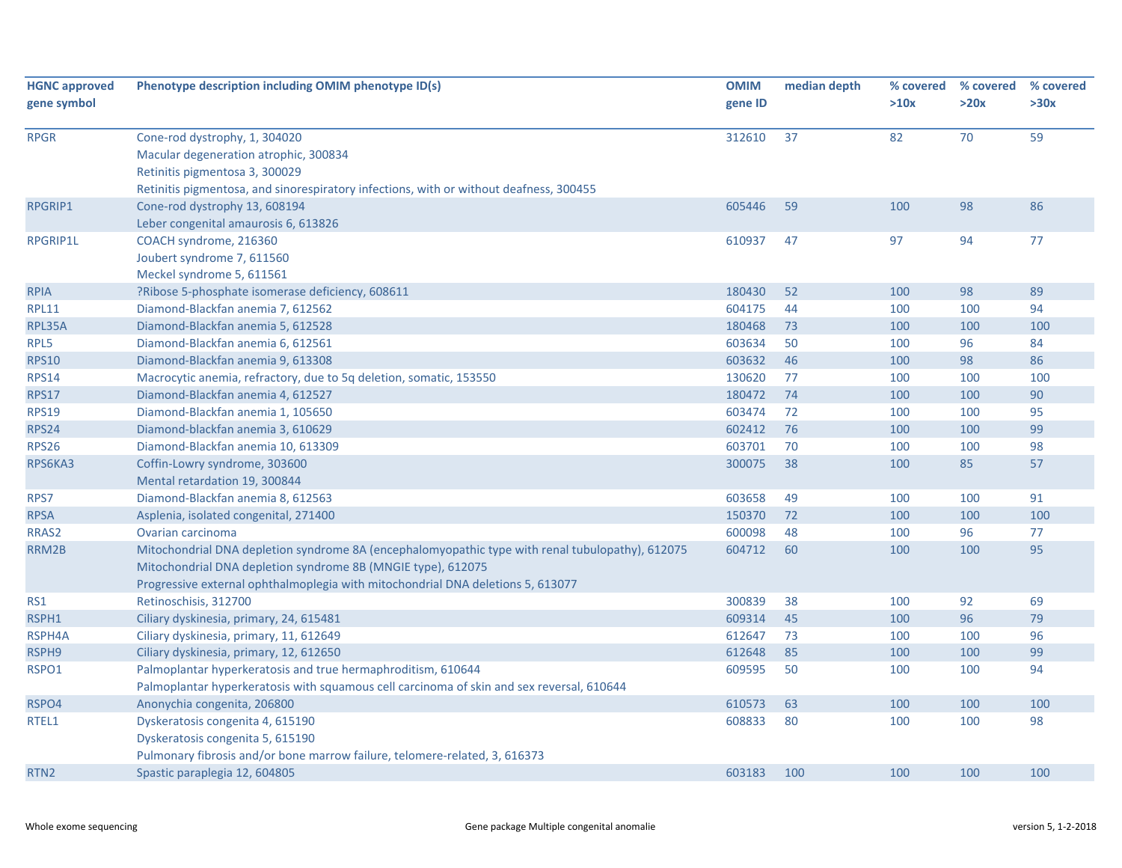| <b>HGNC approved</b><br>gene symbol | Phenotype description including OMIM phenotype ID(s)                                                                    | <b>OMIM</b><br>gene ID | median depth | % covered<br>>10x | % covered<br>>20x | % covered<br>>30x |
|-------------------------------------|-------------------------------------------------------------------------------------------------------------------------|------------------------|--------------|-------------------|-------------------|-------------------|
|                                     |                                                                                                                         |                        |              |                   |                   |                   |
| <b>RPGR</b>                         | Cone-rod dystrophy, 1, 304020                                                                                           | 312610                 | 37           | 82                | 70                | 59                |
|                                     | Macular degeneration atrophic, 300834                                                                                   |                        |              |                   |                   |                   |
|                                     | Retinitis pigmentosa 3, 300029                                                                                          |                        |              |                   |                   |                   |
| <b>RPGRIP1</b>                      | Retinitis pigmentosa, and sinorespiratory infections, with or without deafness, 300455<br>Cone-rod dystrophy 13, 608194 | 605446                 | 59           | 100               | 98                | 86                |
|                                     | Leber congenital amaurosis 6, 613826                                                                                    |                        |              |                   |                   |                   |
| <b>RPGRIP1L</b>                     | COACH syndrome, 216360                                                                                                  | 610937                 | 47           | 97                | 94                | 77                |
|                                     | Joubert syndrome 7, 611560                                                                                              |                        |              |                   |                   |                   |
|                                     | Meckel syndrome 5, 611561                                                                                               |                        |              |                   |                   |                   |
| <b>RPIA</b>                         | ?Ribose 5-phosphate isomerase deficiency, 608611                                                                        | 180430                 | 52           | 100               | 98                | 89                |
| <b>RPL11</b>                        | Diamond-Blackfan anemia 7, 612562                                                                                       | 604175                 | 44           | 100               | 100               | 94                |
| RPL35A                              | Diamond-Blackfan anemia 5, 612528                                                                                       | 180468                 | 73           | 100               | 100               | 100               |
| RPL5                                | Diamond-Blackfan anemia 6, 612561                                                                                       | 603634                 | 50           | 100               | 96                | 84                |
| <b>RPS10</b>                        | Diamond-Blackfan anemia 9, 613308                                                                                       | 603632                 | 46           | 100               | 98                | 86                |
| <b>RPS14</b>                        | Macrocytic anemia, refractory, due to 5q deletion, somatic, 153550                                                      | 130620                 | 77           | 100               | 100               | 100               |
| <b>RPS17</b>                        | Diamond-Blackfan anemia 4, 612527                                                                                       | 180472                 | 74           | 100               | 100               | 90                |
| <b>RPS19</b>                        | Diamond-Blackfan anemia 1, 105650                                                                                       | 603474                 | 72           | 100               | 100               | 95                |
| <b>RPS24</b>                        | Diamond-blackfan anemia 3, 610629                                                                                       | 602412                 | 76           | 100               | 100               | 99                |
| RPS26                               | Diamond-Blackfan anemia 10, 613309                                                                                      | 603701                 | 70           | 100               | 100               | 98                |
| RPS6KA3                             | Coffin-Lowry syndrome, 303600                                                                                           | 300075                 | 38           | 100               | 85                | 57                |
|                                     | Mental retardation 19, 300844                                                                                           |                        |              |                   |                   |                   |
| RPS7                                | Diamond-Blackfan anemia 8, 612563                                                                                       | 603658                 | 49           | 100               | 100               | 91                |
| <b>RPSA</b>                         | Asplenia, isolated congenital, 271400                                                                                   | 150370                 | 72           | 100               | 100               | 100               |
| RRAS2                               | Ovarian carcinoma                                                                                                       | 600098                 | 48           | 100               | 96                | 77                |
| RRM2B                               | Mitochondrial DNA depletion syndrome 8A (encephalomyopathic type with renal tubulopathy), 612075                        | 604712                 | 60           | 100               | 100               | 95                |
|                                     | Mitochondrial DNA depletion syndrome 8B (MNGIE type), 612075                                                            |                        |              |                   |                   |                   |
|                                     | Progressive external ophthalmoplegia with mitochondrial DNA deletions 5, 613077                                         |                        |              |                   |                   |                   |
| RS1                                 | Retinoschisis, 312700                                                                                                   | 300839                 | 38           | 100               | 92                | 69                |
| RSPH1                               | Ciliary dyskinesia, primary, 24, 615481                                                                                 | 609314                 | 45           | 100               | 96                | 79                |
| RSPH4A                              | Ciliary dyskinesia, primary, 11, 612649                                                                                 | 612647                 | 73           | 100               | 100               | 96                |
| RSPH9                               | Ciliary dyskinesia, primary, 12, 612650                                                                                 | 612648                 | 85           | 100               | 100               | 99                |
| RSPO1                               | Palmoplantar hyperkeratosis and true hermaphroditism, 610644                                                            | 609595                 | 50           | 100               | 100               | 94                |
|                                     | Palmoplantar hyperkeratosis with squamous cell carcinoma of skin and sex reversal, 610644                               |                        |              |                   |                   |                   |
| RSPO4                               | Anonychia congenita, 206800                                                                                             | 610573                 | 63           | 100               | 100               | 100               |
| RTEL1                               | Dyskeratosis congenita 4, 615190                                                                                        | 608833                 | 80           | 100               | 100               | 98                |
|                                     | Dyskeratosis congenita 5, 615190                                                                                        |                        |              |                   |                   |                   |
|                                     | Pulmonary fibrosis and/or bone marrow failure, telomere-related, 3, 616373                                              |                        |              |                   |                   |                   |
| RTN <sub>2</sub>                    | Spastic paraplegia 12, 604805                                                                                           | 603183                 | 100          | 100               | 100               | 100               |
|                                     |                                                                                                                         |                        |              |                   |                   |                   |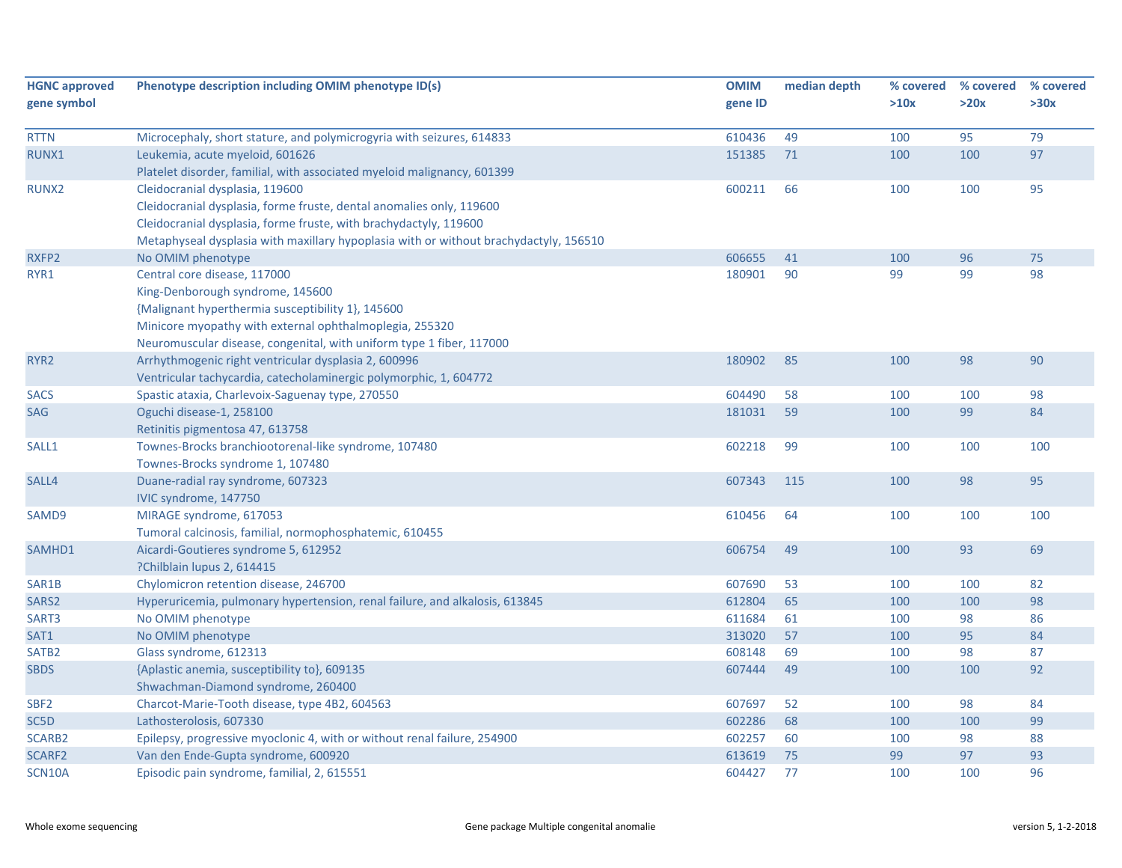| <b>HGNC approved</b> | Phenotype description including OMIM phenotype ID(s)                                  | <b>OMIM</b> | median depth | % covered | % covered | % covered |
|----------------------|---------------------------------------------------------------------------------------|-------------|--------------|-----------|-----------|-----------|
| gene symbol          |                                                                                       | gene ID     |              | >10x      | >20x      | >30x      |
| <b>RTTN</b>          | Microcephaly, short stature, and polymicrogyria with seizures, 614833                 | 610436      | 49           | 100       | 95        | 79        |
| RUNX1                | Leukemia, acute myeloid, 601626                                                       | 151385      | 71           | 100       | 100       | 97        |
|                      | Platelet disorder, familial, with associated myeloid malignancy, 601399               |             |              |           |           |           |
| RUNX2                | Cleidocranial dysplasia, 119600                                                       | 600211      | 66           | 100       | 100       | 95        |
|                      | Cleidocranial dysplasia, forme fruste, dental anomalies only, 119600                  |             |              |           |           |           |
|                      | Cleidocranial dysplasia, forme fruste, with brachydactyly, 119600                     |             |              |           |           |           |
|                      | Metaphyseal dysplasia with maxillary hypoplasia with or without brachydactyly, 156510 |             |              |           |           |           |
| RXFP2                | No OMIM phenotype                                                                     | 606655      | 41           | 100       | 96        | 75        |
| RYR1                 | Central core disease, 117000                                                          | 180901      | 90           | 99        | 99        | 98        |
|                      | King-Denborough syndrome, 145600                                                      |             |              |           |           |           |
|                      | {Malignant hyperthermia susceptibility 1}, 145600                                     |             |              |           |           |           |
|                      | Minicore myopathy with external ophthalmoplegia, 255320                               |             |              |           |           |           |
|                      | Neuromuscular disease, congenital, with uniform type 1 fiber, 117000                  |             |              |           |           |           |
| RYR <sub>2</sub>     | Arrhythmogenic right ventricular dysplasia 2, 600996                                  | 180902      | 85           | 100       | 98        | 90        |
|                      | Ventricular tachycardia, catecholaminergic polymorphic, 1, 604772                     |             |              |           |           |           |
| <b>SACS</b>          | Spastic ataxia, Charlevoix-Saguenay type, 270550                                      | 604490      | 58           | 100       | 100       | 98        |
| SAG                  | Oguchi disease-1, 258100                                                              | 181031      | 59           | 100       | 99        | 84        |
|                      | Retinitis pigmentosa 47, 613758                                                       |             |              |           |           |           |
| SALL1                | Townes-Brocks branchiootorenal-like syndrome, 107480                                  | 602218      | 99           | 100       | 100       | 100       |
|                      | Townes-Brocks syndrome 1, 107480                                                      |             |              |           |           |           |
| SALL4                | Duane-radial ray syndrome, 607323                                                     | 607343      | 115          | 100       | 98        | 95        |
|                      | IVIC syndrome, 147750                                                                 |             |              |           |           |           |
| SAMD9                | MIRAGE syndrome, 617053                                                               | 610456      | 64           | 100       | 100       | 100       |
|                      | Tumoral calcinosis, familial, normophosphatemic, 610455                               |             |              |           |           |           |
| SAMHD1               | Aicardi-Goutieres syndrome 5, 612952                                                  | 606754      | 49           | 100       | 93        | 69        |
|                      | ?Chilblain lupus 2, 614415                                                            |             |              |           |           |           |
| SAR1B                | Chylomicron retention disease, 246700                                                 | 607690      | 53           | 100       | 100       | 82        |
| SARS2                | Hyperuricemia, pulmonary hypertension, renal failure, and alkalosis, 613845           | 612804      | 65           | 100       | 100       | 98        |
| SART3                | No OMIM phenotype                                                                     | 611684      | 61           | 100       | 98        | 86        |
| SAT1                 | No OMIM phenotype                                                                     | 313020      | 57           | 100       | 95        | 84        |
| SATB <sub>2</sub>    | Glass syndrome, 612313                                                                | 608148      | 69           | 100       | 98        | 87        |
| <b>SBDS</b>          | {Aplastic anemia, susceptibility to}, 609135                                          | 607444      | 49           | 100       | 100       | 92        |
|                      | Shwachman-Diamond syndrome, 260400                                                    |             |              |           |           |           |
| SBF <sub>2</sub>     | Charcot-Marie-Tooth disease, type 4B2, 604563                                         | 607697      | 52           | 100       | 98        | 84        |
| SC5D                 | Lathosterolosis, 607330                                                               | 602286      | 68           | 100       | 100       | 99        |
| SCARB2               | Epilepsy, progressive myoclonic 4, with or without renal failure, 254900              | 602257      | 60           | 100       | 98        | 88        |
| SCARF2               | Van den Ende-Gupta syndrome, 600920                                                   | 613619      | 75           | 99        | 97        | 93        |
| SCN10A               | Episodic pain syndrome, familial, 2, 615551                                           | 604427      | 77           | 100       | 100       | 96        |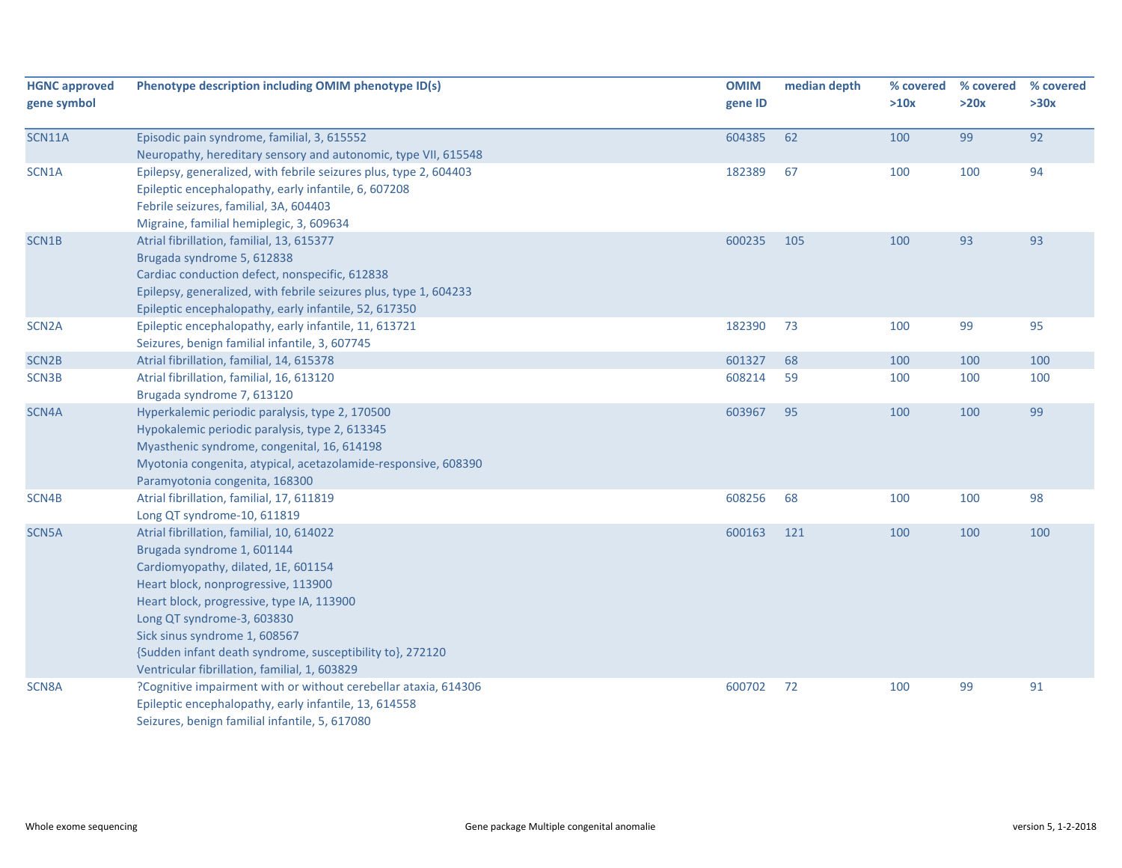| <b>HGNC approved</b><br>gene symbol | Phenotype description including OMIM phenotype ID(s)                                                                                                                                                                                                                                                                                                                            | <b>OMIM</b><br>gene ID | median depth | % covered<br>>10x | % covered<br>>20x | % covered<br>>30x |
|-------------------------------------|---------------------------------------------------------------------------------------------------------------------------------------------------------------------------------------------------------------------------------------------------------------------------------------------------------------------------------------------------------------------------------|------------------------|--------------|-------------------|-------------------|-------------------|
| <b>SCN11A</b>                       | Episodic pain syndrome, familial, 3, 615552                                                                                                                                                                                                                                                                                                                                     | 604385                 | 62           | 100               | 99                | 92                |
|                                     | Neuropathy, hereditary sensory and autonomic, type VII, 615548                                                                                                                                                                                                                                                                                                                  |                        |              |                   |                   |                   |
| SCN1A                               | Epilepsy, generalized, with febrile seizures plus, type 2, 604403<br>Epileptic encephalopathy, early infantile, 6, 607208<br>Febrile seizures, familial, 3A, 604403<br>Migraine, familial hemiplegic, 3, 609634                                                                                                                                                                 | 182389                 | 67           | 100               | 100               | 94                |
| SCN1B                               | Atrial fibrillation, familial, 13, 615377<br>Brugada syndrome 5, 612838<br>Cardiac conduction defect, nonspecific, 612838<br>Epilepsy, generalized, with febrile seizures plus, type 1, 604233<br>Epileptic encephalopathy, early infantile, 52, 617350                                                                                                                         | 600235                 | 105          | 100               | 93                | 93                |
| SCN <sub>2</sub> A                  | Epileptic encephalopathy, early infantile, 11, 613721<br>Seizures, benign familial infantile, 3, 607745                                                                                                                                                                                                                                                                         | 182390                 | 73           | 100               | 99                | 95                |
| SCN <sub>2B</sub>                   | Atrial fibrillation, familial, 14, 615378                                                                                                                                                                                                                                                                                                                                       | 601327                 | 68           | 100               | 100               | 100               |
| SCN3B                               | Atrial fibrillation, familial, 16, 613120<br>Brugada syndrome 7, 613120                                                                                                                                                                                                                                                                                                         | 608214                 | 59           | 100               | 100               | 100               |
| SCN4A                               | Hyperkalemic periodic paralysis, type 2, 170500<br>Hypokalemic periodic paralysis, type 2, 613345<br>Myasthenic syndrome, congenital, 16, 614198<br>Myotonia congenita, atypical, acetazolamide-responsive, 608390<br>Paramyotonia congenita, 168300                                                                                                                            | 603967                 | 95           | 100               | 100               | 99                |
| SCN4B                               | Atrial fibrillation, familial, 17, 611819<br>Long QT syndrome-10, 611819                                                                                                                                                                                                                                                                                                        | 608256                 | 68           | 100               | 100               | 98                |
| SCN5A                               | Atrial fibrillation, familial, 10, 614022<br>Brugada syndrome 1, 601144<br>Cardiomyopathy, dilated, 1E, 601154<br>Heart block, nonprogressive, 113900<br>Heart block, progressive, type IA, 113900<br>Long QT syndrome-3, 603830<br>Sick sinus syndrome 1, 608567<br>{Sudden infant death syndrome, susceptibility to}, 272120<br>Ventricular fibrillation, familial, 1, 603829 | 600163                 | 121          | 100               | 100               | 100               |
| SCN8A                               | ?Cognitive impairment with or without cerebellar ataxia, 614306<br>Epileptic encephalopathy, early infantile, 13, 614558<br>Seizures, benign familial infantile, 5, 617080                                                                                                                                                                                                      | 600702                 | 72           | 100               | 99                | 91                |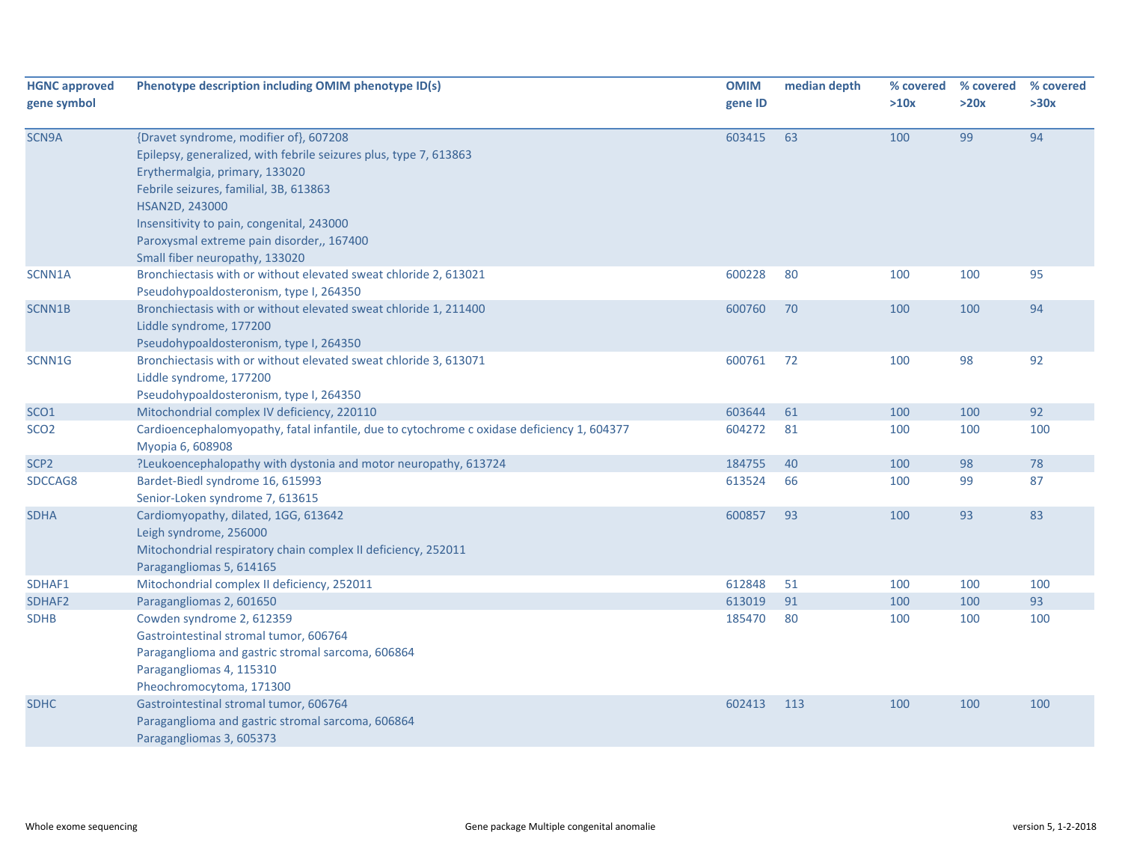| <b>HGNC approved</b><br>gene symbol | Phenotype description including OMIM phenotype ID(s)                                                                                                                                                                                                                                                                                  | <b>OMIM</b><br>gene ID | median depth | % covered<br>>10x | % covered<br>>20x | % covered<br>>30x |
|-------------------------------------|---------------------------------------------------------------------------------------------------------------------------------------------------------------------------------------------------------------------------------------------------------------------------------------------------------------------------------------|------------------------|--------------|-------------------|-------------------|-------------------|
| SCN9A                               | {Dravet syndrome, modifier of}, 607208<br>Epilepsy, generalized, with febrile seizures plus, type 7, 613863<br>Erythermalgia, primary, 133020<br>Febrile seizures, familial, 3B, 613863<br>HSAN2D, 243000<br>Insensitivity to pain, congenital, 243000<br>Paroxysmal extreme pain disorder,, 167400<br>Small fiber neuropathy, 133020 | 603415                 | 63           | 100               | 99                | 94                |
| SCNN1A                              | Bronchiectasis with or without elevated sweat chloride 2, 613021<br>Pseudohypoaldosteronism, type I, 264350                                                                                                                                                                                                                           | 600228                 | 80           | 100               | 100               | 95                |
| SCNN1B                              | Bronchiectasis with or without elevated sweat chloride 1, 211400<br>Liddle syndrome, 177200<br>Pseudohypoaldosteronism, type I, 264350                                                                                                                                                                                                | 600760                 | 70           | 100               | 100               | 94                |
| SCNN1G                              | Bronchiectasis with or without elevated sweat chloride 3, 613071<br>Liddle syndrome, 177200<br>Pseudohypoaldosteronism, type I, 264350                                                                                                                                                                                                | 600761                 | 72           | 100               | 98                | 92                |
| SCO <sub>1</sub>                    | Mitochondrial complex IV deficiency, 220110                                                                                                                                                                                                                                                                                           | 603644                 | 61           | 100               | 100               | 92                |
| SCO <sub>2</sub>                    | Cardioencephalomyopathy, fatal infantile, due to cytochrome c oxidase deficiency 1, 604377<br>Myopia 6, 608908                                                                                                                                                                                                                        | 604272                 | 81           | 100               | 100               | 100               |
| SCP <sub>2</sub>                    | ?Leukoencephalopathy with dystonia and motor neuropathy, 613724                                                                                                                                                                                                                                                                       | 184755                 | 40           | 100               | 98                | 78                |
| SDCCAG8                             | Bardet-Biedl syndrome 16, 615993<br>Senior-Loken syndrome 7, 613615                                                                                                                                                                                                                                                                   | 613524                 | 66           | 100               | 99                | 87                |
| <b>SDHA</b>                         | Cardiomyopathy, dilated, 1GG, 613642<br>Leigh syndrome, 256000<br>Mitochondrial respiratory chain complex II deficiency, 252011<br>Paragangliomas 5, 614165                                                                                                                                                                           | 600857                 | 93           | 100               | 93                | 83                |
| SDHAF1                              | Mitochondrial complex II deficiency, 252011                                                                                                                                                                                                                                                                                           | 612848                 | 51           | 100               | 100               | 100               |
| SDHAF2                              | Paragangliomas 2, 601650                                                                                                                                                                                                                                                                                                              | 613019                 | 91           | 100               | 100               | 93                |
| <b>SDHB</b>                         | Cowden syndrome 2, 612359<br>Gastrointestinal stromal tumor, 606764<br>Paraganglioma and gastric stromal sarcoma, 606864<br>Paragangliomas 4, 115310<br>Pheochromocytoma, 171300                                                                                                                                                      | 185470                 | 80           | 100               | 100               | 100               |
| <b>SDHC</b>                         | Gastrointestinal stromal tumor, 606764<br>Paraganglioma and gastric stromal sarcoma, 606864<br>Paragangliomas 3, 605373                                                                                                                                                                                                               | 602413                 | 113          | 100               | 100               | 100               |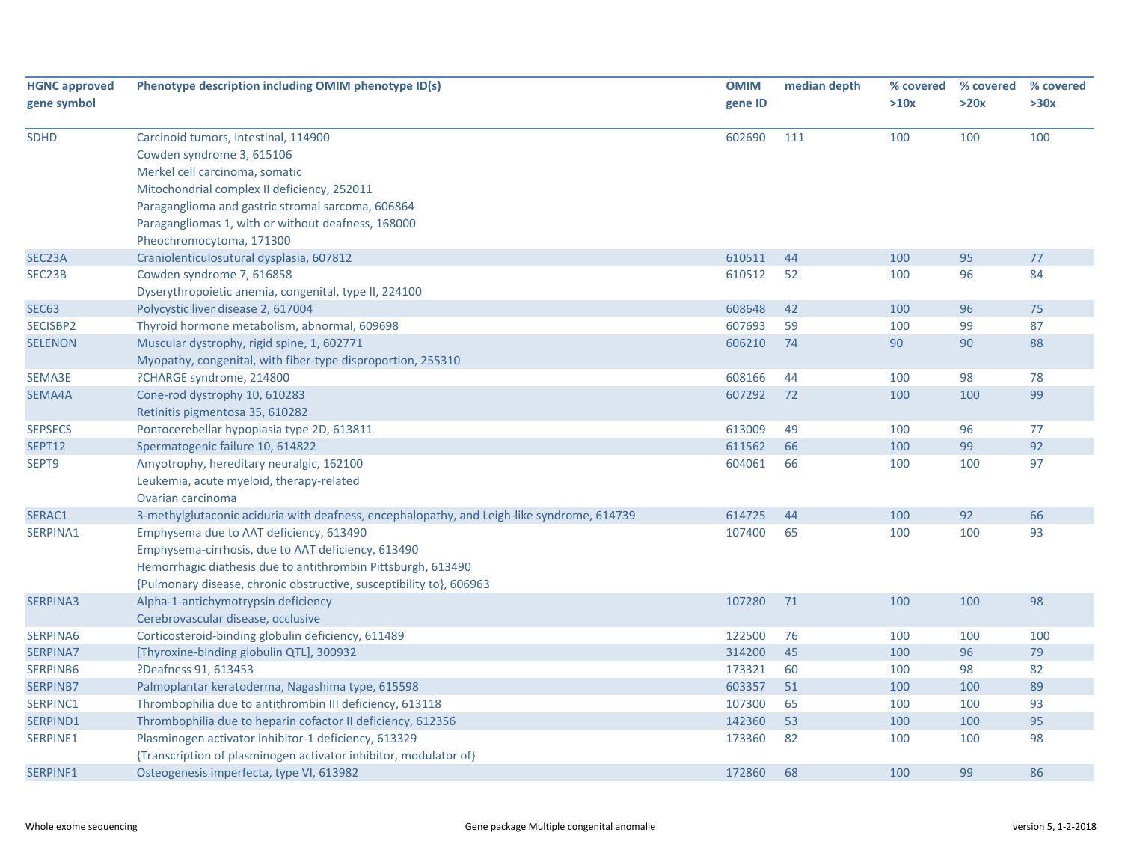| <b>HGNC approved</b><br>gene symbol | Phenotype description including OMIM phenotype ID(s)                                                                                                                                                                                                                                      | <b>OMIM</b><br>gene ID | median depth | % covered<br>>10x | % covered<br>>20x | % covered<br>>30x |
|-------------------------------------|-------------------------------------------------------------------------------------------------------------------------------------------------------------------------------------------------------------------------------------------------------------------------------------------|------------------------|--------------|-------------------|-------------------|-------------------|
| <b>SDHD</b>                         | Carcinoid tumors, intestinal, 114900<br>Cowden syndrome 3, 615106<br>Merkel cell carcinoma, somatic<br>Mitochondrial complex II deficiency, 252011<br>Paraganglioma and gastric stromal sarcoma, 606864<br>Paragangliomas 1, with or without deafness, 168000<br>Pheochromocytoma, 171300 | 602690                 | 111          | 100               | 100               | 100               |
| SEC23A                              | Craniolenticulosutural dysplasia, 607812                                                                                                                                                                                                                                                  | 610511                 | 44           | 100               | 95                | 77                |
| SEC23B                              | Cowden syndrome 7, 616858                                                                                                                                                                                                                                                                 | 610512                 | 52           | 100               | 96                | 84                |
|                                     | Dyserythropoietic anemia, congenital, type II, 224100                                                                                                                                                                                                                                     |                        |              |                   |                   |                   |
| <b>SEC63</b>                        | Polycystic liver disease 2, 617004                                                                                                                                                                                                                                                        | 608648                 | 42           | 100               | 96                | 75                |
| SECISBP2                            | Thyroid hormone metabolism, abnormal, 609698                                                                                                                                                                                                                                              | 607693                 | 59           | 100               | 99                | 87                |
| <b>SELENON</b>                      | Muscular dystrophy, rigid spine, 1, 602771<br>Myopathy, congenital, with fiber-type disproportion, 255310                                                                                                                                                                                 | 606210                 | 74           | 90                | 90                | 88                |
| SEMA3E                              | ?CHARGE syndrome, 214800                                                                                                                                                                                                                                                                  | 608166                 | 44           | 100               | 98                | 78                |
| SEMA4A                              | Cone-rod dystrophy 10, 610283<br>Retinitis pigmentosa 35, 610282                                                                                                                                                                                                                          | 607292                 | 72           | 100               | 100               | 99                |
| <b>SEPSECS</b>                      | Pontocerebellar hypoplasia type 2D, 613811                                                                                                                                                                                                                                                | 613009                 | 49           | 100               | 96                | 77                |
| <b>SEPT12</b>                       | Spermatogenic failure 10, 614822                                                                                                                                                                                                                                                          | 611562                 | 66           | 100               | 99                | 92                |
| SEPT9                               | Amyotrophy, hereditary neuralgic, 162100<br>Leukemia, acute myeloid, therapy-related<br>Ovarian carcinoma                                                                                                                                                                                 | 604061                 | 66           | 100               | 100               | 97                |
| SERAC1                              | 3-methylglutaconic aciduria with deafness, encephalopathy, and Leigh-like syndrome, 614739                                                                                                                                                                                                | 614725                 | 44           | 100               | 92                | 66                |
| SERPINA1                            | Emphysema due to AAT deficiency, 613490<br>Emphysema-cirrhosis, due to AAT deficiency, 613490<br>Hemorrhagic diathesis due to antithrombin Pittsburgh, 613490<br>{Pulmonary disease, chronic obstructive, susceptibility to}, 606963                                                      | 107400                 | 65           | 100               | 100               | 93                |
| <b>SERPINA3</b>                     | Alpha-1-antichymotrypsin deficiency<br>Cerebrovascular disease, occlusive                                                                                                                                                                                                                 | 107280                 | 71           | 100               | 100               | 98                |
| SERPINA6                            | Corticosteroid-binding globulin deficiency, 611489                                                                                                                                                                                                                                        | 122500                 | 76           | 100               | 100               | 100               |
| <b>SERPINA7</b>                     | [Thyroxine-binding globulin QTL], 300932                                                                                                                                                                                                                                                  | 314200                 | 45           | 100               | 96                | 79                |
| SERPINB6                            | ?Deafness 91, 613453                                                                                                                                                                                                                                                                      | 173321                 | 60           | 100               | 98                | 82                |
| <b>SERPINB7</b>                     | Palmoplantar keratoderma, Nagashima type, 615598                                                                                                                                                                                                                                          | 603357                 | 51           | 100               | 100               | 89                |
| SERPINC1                            | Thrombophilia due to antithrombin III deficiency, 613118                                                                                                                                                                                                                                  | 107300                 | 65           | 100               | 100               | 93                |
| SERPIND1                            | Thrombophilia due to heparin cofactor II deficiency, 612356                                                                                                                                                                                                                               | 142360                 | 53           | 100               | 100               | 95                |
| SERPINE1                            | Plasminogen activator inhibitor-1 deficiency, 613329<br>{Transcription of plasminogen activator inhibitor, modulator of}                                                                                                                                                                  | 173360                 | 82           | 100               | 100               | 98                |
| SERPINF1                            | Osteogenesis imperfecta, type VI, 613982                                                                                                                                                                                                                                                  | 172860                 | 68           | 100               | 99                | 86                |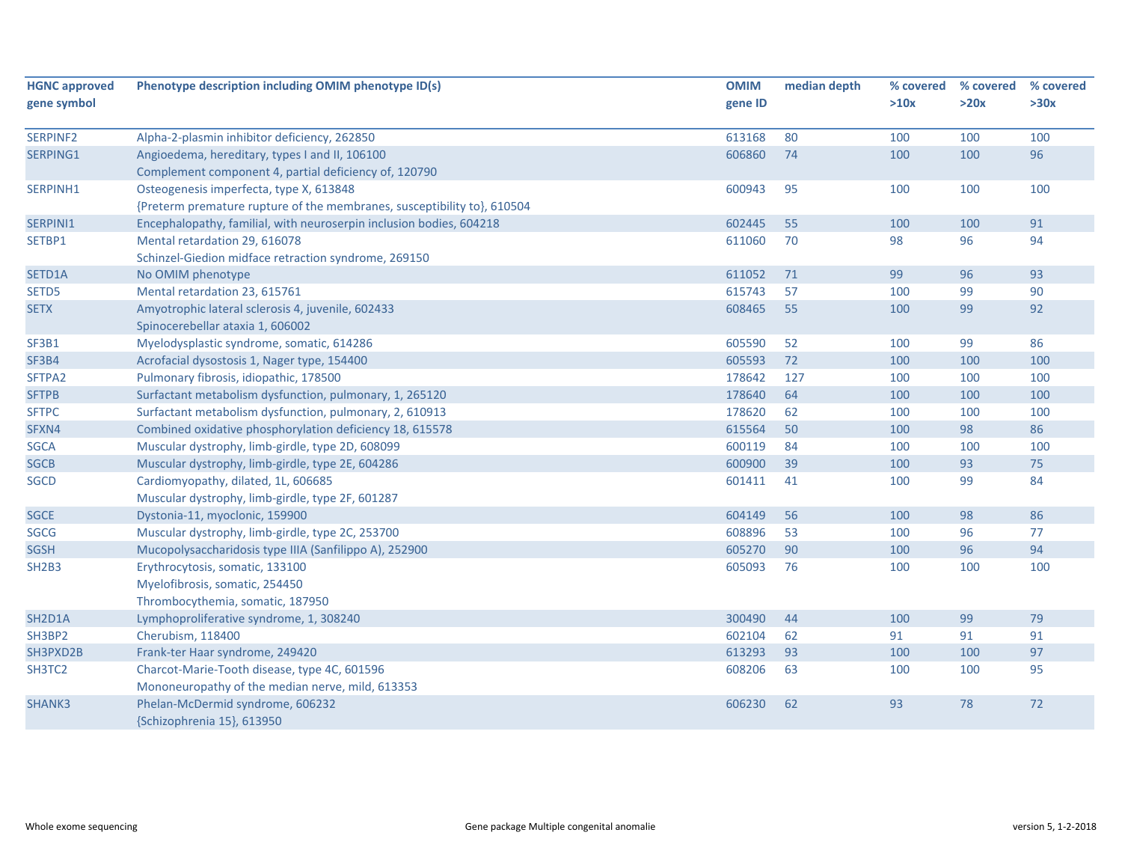| <b>HGNC approved</b>           | Phenotype description including OMIM phenotype ID(s)                    | <b>OMIM</b> | median depth | % covered | % covered | % covered |
|--------------------------------|-------------------------------------------------------------------------|-------------|--------------|-----------|-----------|-----------|
| gene symbol                    |                                                                         | gene ID     |              | >10x      | >20x      | >30x      |
|                                |                                                                         |             |              |           |           |           |
| SERPINF2                       | Alpha-2-plasmin inhibitor deficiency, 262850                            | 613168      | 80           | 100       | 100       | 100       |
| SERPING1                       | Angioedema, hereditary, types I and II, 106100                          | 606860      | 74           | 100       | 100       | 96        |
|                                | Complement component 4, partial deficiency of, 120790                   |             |              |           |           |           |
| SERPINH1                       | Osteogenesis imperfecta, type X, 613848                                 | 600943      | 95           | 100       | 100       | 100       |
|                                | {Preterm premature rupture of the membranes, susceptibility to}, 610504 |             |              |           |           |           |
| SERPINI1                       | Encephalopathy, familial, with neuroserpin inclusion bodies, 604218     | 602445      | 55           | 100       | 100       | 91        |
| SETBP1                         | Mental retardation 29, 616078                                           | 611060      | 70           | 98        | 96        | 94        |
|                                | Schinzel-Giedion midface retraction syndrome, 269150                    |             |              |           |           |           |
| SETD1A                         | No OMIM phenotype                                                       | 611052      | 71           | 99        | 96        | 93        |
| SETD5                          | Mental retardation 23, 615761                                           | 615743      | 57           | 100       | 99        | 90        |
| <b>SETX</b>                    | Amyotrophic lateral sclerosis 4, juvenile, 602433                       | 608465      | 55           | 100       | 99        | 92        |
|                                | Spinocerebellar ataxia 1, 606002                                        |             |              |           |           |           |
| SF3B1                          | Myelodysplastic syndrome, somatic, 614286                               | 605590      | 52           | 100       | 99        | 86        |
| SF3B4                          | Acrofacial dysostosis 1, Nager type, 154400                             | 605593      | 72           | 100       | 100       | 100       |
| SFTPA2                         | Pulmonary fibrosis, idiopathic, 178500                                  | 178642      | 127          | 100       | 100       | 100       |
| <b>SFTPB</b>                   | Surfactant metabolism dysfunction, pulmonary, 1, 265120                 | 178640      | 64           | 100       | 100       | 100       |
| <b>SFTPC</b>                   | Surfactant metabolism dysfunction, pulmonary, 2, 610913                 | 178620      | 62           | 100       | 100       | 100       |
| SFXN4                          | Combined oxidative phosphorylation deficiency 18, 615578                | 615564      | 50           | 100       | 98        | 86        |
| <b>SGCA</b>                    | Muscular dystrophy, limb-girdle, type 2D, 608099                        | 600119      | 84           | 100       | 100       | 100       |
| <b>SGCB</b>                    | Muscular dystrophy, limb-girdle, type 2E, 604286                        | 600900      | 39           | 100       | 93        | $75\,$    |
| <b>SGCD</b>                    | Cardiomyopathy, dilated, 1L, 606685                                     | 601411      | 41           | 100       | 99        | 84        |
|                                | Muscular dystrophy, limb-girdle, type 2F, 601287                        |             |              |           |           |           |
| <b>SGCE</b>                    | Dystonia-11, myoclonic, 159900                                          | 604149      | 56           | 100       | 98        | 86        |
| SGCG                           | Muscular dystrophy, limb-girdle, type 2C, 253700                        | 608896      | 53           | 100       | 96        | 77        |
| <b>SGSH</b>                    | Mucopolysaccharidosis type IIIA (Sanfilippo A), 252900                  | 605270      | 90           | 100       | 96        | 94        |
| SH <sub>2</sub> B <sub>3</sub> | Erythrocytosis, somatic, 133100                                         | 605093      | 76           | 100       | 100       | 100       |
|                                | Myelofibrosis, somatic, 254450                                          |             |              |           |           |           |
|                                | Thrombocythemia, somatic, 187950                                        |             |              |           |           |           |
| SH2D1A                         | Lymphoproliferative syndrome, 1, 308240                                 | 300490      | 44           | 100       | 99        | 79        |
| SH3BP2                         | Cherubism, 118400                                                       | 602104      | 62           | 91        | 91        | 91        |
| SH3PXD2B                       | Frank-ter Haar syndrome, 249420                                         | 613293      | 93           | 100       | 100       | 97        |
| SH3TC2                         | Charcot-Marie-Tooth disease, type 4C, 601596                            | 608206      | 63           | 100       | 100       | 95        |
|                                | Mononeuropathy of the median nerve, mild, 613353                        |             |              |           |           |           |
| <b>SHANK3</b>                  | Phelan-McDermid syndrome, 606232                                        | 606230      | 62           | 93        | 78        | 72        |
|                                | {Schizophrenia 15}, 613950                                              |             |              |           |           |           |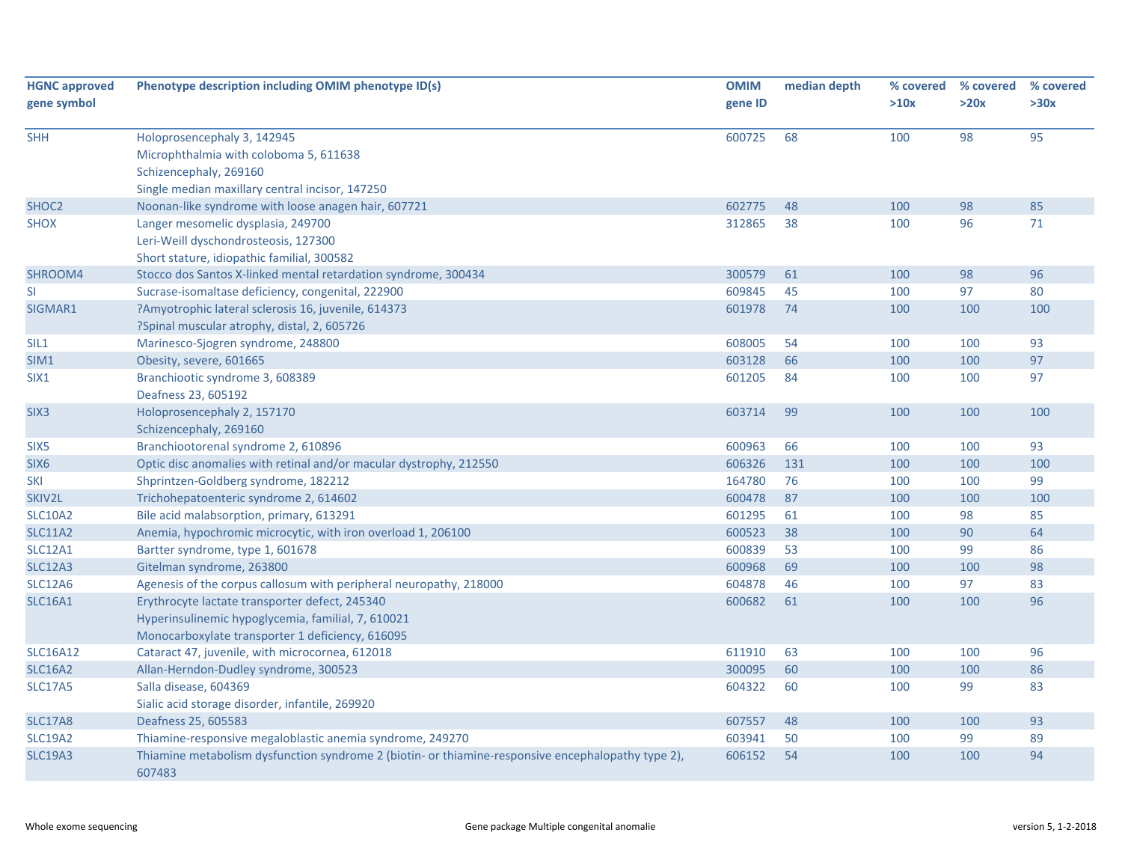| <b>HGNC approved</b><br>gene symbol | Phenotype description including OMIM phenotype ID(s)                                                                                                     | <b>OMIM</b><br>gene ID | median depth | % covered<br>>10x | % covered<br>>20x | % covered<br>>30x |
|-------------------------------------|----------------------------------------------------------------------------------------------------------------------------------------------------------|------------------------|--------------|-------------------|-------------------|-------------------|
| <b>SHH</b>                          | Holoprosencephaly 3, 142945<br>Microphthalmia with coloboma 5, 611638<br>Schizencephaly, 269160<br>Single median maxillary central incisor, 147250       | 600725                 | 68           | 100               | 98                | 95                |
| SHOC <sub>2</sub>                   | Noonan-like syndrome with loose anagen hair, 607721                                                                                                      | 602775                 | 48           | 100               | 98                | 85                |
| <b>SHOX</b>                         | Langer mesomelic dysplasia, 249700<br>Leri-Weill dyschondrosteosis, 127300<br>Short stature, idiopathic familial, 300582                                 | 312865                 | 38           | 100               | 96                | 71                |
| SHROOM4                             | Stocco dos Santos X-linked mental retardation syndrome, 300434                                                                                           | 300579                 | 61           | 100               | 98                | 96                |
| SI                                  | Sucrase-isomaltase deficiency, congenital, 222900                                                                                                        | 609845                 | 45           | 100               | 97                | 80                |
| SIGMAR1                             | ?Amyotrophic lateral sclerosis 16, juvenile, 614373<br>?Spinal muscular atrophy, distal, 2, 605726                                                       | 601978                 | 74           | 100               | 100               | 100               |
| SIL1                                | Marinesco-Sjogren syndrome, 248800                                                                                                                       | 608005                 | 54           | 100               | 100               | 93                |
| SIM1                                | Obesity, severe, 601665                                                                                                                                  | 603128                 | 66           | 100               | 100               | 97                |
| SIX1                                | Branchiootic syndrome 3, 608389<br>Deafness 23, 605192                                                                                                   | 601205                 | 84           | 100               | 100               | 97                |
| SIX <sub>3</sub>                    | Holoprosencephaly 2, 157170<br>Schizencephaly, 269160                                                                                                    | 603714                 | 99           | 100               | 100               | 100               |
| SIX <sub>5</sub>                    | Branchiootorenal syndrome 2, 610896                                                                                                                      | 600963                 | 66           | 100               | 100               | 93                |
| SIX <sub>6</sub>                    | Optic disc anomalies with retinal and/or macular dystrophy, 212550                                                                                       | 606326                 | 131          | 100               | 100               | 100               |
| <b>SKI</b>                          | Shprintzen-Goldberg syndrome, 182212                                                                                                                     | 164780                 | 76           | 100               | 100               | 99                |
| SKIV2L                              | Trichohepatoenteric syndrome 2, 614602                                                                                                                   | 600478                 | 87           | 100               | 100               | 100               |
| <b>SLC10A2</b>                      | Bile acid malabsorption, primary, 613291                                                                                                                 | 601295                 | 61           | 100               | 98                | 85                |
| <b>SLC11A2</b>                      | Anemia, hypochromic microcytic, with iron overload 1, 206100                                                                                             | 600523                 | 38           | 100               | 90                | 64                |
| <b>SLC12A1</b>                      | Bartter syndrome, type 1, 601678                                                                                                                         | 600839                 | 53           | 100               | 99                | 86                |
| <b>SLC12A3</b>                      | Gitelman syndrome, 263800                                                                                                                                | 600968                 | 69           | 100               | 100               | 98                |
| <b>SLC12A6</b>                      | Agenesis of the corpus callosum with peripheral neuropathy, 218000                                                                                       | 604878                 | 46           | 100               | 97                | 83                |
| <b>SLC16A1</b>                      | Erythrocyte lactate transporter defect, 245340<br>Hyperinsulinemic hypoglycemia, familial, 7, 610021<br>Monocarboxylate transporter 1 deficiency, 616095 | 600682                 | 61           | 100               | 100               | 96                |
| <b>SLC16A12</b>                     | Cataract 47, juvenile, with microcornea, 612018                                                                                                          | 611910                 | 63           | 100               | 100               | 96                |
| <b>SLC16A2</b>                      | Allan-Herndon-Dudley syndrome, 300523                                                                                                                    | 300095                 | 60           | 100               | 100               | 86                |
| <b>SLC17A5</b>                      | Salla disease, 604369<br>Sialic acid storage disorder, infantile, 269920                                                                                 | 604322                 | 60           | 100               | 99                | 83                |
| <b>SLC17A8</b>                      | Deafness 25, 605583                                                                                                                                      | 607557                 | 48           | 100               | 100               | 93                |
| <b>SLC19A2</b>                      | Thiamine-responsive megaloblastic anemia syndrome, 249270                                                                                                | 603941                 | 50           | 100               | 99                | 89                |
| <b>SLC19A3</b>                      | Thiamine metabolism dysfunction syndrome 2 (biotin- or thiamine-responsive encephalopathy type 2),<br>607483                                             | 606152                 | 54           | 100               | 100               | 94                |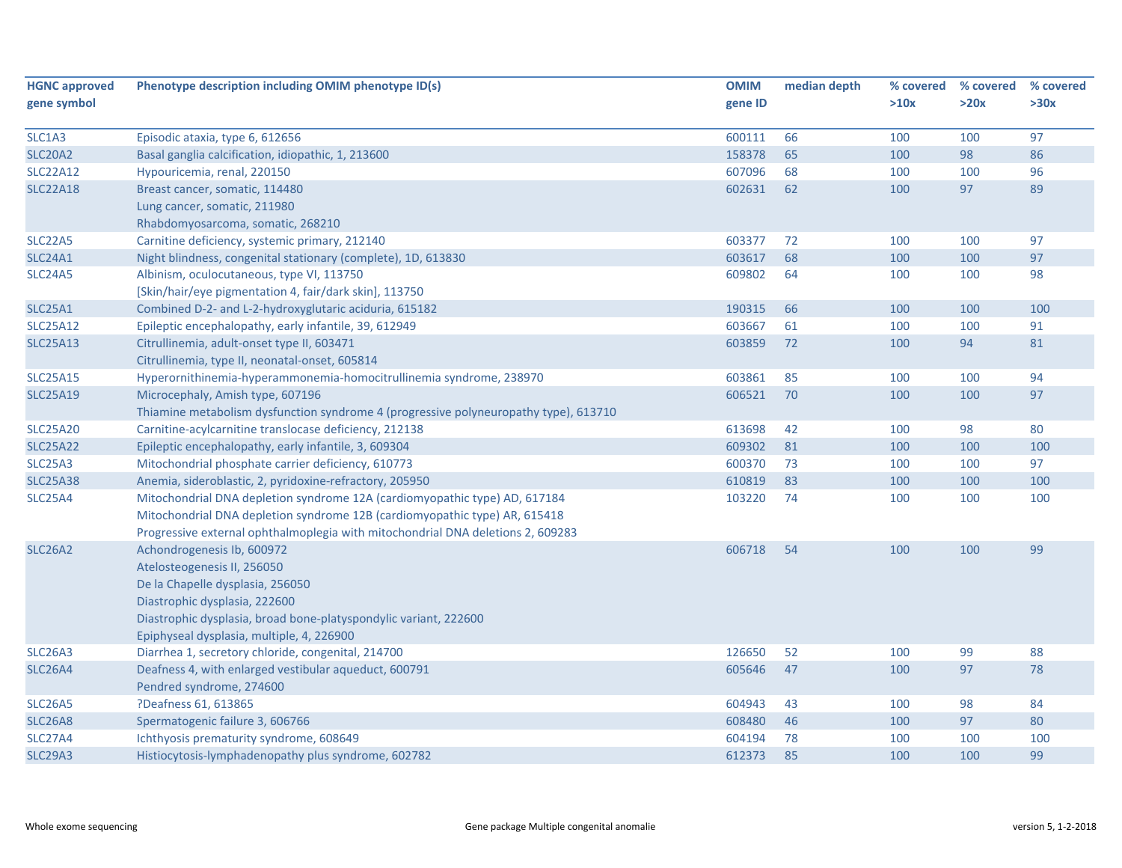| <b>HGNC approved</b>             | Phenotype description including OMIM phenotype ID(s)                                 | <b>OMIM</b> | median depth | % covered | % covered | % covered |
|----------------------------------|--------------------------------------------------------------------------------------|-------------|--------------|-----------|-----------|-----------|
| gene symbol                      |                                                                                      | gene ID     |              | >10x      | >20x      | >30x      |
| SLC1A3                           | Episodic ataxia, type 6, 612656                                                      | 600111      | 66           | 100       | 100       | 97        |
| <b>SLC20A2</b>                   | Basal ganglia calcification, idiopathic, 1, 213600                                   | 158378      | 65           | 100       | 98        | 86        |
| <b>SLC22A12</b>                  | Hypouricemia, renal, 220150                                                          | 607096      | 68           | 100       | 100       | 96        |
| <b>SLC22A18</b>                  | Breast cancer, somatic, 114480                                                       | 602631      | 62           | 100       | 97        | 89        |
|                                  | Lung cancer, somatic, 211980                                                         |             |              |           |           |           |
|                                  | Rhabdomyosarcoma, somatic, 268210                                                    |             |              |           |           |           |
| <b>SLC22A5</b>                   | Carnitine deficiency, systemic primary, 212140                                       | 603377      | 72           | 100       | 100       | 97        |
| SLC24A1                          | Night blindness, congenital stationary (complete), 1D, 613830                        | 603617      | 68           | 100       | 100       | 97        |
| SLC <sub>24</sub> A <sub>5</sub> | Albinism, oculocutaneous, type VI, 113750                                            | 609802      | 64           | 100       | 100       | 98        |
|                                  | [Skin/hair/eye pigmentation 4, fair/dark skin], 113750                               |             |              |           |           |           |
| <b>SLC25A1</b>                   | Combined D-2- and L-2-hydroxyglutaric aciduria, 615182                               | 190315      | 66           | 100       | 100       | 100       |
| <b>SLC25A12</b>                  | Epileptic encephalopathy, early infantile, 39, 612949                                | 603667      | 61           | 100       | 100       | 91        |
| <b>SLC25A13</b>                  | Citrullinemia, adult-onset type II, 603471                                           | 603859      | 72           | 100       | 94        | 81        |
|                                  | Citrullinemia, type II, neonatal-onset, 605814                                       |             |              |           |           |           |
| <b>SLC25A15</b>                  | Hyperornithinemia-hyperammonemia-homocitrullinemia syndrome, 238970                  | 603861      | 85           | 100       | 100       | 94        |
| <b>SLC25A19</b>                  | Microcephaly, Amish type, 607196                                                     | 606521      | 70           | 100       | 100       | 97        |
|                                  | Thiamine metabolism dysfunction syndrome 4 (progressive polyneuropathy type), 613710 |             |              |           |           |           |
| <b>SLC25A20</b>                  | Carnitine-acylcarnitine translocase deficiency, 212138                               | 613698      | 42           | 100       | 98        | 80        |
| <b>SLC25A22</b>                  | Epileptic encephalopathy, early infantile, 3, 609304                                 | 609302      | 81           | 100       | 100       | 100       |
| SLC25A3                          | Mitochondrial phosphate carrier deficiency, 610773                                   | 600370      | 73           | 100       | 100       | 97        |
| <b>SLC25A38</b>                  | Anemia, sideroblastic, 2, pyridoxine-refractory, 205950                              | 610819      | 83           | 100       | 100       | 100       |
| SLC25A4                          | Mitochondrial DNA depletion syndrome 12A (cardiomyopathic type) AD, 617184           | 103220      | 74           | 100       | 100       | 100       |
|                                  | Mitochondrial DNA depletion syndrome 12B (cardiomyopathic type) AR, 615418           |             |              |           |           |           |
|                                  | Progressive external ophthalmoplegia with mitochondrial DNA deletions 2, 609283      |             |              |           |           |           |
| <b>SLC26A2</b>                   | Achondrogenesis Ib, 600972                                                           | 606718      | 54           | 100       | 100       | 99        |
|                                  | Atelosteogenesis II, 256050                                                          |             |              |           |           |           |
|                                  | De la Chapelle dysplasia, 256050                                                     |             |              |           |           |           |
|                                  | Diastrophic dysplasia, 222600                                                        |             |              |           |           |           |
|                                  | Diastrophic dysplasia, broad bone-platyspondylic variant, 222600                     |             |              |           |           |           |
|                                  | Epiphyseal dysplasia, multiple, 4, 226900                                            |             |              |           |           |           |
| SLC <sub>26</sub> A <sub>3</sub> | Diarrhea 1, secretory chloride, congenital, 214700                                   | 126650      | 52           | 100       | 99        | 88        |
| <b>SLC26A4</b>                   | Deafness 4, with enlarged vestibular aqueduct, 600791                                | 605646      | 47           | 100       | 97        | 78        |
|                                  | Pendred syndrome, 274600                                                             |             |              |           |           |           |
| <b>SLC26A5</b>                   | ?Deafness 61, 613865                                                                 | 604943      | 43           | 100       | 98        | 84        |
| <b>SLC26A8</b>                   | Spermatogenic failure 3, 606766                                                      | 608480      | 46           | 100       | 97        | 80        |
| <b>SLC27A4</b>                   | Ichthyosis prematurity syndrome, 608649                                              | 604194      | 78           | 100       | 100       | 100       |
| <b>SLC29A3</b>                   | Histiocytosis-lymphadenopathy plus syndrome, 602782                                  | 612373      | 85           | 100       | 100       | 99        |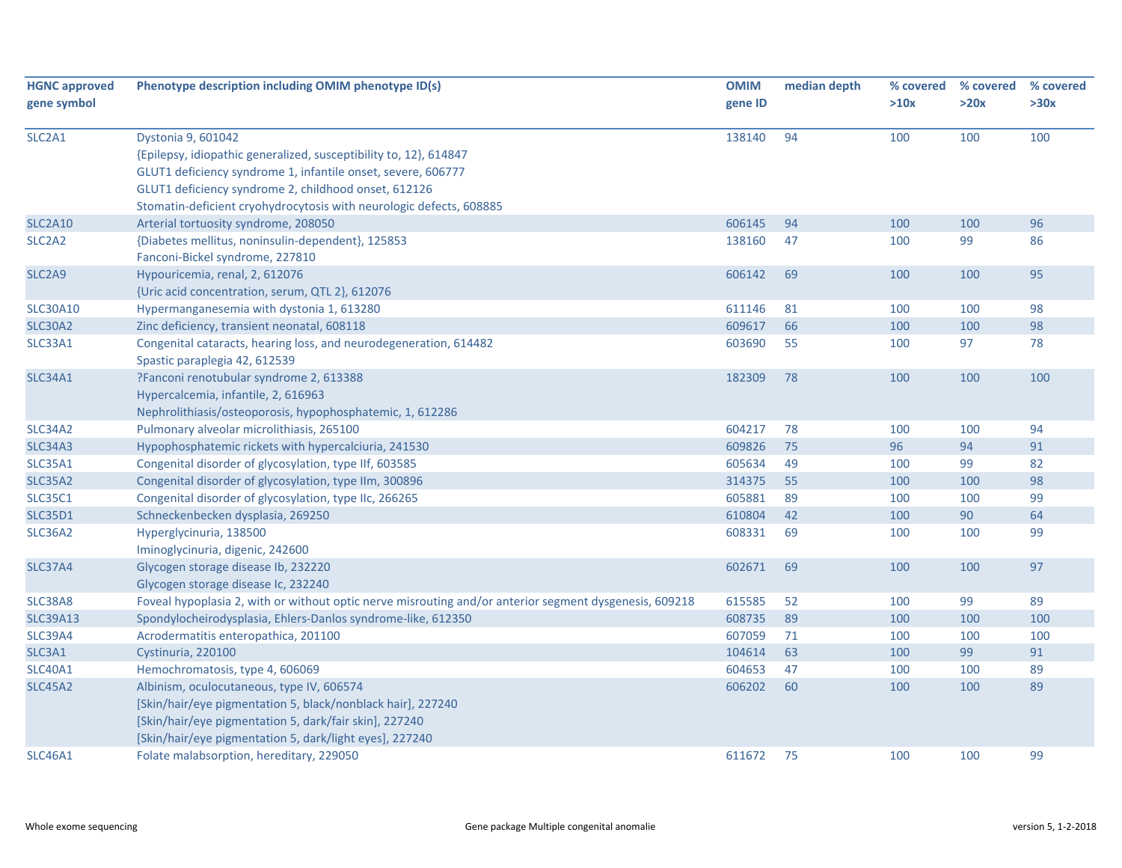| <b>HGNC approved</b>            | Phenotype description including OMIM phenotype ID(s)                                                   | <b>OMIM</b> | median depth | % covered | % covered | % covered |
|---------------------------------|--------------------------------------------------------------------------------------------------------|-------------|--------------|-----------|-----------|-----------|
| gene symbol                     |                                                                                                        | gene ID     |              | >10x      | >20x      | >30x      |
|                                 |                                                                                                        |             |              |           |           |           |
| SLC <sub>2</sub> A <sub>1</sub> | Dystonia 9, 601042                                                                                     | 138140      | 94           | 100       | 100       | 100       |
|                                 | {Epilepsy, idiopathic generalized, susceptibility to, 12}, 614847                                      |             |              |           |           |           |
|                                 | GLUT1 deficiency syndrome 1, infantile onset, severe, 606777                                           |             |              |           |           |           |
|                                 | GLUT1 deficiency syndrome 2, childhood onset, 612126                                                   |             |              |           |           |           |
|                                 | Stomatin-deficient cryohydrocytosis with neurologic defects, 608885                                    |             |              |           |           |           |
| <b>SLC2A10</b>                  | Arterial tortuosity syndrome, 208050                                                                   | 606145      | 94           | 100       | 100       | 96        |
| SLC <sub>2</sub> A <sub>2</sub> | {Diabetes mellitus, noninsulin-dependent}, 125853                                                      | 138160      | 47           | 100       | 99        | 86        |
|                                 | Fanconi-Bickel syndrome, 227810                                                                        |             |              |           |           |           |
| SLC <sub>2</sub> A <sub>9</sub> | Hypouricemia, renal, 2, 612076                                                                         | 606142      | 69           | 100       | 100       | 95        |
|                                 | {Uric acid concentration, serum, QTL 2}, 612076                                                        |             |              |           |           |           |
| <b>SLC30A10</b>                 | Hypermanganesemia with dystonia 1, 613280                                                              | 611146      | 81           | 100       | 100       | 98        |
| <b>SLC30A2</b>                  | Zinc deficiency, transient neonatal, 608118                                                            | 609617      | 66           | 100       | 100       | 98        |
| SLC33A1                         | Congenital cataracts, hearing loss, and neurodegeneration, 614482<br>Spastic paraplegia 42, 612539     | 603690      | 55           | 100       | 97        | 78        |
| <b>SLC34A1</b>                  | ?Fanconi renotubular syndrome 2, 613388                                                                | 182309      | 78           | 100       | 100       | 100       |
|                                 | Hypercalcemia, infantile, 2, 616963                                                                    |             |              |           |           |           |
|                                 | Nephrolithiasis/osteoporosis, hypophosphatemic, 1, 612286                                              |             |              |           |           |           |
| <b>SLC34A2</b>                  | Pulmonary alveolar microlithiasis, 265100                                                              | 604217      | 78           | 100       | 100       | 94        |
| <b>SLC34A3</b>                  | Hypophosphatemic rickets with hypercalciuria, 241530                                                   | 609826      | 75           | 96        | 94        | 91        |
| <b>SLC35A1</b>                  | Congenital disorder of glycosylation, type IIf, 603585                                                 | 605634      | 49           | 100       | 99        | 82        |
| <b>SLC35A2</b>                  | Congenital disorder of glycosylation, type IIm, 300896                                                 | 314375      | 55           | 100       | 100       | 98        |
| <b>SLC35C1</b>                  | Congenital disorder of glycosylation, type IIc, 266265                                                 | 605881      | 89           | 100       | 100       | 99        |
| <b>SLC35D1</b>                  | Schneckenbecken dysplasia, 269250                                                                      | 610804      | 42           | 100       | 90        | 64        |
| <b>SLC36A2</b>                  | Hyperglycinuria, 138500                                                                                | 608331      | 69           | 100       | 100       | 99        |
|                                 | Iminoglycinuria, digenic, 242600                                                                       |             |              |           |           |           |
| <b>SLC37A4</b>                  | Glycogen storage disease Ib, 232220                                                                    | 602671      | 69           | 100       | 100       | 97        |
|                                 | Glycogen storage disease Ic, 232240                                                                    |             |              |           |           |           |
| SLC38A8                         | Foveal hypoplasia 2, with or without optic nerve misrouting and/or anterior segment dysgenesis, 609218 | 615585      | 52           | 100       | 99        | 89        |
| <b>SLC39A13</b>                 | Spondylocheirodysplasia, Ehlers-Danlos syndrome-like, 612350                                           | 608735      | 89           | 100       | 100       | 100       |
| <b>SLC39A4</b>                  | Acrodermatitis enteropathica, 201100                                                                   | 607059      | 71           | 100       | 100       | 100       |
| SLC3A1                          | Cystinuria, 220100                                                                                     | 104614      | 63           | 100       | 99        | 91        |
| <b>SLC40A1</b>                  | Hemochromatosis, type 4, 606069                                                                        | 604653      | 47           | 100       | 100       | 89        |
| <b>SLC45A2</b>                  | Albinism, oculocutaneous, type IV, 606574                                                              | 606202      | 60           | 100       | 100       | 89        |
|                                 | [Skin/hair/eye pigmentation 5, black/nonblack hair], 227240                                            |             |              |           |           |           |
|                                 | [Skin/hair/eye pigmentation 5, dark/fair skin], 227240                                                 |             |              |           |           |           |
|                                 | [Skin/hair/eye pigmentation 5, dark/light eyes], 227240                                                |             |              |           |           |           |
| <b>SLC46A1</b>                  | Folate malabsorption, hereditary, 229050                                                               | 611672      | 75           | 100       | 100       | 99        |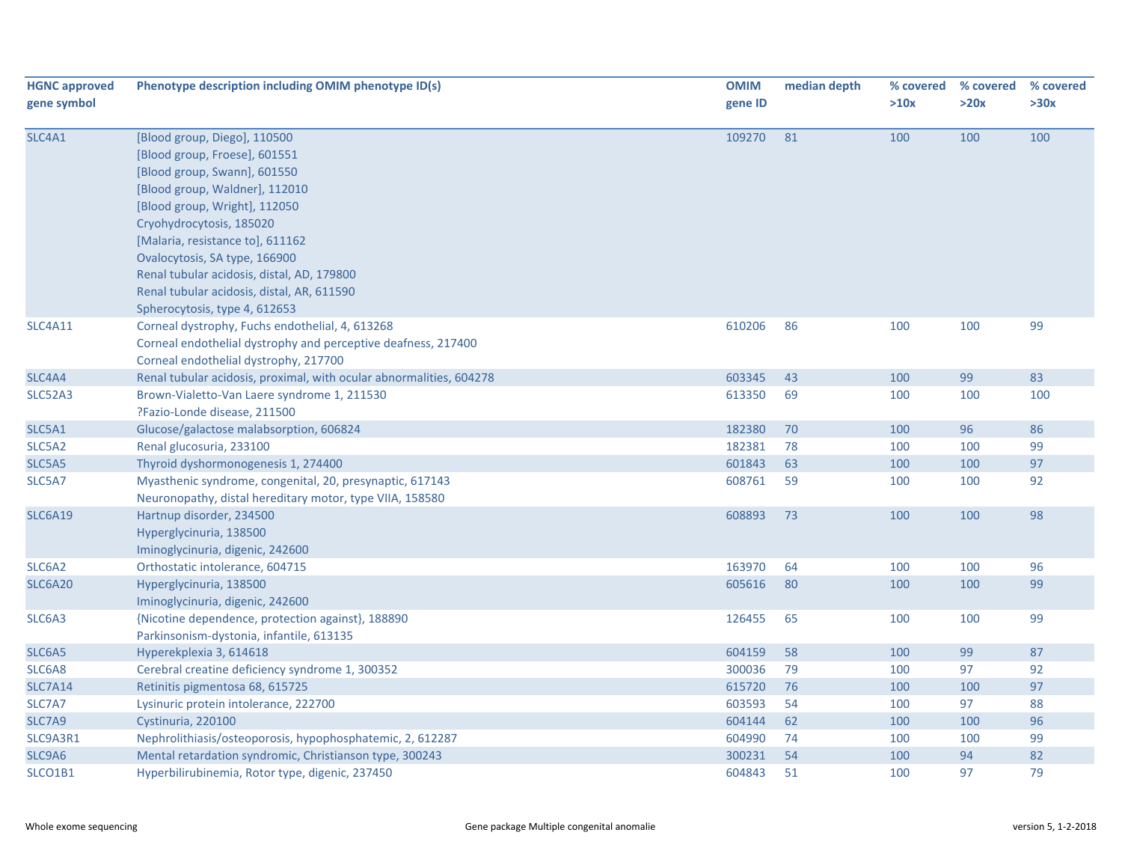| <b>HGNC approved</b><br>gene symbol | Phenotype description including OMIM phenotype ID(s)                                                                                                                                                                                                                                                                                                                                           | <b>OMIM</b><br>gene ID | median depth | % covered<br>>10x | % covered<br>>20x | % covered<br>>30x |
|-------------------------------------|------------------------------------------------------------------------------------------------------------------------------------------------------------------------------------------------------------------------------------------------------------------------------------------------------------------------------------------------------------------------------------------------|------------------------|--------------|-------------------|-------------------|-------------------|
| SLC4A1                              | [Blood group, Diego], 110500<br>[Blood group, Froese], 601551<br>[Blood group, Swann], 601550<br>[Blood group, Waldner], 112010<br>[Blood group, Wright], 112050<br>Cryohydrocytosis, 185020<br>[Malaria, resistance to], 611162<br>Ovalocytosis, SA type, 166900<br>Renal tubular acidosis, distal, AD, 179800<br>Renal tubular acidosis, distal, AR, 611590<br>Spherocytosis, type 4, 612653 | 109270                 | 81           | 100               | 100               | 100               |
| <b>SLC4A11</b>                      | Corneal dystrophy, Fuchs endothelial, 4, 613268<br>Corneal endothelial dystrophy and perceptive deafness, 217400<br>Corneal endothelial dystrophy, 217700                                                                                                                                                                                                                                      | 610206                 | 86           | 100               | 100               | 99                |
| SLC4A4                              | Renal tubular acidosis, proximal, with ocular abnormalities, 604278                                                                                                                                                                                                                                                                                                                            | 603345                 | 43           | 100               | 99                | 83                |
| <b>SLC52A3</b>                      | Brown-Vialetto-Van Laere syndrome 1, 211530<br>?Fazio-Londe disease, 211500                                                                                                                                                                                                                                                                                                                    | 613350                 | 69           | 100               | 100               | 100               |
| SLC5A1                              | Glucose/galactose malabsorption, 606824                                                                                                                                                                                                                                                                                                                                                        | 182380                 | 70           | 100               | 96                | 86                |
| SLC5A2                              | Renal glucosuria, 233100                                                                                                                                                                                                                                                                                                                                                                       | 182381                 | 78           | 100               | 100               | 99                |
| SLC5A5                              | Thyroid dyshormonogenesis 1, 274400                                                                                                                                                                                                                                                                                                                                                            | 601843                 | 63           | 100               | 100               | 97                |
| SLC5A7                              | Myasthenic syndrome, congenital, 20, presynaptic, 617143<br>Neuronopathy, distal hereditary motor, type VIIA, 158580                                                                                                                                                                                                                                                                           | 608761                 | 59           | 100               | 100               | 92                |
| <b>SLC6A19</b>                      | Hartnup disorder, 234500<br>Hyperglycinuria, 138500<br>Iminoglycinuria, digenic, 242600                                                                                                                                                                                                                                                                                                        | 608893                 | 73           | 100               | 100               | 98                |
| SLC6A2                              | Orthostatic intolerance, 604715                                                                                                                                                                                                                                                                                                                                                                | 163970                 | 64           | 100               | 100               | 96                |
| SLC6A20                             | Hyperglycinuria, 138500<br>Iminoglycinuria, digenic, 242600                                                                                                                                                                                                                                                                                                                                    | 605616                 | 80           | 100               | 100               | 99                |
| SLC6A3                              | {Nicotine dependence, protection against}, 188890<br>Parkinsonism-dystonia, infantile, 613135                                                                                                                                                                                                                                                                                                  | 126455                 | 65           | 100               | 100               | 99                |
| SLC6A5                              | Hyperekplexia 3, 614618                                                                                                                                                                                                                                                                                                                                                                        | 604159                 | 58           | 100               | 99                | 87                |
| SLC6A8                              | Cerebral creatine deficiency syndrome 1, 300352                                                                                                                                                                                                                                                                                                                                                | 300036                 | 79           | 100               | 97                | 92                |
| SLC7A14                             | Retinitis pigmentosa 68, 615725                                                                                                                                                                                                                                                                                                                                                                | 615720                 | 76           | 100               | 100               | 97                |
| SLC7A7                              | Lysinuric protein intolerance, 222700                                                                                                                                                                                                                                                                                                                                                          | 603593                 | 54           | 100               | 97                | 88                |
| SLC7A9                              | Cystinuria, 220100                                                                                                                                                                                                                                                                                                                                                                             | 604144                 | 62           | 100               | 100               | 96                |
| SLC9A3R1                            | Nephrolithiasis/osteoporosis, hypophosphatemic, 2, 612287                                                                                                                                                                                                                                                                                                                                      | 604990                 | 74           | 100               | 100               | 99                |
| SLC9A6                              | Mental retardation syndromic, Christianson type, 300243                                                                                                                                                                                                                                                                                                                                        | 300231                 | 54           | 100               | 94                | 82                |
| SLCO1B1                             | Hyperbilirubinemia, Rotor type, digenic, 237450                                                                                                                                                                                                                                                                                                                                                | 604843                 | 51           | 100               | 97                | 79                |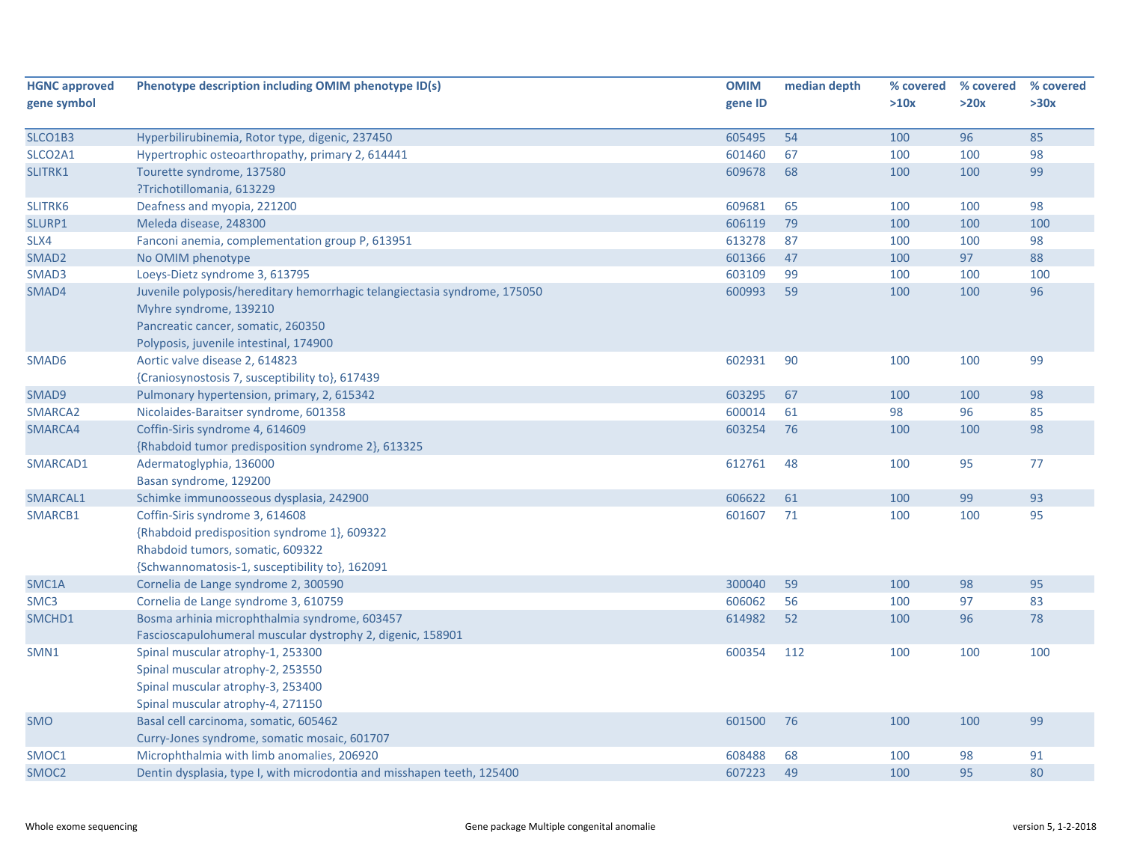| <b>HGNC approved</b> | Phenotype description including OMIM phenotype ID(s)                      | <b>OMIM</b> | median depth | % covered | % covered | % covered |
|----------------------|---------------------------------------------------------------------------|-------------|--------------|-----------|-----------|-----------|
| gene symbol          |                                                                           | gene ID     |              | >10x      | >20x      | >30x      |
|                      |                                                                           |             |              |           |           |           |
| SLCO1B3              | Hyperbilirubinemia, Rotor type, digenic, 237450                           | 605495      | 54           | 100       | 96        | 85        |
| SLCO2A1              | Hypertrophic osteoarthropathy, primary 2, 614441                          | 601460      | 67           | 100       | 100       | 98        |
| SLITRK1              | Tourette syndrome, 137580                                                 | 609678      | 68           | 100       | 100       | 99        |
|                      | ?Trichotillomania, 613229                                                 |             |              |           |           |           |
| SLITRK6              | Deafness and myopia, 221200                                               | 609681      | 65           | 100       | 100       | 98        |
| SLURP1               | Meleda disease, 248300                                                    | 606119      | 79           | 100       | 100       | 100       |
| SLX4                 | Fanconi anemia, complementation group P, 613951                           | 613278      | 87           | 100       | 100       | 98        |
| SMAD <sub>2</sub>    | No OMIM phenotype                                                         | 601366      | 47           | 100       | 97        | 88        |
| SMAD3                | Loeys-Dietz syndrome 3, 613795                                            | 603109      | 99           | 100       | 100       | 100       |
| SMAD4                | Juvenile polyposis/hereditary hemorrhagic telangiectasia syndrome, 175050 | 600993      | 59           | 100       | 100       | 96        |
|                      | Myhre syndrome, 139210                                                    |             |              |           |           |           |
|                      | Pancreatic cancer, somatic, 260350                                        |             |              |           |           |           |
|                      | Polyposis, juvenile intestinal, 174900                                    |             |              |           |           |           |
| SMAD <sub>6</sub>    | Aortic valve disease 2, 614823                                            | 602931      | 90           | 100       | 100       | 99        |
|                      | {Craniosynostosis 7, susceptibility to}, 617439                           |             |              |           |           |           |
| SMAD9                | Pulmonary hypertension, primary, 2, 615342                                | 603295      | 67           | 100       | 100       | 98        |
| SMARCA2              | Nicolaides-Baraitser syndrome, 601358                                     | 600014      | 61           | 98        | 96        | 85        |
| SMARCA4              | Coffin-Siris syndrome 4, 614609                                           | 603254      | 76           | 100       | 100       | 98        |
|                      | {Rhabdoid tumor predisposition syndrome 2}, 613325                        |             |              |           |           |           |
| SMARCAD1             | Adermatoglyphia, 136000                                                   | 612761      | 48           | 100       | 95        | 77        |
|                      | Basan syndrome, 129200                                                    |             |              |           |           |           |
| SMARCAL1             | Schimke immunoosseous dysplasia, 242900                                   | 606622      | 61           | 100       | 99        | 93        |
| SMARCB1              | Coffin-Siris syndrome 3, 614608                                           | 601607      | 71           | 100       | 100       | 95        |
|                      | {Rhabdoid predisposition syndrome 1}, 609322                              |             |              |           |           |           |
|                      | Rhabdoid tumors, somatic, 609322                                          |             |              |           |           |           |
|                      | {Schwannomatosis-1, susceptibility to}, 162091                            |             |              |           |           |           |
| SMC1A                | Cornelia de Lange syndrome 2, 300590                                      | 300040      | 59           | 100       | 98        | 95        |
| SMC <sub>3</sub>     | Cornelia de Lange syndrome 3, 610759                                      | 606062      | 56           | 100       | 97        | 83        |
| SMCHD1               | Bosma arhinia microphthalmia syndrome, 603457                             | 614982      | 52           | 100       | 96        | 78        |
|                      | Fascioscapulohumeral muscular dystrophy 2, digenic, 158901                |             |              |           |           |           |
| SMN1                 | Spinal muscular atrophy-1, 253300                                         | 600354      | 112          | 100       | 100       | 100       |
|                      | Spinal muscular atrophy-2, 253550                                         |             |              |           |           |           |
|                      | Spinal muscular atrophy-3, 253400                                         |             |              |           |           |           |
|                      | Spinal muscular atrophy-4, 271150                                         |             |              |           |           |           |
| <b>SMO</b>           | Basal cell carcinoma, somatic, 605462                                     | 601500      | 76           | 100       | 100       | 99        |
|                      | Curry-Jones syndrome, somatic mosaic, 601707                              |             |              |           |           |           |
| SMOC1                | Microphthalmia with limb anomalies, 206920                                | 608488      | 68           | 100       | 98        | 91        |
| SMOC <sub>2</sub>    | Dentin dysplasia, type I, with microdontia and misshapen teeth, 125400    | 607223      | 49           | 100       | 95        | 80        |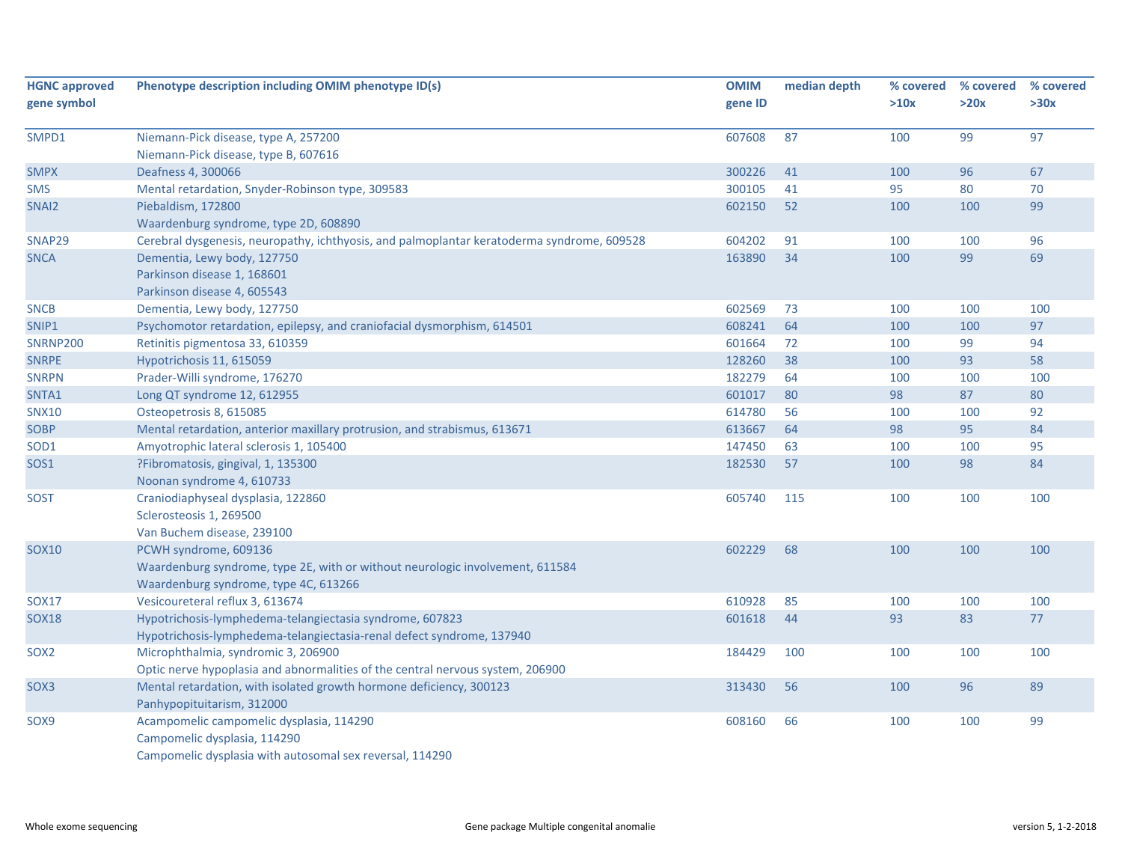| <b>HGNC approved</b> | Phenotype description including OMIM phenotype ID(s)                                       | <b>OMIM</b> | median depth | % covered | % covered | % covered |
|----------------------|--------------------------------------------------------------------------------------------|-------------|--------------|-----------|-----------|-----------|
| gene symbol          |                                                                                            | gene ID     |              | >10x      | >20x      | >30x      |
| SMPD1                | Niemann-Pick disease, type A, 257200                                                       | 607608      | 87           | 100       | 99        | 97        |
|                      | Niemann-Pick disease, type B, 607616                                                       |             |              |           |           |           |
| <b>SMPX</b>          | Deafness 4, 300066                                                                         | 300226      | 41           | 100       | 96        | 67        |
| <b>SMS</b>           | Mental retardation, Snyder-Robinson type, 309583                                           | 300105      | 41           | 95        | 80        | 70        |
| SNAI2                | Piebaldism, 172800                                                                         | 602150      | 52           | 100       | 100       | 99        |
|                      | Waardenburg syndrome, type 2D, 608890                                                      |             |              |           |           |           |
| SNAP29               | Cerebral dysgenesis, neuropathy, ichthyosis, and palmoplantar keratoderma syndrome, 609528 | 604202      | 91           | 100       | 100       | 96        |
| <b>SNCA</b>          | Dementia, Lewy body, 127750                                                                | 163890      | 34           | 100       | 99        | 69        |
|                      | Parkinson disease 1, 168601                                                                |             |              |           |           |           |
|                      | Parkinson disease 4, 605543                                                                |             |              |           |           |           |
| <b>SNCB</b>          | Dementia, Lewy body, 127750                                                                | 602569      | 73           | 100       | 100       | 100       |
| SNIP1                | Psychomotor retardation, epilepsy, and craniofacial dysmorphism, 614501                    | 608241      | 64           | 100       | 100       | 97        |
| <b>SNRNP200</b>      | Retinitis pigmentosa 33, 610359                                                            | 601664      | 72           | 100       | 99        | 94        |
| <b>SNRPE</b>         | Hypotrichosis 11, 615059                                                                   | 128260      | 38           | 100       | 93        | 58        |
| <b>SNRPN</b>         | Prader-Willi syndrome, 176270                                                              | 182279      | 64           | 100       | 100       | 100       |
| SNTA1                | Long QT syndrome 12, 612955                                                                | 601017      | 80           | 98        | 87        | 80        |
| <b>SNX10</b>         | Osteopetrosis 8, 615085                                                                    | 614780      | 56           | 100       | 100       | 92        |
| <b>SOBP</b>          | Mental retardation, anterior maxillary protrusion, and strabismus, 613671                  | 613667      | 64           | 98        | 95        | 84        |
| SOD1                 | Amyotrophic lateral sclerosis 1, 105400                                                    | 147450      | 63           | 100       | 100       | 95        |
| SOS1                 | ?Fibromatosis, gingival, 1, 135300                                                         | 182530      | 57           | 100       | 98        | 84        |
|                      | Noonan syndrome 4, 610733                                                                  |             |              |           |           |           |
| <b>SOST</b>          | Craniodiaphyseal dysplasia, 122860                                                         | 605740      | 115          | 100       | 100       | 100       |
|                      | Sclerosteosis 1, 269500                                                                    |             |              |           |           |           |
|                      | Van Buchem disease, 239100                                                                 |             |              |           |           |           |
| <b>SOX10</b>         | PCWH syndrome, 609136                                                                      | 602229      | 68           | 100       | 100       | 100       |
|                      | Waardenburg syndrome, type 2E, with or without neurologic involvement, 611584              |             |              |           |           |           |
|                      | Waardenburg syndrome, type 4C, 613266                                                      |             |              |           |           |           |
| <b>SOX17</b>         | Vesicoureteral reflux 3, 613674                                                            | 610928      | 85           | 100       | 100       | 100       |
| <b>SOX18</b>         | Hypotrichosis-lymphedema-telangiectasia syndrome, 607823                                   | 601618      | 44           | 93        | 83        | 77        |
|                      | Hypotrichosis-lymphedema-telangiectasia-renal defect syndrome, 137940                      |             |              |           |           |           |
| SOX <sub>2</sub>     | Microphthalmia, syndromic 3, 206900                                                        | 184429      | 100          | 100       | 100       | 100       |
|                      | Optic nerve hypoplasia and abnormalities of the central nervous system, 206900             |             |              |           |           |           |
| SOX3                 | Mental retardation, with isolated growth hormone deficiency, 300123                        | 313430      | 56           | 100       | 96        | 89        |
|                      | Panhypopituitarism, 312000                                                                 |             |              |           |           |           |
| SOX9                 | Acampomelic campomelic dysplasia, 114290                                                   | 608160      | 66           | 100       | 100       | 99        |
|                      | Campomelic dysplasia, 114290                                                               |             |              |           |           |           |
|                      | Campomelic dysplasia with autosomal sex reversal, 114290                                   |             |              |           |           |           |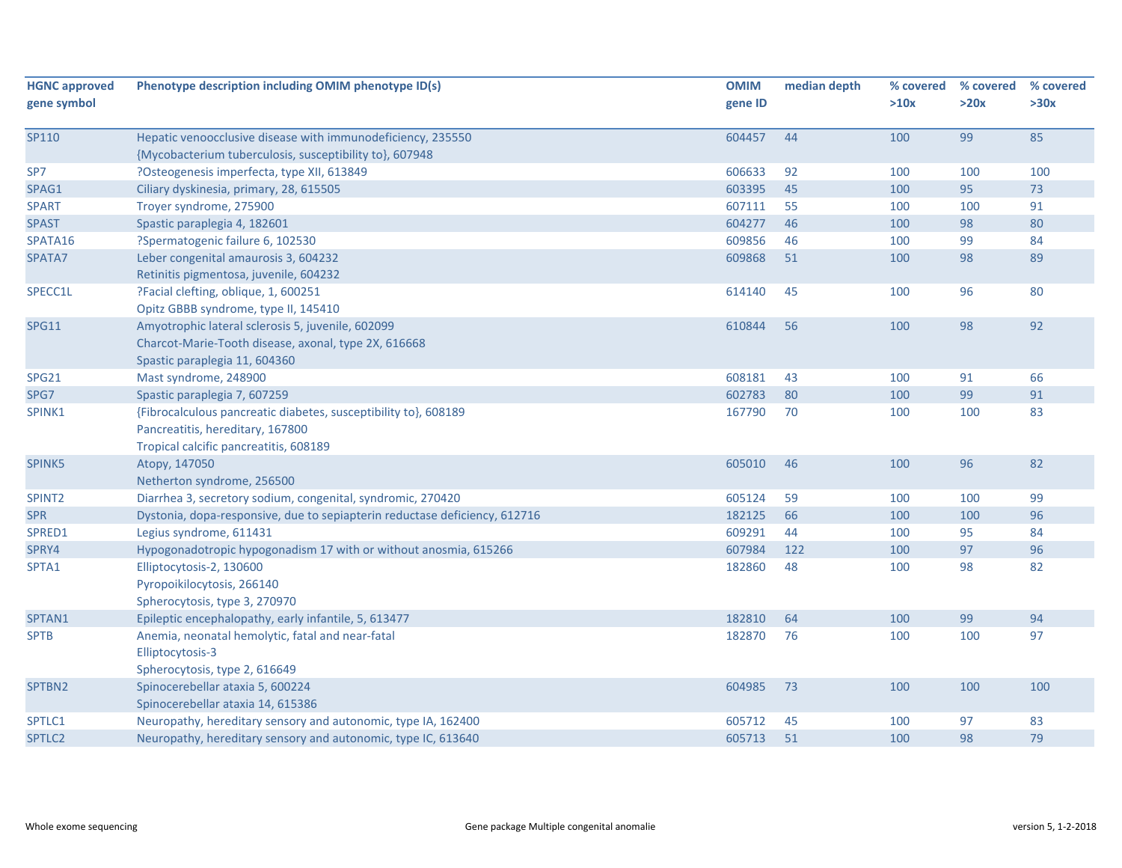| <b>HGNC approved</b> | Phenotype description including OMIM phenotype ID(s)                       | <b>OMIM</b> | median depth | % covered | % covered | % covered |
|----------------------|----------------------------------------------------------------------------|-------------|--------------|-----------|-----------|-----------|
| gene symbol          |                                                                            | gene ID     |              | >10x      | >20x      | >30x      |
|                      |                                                                            |             |              |           |           |           |
| SP110                | Hepatic venoocclusive disease with immunodeficiency, 235550                | 604457      | 44           | 100       | 99        | 85        |
|                      | {Mycobacterium tuberculosis, susceptibility to}, 607948                    |             |              |           |           |           |
| SP7                  | ?Osteogenesis imperfecta, type XII, 613849                                 | 606633      | 92           | 100       | 100       | 100       |
| SPAG1                | Ciliary dyskinesia, primary, 28, 615505                                    | 603395      | 45           | 100       | 95        | 73        |
| <b>SPART</b>         | Troyer syndrome, 275900                                                    | 607111      | 55           | 100       | 100       | 91        |
| <b>SPAST</b>         | Spastic paraplegia 4, 182601                                               | 604277      | 46           | 100       | 98        | 80        |
| SPATA16              | ?Spermatogenic failure 6, 102530                                           | 609856      | 46           | 100       | 99        | 84        |
| SPATA7               | Leber congenital amaurosis 3, 604232                                       | 609868      | 51           | 100       | 98        | 89        |
|                      | Retinitis pigmentosa, juvenile, 604232                                     |             |              |           |           |           |
| SPECC1L              | ?Facial clefting, oblique, 1, 600251                                       | 614140      | 45           | 100       | 96        | 80        |
|                      | Opitz GBBB syndrome, type II, 145410                                       |             |              |           |           |           |
| <b>SPG11</b>         | Amyotrophic lateral sclerosis 5, juvenile, 602099                          | 610844      | 56           | 100       | 98        | 92        |
|                      | Charcot-Marie-Tooth disease, axonal, type 2X, 616668                       |             |              |           |           |           |
|                      | Spastic paraplegia 11, 604360                                              |             |              |           |           |           |
| <b>SPG21</b>         | Mast syndrome, 248900                                                      | 608181      | 43           | 100       | 91        | 66        |
| SPG7                 | Spastic paraplegia 7, 607259                                               | 602783      | 80           | 100       | 99        | 91        |
| SPINK1               | {Fibrocalculous pancreatic diabetes, susceptibility to}, 608189            | 167790      | 70           | 100       | 100       | 83        |
|                      | Pancreatitis, hereditary, 167800                                           |             |              |           |           |           |
|                      | Tropical calcific pancreatitis, 608189                                     |             |              |           |           |           |
| SPINK5               | Atopy, 147050                                                              | 605010      | 46           | 100       | 96        | 82        |
|                      | Netherton syndrome, 256500                                                 |             |              |           |           |           |
| SPINT <sub>2</sub>   | Diarrhea 3, secretory sodium, congenital, syndromic, 270420                | 605124      | 59           | 100       | 100       | 99        |
| <b>SPR</b>           | Dystonia, dopa-responsive, due to sepiapterin reductase deficiency, 612716 | 182125      | 66           | 100       | 100       | 96        |
| SPRED1               | Legius syndrome, 611431                                                    | 609291      | 44           | 100       | 95        | 84        |
| SPRY4                | Hypogonadotropic hypogonadism 17 with or without anosmia, 615266           | 607984      | 122          | 100       | 97        | 96        |
| SPTA1                | Elliptocytosis-2, 130600                                                   | 182860      | 48           | 100       | 98        | 82        |
|                      | Pyropoikilocytosis, 266140                                                 |             |              |           |           |           |
|                      | Spherocytosis, type 3, 270970                                              |             |              |           |           |           |
| SPTAN1               | Epileptic encephalopathy, early infantile, 5, 613477                       | 182810      | 64           | 100       | 99        | 94        |
| <b>SPTB</b>          | Anemia, neonatal hemolytic, fatal and near-fatal                           | 182870      | 76           | 100       | 100       | 97        |
|                      | Elliptocytosis-3                                                           |             |              |           |           |           |
|                      | Spherocytosis, type 2, 616649                                              |             |              |           |           |           |
| SPTBN2               | Spinocerebellar ataxia 5, 600224                                           | 604985      | 73           | 100       | 100       | 100       |
|                      | Spinocerebellar ataxia 14, 615386                                          |             |              |           |           |           |
| SPTLC1               | Neuropathy, hereditary sensory and autonomic, type IA, 162400              | 605712      | 45           | 100       | 97        | 83        |
| SPTLC2               | Neuropathy, hereditary sensory and autonomic, type IC, 613640              | 605713      | 51           | 100       | 98        | 79        |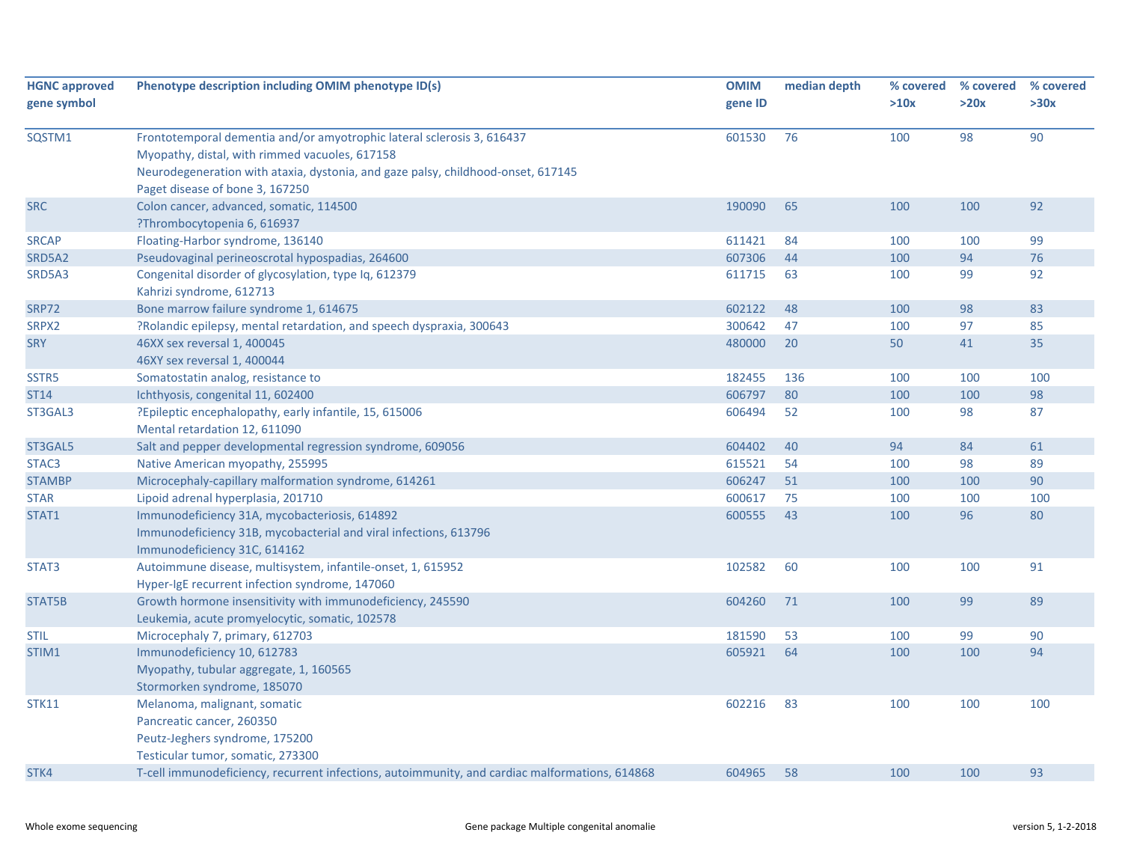| 76<br>98<br>90<br>SQSTM1<br>Frontotemporal dementia and/or amyotrophic lateral sclerosis 3, 616437<br>601530<br>100<br>Myopathy, distal, with rimmed vacuoles, 617158<br>Neurodegeneration with ataxia, dystonia, and gaze palsy, childhood-onset, 617145<br>Paget disease of bone 3, 167250<br>Colon cancer, advanced, somatic, 114500<br>190090<br>65<br>100<br>100<br>92<br>?Thrombocytopenia 6, 616937<br>Floating-Harbor syndrome, 136140<br>611421<br>84<br>100<br>99<br>100<br>607306<br>100<br>94<br>76<br>Pseudovaginal perineoscrotal hypospadias, 264600<br>44<br>611715<br>63<br>99<br>92<br>Congenital disorder of glycosylation, type Iq, 612379<br>100<br>Kahrizi syndrome, 612713<br>Bone marrow failure syndrome 1, 614675<br>602122<br>48<br>98<br>83<br>100<br>?Rolandic epilepsy, mental retardation, and speech dyspraxia, 300643<br>300642<br>97<br>85<br>47<br>100<br>480000<br>20<br>50<br>41<br>35<br>46XX sex reversal 1, 400045<br>46XY sex reversal 1, 400044<br>Somatostatin analog, resistance to<br>182455<br>100<br>100<br>136<br>100<br>606797<br>80<br>98<br>Ichthyosis, congenital 11, 602400<br>100<br>100<br>87<br>?Epileptic encephalopathy, early infantile, 15, 615006<br>606494<br>52<br>100<br>98<br>Mental retardation 12, 611090<br>Salt and pepper developmental regression syndrome, 609056<br>604402<br>40<br>94<br>84<br>61<br>615521<br>89<br>Native American myopathy, 255995<br>54<br>100<br>98<br>90<br>Microcephaly-capillary malformation syndrome, 614261<br>606247<br>51<br>100<br>100<br>75<br>Lipoid adrenal hyperplasia, 201710<br>600617<br>100<br>100<br>100<br>80<br>Immunodeficiency 31A, mycobacteriosis, 614892<br>600555<br>43<br>100<br>96<br>Immunodeficiency 31B, mycobacterial and viral infections, 613796<br>Immunodeficiency 31C, 614162<br>Autoimmune disease, multisystem, infantile-onset, 1, 615952<br>102582<br>60<br>100<br>100<br>91<br>Hyper-IgE recurrent infection syndrome, 147060<br>Growth hormone insensitivity with immunodeficiency, 245590<br>604260<br>71<br>100<br>99<br>89<br>Leukemia, acute promyelocytic, somatic, 102578<br>181590<br>90<br>Microcephaly 7, primary, 612703<br>53<br>100<br>99<br>Immunodeficiency 10, 612783<br>605921<br>64<br>100<br>100<br>94<br>Myopathy, tubular aggregate, 1, 160565<br>Stormorken syndrome, 185070<br>602216<br>83<br>100<br>Melanoma, malignant, somatic<br>100<br>100 | <b>HGNC approved</b><br>gene symbol | Phenotype description including OMIM phenotype ID(s) | <b>OMIM</b><br>gene ID | median depth | % covered<br>>10x | % covered<br>>20x | % covered<br>>30x |
|------------------------------------------------------------------------------------------------------------------------------------------------------------------------------------------------------------------------------------------------------------------------------------------------------------------------------------------------------------------------------------------------------------------------------------------------------------------------------------------------------------------------------------------------------------------------------------------------------------------------------------------------------------------------------------------------------------------------------------------------------------------------------------------------------------------------------------------------------------------------------------------------------------------------------------------------------------------------------------------------------------------------------------------------------------------------------------------------------------------------------------------------------------------------------------------------------------------------------------------------------------------------------------------------------------------------------------------------------------------------------------------------------------------------------------------------------------------------------------------------------------------------------------------------------------------------------------------------------------------------------------------------------------------------------------------------------------------------------------------------------------------------------------------------------------------------------------------------------------------------------------------------------------------------------------------------------------------------------------------------------------------------------------------------------------------------------------------------------------------------------------------------------------------------------------------------------------------------------------------------------------------------------------------------------------------------------------------------------------------------------------------------------------------|-------------------------------------|------------------------------------------------------|------------------------|--------------|-------------------|-------------------|-------------------|
|                                                                                                                                                                                                                                                                                                                                                                                                                                                                                                                                                                                                                                                                                                                                                                                                                                                                                                                                                                                                                                                                                                                                                                                                                                                                                                                                                                                                                                                                                                                                                                                                                                                                                                                                                                                                                                                                                                                                                                                                                                                                                                                                                                                                                                                                                                                                                                                                                  |                                     |                                                      |                        |              |                   |                   |                   |
|                                                                                                                                                                                                                                                                                                                                                                                                                                                                                                                                                                                                                                                                                                                                                                                                                                                                                                                                                                                                                                                                                                                                                                                                                                                                                                                                                                                                                                                                                                                                                                                                                                                                                                                                                                                                                                                                                                                                                                                                                                                                                                                                                                                                                                                                                                                                                                                                                  | <b>SRC</b>                          |                                                      |                        |              |                   |                   |                   |
| SRD5A2<br>SRD5A3<br><b>SRP72</b><br>SRPX2<br><b>SRY</b><br>SSTR5<br>ST14<br>ST3GAL3<br>ST3GAL5<br>STAC <sub>3</sub><br><b>STAMBP</b><br><b>STAR</b><br>STAT1<br>STAT3<br>STAT5B<br><b>STIL</b><br>STIM1<br><b>STK11</b>                                                                                                                                                                                                                                                                                                                                                                                                                                                                                                                                                                                                                                                                                                                                                                                                                                                                                                                                                                                                                                                                                                                                                                                                                                                                                                                                                                                                                                                                                                                                                                                                                                                                                                                                                                                                                                                                                                                                                                                                                                                                                                                                                                                          | <b>SRCAP</b>                        |                                                      |                        |              |                   |                   |                   |
|                                                                                                                                                                                                                                                                                                                                                                                                                                                                                                                                                                                                                                                                                                                                                                                                                                                                                                                                                                                                                                                                                                                                                                                                                                                                                                                                                                                                                                                                                                                                                                                                                                                                                                                                                                                                                                                                                                                                                                                                                                                                                                                                                                                                                                                                                                                                                                                                                  |                                     |                                                      |                        |              |                   |                   |                   |
|                                                                                                                                                                                                                                                                                                                                                                                                                                                                                                                                                                                                                                                                                                                                                                                                                                                                                                                                                                                                                                                                                                                                                                                                                                                                                                                                                                                                                                                                                                                                                                                                                                                                                                                                                                                                                                                                                                                                                                                                                                                                                                                                                                                                                                                                                                                                                                                                                  |                                     |                                                      |                        |              |                   |                   |                   |
|                                                                                                                                                                                                                                                                                                                                                                                                                                                                                                                                                                                                                                                                                                                                                                                                                                                                                                                                                                                                                                                                                                                                                                                                                                                                                                                                                                                                                                                                                                                                                                                                                                                                                                                                                                                                                                                                                                                                                                                                                                                                                                                                                                                                                                                                                                                                                                                                                  |                                     |                                                      |                        |              |                   |                   |                   |
|                                                                                                                                                                                                                                                                                                                                                                                                                                                                                                                                                                                                                                                                                                                                                                                                                                                                                                                                                                                                                                                                                                                                                                                                                                                                                                                                                                                                                                                                                                                                                                                                                                                                                                                                                                                                                                                                                                                                                                                                                                                                                                                                                                                                                                                                                                                                                                                                                  |                                     |                                                      |                        |              |                   |                   |                   |
|                                                                                                                                                                                                                                                                                                                                                                                                                                                                                                                                                                                                                                                                                                                                                                                                                                                                                                                                                                                                                                                                                                                                                                                                                                                                                                                                                                                                                                                                                                                                                                                                                                                                                                                                                                                                                                                                                                                                                                                                                                                                                                                                                                                                                                                                                                                                                                                                                  |                                     |                                                      |                        |              |                   |                   |                   |
|                                                                                                                                                                                                                                                                                                                                                                                                                                                                                                                                                                                                                                                                                                                                                                                                                                                                                                                                                                                                                                                                                                                                                                                                                                                                                                                                                                                                                                                                                                                                                                                                                                                                                                                                                                                                                                                                                                                                                                                                                                                                                                                                                                                                                                                                                                                                                                                                                  |                                     |                                                      |                        |              |                   |                   |                   |
|                                                                                                                                                                                                                                                                                                                                                                                                                                                                                                                                                                                                                                                                                                                                                                                                                                                                                                                                                                                                                                                                                                                                                                                                                                                                                                                                                                                                                                                                                                                                                                                                                                                                                                                                                                                                                                                                                                                                                                                                                                                                                                                                                                                                                                                                                                                                                                                                                  |                                     |                                                      |                        |              |                   |                   |                   |
|                                                                                                                                                                                                                                                                                                                                                                                                                                                                                                                                                                                                                                                                                                                                                                                                                                                                                                                                                                                                                                                                                                                                                                                                                                                                                                                                                                                                                                                                                                                                                                                                                                                                                                                                                                                                                                                                                                                                                                                                                                                                                                                                                                                                                                                                                                                                                                                                                  |                                     |                                                      |                        |              |                   |                   |                   |
|                                                                                                                                                                                                                                                                                                                                                                                                                                                                                                                                                                                                                                                                                                                                                                                                                                                                                                                                                                                                                                                                                                                                                                                                                                                                                                                                                                                                                                                                                                                                                                                                                                                                                                                                                                                                                                                                                                                                                                                                                                                                                                                                                                                                                                                                                                                                                                                                                  |                                     |                                                      |                        |              |                   |                   |                   |
|                                                                                                                                                                                                                                                                                                                                                                                                                                                                                                                                                                                                                                                                                                                                                                                                                                                                                                                                                                                                                                                                                                                                                                                                                                                                                                                                                                                                                                                                                                                                                                                                                                                                                                                                                                                                                                                                                                                                                                                                                                                                                                                                                                                                                                                                                                                                                                                                                  |                                     |                                                      |                        |              |                   |                   |                   |
|                                                                                                                                                                                                                                                                                                                                                                                                                                                                                                                                                                                                                                                                                                                                                                                                                                                                                                                                                                                                                                                                                                                                                                                                                                                                                                                                                                                                                                                                                                                                                                                                                                                                                                                                                                                                                                                                                                                                                                                                                                                                                                                                                                                                                                                                                                                                                                                                                  |                                     |                                                      |                        |              |                   |                   |                   |
|                                                                                                                                                                                                                                                                                                                                                                                                                                                                                                                                                                                                                                                                                                                                                                                                                                                                                                                                                                                                                                                                                                                                                                                                                                                                                                                                                                                                                                                                                                                                                                                                                                                                                                                                                                                                                                                                                                                                                                                                                                                                                                                                                                                                                                                                                                                                                                                                                  |                                     |                                                      |                        |              |                   |                   |                   |
|                                                                                                                                                                                                                                                                                                                                                                                                                                                                                                                                                                                                                                                                                                                                                                                                                                                                                                                                                                                                                                                                                                                                                                                                                                                                                                                                                                                                                                                                                                                                                                                                                                                                                                                                                                                                                                                                                                                                                                                                                                                                                                                                                                                                                                                                                                                                                                                                                  |                                     |                                                      |                        |              |                   |                   |                   |
|                                                                                                                                                                                                                                                                                                                                                                                                                                                                                                                                                                                                                                                                                                                                                                                                                                                                                                                                                                                                                                                                                                                                                                                                                                                                                                                                                                                                                                                                                                                                                                                                                                                                                                                                                                                                                                                                                                                                                                                                                                                                                                                                                                                                                                                                                                                                                                                                                  |                                     |                                                      |                        |              |                   |                   |                   |
|                                                                                                                                                                                                                                                                                                                                                                                                                                                                                                                                                                                                                                                                                                                                                                                                                                                                                                                                                                                                                                                                                                                                                                                                                                                                                                                                                                                                                                                                                                                                                                                                                                                                                                                                                                                                                                                                                                                                                                                                                                                                                                                                                                                                                                                                                                                                                                                                                  |                                     |                                                      |                        |              |                   |                   |                   |
|                                                                                                                                                                                                                                                                                                                                                                                                                                                                                                                                                                                                                                                                                                                                                                                                                                                                                                                                                                                                                                                                                                                                                                                                                                                                                                                                                                                                                                                                                                                                                                                                                                                                                                                                                                                                                                                                                                                                                                                                                                                                                                                                                                                                                                                                                                                                                                                                                  |                                     |                                                      |                        |              |                   |                   |                   |
|                                                                                                                                                                                                                                                                                                                                                                                                                                                                                                                                                                                                                                                                                                                                                                                                                                                                                                                                                                                                                                                                                                                                                                                                                                                                                                                                                                                                                                                                                                                                                                                                                                                                                                                                                                                                                                                                                                                                                                                                                                                                                                                                                                                                                                                                                                                                                                                                                  |                                     |                                                      |                        |              |                   |                   |                   |
|                                                                                                                                                                                                                                                                                                                                                                                                                                                                                                                                                                                                                                                                                                                                                                                                                                                                                                                                                                                                                                                                                                                                                                                                                                                                                                                                                                                                                                                                                                                                                                                                                                                                                                                                                                                                                                                                                                                                                                                                                                                                                                                                                                                                                                                                                                                                                                                                                  |                                     |                                                      |                        |              |                   |                   |                   |
| Pancreatic cancer, 260350<br>Peutz-Jeghers syndrome, 175200<br>Testicular tumor, somatic, 273300                                                                                                                                                                                                                                                                                                                                                                                                                                                                                                                                                                                                                                                                                                                                                                                                                                                                                                                                                                                                                                                                                                                                                                                                                                                                                                                                                                                                                                                                                                                                                                                                                                                                                                                                                                                                                                                                                                                                                                                                                                                                                                                                                                                                                                                                                                                 |                                     |                                                      |                        |              |                   |                   |                   |
| 93<br>STK4<br>T-cell immunodeficiency, recurrent infections, autoimmunity, and cardiac malformations, 614868<br>604965<br>58<br>100<br>100                                                                                                                                                                                                                                                                                                                                                                                                                                                                                                                                                                                                                                                                                                                                                                                                                                                                                                                                                                                                                                                                                                                                                                                                                                                                                                                                                                                                                                                                                                                                                                                                                                                                                                                                                                                                                                                                                                                                                                                                                                                                                                                                                                                                                                                                       |                                     |                                                      |                        |              |                   |                   |                   |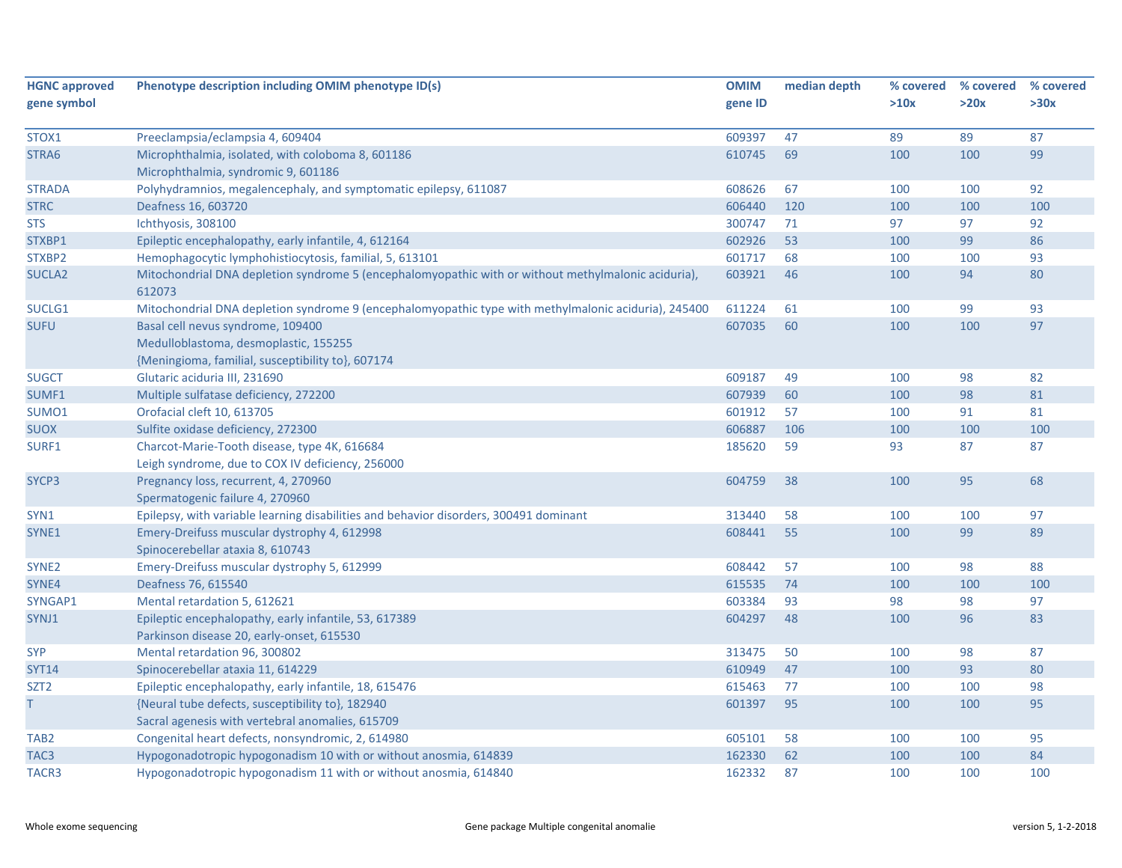| gene symbol<br>gene ID<br>>10x                                                                                                                             | >20x |      |
|------------------------------------------------------------------------------------------------------------------------------------------------------------|------|------|
|                                                                                                                                                            |      | >30x |
|                                                                                                                                                            |      |      |
| 609397<br>47<br>89<br>STOX1<br>Preeclampsia/eclampsia 4, 609404                                                                                            | 89   | 87   |
| 69<br>STRA6<br>Microphthalmia, isolated, with coloboma 8, 601186<br>610745<br>100                                                                          | 100  | 99   |
| Microphthalmia, syndromic 9, 601186                                                                                                                        |      |      |
| <b>STRADA</b><br>Polyhydramnios, megalencephaly, and symptomatic epilepsy, 611087<br>608626<br>67<br>100                                                   | 100  | 92   |
| 120<br>606440<br>100<br><b>STRC</b><br>Deafness 16, 603720                                                                                                 | 100  | 100  |
| Ichthyosis, 308100<br>300747<br>71<br>97<br><b>STS</b>                                                                                                     | 97   | 92   |
| STXBP1<br>Epileptic encephalopathy, early infantile, 4, 612164<br>602926<br>53<br>100                                                                      | 99   | 86   |
| 601717<br>STXBP2<br>Hemophagocytic lymphohistiocytosis, familial, 5, 613101<br>68<br>100                                                                   | 100  | 93   |
| Mitochondrial DNA depletion syndrome 5 (encephalomyopathic with or without methylmalonic aciduria),<br>603921<br>46<br>SUCLA <sub>2</sub><br>100<br>612073 | 94   | 80   |
| 61<br>SUCLG1<br>Mitochondrial DNA depletion syndrome 9 (encephalomyopathic type with methylmalonic aciduria), 245400<br>611224<br>100                      | 99   | 93   |
| 60<br><b>SUFU</b><br>Basal cell nevus syndrome, 109400<br>607035<br>100                                                                                    | 100  | 97   |
| Medulloblastoma, desmoplastic, 155255                                                                                                                      |      |      |
| {Meningioma, familial, susceptibility to}, 607174                                                                                                          |      |      |
| Glutaric aciduria III, 231690<br><b>SUGCT</b><br>609187<br>49<br>100                                                                                       | 98   | 82   |
| 60<br>Multiple sulfatase deficiency, 272200<br>607939<br>100<br>SUMF1                                                                                      | 98   | 81   |
| SUMO1<br>Orofacial cleft 10, 613705<br>601912<br>57<br>100                                                                                                 | 91   | 81   |
| <b>SUOX</b><br>Sulfite oxidase deficiency, 272300<br>606887<br>106<br>100                                                                                  | 100  | 100  |
| SURF1<br>185620<br>59<br>93<br>Charcot-Marie-Tooth disease, type 4K, 616684                                                                                | 87   | 87   |
| Leigh syndrome, due to COX IV deficiency, 256000                                                                                                           |      |      |
| Pregnancy loss, recurrent, 4, 270960<br>SYCP3<br>604759<br>38<br>100                                                                                       | 95   | 68   |
| Spermatogenic failure 4, 270960                                                                                                                            |      |      |
| SYN1<br>Epilepsy, with variable learning disabilities and behavior disorders, 300491 dominant<br>313440<br>58<br>100                                       | 100  | 97   |
| 55<br>SYNE1<br>Emery-Dreifuss muscular dystrophy 4, 612998<br>608441<br>100                                                                                | 99   | 89   |
| Spinocerebellar ataxia 8, 610743                                                                                                                           |      |      |
| Emery-Dreifuss muscular dystrophy 5, 612999<br>608442<br>SYNE <sub>2</sub><br>57<br>100                                                                    | 98   | 88   |
| SYNE4<br>Deafness 76, 615540<br>615535<br>74<br>100                                                                                                        | 100  | 100  |
| 603384<br>93<br>SYNGAP1<br>Mental retardation 5, 612621<br>98                                                                                              | 98   | 97   |
| 48<br>Epileptic encephalopathy, early infantile, 53, 617389<br>604297<br>100<br>SYNJ1                                                                      | 96   | 83   |
| Parkinson disease 20, early-onset, 615530                                                                                                                  |      |      |
| <b>SYP</b><br>Mental retardation 96, 300802<br>313475<br>50<br>100                                                                                         | 98   | 87   |
| 610949<br>47<br><b>SYT14</b><br>Spinocerebellar ataxia 11, 614229<br>100                                                                                   | 93   | 80   |
| Epileptic encephalopathy, early infantile, 18, 615476<br>615463<br>77<br>SZT <sub>2</sub><br>100                                                           | 100  | 98   |
| {Neural tube defects, susceptibility to}, 182940<br>601397<br>95<br>100<br>T.                                                                              | 100  | 95   |
| Sacral agenesis with vertebral anomalies, 615709                                                                                                           |      |      |
| Congenital heart defects, nonsyndromic, 2, 614980<br>605101<br>58<br>100<br>TAB <sub>2</sub>                                                               | 100  | 95   |
| Hypogonadotropic hypogonadism 10 with or without anosmia, 614839<br>162330<br>62<br>100<br>TAC <sub>3</sub>                                                | 100  | 84   |
| Hypogonadotropic hypogonadism 11 with or without anosmia, 614840<br>162332<br>87<br>TACR3<br>100                                                           | 100  | 100  |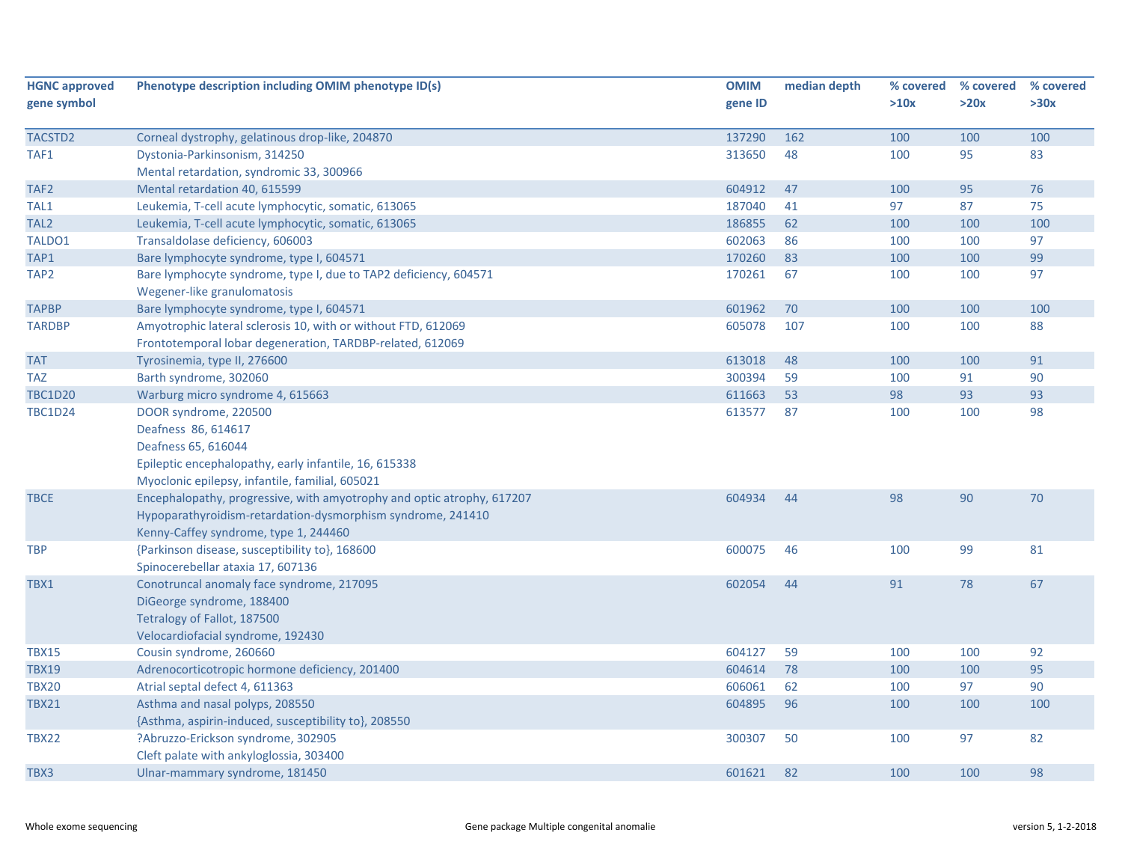| <b>HGNC approved</b> | Phenotype description including OMIM phenotype ID(s)                   | <b>OMIM</b> | median depth | % covered | % covered | % covered |
|----------------------|------------------------------------------------------------------------|-------------|--------------|-----------|-----------|-----------|
| gene symbol          |                                                                        | gene ID     |              | >10x      | >20x      | >30x      |
|                      |                                                                        |             |              |           |           |           |
| TACSTD2              | Corneal dystrophy, gelatinous drop-like, 204870                        | 137290      | 162          | 100       | 100       | 100       |
| TAF1                 | Dystonia-Parkinsonism, 314250                                          | 313650      | 48           | 100       | 95        | 83        |
|                      | Mental retardation, syndromic 33, 300966                               |             |              |           |           |           |
| TAF <sub>2</sub>     | Mental retardation 40, 615599                                          | 604912      | 47           | 100       | 95        | 76        |
| TAL1                 | Leukemia, T-cell acute lymphocytic, somatic, 613065                    | 187040      | 41           | 97        | 87        | 75        |
| TAL <sub>2</sub>     | Leukemia, T-cell acute lymphocytic, somatic, 613065                    | 186855      | 62           | 100       | 100       | 100       |
| TALDO1               | Transaldolase deficiency, 606003                                       | 602063      | 86           | 100       | 100       | 97        |
| TAP1                 | Bare lymphocyte syndrome, type I, 604571                               | 170260      | 83           | 100       | 100       | 99        |
| TAP <sub>2</sub>     | Bare lymphocyte syndrome, type I, due to TAP2 deficiency, 604571       | 170261      | 67           | 100       | 100       | 97        |
|                      | Wegener-like granulomatosis                                            |             |              |           |           |           |
| <b>TAPBP</b>         | Bare lymphocyte syndrome, type I, 604571                               | 601962      | 70           | 100       | 100       | 100       |
| <b>TARDBP</b>        | Amyotrophic lateral sclerosis 10, with or without FTD, 612069          | 605078      | 107          | 100       | 100       | 88        |
|                      | Frontotemporal lobar degeneration, TARDBP-related, 612069              |             |              |           |           |           |
| <b>TAT</b>           | Tyrosinemia, type II, 276600                                           | 613018      | 48           | 100       | 100       | 91        |
| TAZ                  | Barth syndrome, 302060                                                 | 300394      | 59           | 100       | 91        | 90        |
| <b>TBC1D20</b>       | Warburg micro syndrome 4, 615663                                       | 611663      | 53           | 98        | 93        | 93        |
| <b>TBC1D24</b>       | DOOR syndrome, 220500                                                  | 613577      | 87           | 100       | 100       | 98        |
|                      | Deafness 86, 614617                                                    |             |              |           |           |           |
|                      | Deafness 65, 616044                                                    |             |              |           |           |           |
|                      | Epileptic encephalopathy, early infantile, 16, 615338                  |             |              |           |           |           |
|                      | Myoclonic epilepsy, infantile, familial, 605021                        |             |              |           |           |           |
| TBCE                 | Encephalopathy, progressive, with amyotrophy and optic atrophy, 617207 | 604934      | 44           | 98        | 90        | 70        |
|                      | Hypoparathyroidism-retardation-dysmorphism syndrome, 241410            |             |              |           |           |           |
|                      | Kenny-Caffey syndrome, type 1, 244460                                  |             |              |           |           |           |
| <b>TBP</b>           | {Parkinson disease, susceptibility to}, 168600                         | 600075      | 46           | 100       | 99        | 81        |
|                      | Spinocerebellar ataxia 17, 607136                                      |             |              |           |           |           |
| TBX1                 | Conotruncal anomaly face syndrome, 217095                              | 602054      | 44           | 91        | 78        | 67        |
|                      | DiGeorge syndrome, 188400                                              |             |              |           |           |           |
|                      | Tetralogy of Fallot, 187500                                            |             |              |           |           |           |
|                      | Velocardiofacial syndrome, 192430                                      |             |              |           |           |           |
| <b>TBX15</b>         | Cousin syndrome, 260660                                                | 604127      | 59           | 100       | 100       | 92        |
| <b>TBX19</b>         | Adrenocorticotropic hormone deficiency, 201400                         | 604614      | 78           | 100       | 100       | 95        |
| TBX20                | Atrial septal defect 4, 611363                                         | 606061      | 62           | 100       | 97        | 90        |
| <b>TBX21</b>         | Asthma and nasal polyps, 208550                                        | 604895      | 96           | 100       | 100       | 100       |
|                      | {Asthma, aspirin-induced, susceptibility to}, 208550                   |             |              |           |           |           |
| TBX22                | ?Abruzzo-Erickson syndrome, 302905                                     | 300307      | 50           | 100       | 97        | 82        |
|                      | Cleft palate with ankyloglossia, 303400                                |             |              |           |           |           |
| TBX3                 | Ulnar-mammary syndrome, 181450                                         | 601621      | 82           | 100       | 100       | 98        |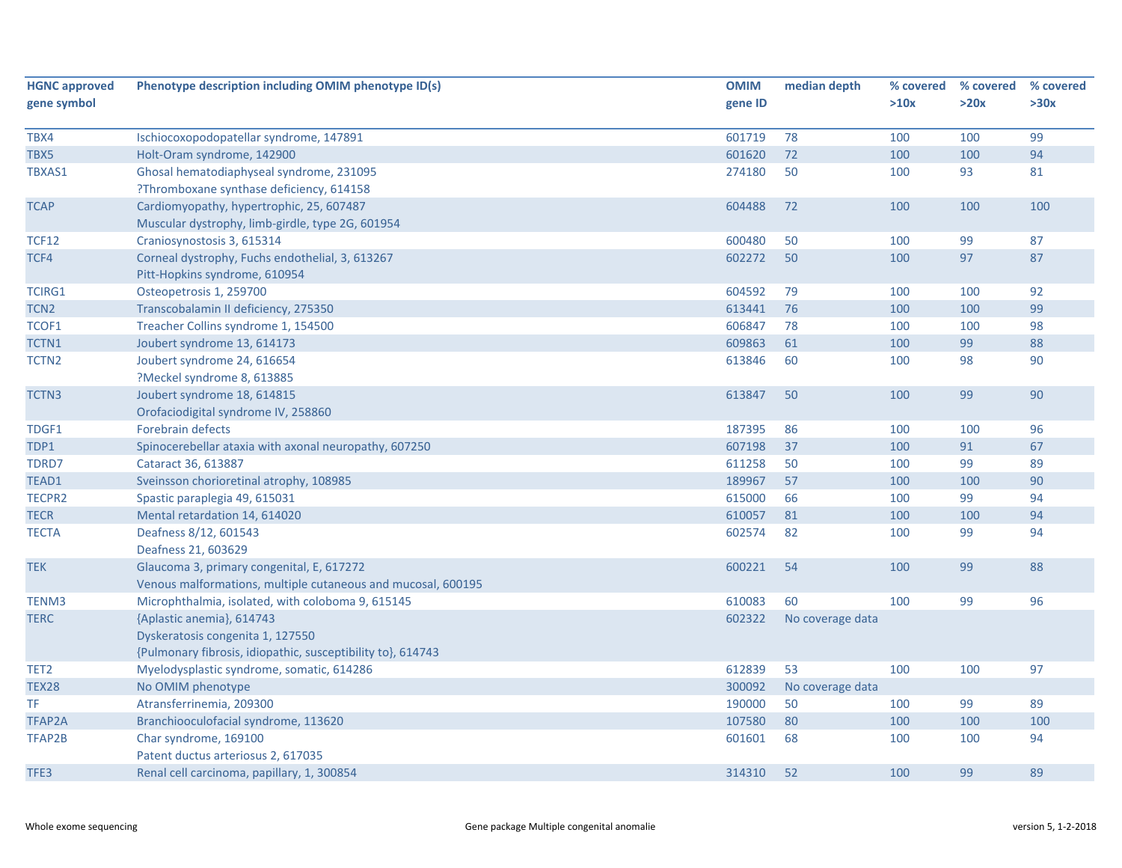| <b>HGNC approved</b> | Phenotype description including OMIM phenotype ID(s)         | <b>OMIM</b> | median depth     | % covered | % covered | % covered |
|----------------------|--------------------------------------------------------------|-------------|------------------|-----------|-----------|-----------|
| gene symbol          |                                                              | gene ID     |                  | >10x      | >20x      | >30x      |
| TBX4                 | Ischiocoxopodopatellar syndrome, 147891                      | 601719      | 78               | 100       | 100       | 99        |
| TBX5                 | Holt-Oram syndrome, 142900                                   | 601620      | 72               | 100       | 100       | 94        |
| TBXAS1               | Ghosal hematodiaphyseal syndrome, 231095                     | 274180      | 50               | 100       | 93        | 81        |
|                      | ?Thromboxane synthase deficiency, 614158                     |             |                  |           |           |           |
| <b>TCAP</b>          | Cardiomyopathy, hypertrophic, 25, 607487                     | 604488      | 72               | 100       | 100       | 100       |
|                      | Muscular dystrophy, limb-girdle, type 2G, 601954             |             |                  |           |           |           |
| <b>TCF12</b>         | Craniosynostosis 3, 615314                                   | 600480      | 50               | 100       | 99        | 87        |
| TCF4                 | Corneal dystrophy, Fuchs endothelial, 3, 613267              | 602272      | 50               | 100       | 97        | 87        |
|                      | Pitt-Hopkins syndrome, 610954                                |             |                  |           |           |           |
| <b>TCIRG1</b>        | Osteopetrosis 1, 259700                                      | 604592      | 79               | 100       | 100       | 92        |
| TCN <sub>2</sub>     | Transcobalamin II deficiency, 275350                         | 613441      | 76               | 100       | 100       | 99        |
| TCOF1                | Treacher Collins syndrome 1, 154500                          | 606847      | 78               | 100       | 100       | 98        |
| TCTN1                | Joubert syndrome 13, 614173                                  | 609863      | 61               | 100       | 99        | 88        |
| TCTN <sub>2</sub>    | Joubert syndrome 24, 616654                                  | 613846      | 60               | 100       | 98        | 90        |
|                      | ?Meckel syndrome 8, 613885                                   |             |                  |           |           |           |
| TCTN3                | Joubert syndrome 18, 614815                                  | 613847      | 50               | 100       | 99        | 90        |
|                      | Orofaciodigital syndrome IV, 258860                          |             |                  |           |           |           |
| TDGF1                | Forebrain defects                                            | 187395      | 86               | 100       | 100       | 96        |
| TDP1                 | Spinocerebellar ataxia with axonal neuropathy, 607250        | 607198      | 37               | 100       | 91        | 67        |
| TDRD7                | Cataract 36, 613887                                          | 611258      | 50               | 100       | 99        | 89        |
| TEAD1                | Sveinsson chorioretinal atrophy, 108985                      | 189967      | 57               | 100       | 100       | 90        |
| TECPR2               | Spastic paraplegia 49, 615031                                | 615000      | 66               | 100       | 99        | 94        |
| <b>TECR</b>          | Mental retardation 14, 614020                                | 610057      | 81               | 100       | 100       | 94        |
| <b>TECTA</b>         | Deafness 8/12, 601543                                        | 602574      | 82               | 100       | 99        | 94        |
|                      | Deafness 21, 603629                                          |             |                  |           |           |           |
| <b>TEK</b>           | Glaucoma 3, primary congenital, E, 617272                    | 600221      | 54               | 100       | 99        | 88        |
|                      | Venous malformations, multiple cutaneous and mucosal, 600195 |             |                  |           |           |           |
| TENM3                | Microphthalmia, isolated, with coloboma 9, 615145            | 610083      | 60               | 100       | 99        | 96        |
| <b>TERC</b>          | {Aplastic anemia}, 614743                                    | 602322      | No coverage data |           |           |           |
|                      | Dyskeratosis congenita 1, 127550                             |             |                  |           |           |           |
|                      | {Pulmonary fibrosis, idiopathic, susceptibility to}, 614743  |             |                  |           |           |           |
| TET2                 | Myelodysplastic syndrome, somatic, 614286                    | 612839      | 53               | 100       | 100       | 97        |
| <b>TEX28</b>         | No OMIM phenotype                                            | 300092      | No coverage data |           |           |           |
| TF                   | Atransferrinemia, 209300                                     | 190000      | 50               | 100       | 99        | 89        |
| <b>TFAP2A</b>        | Branchiooculofacial syndrome, 113620                         | 107580      | 80               | 100       | 100       | 100       |
| TFAP2B               | Char syndrome, 169100                                        | 601601      | 68               | 100       | 100       | 94        |
|                      | Patent ductus arteriosus 2, 617035                           |             |                  |           |           |           |
| TFE3                 | Renal cell carcinoma, papillary, 1, 300854                   | 314310      | 52               | 100       | 99        | 89        |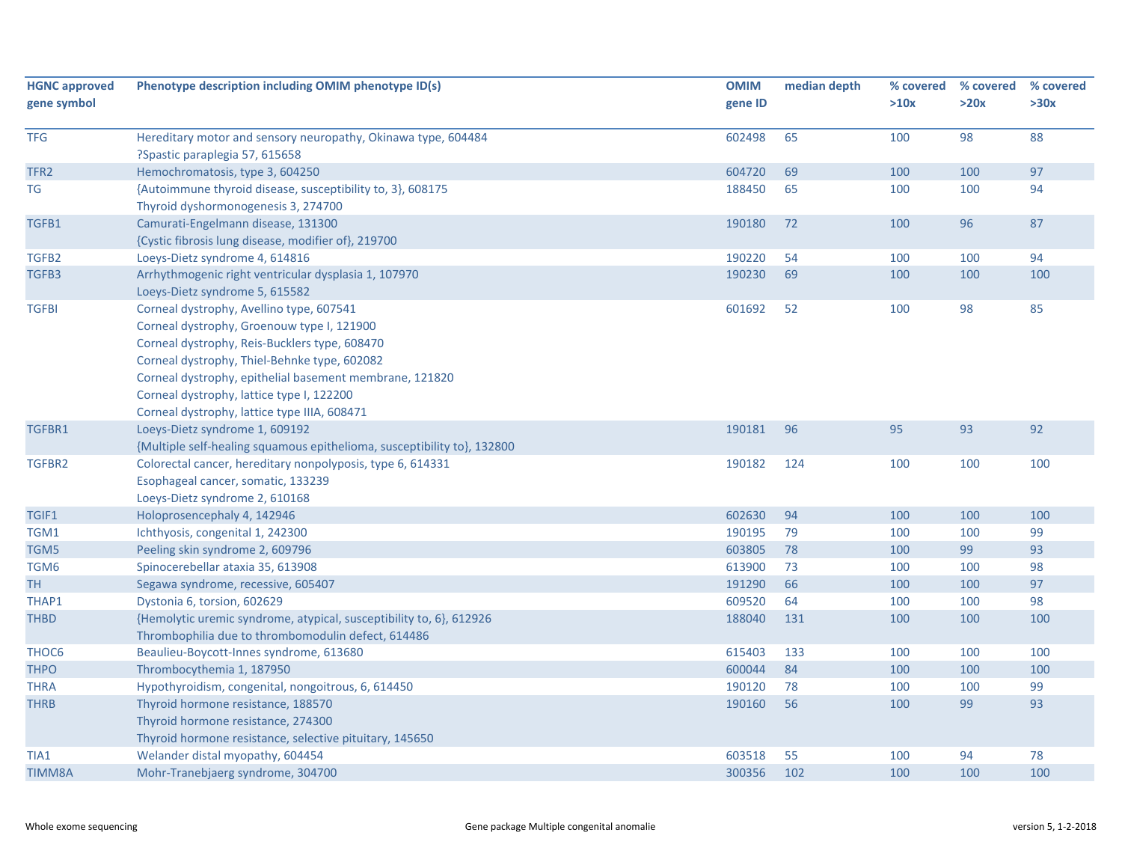| <b>HGNC approved</b><br>gene symbol | Phenotype description including OMIM phenotype ID(s)                                                                                                                                                                                                                                                                                            | <b>OMIM</b><br>gene ID | median depth | % covered<br>>10x | % covered<br>>20x | % covered<br>>30x |
|-------------------------------------|-------------------------------------------------------------------------------------------------------------------------------------------------------------------------------------------------------------------------------------------------------------------------------------------------------------------------------------------------|------------------------|--------------|-------------------|-------------------|-------------------|
|                                     |                                                                                                                                                                                                                                                                                                                                                 |                        |              |                   |                   |                   |
| <b>TFG</b>                          | Hereditary motor and sensory neuropathy, Okinawa type, 604484<br>?Spastic paraplegia 57, 615658                                                                                                                                                                                                                                                 | 602498                 | 65           | 100               | 98                | 88                |
| TFR <sub>2</sub>                    | Hemochromatosis, type 3, 604250                                                                                                                                                                                                                                                                                                                 | 604720                 | 69           | 100               | 100               | 97                |
| TG                                  | {Autoimmune thyroid disease, susceptibility to, 3}, 608175<br>Thyroid dyshormonogenesis 3, 274700                                                                                                                                                                                                                                               | 188450                 | 65           | 100               | 100               | 94                |
| TGFB1                               | Camurati-Engelmann disease, 131300<br>{Cystic fibrosis lung disease, modifier of}, 219700                                                                                                                                                                                                                                                       | 190180                 | 72           | 100               | 96                | 87                |
| TGFB2                               | Loeys-Dietz syndrome 4, 614816                                                                                                                                                                                                                                                                                                                  | 190220                 | 54           | 100               | 100               | 94                |
| TGFB3                               | Arrhythmogenic right ventricular dysplasia 1, 107970<br>Loeys-Dietz syndrome 5, 615582                                                                                                                                                                                                                                                          | 190230                 | 69           | 100               | 100               | 100               |
| <b>TGFBI</b>                        | Corneal dystrophy, Avellino type, 607541<br>Corneal dystrophy, Groenouw type I, 121900<br>Corneal dystrophy, Reis-Bucklers type, 608470<br>Corneal dystrophy, Thiel-Behnke type, 602082<br>Corneal dystrophy, epithelial basement membrane, 121820<br>Corneal dystrophy, lattice type I, 122200<br>Corneal dystrophy, lattice type IIIA, 608471 | 601692                 | 52           | 100               | 98                | 85                |
| TGFBR1                              | Loeys-Dietz syndrome 1, 609192<br>{Multiple self-healing squamous epithelioma, susceptibility to}, 132800                                                                                                                                                                                                                                       | 190181                 | 96           | 95                | 93                | 92                |
| TGFBR2                              | Colorectal cancer, hereditary nonpolyposis, type 6, 614331<br>Esophageal cancer, somatic, 133239<br>Loeys-Dietz syndrome 2, 610168                                                                                                                                                                                                              | 190182                 | 124          | 100               | 100               | 100               |
| TGIF1                               | Holoprosencephaly 4, 142946                                                                                                                                                                                                                                                                                                                     | 602630                 | 94           | 100               | 100               | 100               |
| TGM1                                | Ichthyosis, congenital 1, 242300                                                                                                                                                                                                                                                                                                                | 190195                 | 79           | 100               | 100               | 99                |
| TGM5                                | Peeling skin syndrome 2, 609796                                                                                                                                                                                                                                                                                                                 | 603805                 | 78           | 100               | 99                | 93                |
| TGM6                                | Spinocerebellar ataxia 35, 613908                                                                                                                                                                                                                                                                                                               | 613900                 | 73           | 100               | 100               | 98                |
| TH                                  | Segawa syndrome, recessive, 605407                                                                                                                                                                                                                                                                                                              | 191290                 | 66           | 100               | 100               | 97                |
| THAP1                               | Dystonia 6, torsion, 602629                                                                                                                                                                                                                                                                                                                     | 609520                 | 64           | 100               | 100               | 98                |
| <b>THBD</b>                         | {Hemolytic uremic syndrome, atypical, susceptibility to, 6}, 612926<br>Thrombophilia due to thrombomodulin defect, 614486                                                                                                                                                                                                                       | 188040                 | 131          | 100               | 100               | 100               |
| THOC6                               | Beaulieu-Boycott-Innes syndrome, 613680                                                                                                                                                                                                                                                                                                         | 615403                 | 133          | 100               | 100               | 100               |
| <b>THPO</b>                         | Thrombocythemia 1, 187950                                                                                                                                                                                                                                                                                                                       | 600044                 | 84           | 100               | 100               | 100               |
| <b>THRA</b>                         | Hypothyroidism, congenital, nongoitrous, 6, 614450                                                                                                                                                                                                                                                                                              | 190120                 | 78           | 100               | 100               | 99                |
| <b>THRB</b>                         | Thyroid hormone resistance, 188570<br>Thyroid hormone resistance, 274300<br>Thyroid hormone resistance, selective pituitary, 145650                                                                                                                                                                                                             | 190160                 | 56           | 100               | 99                | 93                |
| TIA1                                | Welander distal myopathy, 604454                                                                                                                                                                                                                                                                                                                | 603518                 | 55           | 100               | 94                | 78                |
| <b>TIMM8A</b>                       | Mohr-Tranebjaerg syndrome, 304700                                                                                                                                                                                                                                                                                                               | 300356                 | 102          | 100               | 100               | 100               |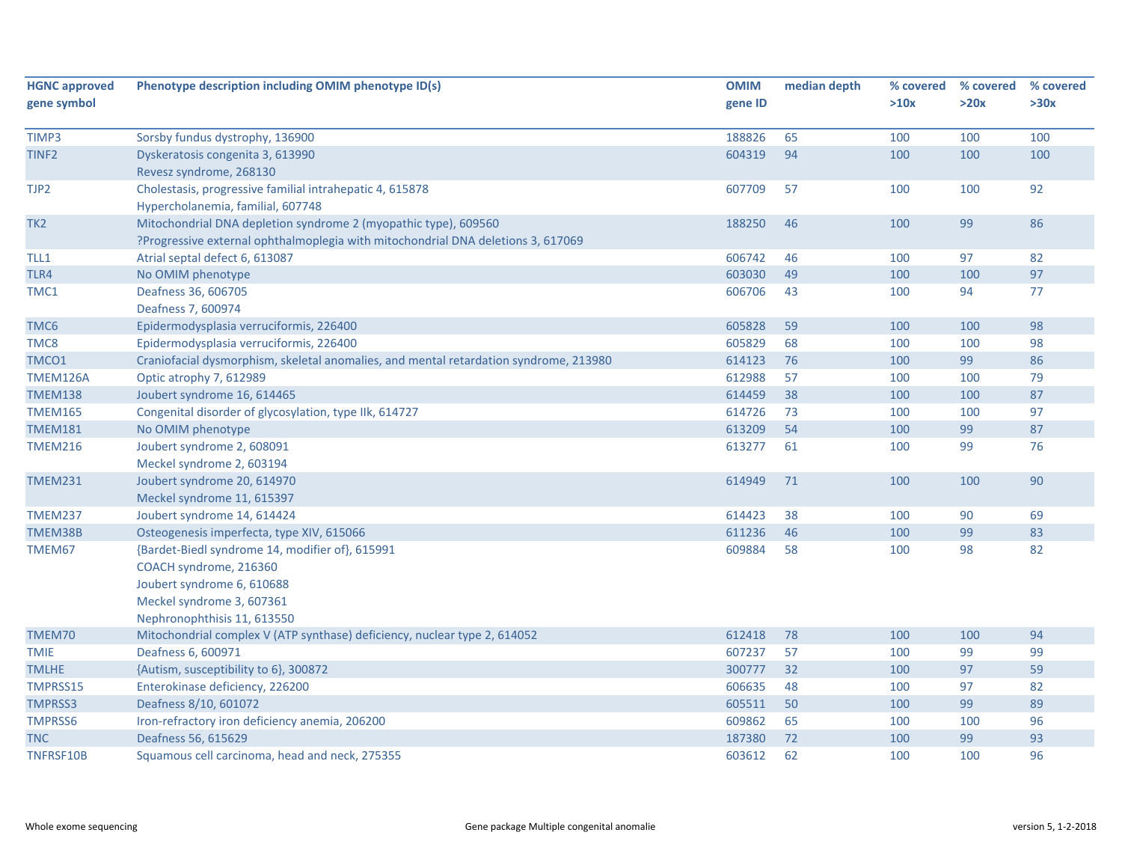| <b>HGNC approved</b> | Phenotype description including OMIM phenotype ID(s)                                  | <b>OMIM</b> | median depth | % covered | % covered | % covered |
|----------------------|---------------------------------------------------------------------------------------|-------------|--------------|-----------|-----------|-----------|
| gene symbol          |                                                                                       | gene ID     |              | >10x      | >20x      | >30x      |
|                      |                                                                                       |             |              |           |           |           |
| TIMP3                | Sorsby fundus dystrophy, 136900                                                       | 188826      | 65           | 100       | 100       | 100       |
| TINF <sub>2</sub>    | Dyskeratosis congenita 3, 613990                                                      | 604319      | 94           | 100       | 100       | 100       |
|                      | Revesz syndrome, 268130                                                               |             |              |           |           |           |
| TJP2                 | Cholestasis, progressive familial intrahepatic 4, 615878                              | 607709      | 57           | 100       | 100       | 92        |
|                      | Hypercholanemia, familial, 607748                                                     |             |              |           |           |           |
| TK <sub>2</sub>      | Mitochondrial DNA depletion syndrome 2 (myopathic type), 609560                       | 188250      | 46           | 100       | 99        | 86        |
|                      | ?Progressive external ophthalmoplegia with mitochondrial DNA deletions 3, 617069      |             |              |           |           |           |
| TLL1                 | Atrial septal defect 6, 613087                                                        | 606742      | 46           | 100       | 97        | 82        |
| TLR4                 | No OMIM phenotype                                                                     | 603030      | 49           | 100       | 100       | 97        |
| TMC1                 | Deafness 36, 606705                                                                   | 606706      | 43           | 100       | 94        | 77        |
|                      | Deafness 7, 600974                                                                    |             |              |           |           |           |
| TMC6                 | Epidermodysplasia verruciformis, 226400                                               | 605828      | 59           | 100       | 100       | 98        |
| TMC8                 | Epidermodysplasia verruciformis, 226400                                               | 605829      | 68           | 100       | 100       | 98        |
| TMCO1                | Craniofacial dysmorphism, skeletal anomalies, and mental retardation syndrome, 213980 | 614123      | 76           | 100       | 99        | 86        |
| TMEM126A             | Optic atrophy 7, 612989                                                               | 612988      | 57           | 100       | 100       | 79        |
| <b>TMEM138</b>       | Joubert syndrome 16, 614465                                                           | 614459      | 38           | 100       | 100       | 87        |
| <b>TMEM165</b>       | Congenital disorder of glycosylation, type IIk, 614727                                | 614726      | 73           | 100       | 100       | 97        |
| <b>TMEM181</b>       | No OMIM phenotype                                                                     | 613209      | 54           | 100       | 99        | 87        |
| <b>TMEM216</b>       | Joubert syndrome 2, 608091                                                            | 613277      | 61           | 100       | 99        | 76        |
|                      | Meckel syndrome 2, 603194                                                             |             |              |           |           |           |
| <b>TMEM231</b>       | Joubert syndrome 20, 614970                                                           | 614949      | 71           | 100       | 100       | 90        |
|                      | Meckel syndrome 11, 615397                                                            |             |              |           |           |           |
| <b>TMEM237</b>       | Joubert syndrome 14, 614424                                                           | 614423      | 38           | 100       | 90        | 69        |
| TMEM38B              | Osteogenesis imperfecta, type XIV, 615066                                             | 611236      | 46           | 100       | 99        | 83        |
| TMEM67               | {Bardet-Biedl syndrome 14, modifier of}, 615991                                       | 609884      | 58           | 100       | 98        | 82        |
|                      | COACH syndrome, 216360                                                                |             |              |           |           |           |
|                      | Joubert syndrome 6, 610688                                                            |             |              |           |           |           |
|                      | Meckel syndrome 3, 607361                                                             |             |              |           |           |           |
|                      | Nephronophthisis 11, 613550                                                           |             |              |           |           |           |
| TMEM70               | Mitochondrial complex V (ATP synthase) deficiency, nuclear type 2, 614052             | 612418      | 78           | 100       | 100       | 94        |
| <b>TMIE</b>          | Deafness 6, 600971                                                                    | 607237      | 57           | 100       | 99        | 99        |
| <b>TMLHE</b>         | {Autism, susceptibility to 6}, 300872                                                 | 300777      | 32           | 100       | 97        | 59        |
| TMPRSS15             | Enterokinase deficiency, 226200                                                       | 606635      | 48           | 100       | 97        | 82        |
| TMPRSS3              | Deafness 8/10, 601072                                                                 | 605511      | 50           | 100       | 99        | 89        |
| <b>TMPRSS6</b>       | Iron-refractory iron deficiency anemia, 206200                                        | 609862      | 65           | 100       | 100       | 96        |
| <b>TNC</b>           | Deafness 56, 615629                                                                   | 187380      | 72           | 100       | 99        | 93        |
| TNFRSF10B            | Squamous cell carcinoma, head and neck, 275355                                        | 603612      | 62           | 100       | 100       | 96        |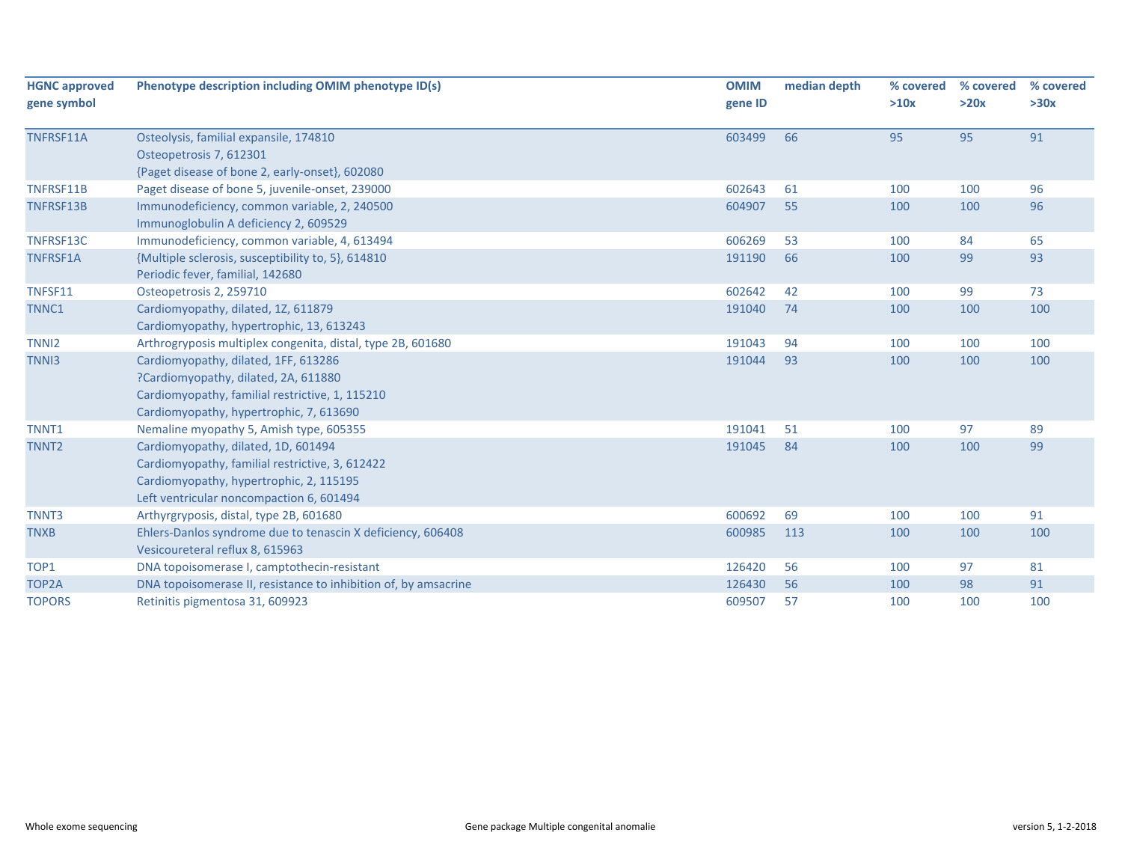| <b>HGNC approved</b><br>gene symbol | Phenotype description including OMIM phenotype ID(s)                                                                                                                          | <b>OMIM</b><br>gene ID | median depth | % covered<br>>10x | % covered<br>>20x | % covered<br>>30x |
|-------------------------------------|-------------------------------------------------------------------------------------------------------------------------------------------------------------------------------|------------------------|--------------|-------------------|-------------------|-------------------|
| TNFRSF11A                           | Osteolysis, familial expansile, 174810<br>Osteopetrosis 7, 612301<br>{Paget disease of bone 2, early-onset}, 602080                                                           | 603499                 | 66           | 95                | 95                | 91                |
| TNFRSF11B                           | Paget disease of bone 5, juvenile-onset, 239000                                                                                                                               | 602643                 | 61           | 100               | 100               | 96                |
| TNFRSF13B                           | Immunodeficiency, common variable, 2, 240500<br>Immunoglobulin A deficiency 2, 609529                                                                                         | 604907                 | 55           | 100               | 100               | 96                |
| TNFRSF13C                           | Immunodeficiency, common variable, 4, 613494                                                                                                                                  | 606269                 | 53           | 100               | 84                | 65                |
| <b>TNFRSF1A</b>                     | {Multiple sclerosis, susceptibility to, 5}, 614810<br>Periodic fever, familial, 142680                                                                                        | 191190                 | 66           | 100               | 99                | 93                |
| TNFSF11                             | Osteopetrosis 2, 259710                                                                                                                                                       | 602642                 | 42           | 100               | 99                | 73                |
| TNNC1                               | Cardiomyopathy, dilated, 1Z, 611879<br>Cardiomyopathy, hypertrophic, 13, 613243                                                                                               | 191040                 | 74           | 100               | 100               | 100               |
| TNNI <sub>2</sub>                   | Arthrogryposis multiplex congenita, distal, type 2B, 601680                                                                                                                   | 191043                 | 94           | 100               | 100               | 100               |
| TNN <sub>13</sub>                   | Cardiomyopathy, dilated, 1FF, 613286<br>?Cardiomyopathy, dilated, 2A, 611880<br>Cardiomyopathy, familial restrictive, 1, 115210<br>Cardiomyopathy, hypertrophic, 7, 613690    | 191044                 | 93           | 100               | 100               | 100               |
| TNNT1                               | Nemaline myopathy 5, Amish type, 605355                                                                                                                                       | 191041                 | 51           | 100               | 97                | 89                |
| TNNT <sub>2</sub>                   | Cardiomyopathy, dilated, 1D, 601494<br>Cardiomyopathy, familial restrictive, 3, 612422<br>Cardiomyopathy, hypertrophic, 2, 115195<br>Left ventricular noncompaction 6, 601494 | 191045                 | 84           | 100               | 100               | 99                |
| TNNT3                               | Arthyrgryposis, distal, type 2B, 601680                                                                                                                                       | 600692                 | 69           | 100               | 100               | 91                |
| <b>TNXB</b>                         | Ehlers-Danlos syndrome due to tenascin X deficiency, 606408<br>Vesicoureteral reflux 8, 615963                                                                                | 600985                 | 113          | 100               | 100               | 100               |
| TOP1                                | DNA topoisomerase I, camptothecin-resistant                                                                                                                                   | 126420                 | 56           | 100               | 97                | 81                |
| TOP2A                               | DNA topoisomerase II, resistance to inhibition of, by amsacrine                                                                                                               | 126430                 | 56           | 100               | 98                | 91                |
| <b>TOPORS</b>                       | Retinitis pigmentosa 31, 609923                                                                                                                                               | 609507                 | 57           | 100               | 100               | 100               |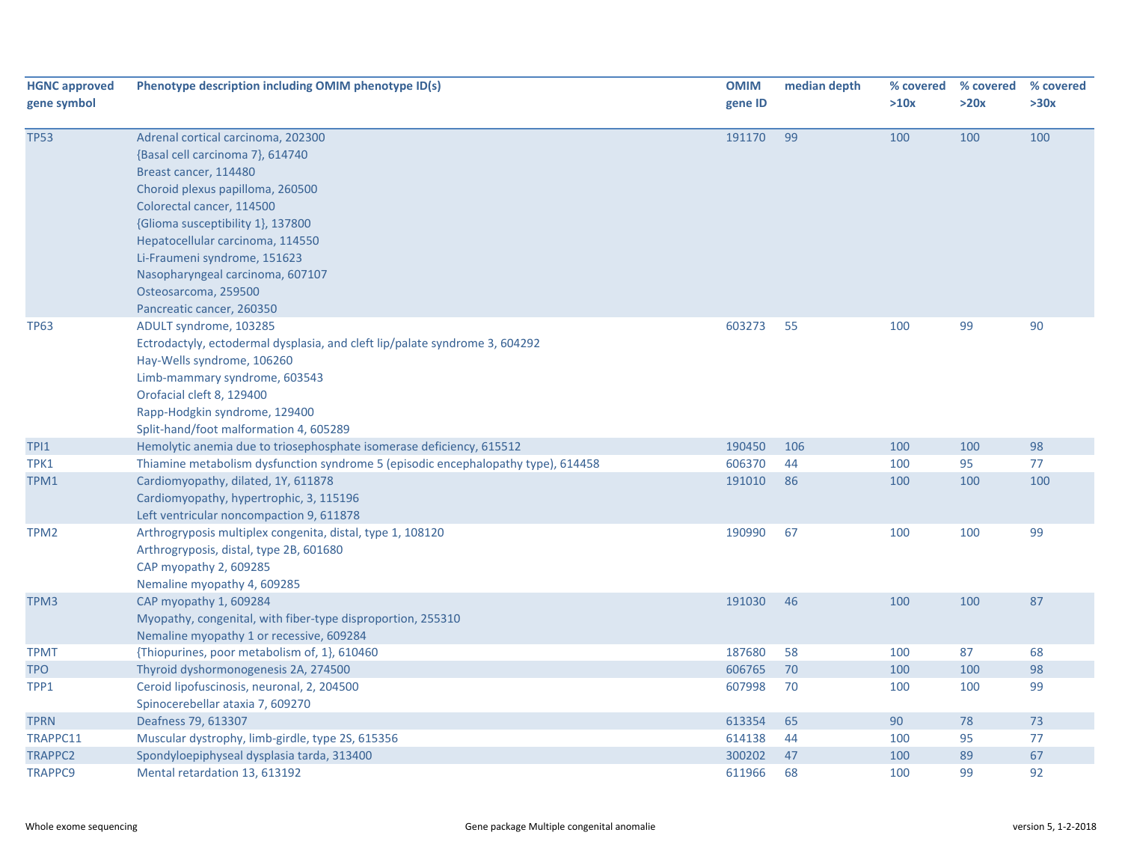| <b>HGNC approved</b><br>gene symbol | Phenotype description including OMIM phenotype ID(s)                                                                                                                                                                                                                                                                                                               | <b>OMIM</b><br>gene ID | median depth | % covered<br>>10x | % covered<br>>20x | % covered<br>>30x |
|-------------------------------------|--------------------------------------------------------------------------------------------------------------------------------------------------------------------------------------------------------------------------------------------------------------------------------------------------------------------------------------------------------------------|------------------------|--------------|-------------------|-------------------|-------------------|
| <b>TP53</b>                         | Adrenal cortical carcinoma, 202300<br>{Basal cell carcinoma 7}, 614740<br>Breast cancer, 114480<br>Choroid plexus papilloma, 260500<br>Colorectal cancer, 114500<br>{Glioma susceptibility 1}, 137800<br>Hepatocellular carcinoma, 114550<br>Li-Fraumeni syndrome, 151623<br>Nasopharyngeal carcinoma, 607107<br>Osteosarcoma, 259500<br>Pancreatic cancer, 260350 | 191170                 | 99           | 100               | 100               | 100               |
| <b>TP63</b>                         | ADULT syndrome, 103285<br>Ectrodactyly, ectodermal dysplasia, and cleft lip/palate syndrome 3, 604292<br>Hay-Wells syndrome, 106260<br>Limb-mammary syndrome, 603543<br>Orofacial cleft 8, 129400<br>Rapp-Hodgkin syndrome, 129400<br>Split-hand/foot malformation 4, 605289                                                                                       | 603273                 | 55           | 100               | 99                | 90                |
| TPI1                                | Hemolytic anemia due to triosephosphate isomerase deficiency, 615512                                                                                                                                                                                                                                                                                               | 190450                 | 106          | 100               | 100               | 98                |
| TPK1                                | Thiamine metabolism dysfunction syndrome 5 (episodic encephalopathy type), 614458                                                                                                                                                                                                                                                                                  | 606370                 | 44           | 100               | 95                | 77                |
| TPM1                                | Cardiomyopathy, dilated, 1Y, 611878<br>Cardiomyopathy, hypertrophic, 3, 115196<br>Left ventricular noncompaction 9, 611878                                                                                                                                                                                                                                         | 191010                 | 86           | 100               | 100               | 100               |
| TPM <sub>2</sub>                    | Arthrogryposis multiplex congenita, distal, type 1, 108120<br>Arthrogryposis, distal, type 2B, 601680<br>CAP myopathy 2, 609285<br>Nemaline myopathy 4, 609285                                                                                                                                                                                                     | 190990                 | 67           | 100               | 100               | 99                |
| TPM3                                | CAP myopathy 1, 609284<br>Myopathy, congenital, with fiber-type disproportion, 255310<br>Nemaline myopathy 1 or recessive, 609284                                                                                                                                                                                                                                  | 191030                 | 46           | 100               | 100               | 87                |
| <b>TPMT</b>                         | {Thiopurines, poor metabolism of, 1}, 610460                                                                                                                                                                                                                                                                                                                       | 187680                 | 58           | 100               | 87                | 68                |
| <b>TPO</b>                          | Thyroid dyshormonogenesis 2A, 274500                                                                                                                                                                                                                                                                                                                               | 606765                 | 70           | 100               | 100               | 98                |
| TPP1                                | Ceroid lipofuscinosis, neuronal, 2, 204500<br>Spinocerebellar ataxia 7, 609270                                                                                                                                                                                                                                                                                     | 607998                 | 70           | 100               | 100               | 99                |
| <b>TPRN</b>                         | Deafness 79, 613307                                                                                                                                                                                                                                                                                                                                                | 613354                 | 65           | 90                | 78                | 73                |
| TRAPPC11                            | Muscular dystrophy, limb-girdle, type 2S, 615356                                                                                                                                                                                                                                                                                                                   | 614138                 | 44           | 100               | 95                | 77                |
| <b>TRAPPC2</b>                      | Spondyloepiphyseal dysplasia tarda, 313400                                                                                                                                                                                                                                                                                                                         | 300202                 | 47           | 100               | 89                | 67                |
| <b>TRAPPC9</b>                      | Mental retardation 13, 613192                                                                                                                                                                                                                                                                                                                                      | 611966                 | 68           | 100               | 99                | 92                |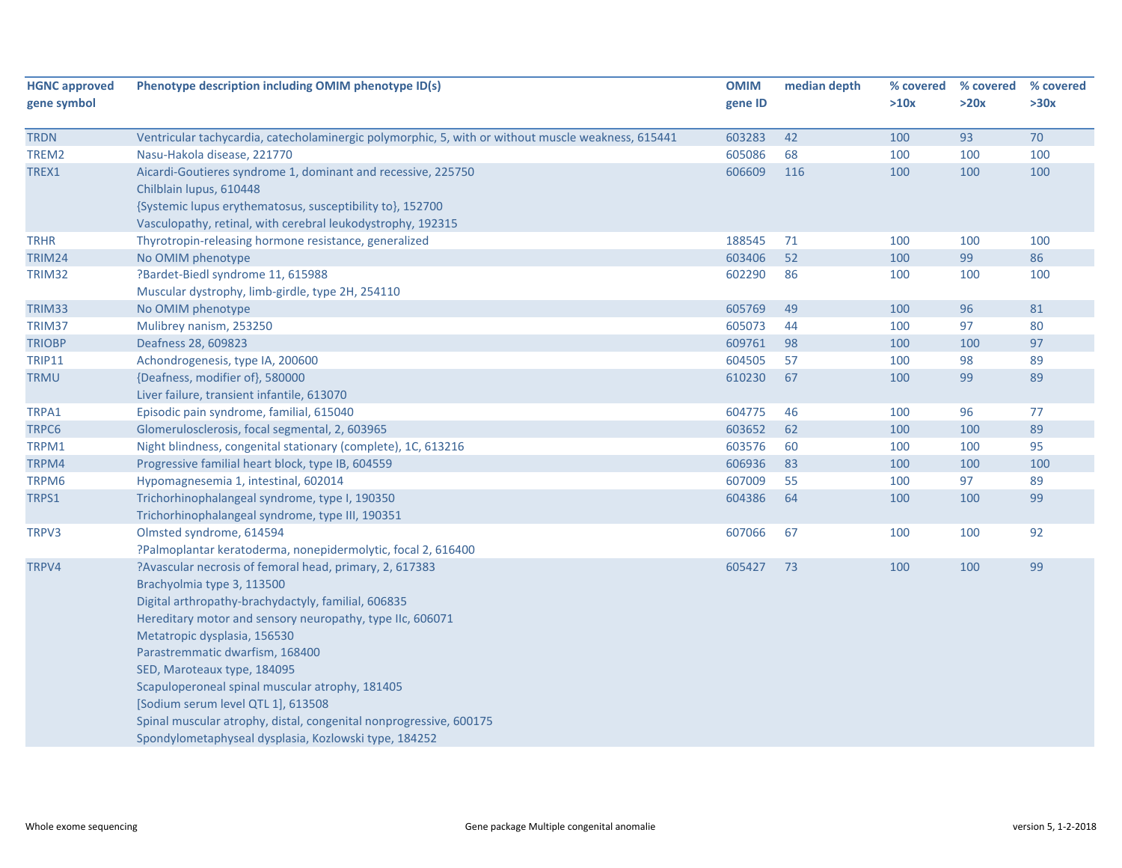| <b>HGNC approved</b> | Phenotype description including OMIM phenotype ID(s)                                               | <b>OMIM</b> | median depth | % covered | % covered | % covered |
|----------------------|----------------------------------------------------------------------------------------------------|-------------|--------------|-----------|-----------|-----------|
| gene symbol          |                                                                                                    | gene ID     |              | >10x      | >20x      | >30x      |
|                      |                                                                                                    |             |              |           |           |           |
| <b>TRDN</b>          | Ventricular tachycardia, catecholaminergic polymorphic, 5, with or without muscle weakness, 615441 | 603283      | 42           | 100       | 93        | 70        |
| TREM2                | Nasu-Hakola disease, 221770                                                                        | 605086      | 68           | 100       | 100       | 100       |
| TREX1                | Aicardi-Goutieres syndrome 1, dominant and recessive, 225750                                       | 606609      | 116          | 100       | 100       | 100       |
|                      | Chilblain lupus, 610448                                                                            |             |              |           |           |           |
|                      | {Systemic lupus erythematosus, susceptibility to}, 152700                                          |             |              |           |           |           |
|                      | Vasculopathy, retinal, with cerebral leukodystrophy, 192315                                        |             |              |           |           |           |
| <b>TRHR</b>          | Thyrotropin-releasing hormone resistance, generalized                                              | 188545      | 71           | 100       | 100       | 100       |
| <b>TRIM24</b>        | No OMIM phenotype                                                                                  | 603406      | 52           | 100       | 99        | 86        |
| TRIM32               | ?Bardet-Biedl syndrome 11, 615988                                                                  | 602290      | 86           | 100       | 100       | 100       |
|                      | Muscular dystrophy, limb-girdle, type 2H, 254110                                                   |             |              |           |           |           |
| TRIM33               | No OMIM phenotype                                                                                  | 605769      | 49           | 100       | 96        | 81        |
| TRIM37               | Mulibrey nanism, 253250                                                                            | 605073      | 44           | 100       | 97        | 80        |
| <b>TRIOBP</b>        | Deafness 28, 609823                                                                                | 609761      | 98           | 100       | 100       | 97        |
| <b>TRIP11</b>        | Achondrogenesis, type IA, 200600                                                                   | 604505      | 57           | 100       | 98        | 89        |
| <b>TRMU</b>          | {Deafness, modifier of}, 580000                                                                    | 610230      | 67           | 100       | 99        | 89        |
|                      | Liver failure, transient infantile, 613070                                                         |             |              |           |           |           |
| TRPA1                | Episodic pain syndrome, familial, 615040                                                           | 604775      | 46           | 100       | 96        | 77        |
| TRPC6                | Glomerulosclerosis, focal segmental, 2, 603965                                                     | 603652      | 62           | 100       | 100       | 89        |
| TRPM1                | Night blindness, congenital stationary (complete), 1C, 613216                                      | 603576      | 60           | 100       | 100       | 95        |
| TRPM4                | Progressive familial heart block, type IB, 604559                                                  | 606936      | 83           | 100       | 100       | 100       |
| TRPM6                | Hypomagnesemia 1, intestinal, 602014                                                               | 607009      | 55           | 100       | 97        | 89        |
| TRPS1                | Trichorhinophalangeal syndrome, type I, 190350                                                     | 604386      | 64           | 100       | 100       | 99        |
|                      | Trichorhinophalangeal syndrome, type III, 190351                                                   |             |              |           |           |           |
| TRPV3                | Olmsted syndrome, 614594                                                                           | 607066      | 67           | 100       | 100       | 92        |
|                      | ?Palmoplantar keratoderma, nonepidermolytic, focal 2, 616400                                       |             |              |           |           |           |
| TRPV4                | ?Avascular necrosis of femoral head, primary, 2, 617383                                            | 605427      | 73           | 100       | 100       | 99        |
|                      | Brachyolmia type 3, 113500                                                                         |             |              |           |           |           |
|                      | Digital arthropathy-brachydactyly, familial, 606835                                                |             |              |           |           |           |
|                      | Hereditary motor and sensory neuropathy, type IIc, 606071                                          |             |              |           |           |           |
|                      | Metatropic dysplasia, 156530                                                                       |             |              |           |           |           |
|                      | Parastremmatic dwarfism, 168400                                                                    |             |              |           |           |           |
|                      | SED, Maroteaux type, 184095                                                                        |             |              |           |           |           |
|                      | Scapuloperoneal spinal muscular atrophy, 181405                                                    |             |              |           |           |           |
|                      | [Sodium serum level QTL 1], 613508                                                                 |             |              |           |           |           |
|                      | Spinal muscular atrophy, distal, congenital nonprogressive, 600175                                 |             |              |           |           |           |
|                      | Spondylometaphyseal dysplasia, Kozlowski type, 184252                                              |             |              |           |           |           |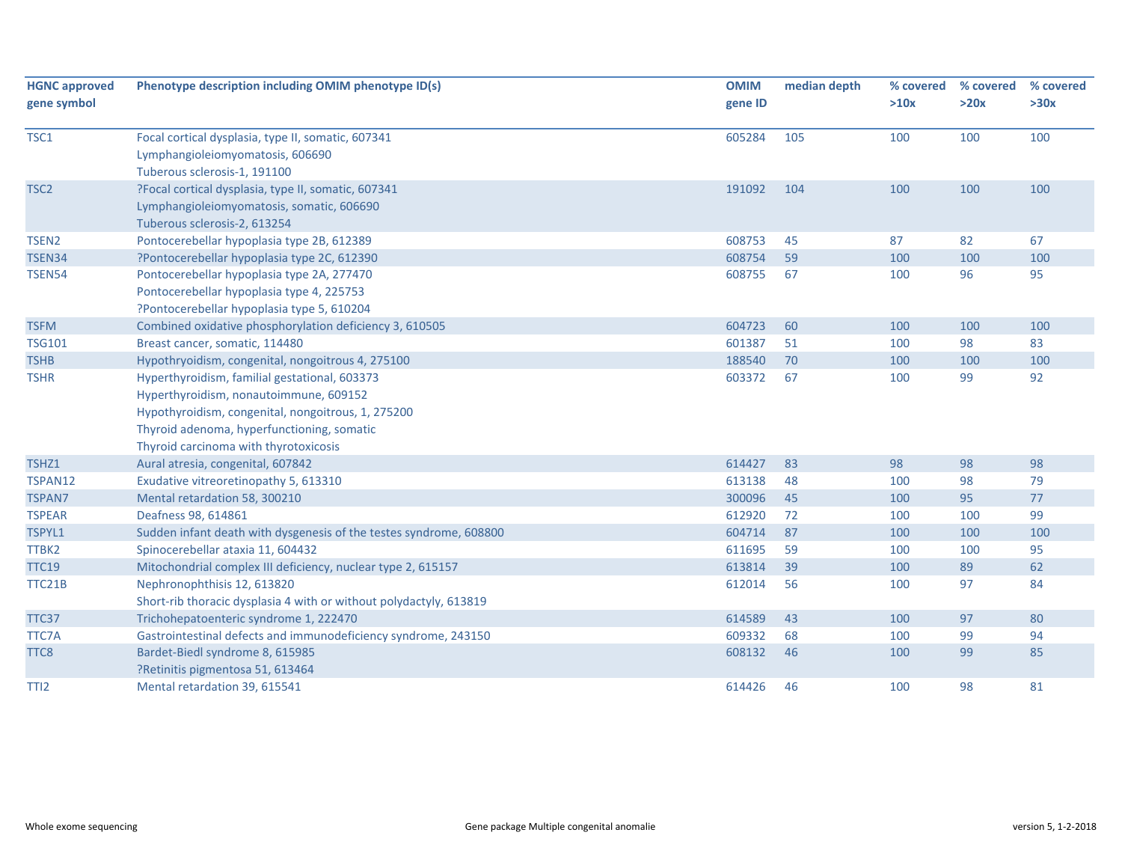| <b>HGNC approved</b> | Phenotype description including OMIM phenotype ID(s)               | <b>OMIM</b> | median depth | % covered | % covered | % covered |
|----------------------|--------------------------------------------------------------------|-------------|--------------|-----------|-----------|-----------|
| gene symbol          |                                                                    | gene ID     |              | >10x      | >20x      | >30x      |
| TSC1                 | Focal cortical dysplasia, type II, somatic, 607341                 | 605284      | 105          | 100       | 100       | 100       |
|                      | Lymphangioleiomyomatosis, 606690                                   |             |              |           |           |           |
|                      | Tuberous sclerosis-1, 191100                                       |             |              |           |           |           |
| TSC <sub>2</sub>     | ?Focal cortical dysplasia, type II, somatic, 607341                | 191092      | 104          | 100       | 100       | 100       |
|                      | Lymphangioleiomyomatosis, somatic, 606690                          |             |              |           |           |           |
|                      | Tuberous sclerosis-2, 613254                                       |             |              |           |           |           |
| TSEN <sub>2</sub>    | Pontocerebellar hypoplasia type 2B, 612389                         | 608753      | 45           | 87        | 82        | 67        |
| <b>TSEN34</b>        | ?Pontocerebellar hypoplasia type 2C, 612390                        | 608754      | 59           | 100       | 100       | 100       |
| <b>TSEN54</b>        | Pontocerebellar hypoplasia type 2A, 277470                         | 608755      | 67           | 100       | 96        | 95        |
|                      | Pontocerebellar hypoplasia type 4, 225753                          |             |              |           |           |           |
|                      | ?Pontocerebellar hypoplasia type 5, 610204                         |             |              |           |           |           |
| <b>TSFM</b>          | Combined oxidative phosphorylation deficiency 3, 610505            | 604723      | 60           | 100       | 100       | 100       |
| <b>TSG101</b>        | Breast cancer, somatic, 114480                                     | 601387      | 51           | 100       | 98        | 83        |
| <b>TSHB</b>          | Hypothryoidism, congenital, nongoitrous 4, 275100                  | 188540      | 70           | 100       | 100       | 100       |
| <b>TSHR</b>          | Hyperthyroidism, familial gestational, 603373                      | 603372      | 67           | 100       | 99        | 92        |
|                      | Hyperthyroidism, nonautoimmune, 609152                             |             |              |           |           |           |
|                      | Hypothyroidism, congenital, nongoitrous, 1, 275200                 |             |              |           |           |           |
|                      | Thyroid adenoma, hyperfunctioning, somatic                         |             |              |           |           |           |
|                      | Thyroid carcinoma with thyrotoxicosis                              |             |              |           |           |           |
| TSHZ1                | Aural atresia, congenital, 607842                                  | 614427      | 83           | 98        | 98        | 98        |
| TSPAN12              | Exudative vitreoretinopathy 5, 613310                              | 613138      | 48           | 100       | 98        | 79        |
| <b>TSPAN7</b>        | Mental retardation 58, 300210                                      | 300096      | 45           | 100       | 95        | 77        |
| <b>TSPEAR</b>        | Deafness 98, 614861                                                | 612920      | 72           | 100       | 100       | 99        |
| TSPYL1               | Sudden infant death with dysgenesis of the testes syndrome, 608800 | 604714      | 87           | 100       | 100       | 100       |
| TTBK2                | Spinocerebellar ataxia 11, 604432                                  | 611695      | 59           | 100       | 100       | 95        |
| <b>TTC19</b>         | Mitochondrial complex III deficiency, nuclear type 2, 615157       | 613814      | 39           | 100       | 89        | 62        |
| TTC21B               | Nephronophthisis 12, 613820                                        | 612014      | 56           | 100       | 97        | 84        |
|                      | Short-rib thoracic dysplasia 4 with or without polydactyly, 613819 |             |              |           |           |           |
| TTC37                | Trichohepatoenteric syndrome 1, 222470                             | 614589      | 43           | 100       | 97        | 80        |
| TTC7A                | Gastrointestinal defects and immunodeficiency syndrome, 243150     | 609332      | 68           | 100       | 99        | 94        |
| TTC8                 | Bardet-Biedl syndrome 8, 615985                                    | 608132      | 46           | 100       | 99        | 85        |
|                      | ?Retinitis pigmentosa 51, 613464                                   |             |              |           |           |           |
| TTI <sub>2</sub>     | Mental retardation 39, 615541                                      | 614426      | 46           | 100       | 98        | 81        |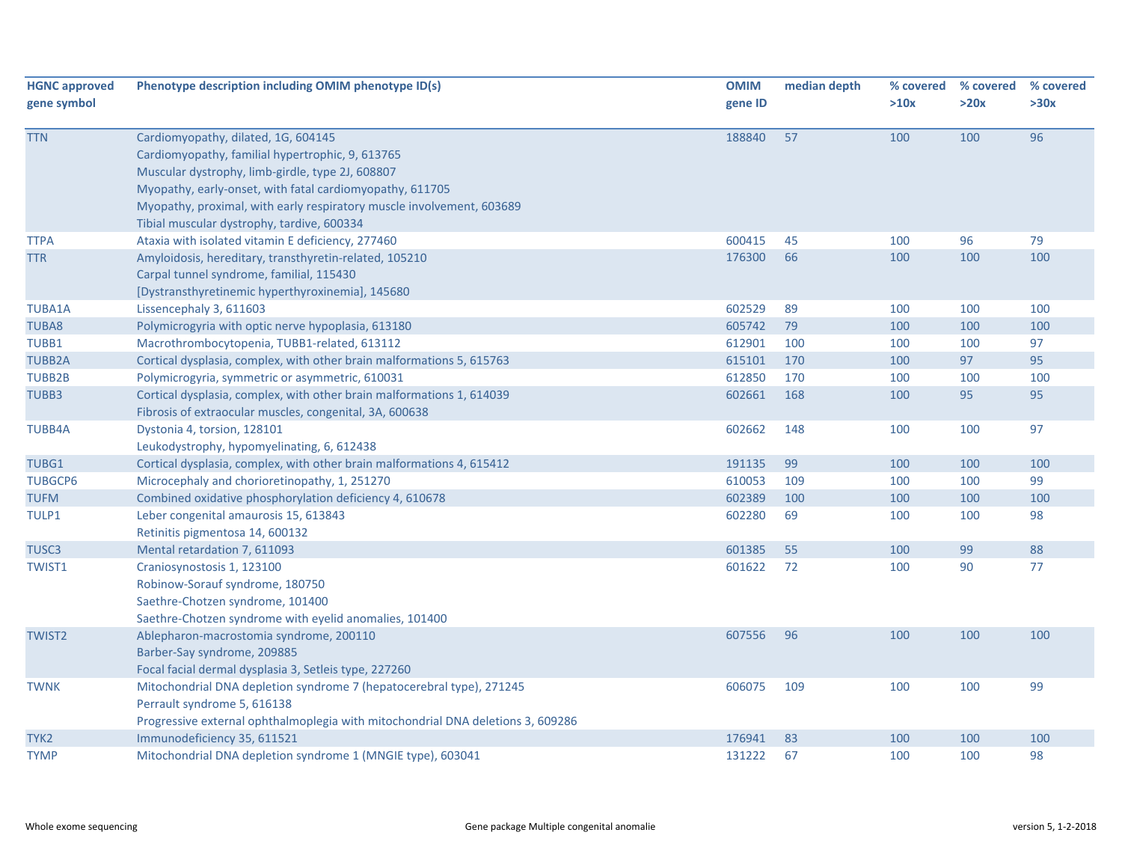| <b>HGNC approved</b> | Phenotype description including OMIM phenotype ID(s)                                                                                                                                                                                                                             | <b>OMIM</b> | median depth | % covered | % covered | % covered |
|----------------------|----------------------------------------------------------------------------------------------------------------------------------------------------------------------------------------------------------------------------------------------------------------------------------|-------------|--------------|-----------|-----------|-----------|
| gene symbol          |                                                                                                                                                                                                                                                                                  | gene ID     |              | >10x      | >20x      | >30x      |
| <b>TTN</b>           | Cardiomyopathy, dilated, 1G, 604145<br>Cardiomyopathy, familial hypertrophic, 9, 613765<br>Muscular dystrophy, limb-girdle, type 2J, 608807<br>Myopathy, early-onset, with fatal cardiomyopathy, 611705<br>Myopathy, proximal, with early respiratory muscle involvement, 603689 | 188840      | 57           | 100       | 100       | 96        |
| <b>TTPA</b>          | Tibial muscular dystrophy, tardive, 600334<br>Ataxia with isolated vitamin E deficiency, 277460                                                                                                                                                                                  | 600415      | 45           | 100       | 96        | 79        |
| <b>TTR</b>           | Amyloidosis, hereditary, transthyretin-related, 105210<br>Carpal tunnel syndrome, familial, 115430<br>[Dystransthyretinemic hyperthyroxinemia], 145680                                                                                                                           | 176300      | 66           | 100       | 100       | 100       |
| <b>TUBA1A</b>        | Lissencephaly 3, 611603                                                                                                                                                                                                                                                          | 602529      | 89           | 100       | 100       | 100       |
| <b>TUBA8</b>         | Polymicrogyria with optic nerve hypoplasia, 613180                                                                                                                                                                                                                               | 605742      | 79           | 100       | 100       | 100       |
| TUBB1                | Macrothrombocytopenia, TUBB1-related, 613112                                                                                                                                                                                                                                     | 612901      | 100          | 100       | 100       | 97        |
| <b>TUBB2A</b>        | Cortical dysplasia, complex, with other brain malformations 5, 615763                                                                                                                                                                                                            | 615101      | 170          | 100       | 97        | 95        |
| <b>TUBB2B</b>        | Polymicrogyria, symmetric or asymmetric, 610031                                                                                                                                                                                                                                  | 612850      | 170          | 100       | 100       | 100       |
| TUBB3                | Cortical dysplasia, complex, with other brain malformations 1, 614039<br>Fibrosis of extraocular muscles, congenital, 3A, 600638                                                                                                                                                 | 602661      | 168          | 100       | 95        | 95        |
| <b>TUBB4A</b>        | Dystonia 4, torsion, 128101<br>Leukodystrophy, hypomyelinating, 6, 612438                                                                                                                                                                                                        | 602662      | 148          | 100       | 100       | 97        |
| TUBG1                | Cortical dysplasia, complex, with other brain malformations 4, 615412                                                                                                                                                                                                            | 191135      | 99           | 100       | 100       | 100       |
| <b>TUBGCP6</b>       | Microcephaly and chorioretinopathy, 1, 251270                                                                                                                                                                                                                                    | 610053      | 109          | 100       | 100       | 99        |
| <b>TUFM</b>          | Combined oxidative phosphorylation deficiency 4, 610678                                                                                                                                                                                                                          | 602389      | 100          | 100       | 100       | 100       |
| TULP1                | Leber congenital amaurosis 15, 613843<br>Retinitis pigmentosa 14, 600132                                                                                                                                                                                                         | 602280      | 69           | 100       | 100       | 98        |
| TUSC3                | Mental retardation 7, 611093                                                                                                                                                                                                                                                     | 601385      | 55           | 100       | 99        | 88        |
| TWIST1               | Craniosynostosis 1, 123100<br>Robinow-Sorauf syndrome, 180750<br>Saethre-Chotzen syndrome, 101400<br>Saethre-Chotzen syndrome with eyelid anomalies, 101400                                                                                                                      | 601622      | 72           | 100       | 90        | 77        |
| <b>TWIST2</b>        | Ablepharon-macrostomia syndrome, 200110<br>Barber-Say syndrome, 209885<br>Focal facial dermal dysplasia 3, Setleis type, 227260                                                                                                                                                  | 607556      | 96           | 100       | 100       | 100       |
| <b>TWNK</b>          | Mitochondrial DNA depletion syndrome 7 (hepatocerebral type), 271245<br>Perrault syndrome 5, 616138<br>Progressive external ophthalmoplegia with mitochondrial DNA deletions 3, 609286                                                                                           | 606075      | 109          | 100       | 100       | 99        |
| TYK <sub>2</sub>     | Immunodeficiency 35, 611521                                                                                                                                                                                                                                                      | 176941      | 83           | 100       | 100       | 100       |
| <b>TYMP</b>          | Mitochondrial DNA depletion syndrome 1 (MNGIE type), 603041                                                                                                                                                                                                                      | 131222      | 67           | 100       | 100       | 98        |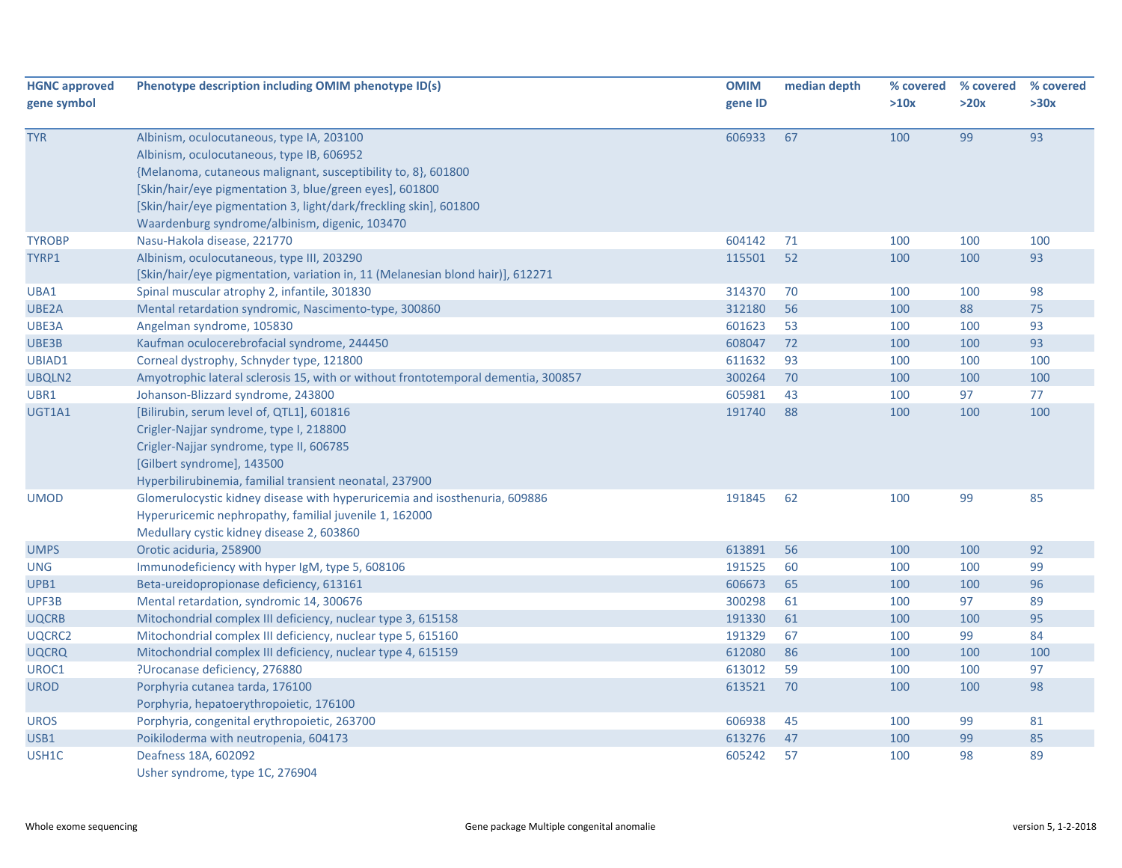| <b>HGNC approved</b><br>gene symbol | Phenotype description including OMIM phenotype ID(s)                                                                                                                                                                                                                                                                                      | <b>OMIM</b><br>gene ID | median depth | % covered<br>>10x | % covered<br>>20x | % covered<br>>30x |
|-------------------------------------|-------------------------------------------------------------------------------------------------------------------------------------------------------------------------------------------------------------------------------------------------------------------------------------------------------------------------------------------|------------------------|--------------|-------------------|-------------------|-------------------|
| <b>TYR</b>                          | Albinism, oculocutaneous, type IA, 203100<br>Albinism, oculocutaneous, type IB, 606952<br>{Melanoma, cutaneous malignant, susceptibility to, 8}, 601800<br>[Skin/hair/eye pigmentation 3, blue/green eyes], 601800<br>[Skin/hair/eye pigmentation 3, light/dark/freckling skin], 601800<br>Waardenburg syndrome/albinism, digenic, 103470 | 606933                 | 67           | 100               | 99                | 93                |
| <b>TYROBP</b>                       | Nasu-Hakola disease, 221770                                                                                                                                                                                                                                                                                                               | 604142                 | 71           | 100               | 100               | 100               |
| TYRP1                               | Albinism, oculocutaneous, type III, 203290<br>[Skin/hair/eye pigmentation, variation in, 11 (Melanesian blond hair)], 612271                                                                                                                                                                                                              | 115501                 | 52           | 100               | 100               | 93                |
| UBA1                                | Spinal muscular atrophy 2, infantile, 301830                                                                                                                                                                                                                                                                                              | 314370                 | 70           | 100               | 100               | 98                |
| UBE2A                               | Mental retardation syndromic, Nascimento-type, 300860                                                                                                                                                                                                                                                                                     | 312180                 | 56           | 100               | 88                | 75                |
| UBE3A                               | Angelman syndrome, 105830                                                                                                                                                                                                                                                                                                                 | 601623                 | 53           | 100               | 100               | 93                |
| UBE3B                               | Kaufman oculocerebrofacial syndrome, 244450                                                                                                                                                                                                                                                                                               | 608047                 | 72           | 100               | 100               | 93                |
| UBIAD1                              | Corneal dystrophy, Schnyder type, 121800                                                                                                                                                                                                                                                                                                  | 611632                 | 93           | 100               | 100               | 100               |
| UBQLN2                              | Amyotrophic lateral sclerosis 15, with or without frontotemporal dementia, 300857                                                                                                                                                                                                                                                         | 300264                 | 70           | 100               | 100               | 100               |
| UBR1                                | Johanson-Blizzard syndrome, 243800                                                                                                                                                                                                                                                                                                        | 605981                 | 43           | 100               | 97                | 77                |
| UGT1A1                              | [Bilirubin, serum level of, QTL1], 601816<br>Crigler-Najjar syndrome, type I, 218800<br>Crigler-Najjar syndrome, type II, 606785<br>[Gilbert syndrome], 143500<br>Hyperbilirubinemia, familial transient neonatal, 237900                                                                                                                 | 191740                 | 88           | 100               | 100               | 100               |
| <b>UMOD</b>                         | Glomerulocystic kidney disease with hyperuricemia and isosthenuria, 609886<br>Hyperuricemic nephropathy, familial juvenile 1, 162000<br>Medullary cystic kidney disease 2, 603860                                                                                                                                                         | 191845                 | 62           | 100               | 99                | 85                |
| <b>UMPS</b>                         | Orotic aciduria, 258900                                                                                                                                                                                                                                                                                                                   | 613891                 | 56           | 100               | 100               | 92                |
| <b>UNG</b>                          | Immunodeficiency with hyper IgM, type 5, 608106                                                                                                                                                                                                                                                                                           | 191525                 | 60           | 100               | 100               | 99                |
| UPB1                                | Beta-ureidopropionase deficiency, 613161                                                                                                                                                                                                                                                                                                  | 606673                 | 65           | 100               | 100               | 96                |
| UPF3B                               | Mental retardation, syndromic 14, 300676                                                                                                                                                                                                                                                                                                  | 300298                 | 61           | 100               | 97                | 89                |
| <b>UQCRB</b>                        | Mitochondrial complex III deficiency, nuclear type 3, 615158                                                                                                                                                                                                                                                                              | 191330                 | 61           | 100               | 100               | 95                |
| UQCRC2                              | Mitochondrial complex III deficiency, nuclear type 5, 615160                                                                                                                                                                                                                                                                              | 191329                 | 67           | 100               | 99                | 84                |
| <b>UQCRQ</b>                        | Mitochondrial complex III deficiency, nuclear type 4, 615159                                                                                                                                                                                                                                                                              | 612080                 | 86           | 100               | 100               | 100               |
| UROC1                               | ?Urocanase deficiency, 276880                                                                                                                                                                                                                                                                                                             | 613012                 | 59           | 100               | 100               | 97                |
| <b>UROD</b>                         | Porphyria cutanea tarda, 176100<br>Porphyria, hepatoerythropoietic, 176100                                                                                                                                                                                                                                                                | 613521                 | 70           | 100               | 100               | 98                |
| <b>UROS</b>                         | Porphyria, congenital erythropoietic, 263700                                                                                                                                                                                                                                                                                              | 606938                 | 45           | 100               | 99                | 81                |
| USB1                                | Poikiloderma with neutropenia, 604173                                                                                                                                                                                                                                                                                                     | 613276                 | 47           | 100               | 99                | 85                |
| USH1C                               | Deafness 18A, 602092<br>Usher syndrome, type 1C, 276904                                                                                                                                                                                                                                                                                   | 605242                 | 57           | 100               | 98                | 89                |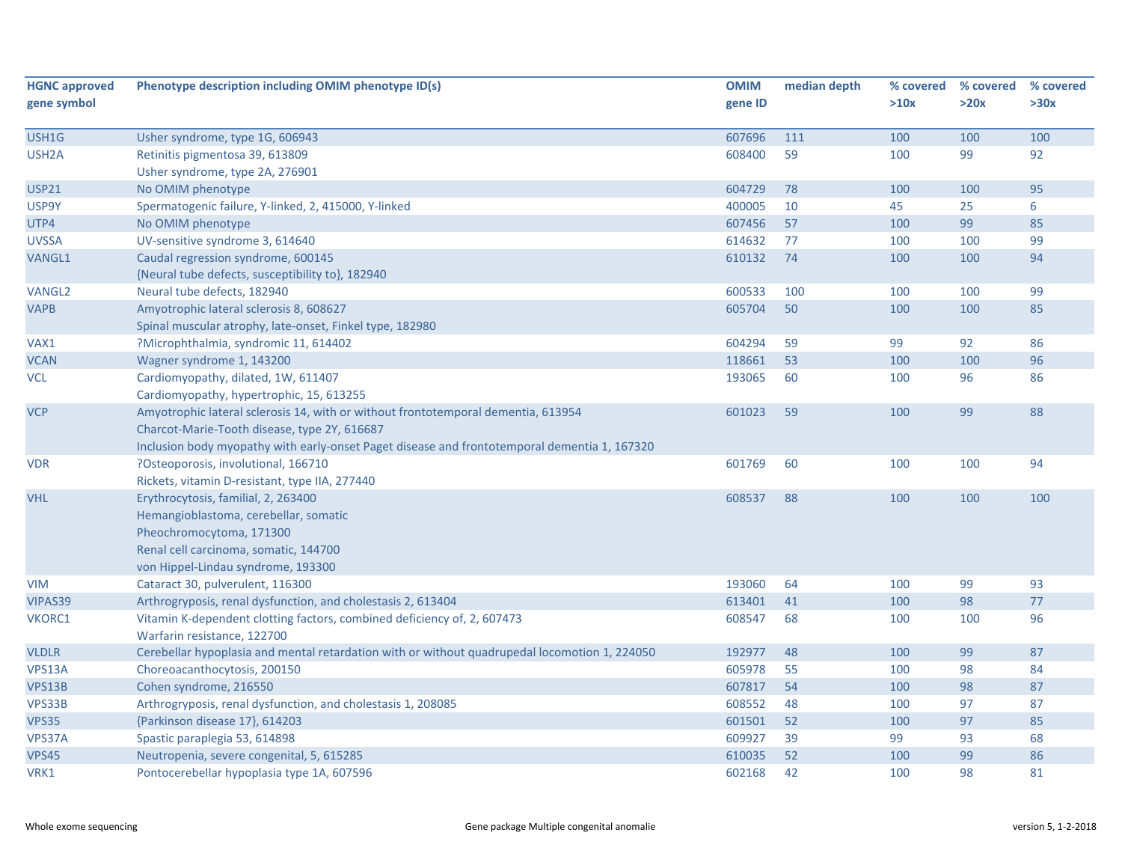| <b>HGNC approved</b> | Phenotype description including OMIM phenotype ID(s)                                          | <b>OMIM</b> | median depth | % covered | % covered | % covered |
|----------------------|-----------------------------------------------------------------------------------------------|-------------|--------------|-----------|-----------|-----------|
| gene symbol          |                                                                                               | gene ID     |              | >10x      | >20x      | >30x      |
|                      |                                                                                               |             |              |           |           |           |
| USH1G                | Usher syndrome, type 1G, 606943                                                               | 607696      | 111          | 100       | 100       | 100       |
| USH <sub>2</sub> A   | Retinitis pigmentosa 39, 613809                                                               | 608400      | 59           | 100       | 99        | 92        |
|                      | Usher syndrome, type 2A, 276901                                                               |             |              |           |           |           |
| <b>USP21</b>         | No OMIM phenotype                                                                             | 604729      | 78           | 100       | 100       | 95        |
| USP9Y                | Spermatogenic failure, Y-linked, 2, 415000, Y-linked                                          | 400005      | 10           | 45        | 25        | 6         |
| UTP4                 | No OMIM phenotype                                                                             | 607456      | 57           | 100       | 99        | 85        |
| <b>UVSSA</b>         | UV-sensitive syndrome 3, 614640                                                               | 614632      | 77           | 100       | 100       | 99        |
| VANGL1               | Caudal regression syndrome, 600145                                                            | 610132      | 74           | 100       | 100       | 94        |
|                      | {Neural tube defects, susceptibility to}, 182940                                              |             |              |           |           |           |
| <b>VANGL2</b>        | Neural tube defects, 182940                                                                   | 600533      | 100          | 100       | 100       | 99        |
| <b>VAPB</b>          | Amyotrophic lateral sclerosis 8, 608627                                                       | 605704      | 50           | 100       | 100       | 85        |
|                      | Spinal muscular atrophy, late-onset, Finkel type, 182980                                      |             |              |           |           |           |
| VAX1                 | ?Microphthalmia, syndromic 11, 614402                                                         | 604294      | 59           | 99        | 92        | 86        |
| <b>VCAN</b>          | Wagner syndrome 1, 143200                                                                     | 118661      | 53           | 100       | 100       | 96        |
| <b>VCL</b>           | Cardiomyopathy, dilated, 1W, 611407                                                           | 193065      | 60           | 100       | 96        | 86        |
|                      | Cardiomyopathy, hypertrophic, 15, 613255                                                      |             |              |           |           |           |
| <b>VCP</b>           | Amyotrophic lateral sclerosis 14, with or without frontotemporal dementia, 613954             | 601023      | 59           | 100       | 99        | 88        |
|                      | Charcot-Marie-Tooth disease, type 2Y, 616687                                                  |             |              |           |           |           |
|                      | Inclusion body myopathy with early-onset Paget disease and frontotemporal dementia 1, 167320  |             |              |           |           |           |
| <b>VDR</b>           | ?Osteoporosis, involutional, 166710                                                           | 601769      | 60           | 100       | 100       | 94        |
|                      | Rickets, vitamin D-resistant, type IIA, 277440                                                |             |              |           |           |           |
| <b>VHL</b>           | Erythrocytosis, familial, 2, 263400                                                           | 608537      | 88           | 100       | 100       | 100       |
|                      | Hemangioblastoma, cerebellar, somatic                                                         |             |              |           |           |           |
|                      | Pheochromocytoma, 171300                                                                      |             |              |           |           |           |
|                      | Renal cell carcinoma, somatic, 144700                                                         |             |              |           |           |           |
|                      | von Hippel-Lindau syndrome, 193300                                                            |             |              |           |           |           |
| <b>VIM</b>           | Cataract 30, pulverulent, 116300                                                              | 193060      | 64           | 100       | 99        | 93        |
| VIPAS39              | Arthrogryposis, renal dysfunction, and cholestasis 2, 613404                                  | 613401      | 41           | 100       | 98        | 77        |
| VKORC1               | Vitamin K-dependent clotting factors, combined deficiency of, 2, 607473                       | 608547      | 68           | 100       | 100       | 96        |
|                      | Warfarin resistance, 122700                                                                   |             |              |           |           |           |
| <b>VLDLR</b>         | Cerebellar hypoplasia and mental retardation with or without quadrupedal locomotion 1, 224050 | 192977      | 48           | 100       | 99        | 87        |
| VPS13A               | Choreoacanthocytosis, 200150                                                                  | 605978      | 55           | 100       | 98        | 84        |
| VPS13B               | Cohen syndrome, 216550                                                                        | 607817      | 54           | 100       | 98        | 87        |
| VPS33B               | Arthrogryposis, renal dysfunction, and cholestasis 1, 208085                                  | 608552      | 48           | 100       | 97        | 87        |
| <b>VPS35</b>         | {Parkinson disease 17}, 614203                                                                | 601501      | 52           | 100       | 97        | 85        |
| VPS37A               | Spastic paraplegia 53, 614898                                                                 | 609927      | 39           | 99        | 93        | 68        |
| <b>VPS45</b>         | Neutropenia, severe congenital, 5, 615285                                                     | 610035      | 52           | 100       | 99        | 86        |
| VRK1                 | Pontocerebellar hypoplasia type 1A, 607596                                                    | 602168      | 42           | 100       | 98        | 81        |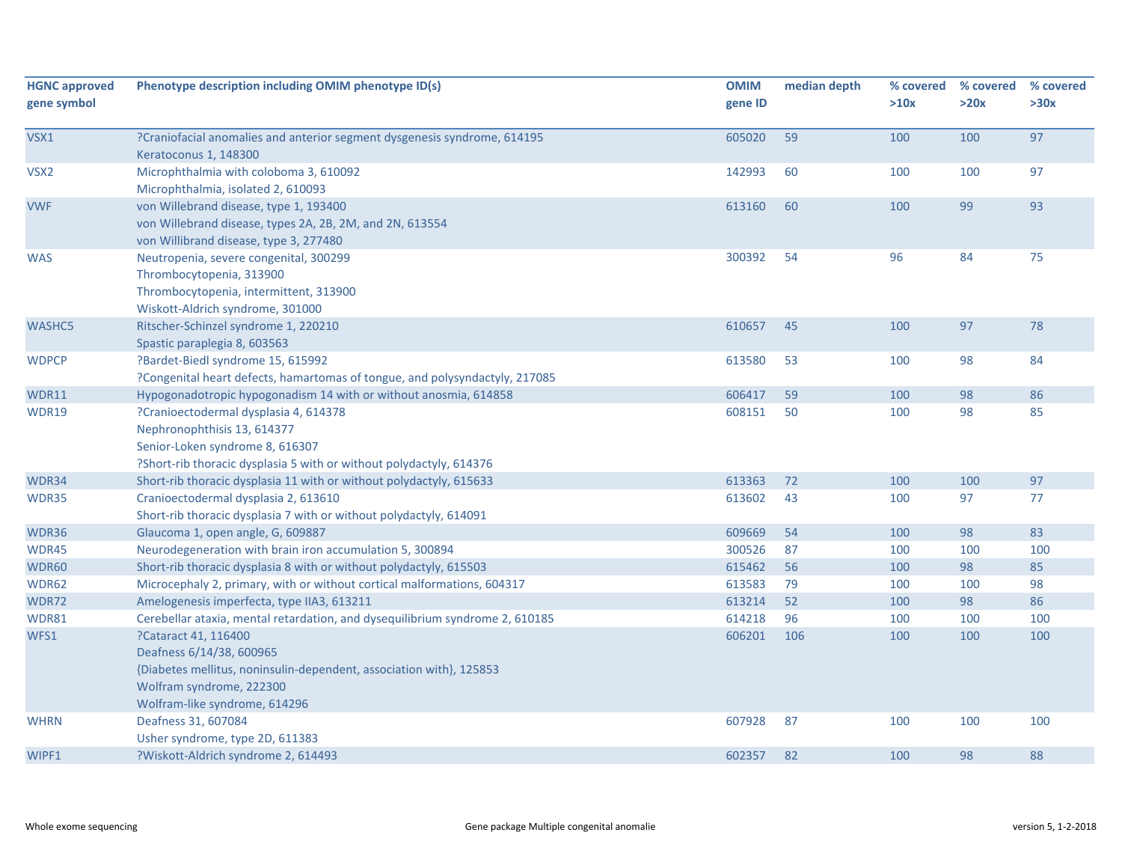| <b>HGNC approved</b> | Phenotype description including OMIM phenotype ID(s)                                              | <b>OMIM</b> | median depth | % covered | % covered | % covered |
|----------------------|---------------------------------------------------------------------------------------------------|-------------|--------------|-----------|-----------|-----------|
| gene symbol          |                                                                                                   | gene ID     |              | >10x      | >20x      | >30x      |
| VSX1                 | ?Craniofacial anomalies and anterior segment dysgenesis syndrome, 614195<br>Keratoconus 1, 148300 | 605020      | 59           | 100       | 100       | 97        |
| VSX2                 | Microphthalmia with coloboma 3, 610092                                                            | 142993      | 60           | 100       | 100       | 97        |
|                      | Microphthalmia, isolated 2, 610093                                                                |             |              |           |           |           |
| <b>VWF</b>           | von Willebrand disease, type 1, 193400                                                            | 613160      | 60           | 100       | 99        | 93        |
|                      | von Willebrand disease, types 2A, 2B, 2M, and 2N, 613554                                          |             |              |           |           |           |
|                      | von Willibrand disease, type 3, 277480                                                            |             |              |           |           |           |
| <b>WAS</b>           | Neutropenia, severe congenital, 300299                                                            | 300392      | 54           | 96        | 84        | 75        |
|                      | Thrombocytopenia, 313900                                                                          |             |              |           |           |           |
|                      | Thrombocytopenia, intermittent, 313900                                                            |             |              |           |           |           |
|                      | Wiskott-Aldrich syndrome, 301000                                                                  |             |              |           |           |           |
| WASHC5               | Ritscher-Schinzel syndrome 1, 220210                                                              | 610657      | 45           | 100       | 97        | 78        |
|                      | Spastic paraplegia 8, 603563                                                                      |             |              |           |           |           |
| <b>WDPCP</b>         | ?Bardet-Biedl syndrome 15, 615992                                                                 | 613580      | 53           | 100       | 98        | 84        |
|                      | ?Congenital heart defects, hamartomas of tongue, and polysyndactyly, 217085                       |             |              |           |           |           |
| WDR11                | Hypogonadotropic hypogonadism 14 with or without anosmia, 614858                                  | 606417      | 59           | 100       | 98        | 86        |
| WDR19                | ?Cranioectodermal dysplasia 4, 614378                                                             | 608151      | 50           | 100       | 98        | 85        |
|                      | Nephronophthisis 13, 614377                                                                       |             |              |           |           |           |
|                      | Senior-Loken syndrome 8, 616307                                                                   |             |              |           |           |           |
|                      | ?Short-rib thoracic dysplasia 5 with or without polydactyly, 614376                               |             |              |           |           |           |
| WDR34                | Short-rib thoracic dysplasia 11 with or without polydactyly, 615633                               | 613363      | 72           | 100       | 100       | 97        |
| WDR35                | Cranioectodermal dysplasia 2, 613610                                                              | 613602      | 43           | 100       | 97        | 77        |
|                      | Short-rib thoracic dysplasia 7 with or without polydactyly, 614091                                |             |              |           |           |           |
| WDR36                | Glaucoma 1, open angle, G, 609887                                                                 | 609669      | 54           | 100       | 98        | 83        |
| WDR45                | Neurodegeneration with brain iron accumulation 5, 300894                                          | 300526      | 87           | 100       | 100       | 100       |
| WDR60                | Short-rib thoracic dysplasia 8 with or without polydactyly, 615503                                | 615462      | 56           | 100       | 98        | 85        |
| WDR62                | Microcephaly 2, primary, with or without cortical malformations, 604317                           | 613583      | 79           | 100       | 100       | 98        |
| WDR72                | Amelogenesis imperfecta, type IIA3, 613211                                                        | 613214      | 52           | 100       | 98        | 86        |
| WDR81                | Cerebellar ataxia, mental retardation, and dysequilibrium syndrome 2, 610185                      | 614218      | 96           | 100       | 100       | 100       |
| WFS1                 | ?Cataract 41, 116400                                                                              | 606201      | 106          | 100       | 100       | 100       |
|                      | Deafness 6/14/38, 600965                                                                          |             |              |           |           |           |
|                      | {Diabetes mellitus, noninsulin-dependent, association with}, 125853                               |             |              |           |           |           |
|                      | Wolfram syndrome, 222300                                                                          |             |              |           |           |           |
|                      | Wolfram-like syndrome, 614296                                                                     |             |              |           |           |           |
| <b>WHRN</b>          | Deafness 31, 607084                                                                               | 607928      | 87           | 100       | 100       | 100       |
|                      | Usher syndrome, type 2D, 611383                                                                   |             |              |           |           |           |
| WIPF1                | ?Wiskott-Aldrich syndrome 2, 614493                                                               | 602357      | 82           | 100       | 98        | 88        |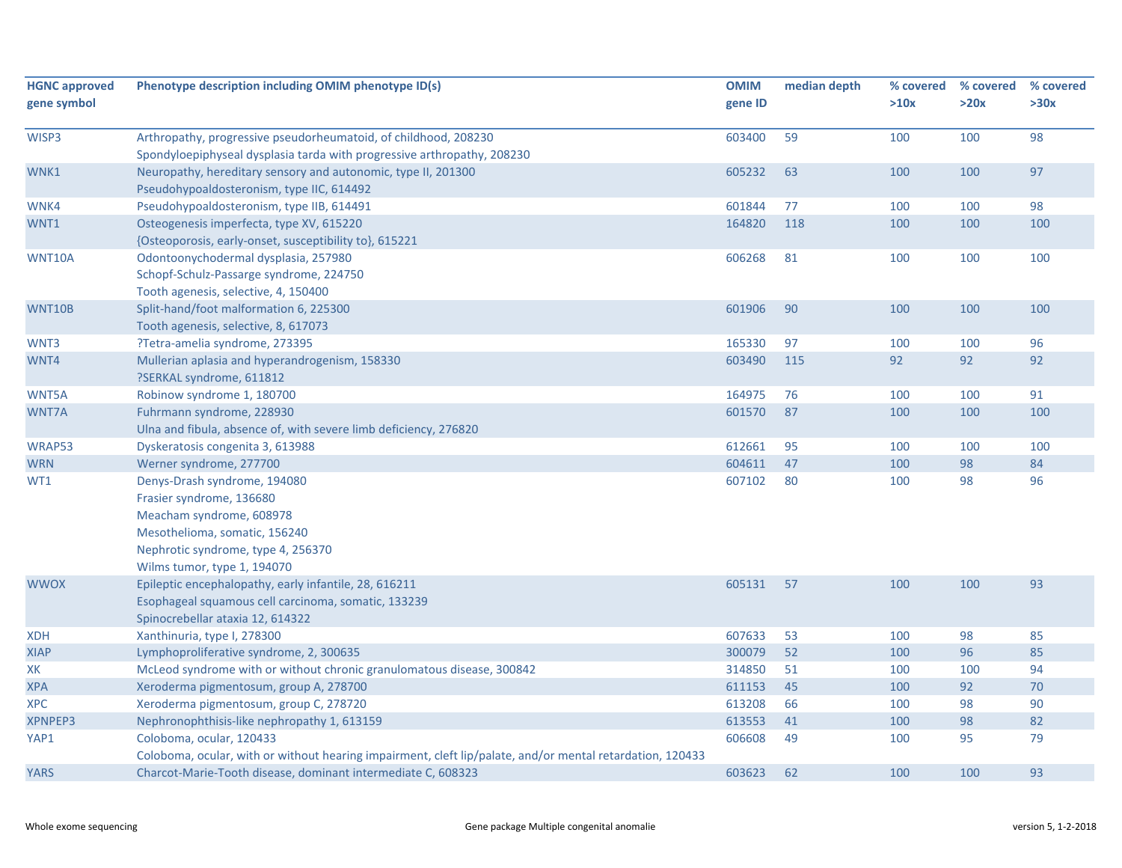| <b>HGNC approved</b><br>gene symbol | Phenotype description including OMIM phenotype ID(s)                                                                                                                                       | <b>OMIM</b><br>gene ID | median depth | % covered<br>>10x | % covered<br>>20x | % covered<br>>30x |
|-------------------------------------|--------------------------------------------------------------------------------------------------------------------------------------------------------------------------------------------|------------------------|--------------|-------------------|-------------------|-------------------|
| WISP3                               | Arthropathy, progressive pseudorheumatoid, of childhood, 208230<br>Spondyloepiphyseal dysplasia tarda with progressive arthropathy, 208230                                                 | 603400                 | 59           | 100               | 100               | 98                |
| WNK1                                | Neuropathy, hereditary sensory and autonomic, type II, 201300<br>Pseudohypoaldosteronism, type IIC, 614492                                                                                 | 605232                 | 63           | 100               | 100               | 97                |
| WNK4                                | Pseudohypoaldosteronism, type IIB, 614491                                                                                                                                                  | 601844                 | 77           | 100               | 100               | 98                |
| WNT1                                | Osteogenesis imperfecta, type XV, 615220<br>{Osteoporosis, early-onset, susceptibility to}, 615221                                                                                         | 164820                 | 118          | 100               | 100               | 100               |
| WNT10A                              | Odontoonychodermal dysplasia, 257980<br>Schopf-Schulz-Passarge syndrome, 224750<br>Tooth agenesis, selective, 4, 150400                                                                    | 606268                 | 81           | 100               | 100               | 100               |
| WNT10B                              | Split-hand/foot malformation 6, 225300<br>Tooth agenesis, selective, 8, 617073                                                                                                             | 601906                 | 90           | 100               | 100               | 100               |
| WNT3                                | ?Tetra-amelia syndrome, 273395                                                                                                                                                             | 165330                 | 97           | 100               | 100               | 96                |
| WNT4                                | Mullerian aplasia and hyperandrogenism, 158330<br>?SERKAL syndrome, 611812                                                                                                                 | 603490                 | 115          | 92                | 92                | 92                |
| WNT5A                               | Robinow syndrome 1, 180700                                                                                                                                                                 | 164975                 | 76           | 100               | 100               | 91                |
| WNT7A                               | Fuhrmann syndrome, 228930<br>Ulna and fibula, absence of, with severe limb deficiency, 276820                                                                                              | 601570                 | 87           | 100               | 100               | 100               |
| WRAP53                              | Dyskeratosis congenita 3, 613988                                                                                                                                                           | 612661                 | 95           | 100               | 100               | 100               |
| <b>WRN</b>                          | Werner syndrome, 277700                                                                                                                                                                    | 604611                 | 47           | 100               | 98                | 84                |
| WT1                                 | Denys-Drash syndrome, 194080<br>Frasier syndrome, 136680<br>Meacham syndrome, 608978<br>Mesothelioma, somatic, 156240<br>Nephrotic syndrome, type 4, 256370<br>Wilms tumor, type 1, 194070 | 607102                 | 80           | 100               | 98                | 96                |
| <b>WWOX</b>                         | Epileptic encephalopathy, early infantile, 28, 616211<br>Esophageal squamous cell carcinoma, somatic, 133239<br>Spinocrebellar ataxia 12, 614322                                           | 605131                 | 57           | 100               | 100               | 93                |
| <b>XDH</b>                          | Xanthinuria, type I, 278300                                                                                                                                                                | 607633                 | 53           | 100               | 98                | 85                |
| <b>XIAP</b>                         | Lymphoproliferative syndrome, 2, 300635                                                                                                                                                    | 300079                 | 52           | 100               | 96                | 85                |
| XK                                  | McLeod syndrome with or without chronic granulomatous disease, 300842                                                                                                                      | 314850                 | 51           | 100               | 100               | 94                |
| <b>XPA</b>                          | Xeroderma pigmentosum, group A, 278700                                                                                                                                                     | 611153                 | 45           | 100               | 92                | 70                |
| <b>XPC</b>                          | Xeroderma pigmentosum, group C, 278720                                                                                                                                                     | 613208                 | 66           | 100               | 98                | 90                |
| XPNPEP3                             | Nephronophthisis-like nephropathy 1, 613159                                                                                                                                                | 613553                 | 41           | 100               | 98                | 82                |
| YAP1                                | Coloboma, ocular, 120433<br>Coloboma, ocular, with or without hearing impairment, cleft lip/palate, and/or mental retardation, 120433                                                      | 606608                 | 49           | 100               | 95                | 79                |
| <b>YARS</b>                         | Charcot-Marie-Tooth disease, dominant intermediate C, 608323                                                                                                                               | 603623                 | 62           | 100               | 100               | 93                |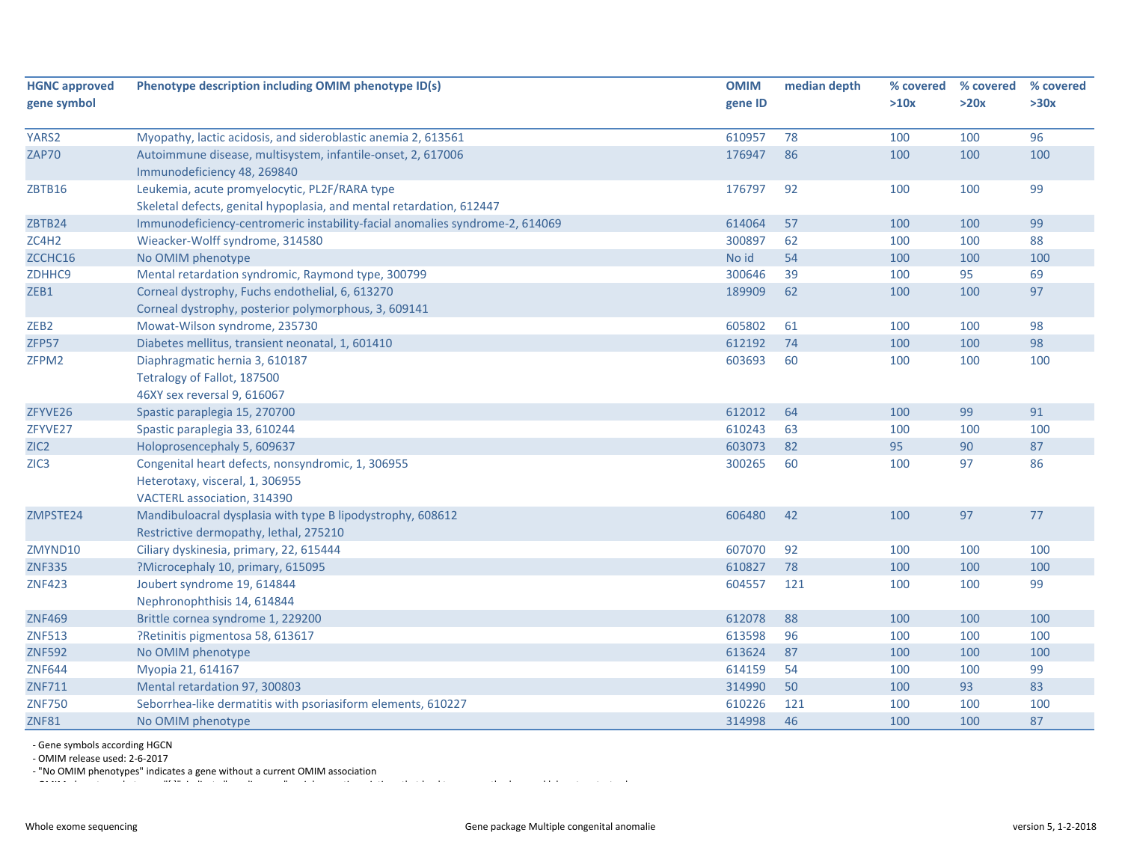| <b>HGNC approved</b> | Phenotype description including OMIM phenotype ID(s)                         | <b>OMIM</b> | median depth | % covered | % covered | % covered |
|----------------------|------------------------------------------------------------------------------|-------------|--------------|-----------|-----------|-----------|
| gene symbol          |                                                                              | gene ID     |              | >10x      | >20x      | >30x      |
| YARS2                | Myopathy, lactic acidosis, and sideroblastic anemia 2, 613561                | 610957      | 78           | 100       | 100       | 96        |
| <b>ZAP70</b>         | Autoimmune disease, multisystem, infantile-onset, 2, 617006                  | 176947      | 86           | 100       | 100       | 100       |
|                      | Immunodeficiency 48, 269840                                                  |             |              |           |           |           |
| ZBTB16               | Leukemia, acute promyelocytic, PL2F/RARA type                                | 176797      | 92           | 100       | 100       | 99        |
|                      | Skeletal defects, genital hypoplasia, and mental retardation, 612447         |             |              |           |           |           |
| ZBTB24               | Immunodeficiency-centromeric instability-facial anomalies syndrome-2, 614069 | 614064      | 57           | 100       | 100       | 99        |
| ZC4H2                | Wieacker-Wolff syndrome, 314580                                              | 300897      | 62           | 100       | 100       | 88        |
| ZCCHC16              | No OMIM phenotype                                                            | No id       | 54           | 100       | 100       | 100       |
| ZDHHC9               | Mental retardation syndromic, Raymond type, 300799                           | 300646      | 39           | 100       | 95        | 69        |
| ZEB1                 | Corneal dystrophy, Fuchs endothelial, 6, 613270                              | 189909      | 62           | 100       | 100       | 97        |
|                      | Corneal dystrophy, posterior polymorphous, 3, 609141                         |             |              |           |           |           |
| ZEB <sub>2</sub>     | Mowat-Wilson syndrome, 235730                                                | 605802      | 61           | 100       | 100       | 98        |
| ZFP57                | Diabetes mellitus, transient neonatal, 1, 601410                             | 612192      | 74           | 100       | 100       | 98        |
| ZFPM2                | Diaphragmatic hernia 3, 610187                                               | 603693      | 60           | 100       | 100       | 100       |
|                      | Tetralogy of Fallot, 187500                                                  |             |              |           |           |           |
|                      | 46XY sex reversal 9, 616067                                                  |             |              |           |           |           |
| ZFYVE26              | Spastic paraplegia 15, 270700                                                | 612012      | 64           | 100       | 99        | 91        |
| ZFYVE27              | Spastic paraplegia 33, 610244                                                | 610243      | 63           | 100       | 100       | 100       |
| ZIC <sub>2</sub>     | Holoprosencephaly 5, 609637                                                  | 603073      | 82           | 95        | 90        | 87        |
| ZIC <sub>3</sub>     | Congenital heart defects, nonsyndromic, 1, 306955                            | 300265      | 60           | 100       | 97        | 86        |
|                      | Heterotaxy, visceral, 1, 306955                                              |             |              |           |           |           |
|                      | VACTERL association, 314390                                                  |             |              |           |           |           |
| ZMPSTE24             | Mandibuloacral dysplasia with type B lipodystrophy, 608612                   | 606480      | 42           | 100       | 97        | 77        |
|                      | Restrictive dermopathy, lethal, 275210                                       |             |              |           |           |           |
| ZMYND10              | Ciliary dyskinesia, primary, 22, 615444                                      | 607070      | 92           | 100       | 100       | 100       |
| <b>ZNF335</b>        | ?Microcephaly 10, primary, 615095                                            | 610827      | 78           | 100       | 100       | 100       |
| <b>ZNF423</b>        | Joubert syndrome 19, 614844                                                  | 604557      | 121          | 100       | 100       | 99        |
|                      | Nephronophthisis 14, 614844                                                  |             |              |           |           |           |
| <b>ZNF469</b>        | Brittle cornea syndrome 1, 229200                                            | 612078      | 88           | 100       | 100       | 100       |
| <b>ZNF513</b>        | ?Retinitis pigmentosa 58, 613617                                             | 613598      | 96           | 100       | 100       | 100       |
| <b>ZNF592</b>        | No OMIM phenotype                                                            | 613624      | 87           | 100       | 100       | 100       |
| <b>ZNF644</b>        | Myopia 21, 614167                                                            | 614159      | 54           | 100       | 100       | 99        |
| <b>ZNF711</b>        | Mental retardation 97, 300803                                                | 314990      | 50           | 100       | 93        | 83        |
| <b>ZNF750</b>        | Seborrhea-like dermatitis with psoriasiform elements, 610227                 | 610226      | 121          | 100       | 100       | 100       |
| <b>ZNF81</b>         | No OMIM phenotype                                                            | 314998      | 46           | 100       | 100       | 87        |

‐ Gene symbols according HGCN

‐ OMIM release used: 2‐6‐2017

and the most person indicates a gene without a current OMIM association<br>
OMIM https://www.association.com/www.association/www.association/www.association/www.association/www.associatio